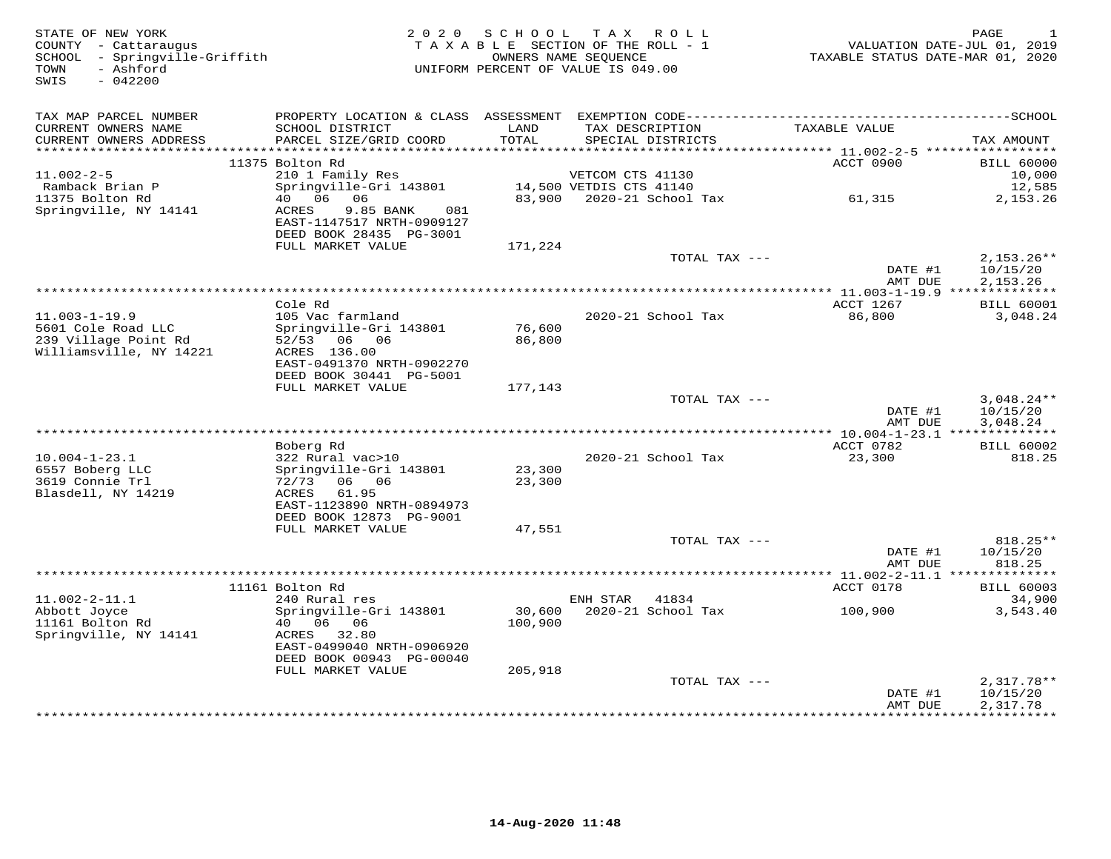| STATE OF NEW YORK<br>COUNTY - Cattaraugus<br>SCHOOL - Springville-Griffith<br>- Ashford<br>TOWN<br>SWIS<br>$-042200$ | 2 0 2 0                                                                           | SCHOOL        | T A X<br>ROLL<br>TAXABLE SECTION OF THE ROLL - 1<br>OWNERS NAME SEOUENCE<br>UNIFORM PERCENT OF VALUE IS 049.00 | TAXABLE STATUS DATE-MAR 01, 2020            | PAGE<br>$\mathbf{1}$<br>VALUATION DATE-JUL 01, 2019 |
|----------------------------------------------------------------------------------------------------------------------|-----------------------------------------------------------------------------------|---------------|----------------------------------------------------------------------------------------------------------------|---------------------------------------------|-----------------------------------------------------|
| TAX MAP PARCEL NUMBER                                                                                                |                                                                                   |               |                                                                                                                |                                             |                                                     |
| CURRENT OWNERS NAME<br>CURRENT OWNERS ADDRESS<br>************************                                            | SCHOOL DISTRICT<br>PARCEL SIZE/GRID COORD                                         | LAND<br>TOTAL | TAX DESCRIPTION<br>SPECIAL DISTRICTS                                                                           | TAXABLE VALUE                               | TAX AMOUNT                                          |
|                                                                                                                      | 11375 Bolton Rd                                                                   |               |                                                                                                                | ACCT 0900                                   | <b>BILL 60000</b>                                   |
| $11.002 - 2 - 5$                                                                                                     | 210 1 Family Res                                                                  |               | VETCOM CTS 41130                                                                                               |                                             | 10,000                                              |
| Ramback Brian P                                                                                                      | Springville-Gri 143801                                                            |               | 14,500 VETDIS CTS 41140                                                                                        |                                             | 12,585                                              |
| 11375 Bolton Rd                                                                                                      | 40   06   06                                                                      | 83,900        | 2020-21 School Tax                                                                                             | 61,315                                      | 2,153.26                                            |
| Springville, NY 14141                                                                                                | ACRES<br>9.85 BANK<br>081<br>EAST-1147517 NRTH-0909127<br>DEED BOOK 28435 PG-3001 |               |                                                                                                                |                                             |                                                     |
|                                                                                                                      | FULL MARKET VALUE                                                                 | 171,224       |                                                                                                                |                                             |                                                     |
|                                                                                                                      |                                                                                   |               | TOTAL TAX ---                                                                                                  | DATE #1                                     | $2,153.26**$<br>10/15/20                            |
|                                                                                                                      |                                                                                   |               | *********************************                                                                              | AMT DUE<br>*** 11.003-1-19.9 ************** | 2,153.26                                            |
|                                                                                                                      | Cole Rd                                                                           |               |                                                                                                                | ACCT 1267                                   | <b>BILL 60001</b>                                   |
| $11.003 - 1 - 19.9$                                                                                                  | 105 Vac farmland                                                                  |               | 2020-21 School Tax                                                                                             | 86,800                                      | 3,048.24                                            |
| 5601 Cole Road LLC                                                                                                   | Springville-Gri 143801                                                            | 76,600        |                                                                                                                |                                             |                                                     |
| 239 Village Point Rd                                                                                                 | 52/53 06 06                                                                       | 86,800        |                                                                                                                |                                             |                                                     |
| Williamsville, NY 14221                                                                                              | ACRES 136.00                                                                      |               |                                                                                                                |                                             |                                                     |
|                                                                                                                      | EAST-0491370 NRTH-0902270<br>DEED BOOK 30441 PG-5001                              |               |                                                                                                                |                                             |                                                     |
|                                                                                                                      | FULL MARKET VALUE                                                                 | 177,143       |                                                                                                                |                                             |                                                     |
|                                                                                                                      |                                                                                   |               | TOTAL TAX ---                                                                                                  |                                             | $3,048.24**$                                        |
|                                                                                                                      |                                                                                   |               |                                                                                                                | DATE #1                                     | 10/15/20                                            |
|                                                                                                                      |                                                                                   |               |                                                                                                                | AMT DUE                                     | 3,048.24                                            |
|                                                                                                                      |                                                                                   |               |                                                                                                                |                                             |                                                     |
| $10.004 - 1 - 23.1$                                                                                                  | Boberg Rd<br>322 Rural vac>10                                                     |               | 2020-21 School Tax                                                                                             | ACCT 0782<br>23,300                         | <b>BILL 60002</b><br>818.25                         |
| 6557 Boberg LLC                                                                                                      | Springville-Gri 143801                                                            | 23,300        |                                                                                                                |                                             |                                                     |
| 3619 Connie Trl                                                                                                      | 72/73<br>06 06                                                                    | 23,300        |                                                                                                                |                                             |                                                     |
| Blasdell, NY 14219                                                                                                   | ACRES<br>61.95                                                                    |               |                                                                                                                |                                             |                                                     |
|                                                                                                                      | EAST-1123890 NRTH-0894973                                                         |               |                                                                                                                |                                             |                                                     |
|                                                                                                                      | DEED BOOK 12873 PG-9001                                                           |               |                                                                                                                |                                             |                                                     |
|                                                                                                                      | FULL MARKET VALUE                                                                 | 47,551        |                                                                                                                |                                             | $818.25**$                                          |
|                                                                                                                      |                                                                                   |               | TOTAL TAX ---                                                                                                  | DATE #1                                     | 10/15/20                                            |
|                                                                                                                      |                                                                                   |               |                                                                                                                | AMT DUE                                     | 818.25                                              |
|                                                                                                                      |                                                                                   |               |                                                                                                                |                                             |                                                     |
|                                                                                                                      | 11161 Bolton Rd                                                                   |               |                                                                                                                | ACCT 0178                                   | <b>BILL 60003</b>                                   |
| $11.002 - 2 - 11.1$                                                                                                  | 240 Rural res                                                                     |               | ENH STAR<br>41834                                                                                              |                                             | 34,900                                              |
| Abbott Joyce                                                                                                         | Springville-Gri 143801                                                            | 30,600        | 2020-21 School Tax                                                                                             | 100,900                                     | 3,543.40                                            |
| 11161 Bolton Rd<br>Springville, NY 14141                                                                             | 40  06  06<br>32.80<br>ACRES                                                      | 100,900       |                                                                                                                |                                             |                                                     |
|                                                                                                                      | EAST-0499040 NRTH-0906920                                                         |               |                                                                                                                |                                             |                                                     |
|                                                                                                                      | DEED BOOK 00943 PG-00040                                                          |               |                                                                                                                |                                             |                                                     |
|                                                                                                                      | FULL MARKET VALUE                                                                 | 205,918       |                                                                                                                |                                             |                                                     |
|                                                                                                                      |                                                                                   |               | TOTAL TAX ---                                                                                                  |                                             | $2,317.78**$                                        |
|                                                                                                                      |                                                                                   |               |                                                                                                                | DATE #1                                     | 10/15/20                                            |
|                                                                                                                      |                                                                                   |               | *************************************                                                                          | AMT DUE<br>*************                    | 2,317.78<br>**********                              |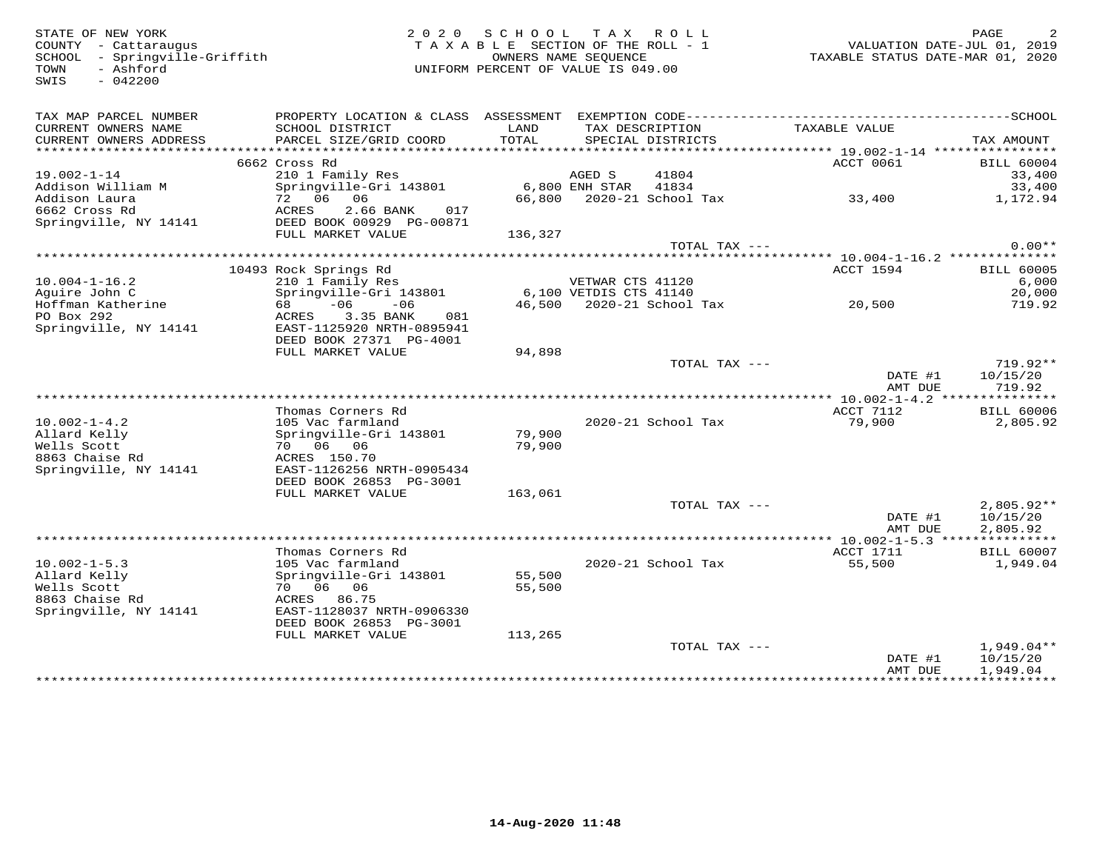SWIS - 042200

## STATE OF NEW YORK 2 0 2 0 S C H O O L T A X R O L L PAGE 2TA X A B L E SECTION OF THE ROLL - 1 SCHOOL - Springville-Griffith OWNERS NAME SEQUENCE TAXABLE STATUS DATE-MAR 01, 2020UNIFORM PERCENT OF VALUE IS 049.00

| TAX MAP PARCEL NUMBER  | PROPERTY LOCATION & CLASS ASSESSMENT |         |                           |                                    |                   |
|------------------------|--------------------------------------|---------|---------------------------|------------------------------------|-------------------|
| CURRENT OWNERS NAME    | SCHOOL DISTRICT                      | LAND    | TAX DESCRIPTION           | TAXABLE VALUE                      |                   |
| CURRENT OWNERS ADDRESS | PARCEL SIZE/GRID COORD               | TOTAL   | SPECIAL DISTRICTS         |                                    | TAX AMOUNT        |
| ********************** |                                      |         |                           |                                    |                   |
|                        | 6662 Cross Rd                        |         |                           | ACCT 0061                          | <b>BILL 60004</b> |
| $19.002 - 1 - 14$      | 210 1 Family Res                     |         | AGED S<br>41804           |                                    | 33,400            |
| Addison William M      | Springville-Gri 143801               |         | 41834<br>$6,800$ ENH STAR |                                    | 33,400            |
| Addison Laura          | 72 06<br>06                          | 66,800  | 2020-21 School Tax        | 33,400                             | 1,172.94          |
| 6662 Cross Rd          | ACRES<br>2.66 BANK<br>017            |         |                           |                                    |                   |
|                        |                                      |         |                           |                                    |                   |
| Springville, NY 14141  | DEED BOOK 00929 PG-00871             |         |                           |                                    |                   |
|                        | FULL MARKET VALUE                    | 136,327 |                           |                                    |                   |
|                        |                                      |         | TOTAL TAX ---             |                                    | $0.00**$          |
|                        |                                      |         |                           |                                    |                   |
|                        | 10493 Rock Springs Rd                |         |                           | <b>ACCT 1594</b>                   | <b>BILL 60005</b> |
| $10.004 - 1 - 16.2$    | 210 1 Family Res                     |         | VETWAR CTS 41120          |                                    | 6,000             |
| Aquire John C          | Springville-Gri 143801               |         | 6,100 VETDIS CTS 41140    |                                    | 20,000            |
| Hoffman Katherine      | $-06$<br>$-06$<br>68                 | 46,500  | 2020-21 School Tax        | 20,500                             | 719.92            |
| PO Box 292             | ACRES<br>3.35 BANK<br>081            |         |                           |                                    |                   |
| Springville, NY 14141  | EAST-1125920 NRTH-0895941            |         |                           |                                    |                   |
|                        | DEED BOOK 27371 PG-4001              |         |                           |                                    |                   |
|                        | FULL MARKET VALUE                    | 94,898  |                           |                                    |                   |
|                        |                                      |         | TOTAL TAX ---             |                                    | 719.92**          |
|                        |                                      |         |                           | DATE #1                            | 10/15/20          |
|                        |                                      |         |                           | AMT DUE                            | 719.92            |
|                        | ******************                   |         |                           | **** 10.002-1-4.2 **************** |                   |
|                        | Thomas Corners Rd                    |         |                           | ACCT 7112                          | <b>BILL 60006</b> |
| $10.002 - 1 - 4.2$     | 105 Vac farmland                     |         | 2020-21 School Tax        | 79,900                             | 2,805.92          |
| Allard Kelly           | Springville-Gri 143801               | 79,900  |                           |                                    |                   |
| Wells Scott            | 70 06 06                             | 79,900  |                           |                                    |                   |
| 8863 Chaise Rd         | ACRES 150.70                         |         |                           |                                    |                   |
| Springville, NY 14141  | EAST-1126256 NRTH-0905434            |         |                           |                                    |                   |
|                        | DEED BOOK 26853 PG-3001              |         |                           |                                    |                   |
|                        | FULL MARKET VALUE                    | 163,061 |                           |                                    |                   |
|                        |                                      |         | TOTAL TAX ---             |                                    | $2.805.92**$      |
|                        |                                      |         |                           | DATE #1                            | 10/15/20          |
|                        |                                      |         |                           | AMT DUE                            | 2,805.92          |
|                        |                                      |         |                           |                                    |                   |
|                        | Thomas Corners Rd                    |         |                           | ACCT 1711                          | <b>BILL 60007</b> |
|                        |                                      |         |                           |                                    |                   |
| $10.002 - 1 - 5.3$     | 105 Vac farmland                     |         | 2020-21 School Tax        | 55,500                             | 1,949.04          |
| Allard Kelly           | Springville-Gri 143801               | 55,500  |                           |                                    |                   |
| Wells Scott            | 70 06<br>06                          | 55,500  |                           |                                    |                   |
| 8863 Chaise Rd         | ACRES<br>86.75                       |         |                           |                                    |                   |
| Springville, NY 14141  | EAST-1128037 NRTH-0906330            |         |                           |                                    |                   |
|                        | DEED BOOK 26853 PG-3001              |         |                           |                                    |                   |
|                        | FULL MARKET VALUE                    | 113,265 |                           |                                    |                   |
|                        |                                      |         | TOTAL TAX ---             |                                    | $1,949.04**$      |
|                        |                                      |         |                           | DATE #1                            | 10/15/20          |
|                        |                                      |         |                           | AMT DUE                            | 1,949.04          |
|                        |                                      |         |                           | ***************                    | ***********       |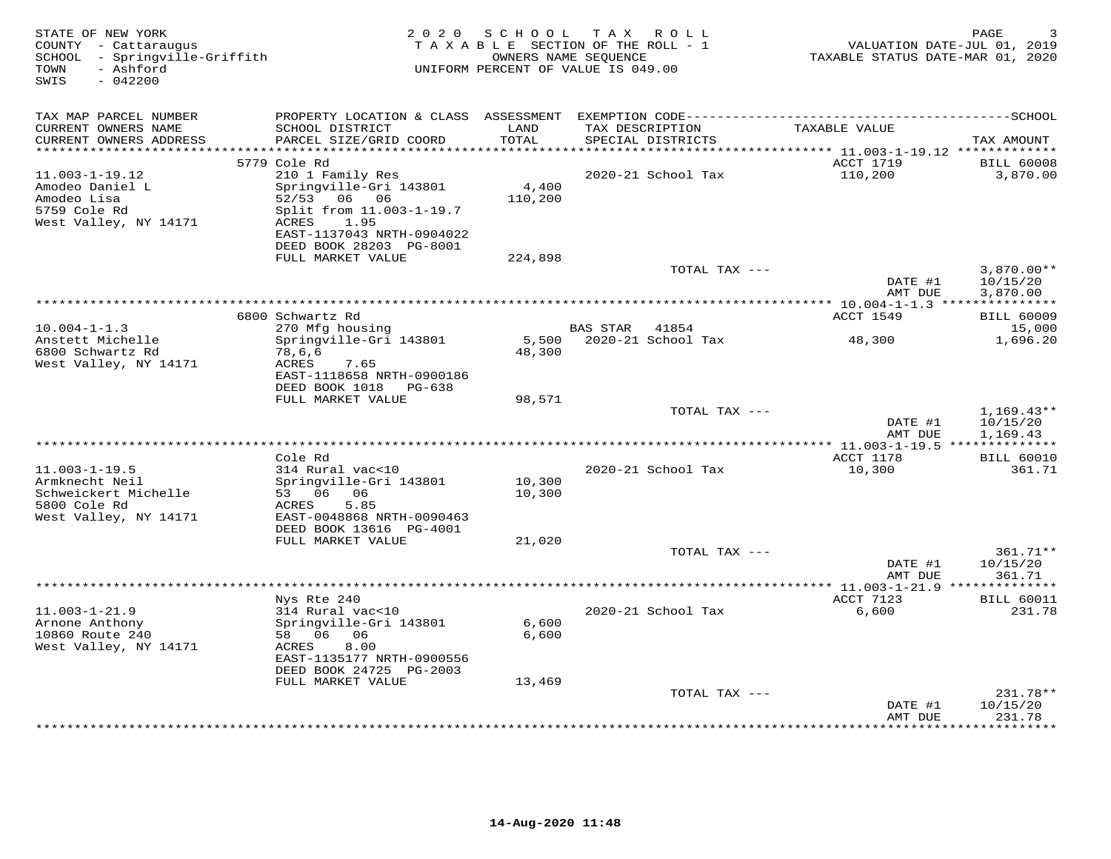| STATE OF NEW YORK<br>COUNTY - Cattaraugus<br>SCHOOL - Springville-Griffith<br>- Ashford<br>TOWN<br>$-042200$<br>SWIS | 2 0 2 0                                                                                                            | SCHOOL           | TAX ROLL<br>TAXABLE SECTION OF THE ROLL - 1<br>OWNERS NAME SEQUENCE<br>UNIFORM PERCENT OF VALUE IS 049.00 | VALUATION DATE-JUL 01, 2019<br>TAXABLE STATUS DATE-MAR 01, 2020 | PAGE                           |
|----------------------------------------------------------------------------------------------------------------------|--------------------------------------------------------------------------------------------------------------------|------------------|-----------------------------------------------------------------------------------------------------------|-----------------------------------------------------------------|--------------------------------|
| TAX MAP PARCEL NUMBER                                                                                                |                                                                                                                    |                  |                                                                                                           |                                                                 |                                |
| CURRENT OWNERS NAME<br>CURRENT OWNERS ADDRESS<br>**********************                                              | SCHOOL DISTRICT<br>PARCEL SIZE/GRID COORD                                                                          | LAND<br>TOTAL    | TAX DESCRIPTION<br>SPECIAL DISTRICTS                                                                      | TAXABLE VALUE                                                   | TAX AMOUNT                     |
|                                                                                                                      | 5779 Cole Rd                                                                                                       |                  |                                                                                                           | ACCT 1719                                                       | <b>BILL 60008</b>              |
| $11.003 - 1 - 19.12$                                                                                                 | 210 1 Family Res                                                                                                   |                  | 2020-21 School Tax                                                                                        | 110,200                                                         | 3,870.00                       |
| Amodeo Daniel L<br>Amodeo Lisa<br>5759 Cole Rd<br>West Valley, NY 14171                                              | Springville-Gri 143801<br>52/53<br>06 06<br>Split from 11.003-1-19.7<br>ACRES<br>1.95<br>EAST-1137043 NRTH-0904022 | 4,400<br>110,200 |                                                                                                           |                                                                 |                                |
|                                                                                                                      | DEED BOOK 28203 PG-8001                                                                                            |                  |                                                                                                           |                                                                 |                                |
|                                                                                                                      | FULL MARKET VALUE                                                                                                  | 224,898          | TOTAL TAX ---                                                                                             |                                                                 | $3,870.00**$                   |
|                                                                                                                      |                                                                                                                    |                  |                                                                                                           | DATE #1<br>AMT DUE                                              | 10/15/20<br>3,870.00           |
|                                                                                                                      |                                                                                                                    |                  |                                                                                                           | *********** 10.004-1-1.3 ****************                       |                                |
|                                                                                                                      | 6800 Schwartz Rd                                                                                                   |                  |                                                                                                           | ACCT 1549                                                       | <b>BILL 60009</b>              |
| $10.004 - 1 - 1.3$<br>Anstett Michelle                                                                               | 270 Mfg housing<br>Springville-Gri 143801                                                                          | 5,500            | BAS STAR<br>41854<br>2020-21 School Tax                                                                   | 48,300                                                          | 15,000<br>1,696.20             |
| 6800 Schwartz Rd<br>West Valley, NY 14171                                                                            | 78,6,6<br>ACRES<br>7.65<br>EAST-1118658 NRTH-0900186<br>DEED BOOK 1018 PG-638                                      | 48,300           |                                                                                                           |                                                                 |                                |
|                                                                                                                      | FULL MARKET VALUE                                                                                                  | 98,571           |                                                                                                           |                                                                 |                                |
|                                                                                                                      |                                                                                                                    |                  | TOTAL TAX ---                                                                                             | DATE #1                                                         | $1,169.43**$<br>10/15/20       |
|                                                                                                                      |                                                                                                                    |                  |                                                                                                           | AMT DUE                                                         | 1,169.43                       |
|                                                                                                                      |                                                                                                                    |                  | **********************                                                                                    | ** 11.003-1-19.5 ***************                                |                                |
| $11.003 - 1 - 19.5$                                                                                                  | Cole Rd<br>314 Rural vac<10                                                                                        |                  |                                                                                                           | ACCT 1178                                                       | <b>BILL 60010</b>              |
| Armknecht Neil<br>Schweickert Michelle<br>5800 Cole Rd<br>West Valley, NY 14171                                      | Springville-Gri 143801<br>53 06 06<br>5.85<br>ACRES<br>EAST-0048868 NRTH-0090463<br>DEED BOOK 13616 PG-4001        | 10,300<br>10,300 | 2020-21 School Tax                                                                                        | 10,300                                                          | 361.71                         |
|                                                                                                                      | FULL MARKET VALUE                                                                                                  | 21,020           |                                                                                                           |                                                                 |                                |
|                                                                                                                      |                                                                                                                    |                  | TOTAL TAX ---                                                                                             | DATE #1<br>AMT DUE                                              | 361.71**<br>10/15/20<br>361.71 |
|                                                                                                                      |                                                                                                                    |                  | ***********************                                                                                   | ** $11.003 - 1 - 21.9$ **                                       |                                |
| $11.003 - 1 - 21.9$                                                                                                  | Nys Rte 240<br>314 Rural vac<10                                                                                    |                  | 2020-21 School Tax                                                                                        | ACCT 7123<br>6,600                                              | <b>BILL 60011</b><br>231.78    |
| Arnone Anthony<br>10860 Route 240<br>West Valley, NY 14171                                                           | Springville-Gri 143801<br>58 06 06<br>ACRES<br>8.00<br>EAST-1135177 NRTH-0900556<br>DEED BOOK 24725 PG-2003        | 6,600<br>6,600   |                                                                                                           |                                                                 |                                |
|                                                                                                                      | FULL MARKET VALUE                                                                                                  | 13,469           | TOTAL TAX ---                                                                                             |                                                                 | 231.78**                       |
|                                                                                                                      |                                                                                                                    |                  |                                                                                                           | DATE #1                                                         | 10/15/20                       |
|                                                                                                                      |                                                                                                                    |                  |                                                                                                           | AMT DUE<br>* * * * * * * *                                      | 231.78<br>* * * * * * * *      |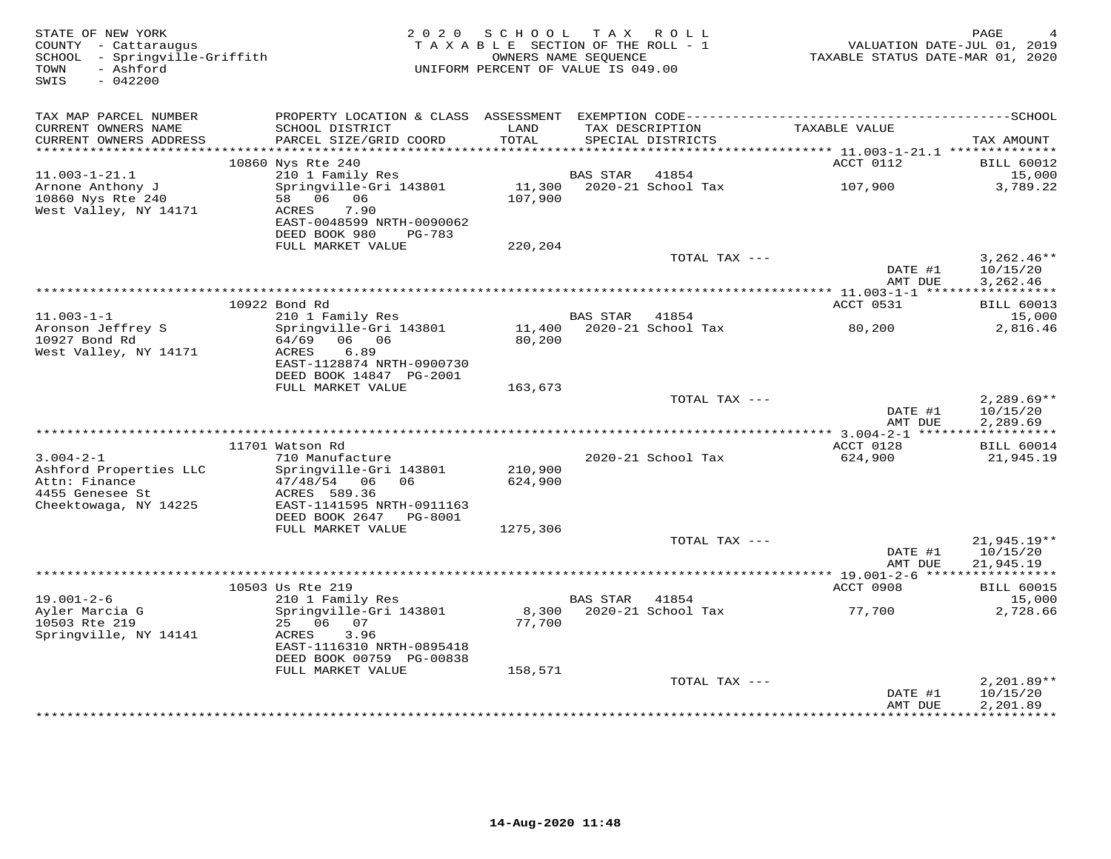| STATE OF NEW YORK<br>COUNTY - Cattaraugus<br>SCHOOL - Springville-Griffith<br>- Ashford<br>TOWN<br>$-042200$<br>SWIS |                                                                        | 2020 SCHOOL<br>TAXABLE SECTION OF THE ROLL - 1<br>OWNERS NAME SEOUENCE<br>UNIFORM PERCENT OF VALUE IS 049.00 |                 | TAX ROLL                           | TAXABLE STATUS DATE-MAR 01, 2020  | PAGE<br>VALUATION DATE-JUL 01, 2019  |
|----------------------------------------------------------------------------------------------------------------------|------------------------------------------------------------------------|--------------------------------------------------------------------------------------------------------------|-----------------|------------------------------------|-----------------------------------|--------------------------------------|
| TAX MAP PARCEL NUMBER<br>CURRENT OWNERS NAME                                                                         | SCHOOL DISTRICT                                                        | LAND                                                                                                         |                 | TAX DESCRIPTION                    | TAXABLE VALUE                     |                                      |
| CURRENT OWNERS ADDRESS                                                                                               | PARCEL SIZE/GRID COORD                                                 | TOTAL                                                                                                        |                 | SPECIAL DISTRICTS                  |                                   | TAX AMOUNT                           |
| ************************                                                                                             | 10860 Nys Rte 240                                                      |                                                                                                              |                 |                                    | ACCT 0112                         | <b>BILL 60012</b>                    |
| $11.003 - 1 - 21.1$                                                                                                  | 210 1 Family Res                                                       |                                                                                                              | <b>BAS STAR</b> | 41854                              |                                   | 15,000                               |
| Arnone Anthony J<br>10860 Nys Rte 240<br>West Valley, NY 14171                                                       | Springville-Gri 143801<br>58 06 06<br>7.90<br>ACRES                    | 11,300<br>107,900                                                                                            |                 | 2020-21 School Tax                 | 107,900                           | 3,789.22                             |
|                                                                                                                      | EAST-0048599 NRTH-0090062<br>DEED BOOK 980<br>PG-783                   |                                                                                                              |                 |                                    |                                   |                                      |
|                                                                                                                      | FULL MARKET VALUE                                                      | 220,204                                                                                                      |                 | TOTAL TAX ---                      |                                   |                                      |
|                                                                                                                      |                                                                        |                                                                                                              |                 |                                    | DATE #1<br>AMT DUE                | $3,262.46**$<br>10/15/20<br>3,262.46 |
|                                                                                                                      |                                                                        |                                                                                                              |                 |                                    | *************** 11.003-1-1 ****** | ***********                          |
|                                                                                                                      | 10922 Bond Rd                                                          |                                                                                                              |                 |                                    | ACCT 0531                         | <b>BILL 60013</b>                    |
| $11.003 - 1 - 1$<br>Aronson Jeffrey S                                                                                | 210 1 Family Res<br>Springville-Gri 143801                             |                                                                                                              | <b>BAS STAR</b> | 41854<br>11,400 2020-21 School Tax | 80,200                            | 15,000<br>2,816.46                   |
| 10927 Bond Rd<br>West Valley, NY 14171                                                                               | 64/69 06 06<br>ACRES<br>6.89<br>EAST-1128874 NRTH-0900730              | 80,200                                                                                                       |                 |                                    |                                   |                                      |
|                                                                                                                      | DEED BOOK 14847 PG-2001<br>FULL MARKET VALUE                           | 163,673                                                                                                      |                 |                                    |                                   |                                      |
|                                                                                                                      |                                                                        |                                                                                                              |                 | TOTAL TAX ---                      | DATE #1                           | $2,289.69**$<br>10/15/20             |
|                                                                                                                      |                                                                        |                                                                                                              |                 |                                    | AMT DUE                           | 2,289.69                             |
|                                                                                                                      | 11701 Watson Rd                                                        |                                                                                                              |                 |                                    | ACCT 0128                         | <b>BILL 60014</b>                    |
| $3.004 - 2 - 1$                                                                                                      | 710 Manufacture                                                        |                                                                                                              |                 | 2020-21 School Tax                 | 624,900                           | 21,945.19                            |
| Ashford Properties LLC<br>Attn: Finance                                                                              | Springville-Gri 143801<br>47/48/54 06<br>06                            | 210,900<br>624,900                                                                                           |                 |                                    |                                   |                                      |
| 4455 Genesee St<br>Cheektowaga, NY 14225                                                                             | ACRES 589.36<br>EAST-1141595 NRTH-0911163                              |                                                                                                              |                 |                                    |                                   |                                      |
|                                                                                                                      | DEED BOOK 2647<br>PG-8001<br>FULL MARKET VALUE                         | 1275,306                                                                                                     |                 |                                    |                                   |                                      |
|                                                                                                                      |                                                                        |                                                                                                              |                 | TOTAL TAX ---                      |                                   | 21,945.19**                          |
|                                                                                                                      |                                                                        |                                                                                                              |                 |                                    | DATE #1<br>AMT DUE                | 10/15/20<br>21,945.19                |
|                                                                                                                      | ***************<br>10503 Us Rte 219                                    |                                                                                                              |                 |                                    | ACCT 0908                         | <b>BILL 60015</b>                    |
| $19.001 - 2 - 6$                                                                                                     | 210 1 Family Res                                                       |                                                                                                              | <b>BAS STAR</b> | 41854                              |                                   | 15,000                               |
| Ayler Marcia G<br>10503 Rte 219                                                                                      | Springville-Gri 143801<br>25 06 07                                     | 8,300<br>77,700                                                                                              |                 | 2020-21 School Tax                 | 77,700                            | 2,728.66                             |
| Springville, NY 14141                                                                                                | 3.96<br>ACRES<br>EAST-1116310 NRTH-0895418<br>DEED BOOK 00759 PG-00838 |                                                                                                              |                 |                                    |                                   |                                      |
|                                                                                                                      | FULL MARKET VALUE                                                      | 158,571                                                                                                      |                 |                                    |                                   |                                      |
|                                                                                                                      |                                                                        |                                                                                                              |                 | TOTAL TAX ---                      | DATE #1<br>AMT DUE                | $2,201.89**$<br>10/15/20<br>2,201.89 |
|                                                                                                                      |                                                                        |                                                                                                              |                 |                                    |                                   | ***********                          |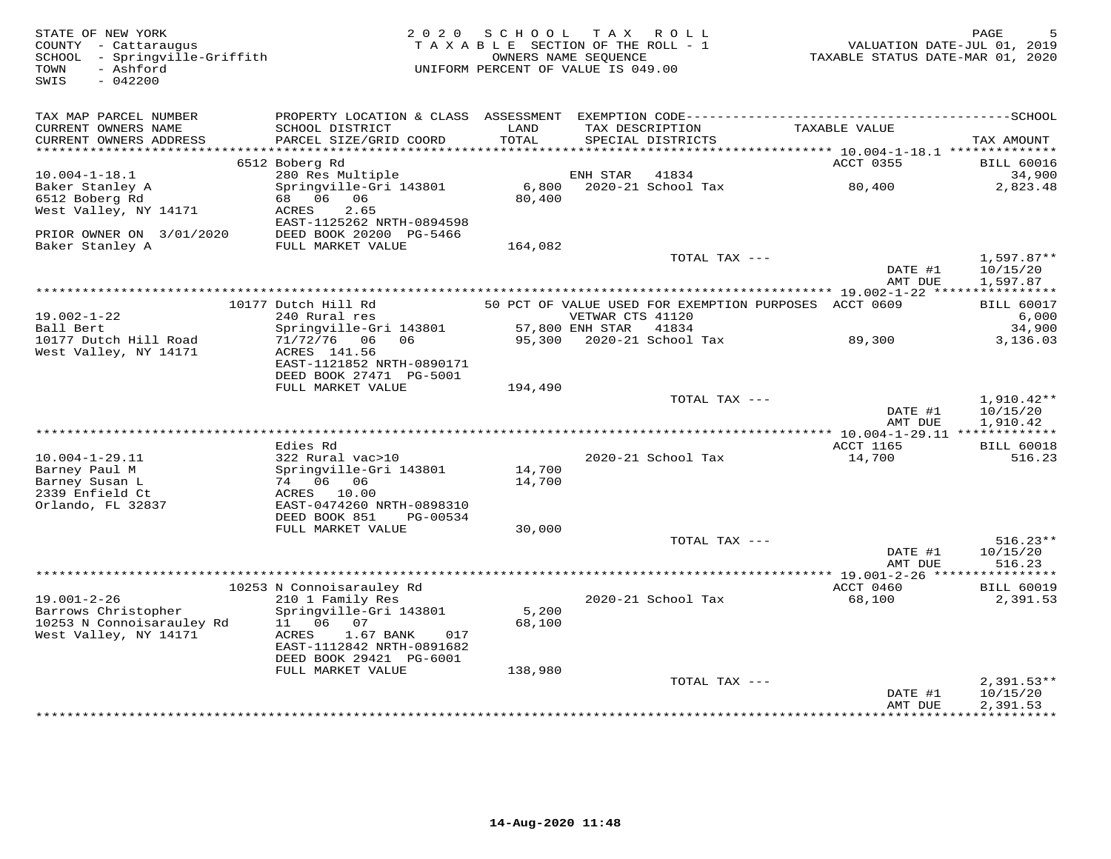| STATE OF NEW YORK<br>COUNTY - Cattaraugus<br>SCHOOL - Springville-Griffith<br>- Ashford<br>TOWN<br>$-042200$<br>SWIS |                                                        |               | 2020 SCHOOL TAX ROLL<br>TAXABLE SECTION OF THE ROLL - 1<br>OWNERS NAME SEQUENCE<br>UNIFORM PERCENT OF VALUE IS 049.00 | TAXABLE STATUS DATE-MAR 01, 2020 | PAGE<br>VALUATION DATE-JUL 01, 2019 |
|----------------------------------------------------------------------------------------------------------------------|--------------------------------------------------------|---------------|-----------------------------------------------------------------------------------------------------------------------|----------------------------------|-------------------------------------|
| TAX MAP PARCEL NUMBER                                                                                                |                                                        |               |                                                                                                                       |                                  |                                     |
| CURRENT OWNERS NAME<br>CURRENT OWNERS ADDRESS                                                                        | SCHOOL DISTRICT<br>PARCEL SIZE/GRID COORD              | LAND<br>TOTAL | TAX DESCRIPTION TAXABLE VALUE<br>SPECIAL DISTRICTS                                                                    |                                  | TAX AMOUNT                          |
|                                                                                                                      | 6512 Boberg Rd                                         |               |                                                                                                                       | ACCT 0355                        | <b>BILL 60016</b>                   |
| $10.004 - 1 - 18.1$                                                                                                  | 280 Res Multiple                                       |               | ENH STAR 41834                                                                                                        |                                  | 34,900                              |
| Baker Stanley A                                                                                                      | Springville-Gri 143801                                 | 6,800         | 2020-21 School Tax 80,400                                                                                             |                                  | 2,823.48                            |
| 6512 Boberg Rd                                                                                                       | 68 06 06                                               | 80,400        |                                                                                                                       |                                  |                                     |
| West Valley, NY 14171                                                                                                | 2.65<br>ACRES<br>EAST-1125262 NRTH-0894598             |               |                                                                                                                       |                                  |                                     |
| PRIOR OWNER ON 3/01/2020                                                                                             | DEED BOOK 20200 PG-5466                                |               |                                                                                                                       |                                  |                                     |
| Baker Stanley A                                                                                                      | FULL MARKET VALUE                                      | 164,082       |                                                                                                                       |                                  |                                     |
|                                                                                                                      |                                                        |               | TOTAL TAX ---                                                                                                         | DATE #1                          | $1,597.87**$<br>10/15/20            |
|                                                                                                                      |                                                        |               |                                                                                                                       | AMT DUE                          | 1,597.87                            |
|                                                                                                                      | 10177 Dutch Hill Rd                                    |               | 50 PCT OF VALUE USED FOR EXEMPTION PURPOSES ACCT 0609                                                                 |                                  | <b>BILL 60017</b>                   |
| $19.002 - 1 - 22$                                                                                                    | 240 Rural res                                          |               | VETWAR CTS 41120                                                                                                      |                                  | 6,000                               |
| Ball Bert                                                                                                            | Springville-Gri 143801                                 |               | 57,800 ENH STAR 41834                                                                                                 |                                  | 34,900                              |
| 10177 Dutch Hill Road                                                                                                | 71/72/76 06 06                                         |               | 95,300 2020-21 School Tax 39,300                                                                                      |                                  | 3,136.03                            |
| West Valley, NY 14171                                                                                                | ACRES 141.56<br>EAST-1121852 NRTH-0890171              |               |                                                                                                                       |                                  |                                     |
|                                                                                                                      | DEED BOOK 27471 PG-5001                                |               |                                                                                                                       |                                  |                                     |
|                                                                                                                      | FULL MARKET VALUE                                      | 194,490       |                                                                                                                       |                                  |                                     |
|                                                                                                                      |                                                        |               | TOTAL TAX ---                                                                                                         |                                  | $1,910.42**$                        |
|                                                                                                                      |                                                        |               |                                                                                                                       | DATE #1                          | 10/15/20                            |
|                                                                                                                      |                                                        |               |                                                                                                                       | AMT DUE                          | 1,910.42                            |
|                                                                                                                      | Edies Rd                                               |               |                                                                                                                       | ACCT 1165                        | <b>BILL 60018</b>                   |
| $10.004 - 1 - 29.11$                                                                                                 | 322 Rural vac>10                                       |               | 2020-21 School Tax                                                                                                    | 14,700                           | 516.23                              |
| Barney Paul M                                                                                                        | Springville-Gri 143801                                 | 14,700        |                                                                                                                       |                                  |                                     |
| Barney Susan L                                                                                                       | 74 06 06                                               | 14,700        |                                                                                                                       |                                  |                                     |
| 2339 Enfield Ct                                                                                                      | ACRES 10.00                                            |               |                                                                                                                       |                                  |                                     |
| Orlando, FL 32837                                                                                                    | EAST-0474260 NRTH-0898310<br>DEED BOOK 851<br>PG-00534 |               |                                                                                                                       |                                  |                                     |
|                                                                                                                      | FULL MARKET VALUE                                      | 30,000        |                                                                                                                       |                                  |                                     |
|                                                                                                                      |                                                        |               | TOTAL TAX ---                                                                                                         |                                  | $516.23**$                          |
|                                                                                                                      |                                                        |               |                                                                                                                       | DATE #1                          | 10/15/20                            |
|                                                                                                                      |                                                        |               |                                                                                                                       | AMT DUE                          | 516.23                              |
|                                                                                                                      | 10253 N Connoisarauley Rd                              |               |                                                                                                                       | ACCT 0460                        | <b>BILL 60019</b>                   |
| $19.001 - 2 - 26$                                                                                                    | 210 1 Family Res                                       |               | 2020-21 School Tax                                                                                                    | 68,100                           | 2,391.53                            |
| Barrows Christopher                                                                                                  | Springville-Gri 143801                                 | 5,200         |                                                                                                                       |                                  |                                     |
| 10253 N Connoisarauley Rd                                                                                            | 11  06  07                                             | 68,100        |                                                                                                                       |                                  |                                     |
| West Valley, NY 14171                                                                                                | 1.67 BANK<br>ACRES<br>017                              |               |                                                                                                                       |                                  |                                     |
|                                                                                                                      | EAST-1112842 NRTH-0891682                              |               |                                                                                                                       |                                  |                                     |
|                                                                                                                      | DEED BOOK 29421 PG-6001<br>FULL MARKET VALUE           | 138,980       |                                                                                                                       |                                  |                                     |
|                                                                                                                      |                                                        |               | TOTAL TAX ---                                                                                                         |                                  | $2,391.53**$                        |
|                                                                                                                      |                                                        |               |                                                                                                                       | DATE #1                          | 10/15/20                            |
|                                                                                                                      |                                                        |               |                                                                                                                       | AMT DUE                          | 2,391.53                            |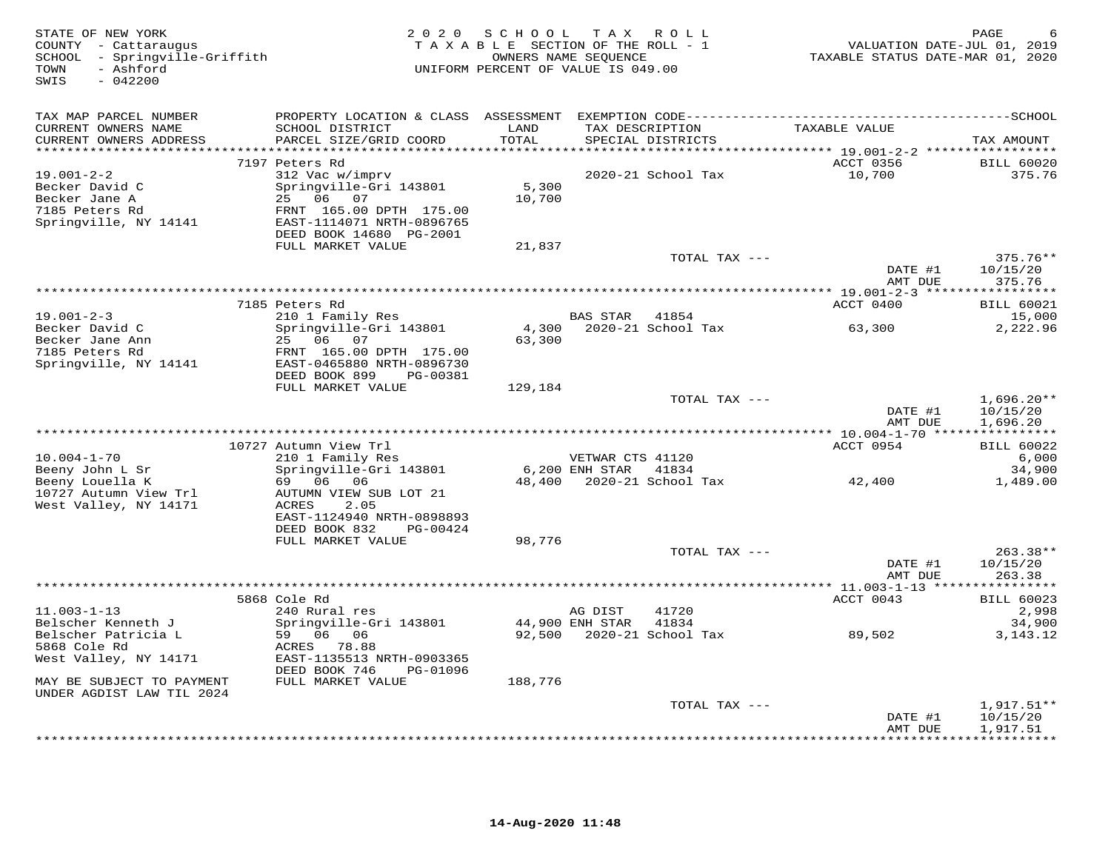| STATE OF NEW YORK<br>COUNTY - Cattaraugus<br>SCHOOL - Springville-Griffith<br>- Ashford<br>TOWN<br>$-042200$<br>SWIS      |                                                                                                                                                            | 2020 SCHOOL<br>TAXABLE SECTION OF THE ROLL - 1<br>OWNERS NAME SEQUENCE<br>UNIFORM PERCENT OF VALUE IS 049.00 | TAX ROLL                                 |                                             | TAXABLE STATUS DATE-MAR 01, 2020                | PAGE<br>VALUATION DATE-JUL 01, 2019  |
|---------------------------------------------------------------------------------------------------------------------------|------------------------------------------------------------------------------------------------------------------------------------------------------------|--------------------------------------------------------------------------------------------------------------|------------------------------------------|---------------------------------------------|-------------------------------------------------|--------------------------------------|
| TAX MAP PARCEL NUMBER<br>CURRENT OWNERS NAME<br>CURRENT OWNERS ADDRESS                                                    | SCHOOL DISTRICT<br>PARCEL SIZE/GRID COORD                                                                                                                  | LAND<br>TOTAL                                                                                                |                                          | TAX DESCRIPTION<br>SPECIAL DISTRICTS        | TAXABLE VALUE                                   | TAX AMOUNT                           |
| ***********************<br>$19.001 - 2 - 2$<br>Becker David C<br>Becker Jane A<br>7185 Peters Rd<br>Springville, NY 14141 | 7197 Peters Rd<br>312 Vac w/imprv<br>Springville-Gri 143801<br>25 06 07<br>FRNT 165.00 DPTH 175.00<br>EAST-1114071 NRTH-0896765<br>DEED BOOK 14680 PG-2001 | 5,300<br>10,700                                                                                              |                                          | 2020-21 School Tax                          | ACCT 0356<br>10,700                             | <b>BILL 60020</b><br>375.76          |
|                                                                                                                           | FULL MARKET VALUE                                                                                                                                          | 21,837                                                                                                       |                                          | TOTAL TAX ---                               | DATE #1<br>AMT DUE                              | 375.76**<br>10/15/20<br>375.76       |
|                                                                                                                           |                                                                                                                                                            |                                                                                                              |                                          |                                             |                                                 |                                      |
| $19.001 - 2 - 3$                                                                                                          | 7185 Peters Rd<br>210 1 Family Res                                                                                                                         |                                                                                                              | BAS STAR                                 | 41854                                       | ACCT 0400                                       | <b>BILL 60021</b><br>15,000          |
| Becker David C<br>Becker Jane Ann<br>7185 Peters Rd<br>Springville, NY 14141                                              | Springville-Gri 143801<br>25 06 07<br>FRNT 165.00 DPTH 175.00<br>EAST-0465880 NRTH-0896730<br>DEED BOOK 899<br>PG-00381<br>FULL MARKET VALUE               | 4,300<br>63,300<br>129,184                                                                                   |                                          | 2020-21 School Tax                          | 63,300                                          | 2,222.96                             |
|                                                                                                                           |                                                                                                                                                            |                                                                                                              |                                          | TOTAL TAX ---                               | DATE #1<br>AMT DUE                              | $1,696.20**$<br>10/15/20<br>1,696.20 |
|                                                                                                                           |                                                                                                                                                            |                                                                                                              |                                          |                                             | ***************** 10.004-1-70 ***************** |                                      |
| $10.004 - 1 - 70$<br>Beeny John L Sr                                                                                      | 10727 Autumn View Trl<br>210 1 Family Res<br>Springville-Gri 143801                                                                                        |                                                                                                              | VETWAR CTS 41120<br>6,200 ENH STAR 41834 |                                             | ACCT 0954                                       | <b>BILL 60022</b><br>6,000<br>34,900 |
| Beeny Louella K<br>10727 Autumn View Trl<br>West Valley, NY 14171                                                         | 69 06 06<br>AUTUMN VIEW SUB LOT 21<br>ACRES<br>2.05<br>EAST-1124940 NRTH-0898893<br>DEED BOOK 832<br>PG-00424                                              |                                                                                                              |                                          | 48,400 2020-21 School Tax                   | 42,400                                          | 1,489.00                             |
|                                                                                                                           | FULL MARKET VALUE                                                                                                                                          | 98,776                                                                                                       |                                          |                                             |                                                 |                                      |
|                                                                                                                           |                                                                                                                                                            |                                                                                                              |                                          | TOTAL TAX ---                               | DATE #1<br>AMT DUE                              | 263.38**<br>10/15/20<br>263.38       |
|                                                                                                                           | 5868 Cole Rd                                                                                                                                               |                                                                                                              |                                          |                                             | ACCT 0043                                       | <b>BILL 60023</b>                    |
| $11.003 - 1 - 13$<br>Belscher Kenneth J<br>Belscher Patricia L                                                            | 240 Rural res<br>Springville-Gri 143801<br>59 06 06                                                                                                        |                                                                                                              | AG DIST<br>44,900 ENH STAR               | 41720<br>41834<br>92,500 2020-21 School Tax | 89,502                                          | 2,998<br>34,900<br>3, 143. 12        |
| 5868 Cole Rd<br>West Valley, NY 14171                                                                                     | ACRES 78.88<br>EAST-1135513 NRTH-0903365<br>DEED BOOK 746<br>PG-01096                                                                                      |                                                                                                              |                                          |                                             |                                                 |                                      |
| MAY BE SUBJECT TO PAYMENT<br>UNDER AGDIST LAW TIL 2024                                                                    | FULL MARKET VALUE                                                                                                                                          | 188,776                                                                                                      |                                          |                                             |                                                 |                                      |
|                                                                                                                           |                                                                                                                                                            |                                                                                                              |                                          | TOTAL TAX ---                               | DATE #1                                         | 1,917.51**<br>10/15/20               |
|                                                                                                                           |                                                                                                                                                            |                                                                                                              |                                          |                                             | AMT DUE                                         | 1,917.51<br>+ + + + + + + + + + +    |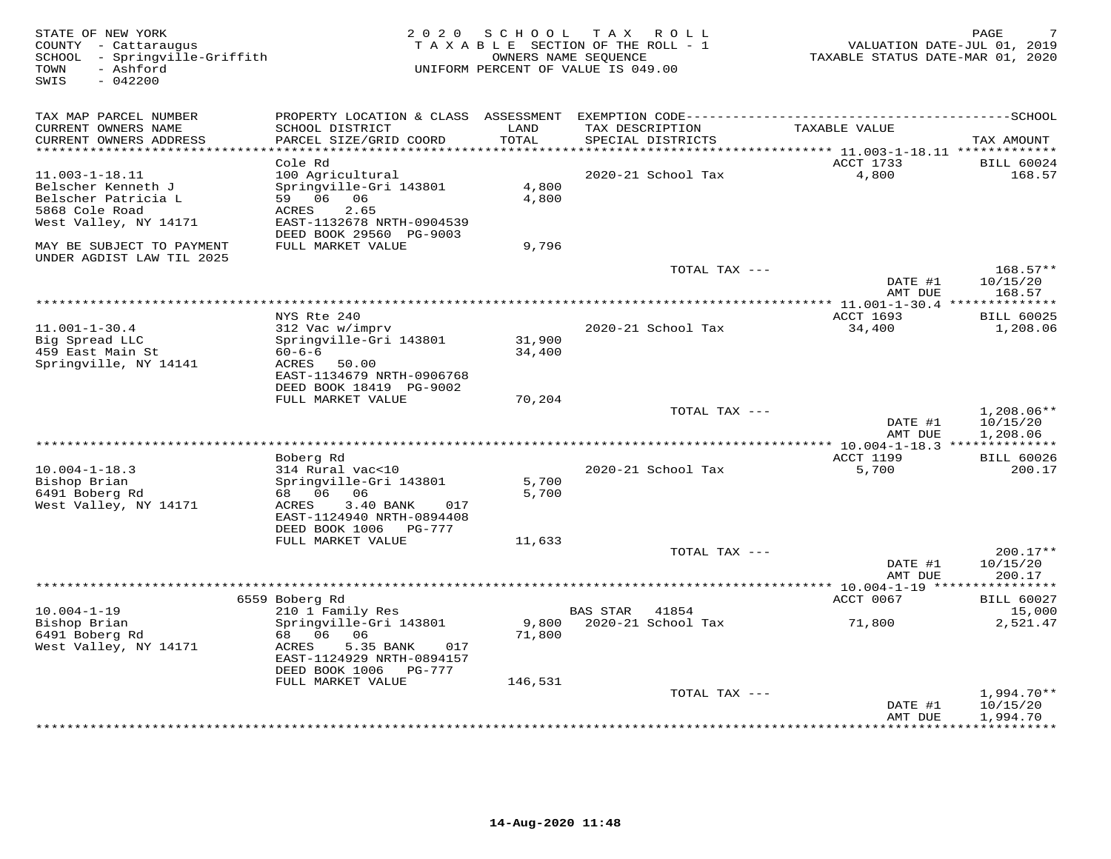| STATE OF NEW YORK<br>COUNTY - Cattaraugus<br>SCHOOL - Springville-Griffith<br>- Ashford<br>TOWN<br>$-042200$<br>SWIS | 2 0 2 0                                                | SCHOOL        | T A X<br>ROLL<br>TAXABLE SECTION OF THE ROLL - 1<br>OWNERS NAME SEQUENCE<br>UNIFORM PERCENT OF VALUE IS 049.00 | VALUATION DATE-JUL 01, 2019<br>TAXABLE STATUS DATE-MAR 01, 2020 | PAGE                        |
|----------------------------------------------------------------------------------------------------------------------|--------------------------------------------------------|---------------|----------------------------------------------------------------------------------------------------------------|-----------------------------------------------------------------|-----------------------------|
| TAX MAP PARCEL NUMBER                                                                                                | PROPERTY LOCATION & CLASS ASSESSMENT                   |               |                                                                                                                |                                                                 |                             |
| CURRENT OWNERS NAME<br>CURRENT OWNERS ADDRESS                                                                        | SCHOOL DISTRICT<br>PARCEL SIZE/GRID COORD              | LAND<br>TOTAL | TAX DESCRIPTION<br>SPECIAL DISTRICTS                                                                           | TAXABLE VALUE                                                   | TAX AMOUNT                  |
| **********************                                                                                               |                                                        |               |                                                                                                                | ACCT 1733                                                       |                             |
| $11.003 - 1 - 18.11$                                                                                                 | Cole Rd<br>100 Agricultural                            |               | 2020-21 School Tax                                                                                             | 4,800                                                           | <b>BILL 60024</b><br>168.57 |
| Belscher Kenneth J                                                                                                   | Springville-Gri 143801                                 | 4,800         |                                                                                                                |                                                                 |                             |
| Belscher Patricia L                                                                                                  | 59 06 06                                               | 4,800         |                                                                                                                |                                                                 |                             |
| 5868 Cole Road                                                                                                       | ACRES<br>2.65                                          |               |                                                                                                                |                                                                 |                             |
| West Valley, NY 14171                                                                                                | EAST-1132678 NRTH-0904539<br>DEED BOOK 29560 PG-9003   |               |                                                                                                                |                                                                 |                             |
| MAY BE SUBJECT TO PAYMENT<br>UNDER AGDIST LAW TIL 2025                                                               | FULL MARKET VALUE                                      | 9,796         |                                                                                                                |                                                                 |                             |
|                                                                                                                      |                                                        |               | TOTAL TAX ---                                                                                                  |                                                                 | $168.57**$                  |
|                                                                                                                      |                                                        |               |                                                                                                                | DATE #1<br>AMT DUE                                              | 10/15/20<br>168.57          |
| ****************************                                                                                         |                                                        |               |                                                                                                                |                                                                 |                             |
|                                                                                                                      | NYS Rte 240                                            |               | 2020-21 School Tax                                                                                             | <b>ACCT 1693</b>                                                | <b>BILL 60025</b>           |
| $11.001 - 1 - 30.4$<br>Big Spread LLC                                                                                | 312 Vac w/imprv<br>Springville-Gri 143801              | 31,900        |                                                                                                                | 34,400                                                          | 1,208.06                    |
| 459 East Main St                                                                                                     | $60 - 6 - 6$                                           | 34,400        |                                                                                                                |                                                                 |                             |
| Springville, NY 14141                                                                                                | ACRES<br>50.00                                         |               |                                                                                                                |                                                                 |                             |
|                                                                                                                      | EAST-1134679 NRTH-0906768<br>DEED BOOK 18419 PG-9002   |               |                                                                                                                |                                                                 |                             |
|                                                                                                                      | FULL MARKET VALUE                                      | 70,204        |                                                                                                                |                                                                 |                             |
|                                                                                                                      |                                                        |               | TOTAL TAX ---                                                                                                  |                                                                 | $1,208.06**$                |
|                                                                                                                      |                                                        |               |                                                                                                                | DATE #1                                                         | 10/15/20                    |
|                                                                                                                      |                                                        |               |                                                                                                                | AMT DUE                                                         | 1,208.06                    |
|                                                                                                                      | *******************************                        |               | **********************                                                                                         | ** 10.004-1-18.3 **************                                 |                             |
|                                                                                                                      | Boberg Rd                                              |               |                                                                                                                | ACCT 1199                                                       | <b>BILL 60026</b>           |
| $10.004 - 1 - 18.3$                                                                                                  | 314 Rural vac<10                                       |               | 2020-21 School Tax                                                                                             | 5,700                                                           | 200.17                      |
| Bishop Brian                                                                                                         | Springville-Gri 143801                                 | 5,700         |                                                                                                                |                                                                 |                             |
| 6491 Boberg Rd                                                                                                       | 68 06<br>06                                            | 5,700         |                                                                                                                |                                                                 |                             |
| West Valley, NY 14171                                                                                                | ACRES<br>3.40 BANK<br>017<br>EAST-1124940 NRTH-0894408 |               |                                                                                                                |                                                                 |                             |
|                                                                                                                      | DEED BOOK 1006 PG-777                                  |               |                                                                                                                |                                                                 |                             |
|                                                                                                                      | FULL MARKET VALUE                                      | 11,633        |                                                                                                                |                                                                 |                             |
|                                                                                                                      |                                                        |               | TOTAL TAX ---                                                                                                  |                                                                 | $200.17**$                  |
|                                                                                                                      |                                                        |               |                                                                                                                | DATE #1                                                         | 10/15/20                    |
|                                                                                                                      |                                                        |               |                                                                                                                | AMT DUE                                                         | 200.17                      |
|                                                                                                                      |                                                        |               |                                                                                                                | ** $10.004 - 1 - 19$ ***                                        | <b>********</b>             |
|                                                                                                                      | 6559 Boberg Rd                                         |               |                                                                                                                | ACCT 0067                                                       | <b>BILL 60027</b>           |
| $10.004 - 1 - 19$                                                                                                    | 210 1 Family Res                                       |               | <b>BAS STAR</b><br>41854                                                                                       |                                                                 | 15,000                      |
| Bishop Brian                                                                                                         | Springville-Gri 143801                                 | 9,800         | 2020-21 School Tax                                                                                             | 71,800                                                          | 2,521.47                    |
| 6491 Boberg Rd                                                                                                       | 68 06<br>06                                            | 71,800        |                                                                                                                |                                                                 |                             |
| West Valley, NY 14171                                                                                                | 5.35 BANK<br>ACRES<br>017                              |               |                                                                                                                |                                                                 |                             |
|                                                                                                                      | EAST-1124929 NRTH-0894157                              |               |                                                                                                                |                                                                 |                             |
|                                                                                                                      | DEED BOOK 1006<br>PG-777                               |               |                                                                                                                |                                                                 |                             |
|                                                                                                                      | FULL MARKET VALUE                                      | 146,531       | TOTAL TAX ---                                                                                                  |                                                                 | $1,994.70**$                |
|                                                                                                                      |                                                        |               |                                                                                                                | DATE #1                                                         | 10/15/20                    |
|                                                                                                                      |                                                        |               |                                                                                                                | AMT DUE                                                         | 1,994.70                    |
|                                                                                                                      |                                                        |               |                                                                                                                |                                                                 | * * * * * * * * * *         |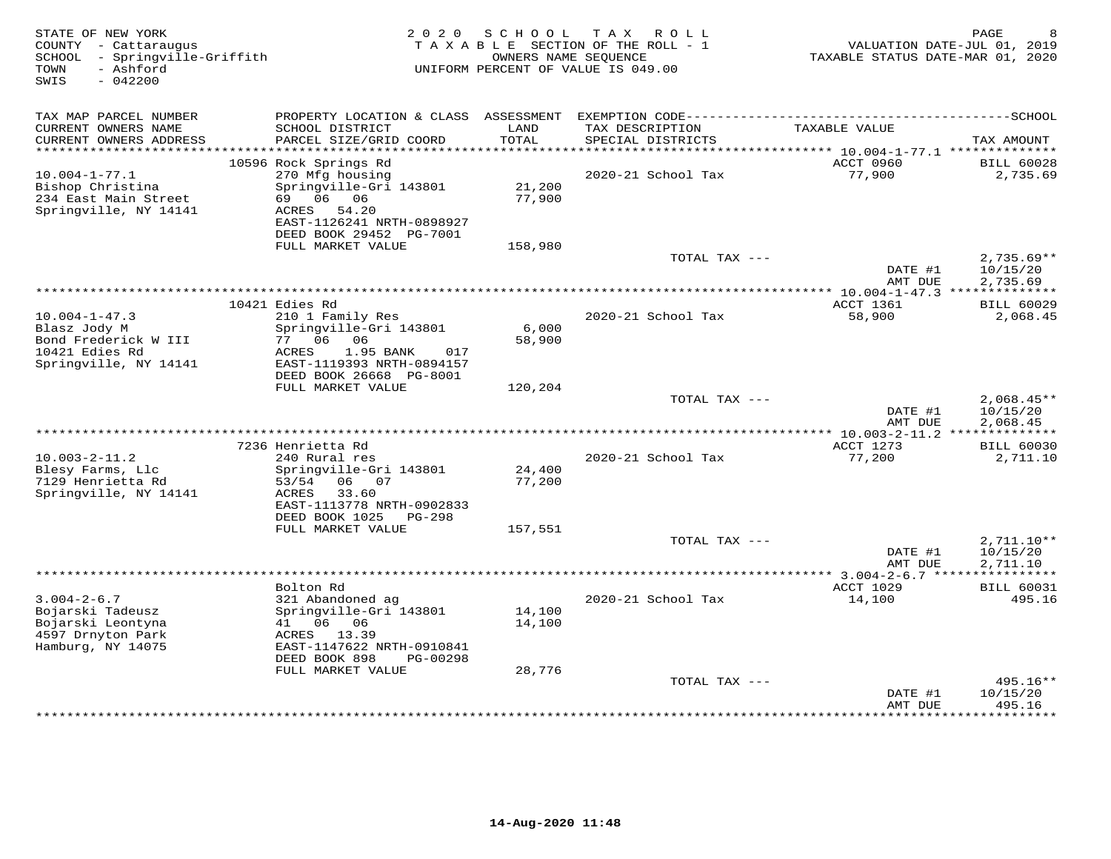| STATE OF NEW YORK<br>COUNTY - Cattaraugus<br>SCHOOL - Springville-Griffith<br>- Ashford<br>TOWN<br>SWIS<br>$-042200$ | 2 0 2 0                                                                                                          | S C H O O L      | TAX ROLL<br>TAXABLE SECTION OF THE ROLL - 1<br>OWNERS NAME SEQUENCE<br>UNIFORM PERCENT OF VALUE IS 049.00 | VALUATION DATE-JUL 01, 2019<br>TAXABLE STATUS DATE-MAR 01, 2020 | PAGE                                 |
|----------------------------------------------------------------------------------------------------------------------|------------------------------------------------------------------------------------------------------------------|------------------|-----------------------------------------------------------------------------------------------------------|-----------------------------------------------------------------|--------------------------------------|
| TAX MAP PARCEL NUMBER                                                                                                | PROPERTY LOCATION & CLASS ASSESSMENT                                                                             |                  |                                                                                                           |                                                                 |                                      |
| CURRENT OWNERS NAME<br>CURRENT OWNERS ADDRESS                                                                        | SCHOOL DISTRICT<br>PARCEL SIZE/GRID COORD                                                                        | LAND<br>TOTAL    | TAX DESCRIPTION<br>SPECIAL DISTRICTS                                                                      | TAXABLE VALUE                                                   | TAX AMOUNT                           |
| ************************                                                                                             |                                                                                                                  |                  |                                                                                                           | ACCT 0960                                                       |                                      |
| $10.004 - 1 - 77.1$                                                                                                  | 10596 Rock Springs Rd<br>270 Mfg housing                                                                         |                  | 2020-21 School Tax                                                                                        | 77,900                                                          | <b>BILL 60028</b><br>2,735.69        |
| Bishop Christina<br>234 East Main Street<br>Springville, NY 14141                                                    | Springville-Gri 143801<br>69 06 06<br>ACRES 54.20<br>EAST-1126241 NRTH-0898927<br>DEED BOOK 29452 PG-7001        | 21,200<br>77,900 |                                                                                                           |                                                                 |                                      |
|                                                                                                                      | FULL MARKET VALUE                                                                                                | 158,980          |                                                                                                           |                                                                 |                                      |
|                                                                                                                      |                                                                                                                  |                  | TOTAL TAX ---                                                                                             | DATE #1<br>AMT DUE                                              | $2,735.69**$<br>10/15/20<br>2,735.69 |
|                                                                                                                      |                                                                                                                  |                  |                                                                                                           |                                                                 |                                      |
|                                                                                                                      | 10421 Edies Rd                                                                                                   |                  |                                                                                                           | ACCT 1361                                                       | <b>BILL 60029</b>                    |
| $10.004 - 1 - 47.3$<br>Blasz Jody M<br>Bond Frederick W III<br>10421 Edies Rd<br>Springville, NY 14141               | 210 1 Family Res<br>Springville-Gri 143801<br>77 06 06<br>ACRES<br>1.95 BANK<br>017<br>EAST-1119393 NRTH-0894157 | 6,000<br>58,900  | 2020-21 School Tax                                                                                        | 58,900                                                          | 2,068.45                             |
|                                                                                                                      | DEED BOOK 26668 PG-8001<br>FULL MARKET VALUE                                                                     | 120,204          |                                                                                                           |                                                                 |                                      |
|                                                                                                                      |                                                                                                                  |                  | TOTAL TAX ---                                                                                             | DATE #1<br>AMT DUE                                              | $2,068.45**$<br>10/15/20<br>2,068.45 |
|                                                                                                                      |                                                                                                                  |                  | ********************************                                                                          | *** 10.003-2-11.2 **************                                |                                      |
|                                                                                                                      | 7236 Henrietta Rd                                                                                                |                  |                                                                                                           | ACCT 1273                                                       | <b>BILL 60030</b>                    |
| $10.003 - 2 - 11.2$<br>Blesy Farms, Llc<br>7129 Henrietta Rd                                                         | 240 Rural res<br>Springville-Gri 143801<br>06 07<br>53/54                                                        | 24,400<br>77,200 | 2020-21 School Tax                                                                                        | 77,200                                                          | 2,711.10                             |
| Springville, NY 14141                                                                                                | 33.60<br>ACRES<br>EAST-1113778 NRTH-0902833<br>DEED BOOK 1025<br>PG-298                                          |                  |                                                                                                           |                                                                 |                                      |
|                                                                                                                      | FULL MARKET VALUE                                                                                                | 157,551          |                                                                                                           |                                                                 |                                      |
|                                                                                                                      |                                                                                                                  |                  | TOTAL TAX ---                                                                                             | DATE #1<br>AMT DUE                                              | $2,711.10**$<br>10/15/20<br>2,711.10 |
|                                                                                                                      |                                                                                                                  |                  |                                                                                                           |                                                                 |                                      |
|                                                                                                                      | Bolton Rd                                                                                                        |                  |                                                                                                           | ACCT 1029                                                       | <b>BILL 60031</b>                    |
| $3.004 - 2 - 6.7$<br>Bojarski Tadeusz<br>Bojarski Leontyna                                                           | 321 Abandoned ag<br>Springville-Gri 143801<br>41 06 06                                                           | 14,100<br>14,100 | 2020-21 School Tax                                                                                        | 14,100                                                          | 495.16                               |
| 4597 Drnyton Park<br>Hamburg, NY 14075                                                                               | ACRES 13.39<br>EAST-1147622 NRTH-0910841<br>DEED BOOK 898<br>PG-00298                                            |                  |                                                                                                           |                                                                 |                                      |
|                                                                                                                      | FULL MARKET VALUE                                                                                                | 28,776           | TOTAL TAX ---                                                                                             |                                                                 | $495.16**$                           |
|                                                                                                                      |                                                                                                                  |                  |                                                                                                           | DATE #1<br>AMT DUE                                              | 10/15/20<br>495.16                   |
|                                                                                                                      |                                                                                                                  |                  |                                                                                                           |                                                                 | * * * * * * * *                      |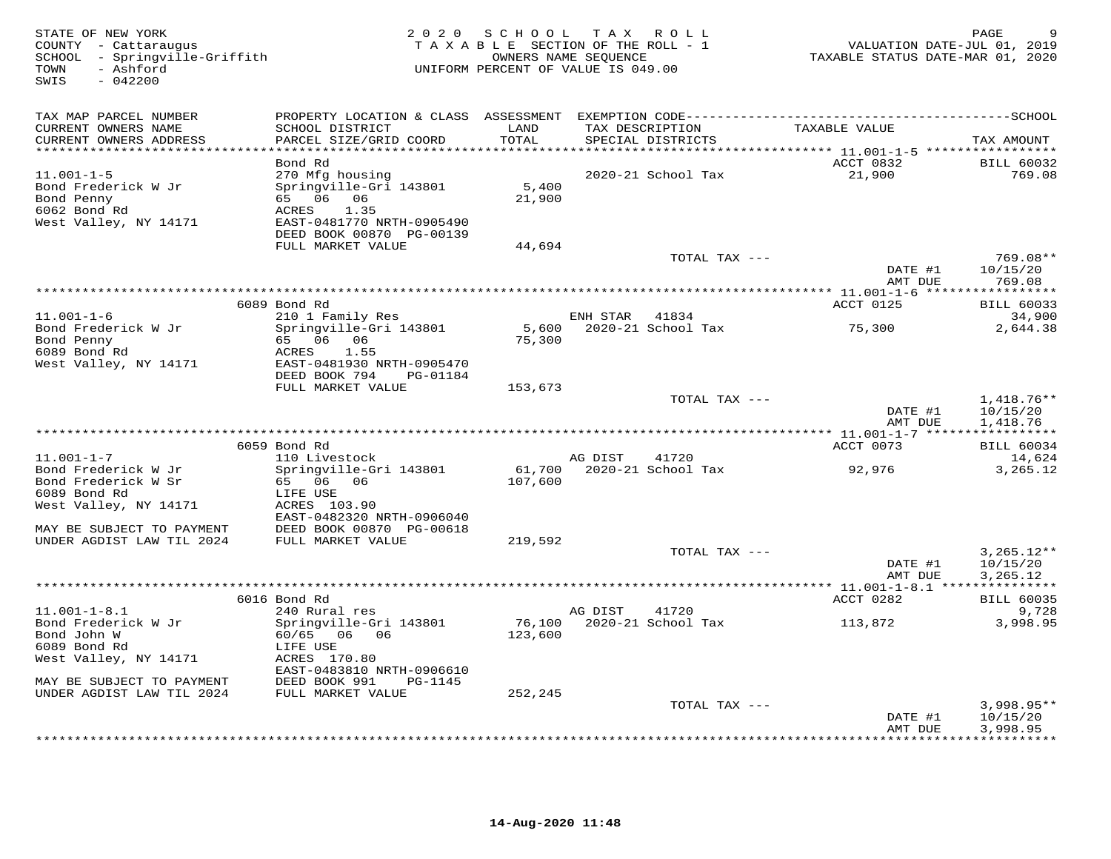| STATE OF NEW YORK<br>COUNTY - Cattaraugus<br>SCHOOL - Springville-Griffith<br>TOWN<br>- Ashford<br>SWIS<br>$-042200$     |                                                                                                                                                                    |                           | 2020 SCHOOL TAX ROLL<br>TAXABLE SECTION OF THE ROLL - 1<br>OWNERS NAME SEQUENCE<br>UNIFORM PERCENT OF VALUE IS 049.00 | VALUATION DATE-JUL 01, 2019<br>TAXABLE STATUS DATE-MAR 01, 2020 | PAGE                                 |
|--------------------------------------------------------------------------------------------------------------------------|--------------------------------------------------------------------------------------------------------------------------------------------------------------------|---------------------------|-----------------------------------------------------------------------------------------------------------------------|-----------------------------------------------------------------|--------------------------------------|
| TAX MAP PARCEL NUMBER<br>CURRENT OWNERS NAME<br>CURRENT OWNERS ADDRESS                                                   | SCHOOL DISTRICT<br>PARCEL SIZE/GRID COORD                                                                                                                          | LAND<br>TOTAL             | TAX DESCRIPTION<br>SPECIAL DISTRICTS                                                                                  | TAXABLE VALUE                                                   | TAX AMOUNT                           |
| **********************<br>$11.001 - 1 - 5$<br>Bond Frederick W Jr<br>Bond Penny<br>6062 Bond Rd<br>West Valley, NY 14171 | Bond Rd<br>270 Mfg housing<br>Springville-Gri 143801<br>65 06 06 07<br>ACRES<br>1.35<br>EAST-0481770 NRTH-0905490<br>DEED BOOK 00870 PG-00139<br>FULL MARKET VALUE | 5,400<br>21,900<br>44,694 | 2020-21 School Tax                                                                                                    | ACCT 0832<br>21,900                                             | <b>BILL 60032</b><br>769.08          |
|                                                                                                                          |                                                                                                                                                                    |                           | TOTAL TAX ---                                                                                                         | DATE #1<br>AMT DUE                                              | 769.08**<br>10/15/20<br>769.08       |
|                                                                                                                          | 6089 Bond Rd                                                                                                                                                       |                           |                                                                                                                       | ACCT 0125                                                       | <b>BILL 60033</b>                    |
| $11.001 - 1 - 6$<br>Bond Frederick W Jr<br>Bond Penny<br>6089 Bond Rd<br>West Valley, NY 14171                           | 210 1 Family Res<br>Springville-Gri 143801<br>65 06 06 07<br>ACRES 1.55<br>EAST-0481930 NRTH-0905470                                                               | 75,300                    | ENH STAR 41834<br>5,600 2020-21 School Tax                                                                            | 75,300                                                          | 34,900<br>2,644.38                   |
|                                                                                                                          | DEED BOOK 794 PG-01184<br>FULL MARKET VALUE                                                                                                                        | 153,673                   | TOTAL TAX ---                                                                                                         | DATE #1<br>AMT DUE                                              | $1,418.76**$<br>10/15/20<br>1,418.76 |
|                                                                                                                          | 6059 Bond Rd                                                                                                                                                       |                           |                                                                                                                       | ACCT 0073                                                       | <b>BILL 60034</b>                    |
| $11.001 - 1 - 7$<br>Bond Frederick W Jr<br>Bond Frederick W Sr<br>6089 Bond Rd<br>West Valley, NY 14171                  | 110 Livestock<br>Springville-Gri 143801<br>65 06 06<br>LIFE USE<br>ACRES 103.90                                                                                    | 107,600                   | 41720<br>AG DIST<br>61,700 2020-21 School Tax                                                                         | 92,976                                                          | 14,624<br>3,265.12                   |
| MAY BE SUBJECT TO PAYMENT<br>UNDER AGDIST LAW TIL 2024                                                                   | EAST-0482320 NRTH-0906040<br>DEED BOOK 00870 PG-00618<br>FULL MARKET VALUE                                                                                         | 219,592                   |                                                                                                                       |                                                                 |                                      |
|                                                                                                                          |                                                                                                                                                                    |                           | TOTAL TAX ---                                                                                                         | DATE #1<br>AMT DUE                                              | $3,265.12**$<br>10/15/20<br>3,265.12 |
|                                                                                                                          | 6016 Bond Rd                                                                                                                                                       |                           |                                                                                                                       | ACCT 0282                                                       | <b>BILL 60035</b>                    |
| $11.001 - 1 - 8.1$<br>Bond Frederick W Jr<br>Bond John W<br>6089 Bond Rd<br>West Valley, NY 14171                        | 240 Rural res<br>Springville-Gri 143801<br>60/65 06 06<br>LIFE USE<br>ACRES 170.80<br>EAST-0483810 NRTH-0906610                                                    | 123,600                   | 41720<br>AG DIST<br>76,100 2020-21 School Tax                                                                         | 113,872                                                         | 9,728<br>3,998.95                    |
| MAY BE SUBJECT TO PAYMENT<br>UNDER AGDIST LAW TIL 2024                                                                   | DEED BOOK 991<br>PG-1145<br>FULL MARKET VALUE                                                                                                                      | 252,245                   |                                                                                                                       |                                                                 |                                      |
|                                                                                                                          |                                                                                                                                                                    |                           | TOTAL TAX ---                                                                                                         | DATE #1<br>AMT DUE                                              | $3,998.95**$<br>10/15/20<br>3,998.95 |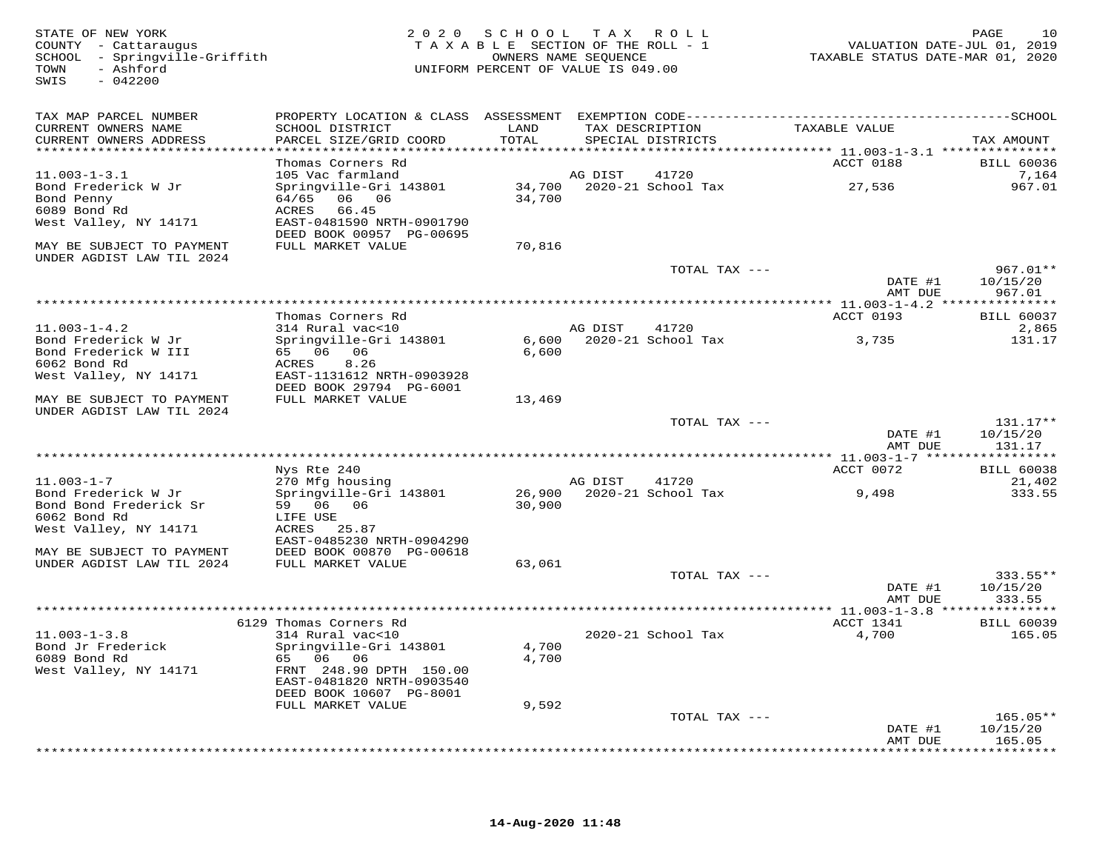| STATE OF NEW YORK<br>COUNTY - Cattaraugus<br>SCHOOL - Springville-Griffith<br>- Ashford<br>TOWN<br>SWIS<br>$-042200$ |                                                                                     |        | 2020 SCHOOL TAX ROLL<br>TAXABLE SECTION OF THE ROLL - 1<br>OWNERS NAME SEQUENCE<br>UNIFORM PERCENT OF VALUE IS 049.00 | VALUATION DATE-JUL 01, 2019<br>TAXABLE STATUS DATE-MAR 01, 2020 | 10<br>PAGE             |
|----------------------------------------------------------------------------------------------------------------------|-------------------------------------------------------------------------------------|--------|-----------------------------------------------------------------------------------------------------------------------|-----------------------------------------------------------------|------------------------|
| TAX MAP PARCEL NUMBER<br>CURRENT OWNERS NAME                                                                         | SCHOOL DISTRICT                                                                     | LAND   | TAX DESCRIPTION                                                                                                       | TAXABLE VALUE                                                   |                        |
| CURRENT OWNERS ADDRESS<br>******************************                                                             | PARCEL SIZE/GRID COORD                                                              | TOTAL  | SPECIAL DISTRICTS                                                                                                     |                                                                 | TAX AMOUNT             |
|                                                                                                                      | Thomas Corners Rd                                                                   |        |                                                                                                                       | <b>ACCT 0188</b>                                                | <b>BILL 60036</b>      |
| $11.003 - 1 - 3.1$<br>Bond Frederick W Jr                                                                            | 105 Vac farmland<br>Springville-Gri 143801                                          |        | AG DIST<br>41720<br>34,700 2020-21 School Tax                                                                         | 27,536                                                          | 7,164<br>967.01        |
| Bond Penny<br>6089 Bond Rd<br>West Valley, NY 14171                                                                  | 64/65 06 06<br>ACRES 66.45<br>EAST-0481590 NRTH-0901790<br>DEED BOOK 00957 PG-00695 | 34,700 |                                                                                                                       |                                                                 |                        |
| MAY BE SUBJECT TO PAYMENT<br>UNDER AGDIST LAW TIL 2024                                                               | FULL MARKET VALUE                                                                   | 70,816 |                                                                                                                       |                                                                 |                        |
|                                                                                                                      |                                                                                     |        | TOTAL TAX ---                                                                                                         | DATE #1                                                         | 967.01**<br>10/15/20   |
|                                                                                                                      |                                                                                     |        |                                                                                                                       | AMT DUE                                                         | 967.01                 |
|                                                                                                                      | Thomas Corners Rd                                                                   |        |                                                                                                                       | ACCT 0193                                                       | <b>BILL 60037</b>      |
| $11.003 - 1 - 4.2$<br>Bond Frederick W Jr<br>Bond Frederick W III                                                    | 314 Rural vac<10<br>Springville-Gri 143801<br>65 06 06                              | 6,600  | AG DIST<br>41720<br>6,600 2020-21 School Tax                                                                          | 3,735                                                           | 2,865<br>131.17        |
| 6062 Bond Rd<br>West Valley, NY 14171                                                                                | ACRES 8.26<br>EAST-1131612 NRTH-0903928                                             |        |                                                                                                                       |                                                                 |                        |
| MAY BE SUBJECT TO PAYMENT<br>UNDER AGDIST LAW TIL 2024                                                               | DEED BOOK 29794 PG-6001<br>FULL MARKET VALUE                                        | 13,469 |                                                                                                                       |                                                                 |                        |
|                                                                                                                      |                                                                                     |        | TOTAL TAX ---                                                                                                         | DATE #1                                                         | $131.17**$<br>10/15/20 |
|                                                                                                                      |                                                                                     |        |                                                                                                                       | AMT DUE                                                         | 131.17                 |
|                                                                                                                      | Nys Rte 240                                                                         |        |                                                                                                                       | ACCT 0072                                                       | <b>BILL 60038</b>      |
| $11.003 - 1 - 7$<br>Bond Frederick W Jr<br>Bond Bond Frederick Sr                                                    | 270 Mfg housing<br>Springville-Gri 143801<br>59 06 06                               | 30,900 | AG DIST 41720<br>26,900 2020-21 School Tax                                                                            | 9,498                                                           | 21,402<br>333.55       |
| 6062 Bond Rd<br>West Valley, NY 14171                                                                                | LIFE USE<br>ACRES 25.87<br>EAST-0485230 NRTH-0904290                                |        |                                                                                                                       |                                                                 |                        |
| MAY BE SUBJECT TO PAYMENT<br>UNDER AGDIST LAW TIL 2024                                                               | DEED BOOK 00870 PG-00618<br>FULL MARKET VALUE                                       | 63,061 |                                                                                                                       |                                                                 |                        |
|                                                                                                                      |                                                                                     |        | TOTAL TAX ---                                                                                                         |                                                                 | 333.55**               |
|                                                                                                                      |                                                                                     |        |                                                                                                                       | DATE #1<br>AMT DUE                                              | 10/15/20<br>333.55     |
|                                                                                                                      | 6129 Thomas Corners Rd                                                              |        |                                                                                                                       | ACCT 1341                                                       | <b>BILL 60039</b>      |
| $11.003 - 1 - 3.8$<br>Bond Jr Frederick                                                                              | 314 Rural vac<10<br>Springville-Gri 143801                                          | 4,700  | 2020-21 School Tax                                                                                                    | 4,700                                                           | 165.05                 |
| 6089 Bond Rd<br>West Valley, NY 14171                                                                                | 65 06 06<br>FRNT 248.90 DPTH 150.00<br>EAST-0481820 NRTH-0903540                    | 4,700  |                                                                                                                       |                                                                 |                        |
|                                                                                                                      | DEED BOOK 10607 PG-8001<br>FULL MARKET VALUE                                        | 9,592  |                                                                                                                       |                                                                 |                        |
|                                                                                                                      |                                                                                     |        | TOTAL TAX ---                                                                                                         |                                                                 | $165.05**$             |
|                                                                                                                      |                                                                                     |        |                                                                                                                       | DATE #1<br>AMT DUE                                              | 10/15/20<br>165.05     |

\*\*\*\*\*\*\*\*\*\*\*\*\*\*\*\*\*\*\*\*\*\*\*\*\*\*\*\*\*\*\*\*\*\*\*\*\*\*\*\*\*\*\*\*\*\*\*\*\*\*\*\*\*\*\*\*\*\*\*\*\*\*\*\*\*\*\*\*\*\*\*\*\*\*\*\*\*\*\*\*\*\*\*\*\*\*\*\*\*\*\*\*\*\*\*\*\*\*\*\*\*\*\*\*\*\*\*\*\*\*\*\*\*\*\*\*\*\*\*\*\*\*\*\*\*\*\*\*\*\*\*\*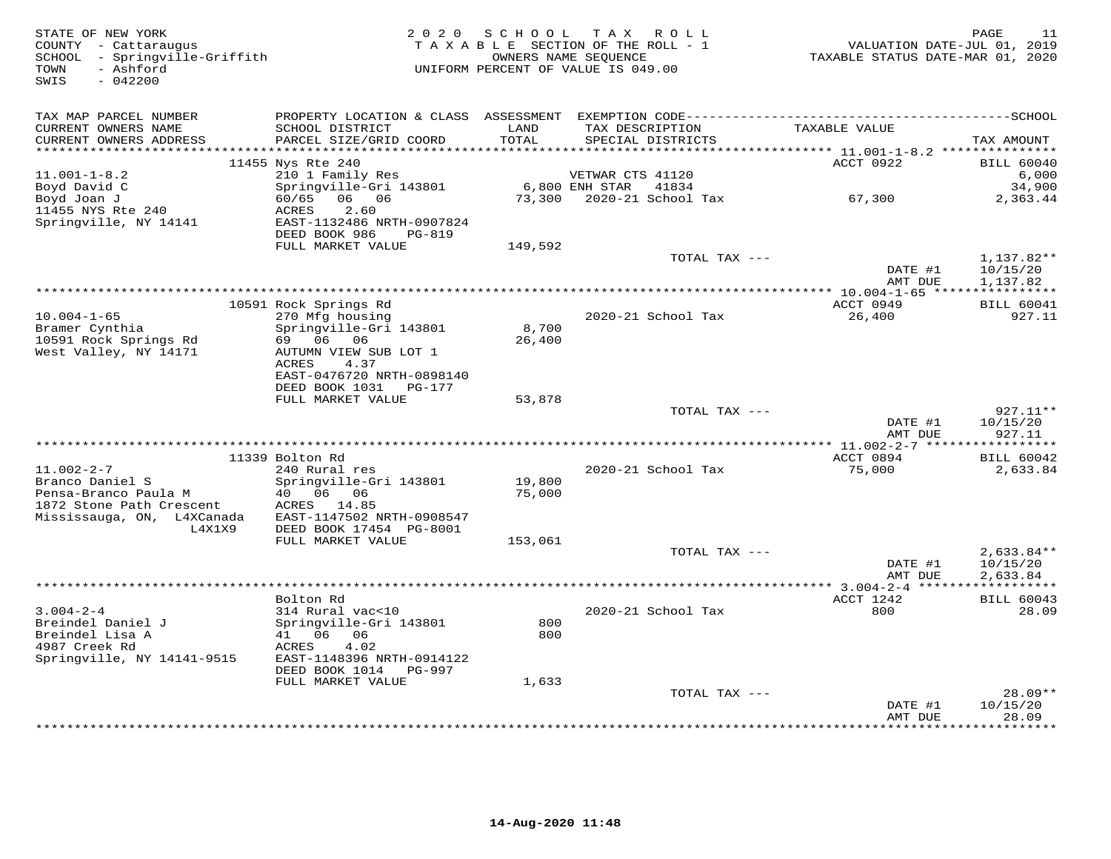| STATE OF NEW YORK<br>COUNTY - Cattaraugus<br>SCHOOL - Springville-Griffith<br>- Ashford<br>TOWN<br>SWIS<br>$-042200$            | 2 0 2 0                                                                                                                                         | SCHOOL           | TAX ROLL<br>TAXABLE SECTION OF THE ROLL - 1<br>OWNERS NAME SEQUENCE<br>UNIFORM PERCENT OF VALUE IS 049.00 | VALUATION DATE-JUL 01, 2019<br>TAXABLE STATUS DATE-MAR 01, 2020 | 11<br>PAGE                           |
|---------------------------------------------------------------------------------------------------------------------------------|-------------------------------------------------------------------------------------------------------------------------------------------------|------------------|-----------------------------------------------------------------------------------------------------------|-----------------------------------------------------------------|--------------------------------------|
| TAX MAP PARCEL NUMBER<br>CURRENT OWNERS NAME<br>CURRENT OWNERS ADDRESS                                                          | SCHOOL DISTRICT<br>PARCEL SIZE/GRID COORD                                                                                                       | LAND<br>TOTAL    | TAX DESCRIPTION<br>SPECIAL DISTRICTS                                                                      | TAXABLE VALUE                                                   | TAX AMOUNT                           |
|                                                                                                                                 | 11455 Nys Rte 240                                                                                                                               |                  |                                                                                                           | ACCT 0922                                                       | <b>BILL 60040</b>                    |
| $11.001 - 1 - 8.2$<br>Boyd David C<br>Boyd Joan J<br>11455 NYS Rte 240                                                          | 210 1 Family Res<br>Springville-Gri 143801<br>60/65<br>06 06<br><b>ACRES</b><br>2.60                                                            | 73,300           | VETWAR CTS 41120<br>6,800 ENH STAR<br>41834<br>2020-21 School Tax                                         | 67,300                                                          | 6,000<br>34,900<br>2,363.44          |
| Springville, NY 14141                                                                                                           | EAST-1132486 NRTH-0907824<br>DEED BOOK 986<br>PG-819<br>FULL MARKET VALUE                                                                       | 149,592          |                                                                                                           |                                                                 |                                      |
|                                                                                                                                 |                                                                                                                                                 |                  | TOTAL TAX ---                                                                                             | DATE #1                                                         | $1,137.82**$<br>10/15/20             |
|                                                                                                                                 |                                                                                                                                                 |                  |                                                                                                           | AMT DUE<br>******** 10.004-1-65 *****************               | 1,137.82                             |
| $10.004 - 1 - 65$<br>Bramer Cynthia                                                                                             | 10591 Rock Springs Rd<br>270 Mfg housing<br>Springville-Gri 143801                                                                              | 8,700            | 2020-21 School Tax                                                                                        | ACCT 0949<br>26,400                                             | <b>BILL 60041</b><br>927.11          |
| 10591 Rock Springs Rd<br>West Valley, NY 14171                                                                                  | 69 06 06<br>AUTUMN VIEW SUB LOT 1<br>4.37<br>ACRES<br>EAST-0476720 NRTH-0898140<br>DEED BOOK 1031<br>PG-177                                     | 26,400           |                                                                                                           |                                                                 |                                      |
|                                                                                                                                 | FULL MARKET VALUE                                                                                                                               | 53,878           |                                                                                                           |                                                                 |                                      |
|                                                                                                                                 |                                                                                                                                                 |                  | TOTAL TAX ---                                                                                             | DATE #1<br>AMT DUE                                              | 927.11**<br>10/15/20<br>927.11       |
|                                                                                                                                 |                                                                                                                                                 |                  |                                                                                                           |                                                                 | * * * * * * * * * * *                |
| $11.002 - 2 - 7$<br>Branco Daniel S<br>Pensa-Branco Paula M<br>1872 Stone Path Crescent<br>Mississauga, ON, L4XCanada<br>L4X1X9 | 11339 Bolton Rd<br>240 Rural res<br>Springville-Gri 143801<br>40  06  06<br>ACRES 14.85<br>EAST-1147502 NRTH-0908547<br>DEED BOOK 17454 PG-8001 | 19,800<br>75,000 | 2020-21 School Tax                                                                                        | ACCT 0894<br>75,000                                             | <b>BILL 60042</b><br>2,633.84        |
|                                                                                                                                 | FULL MARKET VALUE                                                                                                                               | 153,061          |                                                                                                           |                                                                 |                                      |
|                                                                                                                                 |                                                                                                                                                 |                  | TOTAL TAX ---                                                                                             | DATE #1<br>AMT DUE                                              | $2,633.84**$<br>10/15/20<br>2,633.84 |
|                                                                                                                                 |                                                                                                                                                 |                  |                                                                                                           | *** 3.004-2-4 ***                                               |                                      |
| $3.004 - 2 - 4$<br>Breindel Daniel J<br>Breindel Lisa A<br>4987 Creek Rd                                                        | Bolton Rd<br>314 Rural vac<10<br>Springville-Gri 143801<br>41 06 06<br>4.02<br>ACRES                                                            | 800<br>800       | 2020-21 School Tax                                                                                        | ACCT 1242<br>800                                                | <b>BILL 60043</b><br>28.09           |
| Springville, NY 14141-9515                                                                                                      | EAST-1148396 NRTH-0914122<br>DEED BOOK 1014 PG-997<br>FULL MARKET VALUE                                                                         |                  |                                                                                                           |                                                                 |                                      |
|                                                                                                                                 |                                                                                                                                                 | 1,633            | TOTAL TAX ---                                                                                             | DATE #1                                                         | $28.09**$<br>10/15/20                |
|                                                                                                                                 |                                                                                                                                                 |                  |                                                                                                           | AMT DUE<br>*********                                            | 28.09<br>* * * * * * * *             |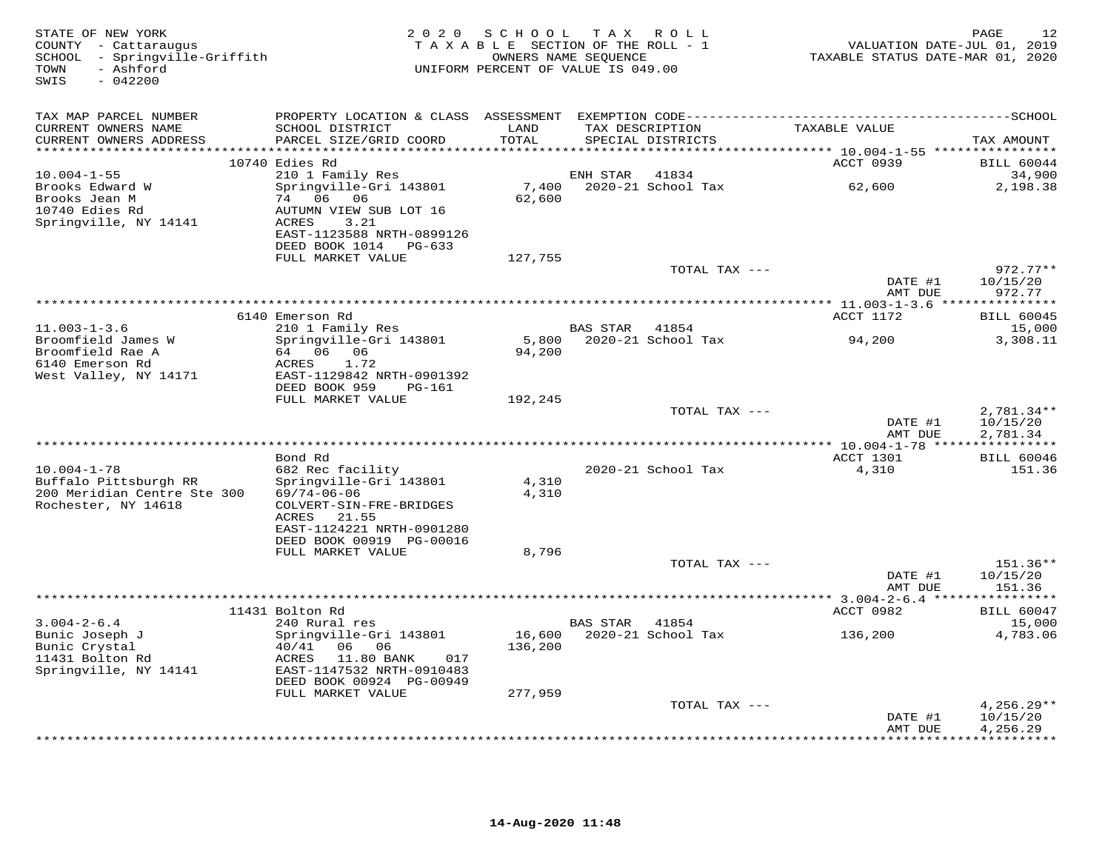| STATE OF NEW YORK<br>COUNTY - Cattaraugus<br>SCHOOL - Springville-Griffith<br>TOWN<br>- Ashford<br>SWIS<br>$-042200$ |                                                                                                  | 2020 SCHOOL TAX ROLL<br>TAXABLE SECTION OF THE ROLL - 1<br>UNIFORM PERCENT OF VALUE IS 049.00 | OWNERS NAME SEQUENCE |                                   | VALUATION DATE-JUL 01, 2019<br>TAXABLE STATUS DATE-MAR 01, 2020 | 12<br>PAGE                         |
|----------------------------------------------------------------------------------------------------------------------|--------------------------------------------------------------------------------------------------|-----------------------------------------------------------------------------------------------|----------------------|-----------------------------------|-----------------------------------------------------------------|------------------------------------|
| TAX MAP PARCEL NUMBER                                                                                                |                                                                                                  |                                                                                               |                      |                                   |                                                                 |                                    |
| CURRENT OWNERS NAME<br>CURRENT OWNERS ADDRESS                                                                        | SCHOOL DISTRICT<br>PARCEL SIZE/GRID COORD                                                        | LAND<br>TOTAL                                                                                 | TAX DESCRIPTION      | SPECIAL DISTRICTS                 | TAXABLE VALUE                                                   | TAX AMOUNT                         |
|                                                                                                                      | 10740 Edies Rd                                                                                   |                                                                                               |                      |                                   | ACCT 0939                                                       | <b>BILL 60044</b>                  |
| $10.004 - 1 - 55$<br>Brooks Edward W<br>Brooks Jean M                                                                | 210 1 Family Res<br>Springville-Gri 143801<br>74 06 06                                           | 7,400<br>62,600                                                                               | ENH STAR             | 41834<br>2020-21 School Tax       | 62,600                                                          | 34,900<br>2,198.38                 |
| 10740 Edies Rd<br>Springville, NY 14141                                                                              | AUTUMN VIEW SUB LOT 16<br>ACRES<br>3.21<br>EAST-1123588 NRTH-0899126                             |                                                                                               |                      |                                   |                                                                 |                                    |
|                                                                                                                      | DEED BOOK 1014 PG-633<br>FULL MARKET VALUE                                                       | 127,755                                                                                       |                      |                                   |                                                                 |                                    |
|                                                                                                                      |                                                                                                  |                                                                                               |                      | TOTAL TAX ---                     | DATE #1                                                         | $972.77**$<br>10/15/20             |
|                                                                                                                      |                                                                                                  |                                                                                               |                      |                                   | AMT DUE                                                         | 972.77                             |
|                                                                                                                      | 6140 Emerson Rd                                                                                  |                                                                                               |                      |                                   | ACCT 1172                                                       | <b>BILL 60045</b>                  |
| $11.003 - 1 - 3.6$<br>Broomfield James W<br>Broomfield Rae A                                                         | 210 1 Family Res<br>Springville-Gri 143801<br>64 06 06                                           | 94,200                                                                                        | <b>BAS STAR</b>      | 41854<br>5,800 2020-21 School Tax | 94,200                                                          | 15,000<br>3,308.11                 |
| 6140 Emerson Rd<br>West Valley, NY 14171                                                                             | ACRES<br>1.72<br>EAST-1129842 NRTH-0901392<br>DEED BOOK 959<br>PG-161                            |                                                                                               |                      |                                   |                                                                 |                                    |
|                                                                                                                      | FULL MARKET VALUE                                                                                | 192,245                                                                                       |                      |                                   |                                                                 |                                    |
|                                                                                                                      |                                                                                                  |                                                                                               |                      | TOTAL TAX ---                     | DATE #1<br>AMT DUE                                              | 2,781.34**<br>10/15/20<br>2,781.34 |
| ****************************                                                                                         |                                                                                                  |                                                                                               |                      |                                   |                                                                 |                                    |
| $10.004 - 1 - 78$                                                                                                    | Bond Rd<br>682 Rec facility                                                                      |                                                                                               |                      | 2020-21 School Tax                | ACCT 1301<br>4,310                                              | <b>BILL 60046</b><br>151.36        |
| Buffalo Pittsburgh RR<br>200 Meridian Centre Ste 300<br>Rochester, NY 14618                                          | Springville-Gri 143801<br>$69/74 - 06 - 06$<br>COLVERT-SIN-FRE-BRIDGES                           | 4,310<br>4,310                                                                                |                      |                                   |                                                                 |                                    |
|                                                                                                                      | ACRES<br>21.55<br>EAST-1124221 NRTH-0901280<br>DEED BOOK 00919 PG-00016                          |                                                                                               |                      |                                   |                                                                 |                                    |
|                                                                                                                      | FULL MARKET VALUE                                                                                | 8,796                                                                                         |                      |                                   |                                                                 |                                    |
|                                                                                                                      |                                                                                                  |                                                                                               |                      | TOTAL TAX ---                     | DATE #1<br>AMT DUE                                              | $151.36**$<br>10/15/20<br>151.36   |
|                                                                                                                      |                                                                                                  |                                                                                               |                      |                                   |                                                                 |                                    |
| $3.004 - 2 - 6.4$                                                                                                    | 11431 Bolton Rd<br>240 Rural res                                                                 |                                                                                               | <b>BAS STAR</b>      | 41854                             | ACCT 0982                                                       | <b>BILL 60047</b><br>15,000        |
| Bunic Joseph J<br>Bunic Crystal<br>11431 Bolton Rd<br>Springville, NY 14141                                          | Springville-Gri 143801<br>40/41 06 06<br>ACRES<br>11.80 BANK<br>017<br>EAST-1147532 NRTH-0910483 | 16,600<br>136,200                                                                             |                      | 2020-21 School Tax                | 136,200                                                         | 4,783.06                           |
|                                                                                                                      | DEED BOOK 00924 PG-00949<br>FULL MARKET VALUE                                                    |                                                                                               |                      |                                   |                                                                 |                                    |
|                                                                                                                      |                                                                                                  | 277,959                                                                                       |                      | TOTAL TAX ---                     | DATE #1                                                         | $4,256.29**$<br>10/15/20           |
|                                                                                                                      |                                                                                                  |                                                                                               |                      |                                   | AMT DUE                                                         | 4,256.29<br>* * * * * * * * * *    |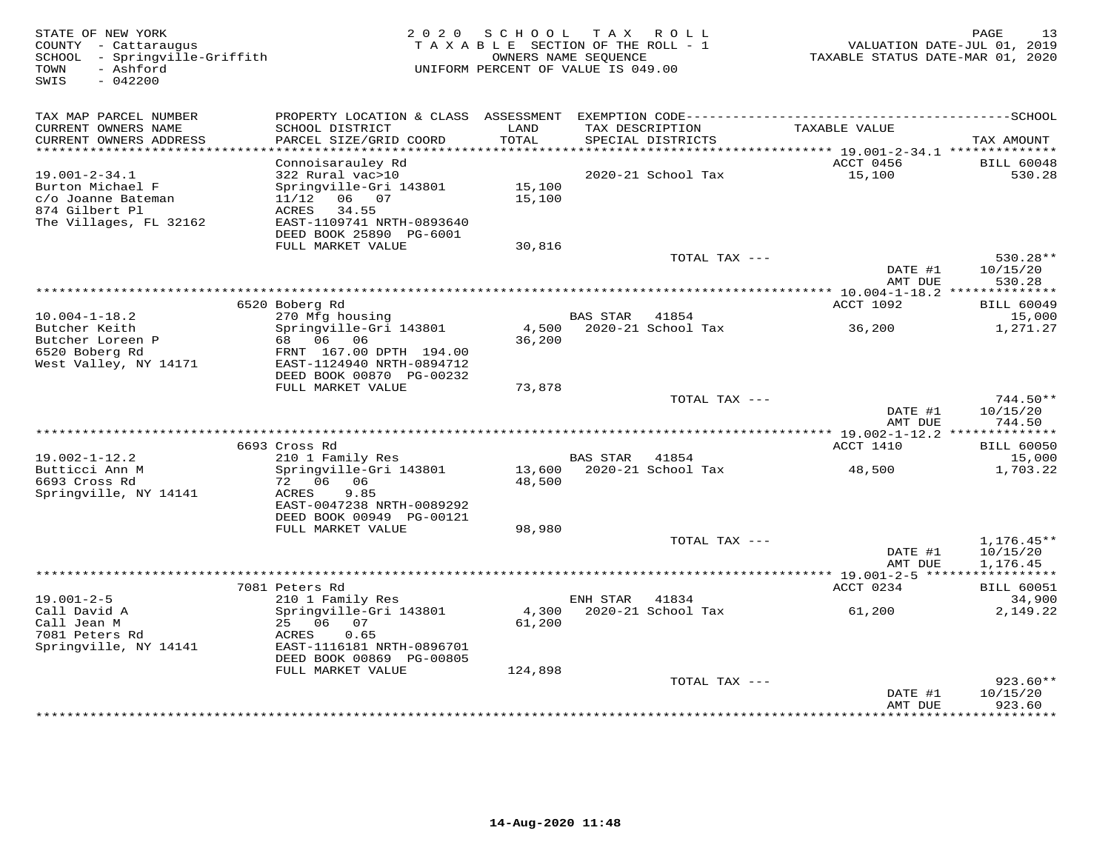| STATE OF NEW YORK<br>COUNTY - Cattaraugus<br>- Springville-Griffith<br>SCHOOL<br>TOWN<br>- Ashford<br>SWIS<br>$-042200$ | 2 0 2 0                                    | SCHOOL<br>TAXABLE SECTION OF THE ROLL - 1<br>UNIFORM PERCENT OF VALUE IS 049.00 | T A X<br>OWNERS NAME SEQUENCE | R O L L                              | TAXABLE STATUS DATE-MAR 01, 2020 | PAGE<br>13<br>VALUATION DATE-JUL 01, 2019 |
|-------------------------------------------------------------------------------------------------------------------------|--------------------------------------------|---------------------------------------------------------------------------------|-------------------------------|--------------------------------------|----------------------------------|-------------------------------------------|
| TAX MAP PARCEL NUMBER                                                                                                   |                                            |                                                                                 |                               |                                      |                                  |                                           |
| CURRENT OWNERS NAME<br>CURRENT OWNERS ADDRESS                                                                           | SCHOOL DISTRICT<br>PARCEL SIZE/GRID COORD  | LAND<br>TOTAL                                                                   |                               | TAX DESCRIPTION<br>SPECIAL DISTRICTS | TAXABLE VALUE                    | TAX AMOUNT                                |
| *************************                                                                                               |                                            |                                                                                 |                               |                                      |                                  |                                           |
| $19.001 - 2 - 34.1$                                                                                                     | Connoisarauley Rd<br>322 Rural vac>10      |                                                                                 |                               | 2020-21 School Tax                   | ACCT 0456<br>15,100              | <b>BILL 60048</b><br>530.28               |
| Burton Michael F                                                                                                        | Springville-Gri 143801                     | 15,100                                                                          |                               |                                      |                                  |                                           |
| c/o Joanne Bateman                                                                                                      | $11/12$ 06 07                              | 15,100                                                                          |                               |                                      |                                  |                                           |
| 874 Gilbert Pl                                                                                                          | 34.55<br>ACRES                             |                                                                                 |                               |                                      |                                  |                                           |
| The Villages, FL 32162                                                                                                  | EAST-1109741 NRTH-0893640                  |                                                                                 |                               |                                      |                                  |                                           |
|                                                                                                                         | DEED BOOK 25890 PG-6001                    |                                                                                 |                               |                                      |                                  |                                           |
|                                                                                                                         | FULL MARKET VALUE                          | 30,816                                                                          |                               | TOTAL TAX ---                        |                                  | $530.28**$                                |
|                                                                                                                         |                                            |                                                                                 |                               |                                      | DATE #1                          | 10/15/20                                  |
|                                                                                                                         |                                            |                                                                                 |                               |                                      | AMT DUE                          | 530.28                                    |
|                                                                                                                         |                                            |                                                                                 |                               |                                      |                                  |                                           |
|                                                                                                                         | 6520 Boberg Rd                             |                                                                                 |                               |                                      | <b>ACCT 1092</b>                 | <b>BILL 60049</b>                         |
| $10.004 - 1 - 18.2$                                                                                                     | 270 Mfg housing                            |                                                                                 | <b>BAS STAR</b>               | 41854                                |                                  | 15,000                                    |
| Butcher Keith<br>Butcher Loreen P                                                                                       | Springville-Gri 143801<br>68 06 06         | 4,500<br>36,200                                                                 |                               | 2020-21 School Tax                   | 36,200                           | 1,271.27                                  |
| 6520 Boberg Rd                                                                                                          | FRNT 167.00 DPTH 194.00                    |                                                                                 |                               |                                      |                                  |                                           |
| West Valley, NY 14171                                                                                                   | EAST-1124940 NRTH-0894712                  |                                                                                 |                               |                                      |                                  |                                           |
|                                                                                                                         | DEED BOOK 00870 PG-00232                   |                                                                                 |                               |                                      |                                  |                                           |
|                                                                                                                         | FULL MARKET VALUE                          | 73,878                                                                          |                               |                                      |                                  |                                           |
|                                                                                                                         |                                            |                                                                                 |                               | TOTAL TAX ---                        | DATE #1                          | $744.50**$<br>10/15/20                    |
|                                                                                                                         |                                            |                                                                                 |                               |                                      | AMT DUE                          | 744.50                                    |
|                                                                                                                         |                                            |                                                                                 |                               |                                      | *** 19.002-1-12.2 ************** |                                           |
|                                                                                                                         | 6693 Cross Rd                              |                                                                                 |                               |                                      | ACCT 1410                        | <b>BILL 60050</b>                         |
| $19.002 - 1 - 12.2$                                                                                                     | 210 1 Family Res                           |                                                                                 | BAS STAR 41854                |                                      |                                  | 15,000                                    |
| Butticci Ann M<br>6693 Cross Rd                                                                                         | Springville-Gri 143801<br>72 06 06         | 13,600<br>48,500                                                                |                               | 2020-21 School Tax                   | 48,500                           | 1,703.22                                  |
| Springville, NY 14141                                                                                                   | 9.85<br>ACRES                              |                                                                                 |                               |                                      |                                  |                                           |
|                                                                                                                         | EAST-0047238 NRTH-0089292                  |                                                                                 |                               |                                      |                                  |                                           |
|                                                                                                                         | DEED BOOK 00949 PG-00121                   |                                                                                 |                               |                                      |                                  |                                           |
|                                                                                                                         | FULL MARKET VALUE                          | 98,980                                                                          |                               |                                      |                                  |                                           |
|                                                                                                                         |                                            |                                                                                 |                               | TOTAL TAX ---                        |                                  | $1,176.45**$                              |
|                                                                                                                         |                                            |                                                                                 |                               |                                      | DATE #1<br>AMT DUE               | 10/15/20<br>1,176.45                      |
|                                                                                                                         |                                            |                                                                                 |                               |                                      |                                  | ***********                               |
|                                                                                                                         | 7081 Peters Rd                             |                                                                                 |                               |                                      | ACCT 0234                        | <b>BILL 60051</b>                         |
| $19.001 - 2 - 5$                                                                                                        | 210 1 Family Res                           |                                                                                 | ENH STAR                      | 41834                                |                                  | 34,900                                    |
| Call David A                                                                                                            | Springville-Gri 143801                     | 4,300                                                                           |                               | 2020-21 School Tax                   | 61,200                           | 2,149.22                                  |
| Call Jean M                                                                                                             | 25 06<br>07                                | 61,200                                                                          |                               |                                      |                                  |                                           |
| 7081 Peters Rd<br>Springville, NY 14141                                                                                 | 0.65<br>ACRES<br>EAST-1116181 NRTH-0896701 |                                                                                 |                               |                                      |                                  |                                           |
|                                                                                                                         | DEED BOOK 00869 PG-00805                   |                                                                                 |                               |                                      |                                  |                                           |
|                                                                                                                         | FULL MARKET VALUE                          | 124,898                                                                         |                               |                                      |                                  |                                           |
|                                                                                                                         |                                            |                                                                                 |                               | TOTAL TAX ---                        |                                  | $923.60**$                                |
|                                                                                                                         |                                            |                                                                                 |                               |                                      | DATE #1                          | 10/15/20                                  |
|                                                                                                                         |                                            |                                                                                 |                               |                                      | AMT DUE                          | 923.60<br>********                        |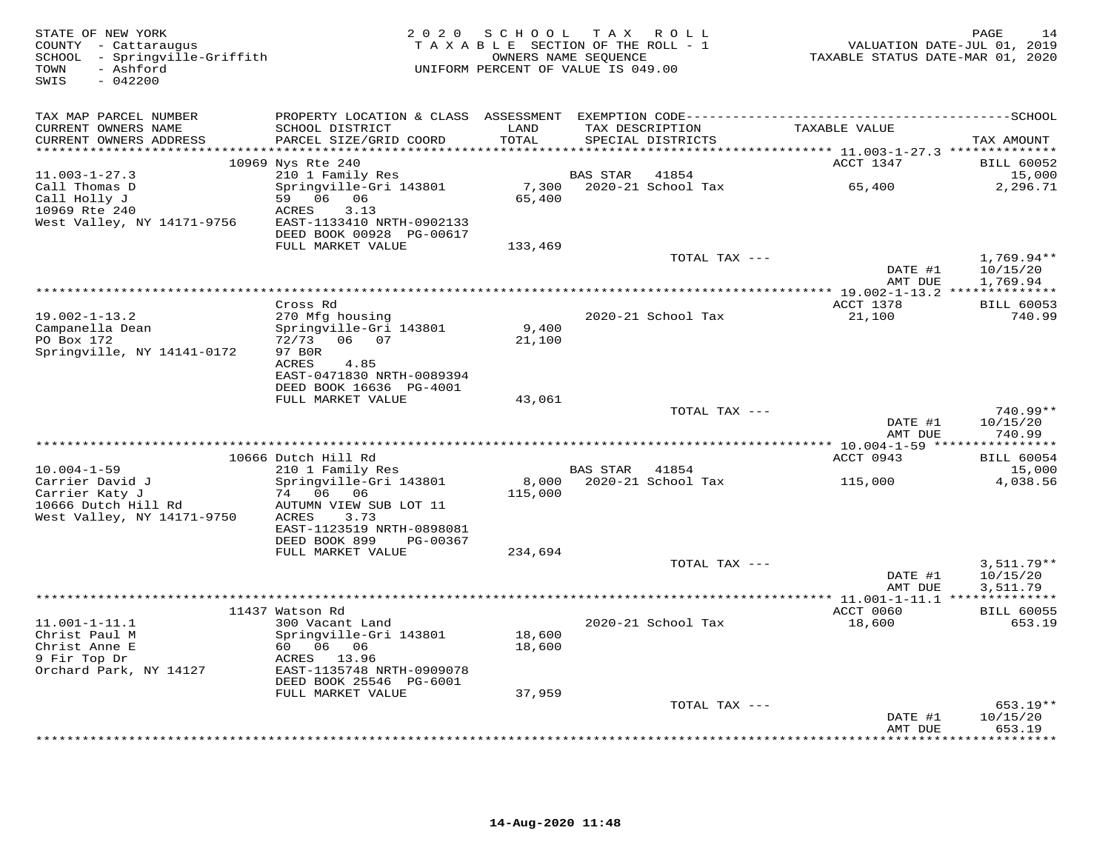| TAX MAP PARCEL NUMBER<br>CURRENT OWNERS NAME<br>SCHOOL DISTRICT<br>LAND<br>TAX DESCRIPTION<br>TAXABLE VALUE<br>TOTAL<br>CURRENT OWNERS ADDRESS<br>PARCEL SIZE/GRID COORD<br>SPECIAL DISTRICTS<br>TAX AMOUNT<br>*******************<br>******<br>******** 11.003-1-27.3 **************<br>10969 Nys Rte 240<br>ACCT 1347<br><b>BILL 60052</b><br>$11.003 - 1 - 27.3$<br>210 1 Family Res<br><b>BAS STAR</b><br>41854<br>15,000<br>Call Thomas D<br>Springville-Gri 143801<br>7,300<br>2020-21 School Tax<br>65,400<br>2,296.71<br>Call Holly J<br>59 06 06<br>65,400<br>10969 Rte 240<br><b>ACRES</b><br>3.13<br>West Valley, NY 14171-9756<br>EAST-1133410 NRTH-0902133<br>DEED BOOK 00928 PG-00617<br>FULL MARKET VALUE<br>133,469<br>TOTAL TAX ---<br>$1,769.94**$<br>DATE #1<br>10/15/20<br>AMT DUE<br>1,769.94<br>*****************************<br>ACCT 1378<br>Cross Rd<br><b>BILL 60053</b><br>$19.002 - 1 - 13.2$<br>270 Mfg housing<br>2020-21 School Tax<br>21,100<br>740.99<br>Campanella Dean<br>Springville-Gri 143801<br>9,400<br>PO Box 172<br>72/73<br>06 07<br>21,100<br>Springville, NY 14141-0172<br>97 BOR<br>ACRES<br>4.85<br>EAST-0471830 NRTH-0089394<br>DEED BOOK 16636 PG-4001<br>FULL MARKET VALUE<br>43,061<br>740.99**<br>TOTAL TAX ---<br>DATE #1<br>10/15/20<br>740.99<br>AMT DUE<br>10666 Dutch Hill Rd<br>ACCT 0943<br><b>BILL 60054</b><br>210 1 Family Res<br>$10.004 - 1 - 59$<br>BAS STAR<br>41854<br>15,000<br>Carrier David J<br>Springville-Gri 143801<br>2020-21 School Tax<br>8,000<br>115,000<br>4,038.56<br>Carrier Katy J<br>74 06 06<br>115,000<br>10666 Dutch Hill Rd<br>AUTUMN VIEW SUB LOT 11<br>West Valley, NY 14171-9750<br>ACRES<br>3.73<br>EAST-1123519 NRTH-0898081<br>DEED BOOK 899<br>PG-00367<br>FULL MARKET VALUE<br>234,694<br>TOTAL TAX ---<br>$3,511.79**$<br>DATE #1<br>10/15/20<br>AMT DUE<br>3,511.79<br>ACCT 0060<br><b>BILL 60055</b><br>11437 Watson Rd<br>$11.001 - 1 - 11.1$<br>2020-21 School Tax<br>18,600<br>653.19<br>300 Vacant Land<br>18,600<br>Christ Paul M<br>Springville-Gri 143801<br>Christ Anne E<br>60 06 06<br>18,600<br>9 Fir Top Dr<br>ACRES 13.96<br>Orchard Park, NY 14127<br>EAST-1135748 NRTH-0909078<br>DEED BOOK 25546 PG-6001<br>FULL MARKET VALUE<br>37,959<br>TOTAL TAX ---<br>$653.19**$<br>10/15/20<br>DATE #1<br>653.19<br>AMT DUE | STATE OF NEW YORK<br>COUNTY - Cattaraugus<br>SCHOOL - Springville-Griffith<br>- Ashford<br>TOWN<br>SWIS<br>$-042200$ | 2 0 2 0 | SCHOOL<br>TAXABLE SECTION OF THE ROLL - 1<br>OWNERS NAME SEQUENCE<br>UNIFORM PERCENT OF VALUE IS 049.00 | TAX ROLL | VALUATION DATE-JUL 01, 2019<br>TAXABLE STATUS DATE-MAR 01, 2020 | PAGE<br>14 |
|--------------------------------------------------------------------------------------------------------------------------------------------------------------------------------------------------------------------------------------------------------------------------------------------------------------------------------------------------------------------------------------------------------------------------------------------------------------------------------------------------------------------------------------------------------------------------------------------------------------------------------------------------------------------------------------------------------------------------------------------------------------------------------------------------------------------------------------------------------------------------------------------------------------------------------------------------------------------------------------------------------------------------------------------------------------------------------------------------------------------------------------------------------------------------------------------------------------------------------------------------------------------------------------------------------------------------------------------------------------------------------------------------------------------------------------------------------------------------------------------------------------------------------------------------------------------------------------------------------------------------------------------------------------------------------------------------------------------------------------------------------------------------------------------------------------------------------------------------------------------------------------------------------------------------------------------------------------------------------------------------------------------------------------------------------------------------------------------------------------------------------------------------------------------------------------------------------------------------------------------------------------------------------------------------------------------------------------|----------------------------------------------------------------------------------------------------------------------|---------|---------------------------------------------------------------------------------------------------------|----------|-----------------------------------------------------------------|------------|
|                                                                                                                                                                                                                                                                                                                                                                                                                                                                                                                                                                                                                                                                                                                                                                                                                                                                                                                                                                                                                                                                                                                                                                                                                                                                                                                                                                                                                                                                                                                                                                                                                                                                                                                                                                                                                                                                                                                                                                                                                                                                                                                                                                                                                                                                                                                                      |                                                                                                                      |         |                                                                                                         |          |                                                                 |            |
|                                                                                                                                                                                                                                                                                                                                                                                                                                                                                                                                                                                                                                                                                                                                                                                                                                                                                                                                                                                                                                                                                                                                                                                                                                                                                                                                                                                                                                                                                                                                                                                                                                                                                                                                                                                                                                                                                                                                                                                                                                                                                                                                                                                                                                                                                                                                      |                                                                                                                      |         |                                                                                                         |          |                                                                 |            |
|                                                                                                                                                                                                                                                                                                                                                                                                                                                                                                                                                                                                                                                                                                                                                                                                                                                                                                                                                                                                                                                                                                                                                                                                                                                                                                                                                                                                                                                                                                                                                                                                                                                                                                                                                                                                                                                                                                                                                                                                                                                                                                                                                                                                                                                                                                                                      |                                                                                                                      |         |                                                                                                         |          |                                                                 |            |
|                                                                                                                                                                                                                                                                                                                                                                                                                                                                                                                                                                                                                                                                                                                                                                                                                                                                                                                                                                                                                                                                                                                                                                                                                                                                                                                                                                                                                                                                                                                                                                                                                                                                                                                                                                                                                                                                                                                                                                                                                                                                                                                                                                                                                                                                                                                                      |                                                                                                                      |         |                                                                                                         |          |                                                                 |            |
|                                                                                                                                                                                                                                                                                                                                                                                                                                                                                                                                                                                                                                                                                                                                                                                                                                                                                                                                                                                                                                                                                                                                                                                                                                                                                                                                                                                                                                                                                                                                                                                                                                                                                                                                                                                                                                                                                                                                                                                                                                                                                                                                                                                                                                                                                                                                      |                                                                                                                      |         |                                                                                                         |          |                                                                 |            |
|                                                                                                                                                                                                                                                                                                                                                                                                                                                                                                                                                                                                                                                                                                                                                                                                                                                                                                                                                                                                                                                                                                                                                                                                                                                                                                                                                                                                                                                                                                                                                                                                                                                                                                                                                                                                                                                                                                                                                                                                                                                                                                                                                                                                                                                                                                                                      |                                                                                                                      |         |                                                                                                         |          |                                                                 |            |
|                                                                                                                                                                                                                                                                                                                                                                                                                                                                                                                                                                                                                                                                                                                                                                                                                                                                                                                                                                                                                                                                                                                                                                                                                                                                                                                                                                                                                                                                                                                                                                                                                                                                                                                                                                                                                                                                                                                                                                                                                                                                                                                                                                                                                                                                                                                                      |                                                                                                                      |         |                                                                                                         |          |                                                                 |            |
|                                                                                                                                                                                                                                                                                                                                                                                                                                                                                                                                                                                                                                                                                                                                                                                                                                                                                                                                                                                                                                                                                                                                                                                                                                                                                                                                                                                                                                                                                                                                                                                                                                                                                                                                                                                                                                                                                                                                                                                                                                                                                                                                                                                                                                                                                                                                      |                                                                                                                      |         |                                                                                                         |          |                                                                 |            |
|                                                                                                                                                                                                                                                                                                                                                                                                                                                                                                                                                                                                                                                                                                                                                                                                                                                                                                                                                                                                                                                                                                                                                                                                                                                                                                                                                                                                                                                                                                                                                                                                                                                                                                                                                                                                                                                                                                                                                                                                                                                                                                                                                                                                                                                                                                                                      |                                                                                                                      |         |                                                                                                         |          |                                                                 |            |
|                                                                                                                                                                                                                                                                                                                                                                                                                                                                                                                                                                                                                                                                                                                                                                                                                                                                                                                                                                                                                                                                                                                                                                                                                                                                                                                                                                                                                                                                                                                                                                                                                                                                                                                                                                                                                                                                                                                                                                                                                                                                                                                                                                                                                                                                                                                                      |                                                                                                                      |         |                                                                                                         |          |                                                                 |            |
|                                                                                                                                                                                                                                                                                                                                                                                                                                                                                                                                                                                                                                                                                                                                                                                                                                                                                                                                                                                                                                                                                                                                                                                                                                                                                                                                                                                                                                                                                                                                                                                                                                                                                                                                                                                                                                                                                                                                                                                                                                                                                                                                                                                                                                                                                                                                      |                                                                                                                      |         |                                                                                                         |          |                                                                 |            |
|                                                                                                                                                                                                                                                                                                                                                                                                                                                                                                                                                                                                                                                                                                                                                                                                                                                                                                                                                                                                                                                                                                                                                                                                                                                                                                                                                                                                                                                                                                                                                                                                                                                                                                                                                                                                                                                                                                                                                                                                                                                                                                                                                                                                                                                                                                                                      |                                                                                                                      |         |                                                                                                         |          |                                                                 |            |
|                                                                                                                                                                                                                                                                                                                                                                                                                                                                                                                                                                                                                                                                                                                                                                                                                                                                                                                                                                                                                                                                                                                                                                                                                                                                                                                                                                                                                                                                                                                                                                                                                                                                                                                                                                                                                                                                                                                                                                                                                                                                                                                                                                                                                                                                                                                                      |                                                                                                                      |         |                                                                                                         |          |                                                                 |            |
|                                                                                                                                                                                                                                                                                                                                                                                                                                                                                                                                                                                                                                                                                                                                                                                                                                                                                                                                                                                                                                                                                                                                                                                                                                                                                                                                                                                                                                                                                                                                                                                                                                                                                                                                                                                                                                                                                                                                                                                                                                                                                                                                                                                                                                                                                                                                      |                                                                                                                      |         |                                                                                                         |          |                                                                 |            |
|                                                                                                                                                                                                                                                                                                                                                                                                                                                                                                                                                                                                                                                                                                                                                                                                                                                                                                                                                                                                                                                                                                                                                                                                                                                                                                                                                                                                                                                                                                                                                                                                                                                                                                                                                                                                                                                                                                                                                                                                                                                                                                                                                                                                                                                                                                                                      |                                                                                                                      |         |                                                                                                         |          |                                                                 |            |
|                                                                                                                                                                                                                                                                                                                                                                                                                                                                                                                                                                                                                                                                                                                                                                                                                                                                                                                                                                                                                                                                                                                                                                                                                                                                                                                                                                                                                                                                                                                                                                                                                                                                                                                                                                                                                                                                                                                                                                                                                                                                                                                                                                                                                                                                                                                                      |                                                                                                                      |         |                                                                                                         |          |                                                                 |            |
|                                                                                                                                                                                                                                                                                                                                                                                                                                                                                                                                                                                                                                                                                                                                                                                                                                                                                                                                                                                                                                                                                                                                                                                                                                                                                                                                                                                                                                                                                                                                                                                                                                                                                                                                                                                                                                                                                                                                                                                                                                                                                                                                                                                                                                                                                                                                      |                                                                                                                      |         |                                                                                                         |          |                                                                 |            |
|                                                                                                                                                                                                                                                                                                                                                                                                                                                                                                                                                                                                                                                                                                                                                                                                                                                                                                                                                                                                                                                                                                                                                                                                                                                                                                                                                                                                                                                                                                                                                                                                                                                                                                                                                                                                                                                                                                                                                                                                                                                                                                                                                                                                                                                                                                                                      |                                                                                                                      |         |                                                                                                         |          |                                                                 |            |
|                                                                                                                                                                                                                                                                                                                                                                                                                                                                                                                                                                                                                                                                                                                                                                                                                                                                                                                                                                                                                                                                                                                                                                                                                                                                                                                                                                                                                                                                                                                                                                                                                                                                                                                                                                                                                                                                                                                                                                                                                                                                                                                                                                                                                                                                                                                                      |                                                                                                                      |         |                                                                                                         |          |                                                                 |            |
|                                                                                                                                                                                                                                                                                                                                                                                                                                                                                                                                                                                                                                                                                                                                                                                                                                                                                                                                                                                                                                                                                                                                                                                                                                                                                                                                                                                                                                                                                                                                                                                                                                                                                                                                                                                                                                                                                                                                                                                                                                                                                                                                                                                                                                                                                                                                      |                                                                                                                      |         |                                                                                                         |          |                                                                 |            |
|                                                                                                                                                                                                                                                                                                                                                                                                                                                                                                                                                                                                                                                                                                                                                                                                                                                                                                                                                                                                                                                                                                                                                                                                                                                                                                                                                                                                                                                                                                                                                                                                                                                                                                                                                                                                                                                                                                                                                                                                                                                                                                                                                                                                                                                                                                                                      |                                                                                                                      |         |                                                                                                         |          |                                                                 |            |
|                                                                                                                                                                                                                                                                                                                                                                                                                                                                                                                                                                                                                                                                                                                                                                                                                                                                                                                                                                                                                                                                                                                                                                                                                                                                                                                                                                                                                                                                                                                                                                                                                                                                                                                                                                                                                                                                                                                                                                                                                                                                                                                                                                                                                                                                                                                                      |                                                                                                                      |         |                                                                                                         |          |                                                                 |            |
|                                                                                                                                                                                                                                                                                                                                                                                                                                                                                                                                                                                                                                                                                                                                                                                                                                                                                                                                                                                                                                                                                                                                                                                                                                                                                                                                                                                                                                                                                                                                                                                                                                                                                                                                                                                                                                                                                                                                                                                                                                                                                                                                                                                                                                                                                                                                      |                                                                                                                      |         |                                                                                                         |          |                                                                 |            |
|                                                                                                                                                                                                                                                                                                                                                                                                                                                                                                                                                                                                                                                                                                                                                                                                                                                                                                                                                                                                                                                                                                                                                                                                                                                                                                                                                                                                                                                                                                                                                                                                                                                                                                                                                                                                                                                                                                                                                                                                                                                                                                                                                                                                                                                                                                                                      |                                                                                                                      |         |                                                                                                         |          |                                                                 |            |
|                                                                                                                                                                                                                                                                                                                                                                                                                                                                                                                                                                                                                                                                                                                                                                                                                                                                                                                                                                                                                                                                                                                                                                                                                                                                                                                                                                                                                                                                                                                                                                                                                                                                                                                                                                                                                                                                                                                                                                                                                                                                                                                                                                                                                                                                                                                                      |                                                                                                                      |         |                                                                                                         |          |                                                                 |            |
|                                                                                                                                                                                                                                                                                                                                                                                                                                                                                                                                                                                                                                                                                                                                                                                                                                                                                                                                                                                                                                                                                                                                                                                                                                                                                                                                                                                                                                                                                                                                                                                                                                                                                                                                                                                                                                                                                                                                                                                                                                                                                                                                                                                                                                                                                                                                      |                                                                                                                      |         |                                                                                                         |          |                                                                 |            |
|                                                                                                                                                                                                                                                                                                                                                                                                                                                                                                                                                                                                                                                                                                                                                                                                                                                                                                                                                                                                                                                                                                                                                                                                                                                                                                                                                                                                                                                                                                                                                                                                                                                                                                                                                                                                                                                                                                                                                                                                                                                                                                                                                                                                                                                                                                                                      |                                                                                                                      |         |                                                                                                         |          |                                                                 |            |
|                                                                                                                                                                                                                                                                                                                                                                                                                                                                                                                                                                                                                                                                                                                                                                                                                                                                                                                                                                                                                                                                                                                                                                                                                                                                                                                                                                                                                                                                                                                                                                                                                                                                                                                                                                                                                                                                                                                                                                                                                                                                                                                                                                                                                                                                                                                                      |                                                                                                                      |         |                                                                                                         |          |                                                                 |            |
|                                                                                                                                                                                                                                                                                                                                                                                                                                                                                                                                                                                                                                                                                                                                                                                                                                                                                                                                                                                                                                                                                                                                                                                                                                                                                                                                                                                                                                                                                                                                                                                                                                                                                                                                                                                                                                                                                                                                                                                                                                                                                                                                                                                                                                                                                                                                      |                                                                                                                      |         |                                                                                                         |          |                                                                 |            |
|                                                                                                                                                                                                                                                                                                                                                                                                                                                                                                                                                                                                                                                                                                                                                                                                                                                                                                                                                                                                                                                                                                                                                                                                                                                                                                                                                                                                                                                                                                                                                                                                                                                                                                                                                                                                                                                                                                                                                                                                                                                                                                                                                                                                                                                                                                                                      |                                                                                                                      |         |                                                                                                         |          |                                                                 |            |
|                                                                                                                                                                                                                                                                                                                                                                                                                                                                                                                                                                                                                                                                                                                                                                                                                                                                                                                                                                                                                                                                                                                                                                                                                                                                                                                                                                                                                                                                                                                                                                                                                                                                                                                                                                                                                                                                                                                                                                                                                                                                                                                                                                                                                                                                                                                                      |                                                                                                                      |         |                                                                                                         |          |                                                                 |            |
|                                                                                                                                                                                                                                                                                                                                                                                                                                                                                                                                                                                                                                                                                                                                                                                                                                                                                                                                                                                                                                                                                                                                                                                                                                                                                                                                                                                                                                                                                                                                                                                                                                                                                                                                                                                                                                                                                                                                                                                                                                                                                                                                                                                                                                                                                                                                      |                                                                                                                      |         |                                                                                                         |          |                                                                 |            |
|                                                                                                                                                                                                                                                                                                                                                                                                                                                                                                                                                                                                                                                                                                                                                                                                                                                                                                                                                                                                                                                                                                                                                                                                                                                                                                                                                                                                                                                                                                                                                                                                                                                                                                                                                                                                                                                                                                                                                                                                                                                                                                                                                                                                                                                                                                                                      |                                                                                                                      |         |                                                                                                         |          |                                                                 |            |
|                                                                                                                                                                                                                                                                                                                                                                                                                                                                                                                                                                                                                                                                                                                                                                                                                                                                                                                                                                                                                                                                                                                                                                                                                                                                                                                                                                                                                                                                                                                                                                                                                                                                                                                                                                                                                                                                                                                                                                                                                                                                                                                                                                                                                                                                                                                                      |                                                                                                                      |         |                                                                                                         |          |                                                                 |            |
|                                                                                                                                                                                                                                                                                                                                                                                                                                                                                                                                                                                                                                                                                                                                                                                                                                                                                                                                                                                                                                                                                                                                                                                                                                                                                                                                                                                                                                                                                                                                                                                                                                                                                                                                                                                                                                                                                                                                                                                                                                                                                                                                                                                                                                                                                                                                      |                                                                                                                      |         |                                                                                                         |          |                                                                 |            |
|                                                                                                                                                                                                                                                                                                                                                                                                                                                                                                                                                                                                                                                                                                                                                                                                                                                                                                                                                                                                                                                                                                                                                                                                                                                                                                                                                                                                                                                                                                                                                                                                                                                                                                                                                                                                                                                                                                                                                                                                                                                                                                                                                                                                                                                                                                                                      |                                                                                                                      |         |                                                                                                         |          |                                                                 |            |
|                                                                                                                                                                                                                                                                                                                                                                                                                                                                                                                                                                                                                                                                                                                                                                                                                                                                                                                                                                                                                                                                                                                                                                                                                                                                                                                                                                                                                                                                                                                                                                                                                                                                                                                                                                                                                                                                                                                                                                                                                                                                                                                                                                                                                                                                                                                                      |                                                                                                                      |         |                                                                                                         |          |                                                                 |            |
|                                                                                                                                                                                                                                                                                                                                                                                                                                                                                                                                                                                                                                                                                                                                                                                                                                                                                                                                                                                                                                                                                                                                                                                                                                                                                                                                                                                                                                                                                                                                                                                                                                                                                                                                                                                                                                                                                                                                                                                                                                                                                                                                                                                                                                                                                                                                      |                                                                                                                      |         |                                                                                                         |          |                                                                 |            |
|                                                                                                                                                                                                                                                                                                                                                                                                                                                                                                                                                                                                                                                                                                                                                                                                                                                                                                                                                                                                                                                                                                                                                                                                                                                                                                                                                                                                                                                                                                                                                                                                                                                                                                                                                                                                                                                                                                                                                                                                                                                                                                                                                                                                                                                                                                                                      |                                                                                                                      |         |                                                                                                         |          |                                                                 | .          |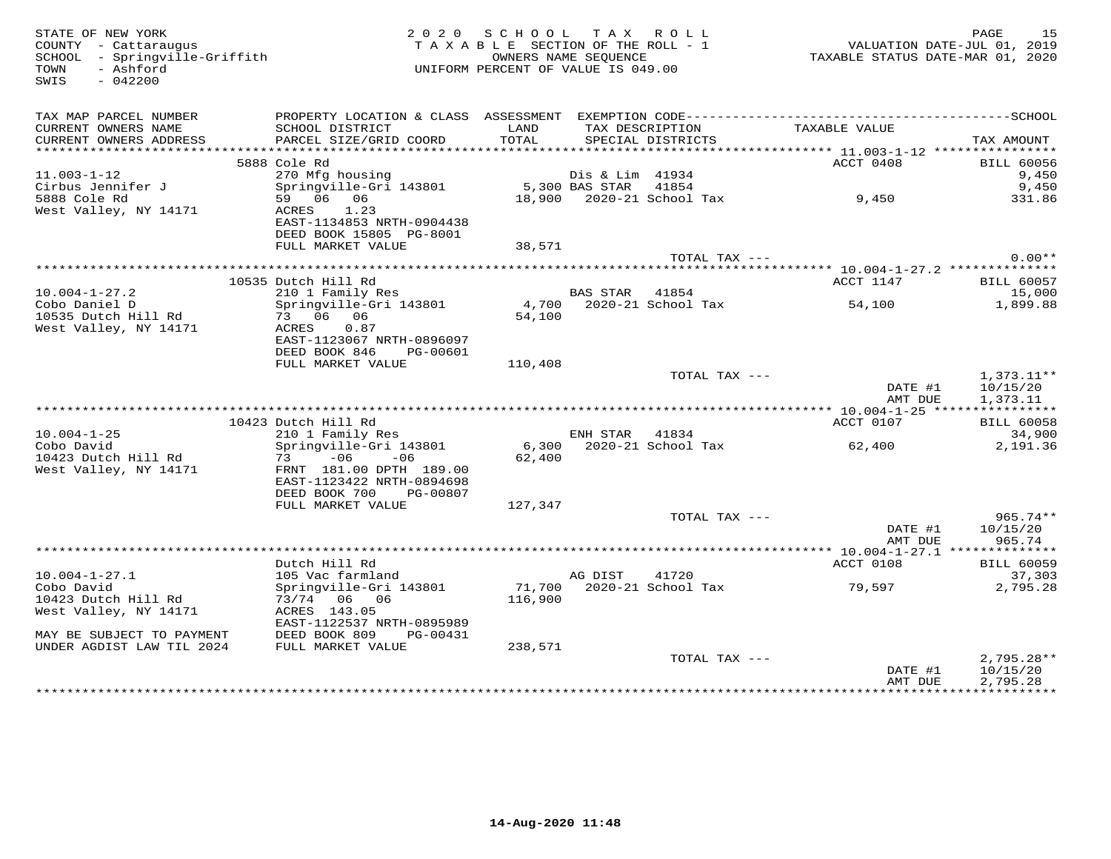| STATE OF NEW YORK<br>COUNTY - Cattaraugus<br>SCHOOL - Springville-Griffith<br>SWIS<br>$-042200$ |                                                     | 2020 SCHOOL TAX ROLL<br>UNIFORM PERCENT OF VALUE IS 049.00 |                      |                                    |                    | PAGE<br>15           |
|-------------------------------------------------------------------------------------------------|-----------------------------------------------------|------------------------------------------------------------|----------------------|------------------------------------|--------------------|----------------------|
| TAX MAP PARCEL NUMBER<br>CURRENT OWNERS NAME                                                    | SCHOOL DISTRICT                                     | LAND                                                       |                      | TAX DESCRIPTION                    |                    |                      |
| CURRENT OWNERS ADDRESS                                                                          | PARCEL SIZE/GRID COORD                              | TOTAL                                                      |                      | SPECIAL DISTRICTS                  | TAXABLE VALUE      | TAX AMOUNT           |
|                                                                                                 |                                                     |                                                            |                      |                                    |                    |                      |
|                                                                                                 | 5888 Cole Rd                                        |                                                            |                      |                                    | ACCT 0408          | <b>BILL 60056</b>    |
| $11.003 - 1 - 12$                                                                               | 270 Mfg housing                                     |                                                            | Dis & Lim 41934      |                                    |                    | 9,450                |
| Cirbus Jennifer J<br>5888 Cole Rd                                                               | Springville-Gri 143801                              |                                                            | 5,300 BAS STAR 41854 |                                    |                    | 9,450                |
| West Valley, NY 14171                                                                           | 59 06 06<br>ACRES 1.23                              |                                                            |                      |                                    |                    | 331.86               |
|                                                                                                 | EAST-1134853 NRTH-0904438                           |                                                            |                      |                                    |                    |                      |
|                                                                                                 | DEED BOOK 15805 PG-8001                             |                                                            |                      |                                    |                    |                      |
|                                                                                                 | FULL MARKET VALUE                                   | 38,571                                                     |                      |                                    |                    |                      |
|                                                                                                 |                                                     |                                                            |                      | TOTAL TAX ---                      |                    | $0.00**$             |
|                                                                                                 | 10535 Dutch Hill Rd                                 |                                                            |                      |                                    | ACCT 1147          | <b>BILL 60057</b>    |
| $10.004 - 1 - 27.2$                                                                             |                                                     |                                                            | BAS STAR 41854       |                                    |                    | 15,000               |
| Cobo Daniel D                                                                                   | 210 1 Family Res<br>Springville-Gri 143801          |                                                            |                      | 4,700 2020-21 School Tax<br>54 100 | 54,100             | 1,899.88             |
| 10535 Dutch Hill Rd                                                                             | 73 06 06                                            | 54,100                                                     |                      |                                    |                    |                      |
| West Valley, NY 14171                                                                           | ACRES 0.87                                          |                                                            |                      |                                    |                    |                      |
|                                                                                                 | EAST-1123067 NRTH-0896097<br>DEED BOOK 846 PG-00601 |                                                            |                      |                                    |                    |                      |
|                                                                                                 | FULL MARKET VALUE                                   | 110,408                                                    |                      |                                    |                    |                      |
|                                                                                                 |                                                     |                                                            |                      | TOTAL TAX ---                      |                    | $1,373.11**$         |
|                                                                                                 |                                                     |                                                            |                      |                                    | DATE #1<br>AMT DUE | 10/15/20<br>1,373.11 |
|                                                                                                 |                                                     |                                                            |                      |                                    |                    |                      |
|                                                                                                 | 10423 Dutch Hill Rd                                 |                                                            |                      |                                    | ACCT 0107          | <b>BILL 60058</b>    |
| $10.004 - 1 - 25$                                                                               | 210 1 Family Res                                    |                                                            | ENH STAR 41834       |                                    |                    | 34,900               |
| Cobo David                                                                                      | Springville-Gri 143801                              |                                                            |                      | 6,300 2020-21 School Tax           | 62,400             | 2,191.36             |
| 10423 Dutch Hill Rd<br>West Valley, NY 14171                                                    | $73 -06 -06$<br>FRNT 181.00 DPTH 189.00             | 62,400                                                     |                      |                                    |                    |                      |
|                                                                                                 | EAST-1123422 NRTH-0894698                           |                                                            |                      |                                    |                    |                      |
|                                                                                                 | DEED BOOK 700 PG-00807                              |                                                            |                      |                                    |                    |                      |
|                                                                                                 | FULL MARKET VALUE                                   | 127,347                                                    |                      |                                    |                    |                      |
|                                                                                                 |                                                     |                                                            |                      | TOTAL TAX ---                      |                    | 965.74**             |
|                                                                                                 |                                                     |                                                            |                      |                                    | DATE #1            | 10/15/20             |
|                                                                                                 |                                                     |                                                            |                      |                                    | AMT DUE            | 965.74               |
|                                                                                                 | Dutch Hill Rd                                       |                                                            |                      |                                    | ACCT 0108          | <b>BILL 60059</b>    |
| $10.004 - 1 - 27.1$                                                                             | 105 Vac farmland                                    | AG DIST                                                    |                      | 41720                              |                    | 37,303               |
| Cobo David                                                                                      | Springville-Gri 143801                              |                                                            |                      | 71,700 2020-21 School Tax          | 79,597             | 2,795.28             |
| 10423 Dutch Hill Rd                                                                             | 73/74 06 06                                         | 116,900                                                    |                      |                                    |                    |                      |
| West Valley, NY 14171                                                                           | ACRES 143.05<br>EAST-1122537 NRTH-0895989           |                                                            |                      |                                    |                    |                      |
| MAY BE SUBJECT TO PAYMENT                                                                       | DEED BOOK 809 PG-00431                              |                                                            |                      |                                    |                    |                      |
| UNDER AGDIST LAW TIL 2024                                                                       | FULL MARKET VALUE                                   | 238,571                                                    |                      |                                    |                    |                      |
|                                                                                                 |                                                     |                                                            |                      | TOTAL TAX ---                      |                    | $2,795.28**$         |
|                                                                                                 |                                                     |                                                            |                      |                                    | DATE #1            | 10/15/20             |
|                                                                                                 |                                                     |                                                            |                      |                                    | AMT DUE            | 2,795.28             |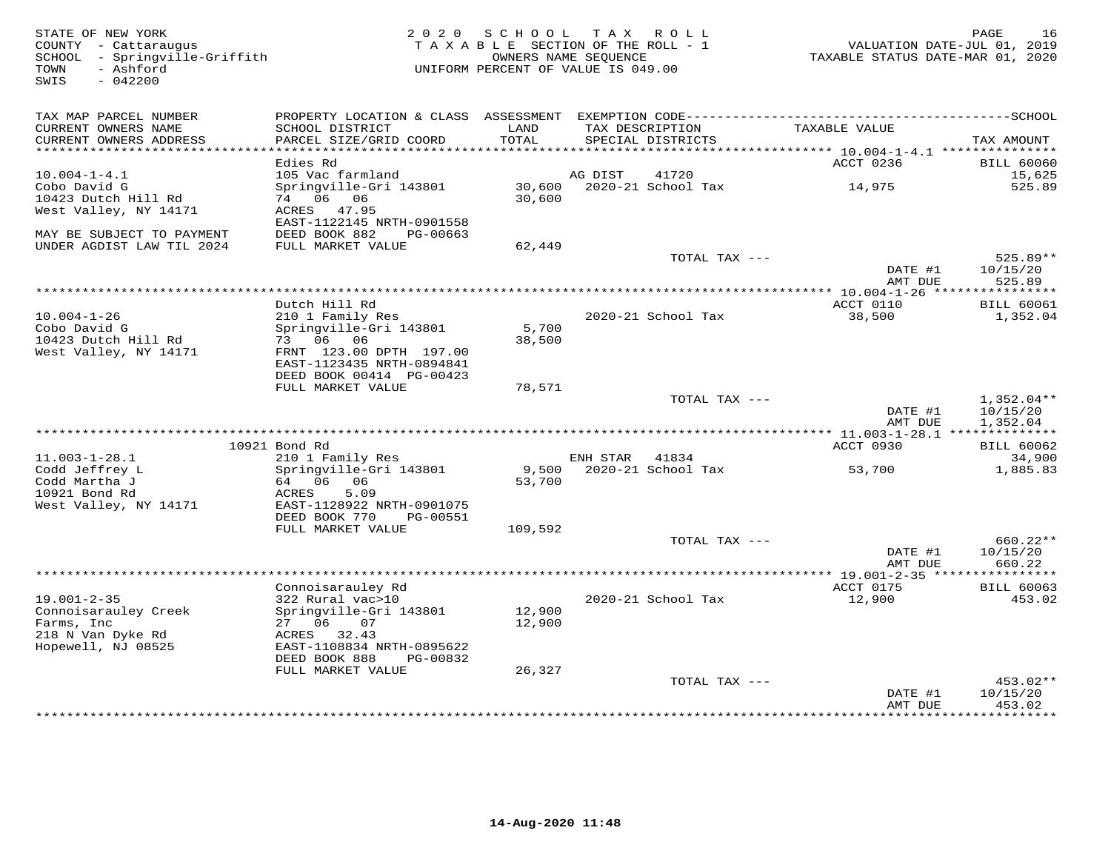| STATE OF NEW YORK<br>COUNTY - Cattaraugus<br>SCHOOL - Springville-Griffith<br>- Ashford<br>TOWN<br>SWIS<br>$-042200$ |                                           | 2020 SCHOOL<br>TAXABLE SECTION OF THE ROLL - 1<br>OWNERS NAME SEOUENCE<br>UNIFORM PERCENT OF VALUE IS 049.00 |                | TAX ROLL                             | VALUATION DATE-JUL 01, 2019<br>TAXABLE STATUS DATE-MAR 01, 2020 | 16<br>PAGE           |
|----------------------------------------------------------------------------------------------------------------------|-------------------------------------------|--------------------------------------------------------------------------------------------------------------|----------------|--------------------------------------|-----------------------------------------------------------------|----------------------|
| TAX MAP PARCEL NUMBER                                                                                                |                                           |                                                                                                              |                |                                      |                                                                 |                      |
| CURRENT OWNERS NAME<br>CURRENT OWNERS ADDRESS<br>************************                                            | SCHOOL DISTRICT<br>PARCEL SIZE/GRID COORD | LAND<br>TOTAL                                                                                                |                | TAX DESCRIPTION<br>SPECIAL DISTRICTS | TAXABLE VALUE                                                   | TAX AMOUNT           |
|                                                                                                                      | Edies Rd                                  |                                                                                                              |                |                                      | ACCT 0236                                                       | <b>BILL 60060</b>    |
| $10.004 - 1 - 4.1$                                                                                                   | 105 Vac farmland                          |                                                                                                              | AG DIST        | 41720                                |                                                                 | 15,625               |
| Cobo David G                                                                                                         | Springville-Gri 143801                    | 30,600                                                                                                       |                | 2020-21 School Tax                   | 14,975                                                          | 525.89               |
| 10423 Dutch Hill Rd                                                                                                  | 74 06 06                                  | 30,600                                                                                                       |                |                                      |                                                                 |                      |
| West Valley, NY 14171                                                                                                | ACRES 47.95<br>EAST-1122145 NRTH-0901558  |                                                                                                              |                |                                      |                                                                 |                      |
| MAY BE SUBJECT TO PAYMENT                                                                                            | DEED BOOK 882<br>PG-00663                 |                                                                                                              |                |                                      |                                                                 |                      |
| UNDER AGDIST LAW TIL 2024                                                                                            | FULL MARKET VALUE                         | 62,449                                                                                                       |                |                                      |                                                                 |                      |
|                                                                                                                      |                                           |                                                                                                              |                | TOTAL TAX ---                        |                                                                 | 525.89**             |
|                                                                                                                      |                                           |                                                                                                              |                |                                      | DATE #1                                                         | 10/15/20             |
|                                                                                                                      |                                           |                                                                                                              |                |                                      | AMT DUE                                                         | 525.89               |
|                                                                                                                      | Dutch Hill Rd                             |                                                                                                              |                |                                      | ACCT 0110                                                       | <b>BILL 60061</b>    |
| $10.004 - 1 - 26$                                                                                                    | 210 1 Family Res                          |                                                                                                              |                | 2020-21 School Tax                   | 38,500                                                          | 1,352.04             |
| Cobo David G                                                                                                         | Springville-Gri 143801                    | 5,700                                                                                                        |                |                                      |                                                                 |                      |
| 10423 Dutch Hill Rd                                                                                                  | 73 06 06<br>FRNT 123.00 DPTH 197.00       | 38,500                                                                                                       |                |                                      |                                                                 |                      |
| West Valley, NY 14171                                                                                                | EAST-1123435 NRTH-0894841                 |                                                                                                              |                |                                      |                                                                 |                      |
|                                                                                                                      | DEED BOOK 00414 PG-00423                  |                                                                                                              |                |                                      |                                                                 |                      |
|                                                                                                                      | FULL MARKET VALUE                         | 78,571                                                                                                       |                |                                      |                                                                 |                      |
|                                                                                                                      |                                           |                                                                                                              |                | TOTAL TAX ---                        |                                                                 | $1,352.04**$         |
|                                                                                                                      |                                           |                                                                                                              |                |                                      | DATE #1<br>AMT DUE                                              | 10/15/20<br>1,352.04 |
|                                                                                                                      |                                           |                                                                                                              |                |                                      |                                                                 |                      |
|                                                                                                                      | 10921 Bond Rd                             |                                                                                                              |                |                                      | ACCT 0930                                                       | <b>BILL 60062</b>    |
| $11.003 - 1 - 28.1$                                                                                                  | 210 1 Family Res                          |                                                                                                              | ENH STAR 41834 |                                      |                                                                 | 34,900               |
| Codd Jeffrey L                                                                                                       | Springville-Gri 143801                    |                                                                                                              |                | 9,500 2020-21 School Tax             | 53,700                                                          | 1,885.83             |
| Codd Martha J<br>10921 Bond Rd                                                                                       | 64 06 06<br>5.09<br>ACRES                 | 53,700                                                                                                       |                |                                      |                                                                 |                      |
| West Valley, NY 14171                                                                                                | EAST-1128922 NRTH-0901075                 |                                                                                                              |                |                                      |                                                                 |                      |
|                                                                                                                      | DEED BOOK 770<br>PG-00551                 |                                                                                                              |                |                                      |                                                                 |                      |
|                                                                                                                      | FULL MARKET VALUE                         | 109,592                                                                                                      |                |                                      |                                                                 |                      |
|                                                                                                                      |                                           |                                                                                                              |                | TOTAL TAX ---                        |                                                                 | 660.22**             |
|                                                                                                                      |                                           |                                                                                                              |                |                                      | DATE #1<br>AMT DUE                                              | 10/15/20<br>660.22   |
|                                                                                                                      |                                           |                                                                                                              |                |                                      |                                                                 |                      |
|                                                                                                                      | Connoisarauley Rd                         |                                                                                                              |                |                                      | ACCT 0175                                                       | <b>BILL 60063</b>    |
| $19.001 - 2 - 35$                                                                                                    | 322 Rural vac>10                          |                                                                                                              |                | 2020-21 School Tax                   | 12,900                                                          | 453.02               |
| Connoisarauley Creek                                                                                                 | Springville-Gri 143801                    | 12,900                                                                                                       |                |                                      |                                                                 |                      |
| Farms, Inc<br>218 N Van Dyke Rd                                                                                      | 27 06<br>07<br>ACRES 32.43                | 12,900                                                                                                       |                |                                      |                                                                 |                      |
| Hopewell, NJ 08525                                                                                                   | EAST-1108834 NRTH-0895622                 |                                                                                                              |                |                                      |                                                                 |                      |
|                                                                                                                      | DEED BOOK 888<br>PG-00832                 |                                                                                                              |                |                                      |                                                                 |                      |
|                                                                                                                      | FULL MARKET VALUE                         | 26,327                                                                                                       |                |                                      |                                                                 |                      |
|                                                                                                                      |                                           |                                                                                                              |                | TOTAL TAX ---                        |                                                                 | $453.02**$           |
|                                                                                                                      |                                           |                                                                                                              |                |                                      | DATE #1<br>AMT DUE                                              | 10/15/20<br>453.02   |
|                                                                                                                      |                                           |                                                                                                              |                |                                      |                                                                 | * * * * * * * *      |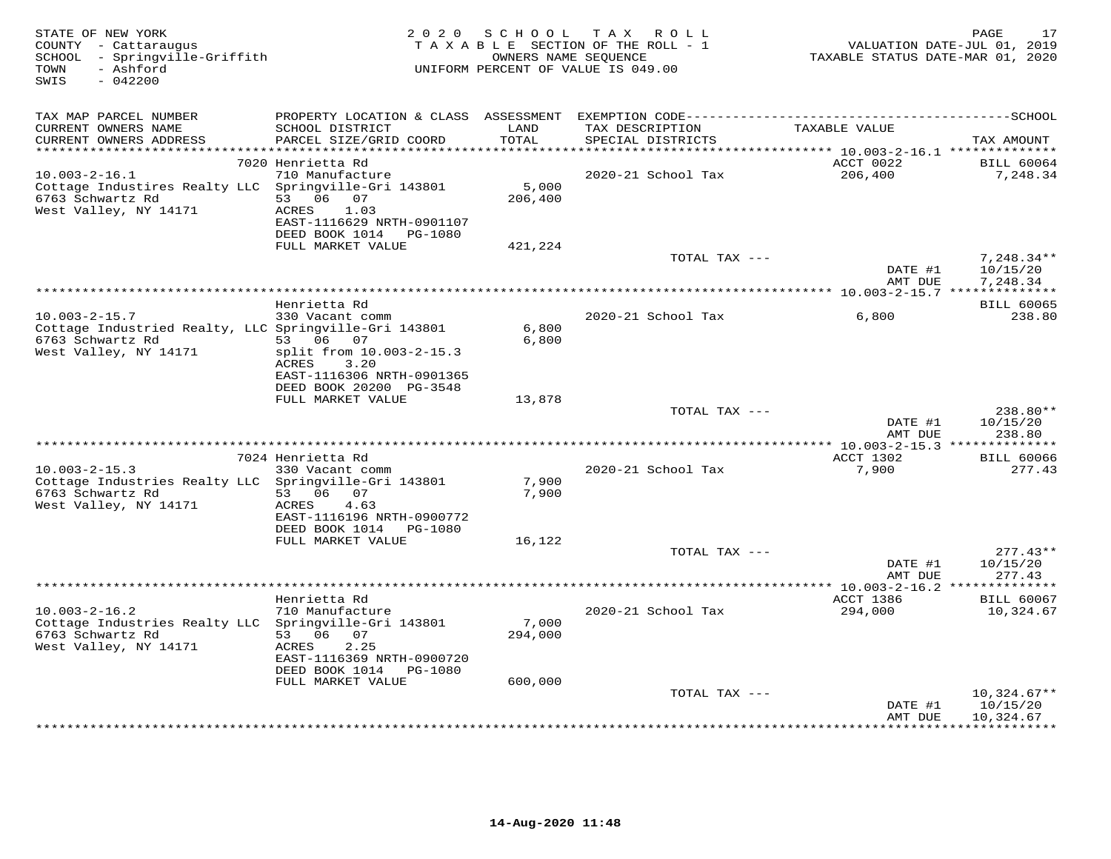| STATE OF NEW YORK<br>COUNTY - Cattaraugus<br>SCHOOL - Springville-Griffith<br>- Ashford<br>TOWN<br>$-042200$<br>SWIS |                                                        | 2020 SCHOOL                 | T A X<br>ROLL<br>TAXABLE SECTION OF THE ROLL - 1<br>OWNERS NAME SEQUENCE<br>UNIFORM PERCENT OF VALUE IS 049.00 | TAXABLE STATUS DATE-MAR 01, 2020  | PAGE<br>17<br>VALUATION DATE-JUL 01, 2019 |
|----------------------------------------------------------------------------------------------------------------------|--------------------------------------------------------|-----------------------------|----------------------------------------------------------------------------------------------------------------|-----------------------------------|-------------------------------------------|
| TAX MAP PARCEL NUMBER                                                                                                |                                                        |                             |                                                                                                                |                                   |                                           |
| CURRENT OWNERS NAME<br>CURRENT OWNERS ADDRESS<br>********************                                                | SCHOOL DISTRICT<br>PARCEL SIZE/GRID COORD              | LAND<br>TOTAL<br>********** | TAX DESCRIPTION<br>SPECIAL DISTRICTS<br>********************************* 10.003-2-16.1 **************         | TAXABLE VALUE                     | TAX AMOUNT                                |
|                                                                                                                      | 7020 Henrietta Rd                                      |                             |                                                                                                                | ACCT 0022                         | <b>BILL 60064</b>                         |
| $10.003 - 2 - 16.1$                                                                                                  | 710 Manufacture                                        |                             | 2020-21 School Tax                                                                                             | 206,400                           | 7,248.34                                  |
| Cottage Industires Realty LLC                                                                                        | Springville-Gri 143801                                 | 5,000                       |                                                                                                                |                                   |                                           |
| 6763 Schwartz Rd                                                                                                     | 53 06 07                                               | 206,400                     |                                                                                                                |                                   |                                           |
| West Valley, NY 14171                                                                                                | 1.03<br>ACRES<br>EAST-1116629 NRTH-0901107             |                             |                                                                                                                |                                   |                                           |
|                                                                                                                      | DEED BOOK 1014<br>PG-1080                              |                             |                                                                                                                |                                   |                                           |
|                                                                                                                      | FULL MARKET VALUE                                      | 421,224                     |                                                                                                                |                                   |                                           |
|                                                                                                                      |                                                        |                             | TOTAL TAX ---                                                                                                  |                                   | $7,248.34**$                              |
|                                                                                                                      |                                                        |                             |                                                                                                                | DATE #1<br>AMT DUE                | 10/15/20<br>7,248.34                      |
|                                                                                                                      |                                                        |                             |                                                                                                                |                                   |                                           |
|                                                                                                                      | Henrietta Rd                                           |                             |                                                                                                                |                                   | <b>BILL 60065</b>                         |
| $10.003 - 2 - 15.7$                                                                                                  | 330 Vacant comm                                        |                             | 2020-21 School Tax                                                                                             | 6,800                             | 238.80                                    |
| Cottage Industried Realty, LLC Springville-Gri 143801<br>6763 Schwartz Rd                                            | 53 06 07                                               | 6,800<br>6,800              |                                                                                                                |                                   |                                           |
| West Valley, NY 14171                                                                                                | split from 10.003-2-15.3                               |                             |                                                                                                                |                                   |                                           |
|                                                                                                                      | ACRES<br>3.20                                          |                             |                                                                                                                |                                   |                                           |
|                                                                                                                      | EAST-1116306 NRTH-0901365                              |                             |                                                                                                                |                                   |                                           |
|                                                                                                                      | DEED BOOK 20200 PG-3548<br>FULL MARKET VALUE           | 13,878                      |                                                                                                                |                                   |                                           |
|                                                                                                                      |                                                        |                             | TOTAL TAX ---                                                                                                  |                                   | 238.80**                                  |
|                                                                                                                      |                                                        |                             |                                                                                                                | DATE #1                           | 10/15/20                                  |
|                                                                                                                      |                                                        |                             |                                                                                                                | AMT DUE                           | 238.80                                    |
|                                                                                                                      |                                                        |                             |                                                                                                                | **** 10.003-2-15.3 ************** |                                           |
| $10.003 - 2 - 15.3$                                                                                                  | 7024 Henrietta Rd<br>330 Vacant comm                   |                             | 2020-21 School Tax                                                                                             | ACCT 1302<br>7,900                | <b>BILL 60066</b><br>277.43               |
| Cottage Industries Realty LLC                                                                                        | Springville-Gri 143801                                 | 7,900                       |                                                                                                                |                                   |                                           |
| 6763 Schwartz Rd                                                                                                     | 53 06<br>07                                            | 7,900                       |                                                                                                                |                                   |                                           |
| West Valley, NY 14171                                                                                                | ACRES<br>4.63                                          |                             |                                                                                                                |                                   |                                           |
|                                                                                                                      | EAST-1116196 NRTH-0900772<br>DEED BOOK 1014<br>PG-1080 |                             |                                                                                                                |                                   |                                           |
|                                                                                                                      | FULL MARKET VALUE                                      | 16,122                      |                                                                                                                |                                   |                                           |
|                                                                                                                      |                                                        |                             | TOTAL TAX ---                                                                                                  |                                   | $277.43**$                                |
|                                                                                                                      |                                                        |                             |                                                                                                                | DATE #1                           | 10/15/20                                  |
|                                                                                                                      |                                                        |                             |                                                                                                                | AMT DUE                           | 277.43                                    |
|                                                                                                                      | Henrietta Rd                                           |                             |                                                                                                                | ACCT 1386                         | <b>BILL 60067</b>                         |
| $10.003 - 2 - 16.2$                                                                                                  | 710 Manufacture                                        |                             | 2020-21 School Tax                                                                                             | 294,000                           | 10,324.67                                 |
| Cottage Industries Realty LLC                                                                                        | Springville-Gri 143801                                 | 7,000                       |                                                                                                                |                                   |                                           |
| 6763 Schwartz Rd<br>West Valley, NY 14171                                                                            | 53 06<br>07<br>ACRES<br>2.25                           | 294,000                     |                                                                                                                |                                   |                                           |
|                                                                                                                      | EAST-1116369 NRTH-0900720                              |                             |                                                                                                                |                                   |                                           |
|                                                                                                                      | DEED BOOK 1014 PG-1080                                 |                             |                                                                                                                |                                   |                                           |
|                                                                                                                      | FULL MARKET VALUE                                      | 600,000                     |                                                                                                                |                                   |                                           |
|                                                                                                                      |                                                        |                             | TOTAL TAX ---                                                                                                  |                                   | $10,324.67**$                             |
|                                                                                                                      |                                                        |                             |                                                                                                                | DATE #1<br>AMT DUE                | 10/15/20<br>10,324.67                     |
|                                                                                                                      |                                                        |                             |                                                                                                                |                                   |                                           |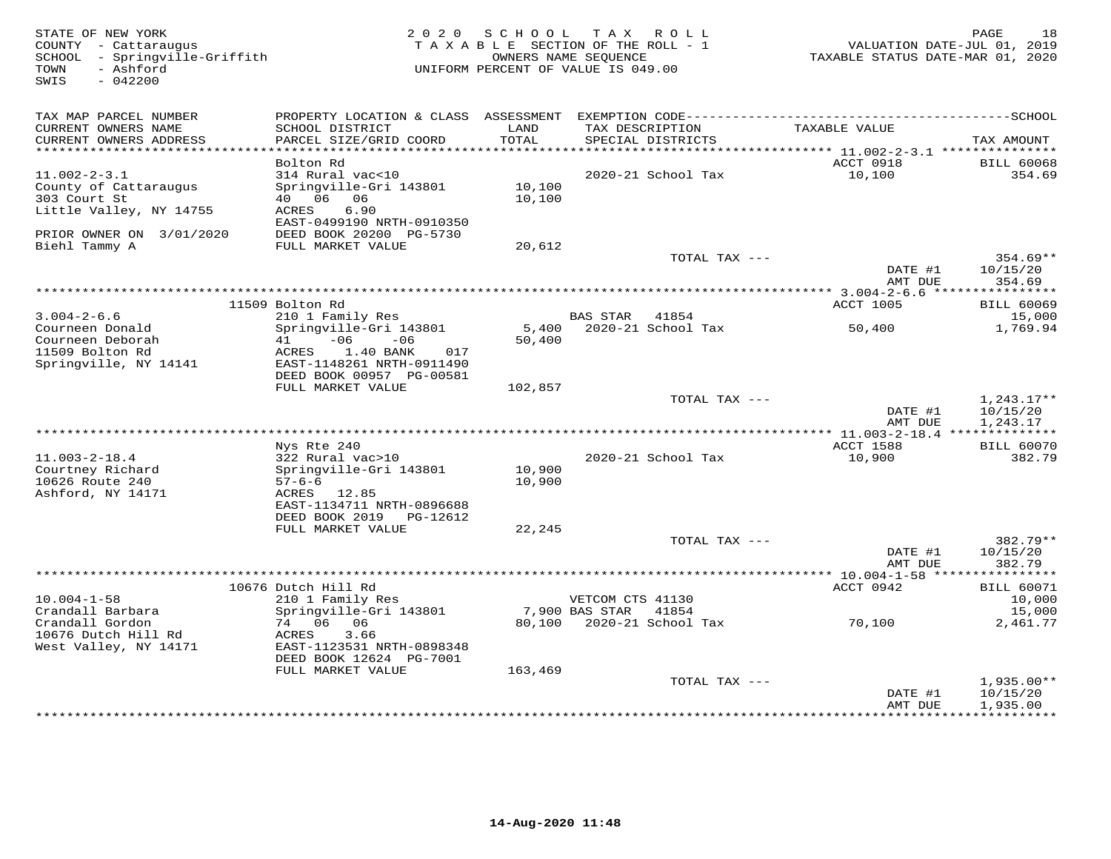| STATE OF NEW YORK<br>COUNTY - Cattaraugus<br>SCHOOL - Springville-Griffith<br>- Ashford<br>TOWN<br>SWIS<br>$-042200$ | 2 0 2 0                                                                          | SCHOOL<br>TAXABLE SECTION OF THE ROLL - 1<br>UNIFORM PERCENT OF VALUE IS 049.00 | T A X<br>OWNERS NAME SEQUENCE | R O L L                           | TAXABLE STATUS DATE-MAR 01, 2020 | 18<br>PAGE<br>VALUATION DATE-JUL 01, 2019 |
|----------------------------------------------------------------------------------------------------------------------|----------------------------------------------------------------------------------|---------------------------------------------------------------------------------|-------------------------------|-----------------------------------|----------------------------------|-------------------------------------------|
| TAX MAP PARCEL NUMBER<br>CURRENT OWNERS NAME<br>CURRENT OWNERS ADDRESS                                               | SCHOOL DISTRICT<br>PARCEL SIZE/GRID COORD                                        | LAND<br>TOTAL                                                                   | TAX DESCRIPTION               | SPECIAL DISTRICTS                 | TAXABLE VALUE                    | TAX AMOUNT                                |
|                                                                                                                      |                                                                                  |                                                                                 |                               |                                   |                                  |                                           |
|                                                                                                                      | Bolton Rd                                                                        |                                                                                 |                               |                                   | ACCT 0918                        | <b>BILL 60068</b>                         |
| $11.002 - 2 - 3.1$                                                                                                   | 314 Rural vac<10                                                                 |                                                                                 |                               | 2020-21 School Tax                | 10,100                           | 354.69                                    |
| County of Cattaraugus<br>303 Court St                                                                                | Springville-Gri 143801<br>40  06  06                                             | 10,100<br>10,100                                                                |                               |                                   |                                  |                                           |
| Little Valley, NY 14755                                                                                              | 6.90<br>ACRES                                                                    |                                                                                 |                               |                                   |                                  |                                           |
|                                                                                                                      | EAST-0499190 NRTH-0910350                                                        |                                                                                 |                               |                                   |                                  |                                           |
| PRIOR OWNER ON 3/01/2020                                                                                             | DEED BOOK 20200 PG-5730                                                          |                                                                                 |                               |                                   |                                  |                                           |
| Biehl Tammy A                                                                                                        | FULL MARKET VALUE                                                                | 20,612                                                                          |                               |                                   |                                  | $354.69**$                                |
|                                                                                                                      |                                                                                  |                                                                                 |                               | TOTAL TAX ---                     | DATE #1                          | 10/15/20                                  |
|                                                                                                                      |                                                                                  |                                                                                 |                               |                                   | AMT DUE                          | 354.69                                    |
|                                                                                                                      |                                                                                  |                                                                                 |                               |                                   |                                  |                                           |
|                                                                                                                      | 11509 Bolton Rd                                                                  |                                                                                 |                               |                                   | ACCT 1005                        | <b>BILL 60069</b>                         |
| $3.004 - 2 - 6.6$<br>Courneen Donald                                                                                 | 210 1 Family Res<br>Springville-Gri 143801                                       |                                                                                 | <b>BAS STAR</b>               | 41854<br>5,400 2020-21 School Tax | 50,400                           | 15,000<br>1,769.94                        |
| Courneen Deborah<br>11509 Bolton Rd<br>Springville, NY 14141                                                         | $-06$<br>41<br>$-06$<br>ACRES<br>$1.40$ BANK<br>017<br>EAST-1148261 NRTH-0911490 | 50,400                                                                          |                               |                                   |                                  |                                           |
|                                                                                                                      | DEED BOOK 00957 PG-00581                                                         |                                                                                 |                               |                                   |                                  |                                           |
|                                                                                                                      | FULL MARKET VALUE                                                                | 102,857                                                                         |                               | TOTAL TAX ---                     |                                  | $1,243.17**$                              |
|                                                                                                                      |                                                                                  |                                                                                 |                               |                                   | DATE #1                          | 10/15/20                                  |
|                                                                                                                      |                                                                                  |                                                                                 |                               |                                   | AMT DUE                          | 1,243.17                                  |
|                                                                                                                      |                                                                                  |                                                                                 |                               |                                   | * 11.003-2-18.4 ***************  |                                           |
| $11.003 - 2 - 18.4$                                                                                                  | Nys Rte 240<br>322 Rural vac>10                                                  |                                                                                 |                               | 2020-21 School Tax                | ACCT 1588<br>10,900              | <b>BILL 60070</b><br>382.79               |
| Courtney Richard                                                                                                     | Springville-Gri 143801                                                           | 10,900                                                                          |                               |                                   |                                  |                                           |
| 10626 Route 240                                                                                                      | $57 - 6 - 6$                                                                     | 10,900                                                                          |                               |                                   |                                  |                                           |
| Ashford, NY 14171                                                                                                    | ACRES 12.85                                                                      |                                                                                 |                               |                                   |                                  |                                           |
|                                                                                                                      | EAST-1134711 NRTH-0896688                                                        |                                                                                 |                               |                                   |                                  |                                           |
|                                                                                                                      | DEED BOOK 2019<br>PG-12612<br>FULL MARKET VALUE                                  | 22,245                                                                          |                               |                                   |                                  |                                           |
|                                                                                                                      |                                                                                  |                                                                                 |                               | TOTAL TAX ---                     |                                  | 382.79**                                  |
|                                                                                                                      |                                                                                  |                                                                                 |                               |                                   | DATE #1                          | 10/15/20                                  |
|                                                                                                                      |                                                                                  |                                                                                 |                               |                                   | AMT DUE                          | 382.79                                    |
|                                                                                                                      | 10676 Dutch Hill Rd                                                              |                                                                                 |                               |                                   | ACCT 0942                        | <b>BILL 60071</b>                         |
| $10.004 - 1 - 58$                                                                                                    | 210 1 Family Res                                                                 |                                                                                 | VETCOM CTS 41130              |                                   |                                  | 10,000                                    |
| Crandall Barbara                                                                                                     | Springville-Gri 143801                                                           |                                                                                 | 7,900 BAS STAR 41854          |                                   |                                  | 15,000                                    |
| Crandall Gordon                                                                                                      | 74 06 06                                                                         | 80,100                                                                          |                               | 2020-21 School Tax                | 70,100                           | 2,461.77                                  |
| 10676 Dutch Hill Rd                                                                                                  | ACRES<br>3.66                                                                    |                                                                                 |                               |                                   |                                  |                                           |
| West Valley, NY 14171                                                                                                | EAST-1123531 NRTH-0898348<br>DEED BOOK 12624 PG-7001                             |                                                                                 |                               |                                   |                                  |                                           |
|                                                                                                                      | FULL MARKET VALUE                                                                | 163,469                                                                         |                               |                                   |                                  |                                           |
|                                                                                                                      |                                                                                  |                                                                                 |                               | TOTAL TAX ---                     |                                  | $1,935.00**$                              |
|                                                                                                                      |                                                                                  |                                                                                 |                               |                                   | DATE #1                          | 10/15/20                                  |
|                                                                                                                      |                                                                                  |                                                                                 |                               |                                   | AMT DUE                          | 1,935.00<br>+ + + + + + + + + + +         |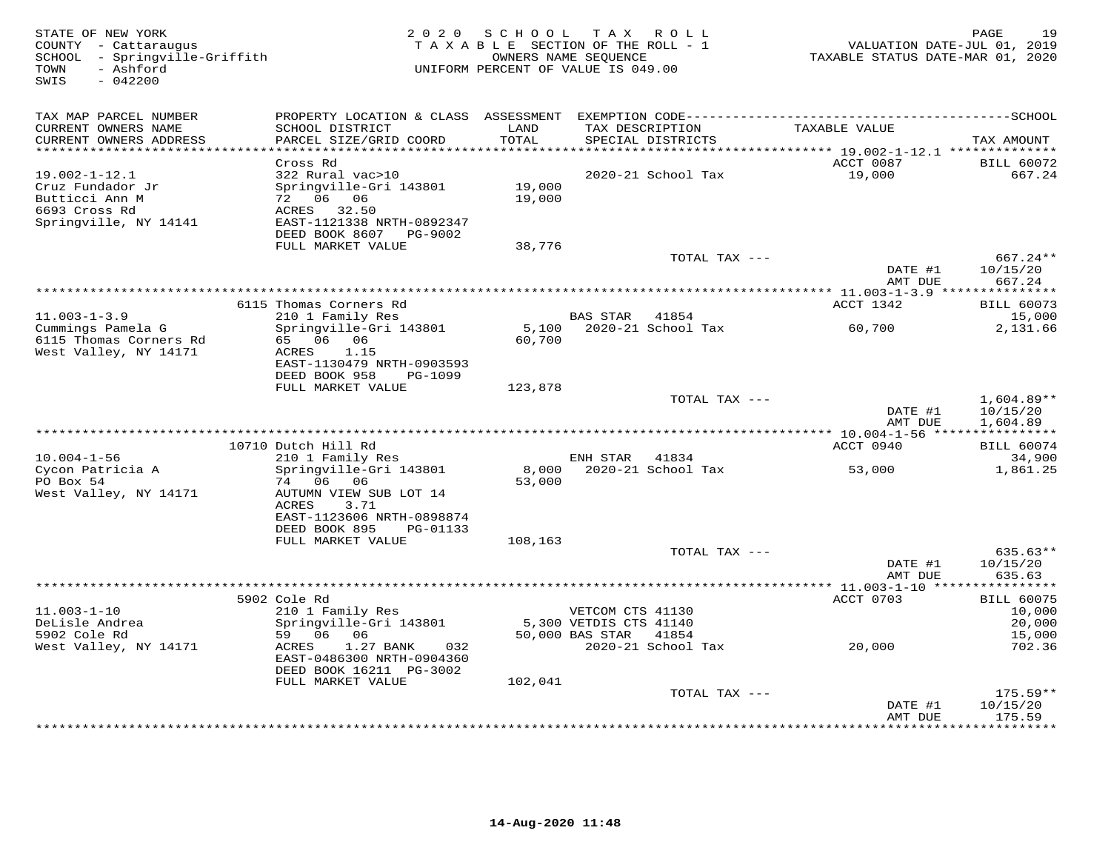| STATE OF NEW YORK<br>COUNTY - Cattaraugus<br>SCHOOL - Springville-Griffith<br>- Ashford<br>TOWN<br>SWIS<br>$-042200$ |                                                                                                       | 2020 SCHOOL TAX ROLL<br>TAXABLE SECTION OF THE ROLL - 1<br>UNIFORM PERCENT OF VALUE IS 049.00 | OWNERS NAME SEQUENCE   |                             | VALUATION DATE-JUL 01, 2019<br>TAXABLE STATUS DATE-MAR 01, 2020 | PAGE<br>19                       |
|----------------------------------------------------------------------------------------------------------------------|-------------------------------------------------------------------------------------------------------|-----------------------------------------------------------------------------------------------|------------------------|-----------------------------|-----------------------------------------------------------------|----------------------------------|
| TAX MAP PARCEL NUMBER<br>CURRENT OWNERS NAME                                                                         | SCHOOL DISTRICT                                                                                       | LAND<br>TOTAL                                                                                 | TAX DESCRIPTION        | SPECIAL DISTRICTS           | TAXABLE VALUE                                                   |                                  |
| CURRENT OWNERS ADDRESS<br>***********************                                                                    | PARCEL SIZE/GRID COORD                                                                                |                                                                                               |                        |                             |                                                                 | TAX AMOUNT                       |
|                                                                                                                      | Cross Rd                                                                                              |                                                                                               |                        |                             | ACCT 0087                                                       | <b>BILL 60072</b>                |
| $19.002 - 1 - 12.1$<br>Cruz Fundador Jr<br>Butticci Ann M<br>6693 Cross Rd<br>Springville, NY 14141                  | 322 Rural vac>10<br>Springville-Gri 143801<br>72 06 06<br>ACRES<br>32.50<br>EAST-1121338 NRTH-0892347 | 19,000<br>19,000                                                                              |                        | 2020-21 School Tax          | 19,000                                                          | 667.24                           |
|                                                                                                                      | DEED BOOK 8607 PG-9002                                                                                |                                                                                               |                        |                             |                                                                 |                                  |
|                                                                                                                      | FULL MARKET VALUE                                                                                     | 38,776                                                                                        |                        | TOTAL TAX ---               | DATE #1                                                         | 667.24**<br>10/15/20             |
|                                                                                                                      |                                                                                                       |                                                                                               |                        |                             | AMT DUE                                                         | 667.24                           |
|                                                                                                                      |                                                                                                       |                                                                                               |                        |                             |                                                                 |                                  |
| $11.003 - 1 - 3.9$                                                                                                   | 6115 Thomas Corners Rd<br>210 1 Family Res                                                            |                                                                                               | BAS STAR 41854         |                             | ACCT 1342                                                       | <b>BILL 60073</b><br>15,000      |
| Cummings Pamela G<br>6115 Thomas Corners Rd<br>West Valley, NY 14171                                                 | Springville-Gri 143801<br>65 06 06<br>1.15<br>ACRES                                                   | 5,100<br>60,700                                                                               |                        | 2020-21 School Tax          | 60,700                                                          | 2,131.66                         |
|                                                                                                                      | EAST-1130479 NRTH-0903593<br>DEED BOOK 958<br>PG-1099                                                 |                                                                                               |                        |                             |                                                                 |                                  |
|                                                                                                                      | FULL MARKET VALUE                                                                                     | 123,878                                                                                       |                        | TOTAL TAX ---               |                                                                 | $1,604.89**$                     |
|                                                                                                                      |                                                                                                       |                                                                                               |                        |                             | DATE #1<br>AMT DUE                                              | 10/15/20<br>1,604.89             |
| *********************                                                                                                |                                                                                                       |                                                                                               |                        |                             |                                                                 |                                  |
| $10.004 - 1 - 56$                                                                                                    | 10710 Dutch Hill Rd<br>210 1 Family Res                                                               |                                                                                               | ENH STAR               | 41834                       | ACCT 0940                                                       | <b>BILL 60074</b><br>34,900      |
| Cycon Patricia A<br>PO Box 54<br>West Valley, NY 14171                                                               | Springville-Gri 143801<br>74 06 06<br>AUTUMN VIEW SUB LOT 14<br>3.71<br>ACRES                         | 8,000<br>53,000                                                                               |                        | 2020-21 School Tax          | 53,000                                                          | 1,861.25                         |
|                                                                                                                      | EAST-1123606 NRTH-0898874<br>DEED BOOK 895<br>PG-01133<br>FULL MARKET VALUE                           | 108,163                                                                                       |                        |                             |                                                                 |                                  |
|                                                                                                                      |                                                                                                       |                                                                                               |                        | TOTAL TAX ---               |                                                                 | 635.63**                         |
|                                                                                                                      |                                                                                                       |                                                                                               |                        |                             | DATE #1<br>AMT DUE                                              | 10/15/20<br>635.63<br>********** |
|                                                                                                                      | 5902 Cole Rd                                                                                          |                                                                                               |                        |                             | ******** 11.003-1-10 ****<br>ACCT 0703                          | <b>BILL 60075</b>                |
| $11.003 - 1 - 10$                                                                                                    | 210 1 Family Res                                                                                      |                                                                                               | VETCOM CTS 41130       |                             |                                                                 | 10,000                           |
| DeLisle Andrea                                                                                                       | Springville-Gri 143801                                                                                |                                                                                               | 5,300 VETDIS CTS 41140 |                             |                                                                 | 20,000                           |
| 5902 Cole Rd<br>West Valley, NY 14171                                                                                | 59 06 06<br>032<br>ACRES<br>1.27 BANK<br>EAST-0486300 NRTH-0904360<br>DEED BOOK 16211 PG-3002         |                                                                                               | 50,000 BAS STAR        | 41854<br>2020-21 School Tax | 20,000                                                          | 15,000<br>702.36                 |
|                                                                                                                      | FULL MARKET VALUE                                                                                     | 102,041                                                                                       |                        |                             |                                                                 |                                  |
|                                                                                                                      |                                                                                                       |                                                                                               |                        | TOTAL TAX ---               |                                                                 | $175.59**$                       |
|                                                                                                                      |                                                                                                       |                                                                                               |                        |                             | DATE #1<br>AMT DUE<br>* * * * * * * * * * * * * * * *           | 10/15/20<br>175.59<br>*********  |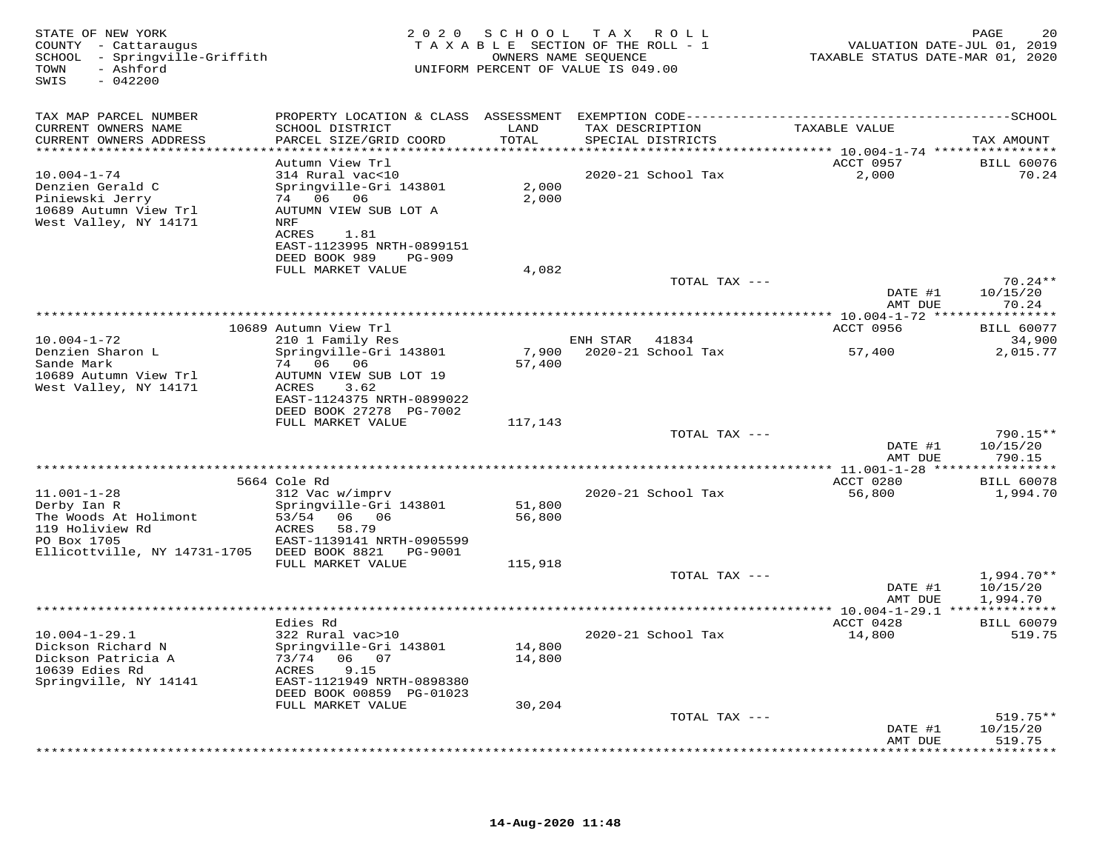| STATE OF NEW YORK<br>COUNTY - Cattaraugus<br>SCHOOL - Springville-Griffith<br>- Ashford<br>TOWN<br>$-042200$<br>SWIS        |                                                                                                                                         | 2020 SCHOOL<br>OWNERS NAME SEQUENCE | TAX ROLL<br>TAXABLE SECTION OF THE ROLL - 1<br>UNIFORM PERCENT OF VALUE IS 049.00 | VALUATION DATE-JUL 01, 2019<br>TAXABLE STATUS DATE-MAR 01, 2020 | 20<br>PAGE                           |
|-----------------------------------------------------------------------------------------------------------------------------|-----------------------------------------------------------------------------------------------------------------------------------------|-------------------------------------|-----------------------------------------------------------------------------------|-----------------------------------------------------------------|--------------------------------------|
| TAX MAP PARCEL NUMBER                                                                                                       |                                                                                                                                         |                                     |                                                                                   |                                                                 |                                      |
| CURRENT OWNERS NAME<br>CURRENT OWNERS ADDRESS                                                                               | SCHOOL DISTRICT<br>PARCEL SIZE/GRID COORD                                                                                               | LAND<br>TOTAL                       | TAX DESCRIPTION<br>SPECIAL DISTRICTS                                              | TAXABLE VALUE                                                   | TAX AMOUNT                           |
| ***********************                                                                                                     | ************************                                                                                                                | ************                        |                                                                                   |                                                                 |                                      |
| $10.004 - 1 - 74$<br>Denzien Gerald C<br>Piniewski Jerry<br>10689 Autumn View Trl<br>West Valley, NY 14171                  | Autumn View Trl<br>314 Rural vac<10<br>Springville-Gri 143801<br>74 06 06<br>AUTUMN VIEW SUB LOT A<br>NRF<br>1.81<br>ACRES              | 2,000<br>2,000                      | 2020-21 School Tax                                                                | ACCT 0957<br>2,000                                              | <b>BILL 60076</b><br>70.24           |
|                                                                                                                             | EAST-1123995 NRTH-0899151<br>DEED BOOK 989<br><b>PG-909</b>                                                                             |                                     |                                                                                   |                                                                 |                                      |
|                                                                                                                             | FULL MARKET VALUE                                                                                                                       | 4,082                               |                                                                                   |                                                                 |                                      |
|                                                                                                                             |                                                                                                                                         |                                     | TOTAL TAX ---                                                                     | DATE #1<br>AMT DUE                                              | $70.24**$<br>10/15/20<br>70.24       |
|                                                                                                                             |                                                                                                                                         |                                     |                                                                                   |                                                                 |                                      |
|                                                                                                                             | 10689 Autumn View Trl                                                                                                                   |                                     |                                                                                   | ACCT 0956                                                       | <b>BILL 60077</b>                    |
| $10.004 - 1 - 72$<br>Denzien Sharon L                                                                                       | 210 1 Family Res<br>Springville-Gri 143801                                                                                              | 7,900                               | ENH STAR<br>41834<br>2020-21 School Tax                                           | 57,400                                                          | 34,900<br>2,015.77                   |
| Sande Mark<br>10689 Autumn View Trl<br>West Valley, NY 14171                                                                | 74 06 06<br>AUTUMN VIEW SUB LOT 19<br>ACRES<br>3.62<br>EAST-1124375 NRTH-0899022<br>DEED BOOK 27278 PG-7002                             | 57,400                              |                                                                                   |                                                                 |                                      |
|                                                                                                                             | FULL MARKET VALUE                                                                                                                       | 117,143                             |                                                                                   |                                                                 |                                      |
|                                                                                                                             |                                                                                                                                         |                                     | TOTAL TAX ---                                                                     | DATE #1<br>AMT DUE                                              | 790.15**<br>10/15/20<br>790.15       |
|                                                                                                                             |                                                                                                                                         |                                     |                                                                                   |                                                                 | * * * * * * * * *                    |
|                                                                                                                             | 5664 Cole Rd                                                                                                                            |                                     |                                                                                   | ACCT 0280                                                       | <b>BILL 60078</b>                    |
| $11.001 - 1 - 28$<br>Derby Ian R<br>The Woods At Holimont<br>119 Holiview Rd<br>PO Box 1705<br>Ellicottville, NY 14731-1705 | 312 Vac w/imprv<br>Springville-Gri 143801<br>53/54<br>06 06<br>58.79<br>ACRES<br>EAST-1139141 NRTH-0905599<br>DEED BOOK 8821<br>PG-9001 | 51,800<br>56,800                    | 2020-21 School Tax                                                                | 56,800                                                          | 1,994.70                             |
|                                                                                                                             | FULL MARKET VALUE                                                                                                                       | 115,918                             |                                                                                   |                                                                 |                                      |
|                                                                                                                             |                                                                                                                                         |                                     | TOTAL TAX ---                                                                     | DATE #1<br>AMT DUE                                              | $1,994.70**$<br>10/15/20<br>1,994.70 |
|                                                                                                                             |                                                                                                                                         |                                     | *************                                                                     | * 10.004-1-29.1 **************                                  |                                      |
| $10.004 - 1 - 29.1$<br>Dickson Richard N<br>Dickson Patricia A                                                              | Edies Rd<br>322 Rural vac>10<br>Springville-Gri 143801<br>73/74<br>06 07                                                                | 14,800<br>14,800                    | 2020-21 School Tax                                                                | ACCT 0428<br>14,800                                             | <b>BILL 60079</b><br>519.75          |
| 10639 Edies Rd<br>Springville, NY 14141                                                                                     | ACRES<br>9.15<br>EAST-1121949 NRTH-0898380<br>DEED BOOK 00859 PG-01023                                                                  |                                     |                                                                                   |                                                                 |                                      |
|                                                                                                                             | FULL MARKET VALUE                                                                                                                       | 30,204                              |                                                                                   |                                                                 |                                      |
|                                                                                                                             |                                                                                                                                         |                                     | TOTAL TAX ---                                                                     | DATE #1<br>AMT DUE                                              | $519.75**$<br>10/15/20<br>519.75     |
|                                                                                                                             |                                                                                                                                         |                                     |                                                                                   |                                                                 | *******                              |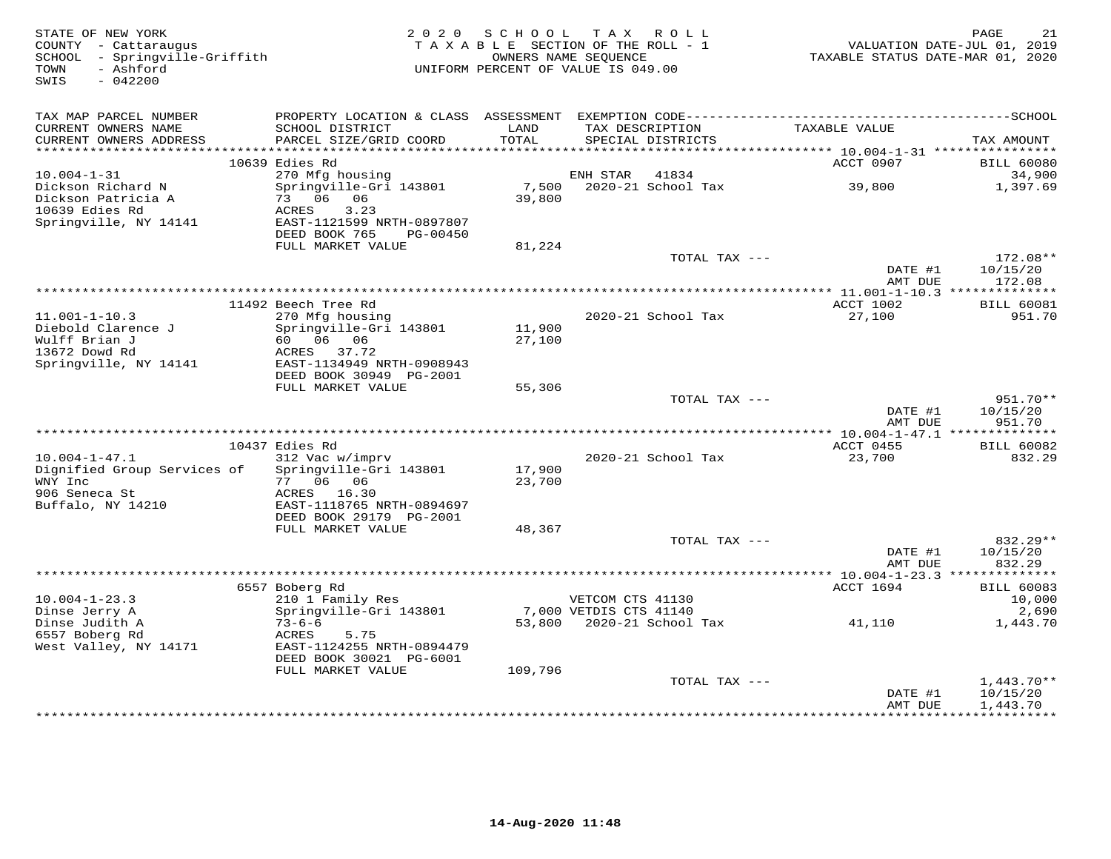| STATE OF NEW YORK<br>COUNTY - Cattaraugus<br>SCHOOL - Springville-Griffith<br>- Ashford<br>TOWN<br>$-042200$<br>SWIS | 2 0 2 0                                                    | SCHOOL TAX ROLL<br>TAXABLE SECTION OF THE ROLL - 1<br>UNIFORM PERCENT OF VALUE IS 049.00 | OWNERS NAME SEQUENCE   |                    | TAXABLE STATUS DATE-MAR 01, 2020 | PAGE<br>21<br>VALUATION DATE-JUL 01, 2019 |
|----------------------------------------------------------------------------------------------------------------------|------------------------------------------------------------|------------------------------------------------------------------------------------------|------------------------|--------------------|----------------------------------|-------------------------------------------|
| TAX MAP PARCEL NUMBER<br>CURRENT OWNERS NAME                                                                         | SCHOOL DISTRICT                                            | LAND                                                                                     | TAX DESCRIPTION        |                    | TAXABLE VALUE                    |                                           |
| CURRENT OWNERS ADDRESS                                                                                               | PARCEL SIZE/GRID COORD                                     | TOTAL                                                                                    |                        | SPECIAL DISTRICTS  |                                  | TAX AMOUNT                                |
|                                                                                                                      | 10639 Edies Rd                                             |                                                                                          |                        |                    | ACCT 0907                        | <b>BILL 60080</b>                         |
| $10.004 - 1 - 31$                                                                                                    | 270 Mfg housing                                            |                                                                                          | ENH STAR               | 41834              |                                  | 34,900                                    |
| Dickson Richard N<br>Dickson Patricia A<br>10639 Edies Rd                                                            | Springville-Gri 143801<br>73 06 06<br>ACRES<br>3.23        | 7,500<br>39,800                                                                          |                        | 2020-21 School Tax | 39,800                           | 1,397.69                                  |
| Springville, NY 14141                                                                                                | EAST-1121599 NRTH-0897807<br>DEED BOOK 765<br>PG-00450     |                                                                                          |                        |                    |                                  |                                           |
|                                                                                                                      | FULL MARKET VALUE                                          | 81,224                                                                                   |                        | TOTAL TAX ---      |                                  | 172.08**                                  |
|                                                                                                                      |                                                            |                                                                                          |                        |                    | DATE #1<br>AMT DUE               | 10/15/20<br>172.08                        |
|                                                                                                                      |                                                            |                                                                                          |                        |                    |                                  |                                           |
|                                                                                                                      | 11492 Beech Tree Rd                                        |                                                                                          |                        |                    | ACCT 1002                        | <b>BILL 60081</b>                         |
| $11.001 - 1 - 10.3$                                                                                                  | 270 Mfg housing                                            |                                                                                          |                        | 2020-21 School Tax | 27,100                           | 951.70                                    |
| Diebold Clarence J<br>Wulff Brian J                                                                                  | Springville-Gri 143801<br>60 06 06                         | 11,900<br>27,100                                                                         |                        |                    |                                  |                                           |
| 13672 Dowd Rd                                                                                                        | ACRES 37.72                                                |                                                                                          |                        |                    |                                  |                                           |
| Springville, NY 14141                                                                                                | EAST-1134949 NRTH-0908943                                  |                                                                                          |                        |                    |                                  |                                           |
|                                                                                                                      | DEED BOOK 30949 PG-2001<br>FULL MARKET VALUE               |                                                                                          |                        |                    |                                  |                                           |
|                                                                                                                      |                                                            | 55,306                                                                                   |                        | TOTAL TAX ---      |                                  | 951.70**                                  |
|                                                                                                                      |                                                            |                                                                                          |                        |                    | DATE #1<br>AMT DUE               | 10/15/20<br>951.70                        |
|                                                                                                                      |                                                            |                                                                                          |                        |                    |                                  |                                           |
| $10.004 - 1 - 47.1$                                                                                                  | 10437 Edies Rd                                             |                                                                                          |                        |                    | ACCT 0455<br>23,700              | <b>BILL 60082</b><br>832.29               |
| Dignified Group Services of                                                                                          | 312 Vac w/imprv<br>Springville-Gri 143801                  | 17,900                                                                                   |                        | 2020-21 School Tax |                                  |                                           |
| WNY Inc                                                                                                              | 77 06 06                                                   | 23,700                                                                                   |                        |                    |                                  |                                           |
| 906 Seneca St                                                                                                        | ACRES 16.30                                                |                                                                                          |                        |                    |                                  |                                           |
| Buffalo, NY 14210                                                                                                    | EAST-1118765 NRTH-0894697<br>DEED BOOK 29179 PG-2001       |                                                                                          |                        |                    |                                  |                                           |
|                                                                                                                      | FULL MARKET VALUE                                          | 48,367                                                                                   |                        |                    |                                  |                                           |
|                                                                                                                      |                                                            |                                                                                          |                        | TOTAL TAX ---      |                                  | 832.29**                                  |
|                                                                                                                      |                                                            |                                                                                          |                        |                    | DATE #1                          | 10/15/20                                  |
|                                                                                                                      |                                                            |                                                                                          |                        |                    | AMT DUE                          | 832.29                                    |
|                                                                                                                      | 6557 Boberg Rd                                             |                                                                                          |                        |                    | ACCT 1694                        | <b>BILL 60083</b>                         |
| $10.004 - 1 - 23.3$                                                                                                  | 210 1 Family Res                                           |                                                                                          | VETCOM CTS 41130       |                    |                                  | 10,000                                    |
| Dinse Jerry A                                                                                                        | Springville-Gri 143801                                     |                                                                                          | 7,000 VETDIS CTS 41140 |                    |                                  | 2,690                                     |
| Dinse Judith A<br>6557 Boberg Rd<br>West Valley, NY 14171                                                            | $73 - 6 - 6$<br>ACRES<br>5.75<br>EAST-1124255 NRTH-0894479 | 53,800                                                                                   |                        | 2020-21 School Tax | 41,110                           | 1,443.70                                  |
|                                                                                                                      | DEED BOOK 30021 PG-6001                                    |                                                                                          |                        |                    |                                  |                                           |
|                                                                                                                      | FULL MARKET VALUE                                          | 109,796                                                                                  |                        | TOTAL TAX ---      |                                  | $1,443.70**$                              |
|                                                                                                                      |                                                            |                                                                                          |                        |                    | DATE #1                          | 10/15/20                                  |
|                                                                                                                      |                                                            |                                                                                          |                        |                    | AMT DUE                          | 1,443.70<br>***********                   |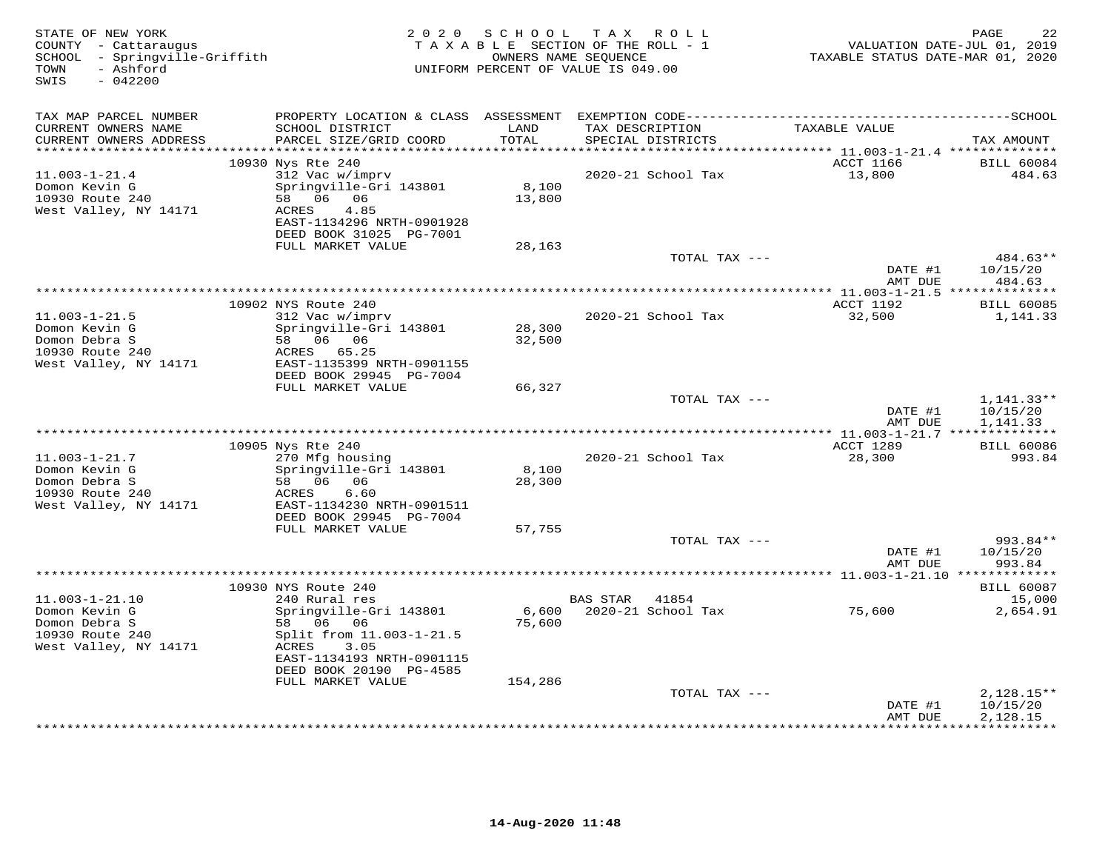| STATE OF NEW YORK<br>COUNTY - Cattaraugus<br>SCHOOL - Springville-Griffith<br>- Ashford<br>TOWN<br>$-042200$<br>SWIS |                                                                                                                                                                                 | 2020 SCHOOL      | TAX ROLL<br>TAXABLE SECTION OF THE ROLL - 1<br>OWNERS NAME SEQUENCE<br>UNIFORM PERCENT OF VALUE IS 049.00 | TAXABLE STATUS DATE-MAR 01, 2020 | PAGE<br>22<br>VALUATION DATE-JUL 01, 2019 |
|----------------------------------------------------------------------------------------------------------------------|---------------------------------------------------------------------------------------------------------------------------------------------------------------------------------|------------------|-----------------------------------------------------------------------------------------------------------|----------------------------------|-------------------------------------------|
| TAX MAP PARCEL NUMBER<br>CURRENT OWNERS NAME<br>CURRENT OWNERS ADDRESS<br>************************                   | SCHOOL DISTRICT<br>PARCEL SIZE/GRID COORD                                                                                                                                       | LAND<br>TOTAL    | TAX DESCRIPTION<br>SPECIAL DISTRICTS                                                                      | TAXABLE VALUE                    | TAX AMOUNT                                |
|                                                                                                                      | 10930 Nys Rte 240                                                                                                                                                               |                  |                                                                                                           | ACCT 1166                        | <b>BILL 60084</b>                         |
| $11.003 - 1 - 21.4$<br>Domon Kevin G<br>10930 Route 240<br>West Valley, NY 14171                                     | 312 Vac w/imprv<br>Springville-Gri 143801<br>58 06 06<br>4.85<br>ACRES<br>EAST-1134296 NRTH-0901928<br>DEED BOOK 31025 PG-7001                                                  | 8,100<br>13,800  | 2020-21 School Tax                                                                                        | 13,800                           | 484.63                                    |
|                                                                                                                      | FULL MARKET VALUE                                                                                                                                                               | 28,163           | TOTAL TAX ---                                                                                             |                                  | 484.63**                                  |
|                                                                                                                      |                                                                                                                                                                                 |                  |                                                                                                           | DATE #1<br>AMT DUE               | 10/15/20<br>484.63                        |
|                                                                                                                      | 10902 NYS Route 240                                                                                                                                                             |                  |                                                                                                           | ACCT 1192                        | <b>BILL 60085</b>                         |
| $11.003 - 1 - 21.5$<br>Domon Kevin G<br>Domon Debra S<br>10930 Route 240<br>West Valley, NY 14171                    | 312 Vac w/imprv<br>Springville-Gri 143801<br>58 06 06<br>ACRES 65.25<br>EAST-1135399 NRTH-0901155                                                                               | 28,300<br>32,500 | 2020-21 School Tax                                                                                        | 32,500                           | 1,141.33                                  |
|                                                                                                                      | DEED BOOK 29945 PG-7004                                                                                                                                                         |                  |                                                                                                           |                                  |                                           |
|                                                                                                                      | FULL MARKET VALUE                                                                                                                                                               | 66,327           | TOTAL TAX ---                                                                                             | DATE #1<br>AMT DUE               | $1,141.33**$<br>10/15/20<br>1,141.33      |
|                                                                                                                      |                                                                                                                                                                                 |                  |                                                                                                           |                                  |                                           |
|                                                                                                                      | 10905 Nys Rte 240                                                                                                                                                               |                  |                                                                                                           | ACCT 1289                        | <b>BILL 60086</b>                         |
| $11.003 - 1 - 21.7$<br>Domon Kevin G<br>Domon Debra S<br>10930 Route 240<br>West Valley, NY 14171                    | 270 Mfg housing<br>Springville-Gri 143801<br>58 06 06<br>6.60<br>ACRES<br>EAST-1134230 NRTH-0901511                                                                             | 8,100<br>28,300  | 2020-21 School Tax                                                                                        | 28,300                           | 993.84                                    |
|                                                                                                                      | DEED BOOK 29945 PG-7004                                                                                                                                                         |                  |                                                                                                           |                                  |                                           |
|                                                                                                                      | FULL MARKET VALUE                                                                                                                                                               | 57,755           | TOTAL TAX ---                                                                                             | DATE #1<br>AMT DUE               | 993.84**<br>10/15/20<br>993.84            |
|                                                                                                                      |                                                                                                                                                                                 |                  |                                                                                                           |                                  |                                           |
| $11.003 - 1 - 21.10$<br>Domon Kevin G<br>Domon Debra S<br>10930 Route 240<br>West Valley, NY 14171                   | 10930 NYS Route 240<br>240 Rural res<br>Springville-Gri 143801<br>58 06 06<br>Split from 11.003-1-21.5<br>ACRES<br>3.05<br>EAST-1134193 NRTH-0901115<br>DEED BOOK 20190 PG-4585 | 75,600           | BAS STAR 41854<br>6,600 2020-21 School Tax                                                                | 75,600                           | <b>BILL 60087</b><br>15,000<br>2,654.91   |
|                                                                                                                      | FULL MARKET VALUE                                                                                                                                                               | 154,286          | TOTAL TAX ---                                                                                             |                                  | $2,128.15**$                              |
|                                                                                                                      |                                                                                                                                                                                 |                  |                                                                                                           | DATE #1<br>AMT DUE               | 10/15/20<br>2,128.15                      |
|                                                                                                                      |                                                                                                                                                                                 |                  |                                                                                                           |                                  | ***********                               |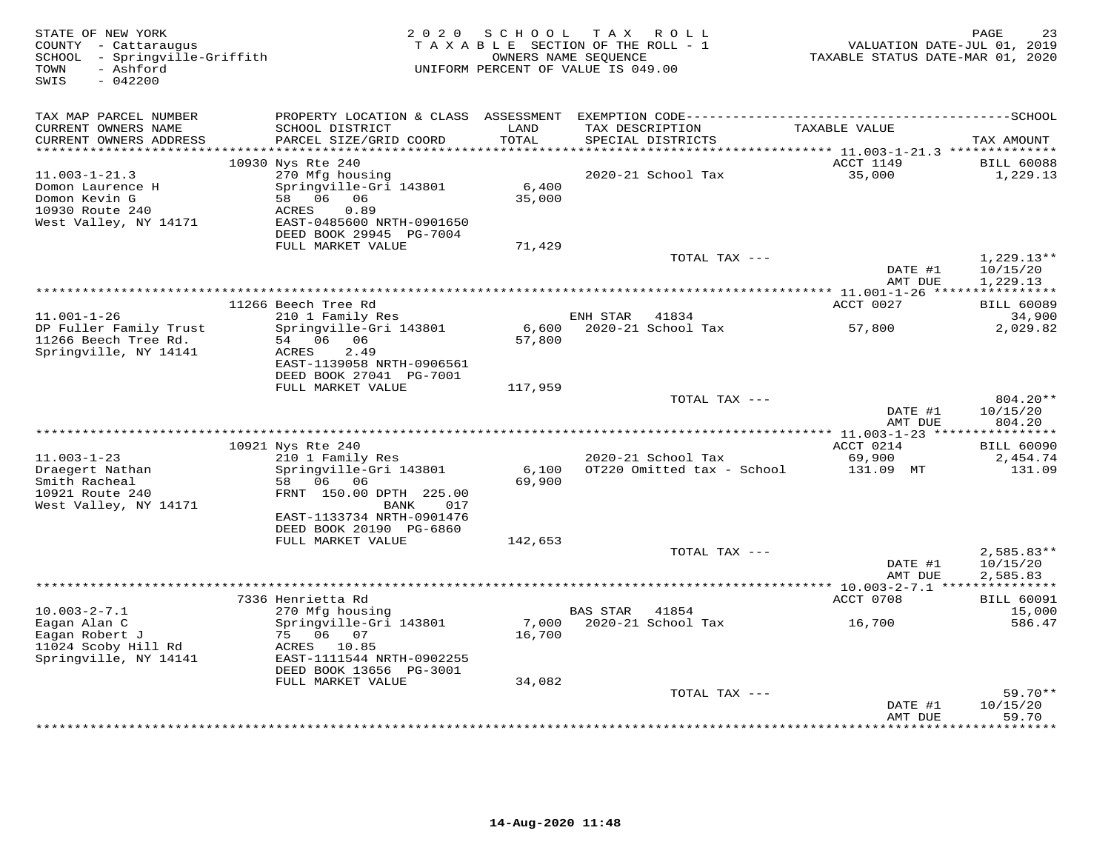| STATE OF NEW YORK<br>COUNTY - Cattaraugus<br>SCHOOL - Springville-Griffith<br>- Ashford<br>TOWN<br>$-042200$<br>SWIS |                                                                        | 2020 SCHOOL     | TAX ROLL<br>TAXABLE SECTION OF THE ROLL - 1<br>OWNERS NAME SEQUENCE<br>UNIFORM PERCENT OF VALUE IS 049.00 | VALUATION DATE-JUL 01, 2019<br>TAXABLE STATUS DATE-MAR 01, 2020 | 23<br>PAGE                           |
|----------------------------------------------------------------------------------------------------------------------|------------------------------------------------------------------------|-----------------|-----------------------------------------------------------------------------------------------------------|-----------------------------------------------------------------|--------------------------------------|
| TAX MAP PARCEL NUMBER                                                                                                |                                                                        |                 |                                                                                                           |                                                                 |                                      |
| CURRENT OWNERS NAME<br>CURRENT OWNERS ADDRESS<br>***********************                                             | SCHOOL DISTRICT<br>PARCEL SIZE/GRID COORD                              | LAND<br>TOTAL   | TAX DESCRIPTION<br>SPECIAL DISTRICTS                                                                      | TAXABLE VALUE                                                   | TAX AMOUNT                           |
|                                                                                                                      | 10930 Nys Rte 240                                                      |                 |                                                                                                           | ACCT 1149                                                       | <b>BILL 60088</b>                    |
| $11.003 - 1 - 21.3$<br>Domon Laurence H<br>Domon Kevin G<br>10930 Route 240                                          | 270 Mfg housing<br>Springville-Gri 143801<br>58 06 06<br>0.89<br>ACRES | 6,400<br>35,000 | 2020-21 School Tax                                                                                        | 35,000                                                          | 1,229.13                             |
| West Valley, NY 14171                                                                                                | EAST-0485600 NRTH-0901650<br>DEED BOOK 29945 PG-7004                   |                 |                                                                                                           |                                                                 |                                      |
|                                                                                                                      | FULL MARKET VALUE                                                      | 71,429          |                                                                                                           |                                                                 |                                      |
|                                                                                                                      |                                                                        |                 | TOTAL TAX ---                                                                                             | DATE #1<br>AMT DUE                                              | $1,229.13**$<br>10/15/20<br>1,229.13 |
|                                                                                                                      |                                                                        |                 |                                                                                                           |                                                                 |                                      |
|                                                                                                                      | 11266 Beech Tree Rd                                                    |                 |                                                                                                           | ACCT 0027                                                       | <b>BILL 60089</b>                    |
| $11.001 - 1 - 26$                                                                                                    | 210 1 Family Res                                                       |                 | ENH STAR 41834                                                                                            |                                                                 | 34,900                               |
| DP Fuller Family Trust<br>11266 Beech Tree Rd.<br>Springville, NY 14141                                              | Springville-Gri 143801<br>54 06 06<br>2.49<br>ACRES                    | 6,600<br>57,800 | 2020-21 School Tax                                                                                        | 57,800                                                          | 2,029.82                             |
|                                                                                                                      | EAST-1139058 NRTH-0906561<br>DEED BOOK 27041 PG-7001                   |                 |                                                                                                           |                                                                 |                                      |
|                                                                                                                      | FULL MARKET VALUE                                                      | 117,959         |                                                                                                           |                                                                 |                                      |
|                                                                                                                      |                                                                        |                 | TOTAL TAX ---                                                                                             | DATE #1<br>AMT DUE                                              | 804.20**<br>10/15/20<br>804.20       |
|                                                                                                                      |                                                                        |                 |                                                                                                           |                                                                 |                                      |
|                                                                                                                      | 10921 Nys Rte 240                                                      |                 |                                                                                                           | ACCT 0214                                                       | <b>BILL 60090</b>                    |
| $11.003 - 1 - 23$<br>Draegert Nathan<br>Smith Racheal                                                                | 210 1 Family Res<br>Springville-Gri 143801<br>58 06 06                 | 6,100<br>69,900 | 2020-21 School Tax<br>OT220 Omitted tax - School                                                          | 69,900<br>131.09 MT                                             | 2,454.74<br>131.09                   |
| 10921 Route 240<br>West Valley, NY 14171                                                                             | FRNT 150.00 DPTH 225.00<br>017<br>BANK<br>EAST-1133734 NRTH-0901476    |                 |                                                                                                           |                                                                 |                                      |
|                                                                                                                      | DEED BOOK 20190 PG-6860                                                |                 |                                                                                                           |                                                                 |                                      |
|                                                                                                                      | FULL MARKET VALUE                                                      | 142,653         |                                                                                                           |                                                                 |                                      |
|                                                                                                                      |                                                                        |                 | TOTAL TAX ---                                                                                             | DATE #1<br>AMT DUE                                              | $2,585.83**$<br>10/15/20<br>2,585.83 |
|                                                                                                                      |                                                                        |                 |                                                                                                           | *********** 10.003-2-7.1 ****************                       |                                      |
|                                                                                                                      | 7336 Henrietta Rd                                                      |                 |                                                                                                           | ACCT 0708                                                       | <b>BILL 60091</b>                    |
| $10.003 - 2 - 7.1$                                                                                                   | 270 Mfg housing                                                        |                 | <b>BAS STAR</b><br>41854                                                                                  |                                                                 | 15,000                               |
| Eagan Alan C<br>Eagan Robert J<br>11024 Scoby Hill Rd                                                                | Springville-Gri 143801<br>75 06 07<br>ACRES 10.85                      | 7,000<br>16,700 | 2020-21 School Tax                                                                                        | 16,700                                                          | 586.47                               |
| Springville, NY 14141                                                                                                | EAST-1111544 NRTH-0902255<br>DEED BOOK 13656 PG-3001                   |                 |                                                                                                           |                                                                 |                                      |
|                                                                                                                      | FULL MARKET VALUE                                                      | 34,082          |                                                                                                           |                                                                 |                                      |
|                                                                                                                      |                                                                        |                 | TOTAL TAX ---                                                                                             | DATE #1                                                         | $59.70**$<br>10/15/20<br>59.70       |
|                                                                                                                      |                                                                        |                 | *******************************                                                                           | AMT DUE<br>*************                                        | *******                              |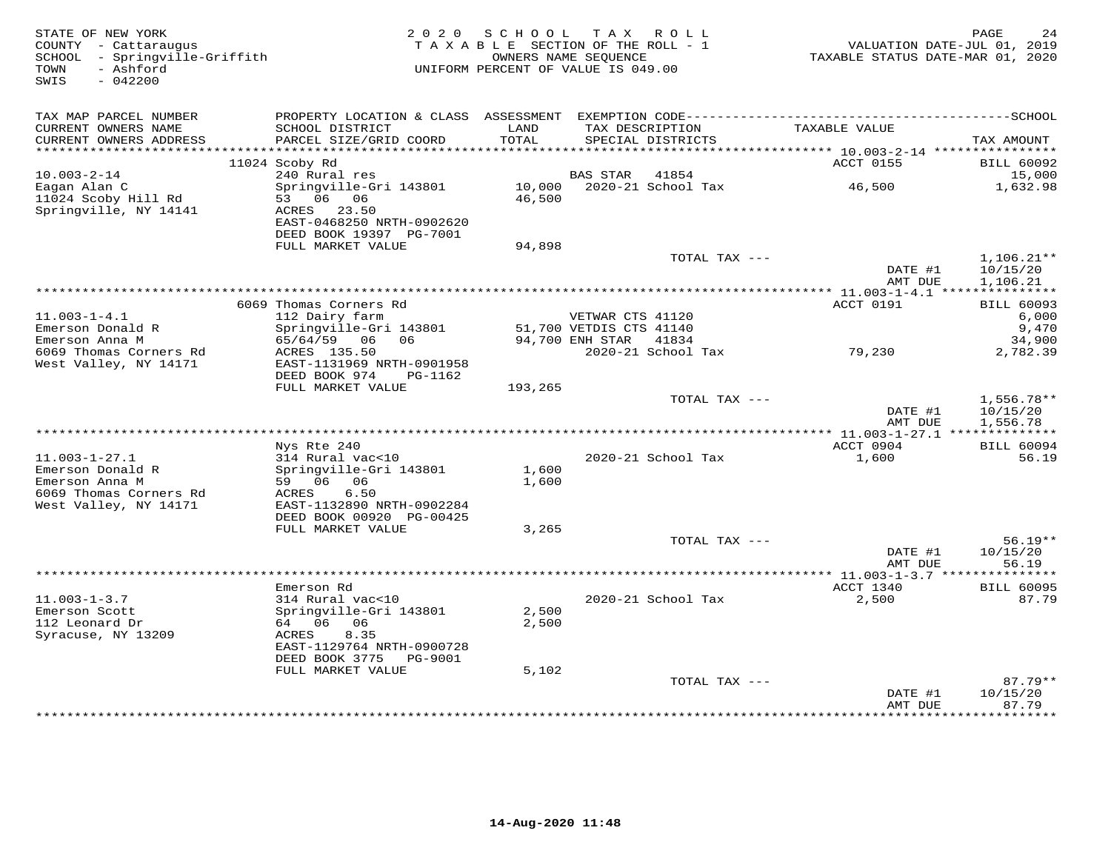| STATE OF NEW YORK<br>COUNTY - Cattaraugus<br>SCHOOL - Springville-Griffith<br>- Ashford<br>TOWN<br>SWIS<br>$-042200$ |                                              | 2020 SCHOOL<br>TAXABLE SECTION OF THE ROLL - 1<br>UNIFORM PERCENT OF VALUE IS 049.00 | OWNERS NAME SEQUENCE                        | TAX ROLL                             | TAXABLE STATUS DATE-MAR 01, 2020                 | PAGE<br>24<br>VALUATION DATE-JUL 01, 2019 |
|----------------------------------------------------------------------------------------------------------------------|----------------------------------------------|--------------------------------------------------------------------------------------|---------------------------------------------|--------------------------------------|--------------------------------------------------|-------------------------------------------|
| TAX MAP PARCEL NUMBER                                                                                                |                                              |                                                                                      |                                             |                                      |                                                  |                                           |
| CURRENT OWNERS NAME<br>CURRENT OWNERS ADDRESS<br>************************                                            | SCHOOL DISTRICT<br>PARCEL SIZE/GRID COORD    | LAND<br>TOTAL                                                                        |                                             | TAX DESCRIPTION<br>SPECIAL DISTRICTS | TAXABLE VALUE                                    | TAX AMOUNT                                |
|                                                                                                                      | 11024 Scoby Rd                               |                                                                                      |                                             |                                      | ACCT 0155                                        | <b>BILL 60092</b>                         |
| $10.003 - 2 - 14$                                                                                                    | 240 Rural res                                |                                                                                      | <b>BAS STAR</b>                             | 41854                                |                                                  | 15,000                                    |
| Eagan Alan C                                                                                                         | Springville-Gri 143801                       | 10,000                                                                               |                                             | 2020-21 School Tax                   | 46,500                                           | 1,632.98                                  |
| 11024 Scoby Hill Rd                                                                                                  | 53 06 06                                     | 46,500                                                                               |                                             |                                      |                                                  |                                           |
| Springville, NY 14141                                                                                                | ACRES 23.50                                  |                                                                                      |                                             |                                      |                                                  |                                           |
|                                                                                                                      | EAST-0468250 NRTH-0902620                    |                                                                                      |                                             |                                      |                                                  |                                           |
|                                                                                                                      | DEED BOOK 19397 PG-7001<br>FULL MARKET VALUE | 94,898                                                                               |                                             |                                      |                                                  |                                           |
|                                                                                                                      |                                              |                                                                                      |                                             | TOTAL TAX ---                        |                                                  | $1,106.21**$                              |
|                                                                                                                      |                                              |                                                                                      |                                             |                                      | DATE #1                                          | 10/15/20                                  |
|                                                                                                                      |                                              |                                                                                      |                                             |                                      | AMT DUE                                          | 1,106.21                                  |
|                                                                                                                      |                                              |                                                                                      |                                             |                                      |                                                  |                                           |
|                                                                                                                      | 6069 Thomas Corners Rd                       |                                                                                      |                                             |                                      | ACCT 0191                                        | <b>BILL 60093</b>                         |
| $11.003 - 1 - 4.1$<br>Emerson Donald R                                                                               | 112 Dairy farm<br>Springville-Gri 143801     |                                                                                      | VETWAR CTS 41120<br>51,700 VETDIS CTS 41140 |                                      |                                                  | 6,000<br>9,470                            |
| Emerson Anna M                                                                                                       | 65/64/59 06 06                               |                                                                                      | 94,700 ENH STAR                             | 41834                                |                                                  | 34,900                                    |
| 6069 Thomas Corners Rd                                                                                               | ACRES 135.50                                 |                                                                                      |                                             | 2020-21 School Tax                   | 79,230                                           | 2,782.39                                  |
| West Valley, NY 14171                                                                                                | EAST-1131969 NRTH-0901958                    |                                                                                      |                                             |                                      |                                                  |                                           |
|                                                                                                                      | DEED BOOK 974<br>PG-1162                     |                                                                                      |                                             |                                      |                                                  |                                           |
|                                                                                                                      | FULL MARKET VALUE                            | 193,265                                                                              |                                             |                                      |                                                  |                                           |
|                                                                                                                      |                                              |                                                                                      |                                             | TOTAL TAX ---                        | DATE #1                                          | $1,556.78**$<br>10/15/20                  |
|                                                                                                                      |                                              |                                                                                      |                                             |                                      | AMT DUE                                          | 1,556.78                                  |
|                                                                                                                      |                                              |                                                                                      |                                             |                                      |                                                  |                                           |
|                                                                                                                      | Nys Rte 240                                  |                                                                                      |                                             |                                      | ACCT 0904                                        | <b>BILL 60094</b>                         |
| $11.003 - 1 - 27.1$                                                                                                  | 314 Rural vac<10                             |                                                                                      |                                             | 2020-21 School Tax                   | 1,600                                            | 56.19                                     |
| Emerson Donald R<br>Emerson Anna M                                                                                   | Springville-Gri 143801<br>59 06 06           | 1,600<br>1,600                                                                       |                                             |                                      |                                                  |                                           |
| 6069 Thomas Corners Rd                                                                                               | 6.50<br>ACRES                                |                                                                                      |                                             |                                      |                                                  |                                           |
| West Valley, NY 14171                                                                                                | EAST-1132890 NRTH-0902284                    |                                                                                      |                                             |                                      |                                                  |                                           |
|                                                                                                                      | DEED BOOK 00920 PG-00425                     |                                                                                      |                                             |                                      |                                                  |                                           |
|                                                                                                                      | FULL MARKET VALUE                            | 3,265                                                                                |                                             |                                      |                                                  |                                           |
|                                                                                                                      |                                              |                                                                                      |                                             | TOTAL TAX ---                        |                                                  | $56.19**$                                 |
|                                                                                                                      |                                              |                                                                                      |                                             |                                      | DATE #1<br>AMT DUE                               | 10/15/20<br>56.19                         |
|                                                                                                                      |                                              |                                                                                      |                                             |                                      | ****************** 11.003-1-3.7 **************** |                                           |
|                                                                                                                      | Emerson Rd                                   |                                                                                      |                                             |                                      | ACCT 1340                                        | <b>BILL 60095</b>                         |
| $11.003 - 1 - 3.7$                                                                                                   | 314 Rural vac<10                             |                                                                                      |                                             | 2020-21 School Tax                   | 2,500                                            | 87.79                                     |
| Emerson Scott                                                                                                        | Springville-Gri 143801                       | 2,500                                                                                |                                             |                                      |                                                  |                                           |
| 112 Leonard Dr                                                                                                       | 64 06 06                                     | 2,500                                                                                |                                             |                                      |                                                  |                                           |
| Syracuse, NY 13209                                                                                                   | 8.35<br>ACRES<br>EAST-1129764 NRTH-0900728   |                                                                                      |                                             |                                      |                                                  |                                           |
|                                                                                                                      | DEED BOOK 3775 PG-9001                       |                                                                                      |                                             |                                      |                                                  |                                           |
|                                                                                                                      | FULL MARKET VALUE                            | 5,102                                                                                |                                             |                                      |                                                  |                                           |
|                                                                                                                      |                                              |                                                                                      |                                             | TOTAL TAX ---                        |                                                  | $87.79**$                                 |
|                                                                                                                      |                                              |                                                                                      |                                             |                                      | DATE #1                                          | 10/15/20                                  |
|                                                                                                                      |                                              |                                                                                      |                                             |                                      | AMT DUE                                          | 87.79<br>* * * * * * *                    |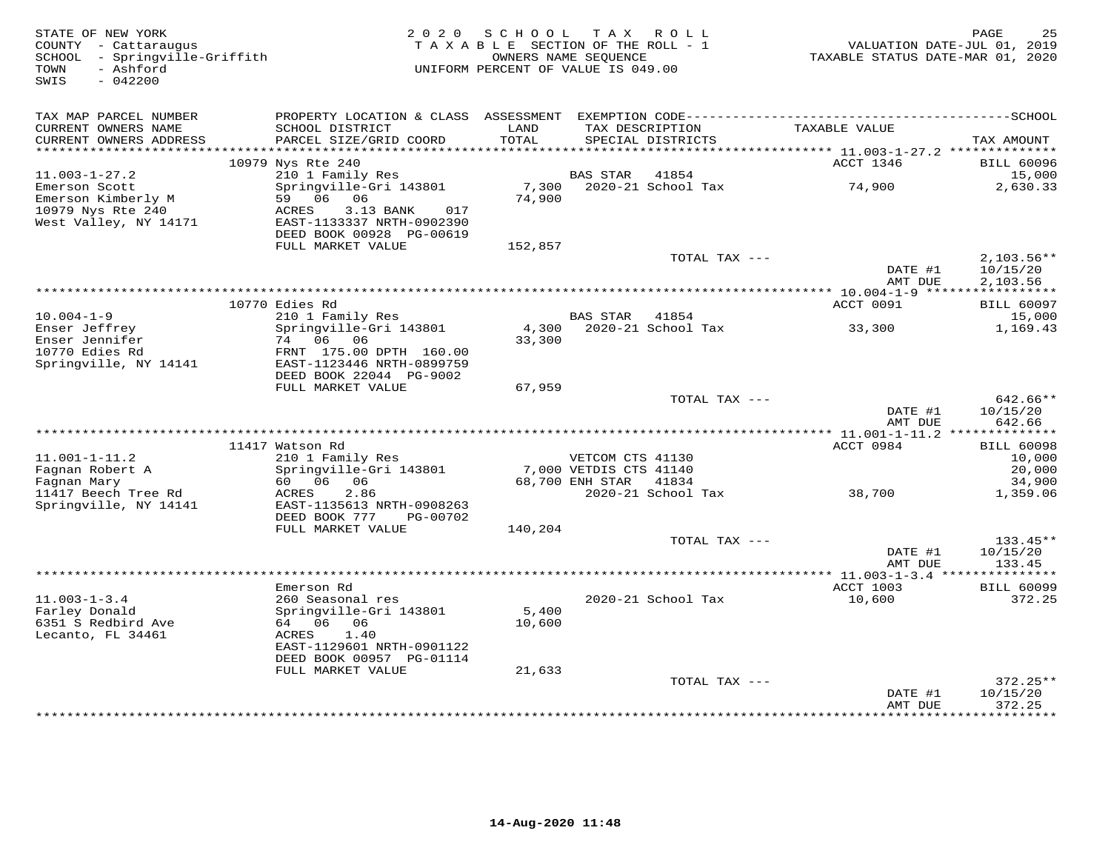| STATE OF NEW YORK<br>COUNTY - Cattaraugus<br>SCHOOL - Springville-Griffith<br>- Ashford<br>TOWN<br>SWIS<br>$-042200$ | 2 0 2 0                                               | SCHOOL<br>TAXABLE SECTION OF THE ROLL - 1<br>OWNERS NAME SEOUENCE<br>UNIFORM PERCENT OF VALUE IS 049.00 |                        | TAX ROLL           | VALUATION DATE-JUL 01, 2019<br>TAXABLE STATUS DATE-MAR 01, 2020 | PAGE<br>25                       |
|----------------------------------------------------------------------------------------------------------------------|-------------------------------------------------------|---------------------------------------------------------------------------------------------------------|------------------------|--------------------|-----------------------------------------------------------------|----------------------------------|
|                                                                                                                      |                                                       |                                                                                                         |                        |                    |                                                                 |                                  |
| TAX MAP PARCEL NUMBER                                                                                                |                                                       |                                                                                                         |                        |                    |                                                                 |                                  |
| CURRENT OWNERS NAME                                                                                                  | SCHOOL DISTRICT                                       | LAND                                                                                                    |                        | TAX DESCRIPTION    | TAXABLE VALUE                                                   |                                  |
| CURRENT OWNERS ADDRESS                                                                                               | PARCEL SIZE/GRID COORD                                | TOTAL                                                                                                   |                        | SPECIAL DISTRICTS  |                                                                 | TAX AMOUNT                       |
| ***********************                                                                                              | 10979 Nys Rte 240                                     |                                                                                                         |                        |                    | ACCT 1346                                                       | <b>BILL 60096</b>                |
| $11.003 - 1 - 27.2$                                                                                                  | 210 1 Family Res                                      |                                                                                                         | <b>BAS STAR</b>        | 41854              |                                                                 | 15,000                           |
| Emerson Scott                                                                                                        | Springville-Gri 143801                                | 7,300                                                                                                   |                        | 2020-21 School Tax | 74,900                                                          | 2,630.33                         |
| Emerson Kimberly M                                                                                                   | 59 06 06                                              | 74,900                                                                                                  |                        |                    |                                                                 |                                  |
| 10979 Nys Rte 240                                                                                                    | ACRES<br>3.13 BANK<br>017                             |                                                                                                         |                        |                    |                                                                 |                                  |
| West Valley, NY 14171                                                                                                | EAST-1133337 NRTH-0902390<br>DEED BOOK 00928 PG-00619 |                                                                                                         |                        |                    |                                                                 |                                  |
|                                                                                                                      | FULL MARKET VALUE                                     | 152,857                                                                                                 |                        |                    |                                                                 |                                  |
|                                                                                                                      |                                                       |                                                                                                         |                        | TOTAL TAX ---      |                                                                 | $2,103.56**$                     |
|                                                                                                                      |                                                       |                                                                                                         |                        |                    | DATE #1                                                         | 10/15/20                         |
|                                                                                                                      |                                                       |                                                                                                         |                        |                    | AMT DUE                                                         | 2,103.56                         |
|                                                                                                                      | 10770 Edies Rd                                        |                                                                                                         |                        |                    | ********** 10.004-1-9 ******<br>ACCT 0091                       | ***********<br><b>BILL 60097</b> |
| $10.004 - 1 - 9$                                                                                                     | 210 1 Family Res                                      |                                                                                                         | <b>BAS STAR</b>        | 41854              |                                                                 | 15,000                           |
| Enser Jeffrey                                                                                                        | Springville-Gri 143801                                | 4,300                                                                                                   |                        | 2020-21 School Tax | 33,300                                                          | 1,169.43                         |
| Enser Jennifer                                                                                                       | 74 06 06                                              | 33,300                                                                                                  |                        |                    |                                                                 |                                  |
| 10770 Edies Rd                                                                                                       | FRNT 175.00 DPTH 160.00                               |                                                                                                         |                        |                    |                                                                 |                                  |
| Springville, NY 14141                                                                                                | EAST-1123446 NRTH-0899759<br>DEED BOOK 22044 PG-9002  |                                                                                                         |                        |                    |                                                                 |                                  |
|                                                                                                                      | FULL MARKET VALUE                                     | 67,959                                                                                                  |                        |                    |                                                                 |                                  |
|                                                                                                                      |                                                       |                                                                                                         |                        | TOTAL TAX ---      |                                                                 | $642.66**$                       |
|                                                                                                                      |                                                       |                                                                                                         |                        |                    | DATE #1                                                         | 10/15/20                         |
|                                                                                                                      |                                                       |                                                                                                         |                        |                    | AMT DUE                                                         | 642.66                           |
|                                                                                                                      | 11417 Watson Rd                                       |                                                                                                         |                        |                    | ACCT 0984                                                       | <b>BILL 60098</b>                |
| $11.001 - 1 - 11.2$                                                                                                  | 210 1 Family Res                                      |                                                                                                         | VETCOM CTS 41130       |                    |                                                                 | 10,000                           |
| Fagnan Robert A                                                                                                      | Springville-Gri 143801                                |                                                                                                         | 7,000 VETDIS CTS 41140 |                    |                                                                 | 20,000                           |
| Fagnan Mary                                                                                                          | 06<br>60 06                                           |                                                                                                         | 68,700 ENH STAR        | 41834              |                                                                 | 34,900                           |
| 11417 Beech Tree Rd                                                                                                  | ACRES<br>2.86                                         |                                                                                                         |                        | 2020-21 School Tax | 38,700                                                          | 1,359.06                         |
| Springville, NY 14141                                                                                                | EAST-1135613 NRTH-0908263                             |                                                                                                         |                        |                    |                                                                 |                                  |
|                                                                                                                      | DEED BOOK 777<br>PG-00702<br>FULL MARKET VALUE        | 140,204                                                                                                 |                        |                    |                                                                 |                                  |
|                                                                                                                      |                                                       |                                                                                                         |                        | TOTAL TAX ---      |                                                                 | 133.45**                         |
|                                                                                                                      |                                                       |                                                                                                         |                        |                    | DATE #1                                                         | 10/15/20                         |
|                                                                                                                      |                                                       |                                                                                                         |                        |                    | AMT DUE                                                         | 133.45                           |
|                                                                                                                      | Emerson Rd                                            |                                                                                                         |                        |                    | ****************** 11.003-1-3.4 ****************<br>ACCT 1003   | <b>BILL 60099</b>                |
| $11.003 - 1 - 3.4$                                                                                                   | 260 Seasonal res                                      |                                                                                                         |                        | 2020-21 School Tax | 10,600                                                          | 372.25                           |
| Farley Donald                                                                                                        | Springville-Gri 143801                                | 5,400                                                                                                   |                        |                    |                                                                 |                                  |
| 6351 S Redbird Ave                                                                                                   | 64 06 06                                              | 10,600                                                                                                  |                        |                    |                                                                 |                                  |
| Lecanto, FL 34461                                                                                                    | ACRES<br>1.40                                         |                                                                                                         |                        |                    |                                                                 |                                  |
|                                                                                                                      | EAST-1129601 NRTH-0901122                             |                                                                                                         |                        |                    |                                                                 |                                  |
|                                                                                                                      | DEED BOOK 00957 PG-01114<br>FULL MARKET VALUE         | 21,633                                                                                                  |                        |                    |                                                                 |                                  |
|                                                                                                                      |                                                       |                                                                                                         |                        | TOTAL TAX ---      |                                                                 | $372.25**$                       |
|                                                                                                                      |                                                       |                                                                                                         |                        |                    | DATE #1                                                         | 10/15/20                         |
|                                                                                                                      |                                                       |                                                                                                         |                        |                    | AMT DUE                                                         | 372.25<br>* * * * * * * *        |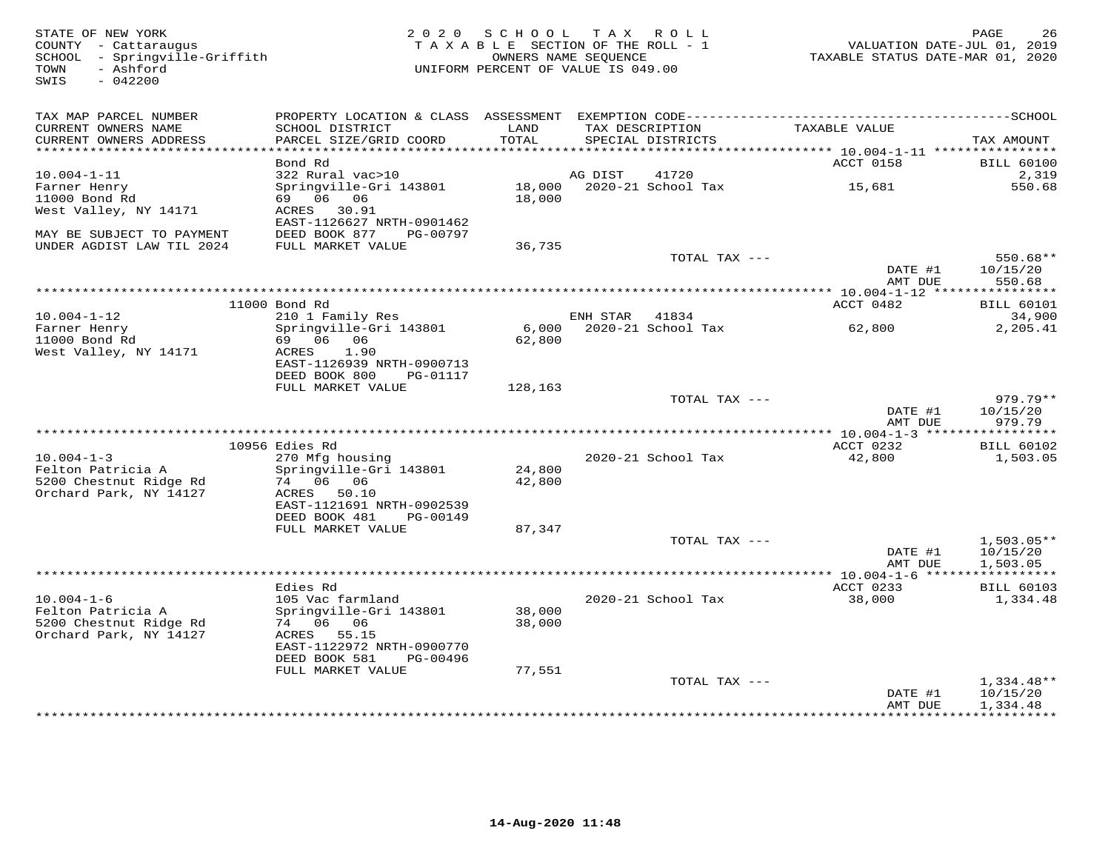| STATE OF NEW YORK<br>COUNTY - Cattaraugus<br>SCHOOL - Springville-Griffith<br>- Ashford<br>TOWN<br>$-042200$<br>SWIS |                                                | 2020 SCHOOL<br>TAXABLE SECTION OF THE ROLL - 1<br>OWNERS NAME SEQUENCE<br>UNIFORM PERCENT OF VALUE IS 049.00 | T A X    | ROLL                                 | TAXABLE STATUS DATE-MAR 01, 2020                            | PAGE<br>26<br>VALUATION DATE-JUL 01, 2019 |
|----------------------------------------------------------------------------------------------------------------------|------------------------------------------------|--------------------------------------------------------------------------------------------------------------|----------|--------------------------------------|-------------------------------------------------------------|-------------------------------------------|
| TAX MAP PARCEL NUMBER                                                                                                |                                                |                                                                                                              |          |                                      |                                                             |                                           |
| CURRENT OWNERS NAME<br>CURRENT OWNERS ADDRESS<br>***********************                                             | SCHOOL DISTRICT<br>PARCEL SIZE/GRID COORD      | LAND<br>TOTAL                                                                                                |          | TAX DESCRIPTION<br>SPECIAL DISTRICTS | TAXABLE VALUE                                               | TAX AMOUNT                                |
|                                                                                                                      | Bond Rd                                        |                                                                                                              |          |                                      | ACCT 0158                                                   | <b>BILL 60100</b>                         |
| $10.004 - 1 - 11$                                                                                                    | 322 Rural vac>10                               |                                                                                                              | AG DIST  | 41720                                |                                                             | 2,319                                     |
| Farner Henry<br>11000 Bond Rd                                                                                        | Springville-Gri 143801<br>69 06 06             | 18,000<br>18,000                                                                                             |          | 2020-21 School Tax                   | 15,681                                                      | 550.68                                    |
| West Valley, NY 14171                                                                                                | ACRES 30.91<br>EAST-1126627 NRTH-0901462       |                                                                                                              |          |                                      |                                                             |                                           |
| MAY BE SUBJECT TO PAYMENT<br>UNDER AGDIST LAW TIL 2024                                                               | DEED BOOK 877<br>PG-00797<br>FULL MARKET VALUE | 36,735                                                                                                       |          |                                      |                                                             |                                           |
|                                                                                                                      |                                                |                                                                                                              |          | TOTAL TAX ---                        |                                                             | $550.68**$                                |
|                                                                                                                      |                                                |                                                                                                              |          |                                      | DATE #1<br>AMT DUE                                          | 10/15/20<br>550.68                        |
|                                                                                                                      | 11000 Bond Rd                                  |                                                                                                              |          |                                      | **************** 10.004-1-12 *****************<br>ACCT 0482 | <b>BILL 60101</b>                         |
| $10.004 - 1 - 12$                                                                                                    | 210 1 Family Res                               |                                                                                                              | ENH STAR | 41834                                |                                                             | 34,900                                    |
| Farner Henry<br>11000 Bond Rd                                                                                        | Springville-Gri 143801<br>69 06 06             | 6,000<br>62,800                                                                                              |          | 2020-21 School Tax                   | 62,800                                                      | 2,205.41                                  |
| West Valley, NY 14171                                                                                                | ACRES<br>1.90<br>EAST-1126939 NRTH-0900713     |                                                                                                              |          |                                      |                                                             |                                           |
|                                                                                                                      | DEED BOOK 800<br>PG-01117<br>FULL MARKET VALUE | 128,163                                                                                                      |          |                                      |                                                             |                                           |
|                                                                                                                      |                                                |                                                                                                              |          | TOTAL TAX ---                        |                                                             | 979.79**                                  |
|                                                                                                                      |                                                |                                                                                                              |          |                                      | DATE #1                                                     | 10/15/20                                  |
|                                                                                                                      |                                                |                                                                                                              |          |                                      | AMT DUE                                                     | 979.79                                    |
|                                                                                                                      | 10956 Edies Rd                                 |                                                                                                              |          |                                      | ACCT 0232                                                   | <b>BILL 60102</b>                         |
| $10.004 - 1 - 3$                                                                                                     | 270 Mfg housing                                |                                                                                                              |          | 2020-21 School Tax                   | 42,800                                                      | 1,503.05                                  |
| Felton Patricia A                                                                                                    | Springville-Gri 143801                         | 24,800                                                                                                       |          |                                      |                                                             |                                           |
| 5200 Chestnut Ridge Rd<br>Orchard Park, NY 14127                                                                     | 74 06 06<br>ACRES 50.10                        | 42,800                                                                                                       |          |                                      |                                                             |                                           |
|                                                                                                                      | EAST-1121691 NRTH-0902539                      |                                                                                                              |          |                                      |                                                             |                                           |
|                                                                                                                      | DEED BOOK 481<br>PG-00149<br>FULL MARKET VALUE | 87,347                                                                                                       |          |                                      |                                                             |                                           |
|                                                                                                                      |                                                |                                                                                                              |          | TOTAL TAX ---                        |                                                             | $1,503.05**$                              |
|                                                                                                                      |                                                |                                                                                                              |          |                                      | DATE #1                                                     | 10/15/20                                  |
|                                                                                                                      |                                                |                                                                                                              |          |                                      | AMT DUE                                                     | 1,503.05                                  |
|                                                                                                                      | Edies Rd                                       |                                                                                                              |          |                                      | ACCT 0233                                                   | <b>BILL 60103</b>                         |
| $10.004 - 1 - 6$<br>Felton Patricia A                                                                                | 105 Vac farmland<br>Springville-Gri 143801     | 38,000                                                                                                       |          | 2020-21 School Tax                   | 38,000                                                      | 1,334.48                                  |
| 5200 Chestnut Ridge Rd                                                                                               | 74 06 06                                       | 38,000                                                                                                       |          |                                      |                                                             |                                           |
| Orchard Park, NY 14127                                                                                               | ACRES 55.15<br>EAST-1122972 NRTH-0900770       |                                                                                                              |          |                                      |                                                             |                                           |
|                                                                                                                      | DEED BOOK 581<br>PG-00496<br>FULL MARKET VALUE | 77,551                                                                                                       |          |                                      |                                                             |                                           |
|                                                                                                                      |                                                |                                                                                                              |          | TOTAL TAX ---                        |                                                             | $1,334.48**$                              |
|                                                                                                                      |                                                |                                                                                                              |          |                                      | DATE #1<br>AMT DUE                                          | 10/15/20<br>1,334.48                      |
|                                                                                                                      |                                                |                                                                                                              |          |                                      |                                                             | <b>+++++++++++</b>                        |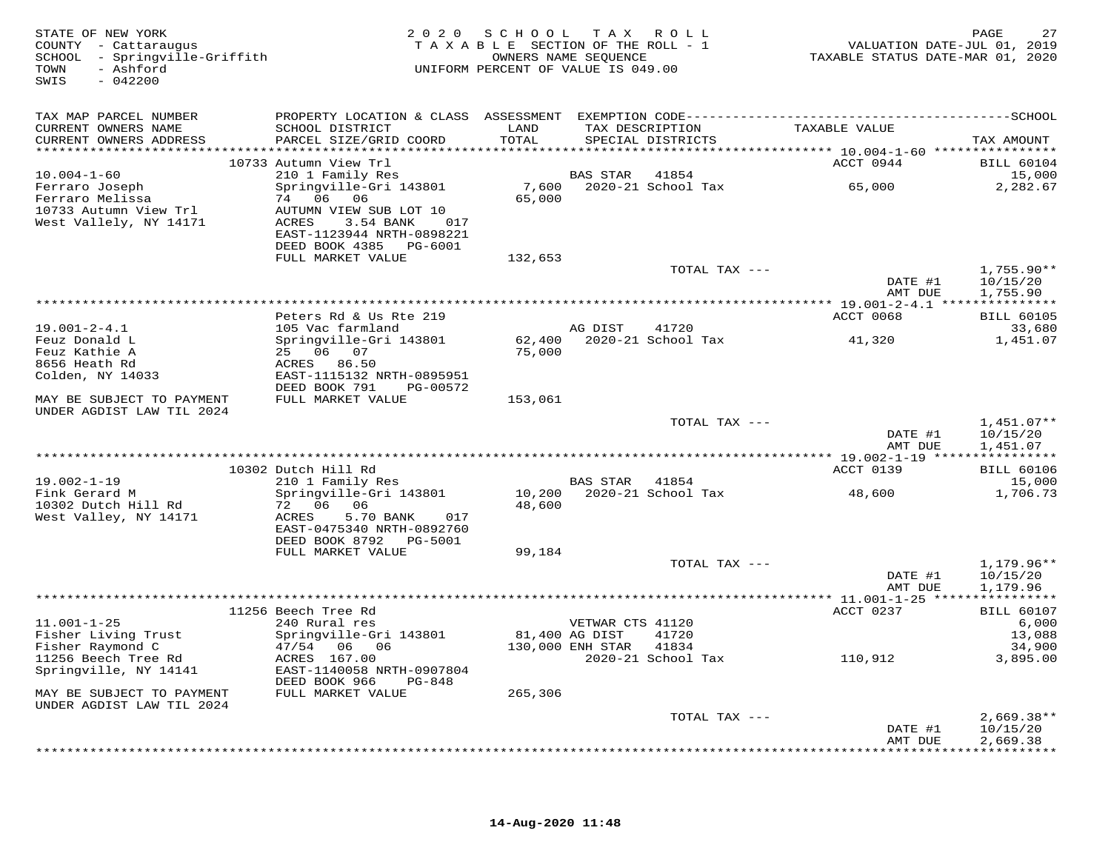| STATE OF NEW YORK<br>COUNTY - Cattaraugus<br>SCHOOL - Springville-Griffith<br>- Ashford<br>TOWN<br>$-042200$<br>SWIS |                                                                                                                                                                   | 2020 SCHOOL TAX ROLL<br>TAXABLE SECTION OF THE ROLL - 1<br>OWNERS NAME SEQUENCE<br>UNIFORM PERCENT OF VALUE IS 049.00 |                                      |                                      | VALUATION DATE-JUL 01, 2019<br>TAXABLE STATUS DATE-MAR 01, 2020 | 27<br>PAGE                           |
|----------------------------------------------------------------------------------------------------------------------|-------------------------------------------------------------------------------------------------------------------------------------------------------------------|-----------------------------------------------------------------------------------------------------------------------|--------------------------------------|--------------------------------------|-----------------------------------------------------------------|--------------------------------------|
| TAX MAP PARCEL NUMBER<br>CURRENT OWNERS NAME<br>CURRENT OWNERS ADDRESS                                               | PROPERTY LOCATION & CLASS ASSESSMENT EXEMPTION CODE-----------------------------------SCHOOL<br>SCHOOL DISTRICT<br>PARCEL SIZE/GRID COORD                         | LAND<br>TOTAL                                                                                                         |                                      | TAX DESCRIPTION<br>SPECIAL DISTRICTS | TAXABLE VALUE                                                   | TAX AMOUNT                           |
|                                                                                                                      | 10733 Autumn View Trl                                                                                                                                             |                                                                                                                       |                                      |                                      | ACCT 0944                                                       | <b>BILL 60104</b>                    |
| $10.004 - 1 - 60$<br>Ferraro Joseph<br>Ferraro Melissa<br>10733 Autumn View Trl<br>West Vallely, NY 14171            | 210 1 Family Res<br>Springville-Gri 143801<br>74 06 06<br>AUTUMN VIEW SUB LOT 10<br>ACRES<br>3.54 BANK 017<br>EAST-1123944 NRTH-0898221<br>DEED BOOK 4385 PG-6001 | 65,000                                                                                                                | BAS STAR 41854                       | 7,600 2020-21 School Tax             | 65,000                                                          | 15,000<br>2,282.67                   |
|                                                                                                                      | FULL MARKET VALUE                                                                                                                                                 | 132,653                                                                                                               |                                      | TOTAL TAX ---                        |                                                                 | $1,755.90**$                         |
|                                                                                                                      |                                                                                                                                                                   |                                                                                                                       |                                      |                                      | DATE #1<br>AMT DUE                                              | 10/15/20<br>1,755.90                 |
|                                                                                                                      | Peters Rd & Us Rte 219                                                                                                                                            |                                                                                                                       |                                      |                                      | ACCT 0068                                                       | <b>BILL 60105</b>                    |
| $19.001 - 2 - 4.1$                                                                                                   | 105 Vac farmland                                                                                                                                                  |                                                                                                                       | AG DIST                              | 41720                                |                                                                 | 33,680                               |
| Feuz Donald L<br>Feuz Kathie A<br>8656 Heath Rd<br>Colden, NY 14033                                                  | Springville-Gri 143801<br>25 06 07<br>ACRES 86.50<br>EAST-1115132 NRTH-0895951                                                                                    | 75,000                                                                                                                |                                      | 62,400 2020-21 School Tax            | 41,320                                                          | 1,451.07                             |
|                                                                                                                      | DEED BOOK 791 PG-00572                                                                                                                                            |                                                                                                                       |                                      |                                      |                                                                 |                                      |
| MAY BE SUBJECT TO PAYMENT<br>UNDER AGDIST LAW TIL 2024                                                               | FULL MARKET VALUE                                                                                                                                                 | 153,061                                                                                                               |                                      |                                      |                                                                 |                                      |
|                                                                                                                      |                                                                                                                                                                   |                                                                                                                       |                                      | TOTAL TAX ---                        | DATE #1<br>AMT DUE                                              | $1,451.07**$<br>10/15/20<br>1,451.07 |
|                                                                                                                      | 10302 Dutch Hill Rd                                                                                                                                               |                                                                                                                       |                                      |                                      | ACCT 0139                                                       | <b>BILL 60106</b>                    |
| $19.002 - 1 - 19$<br>Fink Gerard M<br>10302 Dutch Hill Rd<br>West Valley, NY 14171                                   | 210 1 Family Res<br>Springville-Gri 143801<br>72 06 06<br>ACRES<br>5.70 BANK<br>017                                                                               | 48,600                                                                                                                | BAS STAR 41854                       | 10,200 2020-21 School Tax            | 48,600                                                          | 15,000<br>1,706.73                   |
|                                                                                                                      | EAST-0475340 NRTH-0892760<br>DEED BOOK 8792    PG-5001                                                                                                            |                                                                                                                       |                                      |                                      |                                                                 |                                      |
|                                                                                                                      | FULL MARKET VALUE                                                                                                                                                 | 99,184                                                                                                                |                                      |                                      |                                                                 |                                      |
|                                                                                                                      |                                                                                                                                                                   |                                                                                                                       |                                      | TOTAL TAX ---                        | DATE #1<br>AMT DUE                                              | 1,179.96**<br>10/15/20<br>1,179.96   |
|                                                                                                                      | 11256 Beech Tree Rd                                                                                                                                               |                                                                                                                       |                                      |                                      | ACCT 0237                                                       | <b>BILL 60107</b>                    |
| $11.001 - 1 - 25$<br>Fisher Living Trust<br>Fisher Raymond C                                                         | 240 Rural res<br>Springville-Gri 143801<br>47/54 06 06                                                                                                            | 81,400 AG DIST                                                                                                        | VETWAR CTS 41120<br>130,000 ENH STAR | 41720<br>41834                       |                                                                 | 6,000<br>13,088<br>34,900            |
| 11256 Beech Tree Rd<br>Springville, NY 14141                                                                         | ACRES 167.00<br>EAST-1140058 NRTH-0907804<br>DEED BOOK 966<br>$PG-848$<br>FULL MARKET VALUE                                                                       | 265,306                                                                                                               |                                      | 2020-21 School Tax                   | 110,912                                                         | 3,895.00                             |
| MAY BE SUBJECT TO PAYMENT<br>UNDER AGDIST LAW TIL 2024                                                               |                                                                                                                                                                   |                                                                                                                       |                                      |                                      |                                                                 |                                      |
|                                                                                                                      |                                                                                                                                                                   |                                                                                                                       |                                      | TOTAL TAX ---                        | DATE #1<br>AMT DUE                                              | $2,669.38**$<br>10/15/20<br>2,669.38 |
|                                                                                                                      |                                                                                                                                                                   |                                                                                                                       |                                      |                                      |                                                                 |                                      |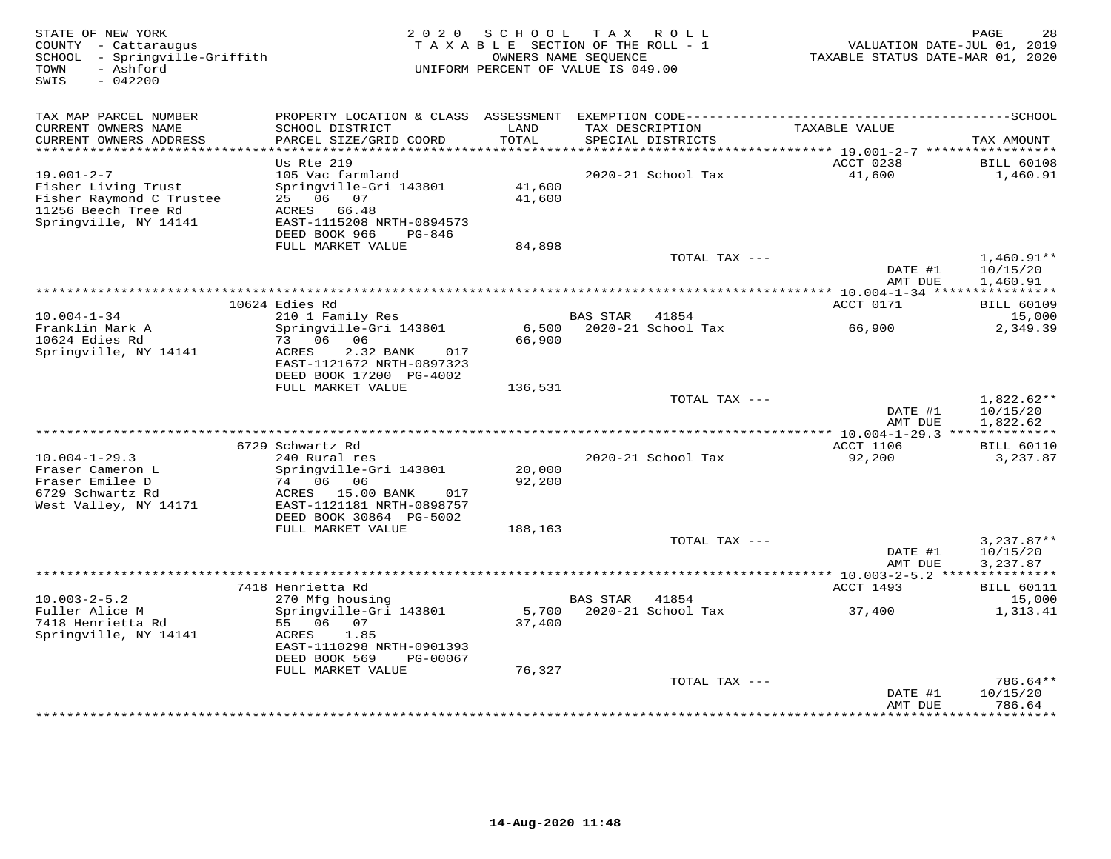| STATE OF NEW YORK<br>COUNTY - Cattaraugus<br>SCHOOL - Springville-Griffith<br>- Ashford<br>TOWN<br>$-042200$<br>SWIS | 2 0 2 0                                                                                                                       | SCHOOL           | TAX ROLL<br>TAXABLE SECTION OF THE ROLL - 1<br>OWNERS NAME SEQUENCE<br>UNIFORM PERCENT OF VALUE IS 049.00 | VALUATION DATE-JUL 01, 2019<br>TAXABLE STATUS DATE-MAR 01, 2020 | 28<br>PAGE                           |
|----------------------------------------------------------------------------------------------------------------------|-------------------------------------------------------------------------------------------------------------------------------|------------------|-----------------------------------------------------------------------------------------------------------|-----------------------------------------------------------------|--------------------------------------|
| TAX MAP PARCEL NUMBER                                                                                                | PROPERTY LOCATION & CLASS ASSESSMENT                                                                                          |                  |                                                                                                           |                                                                 |                                      |
| CURRENT OWNERS NAME<br>CURRENT OWNERS ADDRESS<br>**********************                                              | SCHOOL DISTRICT<br>PARCEL SIZE/GRID COORD<br>*************************                                                        | LAND<br>TOTAL    | TAX DESCRIPTION<br>SPECIAL DISTRICTS                                                                      | TAXABLE VALUE                                                   | TAX AMOUNT                           |
|                                                                                                                      | Us Rte 219                                                                                                                    |                  |                                                                                                           | ACCT 0238                                                       | <b>BILL 60108</b>                    |
| $19.001 - 2 - 7$<br>Fisher Living Trust<br>Fisher Raymond C Trustee<br>11256 Beech Tree Rd<br>Springville, NY 14141  | 105 Vac farmland<br>Springville-Gri 143801<br>25 06 07<br>ACRES 66.48<br>EAST-1115208 NRTH-0894573<br>DEED BOOK 966<br>PG-846 | 41,600<br>41,600 | 2020-21 School Tax                                                                                        | 41,600                                                          | 1,460.91                             |
|                                                                                                                      | FULL MARKET VALUE                                                                                                             | 84,898           |                                                                                                           |                                                                 |                                      |
|                                                                                                                      |                                                                                                                               |                  | TOTAL TAX ---                                                                                             | DATE #1<br>AMT DUE                                              | $1,460.91**$<br>10/15/20<br>1,460.91 |
|                                                                                                                      |                                                                                                                               |                  | **********************************                                                                        | **** 10.004-1-34 *****************                              |                                      |
|                                                                                                                      | 10624 Edies Rd                                                                                                                |                  |                                                                                                           | ACCT 0171                                                       | <b>BILL 60109</b>                    |
| $10.004 - 1 - 34$<br>Franklin Mark A<br>10624 Edies Rd                                                               | 210 1 Family Res<br>Springville-Gri 143801<br>73 06<br>06                                                                     | 6,500<br>66,900  | <b>BAS STAR</b><br>41854<br>2020-21 School Tax                                                            | 66,900                                                          | 15,000<br>2,349.39                   |
| Springville, NY 14141                                                                                                | ACRES<br>2.32 BANK<br>017<br>EAST-1121672 NRTH-0897323<br>DEED BOOK 17200 PG-4002                                             |                  |                                                                                                           |                                                                 |                                      |
|                                                                                                                      | FULL MARKET VALUE                                                                                                             | 136,531          |                                                                                                           |                                                                 |                                      |
|                                                                                                                      |                                                                                                                               |                  | TOTAL TAX ---                                                                                             | DATE #1<br>AMT DUE                                              | 1,822.62**<br>10/15/20<br>1,822.62   |
|                                                                                                                      |                                                                                                                               |                  |                                                                                                           |                                                                 |                                      |
| $10.004 - 1 - 29.3$                                                                                                  | 6729 Schwartz Rd<br>240 Rural res                                                                                             |                  | 2020-21 School Tax                                                                                        | <b>ACCT 1106</b><br>92,200                                      | <b>BILL 60110</b><br>3,237.87        |
| Fraser Cameron L<br>Fraser Emilee D<br>6729 Schwartz Rd                                                              | Springville-Gri 143801<br>74 06<br>06<br>ACRES 15.00 BANK<br>017                                                              | 20,000<br>92,200 |                                                                                                           |                                                                 |                                      |
| West Valley, NY 14171                                                                                                | EAST-1121181 NRTH-0898757<br>DEED BOOK 30864 PG-5002                                                                          |                  |                                                                                                           |                                                                 |                                      |
|                                                                                                                      | FULL MARKET VALUE                                                                                                             | 188,163          | TOTAL TAX ---                                                                                             |                                                                 | $3,237.87**$                         |
|                                                                                                                      |                                                                                                                               |                  |                                                                                                           | DATE #1<br>AMT DUE                                              | 10/15/20<br>3,237.87                 |
|                                                                                                                      |                                                                                                                               |                  |                                                                                                           | ************ 10.003-2-5.2 ****************                      |                                      |
| $10.003 - 2 - 5.2$                                                                                                   | 7418 Henrietta Rd<br>270 Mfg housing                                                                                          |                  | <b>BAS STAR</b><br>41854                                                                                  | ACCT 1493                                                       | <b>BILL 60111</b><br>15,000          |
| Fuller Alice M<br>7418 Henrietta Rd                                                                                  | Springville-Gri 143801<br>55 06 07                                                                                            | 5,700<br>37,400  | 2020-21 School Tax                                                                                        | 37,400                                                          | 1,313.41                             |
| Springville, NY 14141                                                                                                | 1.85<br>ACRES<br>EAST-1110298 NRTH-0901393<br>DEED BOOK 569<br>PG-00067                                                       |                  |                                                                                                           |                                                                 |                                      |
|                                                                                                                      | FULL MARKET VALUE                                                                                                             | 76,327           |                                                                                                           |                                                                 |                                      |
|                                                                                                                      |                                                                                                                               |                  | TOTAL TAX ---                                                                                             | DATE #1                                                         | 786.64**<br>10/15/20                 |
|                                                                                                                      |                                                                                                                               |                  |                                                                                                           | AMT DUE                                                         | 786.64<br>********                   |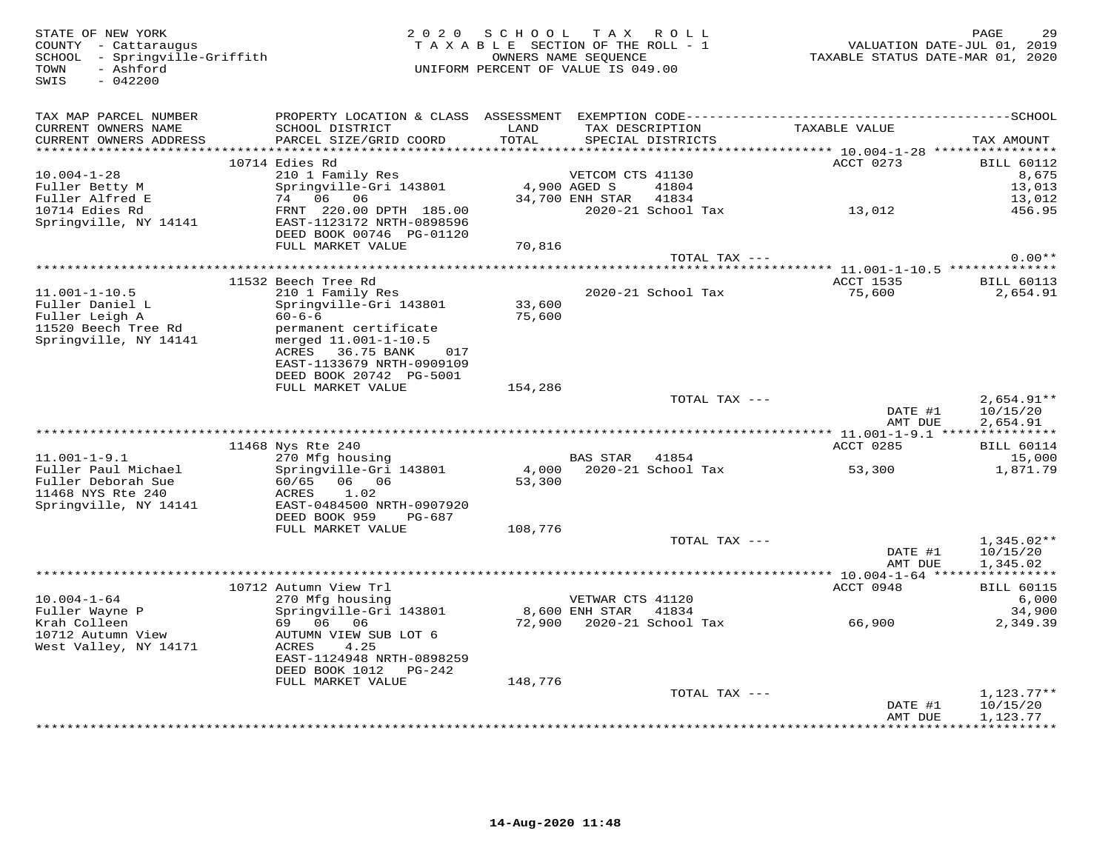| STATE OF NEW YORK<br>COUNTY - Cattaraugus<br>SCHOOL - Springville-Griffith<br>- Ashford<br>TOWN<br>$-042200$<br>SWIS |                                                                                                                                                       | 2020 SCHOOL<br>TAXABLE SECTION OF THE ROLL - 1<br>UNIFORM PERCENT OF VALUE IS 049.00 | OWNERS NAME SEQUENCE                     | TAX ROLL                             | VALUATION DATE-JUL 01, 2019<br>TAXABLE STATUS DATE-MAR 01, 2020 | PAGE                 | 29                            |
|----------------------------------------------------------------------------------------------------------------------|-------------------------------------------------------------------------------------------------------------------------------------------------------|--------------------------------------------------------------------------------------|------------------------------------------|--------------------------------------|-----------------------------------------------------------------|----------------------|-------------------------------|
| TAX MAP PARCEL NUMBER<br>CURRENT OWNERS NAME<br>CURRENT OWNERS ADDRESS<br>***********************                    | PROPERTY LOCATION & CLASS ASSESSMENT EXEMPTION CODE-----------------------------------SCHOOL<br>SCHOOL DISTRICT<br>PARCEL SIZE/GRID COORD             | LAND<br>TOTAL                                                                        |                                          | TAX DESCRIPTION<br>SPECIAL DISTRICTS | TAXABLE VALUE                                                   | TAX AMOUNT           |                               |
|                                                                                                                      | 10714 Edies Rd                                                                                                                                        |                                                                                      |                                          |                                      | ACCT 0273                                                       |                      | <b>BILL 60112</b>             |
| $10.004 - 1 - 28$<br>Fuller Betty M<br>Fuller Alfred E                                                               | 210 1 Family Res<br>Springville-Gri 143801<br>74 06 06                                                                                                | 4,900 AGED S                                                                         | VETCOM CTS 41130<br>34,700 ENH STAR      | 41804<br>41834                       |                                                                 |                      | 8,675<br>13,013<br>13,012     |
| 10714 Edies Rd<br>Springville, NY 14141                                                                              | FRNT 220.00 DPTH 185.00<br>EAST-1123172 NRTH-0898596<br>DEED BOOK 00746 PG-01120                                                                      |                                                                                      |                                          | 2020-21 School Tax                   | 13,012                                                          |                      | 456.95                        |
|                                                                                                                      | FULL MARKET VALUE                                                                                                                                     | 70,816                                                                               |                                          | TOTAL TAX ---                        |                                                                 |                      | $0.00**$                      |
|                                                                                                                      |                                                                                                                                                       |                                                                                      |                                          |                                      |                                                                 |                      |                               |
| $11.001 - 1 - 10.5$<br>Fuller Daniel L<br>Fuller Leigh A                                                             | 11532 Beech Tree Rd<br>210 1 Family Res<br>Springville-Gri 143801<br>$60 - 6 - 6$                                                                     | 33,600<br>75,600                                                                     |                                          | 2020-21 School Tax                   | ACCT 1535<br>75,600                                             |                      | <b>BILL 60113</b><br>2,654.91 |
| 11520 Beech Tree Rd<br>Springville, NY 14141                                                                         | permanent certificate<br>merged 11.001-1-10.5<br>ACRES 36.75 BANK<br>017<br>EAST-1133679 NRTH-0909109<br>DEED BOOK 20742 PG-5001<br>FULL MARKET VALUE | 154,286                                                                              |                                          |                                      |                                                                 |                      |                               |
|                                                                                                                      |                                                                                                                                                       |                                                                                      |                                          | TOTAL TAX ---                        |                                                                 |                      | $2,654.91**$                  |
|                                                                                                                      |                                                                                                                                                       |                                                                                      |                                          |                                      | DATE #1<br>AMT DUE                                              | 2,654.91             | 10/15/20                      |
|                                                                                                                      | 11468 Nys Rte 240                                                                                                                                     |                                                                                      |                                          |                                      | ACCT 0285                                                       |                      | <b>BILL 60114</b>             |
| $11.001 - 1 - 9.1$                                                                                                   | 270 Mfg housing                                                                                                                                       |                                                                                      | BAS STAR 41854                           |                                      |                                                                 |                      | 15,000                        |
| Fuller Paul Michael<br>Fuller Deborah Sue<br>11468 NYS Rte 240<br>Springville, NY 14141                              | Springville-Gri 143801<br>60/65<br>06 06<br>ACRES<br>1.02<br>EAST-0484500 NRTH-0907920                                                                | 4,000<br>53,300                                                                      |                                          | 2020-21 School Tax                   | 53,300                                                          |                      | 1,871.79                      |
|                                                                                                                      | DEED BOOK 959<br>PG-687<br>FULL MARKET VALUE                                                                                                          | 108,776                                                                              |                                          |                                      |                                                                 |                      |                               |
|                                                                                                                      |                                                                                                                                                       |                                                                                      |                                          | TOTAL TAX ---                        | DATE #1                                                         | 10/15/20             | $1,345.02**$                  |
|                                                                                                                      |                                                                                                                                                       |                                                                                      |                                          |                                      | AMT DUE                                                         | 1,345.02             |                               |
|                                                                                                                      | 10712 Autumn View Trl                                                                                                                                 |                                                                                      |                                          |                                      | ACCT 0948                                                       |                      | <b>BILL 60115</b>             |
| $10.004 - 1 - 64$<br>Fuller Wayne P                                                                                  | 270 Mfg housing<br>Springville-Gri 143801                                                                                                             |                                                                                      | VETWAR CTS 41120<br>8,600 ENH STAR 41834 |                                      |                                                                 |                      | 6,000<br>34,900               |
| Krah Colleen<br>10712 Autumn View<br>West Valley, NY 14171                                                           | 69 06<br>06<br>AUTUMN VIEW SUB LOT 6<br>ACRES<br>4.25<br>EAST-1124948 NRTH-0898259<br>DEED BOOK 1012 PG-242<br>FULL MARKET VALUE                      | 148,776                                                                              |                                          | 72,900 2020-21 School Tax            | 66,900                                                          |                      | 2,349.39                      |
|                                                                                                                      |                                                                                                                                                       |                                                                                      |                                          | TOTAL TAX ---                        |                                                                 |                      | $1,123.77**$                  |
|                                                                                                                      |                                                                                                                                                       |                                                                                      |                                          |                                      | DATE #1<br>AMT DUE                                              | 10/15/20<br>1,123.77 |                               |
|                                                                                                                      |                                                                                                                                                       |                                                                                      |                                          |                                      |                                                                 | ***********          |                               |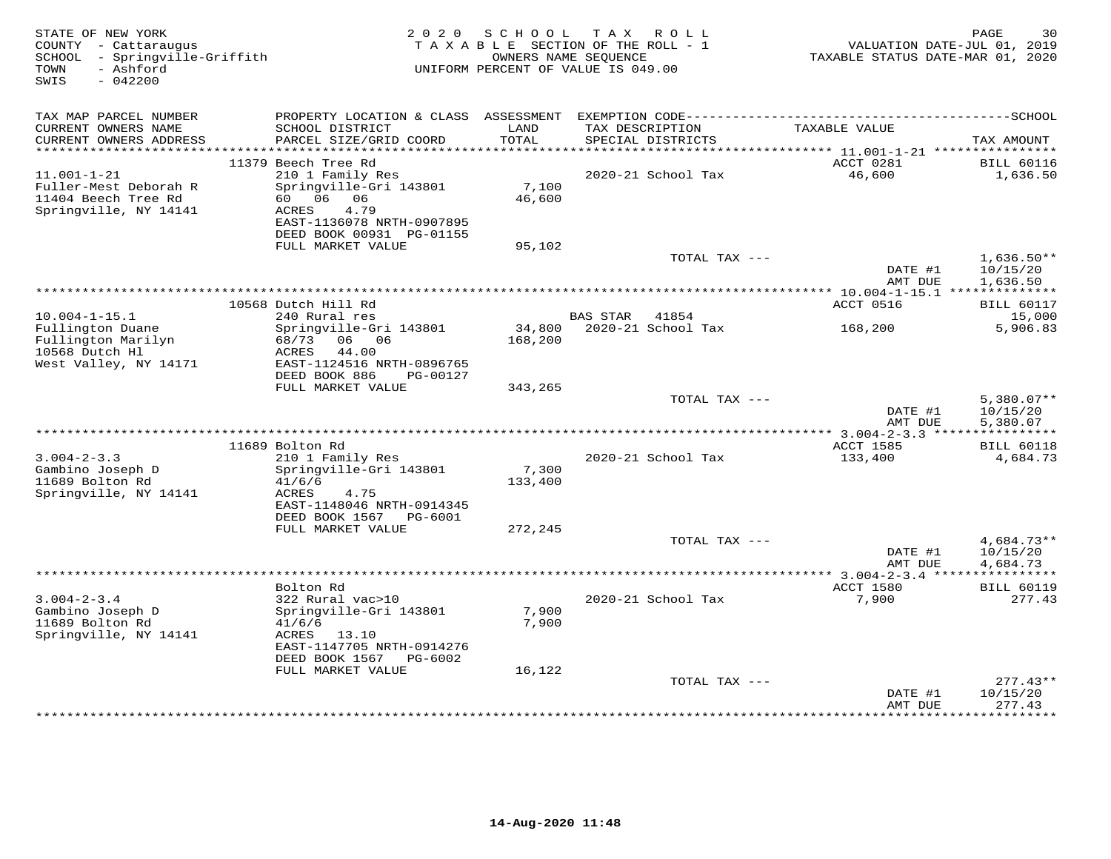| STATE OF NEW YORK<br>COUNTY - Cattaraugus<br>SCHOOL - Springville-Griffith<br>- Ashford<br>TOWN<br>$-042200$<br>SWIS | 2 0 2 0                                                | SCHOOL<br>TAXABLE SECTION OF THE ROLL - 1<br>UNIFORM PERCENT OF VALUE IS 049.00 | OWNERS NAME SEOUENCE | TAX ROLL                    | TAXABLE STATUS DATE-MAR 01, 2020 | PAGE<br>30<br>VALUATION DATE-JUL 01, 2019 |
|----------------------------------------------------------------------------------------------------------------------|--------------------------------------------------------|---------------------------------------------------------------------------------|----------------------|-----------------------------|----------------------------------|-------------------------------------------|
| TAX MAP PARCEL NUMBER                                                                                                | PROPERTY LOCATION & CLASS ASSESSMENT                   |                                                                                 |                      |                             |                                  |                                           |
| CURRENT OWNERS NAME<br>CURRENT OWNERS ADDRESS<br>**********************                                              | SCHOOL DISTRICT<br>PARCEL SIZE/GRID COORD              | LAND<br>TOTAL                                                                   | TAX DESCRIPTION      | SPECIAL DISTRICTS           | TAXABLE VALUE                    | TAX AMOUNT                                |
|                                                                                                                      | 11379 Beech Tree Rd                                    |                                                                                 |                      |                             | ACCT 0281                        | <b>BILL 60116</b>                         |
| $11.001 - 1 - 21$                                                                                                    | 210 1 Family Res                                       |                                                                                 |                      | 2020-21 School Tax          | 46,600                           | 1,636.50                                  |
| Fuller-Mest Deborah R<br>11404 Beech Tree Rd                                                                         | Springville-Gri 143801<br>60 06<br>06                  | 7,100<br>46,600                                                                 |                      |                             |                                  |                                           |
| Springville, NY 14141                                                                                                | <b>ACRES</b><br>4.79                                   |                                                                                 |                      |                             |                                  |                                           |
|                                                                                                                      | EAST-1136078 NRTH-0907895                              |                                                                                 |                      |                             |                                  |                                           |
|                                                                                                                      | DEED BOOK 00931 PG-01155<br>FULL MARKET VALUE          | 95,102                                                                          |                      |                             |                                  |                                           |
|                                                                                                                      |                                                        |                                                                                 |                      | TOTAL TAX ---               |                                  | $1,636.50**$                              |
|                                                                                                                      |                                                        |                                                                                 |                      |                             | DATE #1<br>AMT DUE               | 10/15/20<br>1,636.50                      |
|                                                                                                                      |                                                        | **********************************                                              |                      |                             | *** 10.004-1-15.1 ************** |                                           |
|                                                                                                                      | 10568 Dutch Hill Rd                                    |                                                                                 |                      |                             | ACCT 0516                        | <b>BILL 60117</b>                         |
| $10.004 - 1 - 15.1$<br>Fullington Duane                                                                              | 240 Rural res                                          |                                                                                 | <b>BAS STAR</b>      | 41854<br>2020-21 School Tax |                                  | 15,000                                    |
| Fullington Marilyn                                                                                                   | Springville-Gri 143801<br>68/73<br>06 06               | 34,800<br>168,200                                                               |                      |                             | 168,200                          | 5,906.83                                  |
| 10568 Dutch Hl                                                                                                       | ACRES<br>44.00                                         |                                                                                 |                      |                             |                                  |                                           |
| West Valley, NY 14171                                                                                                | EAST-1124516 NRTH-0896765                              |                                                                                 |                      |                             |                                  |                                           |
|                                                                                                                      | DEED BOOK 886<br>PG-00127                              |                                                                                 |                      |                             |                                  |                                           |
|                                                                                                                      | FULL MARKET VALUE                                      | 343,265                                                                         |                      | TOTAL TAX ---               |                                  | $5,380.07**$                              |
|                                                                                                                      |                                                        |                                                                                 |                      |                             | DATE #1                          | 10/15/20                                  |
|                                                                                                                      |                                                        |                                                                                 |                      |                             | AMT DUE                          | 5.380.07                                  |
|                                                                                                                      |                                                        |                                                                                 |                      |                             |                                  |                                           |
| $3.004 - 2 - 3.3$                                                                                                    | 11689 Bolton Rd<br>210 1 Family Res                    |                                                                                 |                      | 2020-21 School Tax          | <b>ACCT 1585</b><br>133,400      | <b>BILL 60118</b><br>4,684.73             |
| Gambino Joseph D                                                                                                     | Springville-Gri 143801                                 | 7,300                                                                           |                      |                             |                                  |                                           |
| 11689 Bolton Rd                                                                                                      | 41/6/6                                                 | 133,400                                                                         |                      |                             |                                  |                                           |
| Springville, NY 14141                                                                                                | ACRES<br>4.75                                          |                                                                                 |                      |                             |                                  |                                           |
|                                                                                                                      | EAST-1148046 NRTH-0914345<br>DEED BOOK 1567            |                                                                                 |                      |                             |                                  |                                           |
|                                                                                                                      | PG-6001<br>FULL MARKET VALUE                           | 272,245                                                                         |                      |                             |                                  |                                           |
|                                                                                                                      |                                                        |                                                                                 |                      | TOTAL TAX ---               |                                  | $4,684.73**$                              |
|                                                                                                                      |                                                        |                                                                                 |                      |                             | DATE #1                          | 10/15/20                                  |
|                                                                                                                      |                                                        |                                                                                 |                      |                             | AMT DUE                          | 4,684.73                                  |
|                                                                                                                      | Bolton Rd                                              |                                                                                 |                      |                             | ACCT 1580                        | <b>BILL 60119</b>                         |
| $3.004 - 2 - 3.4$                                                                                                    | 322 Rural vac>10                                       |                                                                                 |                      | 2020-21 School Tax          | 7,900                            | 277.43                                    |
| Gambino Joseph D                                                                                                     | Springville-Gri 143801                                 | 7,900                                                                           |                      |                             |                                  |                                           |
| 11689 Bolton Rd                                                                                                      | 41/6/6                                                 | 7,900                                                                           |                      |                             |                                  |                                           |
| Springville, NY 14141                                                                                                | ACRES<br>13.10                                         |                                                                                 |                      |                             |                                  |                                           |
|                                                                                                                      | EAST-1147705 NRTH-0914276<br>DEED BOOK 1567<br>PG-6002 |                                                                                 |                      |                             |                                  |                                           |
|                                                                                                                      | FULL MARKET VALUE                                      | 16,122                                                                          |                      |                             |                                  |                                           |
|                                                                                                                      |                                                        |                                                                                 |                      | TOTAL TAX ---               |                                  | $277.43**$                                |
|                                                                                                                      |                                                        |                                                                                 |                      |                             | DATE #1<br>AMT DUE               | 10/15/20<br>277.43                        |
|                                                                                                                      |                                                        |                                                                                 |                      |                             | ********                         | * * * * * * * * *                         |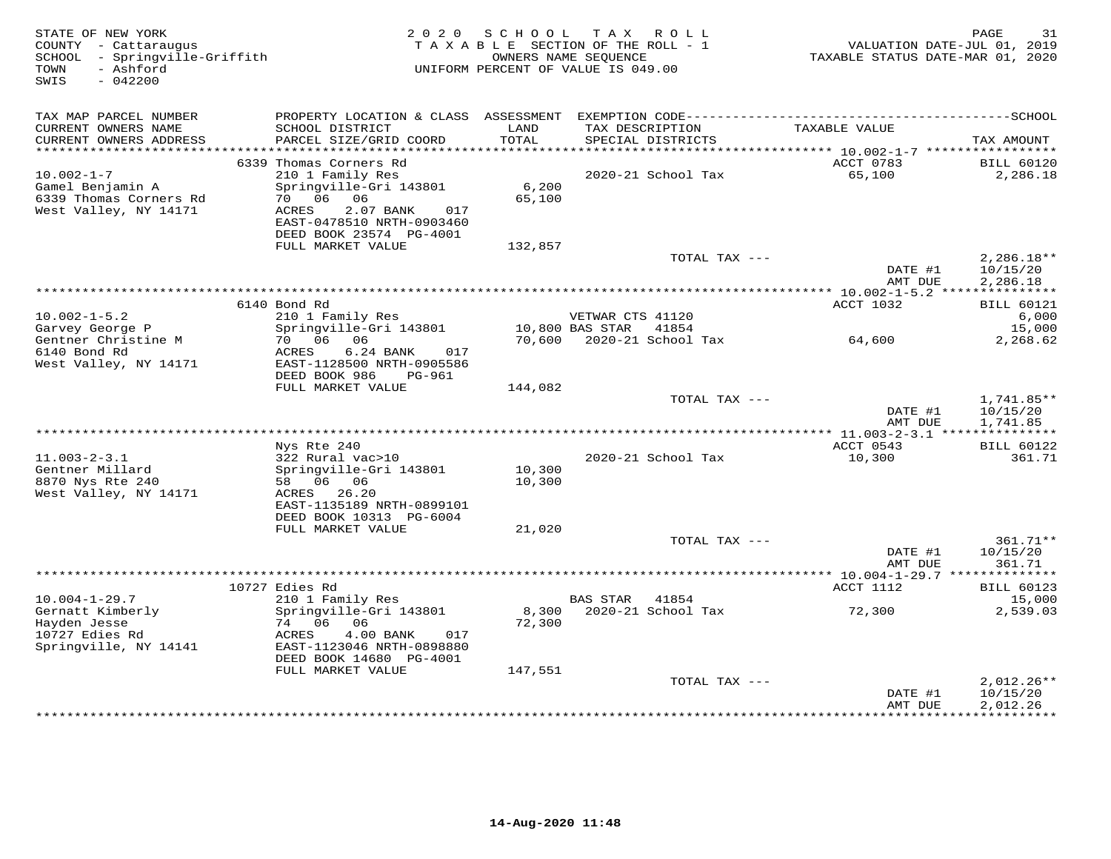| TAX MAP PARCEL NUMBER                                                                                                                                                                                                                                                                                                               |                                      |
|-------------------------------------------------------------------------------------------------------------------------------------------------------------------------------------------------------------------------------------------------------------------------------------------------------------------------------------|--------------------------------------|
| CURRENT OWNERS NAME<br>SCHOOL DISTRICT<br>LAND<br>TAX DESCRIPTION<br>TAXABLE VALUE<br>CURRENT OWNERS ADDRESS<br>PARCEL SIZE/GRID COORD<br>TOTAL<br>SPECIAL DISTRICTS                                                                                                                                                                | TAX AMOUNT                           |
|                                                                                                                                                                                                                                                                                                                                     |                                      |
| 6339 Thomas Corners Rd<br>ACCT 0783<br>$10.002 - 1 - 7$<br>210 1 Family Res<br>2020-21 School Tax<br>65,100<br>6,200<br>Springville-Gri 143801<br>Gamel Benjamin A<br>6339 Thomas Corners Rd<br>70 06 06<br>65,100<br>West Valley, NY 14171<br>ACRES<br>2.07 BANK<br>017<br>EAST-0478510 NRTH-0903460<br>DEED BOOK 23574 PG-4001    | <b>BILL 60120</b><br>2,286.18        |
| FULL MARKET VALUE<br>132,857                                                                                                                                                                                                                                                                                                        |                                      |
| TOTAL TAX ---<br>DATE #1<br>AMT DUE                                                                                                                                                                                                                                                                                                 | $2,286.18**$<br>10/15/20<br>2,286.18 |
| ****************<br>************** 10.002-1-5.2 ****************                                                                                                                                                                                                                                                                    |                                      |
| ACCT 1032<br>6140 Bond Rd                                                                                                                                                                                                                                                                                                           | <b>BILL 60121</b>                    |
| $10.002 - 1 - 5.2$<br>210 1 Family Res<br>VETWAR CTS 41120<br>Springville-Gri 143801<br>Garvey George P<br>10,800 BAS STAR 41854                                                                                                                                                                                                    | 6,000<br>15,000                      |
| 70 06 06<br>Gentner Christine M<br>70,600 2020-21 School Tax<br>64,600<br>6140 Bond Rd<br>6.24 BANK<br>ACRES<br>017<br>West Valley, NY 14171<br>EAST-1128500 NRTH-0905586                                                                                                                                                           | 2,268.62                             |
| DEED BOOK 986<br>PG-961                                                                                                                                                                                                                                                                                                             |                                      |
| FULL MARKET VALUE<br>144,082                                                                                                                                                                                                                                                                                                        |                                      |
| TOTAL TAX ---<br>DATE #1<br>AMT DUE                                                                                                                                                                                                                                                                                                 | 1,741.85**<br>10/15/20<br>1,741.85   |
|                                                                                                                                                                                                                                                                                                                                     |                                      |
| ACCT 0543<br>Nys Rte 240<br>$11.003 - 2 - 3.1$<br>322 Rural vac>10<br>2020-21 School Tax<br>10,300<br>10,300<br>Gentner Millard<br>Springville-Gri 143801<br>8870 Nys Rte 240<br>58 06 06<br>10,300<br>West Valley, NY 14171<br>ACRES 26.20                                                                                         | <b>BILL 60122</b><br>361.71          |
| EAST-1135189 NRTH-0899101<br>DEED BOOK 10313 PG-6004                                                                                                                                                                                                                                                                                |                                      |
| FULL MARKET VALUE<br>21,020                                                                                                                                                                                                                                                                                                         |                                      |
| TOTAL TAX ---<br>DATE #1<br>AMT DUE                                                                                                                                                                                                                                                                                                 | 361.71**<br>10/15/20<br>361.71       |
|                                                                                                                                                                                                                                                                                                                                     |                                      |
| 10727 Edies Rd<br>ACCT 1112                                                                                                                                                                                                                                                                                                         | <b>BILL 60123</b>                    |
| $10.004 - 1 - 29.7$<br>210 1 Family Res<br><b>BAS STAR</b><br>41854<br>72,300<br>Gernatt Kimberly<br>Springville-Gri 143801<br>8,300<br>2020-21 School Tax<br>72,300<br>Hayden Jesse<br>74 06<br>06<br>10727 Edies Rd<br>ACRES<br>4.00 BANK<br>017<br>Springville, NY 14141<br>EAST-1123046 NRTH-0898880<br>DEED BOOK 14680 PG-4001 | 15,000<br>2,539.03                   |
| FULL MARKET VALUE<br>147,551                                                                                                                                                                                                                                                                                                        |                                      |
| TOTAL TAX ---<br>DATE #1<br>AMT DUE                                                                                                                                                                                                                                                                                                 | $2,012.26**$<br>10/15/20<br>2,012.26 |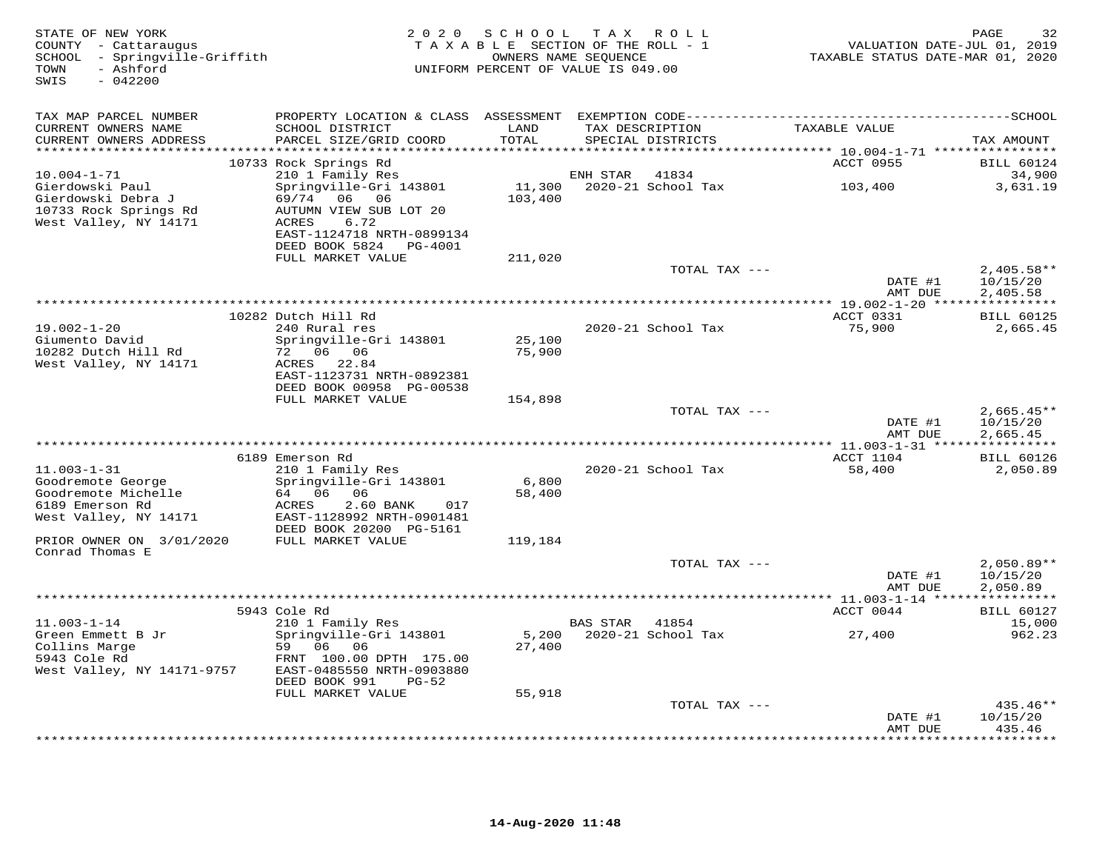| STATE OF NEW YORK<br>COUNTY - Cattaraugus<br>SCHOOL - Springville-Griffith<br>- Ashford<br>TOWN<br>$-042200$<br>SWIS | 2 0 2 0                                                                                   | SCHOOL            | TAX ROLL<br>TAXABLE SECTION OF THE ROLL - 1<br>OWNERS NAME SEQUENCE<br>UNIFORM PERCENT OF VALUE IS 049.00 | VALUATION DATE-JUL 01, 2019<br>TAXABLE STATUS DATE-MAR 01, 2020 | 32<br>PAGE                           |
|----------------------------------------------------------------------------------------------------------------------|-------------------------------------------------------------------------------------------|-------------------|-----------------------------------------------------------------------------------------------------------|-----------------------------------------------------------------|--------------------------------------|
| TAX MAP PARCEL NUMBER                                                                                                |                                                                                           |                   |                                                                                                           |                                                                 |                                      |
| CURRENT OWNERS NAME<br>CURRENT OWNERS ADDRESS<br>**********************                                              | SCHOOL DISTRICT<br>PARCEL SIZE/GRID COORD                                                 | LAND<br>TOTAL     | TAX DESCRIPTION<br>SPECIAL DISTRICTS                                                                      | TAXABLE VALUE                                                   | TAX AMOUNT                           |
|                                                                                                                      | 10733 Rock Springs Rd                                                                     |                   |                                                                                                           | ACCT 0955                                                       | <b>BILL 60124</b>                    |
| $10.004 - 1 - 71$<br>Gierdowski Paul<br>Gierdowski Debra J<br>10733 Rock Springs Rd                                  | 210 1 Family Res<br>Springville-Gri 143801<br>69/74<br>06<br>06<br>AUTUMN VIEW SUB LOT 20 | 11,300<br>103,400 | 41834<br>ENH STAR<br>2020-21 School Tax                                                                   | 103,400                                                         | 34,900<br>3,631.19                   |
| West Valley, NY 14171                                                                                                | ACRES<br>6.72<br>EAST-1124718 NRTH-0899134<br>DEED BOOK 5824 PG-4001<br>FULL MARKET VALUE | 211,020           |                                                                                                           |                                                                 |                                      |
|                                                                                                                      |                                                                                           |                   | TOTAL TAX ---                                                                                             |                                                                 | $2,405.58**$                         |
|                                                                                                                      |                                                                                           |                   |                                                                                                           | DATE #1<br>AMT DUE                                              | 10/15/20<br>2,405.58                 |
|                                                                                                                      |                                                                                           |                   |                                                                                                           |                                                                 |                                      |
| $19.002 - 1 - 20$<br>Giumento David                                                                                  | 10282 Dutch Hill Rd<br>240 Rural res<br>Springville-Gri 143801                            | 25,100            | 2020-21 School Tax                                                                                        | ACCT 0331<br>75,900                                             | <b>BILL 60125</b><br>2,665.45        |
| 10282 Dutch Hill Rd<br>West Valley, NY 14171                                                                         | 72 06 06<br>ACRES 22.84<br>EAST-1123731 NRTH-0892381<br>DEED BOOK 00958 PG-00538          | 75,900            |                                                                                                           |                                                                 |                                      |
|                                                                                                                      | FULL MARKET VALUE                                                                         | 154,898           |                                                                                                           |                                                                 |                                      |
|                                                                                                                      |                                                                                           |                   | TOTAL TAX ---                                                                                             | DATE #1<br>AMT DUE                                              | $2,665.45**$<br>10/15/20<br>2,665.45 |
|                                                                                                                      |                                                                                           |                   |                                                                                                           |                                                                 |                                      |
| $11.003 - 1 - 31$                                                                                                    | 6189 Emerson Rd<br>210 1 Family Res                                                       |                   | 2020-21 School Tax                                                                                        | ACCT 1104<br>58,400                                             | <b>BILL 60126</b><br>2,050.89        |
| Goodremote George<br>Goodremote Michelle                                                                             | Springville-Gri 143801<br>64 06 06                                                        | 6,800<br>58,400   |                                                                                                           |                                                                 |                                      |
| 6189 Emerson Rd<br>West Valley, NY 14171                                                                             | 2.60 BANK<br>ACRES<br>017<br>EAST-1128992 NRTH-0901481<br>DEED BOOK 20200 PG-5161         |                   |                                                                                                           |                                                                 |                                      |
| PRIOR OWNER ON 3/01/2020<br>Conrad Thomas E                                                                          | FULL MARKET VALUE                                                                         | 119,184           |                                                                                                           |                                                                 |                                      |
|                                                                                                                      |                                                                                           |                   | TOTAL TAX ---                                                                                             | DATE #1<br>AMT DUE                                              | $2,050.89**$<br>10/15/20<br>2,050.89 |
|                                                                                                                      |                                                                                           |                   |                                                                                                           |                                                                 |                                      |
| $11.003 - 1 - 14$                                                                                                    | 5943 Cole Rd<br>210 1 Family Res                                                          |                   | <b>BAS STAR</b><br>41854                                                                                  | ACCT 0044                                                       | <b>BILL 60127</b><br>15,000          |
| Green Emmett B Jr<br>Collins Marge<br>5943 Cole Rd                                                                   | Springville-Gri 143801<br>59 06 06<br>FRNT 100.00 DPTH 175.00                             | 5,200<br>27,400   | 2020-21 School Tax                                                                                        | 27,400                                                          | 962.23                               |
| West Valley, NY 14171-9757                                                                                           | EAST-0485550 NRTH-0903880<br>DEED BOOK 991<br>$PG-52$                                     |                   |                                                                                                           |                                                                 |                                      |
|                                                                                                                      | FULL MARKET VALUE                                                                         | 55,918            |                                                                                                           |                                                                 |                                      |
|                                                                                                                      |                                                                                           |                   | TOTAL TAX ---                                                                                             | DATE #1                                                         | $435.46**$<br>10/15/20<br>435.46     |
|                                                                                                                      |                                                                                           |                   |                                                                                                           | AMT DUE<br>***************                                      | * * * * * * * * * *                  |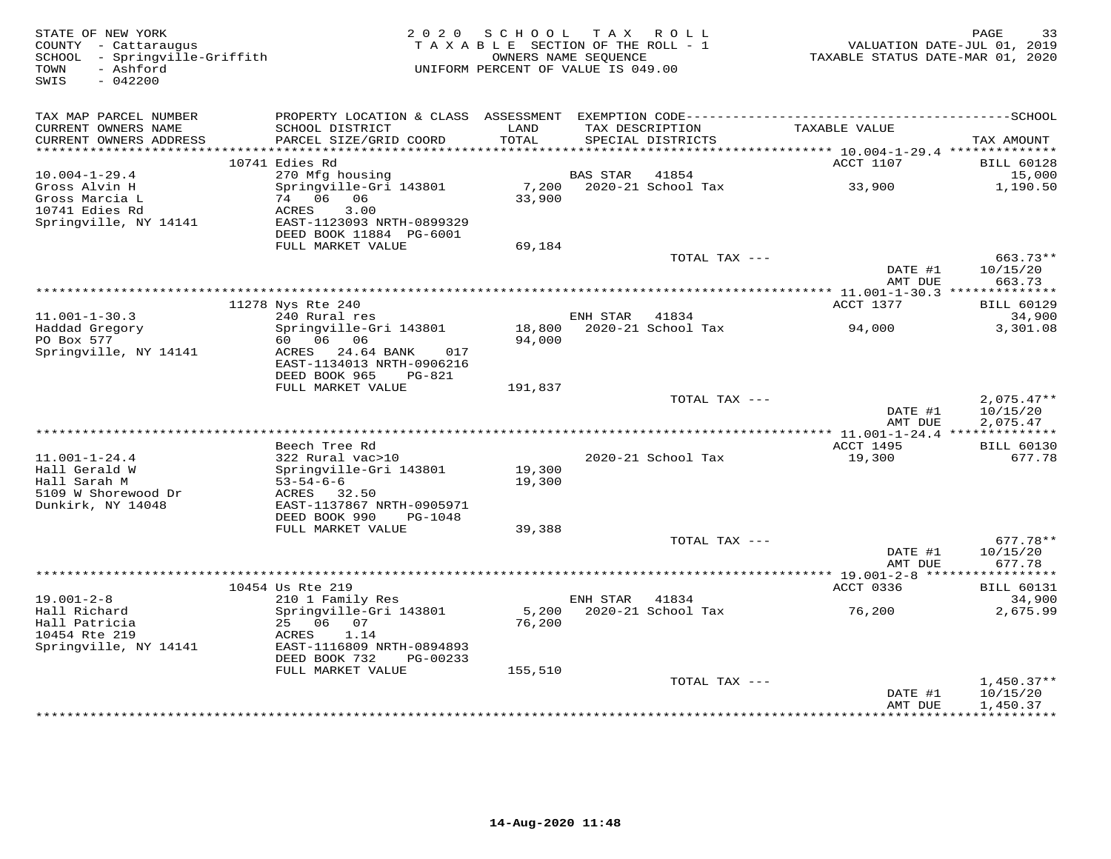| - Ashford<br>UNIFORM PERCENT OF VALUE IS 049.00<br>TOWN<br>SWIS<br>$-042200$<br>TAX MAP PARCEL NUMBER<br>LAND<br>TAXABLE VALUE<br>CURRENT OWNERS NAME<br>SCHOOL DISTRICT<br>TAX DESCRIPTION<br>TOTAL<br>CURRENT OWNERS ADDRESS<br>PARCEL SIZE/GRID COORD<br>SPECIAL DISTRICTS<br>***********************<br>ACCT 1107<br>10741 Edies Rd<br>$10.004 - 1 - 29.4$<br>270 Mfg housing<br><b>BAS STAR</b><br>41854<br>Springville-Gri 143801<br>7,200<br>2020-21 School Tax<br>33,900<br>Gross Alvin H<br>74 06 06<br>33,900<br>Gross Marcia L<br>10741 Edies Rd<br>3.00<br>ACRES<br>Springville, NY 14141<br>EAST-1123093 NRTH-0899329<br>DEED BOOK 11884 PG-6001<br>FULL MARKET VALUE<br>69,184<br>TOTAL TAX ---<br>DATE #1<br>AMT DUE<br>*********** 11.001-1-30.3 ***************<br>ACCT 1377<br>11278 Nys Rte 240<br>$11.001 - 1 - 30.3$<br>240 Rural res<br>ENH STAR<br>41834<br>Springville-Gri 143801<br>2020-21 School Tax<br>Haddad Gregory<br>18,800<br>94,000<br>PO Box 577<br>60 06 06<br>94,000<br>Springville, NY 14141<br>ACRES 24.64 BANK<br>017<br>EAST-1134013 NRTH-0906216 | TAXABLE STATUS DATE-MAR 01, 2020     |
|--------------------------------------------------------------------------------------------------------------------------------------------------------------------------------------------------------------------------------------------------------------------------------------------------------------------------------------------------------------------------------------------------------------------------------------------------------------------------------------------------------------------------------------------------------------------------------------------------------------------------------------------------------------------------------------------------------------------------------------------------------------------------------------------------------------------------------------------------------------------------------------------------------------------------------------------------------------------------------------------------------------------------------------------------------------------------------------------|--------------------------------------|
|                                                                                                                                                                                                                                                                                                                                                                                                                                                                                                                                                                                                                                                                                                                                                                                                                                                                                                                                                                                                                                                                                            |                                      |
|                                                                                                                                                                                                                                                                                                                                                                                                                                                                                                                                                                                                                                                                                                                                                                                                                                                                                                                                                                                                                                                                                            |                                      |
|                                                                                                                                                                                                                                                                                                                                                                                                                                                                                                                                                                                                                                                                                                                                                                                                                                                                                                                                                                                                                                                                                            | TAX AMOUNT                           |
|                                                                                                                                                                                                                                                                                                                                                                                                                                                                                                                                                                                                                                                                                                                                                                                                                                                                                                                                                                                                                                                                                            | <b>BILL 60128</b>                    |
|                                                                                                                                                                                                                                                                                                                                                                                                                                                                                                                                                                                                                                                                                                                                                                                                                                                                                                                                                                                                                                                                                            | 15,000                               |
|                                                                                                                                                                                                                                                                                                                                                                                                                                                                                                                                                                                                                                                                                                                                                                                                                                                                                                                                                                                                                                                                                            | 1,190.50                             |
|                                                                                                                                                                                                                                                                                                                                                                                                                                                                                                                                                                                                                                                                                                                                                                                                                                                                                                                                                                                                                                                                                            |                                      |
|                                                                                                                                                                                                                                                                                                                                                                                                                                                                                                                                                                                                                                                                                                                                                                                                                                                                                                                                                                                                                                                                                            | 663.73**<br>10/15/20                 |
|                                                                                                                                                                                                                                                                                                                                                                                                                                                                                                                                                                                                                                                                                                                                                                                                                                                                                                                                                                                                                                                                                            | 663.73                               |
|                                                                                                                                                                                                                                                                                                                                                                                                                                                                                                                                                                                                                                                                                                                                                                                                                                                                                                                                                                                                                                                                                            | <b>BILL 60129</b>                    |
|                                                                                                                                                                                                                                                                                                                                                                                                                                                                                                                                                                                                                                                                                                                                                                                                                                                                                                                                                                                                                                                                                            | 34,900                               |
|                                                                                                                                                                                                                                                                                                                                                                                                                                                                                                                                                                                                                                                                                                                                                                                                                                                                                                                                                                                                                                                                                            | 3,301.08                             |
| DEED BOOK 965<br>PG-821<br>FULL MARKET VALUE<br>191,837                                                                                                                                                                                                                                                                                                                                                                                                                                                                                                                                                                                                                                                                                                                                                                                                                                                                                                                                                                                                                                    |                                      |
| TOTAL TAX ---<br>DATE #1<br>AMT DUE                                                                                                                                                                                                                                                                                                                                                                                                                                                                                                                                                                                                                                                                                                                                                                                                                                                                                                                                                                                                                                                        | $2,075.47**$<br>10/15/20<br>2,075.47 |
|                                                                                                                                                                                                                                                                                                                                                                                                                                                                                                                                                                                                                                                                                                                                                                                                                                                                                                                                                                                                                                                                                            |                                      |
| Beech Tree Rd<br>ACCT 1495                                                                                                                                                                                                                                                                                                                                                                                                                                                                                                                                                                                                                                                                                                                                                                                                                                                                                                                                                                                                                                                                 | <b>BILL 60130</b>                    |
| 2020-21 School Tax<br>$11.001 - 1 - 24.4$<br>322 Rural vac>10<br>19,300<br>19,300<br>Hall Gerald W<br>Springville-Gri 143801                                                                                                                                                                                                                                                                                                                                                                                                                                                                                                                                                                                                                                                                                                                                                                                                                                                                                                                                                               | 677.78                               |
| Hall Sarah M<br>$53 - 54 - 6 - 6$<br>19,300<br>5109 W Shorewood Dr<br>ACRES 32.50                                                                                                                                                                                                                                                                                                                                                                                                                                                                                                                                                                                                                                                                                                                                                                                                                                                                                                                                                                                                          |                                      |
| Dunkirk, NY 14048<br>EAST-1137867 NRTH-0905971<br>DEED BOOK 990<br>PG-1048                                                                                                                                                                                                                                                                                                                                                                                                                                                                                                                                                                                                                                                                                                                                                                                                                                                                                                                                                                                                                 |                                      |
| FULL MARKET VALUE<br>39,388                                                                                                                                                                                                                                                                                                                                                                                                                                                                                                                                                                                                                                                                                                                                                                                                                                                                                                                                                                                                                                                                |                                      |
| TOTAL TAX ---<br>DATE #1                                                                                                                                                                                                                                                                                                                                                                                                                                                                                                                                                                                                                                                                                                                                                                                                                                                                                                                                                                                                                                                                   | $677.78**$<br>10/15/20               |
| AMT DUE<br>****************** 19.001-2-8 ******************                                                                                                                                                                                                                                                                                                                                                                                                                                                                                                                                                                                                                                                                                                                                                                                                                                                                                                                                                                                                                                | 677.78                               |
| 10454 Us Rte 219<br>ACCT 0336                                                                                                                                                                                                                                                                                                                                                                                                                                                                                                                                                                                                                                                                                                                                                                                                                                                                                                                                                                                                                                                              | <b>BILL 60131</b>                    |
| $19.001 - 2 - 8$<br>210 1 Family Res<br>ENH STAR<br>41834                                                                                                                                                                                                                                                                                                                                                                                                                                                                                                                                                                                                                                                                                                                                                                                                                                                                                                                                                                                                                                  | 34,900                               |
| Hall Richard<br>Springville-Gri 143801<br>5,200<br>2020-21 School Tax<br>76,200<br>25 06 07<br>Hall Patricia<br>76,200<br>10454 Rte 219<br>1.14<br>ACRES<br>Springville, NY 14141<br>EAST-1116809 NRTH-0894893                                                                                                                                                                                                                                                                                                                                                                                                                                                                                                                                                                                                                                                                                                                                                                                                                                                                             | 2,675.99                             |
| DEED BOOK 732<br>PG-00233                                                                                                                                                                                                                                                                                                                                                                                                                                                                                                                                                                                                                                                                                                                                                                                                                                                                                                                                                                                                                                                                  |                                      |
| FULL MARKET VALUE<br>155,510<br>TOTAL TAX ---                                                                                                                                                                                                                                                                                                                                                                                                                                                                                                                                                                                                                                                                                                                                                                                                                                                                                                                                                                                                                                              | $1,450.37**$                         |
| DATE #1<br>AMT DUE<br>* * * * * * * * * *<br>************                                                                                                                                                                                                                                                                                                                                                                                                                                                                                                                                                                                                                                                                                                                                                                                                                                                                                                                                                                                                                                  | 10/15/20<br>1,450.37                 |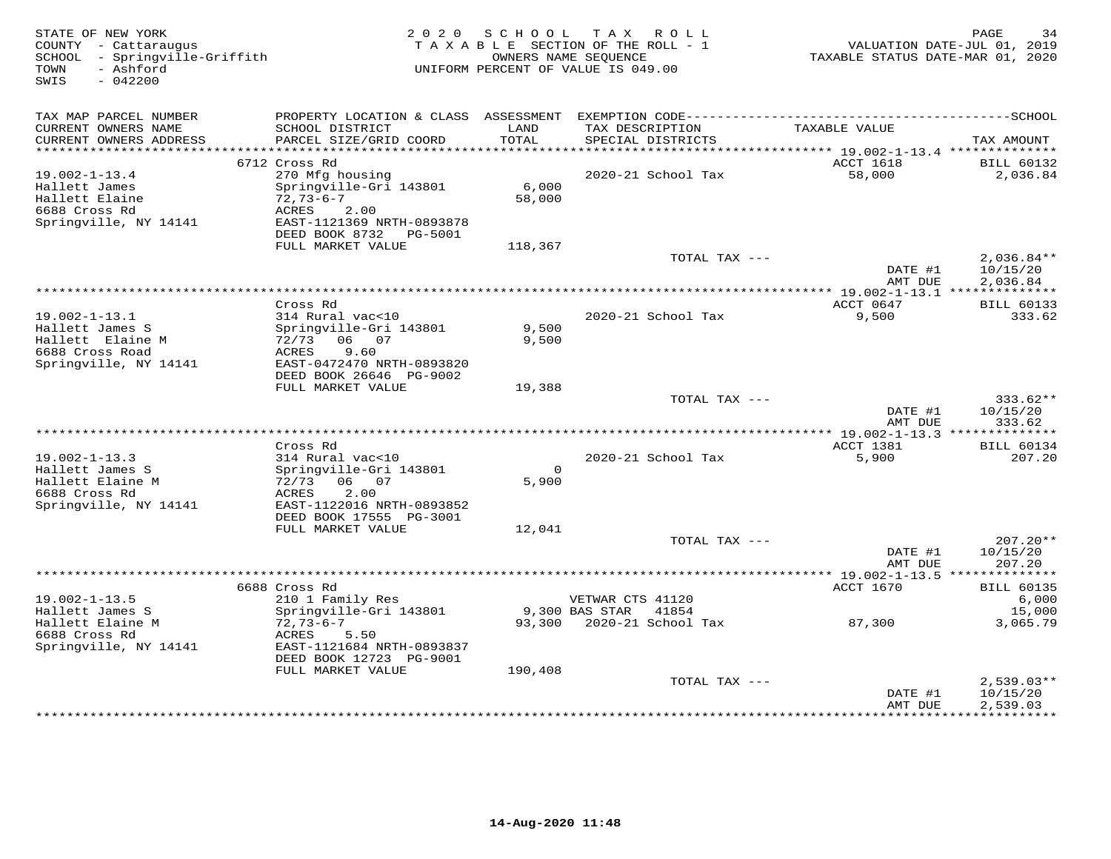| STATE OF NEW YORK<br>COUNTY - Cattaraugus<br>SCHOOL - Springville-Griffith<br>- Ashford<br>TOWN<br>SWIS<br>$-042200$ | 2 0 2 0                                                                                                                                        | SCHOOL<br>OWNERS NAME SEQUENCE | TAX ROLL<br>TAXABLE SECTION OF THE ROLL - 1<br>UNIFORM PERCENT OF VALUE IS 049.00 | TAXABLE STATUS DATE-MAR 01, 2020                          | PAGE<br>34<br>VALUATION DATE-JUL 01, 2019 |
|----------------------------------------------------------------------------------------------------------------------|------------------------------------------------------------------------------------------------------------------------------------------------|--------------------------------|-----------------------------------------------------------------------------------|-----------------------------------------------------------|-------------------------------------------|
| TAX MAP PARCEL NUMBER                                                                                                |                                                                                                                                                |                                |                                                                                   |                                                           |                                           |
| CURRENT OWNERS NAME<br>CURRENT OWNERS ADDRESS                                                                        | SCHOOL DISTRICT<br>PARCEL SIZE/GRID COORD                                                                                                      | LAND<br>TOTAL                  | TAX DESCRIPTION<br>SPECIAL DISTRICTS                                              | TAXABLE VALUE                                             | TAX AMOUNT                                |
| **********************                                                                                               | 6712 Cross Rd                                                                                                                                  |                                |                                                                                   | ACCT 1618                                                 | <b>BILL 60132</b>                         |
| $19.002 - 1 - 13.4$<br>Hallett James<br>Hallett Elaine<br>6688 Cross Rd<br>Springville, NY 14141                     | 270 Mfg housing<br>Springville-Gri 143801<br>$72,73-6-7$<br>ACRES<br>2.00<br>EAST-1121369 NRTH-0893878<br>DEED BOOK 8732 PG-5001               | 6,000<br>58,000                | 2020-21 School Tax                                                                | 58,000                                                    | 2,036.84                                  |
|                                                                                                                      | FULL MARKET VALUE                                                                                                                              | 118,367                        |                                                                                   |                                                           |                                           |
|                                                                                                                      |                                                                                                                                                |                                | TOTAL TAX ---                                                                     | DATE #1<br>AMT DUE                                        | $2,036.84**$<br>10/15/20<br>2,036.84      |
|                                                                                                                      |                                                                                                                                                |                                | ******************                                                                | ** 19.002-1-13.1 **************                           |                                           |
| $19.002 - 1 - 13.1$<br>Hallett James S<br>Hallett Elaine M<br>6688 Cross Road<br>Springville, NY 14141               | Cross Rd<br>314 Rural vac<10<br>Springville-Gri 143801<br>72/73 06 07<br>ACRES<br>9.60<br>EAST-0472470 NRTH-0893820<br>DEED BOOK 26646 PG-9002 | 9,500<br>9,500                 | 2020-21 School Tax                                                                | ACCT 0647<br>9,500                                        | <b>BILL 60133</b><br>333.62               |
|                                                                                                                      | FULL MARKET VALUE                                                                                                                              | 19,388                         |                                                                                   |                                                           |                                           |
|                                                                                                                      |                                                                                                                                                |                                | TOTAL TAX ---                                                                     | DATE #1<br>AMT DUE                                        | $333.62**$<br>10/15/20<br>333.62          |
|                                                                                                                      |                                                                                                                                                |                                |                                                                                   |                                                           |                                           |
| $19.002 - 1 - 13.3$<br>Hallett James S<br>Hallett Elaine M<br>6688 Cross Rd<br>Springville, NY 14141                 | Cross Rd<br>314 Rural vac<10<br>Springville-Gri 143801<br>72/73<br>06 07<br>2.00<br>ACRES<br>EAST-1122016 NRTH-0893852                         | $\Omega$<br>5,900              | 2020-21 School Tax                                                                | ACCT 1381<br>5,900                                        | <b>BILL 60134</b><br>207.20               |
|                                                                                                                      | DEED BOOK 17555 PG-3001                                                                                                                        |                                |                                                                                   |                                                           |                                           |
|                                                                                                                      | FULL MARKET VALUE                                                                                                                              | 12,041                         | TOTAL TAX ---                                                                     | DATE #1<br>AMT DUE                                        | $207.20**$<br>10/15/20<br>207.20          |
|                                                                                                                      |                                                                                                                                                |                                |                                                                                   | *********** 19.002-1-13.5 **                              | ***********                               |
|                                                                                                                      | 6688 Cross Rd                                                                                                                                  |                                |                                                                                   | <b>ACCT 1670</b>                                          | <b>BILL 60135</b>                         |
| $19.002 - 1 - 13.5$<br>Hallett James S                                                                               | 210 1 Family Res<br>Springville-Gri 143801                                                                                                     |                                | VETWAR CTS 41120<br>9,300 BAS STAR<br>41854                                       |                                                           | 6,000<br>15,000                           |
| Hallett Elaine M<br>6688 Cross Rd<br>Springville, NY 14141                                                           | $72,73-6-7$<br>ACRES<br>5.50<br>EAST-1121684 NRTH-0893837<br>DEED BOOK 12723 PG-9001<br>FULL MARKET VALUE                                      | 93,300<br>190,408              | 2020-21 School Tax                                                                | 87,300                                                    | 3,065.79                                  |
|                                                                                                                      |                                                                                                                                                |                                | TOTAL TAX ---                                                                     |                                                           | $2,539.03**$                              |
|                                                                                                                      |                                                                                                                                                |                                |                                                                                   | DATE #1<br>AMT DUE<br>* * * * * * * * * * * * * * * * * * | 10/15/20<br>2,539.03<br>***********       |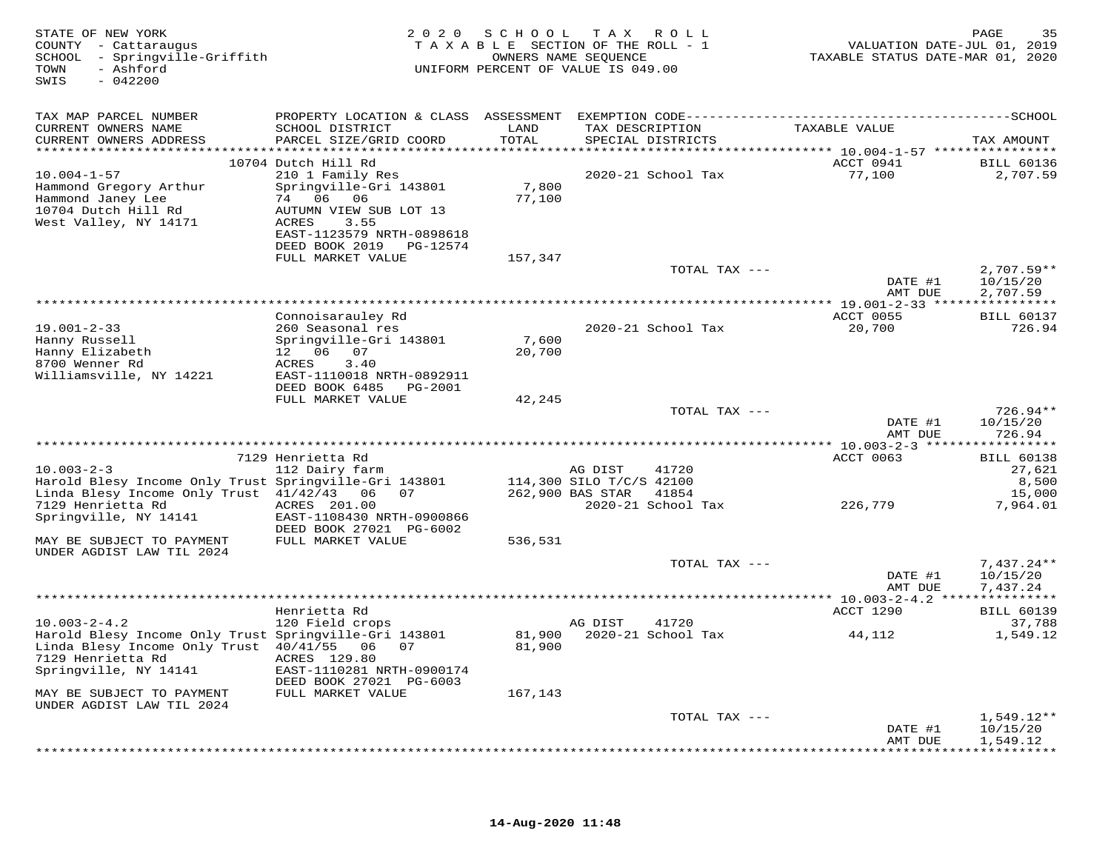| STATE OF NEW YORK<br>COUNTY - Cattaraugus<br>SCHOOL - Springville-Griffith<br>TOWN<br>- Ashford<br>SWIS<br>$-042200$ |                                              |         | 2020 SCHOOL TAX ROLL<br>TAXABLE SECTION OF THE ROLL - 1<br>OWNERS NAME SEQUENCE<br>UNIFORM PERCENT OF VALUE IS 049.00 | VALUATION DATE-JUL 01, 2019<br>TAXABLE STATUS DATE-MAR 01, 2020 | PAGE<br>35                  |
|----------------------------------------------------------------------------------------------------------------------|----------------------------------------------|---------|-----------------------------------------------------------------------------------------------------------------------|-----------------------------------------------------------------|-----------------------------|
| TAX MAP PARCEL NUMBER                                                                                                |                                              |         |                                                                                                                       |                                                                 |                             |
| CURRENT OWNERS NAME                                                                                                  | SCHOOL DISTRICT                              | LAND    | TAX DESCRIPTION                                                                                                       | TAXABLE VALUE                                                   |                             |
| CURRENT OWNERS ADDRESS                                                                                               | PARCEL SIZE/GRID COORD                       | TOTAL   | SPECIAL DISTRICTS                                                                                                     |                                                                 | TAX AMOUNT                  |
|                                                                                                                      | 10704 Dutch Hill Rd                          |         |                                                                                                                       | ACCT 0941                                                       | <b>BILL 60136</b>           |
| $10.004 - 1 - 57$                                                                                                    | 210 1 Family Res                             |         | 2020-21 School Tax                                                                                                    | 77,100                                                          | 2,707.59                    |
| Hammond Gregory Arthur                                                                                               | Springville-Gri 143801                       | 7,800   |                                                                                                                       |                                                                 |                             |
| Hammond Janey Lee<br>10704 Dutch Hill Rd                                                                             | 74 06 06<br>AUTUMN VIEW SUB LOT 13           | 77,100  |                                                                                                                       |                                                                 |                             |
| West Valley, NY 14171                                                                                                | 3.55<br>ACRES                                |         |                                                                                                                       |                                                                 |                             |
|                                                                                                                      | EAST-1123579 NRTH-0898618                    |         |                                                                                                                       |                                                                 |                             |
|                                                                                                                      | DEED BOOK 2019 PG-12574                      |         |                                                                                                                       |                                                                 |                             |
|                                                                                                                      | FULL MARKET VALUE                            | 157,347 | TOTAL TAX ---                                                                                                         |                                                                 | $2,707.59**$                |
|                                                                                                                      |                                              |         |                                                                                                                       | DATE #1                                                         | 10/15/20                    |
|                                                                                                                      |                                              |         |                                                                                                                       | AMT DUE                                                         | 2,707.59                    |
|                                                                                                                      |                                              |         |                                                                                                                       |                                                                 |                             |
| $19.001 - 2 - 33$                                                                                                    | Connoisarauley Rd<br>260 Seasonal res        |         | 2020-21 School Tax                                                                                                    | ACCT 0055<br>20,700                                             | <b>BILL 60137</b><br>726.94 |
| Hanny Russell                                                                                                        | Springville-Gri 143801                       | 7,600   |                                                                                                                       |                                                                 |                             |
| Hanny Elizabeth                                                                                                      | 12  06  07                                   | 20,700  |                                                                                                                       |                                                                 |                             |
| 8700 Wenner Rd<br>Williamsville, NY 14221                                                                            | 3.40<br>ACRES<br>EAST-1110018 NRTH-0892911   |         |                                                                                                                       |                                                                 |                             |
|                                                                                                                      | DEED BOOK 6485    PG-2001                    |         |                                                                                                                       |                                                                 |                             |
|                                                                                                                      | FULL MARKET VALUE                            | 42,245  |                                                                                                                       |                                                                 |                             |
|                                                                                                                      |                                              |         | TOTAL TAX ---                                                                                                         |                                                                 | $726.94**$                  |
|                                                                                                                      |                                              |         |                                                                                                                       | DATE #1<br>AMT DUE                                              | 10/15/20<br>726.94          |
|                                                                                                                      |                                              |         |                                                                                                                       |                                                                 |                             |
|                                                                                                                      | 7129 Henrietta Rd                            |         |                                                                                                                       | ACCT 0063                                                       | <b>BILL 60138</b>           |
| $10.003 - 2 - 3$                                                                                                     | 112 Dairy farm                               |         | AG DIST<br>41720                                                                                                      |                                                                 | 27,621                      |
| Harold Blesy Income Only Trust Springville-Gri 143801<br>Linda Blesy Income Only Trust 41/42/43 06 07                |                                              |         | 114,300 SILO T/C/S 42100<br>262,900 BAS STAR 41854                                                                    |                                                                 | 8,500<br>15,000             |
| 7129 Henrietta Rd                                                                                                    | ACRES 201.00                                 |         | 2020-21 School Tax                                                                                                    | 226,779                                                         | 7,964.01                    |
| Springville, NY 14141                                                                                                | EAST-1108430 NRTH-0900866                    |         |                                                                                                                       |                                                                 |                             |
| MAY BE SUBJECT TO PAYMENT                                                                                            | DEED BOOK 27021 PG-6002<br>FULL MARKET VALUE | 536,531 |                                                                                                                       |                                                                 |                             |
| UNDER AGDIST LAW TIL 2024                                                                                            |                                              |         |                                                                                                                       |                                                                 |                             |
|                                                                                                                      |                                              |         | TOTAL TAX ---                                                                                                         |                                                                 | $7,437.24**$                |
|                                                                                                                      |                                              |         |                                                                                                                       | DATE #1                                                         | 10/15/20                    |
|                                                                                                                      |                                              |         |                                                                                                                       | AMT DUE                                                         | 7,437.24                    |
|                                                                                                                      | Henrietta Rd                                 |         |                                                                                                                       | ACCT 1290                                                       | <b>BILL 60139</b>           |
| $10.003 - 2 - 4.2$                                                                                                   | 120 Field crops                              |         | AG DIST<br>41720                                                                                                      |                                                                 | 37,788                      |
| Harold Blesy Income Only Trust Springville-Gri 143801                                                                |                                              | 81,900  | 2020-21 School Tax                                                                                                    | 44,112                                                          | 1,549.12                    |
| Linda Blesy Income Only Trust 40/41/55 06 07<br>7129 Henrietta Rd                                                    | ACRES 129.80                                 | 81,900  |                                                                                                                       |                                                                 |                             |
| Springville, NY 14141                                                                                                | EAST-1110281 NRTH-0900174                    |         |                                                                                                                       |                                                                 |                             |
|                                                                                                                      | DEED BOOK 27021 PG-6003                      |         |                                                                                                                       |                                                                 |                             |
| MAY BE SUBJECT TO PAYMENT                                                                                            | FULL MARKET VALUE                            | 167,143 |                                                                                                                       |                                                                 |                             |
| UNDER AGDIST LAW TIL 2024                                                                                            |                                              |         | TOTAL TAX ---                                                                                                         |                                                                 | $1,549.12**$                |
|                                                                                                                      |                                              |         |                                                                                                                       | DATE #1                                                         | 10/15/20                    |
|                                                                                                                      |                                              |         |                                                                                                                       | AMT DUE                                                         | 1,549.12                    |
|                                                                                                                      |                                              |         |                                                                                                                       |                                                                 | * * * * * * * * * *         |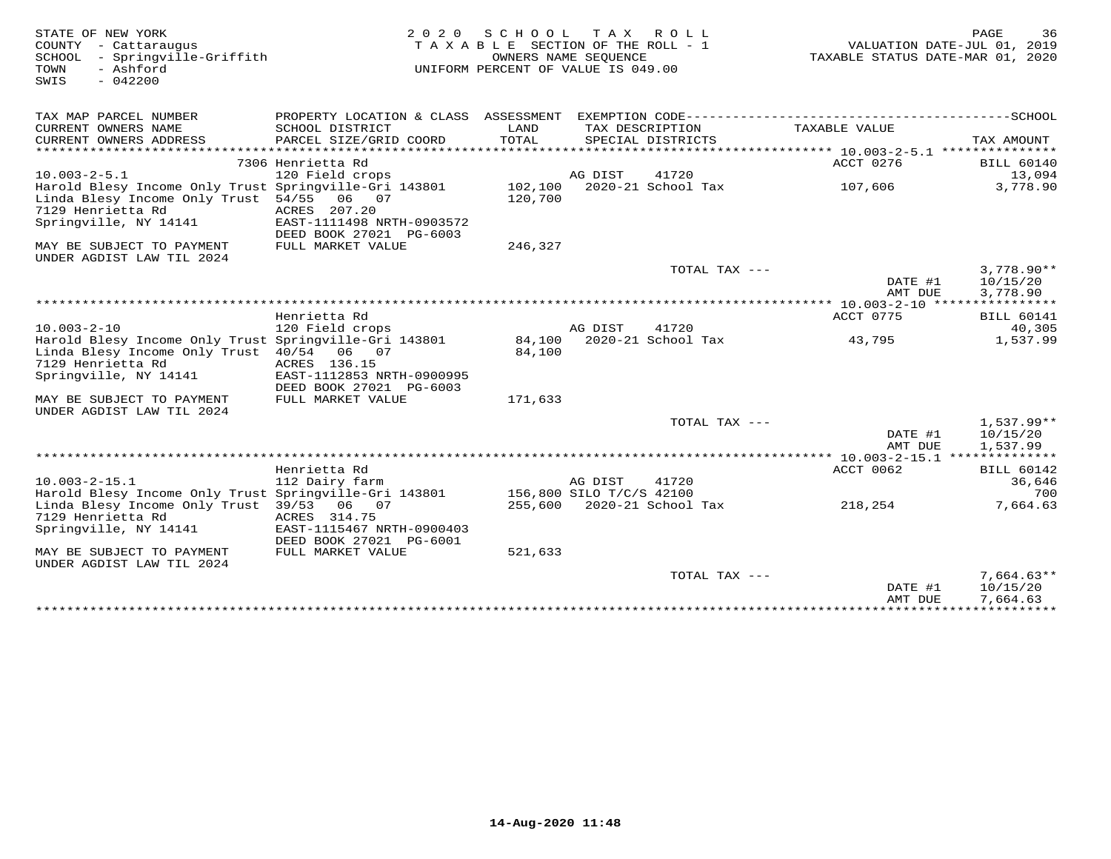| STATE OF NEW YORK<br>COUNTY - Cattaraugus<br>- Springville-Griffith<br>SCHOOL<br>- Ashford<br>TOWN<br>$-042200$<br>SWIS                          | 2 0 2 0                                                              | S C H O O L<br>TAXABLE SECTION OF THE ROLL - 1<br>UNIFORM PERCENT OF VALUE IS 049.00 | OWNERS NAME SEOUENCE     | TAX ROLL                   | TAXABLE STATUS DATE-MAR 01, 2020          | PAGE<br>36<br>VALUATION DATE-JUL 01, 2019 |
|--------------------------------------------------------------------------------------------------------------------------------------------------|----------------------------------------------------------------------|--------------------------------------------------------------------------------------|--------------------------|----------------------------|-------------------------------------------|-------------------------------------------|
| TAX MAP PARCEL NUMBER                                                                                                                            | PROPERTY LOCATION & CLASS ASSESSMENT                                 |                                                                                      |                          |                            |                                           |                                           |
| CURRENT OWNERS NAME<br>CURRENT OWNERS ADDRESS                                                                                                    | SCHOOL DISTRICT<br>PARCEL SIZE/GRID COORD                            | LAND<br>TOTAL                                                                        | TAX DESCRIPTION          | SPECIAL DISTRICTS          | TAXABLE VALUE                             | TAX AMOUNT                                |
|                                                                                                                                                  |                                                                      |                                                                                      |                          |                            |                                           |                                           |
| $10.003 - 2 - 5.1$                                                                                                                               | 7306 Henrietta Rd<br>120 Field crops                                 |                                                                                      | AG DIST                  | 41720                      | ACCT 0276                                 | <b>BILL 60140</b><br>13,094               |
| Harold Blesy Income Only Trust Springville-Gri 143801<br>Linda Blesy Income Only Trust 54/55<br>7129 Henrietta Rd<br>Springville, NY 14141       | 06 07<br>ACRES 207.20<br>EAST-1111498 NRTH-0903572                   | 102,100<br>120,700                                                                   |                          | 2020-21 School Tax         | 107,606                                   | 3,778.90                                  |
| MAY BE SUBJECT TO PAYMENT                                                                                                                        | DEED BOOK 27021 PG-6003<br>FULL MARKET VALUE                         | 246,327                                                                              |                          |                            |                                           |                                           |
| UNDER AGDIST LAW TIL 2024                                                                                                                        |                                                                      |                                                                                      |                          | TOTAL TAX ---              |                                           | $3,778.90**$                              |
|                                                                                                                                                  |                                                                      |                                                                                      |                          |                            | DATE #1<br>AMT DUE                        | 10/15/20<br>3,778.90                      |
|                                                                                                                                                  |                                                                      |                                                                                      |                          |                            |                                           |                                           |
|                                                                                                                                                  | Henrietta Rd                                                         |                                                                                      |                          |                            | ACCT 0775                                 | <b>BILL 60141</b>                         |
| $10.003 - 2 - 10$                                                                                                                                | 120 Field crops                                                      |                                                                                      | AG DIST                  | 41720                      |                                           | 40,305                                    |
| Harold Blesy Income Only Trust Springville-Gri 143801<br>Linda Blesy Income Only Trust 40/54 06 07<br>7129 Henrietta Rd<br>Springville, NY 14141 | ACRES 136.15<br>EAST-1112853 NRTH-0900995<br>DEED BOOK 27021 PG-6003 | 84,100<br>84,100                                                                     |                          | 2020-21 School Tax         | 43,795                                    | 1,537.99                                  |
| MAY BE SUBJECT TO PAYMENT<br>UNDER AGDIST LAW TIL 2024                                                                                           | FULL MARKET VALUE                                                    | 171,633                                                                              |                          |                            |                                           |                                           |
|                                                                                                                                                  |                                                                      |                                                                                      |                          | TOTAL TAX ---              | DATE #1<br>AMT DUE                        | $1,537.99**$<br>10/15/20<br>1,537.99      |
|                                                                                                                                                  |                                                                      |                                                                                      |                          |                            | ************ 10.003-2-15.1 ************** |                                           |
|                                                                                                                                                  | Henrietta Rd                                                         |                                                                                      |                          |                            | ACCT 0062                                 | <b>BILL 60142</b>                         |
| $10.003 - 2 - 15.1$                                                                                                                              | 112 Dairy farm                                                       |                                                                                      | AG DIST                  | 41720                      |                                           | 36,646                                    |
| Harold Blesy Income Only Trust Springville-Gri 143801                                                                                            |                                                                      |                                                                                      | 156,800 SILO T/C/S 42100 |                            |                                           | 700                                       |
| Linda Blesy Income Only Trust 39/53 06 07                                                                                                        |                                                                      |                                                                                      |                          | 255,600 2020-21 School Tax | 218,254                                   | 7,664.63                                  |
| 7129 Henrietta Rd<br>Springville, NY 14141                                                                                                       | ACRES 314.75<br>EAST-1115467 NRTH-0900403<br>DEED BOOK 27021 PG-6001 |                                                                                      |                          |                            |                                           |                                           |
| MAY BE SUBJECT TO PAYMENT<br>UNDER AGDIST LAW TIL 2024                                                                                           | FULL MARKET VALUE                                                    | 521,633                                                                              |                          |                            |                                           |                                           |
|                                                                                                                                                  |                                                                      |                                                                                      |                          | TOTAL TAX ---              |                                           | $7,664.63**$                              |
|                                                                                                                                                  |                                                                      |                                                                                      |                          |                            | DATE #1                                   | 10/15/20                                  |
|                                                                                                                                                  |                                                                      |                                                                                      |                          |                            | AMT DUE                                   | 7,664.63                                  |
|                                                                                                                                                  |                                                                      |                                                                                      |                          |                            |                                           |                                           |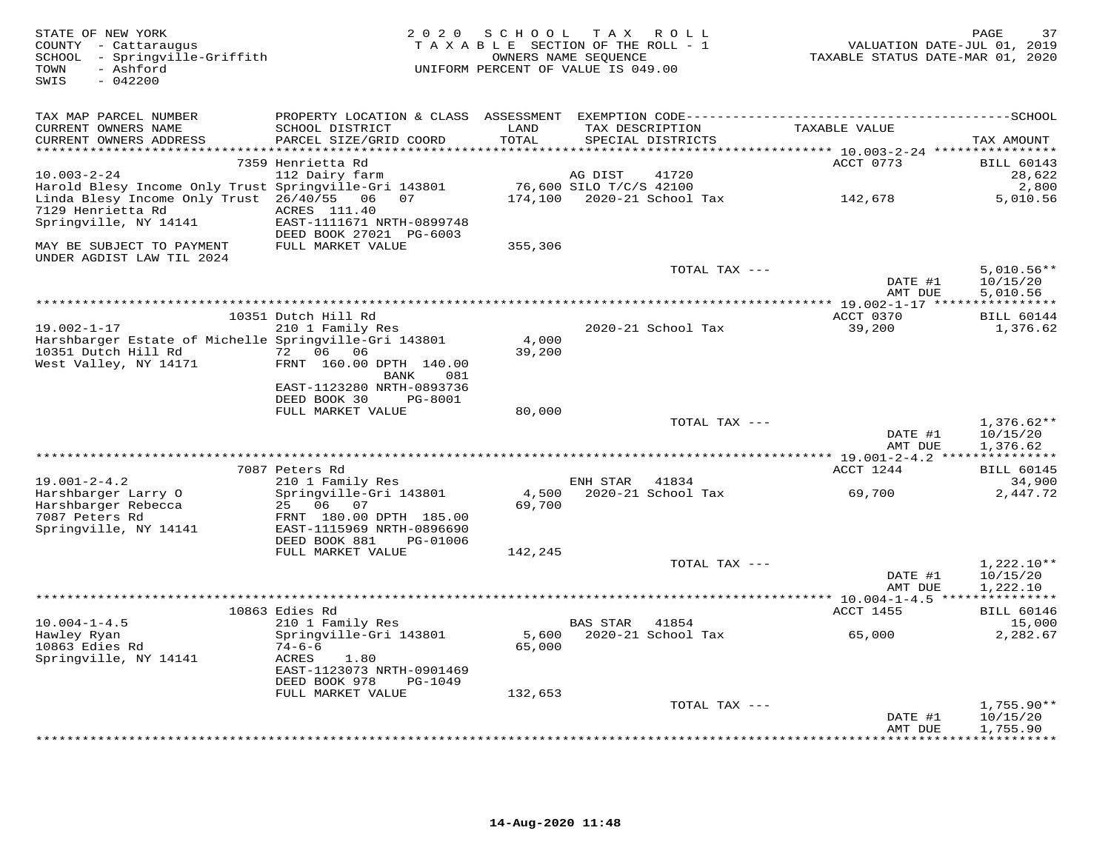| STATE OF NEW YORK<br>COUNTY - Cattaraugus<br>SCHOOL - Springville-Griffith<br>TOWN<br>- Ashford<br>$-042200$<br>SWIS |                                                       |         | 2020 SCHOOL TAX ROLL<br>TAXABLE SECTION OF THE ROLL - 1<br>OWNERS NAME SEQUENCE<br>UNIFORM PERCENT OF VALUE IS 049.00 | VALUATION DATE-JUL 01, 2019<br>TAXABLE STATUS DATE-MAR 01, 2020 | 37<br>PAGE                  |
|----------------------------------------------------------------------------------------------------------------------|-------------------------------------------------------|---------|-----------------------------------------------------------------------------------------------------------------------|-----------------------------------------------------------------|-----------------------------|
| TAX MAP PARCEL NUMBER                                                                                                |                                                       |         |                                                                                                                       |                                                                 |                             |
| CURRENT OWNERS NAME                                                                                                  | SCHOOL DISTRICT                                       | LAND    | TAX DESCRIPTION                                                                                                       | TAXABLE VALUE                                                   |                             |
| CURRENT OWNERS ADDRESS                                                                                               | PARCEL SIZE/GRID COORD                                | TOTAL   | SPECIAL DISTRICTS                                                                                                     |                                                                 | TAX AMOUNT                  |
|                                                                                                                      | 7359 Henrietta Rd                                     |         |                                                                                                                       | ACCT 0773                                                       | <b>BILL 60143</b>           |
| $10.003 - 2 - 24$                                                                                                    | 112 Dairy farm                                        |         | 41720<br>AG DIST                                                                                                      |                                                                 | 28,622                      |
| Harold Blesy Income Only Trust Springville-Gri 143801                                                                |                                                       |         | 76,600 SILO T/C/S 42100                                                                                               |                                                                 | 2,800                       |
| Linda Blesy Income Only Trust 26/40/55 06 07<br>7129 Henrietta Rd                                                    | ACRES 111.40                                          |         |                                                                                                                       | 142,678                                                         | 5,010.56                    |
| Springville, NY 14141                                                                                                | EAST-1111671 NRTH-0899748                             |         |                                                                                                                       |                                                                 |                             |
|                                                                                                                      | DEED BOOK 27021 PG-6003                               |         |                                                                                                                       |                                                                 |                             |
| MAY BE SUBJECT TO PAYMENT<br>UNDER AGDIST LAW TIL 2024                                                               | FULL MARKET VALUE                                     | 355,306 |                                                                                                                       |                                                                 |                             |
|                                                                                                                      |                                                       |         | TOTAL TAX ---                                                                                                         |                                                                 | $5,010.56**$                |
|                                                                                                                      |                                                       |         |                                                                                                                       | DATE #1<br>AMT DUE                                              | 10/15/20<br>5,010.56        |
|                                                                                                                      |                                                       |         |                                                                                                                       |                                                                 |                             |
|                                                                                                                      | 10351 Dutch Hill Rd                                   |         |                                                                                                                       | ACCT 0370                                                       | <b>BILL 60144</b>           |
| $19.002 - 1 - 17$                                                                                                    | 210 1 Family Res                                      | 4,000   | 2020-21 School Tax                                                                                                    | 39,200                                                          | 1,376.62                    |
| Harshbarger Estate of Michelle Springville-Gri 143801<br>10351 Dutch Hill Rd                                         | 72 06 06                                              | 39,200  |                                                                                                                       |                                                                 |                             |
| West Valley, NY 14171                                                                                                | FRNT 160.00 DPTH 140.00<br>BANK<br>081                |         |                                                                                                                       |                                                                 |                             |
|                                                                                                                      | EAST-1123280 NRTH-0893736                             |         |                                                                                                                       |                                                                 |                             |
|                                                                                                                      | DEED BOOK 30<br>PG-8001                               |         |                                                                                                                       |                                                                 |                             |
|                                                                                                                      | FULL MARKET VALUE                                     | 80,000  | TOTAL TAX ---                                                                                                         |                                                                 | $1,376.62**$                |
|                                                                                                                      |                                                       |         |                                                                                                                       | DATE #1<br>AMT DUE                                              | 10/15/20<br>1,376.62        |
|                                                                                                                      |                                                       |         |                                                                                                                       |                                                                 |                             |
|                                                                                                                      | 7087 Peters Rd                                        |         |                                                                                                                       | ACCT 1244                                                       | <b>BILL 60145</b>           |
| $19.001 - 2 - 4.2$<br>Harshbarger Larry O                                                                            | 210 1 Family Res<br>Springville-Gri 143801            |         | 41834<br>ENH STAR                                                                                                     | 69,700                                                          | 34,900<br>2,447.72          |
| Harshbarger Rebecca<br>7087 Peters Rd                                                                                | 25 06<br>07<br>FRNT 180.00 DPTH 185.00                | 69,700  |                                                                                                                       |                                                                 |                             |
| Springville, NY 14141                                                                                                | EAST-1115969 NRTH-0896690                             |         |                                                                                                                       |                                                                 |                             |
|                                                                                                                      | DEED BOOK 881<br>PG-01006<br>FULL MARKET VALUE        | 142,245 |                                                                                                                       |                                                                 |                             |
|                                                                                                                      |                                                       |         | TOTAL TAX ---                                                                                                         |                                                                 | 1,222.10**                  |
|                                                                                                                      |                                                       |         |                                                                                                                       | DATE #1                                                         | 10/15/20                    |
|                                                                                                                      |                                                       |         |                                                                                                                       | AMT DUE                                                         | 1,222.10                    |
|                                                                                                                      |                                                       |         |                                                                                                                       |                                                                 |                             |
| $10.004 - 1 - 4.5$                                                                                                   | 10863 Edies Rd<br>210 1 Family Res                    |         | 41854<br>BAS STAR                                                                                                     | ACCT 1455                                                       | <b>BILL 60146</b><br>15,000 |
| Hawley Ryan                                                                                                          | Springville-Gri 143801                                | 5,600   | 2020-21 School Tax                                                                                                    | 65,000                                                          | 2,282.67                    |
| 10863 Edies Rd                                                                                                       | $74 - 6 - 6$                                          | 65,000  |                                                                                                                       |                                                                 |                             |
| Springville, NY 14141                                                                                                | ACRES<br>1.80                                         |         |                                                                                                                       |                                                                 |                             |
|                                                                                                                      | EAST-1123073 NRTH-0901469<br>DEED BOOK 978<br>PG-1049 |         |                                                                                                                       |                                                                 |                             |
|                                                                                                                      | FULL MARKET VALUE                                     | 132,653 |                                                                                                                       |                                                                 |                             |
|                                                                                                                      |                                                       |         | TOTAL TAX ---                                                                                                         |                                                                 | $1,755.90**$                |
|                                                                                                                      |                                                       |         |                                                                                                                       | DATE #1<br>AMT DUE                                              | 10/15/20<br>1,755.90        |
|                                                                                                                      |                                                       |         |                                                                                                                       |                                                                 |                             |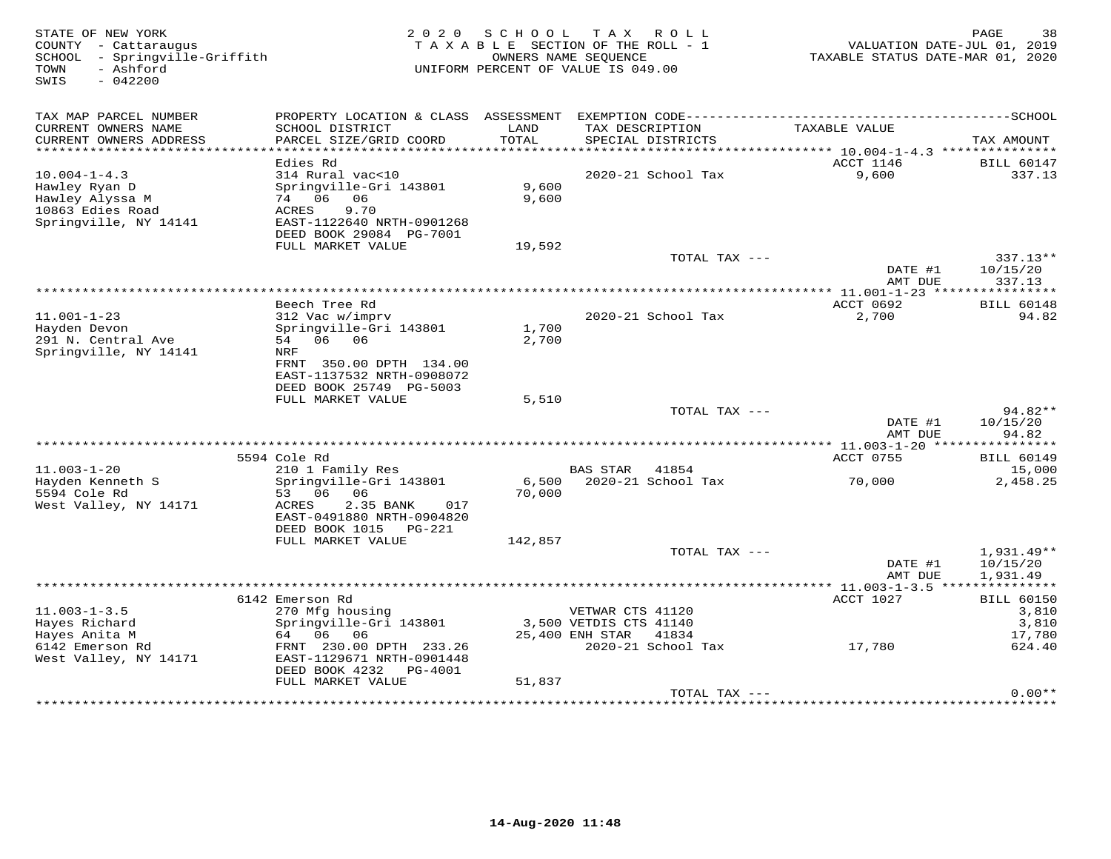| STATE OF NEW YORK<br>COUNTY - Cattaraugus<br>SCHOOL - Springville-Griffith<br>TOWN<br>- Ashford<br>$-042200$<br>SWIS | 2 0 2 0                                                                                                                                            | SCHOOL<br>TAXABLE SECTION OF THE ROLL - 1<br>UNIFORM PERCENT OF VALUE IS 049.00 | T A X<br>OWNERS NAME SEQUENCE                                 | R O L L            | VALUATION DATE-JUL 01, 2019<br>TAXABLE STATUS DATE-MAR 01, 2020 | PAGE<br>38                                    |
|----------------------------------------------------------------------------------------------------------------------|----------------------------------------------------------------------------------------------------------------------------------------------------|---------------------------------------------------------------------------------|---------------------------------------------------------------|--------------------|-----------------------------------------------------------------|-----------------------------------------------|
| TAX MAP PARCEL NUMBER<br>CURRENT OWNERS NAME<br>CURRENT OWNERS ADDRESS                                               | SCHOOL DISTRICT<br>PARCEL SIZE/GRID COORD                                                                                                          | LAND<br>TOTAL                                                                   | TAX DESCRIPTION                                               | SPECIAL DISTRICTS  | TAXABLE VALUE                                                   | TAX AMOUNT                                    |
|                                                                                                                      |                                                                                                                                                    |                                                                                 |                                                               |                    |                                                                 |                                               |
| $10.004 - 1 - 4.3$<br>Hawley Ryan D<br>Hawley Alyssa M<br>10863 Edies Road<br>Springville, NY 14141                  | Edies Rd<br>314 Rural vac<10<br>Springville-Gri 143801<br>74 06 06<br><b>ACRES</b><br>9.70<br>EAST-1122640 NRTH-0901268<br>DEED BOOK 29084 PG-7001 | 9,600<br>9,600                                                                  |                                                               | 2020-21 School Tax | ACCT 1146<br>9,600                                              | <b>BILL 60147</b><br>337.13                   |
|                                                                                                                      | FULL MARKET VALUE                                                                                                                                  | 19,592                                                                          |                                                               |                    |                                                                 |                                               |
|                                                                                                                      |                                                                                                                                                    |                                                                                 |                                                               | TOTAL TAX ---      | DATE #1<br>AMT DUE                                              | 337.13**<br>10/15/20<br>337.13                |
|                                                                                                                      | Beech Tree Rd                                                                                                                                      |                                                                                 |                                                               |                    | ACCT 0692                                                       |                                               |
| $11.001 - 1 - 23$<br>Hayden Devon<br>291 N. Central Ave<br>Springville, NY 14141                                     | 312 Vac w/imprv<br>Springville-Gri 143801<br>06 06<br>54<br>NRF                                                                                    | 1,700<br>2,700                                                                  |                                                               | 2020-21 School Tax | 2,700                                                           | <b>BILL 60148</b><br>94.82                    |
|                                                                                                                      | FRNT 350.00 DPTH 134.00<br>EAST-1137532 NRTH-0908072<br>DEED BOOK 25749 PG-5003<br>FULL MARKET VALUE                                               | 5,510                                                                           |                                                               |                    |                                                                 |                                               |
|                                                                                                                      |                                                                                                                                                    |                                                                                 |                                                               | TOTAL TAX ---      |                                                                 | $94.82**$                                     |
|                                                                                                                      |                                                                                                                                                    |                                                                                 |                                                               |                    | DATE #1<br>AMT DUE                                              | 10/15/20<br>94.82                             |
|                                                                                                                      | 5594 Cole Rd                                                                                                                                       |                                                                                 |                                                               |                    | *********** 11.003-1-20 ****************<br>ACCT 0755           | <b>BILL 60149</b>                             |
| $11.003 - 1 - 20$<br>Hayden Kenneth S<br>5594 Cole Rd<br>West Valley, NY 14171                                       | 210 1 Family Res<br>Springville-Gri 143801<br>53 06<br>06<br>ACRES<br>2.35 BANK<br>017                                                             | 6,500<br>70,000                                                                 | BAS STAR 41854                                                | 2020-21 School Tax | 70,000                                                          | 15,000<br>2,458.25                            |
|                                                                                                                      | EAST-0491880 NRTH-0904820<br>DEED BOOK 1015 PG-221<br>FULL MARKET VALUE                                                                            | 142,857                                                                         |                                                               | TOTAL TAX ---      |                                                                 | 1,931.49**                                    |
|                                                                                                                      |                                                                                                                                                    |                                                                                 |                                                               |                    | DATE #1<br>AMT DUE                                              | 10/15/20<br>1,931.49                          |
|                                                                                                                      |                                                                                                                                                    |                                                                                 |                                                               |                    |                                                                 |                                               |
| $11.003 - 1 - 3.5$<br>Hayes Richard<br>Hayes Anita M                                                                 | 6142 Emerson Rd<br>270 Mfg housing<br>Springville-Gri 143801<br>64 06<br>06                                                                        |                                                                                 | VETWAR CTS 41120<br>3,500 VETDIS CTS 41140<br>25,400 ENH STAR | 41834              | ACCT 1027                                                       | <b>BILL 60150</b><br>3,810<br>3,810<br>17,780 |
| 6142 Emerson Rd<br>West Valley, NY 14171                                                                             | FRNT 230.00 DPTH 233.26<br>EAST-1129671 NRTH-0901448<br>DEED BOOK 4232<br>PG-4001<br>FULL MARKET VALUE                                             | 51,837                                                                          |                                                               | 2020-21 School Tax | 17,780                                                          | 624.40                                        |
|                                                                                                                      |                                                                                                                                                    |                                                                                 |                                                               | TOTAL TAX ---      |                                                                 | $0.00**$                                      |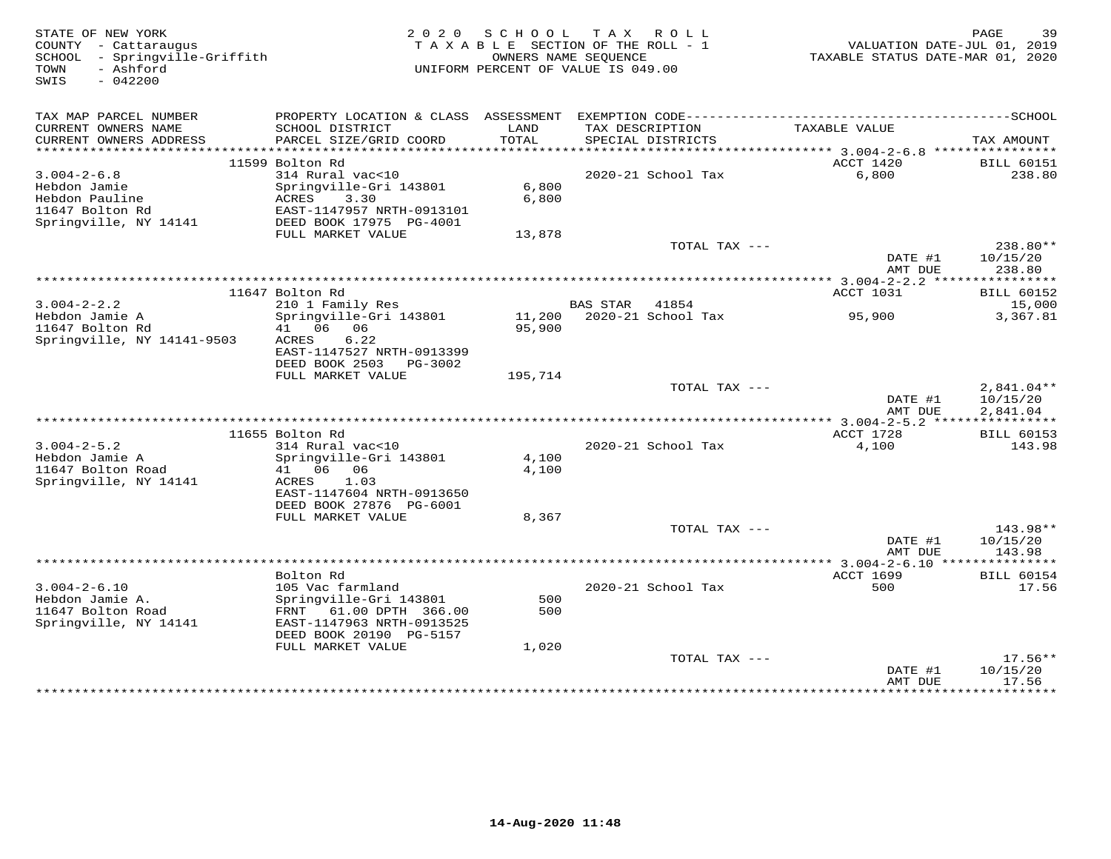| PROPERTY LOCATION & CLASS ASSESSMENT EXEMPTION CODE-----------------------------------SCHOOL<br>TAX MAP PARCEL NUMBER<br>CURRENT OWNERS NAME<br>SCHOOL DISTRICT<br>LAND<br>TAXABLE VALUE<br>TAX DESCRIPTION<br>CURRENT OWNERS ADDRESS<br>PARCEL SIZE/GRID COORD<br>TOTAL<br>SPECIAL DISTRICTS<br>TAX AMOUNT<br>ACCT 1420<br>11599 Bolton Rd<br><b>BILL 60151</b><br>$3.004 - 2 - 6.8$<br>314 Rural vac<10<br>2020-21 School Tax<br>6,800<br>238.80<br>6,800<br>Hebdon Jamie<br>Springville-Gri 143801<br>Hebdon Pauline<br>ACRES<br>3.30<br>6,800<br>11647 Bolton Rd<br>EAST-1147957 NRTH-0913101<br>Springville, NY 14141<br>DEED BOOK 17975 PG-4001<br>FULL MARKET VALUE<br>13,878<br>TOTAL TAX ---<br>238.80**<br>DATE #1<br>10/15/20<br>AMT DUE<br>238.80<br>11647 Bolton Rd<br>ACCT 1031<br><b>BILL 60152</b><br>$3.004 - 2 - 2.2$<br>210 1 Family Res<br><b>BAS STAR</b><br>41854<br>15,000<br>Hebdon Jamie A<br>Springville-Gri 143801<br>11,200 2020-21 School Tax<br>95,900<br>3,367.81<br>41 06 06<br>11647 Bolton Rd<br>95,900<br>Springville, NY 14141-9503<br>6.22<br>ACRES<br>EAST-1147527 NRTH-0913399<br>DEED BOOK 2503 PG-3002<br>FULL MARKET VALUE<br>195,714<br>TOTAL TAX ---<br>$2,841.04**$<br>DATE #1<br>10/15/20<br>AMT DUE<br>2,841.04<br>ACCT 1728<br>11655 Bolton Rd<br><b>BILL 60153</b><br>$3.004 - 2 - 5.2$<br>314 Rural vac<10<br>4,100<br>143.98<br>2020-21 School Tax<br>Hebdon Jamie A<br>Springville-Gri 143801<br>4,100<br>11647 Bolton Road<br>41 06 06<br>4,100<br>Springville, NY 14141<br>1.03<br>ACRES<br>EAST-1147604 NRTH-0913650<br>DEED BOOK 27876 PG-6001<br>FULL MARKET VALUE<br>8,367<br>TOTAL TAX ---<br>143.98**<br>DATE #1<br>10/15/20<br>AMT DUE<br>143.98<br>ACCT 1699<br>Bolton Rd<br><b>BILL 60154</b><br>17.56<br>$3.004 - 2 - 6.10$<br>105 Vac farmland<br>2020-21 School Tax<br>500<br>Hebdon Jamie A.<br>Springville-Gri 143801<br>500<br>11647 Bolton Road<br>FRNT 61.00 DPTH 366.00<br>500<br>Springville, NY 14141<br>EAST-1147963 NRTH-0913525<br>DEED BOOK 20190 PG-5157<br>FULL MARKET VALUE<br>1,020<br>TOTAL TAX ---<br>$17.56**$<br>10/15/20<br>DATE #1<br>17.56<br>AMT DUE<br><b>. * * * * * * * *</b><br>************* | STATE OF NEW YORK<br>COUNTY - Cattaraugus<br>SCHOOL - Springville-Griffith<br>- Ashford<br>TOWN<br>SWIS<br>$-042200$ |  | 2020 SCHOOL TAX ROLL<br>TAXABLE SECTION OF THE ROLL - 1<br>OWNERS NAME SEQUENCE<br>UNIFORM PERCENT OF VALUE IS 049.00 | VALUATION DATE-JUL 01, 2019<br>TAXABLE STATUS DATE-MAR 01, 2020 | PAGE<br>39 |
|---------------------------------------------------------------------------------------------------------------------------------------------------------------------------------------------------------------------------------------------------------------------------------------------------------------------------------------------------------------------------------------------------------------------------------------------------------------------------------------------------------------------------------------------------------------------------------------------------------------------------------------------------------------------------------------------------------------------------------------------------------------------------------------------------------------------------------------------------------------------------------------------------------------------------------------------------------------------------------------------------------------------------------------------------------------------------------------------------------------------------------------------------------------------------------------------------------------------------------------------------------------------------------------------------------------------------------------------------------------------------------------------------------------------------------------------------------------------------------------------------------------------------------------------------------------------------------------------------------------------------------------------------------------------------------------------------------------------------------------------------------------------------------------------------------------------------------------------------------------------------------------------------------------------------------------------------------------------------------------------------------------------------------------------------------------------------------------------------------------------------------------------------------------------------------------------|----------------------------------------------------------------------------------------------------------------------|--|-----------------------------------------------------------------------------------------------------------------------|-----------------------------------------------------------------|------------|
|                                                                                                                                                                                                                                                                                                                                                                                                                                                                                                                                                                                                                                                                                                                                                                                                                                                                                                                                                                                                                                                                                                                                                                                                                                                                                                                                                                                                                                                                                                                                                                                                                                                                                                                                                                                                                                                                                                                                                                                                                                                                                                                                                                                             |                                                                                                                      |  |                                                                                                                       |                                                                 |            |
|                                                                                                                                                                                                                                                                                                                                                                                                                                                                                                                                                                                                                                                                                                                                                                                                                                                                                                                                                                                                                                                                                                                                                                                                                                                                                                                                                                                                                                                                                                                                                                                                                                                                                                                                                                                                                                                                                                                                                                                                                                                                                                                                                                                             |                                                                                                                      |  |                                                                                                                       |                                                                 |            |
|                                                                                                                                                                                                                                                                                                                                                                                                                                                                                                                                                                                                                                                                                                                                                                                                                                                                                                                                                                                                                                                                                                                                                                                                                                                                                                                                                                                                                                                                                                                                                                                                                                                                                                                                                                                                                                                                                                                                                                                                                                                                                                                                                                                             |                                                                                                                      |  |                                                                                                                       |                                                                 |            |
|                                                                                                                                                                                                                                                                                                                                                                                                                                                                                                                                                                                                                                                                                                                                                                                                                                                                                                                                                                                                                                                                                                                                                                                                                                                                                                                                                                                                                                                                                                                                                                                                                                                                                                                                                                                                                                                                                                                                                                                                                                                                                                                                                                                             |                                                                                                                      |  |                                                                                                                       |                                                                 |            |
|                                                                                                                                                                                                                                                                                                                                                                                                                                                                                                                                                                                                                                                                                                                                                                                                                                                                                                                                                                                                                                                                                                                                                                                                                                                                                                                                                                                                                                                                                                                                                                                                                                                                                                                                                                                                                                                                                                                                                                                                                                                                                                                                                                                             |                                                                                                                      |  |                                                                                                                       |                                                                 |            |
|                                                                                                                                                                                                                                                                                                                                                                                                                                                                                                                                                                                                                                                                                                                                                                                                                                                                                                                                                                                                                                                                                                                                                                                                                                                                                                                                                                                                                                                                                                                                                                                                                                                                                                                                                                                                                                                                                                                                                                                                                                                                                                                                                                                             |                                                                                                                      |  |                                                                                                                       |                                                                 |            |
|                                                                                                                                                                                                                                                                                                                                                                                                                                                                                                                                                                                                                                                                                                                                                                                                                                                                                                                                                                                                                                                                                                                                                                                                                                                                                                                                                                                                                                                                                                                                                                                                                                                                                                                                                                                                                                                                                                                                                                                                                                                                                                                                                                                             |                                                                                                                      |  |                                                                                                                       |                                                                 |            |
|                                                                                                                                                                                                                                                                                                                                                                                                                                                                                                                                                                                                                                                                                                                                                                                                                                                                                                                                                                                                                                                                                                                                                                                                                                                                                                                                                                                                                                                                                                                                                                                                                                                                                                                                                                                                                                                                                                                                                                                                                                                                                                                                                                                             |                                                                                                                      |  |                                                                                                                       |                                                                 |            |
|                                                                                                                                                                                                                                                                                                                                                                                                                                                                                                                                                                                                                                                                                                                                                                                                                                                                                                                                                                                                                                                                                                                                                                                                                                                                                                                                                                                                                                                                                                                                                                                                                                                                                                                                                                                                                                                                                                                                                                                                                                                                                                                                                                                             |                                                                                                                      |  |                                                                                                                       |                                                                 |            |
|                                                                                                                                                                                                                                                                                                                                                                                                                                                                                                                                                                                                                                                                                                                                                                                                                                                                                                                                                                                                                                                                                                                                                                                                                                                                                                                                                                                                                                                                                                                                                                                                                                                                                                                                                                                                                                                                                                                                                                                                                                                                                                                                                                                             |                                                                                                                      |  |                                                                                                                       |                                                                 |            |
|                                                                                                                                                                                                                                                                                                                                                                                                                                                                                                                                                                                                                                                                                                                                                                                                                                                                                                                                                                                                                                                                                                                                                                                                                                                                                                                                                                                                                                                                                                                                                                                                                                                                                                                                                                                                                                                                                                                                                                                                                                                                                                                                                                                             |                                                                                                                      |  |                                                                                                                       |                                                                 |            |
|                                                                                                                                                                                                                                                                                                                                                                                                                                                                                                                                                                                                                                                                                                                                                                                                                                                                                                                                                                                                                                                                                                                                                                                                                                                                                                                                                                                                                                                                                                                                                                                                                                                                                                                                                                                                                                                                                                                                                                                                                                                                                                                                                                                             |                                                                                                                      |  |                                                                                                                       |                                                                 |            |
|                                                                                                                                                                                                                                                                                                                                                                                                                                                                                                                                                                                                                                                                                                                                                                                                                                                                                                                                                                                                                                                                                                                                                                                                                                                                                                                                                                                                                                                                                                                                                                                                                                                                                                                                                                                                                                                                                                                                                                                                                                                                                                                                                                                             |                                                                                                                      |  |                                                                                                                       |                                                                 |            |
|                                                                                                                                                                                                                                                                                                                                                                                                                                                                                                                                                                                                                                                                                                                                                                                                                                                                                                                                                                                                                                                                                                                                                                                                                                                                                                                                                                                                                                                                                                                                                                                                                                                                                                                                                                                                                                                                                                                                                                                                                                                                                                                                                                                             |                                                                                                                      |  |                                                                                                                       |                                                                 |            |
|                                                                                                                                                                                                                                                                                                                                                                                                                                                                                                                                                                                                                                                                                                                                                                                                                                                                                                                                                                                                                                                                                                                                                                                                                                                                                                                                                                                                                                                                                                                                                                                                                                                                                                                                                                                                                                                                                                                                                                                                                                                                                                                                                                                             |                                                                                                                      |  |                                                                                                                       |                                                                 |            |
|                                                                                                                                                                                                                                                                                                                                                                                                                                                                                                                                                                                                                                                                                                                                                                                                                                                                                                                                                                                                                                                                                                                                                                                                                                                                                                                                                                                                                                                                                                                                                                                                                                                                                                                                                                                                                                                                                                                                                                                                                                                                                                                                                                                             |                                                                                                                      |  |                                                                                                                       |                                                                 |            |
|                                                                                                                                                                                                                                                                                                                                                                                                                                                                                                                                                                                                                                                                                                                                                                                                                                                                                                                                                                                                                                                                                                                                                                                                                                                                                                                                                                                                                                                                                                                                                                                                                                                                                                                                                                                                                                                                                                                                                                                                                                                                                                                                                                                             |                                                                                                                      |  |                                                                                                                       |                                                                 |            |
|                                                                                                                                                                                                                                                                                                                                                                                                                                                                                                                                                                                                                                                                                                                                                                                                                                                                                                                                                                                                                                                                                                                                                                                                                                                                                                                                                                                                                                                                                                                                                                                                                                                                                                                                                                                                                                                                                                                                                                                                                                                                                                                                                                                             |                                                                                                                      |  |                                                                                                                       |                                                                 |            |
|                                                                                                                                                                                                                                                                                                                                                                                                                                                                                                                                                                                                                                                                                                                                                                                                                                                                                                                                                                                                                                                                                                                                                                                                                                                                                                                                                                                                                                                                                                                                                                                                                                                                                                                                                                                                                                                                                                                                                                                                                                                                                                                                                                                             |                                                                                                                      |  |                                                                                                                       |                                                                 |            |
|                                                                                                                                                                                                                                                                                                                                                                                                                                                                                                                                                                                                                                                                                                                                                                                                                                                                                                                                                                                                                                                                                                                                                                                                                                                                                                                                                                                                                                                                                                                                                                                                                                                                                                                                                                                                                                                                                                                                                                                                                                                                                                                                                                                             |                                                                                                                      |  |                                                                                                                       |                                                                 |            |
|                                                                                                                                                                                                                                                                                                                                                                                                                                                                                                                                                                                                                                                                                                                                                                                                                                                                                                                                                                                                                                                                                                                                                                                                                                                                                                                                                                                                                                                                                                                                                                                                                                                                                                                                                                                                                                                                                                                                                                                                                                                                                                                                                                                             |                                                                                                                      |  |                                                                                                                       |                                                                 |            |
|                                                                                                                                                                                                                                                                                                                                                                                                                                                                                                                                                                                                                                                                                                                                                                                                                                                                                                                                                                                                                                                                                                                                                                                                                                                                                                                                                                                                                                                                                                                                                                                                                                                                                                                                                                                                                                                                                                                                                                                                                                                                                                                                                                                             |                                                                                                                      |  |                                                                                                                       |                                                                 |            |
|                                                                                                                                                                                                                                                                                                                                                                                                                                                                                                                                                                                                                                                                                                                                                                                                                                                                                                                                                                                                                                                                                                                                                                                                                                                                                                                                                                                                                                                                                                                                                                                                                                                                                                                                                                                                                                                                                                                                                                                                                                                                                                                                                                                             |                                                                                                                      |  |                                                                                                                       |                                                                 |            |
|                                                                                                                                                                                                                                                                                                                                                                                                                                                                                                                                                                                                                                                                                                                                                                                                                                                                                                                                                                                                                                                                                                                                                                                                                                                                                                                                                                                                                                                                                                                                                                                                                                                                                                                                                                                                                                                                                                                                                                                                                                                                                                                                                                                             |                                                                                                                      |  |                                                                                                                       |                                                                 |            |
|                                                                                                                                                                                                                                                                                                                                                                                                                                                                                                                                                                                                                                                                                                                                                                                                                                                                                                                                                                                                                                                                                                                                                                                                                                                                                                                                                                                                                                                                                                                                                                                                                                                                                                                                                                                                                                                                                                                                                                                                                                                                                                                                                                                             |                                                                                                                      |  |                                                                                                                       |                                                                 |            |
|                                                                                                                                                                                                                                                                                                                                                                                                                                                                                                                                                                                                                                                                                                                                                                                                                                                                                                                                                                                                                                                                                                                                                                                                                                                                                                                                                                                                                                                                                                                                                                                                                                                                                                                                                                                                                                                                                                                                                                                                                                                                                                                                                                                             |                                                                                                                      |  |                                                                                                                       |                                                                 |            |
|                                                                                                                                                                                                                                                                                                                                                                                                                                                                                                                                                                                                                                                                                                                                                                                                                                                                                                                                                                                                                                                                                                                                                                                                                                                                                                                                                                                                                                                                                                                                                                                                                                                                                                                                                                                                                                                                                                                                                                                                                                                                                                                                                                                             |                                                                                                                      |  |                                                                                                                       |                                                                 |            |
|                                                                                                                                                                                                                                                                                                                                                                                                                                                                                                                                                                                                                                                                                                                                                                                                                                                                                                                                                                                                                                                                                                                                                                                                                                                                                                                                                                                                                                                                                                                                                                                                                                                                                                                                                                                                                                                                                                                                                                                                                                                                                                                                                                                             |                                                                                                                      |  |                                                                                                                       |                                                                 |            |
|                                                                                                                                                                                                                                                                                                                                                                                                                                                                                                                                                                                                                                                                                                                                                                                                                                                                                                                                                                                                                                                                                                                                                                                                                                                                                                                                                                                                                                                                                                                                                                                                                                                                                                                                                                                                                                                                                                                                                                                                                                                                                                                                                                                             |                                                                                                                      |  |                                                                                                                       |                                                                 |            |
|                                                                                                                                                                                                                                                                                                                                                                                                                                                                                                                                                                                                                                                                                                                                                                                                                                                                                                                                                                                                                                                                                                                                                                                                                                                                                                                                                                                                                                                                                                                                                                                                                                                                                                                                                                                                                                                                                                                                                                                                                                                                                                                                                                                             |                                                                                                                      |  |                                                                                                                       |                                                                 |            |
|                                                                                                                                                                                                                                                                                                                                                                                                                                                                                                                                                                                                                                                                                                                                                                                                                                                                                                                                                                                                                                                                                                                                                                                                                                                                                                                                                                                                                                                                                                                                                                                                                                                                                                                                                                                                                                                                                                                                                                                                                                                                                                                                                                                             |                                                                                                                      |  |                                                                                                                       |                                                                 |            |
|                                                                                                                                                                                                                                                                                                                                                                                                                                                                                                                                                                                                                                                                                                                                                                                                                                                                                                                                                                                                                                                                                                                                                                                                                                                                                                                                                                                                                                                                                                                                                                                                                                                                                                                                                                                                                                                                                                                                                                                                                                                                                                                                                                                             |                                                                                                                      |  |                                                                                                                       |                                                                 |            |
|                                                                                                                                                                                                                                                                                                                                                                                                                                                                                                                                                                                                                                                                                                                                                                                                                                                                                                                                                                                                                                                                                                                                                                                                                                                                                                                                                                                                                                                                                                                                                                                                                                                                                                                                                                                                                                                                                                                                                                                                                                                                                                                                                                                             |                                                                                                                      |  |                                                                                                                       |                                                                 |            |
|                                                                                                                                                                                                                                                                                                                                                                                                                                                                                                                                                                                                                                                                                                                                                                                                                                                                                                                                                                                                                                                                                                                                                                                                                                                                                                                                                                                                                                                                                                                                                                                                                                                                                                                                                                                                                                                                                                                                                                                                                                                                                                                                                                                             |                                                                                                                      |  |                                                                                                                       |                                                                 |            |
|                                                                                                                                                                                                                                                                                                                                                                                                                                                                                                                                                                                                                                                                                                                                                                                                                                                                                                                                                                                                                                                                                                                                                                                                                                                                                                                                                                                                                                                                                                                                                                                                                                                                                                                                                                                                                                                                                                                                                                                                                                                                                                                                                                                             |                                                                                                                      |  |                                                                                                                       |                                                                 |            |
|                                                                                                                                                                                                                                                                                                                                                                                                                                                                                                                                                                                                                                                                                                                                                                                                                                                                                                                                                                                                                                                                                                                                                                                                                                                                                                                                                                                                                                                                                                                                                                                                                                                                                                                                                                                                                                                                                                                                                                                                                                                                                                                                                                                             |                                                                                                                      |  |                                                                                                                       |                                                                 |            |
|                                                                                                                                                                                                                                                                                                                                                                                                                                                                                                                                                                                                                                                                                                                                                                                                                                                                                                                                                                                                                                                                                                                                                                                                                                                                                                                                                                                                                                                                                                                                                                                                                                                                                                                                                                                                                                                                                                                                                                                                                                                                                                                                                                                             |                                                                                                                      |  |                                                                                                                       |                                                                 |            |
|                                                                                                                                                                                                                                                                                                                                                                                                                                                                                                                                                                                                                                                                                                                                                                                                                                                                                                                                                                                                                                                                                                                                                                                                                                                                                                                                                                                                                                                                                                                                                                                                                                                                                                                                                                                                                                                                                                                                                                                                                                                                                                                                                                                             |                                                                                                                      |  |                                                                                                                       |                                                                 |            |
|                                                                                                                                                                                                                                                                                                                                                                                                                                                                                                                                                                                                                                                                                                                                                                                                                                                                                                                                                                                                                                                                                                                                                                                                                                                                                                                                                                                                                                                                                                                                                                                                                                                                                                                                                                                                                                                                                                                                                                                                                                                                                                                                                                                             |                                                                                                                      |  |                                                                                                                       |                                                                 |            |
|                                                                                                                                                                                                                                                                                                                                                                                                                                                                                                                                                                                                                                                                                                                                                                                                                                                                                                                                                                                                                                                                                                                                                                                                                                                                                                                                                                                                                                                                                                                                                                                                                                                                                                                                                                                                                                                                                                                                                                                                                                                                                                                                                                                             |                                                                                                                      |  |                                                                                                                       |                                                                 |            |
|                                                                                                                                                                                                                                                                                                                                                                                                                                                                                                                                                                                                                                                                                                                                                                                                                                                                                                                                                                                                                                                                                                                                                                                                                                                                                                                                                                                                                                                                                                                                                                                                                                                                                                                                                                                                                                                                                                                                                                                                                                                                                                                                                                                             |                                                                                                                      |  |                                                                                                                       |                                                                 |            |
|                                                                                                                                                                                                                                                                                                                                                                                                                                                                                                                                                                                                                                                                                                                                                                                                                                                                                                                                                                                                                                                                                                                                                                                                                                                                                                                                                                                                                                                                                                                                                                                                                                                                                                                                                                                                                                                                                                                                                                                                                                                                                                                                                                                             |                                                                                                                      |  |                                                                                                                       |                                                                 |            |
|                                                                                                                                                                                                                                                                                                                                                                                                                                                                                                                                                                                                                                                                                                                                                                                                                                                                                                                                                                                                                                                                                                                                                                                                                                                                                                                                                                                                                                                                                                                                                                                                                                                                                                                                                                                                                                                                                                                                                                                                                                                                                                                                                                                             |                                                                                                                      |  |                                                                                                                       |                                                                 |            |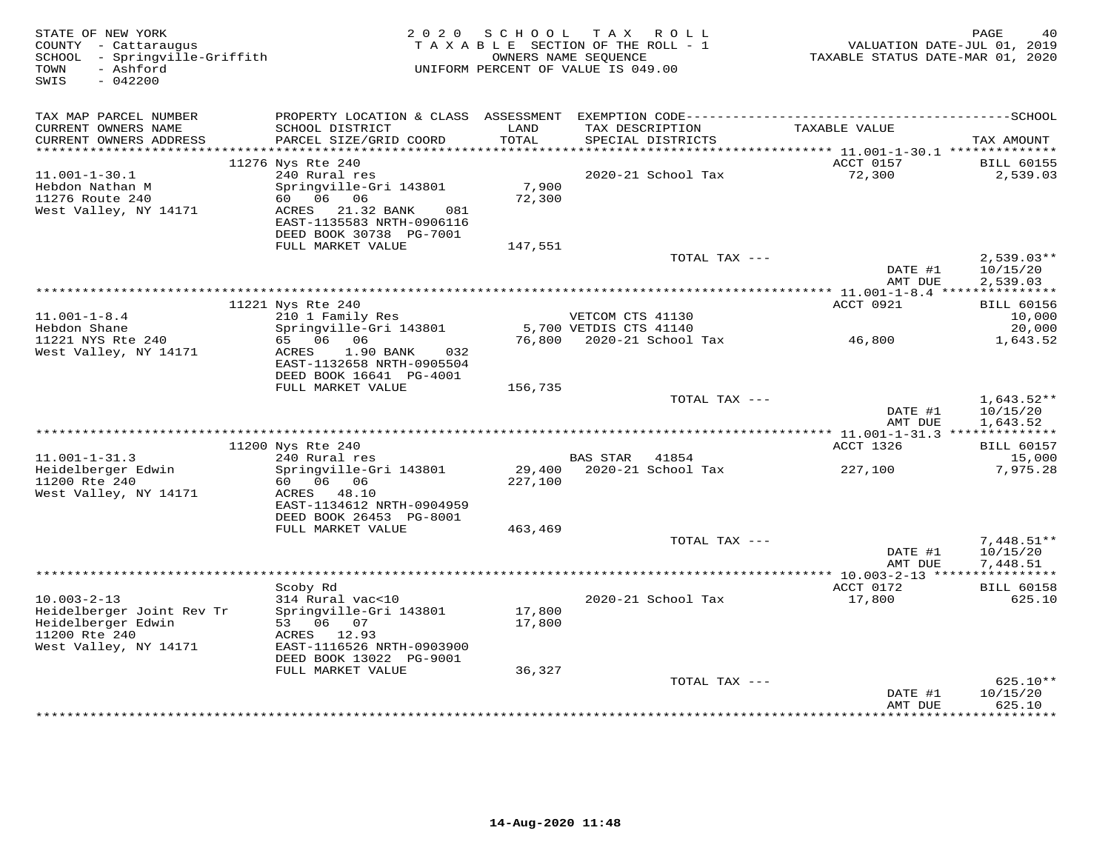| SWIS<br>$-042200$                                                                                     |                                                                                                           |                  |                                            |                     |                                      |
|-------------------------------------------------------------------------------------------------------|-----------------------------------------------------------------------------------------------------------|------------------|--------------------------------------------|---------------------|--------------------------------------|
|                                                                                                       |                                                                                                           |                  |                                            |                     |                                      |
|                                                                                                       |                                                                                                           |                  |                                            |                     |                                      |
| TAX MAP PARCEL NUMBER<br>CURRENT OWNERS NAME<br>CURRENT OWNERS ADDRESS                                | SCHOOL DISTRICT<br>PARCEL SIZE/GRID COORD                                                                 | LAND<br>TOTAL    | TAX DESCRIPTION<br>SPECIAL DISTRICTS       | TAXABLE VALUE       | TAX AMOUNT                           |
| 11276 Nys Rte 240                                                                                     |                                                                                                           |                  |                                            | ACCT 0157           | <b>BILL 60155</b>                    |
| $11.001 - 1 - 30.1$                                                                                   | 240 Rural res                                                                                             |                  | 2020-21 School Tax                         | 72,300              | 2,539.03                             |
| Hebdon Nathan M<br>11276 Route 240<br>60  06  06<br>West Valley, NY 14171                             | Springville-Gri 143801<br>ACRES 21.32 BANK<br>081<br>EAST-1135583 NRTH-0906116<br>DEED BOOK 30738 PG-7001 | 7,900<br>72,300  |                                            |                     |                                      |
|                                                                                                       | FULL MARKET VALUE                                                                                         | 147,551          |                                            |                     |                                      |
|                                                                                                       |                                                                                                           |                  | TOTAL TAX ---                              | DATE #1<br>AMT DUE  | $2,539.03**$<br>10/15/20<br>2,539.03 |
|                                                                                                       |                                                                                                           |                  |                                            |                     |                                      |
| 11221 Nys Rte 240                                                                                     |                                                                                                           |                  |                                            | ACCT 0921           | <b>BILL 60156</b>                    |
| $11.001 - 1 - 8.4$<br>Hebdon Shane                                                                    | 210 1 Family Res<br>Springville-Gri 143801                                                                |                  | VETCOM CTS 41130<br>5,700 VETDIS CTS 41140 |                     | 10,000<br>20,000                     |
| 11221 NYS Rte 240<br>65 06 06<br>West Valley, NY 14171<br>ACRES                                       | 1.90 BANK<br>032<br>EAST-1132658 NRTH-0905504                                                             |                  | 76,800 2020-21 School Tax                  | 46,800              | 1,643.52                             |
|                                                                                                       | DEED BOOK 16641 PG-4001<br>FULL MARKET VALUE                                                              |                  |                                            |                     |                                      |
|                                                                                                       |                                                                                                           | 156,735          | TOTAL TAX ---                              | DATE #1             | $1,643.52**$<br>10/15/20             |
|                                                                                                       |                                                                                                           |                  |                                            | AMT DUE             | 1,643.52                             |
| 11200 Nys Rte 240                                                                                     |                                                                                                           |                  |                                            | ACCT 1326           | <b>BILL 60157</b>                    |
| $11.001 - 1 - 31.3$                                                                                   | 240 Rural res                                                                                             |                  | BAS STAR 41854                             |                     | 15,000                               |
| Heidelberger Edwin<br>11200 Rte 240<br>60 06 06<br>West Valley, NY 14171                              | Springville-Gri 143801<br>ACRES 48.10                                                                     | 227,100          |                                            | 227,100             | 7,975.28                             |
|                                                                                                       | EAST-1134612 NRTH-0904959<br>DEED BOOK 26453 PG-8001<br>FULL MARKET VALUE                                 | 463,469          |                                            |                     |                                      |
|                                                                                                       |                                                                                                           |                  | TOTAL TAX ---                              |                     | $7,448.51**$                         |
|                                                                                                       |                                                                                                           |                  |                                            | DATE #1<br>AMT DUE  | 10/15/20<br>7,448.51                 |
|                                                                                                       |                                                                                                           |                  |                                            |                     |                                      |
| Scoby Rd<br>$10.003 - 2 - 13$                                                                         | 314 Rural vac<10                                                                                          |                  | 2020-21 School Tax                         | ACCT 0172<br>17,800 | <b>BILL 60158</b><br>625.10          |
| Heidelberger Joint Rev Tr<br>Heidelberger Edwin<br>53 06 07<br>11200 Rte 240<br>West Valley, NY 14171 | Springville-Gri 143801<br>ACRES 12.93<br>EAST-1116526 NRTH-0903900                                        | 17,800<br>17,800 |                                            |                     |                                      |
|                                                                                                       | DEED BOOK 13022 PG-9001                                                                                   |                  |                                            |                     |                                      |
|                                                                                                       | FULL MARKET VALUE                                                                                         | 36,327           |                                            |                     |                                      |
|                                                                                                       |                                                                                                           |                  | TOTAL TAX ---                              | DATE #1<br>AMT DUE  | $625.10**$<br>10/15/20<br>625.10     |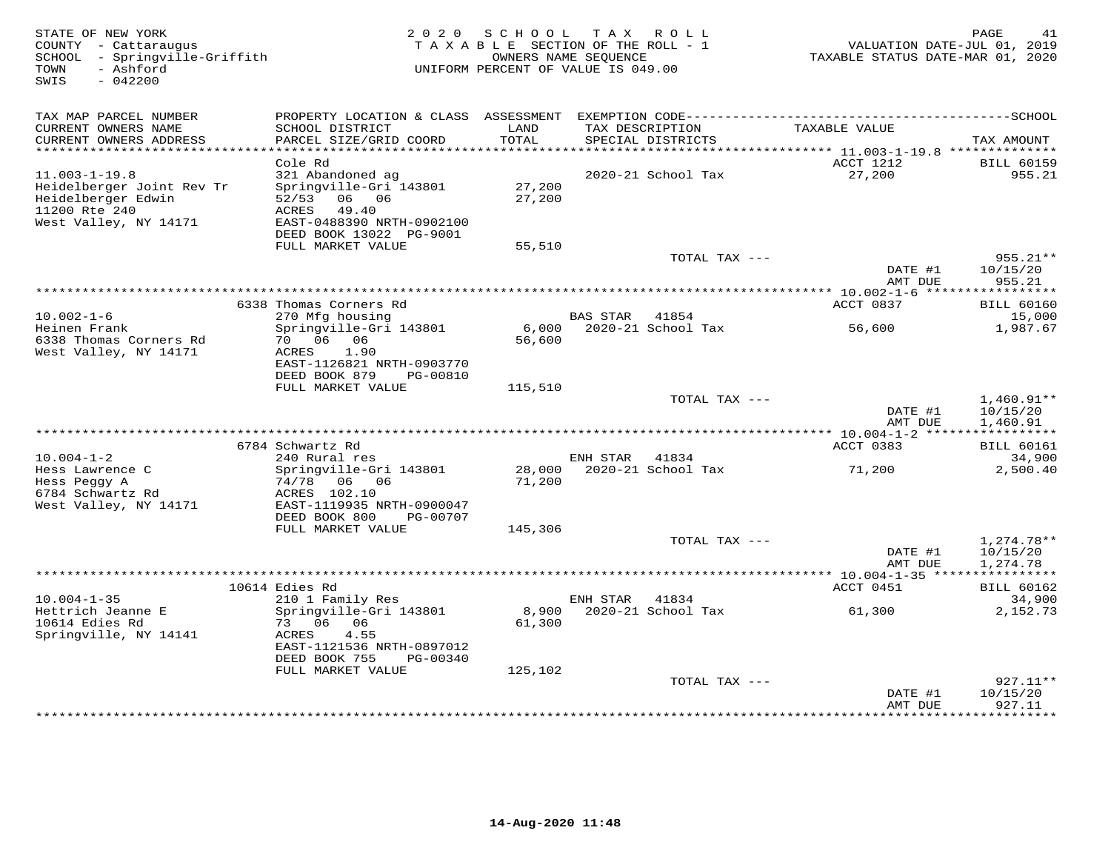| STATE OF NEW YORK<br>COUNTY - Cattaraugus<br>SCHOOL - Springville-Griffith<br>- Ashford<br>TOWN<br>SWIS<br>$-042200$ | 2 0 2 0                                                                                                                                           | SCHOOL TAX ROLL<br>TAXABLE SECTION OF THE ROLL - 1<br>OWNERS NAME SEOUENCE<br>UNIFORM PERCENT OF VALUE IS 049.00 |                 |                                      | VALUATION DATE-JUL 01, 2019<br>TAXABLE STATUS DATE-MAR 01, 2020 | PAGE<br>41                           |
|----------------------------------------------------------------------------------------------------------------------|---------------------------------------------------------------------------------------------------------------------------------------------------|------------------------------------------------------------------------------------------------------------------|-----------------|--------------------------------------|-----------------------------------------------------------------|--------------------------------------|
| TAX MAP PARCEL NUMBER                                                                                                |                                                                                                                                                   |                                                                                                                  |                 |                                      |                                                                 |                                      |
| CURRENT OWNERS NAME<br>CURRENT OWNERS ADDRESS                                                                        | SCHOOL DISTRICT<br>PARCEL SIZE/GRID COORD                                                                                                         | LAND<br>TOTAL                                                                                                    |                 | TAX DESCRIPTION<br>SPECIAL DISTRICTS | TAXABLE VALUE                                                   | TAX AMOUNT                           |
| *************************                                                                                            |                                                                                                                                                   |                                                                                                                  |                 |                                      |                                                                 |                                      |
| $11.003 - 1 - 19.8$<br>Heidelberger Joint Rev Tr<br>Heidelberger Edwin<br>11200 Rte 240<br>West Valley, NY 14171     | Cole Rd<br>321 Abandoned ag<br>Springville-Gri 143801<br>06 06<br>52/53<br>ACRES<br>49.40<br>EAST-0488390 NRTH-0902100<br>DEED BOOK 13022 PG-9001 | 27,200<br>27,200                                                                                                 |                 | 2020-21 School Tax                   | ACCT 1212<br>27,200                                             | <b>BILL 60159</b><br>955.21          |
|                                                                                                                      | FULL MARKET VALUE                                                                                                                                 | 55,510                                                                                                           |                 |                                      |                                                                 |                                      |
|                                                                                                                      |                                                                                                                                                   |                                                                                                                  |                 | TOTAL TAX ---                        | DATE #1<br>AMT DUE                                              | 955.21**<br>10/15/20<br>955.21       |
|                                                                                                                      |                                                                                                                                                   |                                                                                                                  |                 |                                      |                                                                 |                                      |
|                                                                                                                      | 6338 Thomas Corners Rd                                                                                                                            |                                                                                                                  |                 |                                      | ACCT 0837                                                       | <b>BILL 60160</b>                    |
| $10.002 - 1 - 6$                                                                                                     | 270 Mfg housing                                                                                                                                   |                                                                                                                  | <b>BAS STAR</b> | 41854                                |                                                                 | 15,000                               |
| Heinen Frank<br>6338 Thomas Corners Rd<br>West Valley, NY 14171                                                      | Springville-Gri 143801<br>70 06 06<br>ACRES<br>1.90<br>EAST-1126821 NRTH-0903770<br>DEED BOOK 879<br>PG-00810                                     | 6,000<br>56,600                                                                                                  |                 | 2020-21 School Tax                   | 56,600                                                          | 1,987.67                             |
|                                                                                                                      | FULL MARKET VALUE                                                                                                                                 | 115,510                                                                                                          |                 |                                      |                                                                 |                                      |
|                                                                                                                      |                                                                                                                                                   |                                                                                                                  |                 | TOTAL TAX ---                        | DATE #1<br>AMT DUE                                              | $1,460.91**$<br>10/15/20<br>1,460.91 |
|                                                                                                                      |                                                                                                                                                   |                                                                                                                  |                 |                                      |                                                                 |                                      |
| $10.004 - 1 - 2$                                                                                                     | 6784 Schwartz Rd<br>240 Rural res                                                                                                                 |                                                                                                                  | ENH STAR 41834  |                                      | ACCT 0383                                                       | <b>BILL 60161</b><br>34,900          |
| Hess Lawrence C<br>Hess Peggy A<br>6784 Schwartz Rd                                                                  | Springville-Gri 143801<br>74/78 06 06<br>ACRES 102.10                                                                                             | 28,000<br>71,200                                                                                                 |                 | 2020-21 School Tax                   | 71,200                                                          | 2,500.40                             |
| West Valley, NY 14171                                                                                                | EAST-1119935 NRTH-0900047<br>DEED BOOK 800<br>PG-00707                                                                                            |                                                                                                                  |                 |                                      |                                                                 |                                      |
|                                                                                                                      | FULL MARKET VALUE                                                                                                                                 | 145,306                                                                                                          |                 |                                      |                                                                 |                                      |
|                                                                                                                      |                                                                                                                                                   |                                                                                                                  |                 | TOTAL TAX ---                        | DATE #1<br>AMT DUE                                              | 1,274.78**<br>10/15/20<br>1,274.78   |
|                                                                                                                      |                                                                                                                                                   |                                                                                                                  |                 |                                      |                                                                 |                                      |
|                                                                                                                      | 10614 Edies Rd                                                                                                                                    |                                                                                                                  |                 |                                      | ACCT 0451                                                       | <b>BILL 60162</b>                    |
| $10.004 - 1 - 35$                                                                                                    | 210 1 Family Res                                                                                                                                  |                                                                                                                  | ENH STAR        | 41834                                |                                                                 | 34,900                               |
| Hettrich Jeanne E<br>10614 Edies Rd<br>Springville, NY 14141                                                         | Springville-Gri 143801<br>73 06 06<br>4.55<br>ACRES<br>EAST-1121536 NRTH-0897012                                                                  | 8,900<br>61,300                                                                                                  |                 | 2020-21 School Tax                   | 61,300                                                          | 2,152.73                             |
|                                                                                                                      | DEED BOOK 755<br>PG-00340                                                                                                                         |                                                                                                                  |                 |                                      |                                                                 |                                      |
|                                                                                                                      | FULL MARKET VALUE                                                                                                                                 | 125,102                                                                                                          |                 |                                      |                                                                 |                                      |
|                                                                                                                      |                                                                                                                                                   |                                                                                                                  |                 | TOTAL TAX ---                        | DATE #1<br>AMT DUE                                              | 927.11**<br>10/15/20<br>927.11       |
|                                                                                                                      |                                                                                                                                                   |                                                                                                                  |                 |                                      | **************                                                  | * * * * * * * * *                    |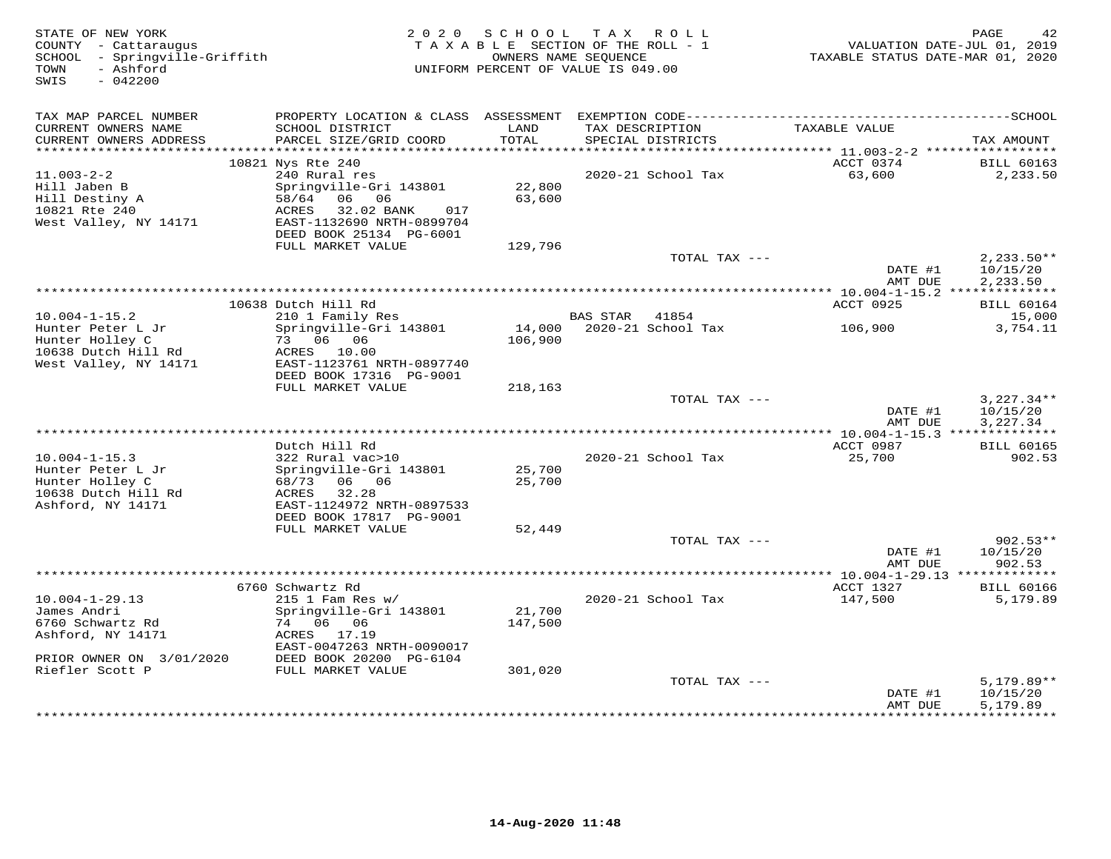| STATE OF NEW YORK<br>COUNTY - Cattaraugus<br>SCHOOL - Springville-Griffith<br>- Ashford<br>TOWN<br>$-042200$<br>SWIS |                                                                                                                                                                   |                                      | 2020 SCHOOL TAX ROLL<br>TAXABLE SECTION OF THE ROLL - 1<br>OWNERS NAME SEQUENCE<br>UNIFORM PERCENT OF VALUE IS 049.00 | VALUATION DATE-JUL 01, 2019<br>TAXABLE STATUS DATE-MAR 01, 2020 | PAGE                                 |
|----------------------------------------------------------------------------------------------------------------------|-------------------------------------------------------------------------------------------------------------------------------------------------------------------|--------------------------------------|-----------------------------------------------------------------------------------------------------------------------|-----------------------------------------------------------------|--------------------------------------|
| TAX MAP PARCEL NUMBER                                                                                                |                                                                                                                                                                   |                                      |                                                                                                                       |                                                                 |                                      |
| CURRENT OWNERS NAME<br>CURRENT OWNERS ADDRESS<br>************************                                            | SCHOOL DISTRICT<br>PARCEL SIZE/GRID COORD                                                                                                                         | LAND<br>TOTAL                        | TAX DESCRIPTION<br>SPECIAL DISTRICTS                                                                                  | TAXABLE VALUE                                                   | TAX AMOUNT                           |
|                                                                                                                      |                                                                                                                                                                   |                                      |                                                                                                                       |                                                                 |                                      |
| $11.003 - 2 - 2$<br>Hill Jaben B<br>Hill Destiny A<br>10821 Rte 240<br>West Valley, NY 14171                         | 10821 Nys Rte 240<br>240 Rural res<br>Springville-Gri 143801<br>58/64 06 06<br>32.02 BANK<br>ACRES<br>017<br>EAST-1132690 NRTH-0899704<br>DEED BOOK 25134 PG-6001 | 22,800<br>63,600                     | 2020-21 School Tax                                                                                                    | ACCT 0374<br>63,600                                             | <b>BILL 60163</b><br>2,233.50        |
|                                                                                                                      | FULL MARKET VALUE                                                                                                                                                 | 129,796                              |                                                                                                                       |                                                                 |                                      |
|                                                                                                                      |                                                                                                                                                                   |                                      | TOTAL TAX ---                                                                                                         | DATE #1<br>AMT DUE                                              | $2,233.50**$<br>10/15/20<br>2,233.50 |
|                                                                                                                      |                                                                                                                                                                   |                                      |                                                                                                                       |                                                                 |                                      |
|                                                                                                                      | 10638 Dutch Hill Rd                                                                                                                                               |                                      |                                                                                                                       | ACCT 0925                                                       | <b>BILL 60164</b>                    |
| $10.004 - 1 - 15.2$<br>Hunter Peter L Jr                                                                             | 210 1 Family Res<br>Springville-Gri 143801                                                                                                                        |                                      | BAS STAR 41854<br>14,000 2020-21 School Tax                                                                           | 106,900                                                         | 15,000<br>3,754.11                   |
| Hunter Holley C<br>10638 Dutch Hill Rd<br>West Valley, NY 14171                                                      | 73 06 06<br>ACRES 10.00<br>EAST-1123761 NRTH-0897740<br>DEED BOOK 17316 PG-9001                                                                                   | 106,900                              |                                                                                                                       |                                                                 |                                      |
|                                                                                                                      | FULL MARKET VALUE                                                                                                                                                 | 218,163                              |                                                                                                                       |                                                                 |                                      |
|                                                                                                                      |                                                                                                                                                                   |                                      | TOTAL TAX ---                                                                                                         | DATE #1<br>AMT DUE                                              | $3,227.34**$<br>10/15/20<br>3,227.34 |
|                                                                                                                      |                                                                                                                                                                   |                                      |                                                                                                                       |                                                                 |                                      |
| $10.004 - 1 - 15.3$<br>Hunter Peter L Jr<br>Hunter Holley C                                                          | Dutch Hill Rd<br>322 Rural vac>10<br>Springville-Gri 143801<br>68/73 06 06                                                                                        | 25,700<br>25,700                     | 2020-21 School Tax                                                                                                    | ACCT 0987<br>25,700                                             | <b>BILL 60165</b><br>902.53          |
| 10638 Dutch Hill Rd<br>Ashford, NY 14171                                                                             | ACRES<br>32.28<br>EAST-1124972 NRTH-0897533<br>DEED BOOK 17817 PG-9001                                                                                            |                                      |                                                                                                                       |                                                                 |                                      |
|                                                                                                                      | FULL MARKET VALUE                                                                                                                                                 | 52,449                               |                                                                                                                       |                                                                 |                                      |
|                                                                                                                      |                                                                                                                                                                   |                                      | TOTAL TAX ---                                                                                                         | DATE #1<br>AMT DUE                                              | $902.53**$<br>10/15/20<br>902.53     |
|                                                                                                                      |                                                                                                                                                                   | ************************************ |                                                                                                                       | ****** 10.004-1-29.13 *************                             |                                      |
|                                                                                                                      | 6760 Schwartz Rd                                                                                                                                                  |                                      |                                                                                                                       | ACCT 1327                                                       | <b>BILL 60166</b>                    |
| $10.004 - 1 - 29.13$<br>James Andri<br>6760 Schwartz Rd<br>Ashford, NY 14171                                         | $215$ 1 Fam Res w/<br>Springville-Gri 143801<br>74 06 06<br>ACRES 17.19<br>EAST-0047263 NRTH-0090017                                                              | 21,700<br>147,500                    | 2020-21 School Tax                                                                                                    | 147,500                                                         | 5,179.89                             |
| PRIOR OWNER ON 3/01/2020                                                                                             | DEED BOOK 20200 PG-6104                                                                                                                                           |                                      |                                                                                                                       |                                                                 |                                      |
| Riefler Scott P                                                                                                      | FULL MARKET VALUE                                                                                                                                                 | 301,020                              | TOTAL TAX ---                                                                                                         | DATE #1<br>AMT DUE                                              | $5,179.89**$<br>10/15/20<br>5,179.89 |
|                                                                                                                      |                                                                                                                                                                   |                                      |                                                                                                                       |                                                                 |                                      |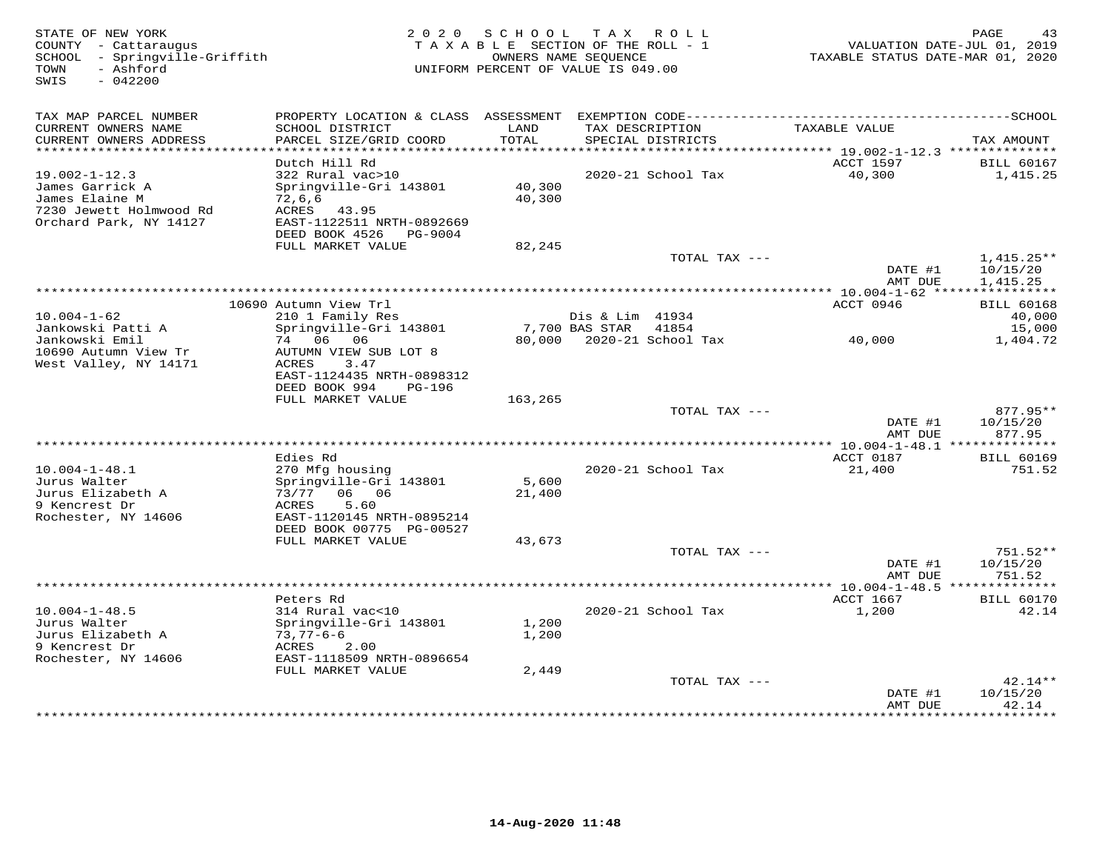| STATE OF NEW YORK<br>COUNTY - Cattaraugus<br>SCHOOL - Springville-Griffith<br>- Ashford<br>TOWN<br>SWIS<br>$-042200$ |                                                                                                                    |                  | 2020 SCHOOL TAX ROLL<br>TAXABLE SECTION OF THE ROLL - 1<br>OWNERS NAME SEQUENCE<br>UNIFORM PERCENT OF VALUE IS 049.00 | TAXABLE STATUS DATE-MAR 01, 2020 | PAGE<br>43<br>VALUATION DATE-JUL 01, 2019 |
|----------------------------------------------------------------------------------------------------------------------|--------------------------------------------------------------------------------------------------------------------|------------------|-----------------------------------------------------------------------------------------------------------------------|----------------------------------|-------------------------------------------|
| TAX MAP PARCEL NUMBER<br>CURRENT OWNERS NAME<br>CURRENT OWNERS ADDRESS                                               | SCHOOL DISTRICT<br>PARCEL SIZE/GRID COORD                                                                          | LAND<br>TOTAL    | TAX DESCRIPTION<br>SPECIAL DISTRICTS                                                                                  | TAXABLE VALUE                    | TAX AMOUNT                                |
| ***********************                                                                                              |                                                                                                                    |                  |                                                                                                                       |                                  |                                           |
| $19.002 - 1 - 12.3$<br>James Garrick A<br>James Elaine M<br>7230 Jewett Holmwood Rd<br>Orchard Park, NY 14127        | Dutch Hill Rd<br>322 Rural vac>10<br>Springville-Gri 143801<br>72,6,6<br>ACRES 43.95<br>EAST-1122511 NRTH-0892669  | 40,300<br>40,300 | 2020-21 School Tax                                                                                                    | ACCT 1597<br>40,300              | <b>BILL 60167</b><br>1,415.25             |
|                                                                                                                      | DEED BOOK 4526 PG-9004                                                                                             |                  |                                                                                                                       |                                  |                                           |
|                                                                                                                      | FULL MARKET VALUE                                                                                                  | 82,245           | TOTAL TAX ---                                                                                                         | DATE #1                          | $1,415.25**$<br>10/15/20                  |
|                                                                                                                      |                                                                                                                    |                  |                                                                                                                       | AMT DUE                          | 1,415.25                                  |
|                                                                                                                      | 10690 Autumn View Trl                                                                                              |                  |                                                                                                                       | ACCT 0946                        | <b>BILL 60168</b>                         |
| $10.004 - 1 - 62$<br>Jankowski Patti A                                                                               | 210 1 Family Res<br>Springville-Gri 143801                                                                         |                  | Dis & Lim 41934<br>7,700 BAS STAR 41854                                                                               |                                  | 40,000<br>15,000                          |
| Jankowski Emil<br>10690 Autumn View Tr<br>West Valley, NY 14171                                                      | 74 06 06<br>AUTUMN VIEW SUB LOT 8<br>ACRES<br>3.47<br>EAST-1124435 NRTH-0898312<br>DEED BOOK 994<br>PG-196         |                  | 80,000 2020-21 School Tax                                                                                             | 40,000                           | 1,404.72                                  |
|                                                                                                                      | FULL MARKET VALUE                                                                                                  | 163,265          |                                                                                                                       |                                  |                                           |
|                                                                                                                      |                                                                                                                    |                  | TOTAL TAX ---                                                                                                         | DATE #1<br>AMT DUE               | 877.95**<br>10/15/20<br>877.95            |
|                                                                                                                      |                                                                                                                    |                  |                                                                                                                       |                                  |                                           |
| $10.004 - 1 - 48.1$<br>Jurus Walter<br>Jurus Elizabeth A                                                             | Edies Rd<br>270 Mfg housing<br>Springville-Gri 143801<br>73/77 06 06                                               | 5,600<br>21,400  | 2020-21 School Tax                                                                                                    | ACCT 0187<br>21,400              | <b>BILL 60169</b><br>751.52               |
| 9 Kencrest Dr<br>Rochester, NY 14606                                                                                 | 5.60<br>ACRES<br>EAST-1120145 NRTH-0895214<br>DEED BOOK 00775 PG-00527                                             |                  |                                                                                                                       |                                  |                                           |
|                                                                                                                      | FULL MARKET VALUE                                                                                                  | 43,673           |                                                                                                                       |                                  |                                           |
|                                                                                                                      |                                                                                                                    |                  | TOTAL TAX ---                                                                                                         | DATE #1<br>AMT DUE               | 751.52**<br>10/15/20<br>751.52            |
|                                                                                                                      |                                                                                                                    |                  |                                                                                                                       |                                  |                                           |
| $10.004 - 1 - 48.5$<br>Jurus Walter<br>Jurus Elizabeth A<br>9 Kencrest Dr<br>Rochester, NY 14606                     | Peters Rd<br>314 Rural vac<10<br>Springville-Gri 143801<br>73,77-6-6<br>ACRES<br>2.00<br>EAST-1118509 NRTH-0896654 | 1,200<br>1,200   | 2020-21 School Tax                                                                                                    | ACCT 1667<br>1,200               | <b>BILL 60170</b><br>42.14                |
|                                                                                                                      | FULL MARKET VALUE                                                                                                  | 2,449            |                                                                                                                       |                                  |                                           |
|                                                                                                                      |                                                                                                                    |                  | TOTAL TAX ---                                                                                                         | DATE #1<br>AMT DUE               | $42.14**$<br>10/15/20<br>42.14            |
|                                                                                                                      |                                                                                                                    |                  |                                                                                                                       |                                  | + + + + + + + + +                         |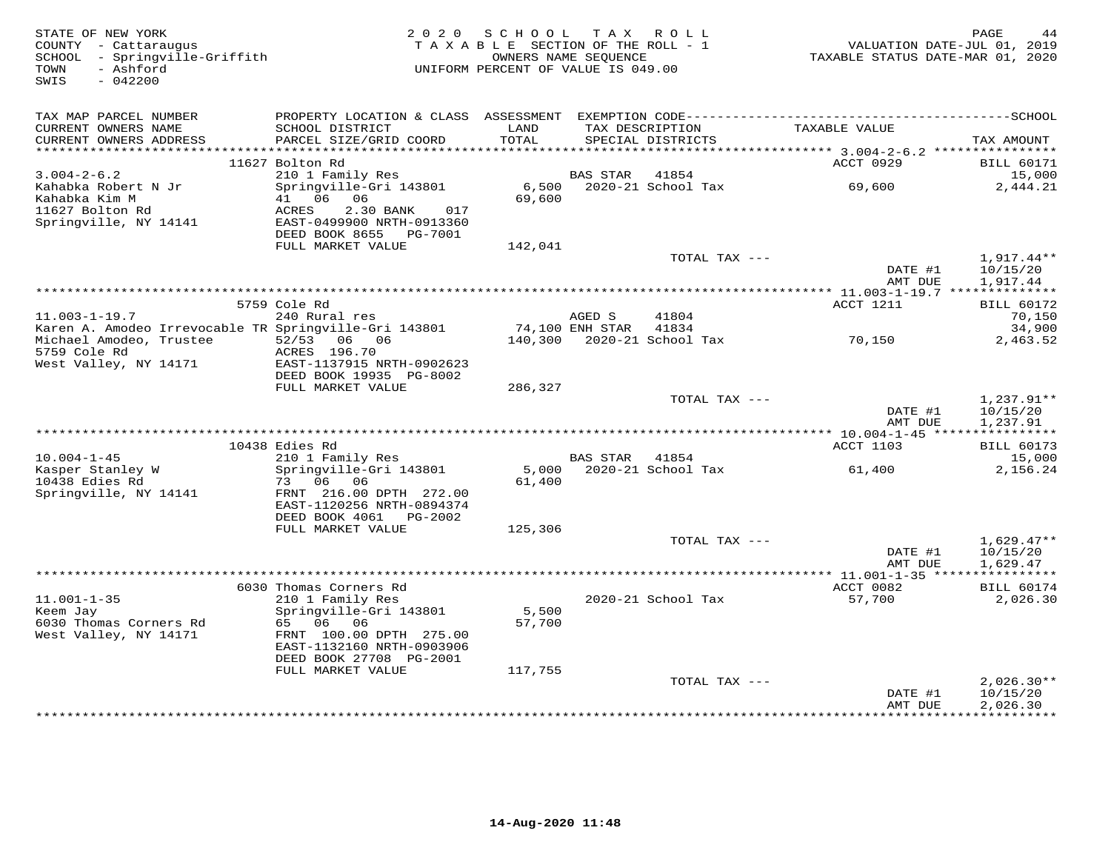| STATE OF NEW YORK<br>COUNTY - Cattaraugus<br>SCHOOL - Springville-Griffith<br>- Ashford<br>TOWN<br>SWIS<br>$-042200$ | 2 0 2 0                                                                                      | SCHOOL<br>TAXABLE SECTION OF THE ROLL - 1<br>OWNERS NAME SEQUENCE<br>UNIFORM PERCENT OF VALUE IS 049.00 |                 | TAX ROLL                             | VALUATION DATE-JUL 01, 2019<br>TAXABLE STATUS DATE-MAR 01, 2020 | PAGE<br>44                    |
|----------------------------------------------------------------------------------------------------------------------|----------------------------------------------------------------------------------------------|---------------------------------------------------------------------------------------------------------|-----------------|--------------------------------------|-----------------------------------------------------------------|-------------------------------|
| TAX MAP PARCEL NUMBER                                                                                                |                                                                                              |                                                                                                         |                 |                                      |                                                                 |                               |
| CURRENT OWNERS NAME<br>CURRENT OWNERS ADDRESS<br>************************                                            | SCHOOL DISTRICT<br>PARCEL SIZE/GRID COORD                                                    | LAND<br>TOTAL                                                                                           |                 | TAX DESCRIPTION<br>SPECIAL DISTRICTS | TAXABLE VALUE                                                   | TAX AMOUNT                    |
|                                                                                                                      | 11627 Bolton Rd                                                                              |                                                                                                         |                 |                                      | ACCT 0929                                                       | <b>BILL 60171</b>             |
| $3.004 - 2 - 6.2$                                                                                                    | 210 1 Family Res                                                                             |                                                                                                         | BAS STAR        | 41854                                |                                                                 | 15,000                        |
| Kahabka Robert N Jr<br>Kahabka Kim M<br>11627 Bolton Rd<br>Springville, NY 14141                                     | Springville-Gri 143801<br>41 06 06<br>ACRES<br>2.30 BANK<br>017<br>EAST-0499900 NRTH-0913360 | 6,500<br>69,600                                                                                         |                 | 2020-21 School Tax                   | 69,600                                                          | 2,444.21                      |
|                                                                                                                      | DEED BOOK 8655 PG-7001                                                                       |                                                                                                         |                 |                                      |                                                                 |                               |
|                                                                                                                      | FULL MARKET VALUE                                                                            | 142,041                                                                                                 |                 |                                      |                                                                 |                               |
|                                                                                                                      |                                                                                              |                                                                                                         |                 | TOTAL TAX ---                        | DATE #1                                                         | $1,917.44**$<br>10/15/20      |
|                                                                                                                      |                                                                                              |                                                                                                         |                 |                                      | AMT DUE<br>**************** 11.003-1-19.7 **************        | 1,917.44                      |
|                                                                                                                      | 5759 Cole Rd                                                                                 |                                                                                                         |                 |                                      | ACCT 1211                                                       | <b>BILL 60172</b>             |
| $11.003 - 1 - 19.7$                                                                                                  | 240 Rural res                                                                                |                                                                                                         | AGED S          | 41804                                |                                                                 | 70,150                        |
| Karen A. Amodeo Irrevocable TR Springville-Gri 143801                                                                |                                                                                              |                                                                                                         | 74,100 ENH STAR | 41834                                |                                                                 | 34,900                        |
| Michael Amodeo, Trustee<br>5759 Cole Rd<br>West Valley, NY 14171                                                     | 52/53 06 06<br>ACRES 196.70<br>EAST-1137915 NRTH-0902623                                     |                                                                                                         |                 | 140,300 2020-21 School Tax           | 70,150                                                          | 2,463.52                      |
|                                                                                                                      | DEED BOOK 19935 PG-8002<br>FULL MARKET VALUE                                                 | 286,327                                                                                                 |                 |                                      |                                                                 |                               |
|                                                                                                                      |                                                                                              |                                                                                                         |                 | TOTAL TAX ---                        |                                                                 | $1,237.91**$                  |
|                                                                                                                      |                                                                                              |                                                                                                         |                 |                                      | DATE #1<br>AMT DUE                                              | 10/15/20<br>1,237.91          |
|                                                                                                                      |                                                                                              |                                                                                                         |                 |                                      |                                                                 |                               |
| $10.004 - 1 - 45$                                                                                                    | 10438 Edies Rd<br>210 1 Family Res                                                           |                                                                                                         | BAS STAR 41854  |                                      | ACCT 1103                                                       | <b>BILL 60173</b><br>15,000   |
| Kasper Stanley W                                                                                                     | Springville-Gri 143801                                                                       |                                                                                                         |                 | 5,000 2020-21 School Tax             | 61,400                                                          | 2,156.24                      |
| 10438 Edies Rd<br>Springville, NY 14141                                                                              | 73 06 06<br>FRNT 216.00 DPTH 272.00<br>EAST-1120256 NRTH-0894374                             | 61,400                                                                                                  |                 |                                      |                                                                 |                               |
|                                                                                                                      | DEED BOOK 4061 PG-2002<br>FULL MARKET VALUE                                                  | 125,306                                                                                                 |                 |                                      |                                                                 |                               |
|                                                                                                                      |                                                                                              |                                                                                                         |                 | TOTAL TAX ---                        |                                                                 | $1,629.47**$                  |
|                                                                                                                      |                                                                                              |                                                                                                         |                 |                                      | DATE #1                                                         | 10/15/20                      |
|                                                                                                                      |                                                                                              |                                                                                                         |                 |                                      | AMT DUE                                                         | 1,629.47                      |
|                                                                                                                      |                                                                                              |                                                                                                         |                 |                                      |                                                                 |                               |
| $11.001 - 1 - 35$                                                                                                    | 6030 Thomas Corners Rd<br>210 1 Family Res                                                   |                                                                                                         |                 | 2020-21 School Tax                   | ACCT 0082<br>57,700                                             | <b>BILL 60174</b><br>2,026.30 |
| Keem Jay<br>6030 Thomas Corners Rd<br>West Valley, NY 14171                                                          | Springville-Gri 143801<br>65 06 06<br>FRNT 100.00 DPTH 275.00                                | 5,500<br>57,700                                                                                         |                 |                                      |                                                                 |                               |
|                                                                                                                      | EAST-1132160 NRTH-0903906<br>DEED BOOK 27708 PG-2001                                         |                                                                                                         |                 |                                      |                                                                 |                               |
|                                                                                                                      | FULL MARKET VALUE                                                                            | 117,755                                                                                                 |                 |                                      |                                                                 |                               |
|                                                                                                                      |                                                                                              |                                                                                                         |                 | TOTAL TAX ---                        |                                                                 | $2,026.30**$                  |
|                                                                                                                      |                                                                                              |                                                                                                         |                 |                                      | DATE #1<br>AMT DUE                                              | 10/15/20<br>2,026.30          |
|                                                                                                                      |                                                                                              |                                                                                                         |                 |                                      | ************                                                    | ***********                   |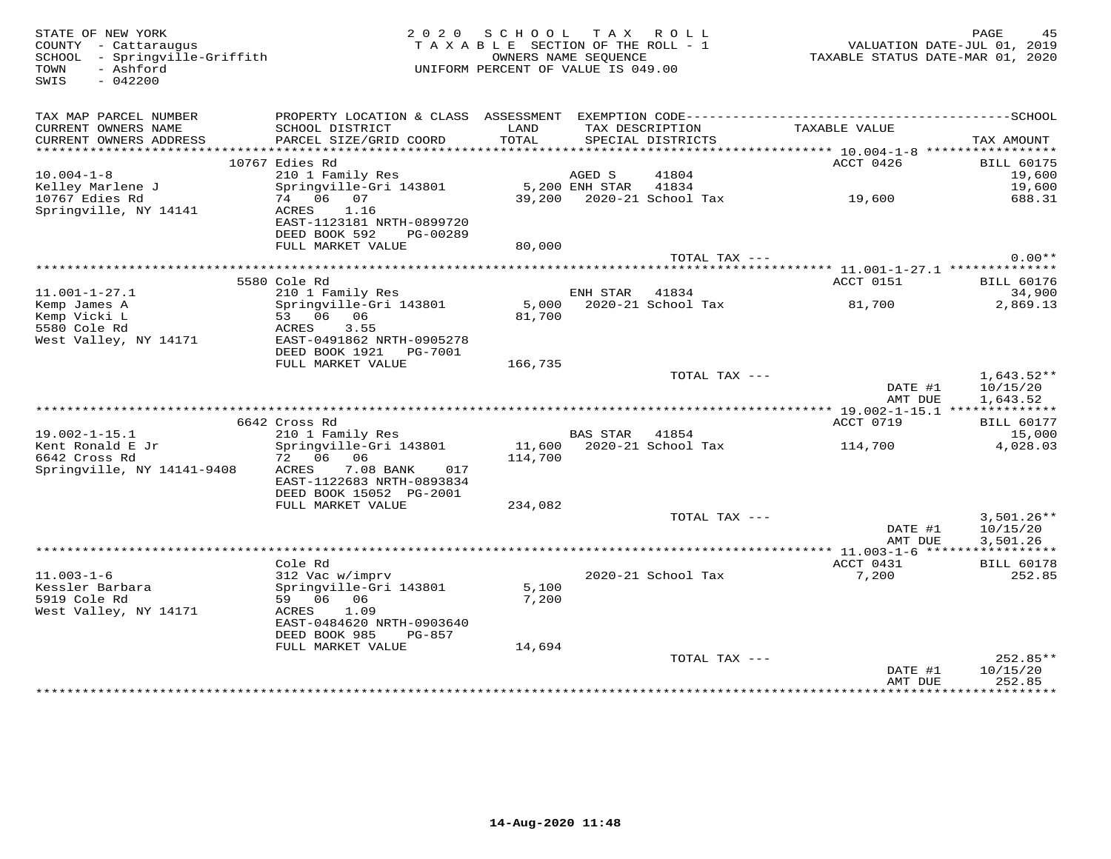| STATE OF NEW YORK<br>COUNTY - Cattaraugus<br>SCHOOL - Springville-Griffith<br>- Ashford<br>TOWN<br>SWIS<br>$-042200$ |                                                        | 2020 SCHOOL TAX ROLL<br>TAXABLE SECTION OF THE ROLL - 1<br>UNIFORM PERCENT OF VALUE IS 049.00 | OWNERS NAME SEQUENCE |                           | VALUATION DATE-JUL 01, 2019<br>TAXABLE STATUS DATE-MAR 01, 2020 | PAGE                                 |
|----------------------------------------------------------------------------------------------------------------------|--------------------------------------------------------|-----------------------------------------------------------------------------------------------|----------------------|---------------------------|-----------------------------------------------------------------|--------------------------------------|
| TAX MAP PARCEL NUMBER                                                                                                |                                                        |                                                                                               |                      | TAX DESCRIPTION           |                                                                 |                                      |
| CURRENT OWNERS NAME<br>CURRENT OWNERS ADDRESS                                                                        | SCHOOL DISTRICT<br>PARCEL SIZE/GRID COORD              | LAND<br>TOTAL                                                                                 |                      | SPECIAL DISTRICTS         | TAXABLE VALUE                                                   | TAX AMOUNT                           |
|                                                                                                                      |                                                        |                                                                                               |                      |                           |                                                                 |                                      |
|                                                                                                                      | 10767 Edies Rd                                         |                                                                                               |                      |                           | ACCT 0426                                                       | <b>BILL 60175</b>                    |
| $10.004 - 1 - 8$                                                                                                     | 210 1 Family Res                                       |                                                                                               | AGED S               | 41804                     |                                                                 | 19,600                               |
| Kelley Marlene J                                                                                                     | Springville-Gri 143801                                 |                                                                                               | 5,200 ENH STAR       | 41834                     | 39,200 2020-21 School Tax 19,600                                | 19,600                               |
| 10767 Edies Rd<br>Springville, NY 14141                                                                              | 74 06 07<br>1.16<br>ACRES                              |                                                                                               |                      |                           |                                                                 | 688.31                               |
|                                                                                                                      | EAST-1123181 NRTH-0899720                              |                                                                                               |                      |                           |                                                                 |                                      |
|                                                                                                                      | DEED BOOK 592<br>PG-00289                              |                                                                                               |                      |                           |                                                                 |                                      |
|                                                                                                                      | FULL MARKET VALUE                                      | 80,000                                                                                        |                      |                           |                                                                 |                                      |
|                                                                                                                      |                                                        |                                                                                               |                      | TOTAL TAX ---             |                                                                 | $0.00**$                             |
|                                                                                                                      | *********************************                      |                                                                                               |                      |                           |                                                                 |                                      |
| $11.001 - 1 - 27.1$                                                                                                  | 5580 Cole Rd<br>210 1 Family Res                       |                                                                                               | ENH STAR             | 41834                     | ACCT 0151                                                       | <b>BILL 60176</b><br>34,900          |
| Kemp James A                                                                                                         | Springville-Gri 143801                                 |                                                                                               |                      | 5,000 2020-21 School Tax  | 81,700                                                          | 2,869.13                             |
| Kemp Vicki L                                                                                                         | 53 06 06                                               | 81,700                                                                                        |                      |                           |                                                                 |                                      |
| 5580 Cole Rd                                                                                                         | ACRES<br>3.55                                          |                                                                                               |                      |                           |                                                                 |                                      |
| West Valley, NY 14171                                                                                                | EAST-0491862 NRTH-0905278<br>DEED BOOK 1921    PG-7001 |                                                                                               |                      |                           |                                                                 |                                      |
|                                                                                                                      | FULL MARKET VALUE                                      | 166,735                                                                                       |                      |                           |                                                                 |                                      |
|                                                                                                                      |                                                        |                                                                                               |                      | TOTAL TAX ---             | DATE #1<br>AMT DUE                                              | $1,643.52**$<br>10/15/20<br>1,643.52 |
|                                                                                                                      |                                                        |                                                                                               |                      |                           |                                                                 |                                      |
|                                                                                                                      | 6642 Cross Rd                                          |                                                                                               |                      |                           | ACCT 0719                                                       | <b>BILL 60177</b>                    |
| $19.002 - 1 - 15.1$                                                                                                  | 210 1 Family Res                                       |                                                                                               | BAS STAR 41854       |                           |                                                                 | 15,000                               |
| Kent Ronald E Jr<br>6642 Cross Rd                                                                                    | Springville-Gri 143801<br>72 06 06                     | 114,700                                                                                       |                      | 11,600 2020-21 School Tax | 114,700                                                         | 4,028.03                             |
| Springville, NY 14141-9408                                                                                           | 7.08 BANK<br>ACRES<br>017                              |                                                                                               |                      |                           |                                                                 |                                      |
|                                                                                                                      | EAST-1122683 NRTH-0893834                              |                                                                                               |                      |                           |                                                                 |                                      |
|                                                                                                                      | DEED BOOK 15052 PG-2001                                |                                                                                               |                      |                           |                                                                 |                                      |
|                                                                                                                      | FULL MARKET VALUE                                      | 234,082                                                                                       |                      |                           |                                                                 |                                      |
|                                                                                                                      |                                                        |                                                                                               |                      | TOTAL TAX ---             |                                                                 | $3,501.26**$                         |
|                                                                                                                      |                                                        |                                                                                               |                      |                           | DATE #1<br>AMT DUE                                              | 10/15/20<br>3,501.26                 |
|                                                                                                                      |                                                        |                                                                                               |                      |                           |                                                                 |                                      |
|                                                                                                                      | Cole Rd                                                |                                                                                               |                      |                           | ACCT 0431                                                       | <b>BILL 60178</b>                    |
| $11.003 - 1 - 6$                                                                                                     | 312 Vac w/imprv                                        |                                                                                               |                      | 2020-21 School Tax        | 7,200                                                           | 252.85                               |
| Kessler Barbara                                                                                                      | Springville-Gri 143801                                 | 5,100                                                                                         |                      |                           |                                                                 |                                      |
| 5919 Cole Rd                                                                                                         | 59 06 06                                               | 7,200                                                                                         |                      |                           |                                                                 |                                      |
| West Valley, NY 14171                                                                                                | ACRES<br>1.09<br>EAST-0484620 NRTH-0903640             |                                                                                               |                      |                           |                                                                 |                                      |
|                                                                                                                      | DEED BOOK 985<br>PG-857                                |                                                                                               |                      |                           |                                                                 |                                      |
|                                                                                                                      | FULL MARKET VALUE                                      | 14,694                                                                                        |                      |                           |                                                                 |                                      |
|                                                                                                                      |                                                        |                                                                                               |                      | TOTAL TAX ---             |                                                                 | $252.85**$                           |
|                                                                                                                      |                                                        |                                                                                               |                      |                           | DATE #1                                                         | 10/15/20                             |
|                                                                                                                      |                                                        |                                                                                               |                      |                           | AMT DUE                                                         | 252.85<br>* * * * * * * * * *        |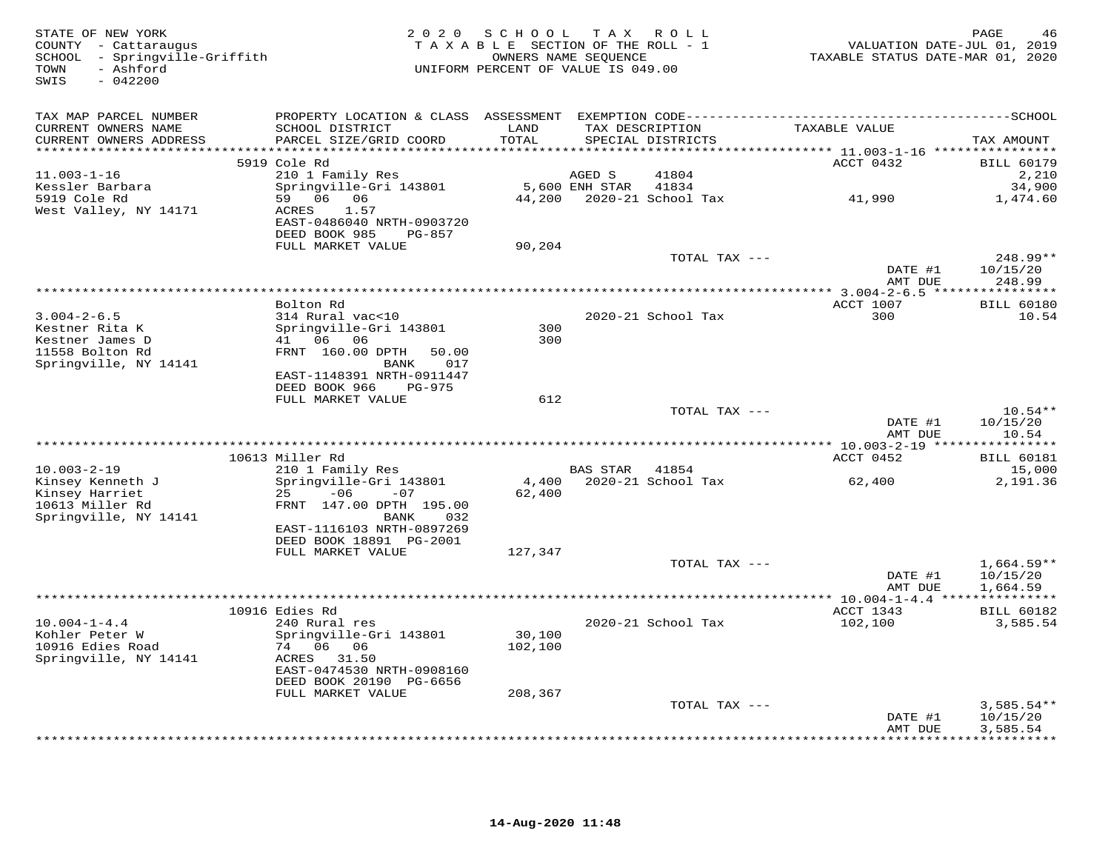| STATE OF NEW YORK<br>COUNTY - Cattaraugus<br>SCHOOL - Springville-Griffith<br>- Ashford<br>TOWN<br>$-042200$<br>SWIS | 2 0 2 0                                                                                                     | SCHOOL<br>TAXABLE SECTION OF THE ROLL - 1<br>OWNERS NAME SEQUENCE<br>UNIFORM PERCENT OF VALUE IS 049.00 |                | TAX ROLL                                                | VALUATION DATE-JUL 01, 2019<br>TAXABLE STATUS DATE-MAR 01, 2020 | PAGE<br>46                           |
|----------------------------------------------------------------------------------------------------------------------|-------------------------------------------------------------------------------------------------------------|---------------------------------------------------------------------------------------------------------|----------------|---------------------------------------------------------|-----------------------------------------------------------------|--------------------------------------|
| TAX MAP PARCEL NUMBER                                                                                                |                                                                                                             |                                                                                                         |                |                                                         |                                                                 |                                      |
| CURRENT OWNERS NAME<br>CURRENT OWNERS ADDRESS<br>*******************                                                 | SCHOOL DISTRICT<br>PARCEL SIZE/GRID COORD                                                                   | LAND<br>TOTAL<br>******                                                                                 |                | TAX DESCRIPTION<br>SPECIAL DISTRICTS<br>*************** | TAXABLE VALUE                                                   | TAX AMOUNT                           |
|                                                                                                                      | 5919 Cole Rd                                                                                                |                                                                                                         |                |                                                         | ********* 11.003-1-16 *****************<br>ACCT 0432            | <b>BILL 60179</b>                    |
| $11.003 - 1 - 16$                                                                                                    | 210 1 Family Res                                                                                            |                                                                                                         | AGED S         | 41804                                                   |                                                                 | 2,210                                |
| Kessler Barbara                                                                                                      | Springville-Gri 143801                                                                                      |                                                                                                         | 5,600 ENH STAR | 41834                                                   |                                                                 | 34,900                               |
| 5919 Cole Rd<br>West Valley, NY 14171                                                                                | 59 06 06<br>ACRES<br>1.57<br>EAST-0486040 NRTH-0903720<br>DEED BOOK 985<br>PG-857                           | 44,200                                                                                                  |                | 2020-21 School Tax                                      | 41,990                                                          | 1,474.60                             |
|                                                                                                                      | FULL MARKET VALUE                                                                                           | 90,204                                                                                                  |                |                                                         |                                                                 |                                      |
|                                                                                                                      |                                                                                                             |                                                                                                         |                | TOTAL TAX ---                                           | DATE #1                                                         | 248.99**<br>10/15/20                 |
| ******************************                                                                                       |                                                                                                             |                                                                                                         |                |                                                         | AMT DUE                                                         | 248.99                               |
|                                                                                                                      | Bolton Rd                                                                                                   |                                                                                                         |                |                                                         | ACCT 1007                                                       | <b>BILL 60180</b>                    |
| $3.004 - 2 - 6.5$                                                                                                    | 314 Rural vac<10                                                                                            |                                                                                                         |                | 2020-21 School Tax                                      | 300                                                             | 10.54                                |
| Kestner Rita K<br>Kestner James D<br>11558 Bolton Rd<br>Springville, NY 14141                                        | Springville-Gri 143801<br>41 06 06<br>FRNT 160.00 DPTH<br>50.00<br>BANK<br>017<br>EAST-1148391 NRTH-0911447 | 300<br>300                                                                                              |                |                                                         |                                                                 |                                      |
|                                                                                                                      | DEED BOOK 966<br>PG-975                                                                                     |                                                                                                         |                |                                                         |                                                                 |                                      |
|                                                                                                                      | FULL MARKET VALUE                                                                                           | 612                                                                                                     |                |                                                         |                                                                 |                                      |
|                                                                                                                      |                                                                                                             |                                                                                                         |                | TOTAL TAX ---                                           | DATE #1                                                         | $10.54**$<br>10/15/20                |
|                                                                                                                      |                                                                                                             |                                                                                                         |                |                                                         | AMT DUE                                                         | 10.54                                |
|                                                                                                                      | 10613 Miller Rd                                                                                             |                                                                                                         |                |                                                         | ACCT 0452                                                       | <b>BILL 60181</b>                    |
| $10.003 - 2 - 19$                                                                                                    | 210 1 Family Res                                                                                            |                                                                                                         | BAS STAR       | 41854                                                   |                                                                 | 15,000                               |
| Kinsey Kenneth J<br>Kinsey Harriet<br>10613 Miller Rd<br>Springville, NY 14141                                       | Springville-Gri 143801<br>25<br>$-06$<br>$-07$<br>FRNT 147.00 DPTH 195.00<br>BANK<br>032                    | 4,400<br>62,400                                                                                         |                | 2020-21 School Tax                                      | 62,400                                                          | 2,191.36                             |
|                                                                                                                      | EAST-1116103 NRTH-0897269                                                                                   |                                                                                                         |                |                                                         |                                                                 |                                      |
|                                                                                                                      | DEED BOOK 18891 PG-2001                                                                                     |                                                                                                         |                |                                                         |                                                                 |                                      |
|                                                                                                                      | FULL MARKET VALUE                                                                                           | 127,347                                                                                                 |                | TOTAL TAX ---                                           | DATE #1<br>AMT DUE                                              | $1,664.59**$<br>10/15/20<br>1,664.59 |
|                                                                                                                      |                                                                                                             |                                                                                                         |                |                                                         |                                                                 |                                      |
| $10.004 - 1 - 4.4$<br>Kohler Peter W<br>10916 Edies Road                                                             | 10916 Edies Rd<br>240 Rural res<br>Springville-Gri 143801<br>74 06 06                                       | 30,100<br>102,100                                                                                       |                | 2020-21 School Tax                                      | ACCT 1343<br>102,100                                            | <b>BILL 60182</b><br>3,585.54        |
| Springville, NY 14141                                                                                                | ACRES<br>31.50<br>EAST-0474530 NRTH-0908160<br>DEED BOOK 20190 PG-6656                                      |                                                                                                         |                |                                                         |                                                                 |                                      |
|                                                                                                                      | FULL MARKET VALUE                                                                                           | 208,367                                                                                                 |                |                                                         |                                                                 |                                      |
|                                                                                                                      |                                                                                                             |                                                                                                         |                | TOTAL TAX ---                                           | DATE #1<br>AMT DUE                                              | $3,585.54**$<br>10/15/20             |
|                                                                                                                      |                                                                                                             |                                                                                                         |                |                                                         |                                                                 | 3,585.54<br>* * * * * * * * *        |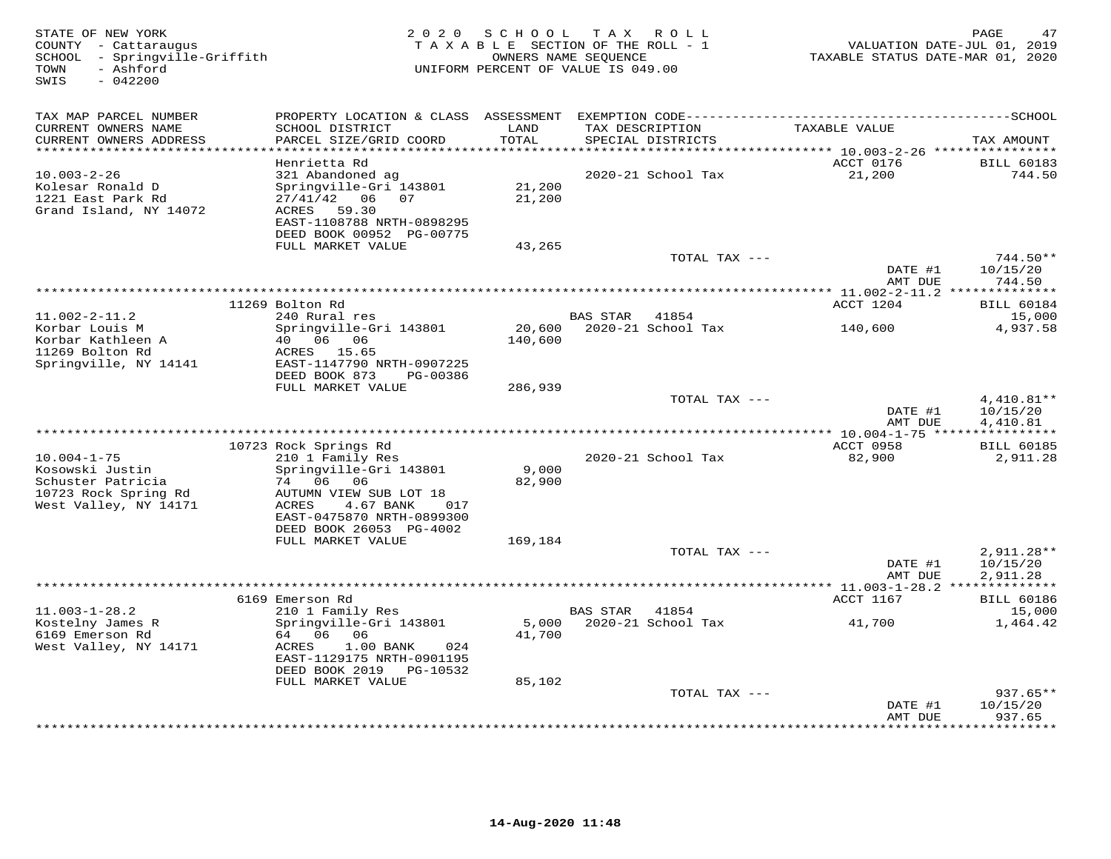| STATE OF NEW YORK<br>COUNTY - Cattaraugus<br>SCHOOL - Springville-Griffith<br>- Ashford<br>TOWN<br>SWIS<br>$-042200$ | 2 0 2 0                                                | SCHOOL             | TAX ROLL<br>TAXABLE SECTION OF THE ROLL - 1<br>OWNERS NAME SEQUENCE<br>UNIFORM PERCENT OF VALUE IS 049.00 | TAXABLE STATUS DATE-MAR 01, 2020                    | PAGE<br>47<br>VALUATION DATE-JUL 01, 2019 |
|----------------------------------------------------------------------------------------------------------------------|--------------------------------------------------------|--------------------|-----------------------------------------------------------------------------------------------------------|-----------------------------------------------------|-------------------------------------------|
| TAX MAP PARCEL NUMBER                                                                                                |                                                        |                    |                                                                                                           |                                                     |                                           |
| CURRENT OWNERS NAME                                                                                                  | SCHOOL DISTRICT                                        | LAND               | TAX DESCRIPTION                                                                                           | TAXABLE VALUE                                       |                                           |
| CURRENT OWNERS ADDRESS<br>*******************                                                                        | PARCEL SIZE/GRID COORD                                 | TOTAL<br>********* | SPECIAL DISTRICTS                                                                                         |                                                     | TAX AMOUNT                                |
|                                                                                                                      | Henrietta Rd                                           |                    |                                                                                                           | ******** 10.003-2-26 *****************<br>ACCT 0176 | <b>BILL 60183</b>                         |
| $10.003 - 2 - 26$                                                                                                    | 321 Abandoned ag                                       |                    | 2020-21 School Tax                                                                                        | 21,200                                              | 744.50                                    |
| Kolesar Ronald D                                                                                                     | Springville-Gri 143801                                 | 21,200             |                                                                                                           |                                                     |                                           |
| 1221 East Park Rd                                                                                                    | $27/41/42$ 06 07                                       | 21,200             |                                                                                                           |                                                     |                                           |
| Grand Island, NY 14072                                                                                               | 59.30<br>ACRES                                         |                    |                                                                                                           |                                                     |                                           |
|                                                                                                                      | EAST-1108788 NRTH-0898295<br>DEED BOOK 00952 PG-00775  |                    |                                                                                                           |                                                     |                                           |
|                                                                                                                      | FULL MARKET VALUE                                      | 43,265             |                                                                                                           |                                                     |                                           |
|                                                                                                                      |                                                        |                    | TOTAL TAX ---                                                                                             |                                                     | 744.50**                                  |
|                                                                                                                      |                                                        |                    |                                                                                                           | DATE #1                                             | 10/15/20                                  |
|                                                                                                                      |                                                        |                    |                                                                                                           | AMT DUE                                             | 744.50                                    |
|                                                                                                                      | 11269 Bolton Rd                                        |                    |                                                                                                           | ACCT 1204                                           | <b>BILL 60184</b>                         |
| $11.002 - 2 - 11.2$                                                                                                  | 240 Rural res                                          |                    | BAS STAR 41854                                                                                            |                                                     | 15,000                                    |
| Korbar Louis M                                                                                                       | Springville-Gri 143801                                 | 20,600             | 2020-21 School Tax                                                                                        | 140,600                                             | 4,937.58                                  |
| Korbar Kathleen A                                                                                                    | 40 06 06                                               | 140,600            |                                                                                                           |                                                     |                                           |
| 11269 Bolton Rd                                                                                                      | ACRES 15.65                                            |                    |                                                                                                           |                                                     |                                           |
| Springville, NY 14141                                                                                                | EAST-1147790 NRTH-0907225<br>DEED BOOK 873<br>PG-00386 |                    |                                                                                                           |                                                     |                                           |
|                                                                                                                      | FULL MARKET VALUE                                      | 286,939            |                                                                                                           |                                                     |                                           |
|                                                                                                                      |                                                        |                    | TOTAL TAX ---                                                                                             |                                                     | $4,410.81**$                              |
|                                                                                                                      |                                                        |                    |                                                                                                           | DATE #1                                             | 10/15/20                                  |
| *********************                                                                                                |                                                        |                    |                                                                                                           | AMT DUE                                             | 4,410.81                                  |
|                                                                                                                      | 10723 Rock Springs Rd                                  |                    |                                                                                                           | ACCT 0958                                           | <b>BILL 60185</b>                         |
| $10.004 - 1 - 75$                                                                                                    | 210 1 Family Res                                       |                    | 2020-21 School Tax                                                                                        | 82,900                                              | 2,911.28                                  |
| Kosowski Justin                                                                                                      | Springville-Gri 143801                                 | 9,000              |                                                                                                           |                                                     |                                           |
| Schuster Patricia                                                                                                    | 74 06 06                                               | 82,900             |                                                                                                           |                                                     |                                           |
| 10723 Rock Spring Rd                                                                                                 | AUTUMN VIEW SUB LOT 18                                 |                    |                                                                                                           |                                                     |                                           |
| West Valley, NY 14171                                                                                                | ACRES<br>4.67 BANK<br>017<br>EAST-0475870 NRTH-0899300 |                    |                                                                                                           |                                                     |                                           |
|                                                                                                                      | DEED BOOK 26053 PG-4002                                |                    |                                                                                                           |                                                     |                                           |
|                                                                                                                      | FULL MARKET VALUE                                      | 169,184            |                                                                                                           |                                                     |                                           |
|                                                                                                                      |                                                        |                    | TOTAL TAX ---                                                                                             |                                                     | $2,911.28**$                              |
|                                                                                                                      |                                                        |                    |                                                                                                           | DATE #1                                             | 10/15/20                                  |
|                                                                                                                      |                                                        |                    |                                                                                                           | AMT DUE                                             | 2,911.28                                  |
|                                                                                                                      | 6169 Emerson Rd                                        |                    |                                                                                                           | ACCT 1167                                           | <b>BILL 60186</b>                         |
| $11.003 - 1 - 28.2$                                                                                                  | 210 1 Family Res                                       |                    | BAS STAR<br>41854                                                                                         |                                                     | 15,000                                    |
| Kostelny James R                                                                                                     | Springville-Gri 143801                                 | 5,000              | 2020-21 School Tax                                                                                        | 41,700                                              | 1,464.42                                  |
| 6169 Emerson Rd                                                                                                      | 64 06 06                                               | 41,700             |                                                                                                           |                                                     |                                           |
| West Valley, NY 14171                                                                                                | 1.00 BANK<br>024<br>ACRES<br>EAST-1129175 NRTH-0901195 |                    |                                                                                                           |                                                     |                                           |
|                                                                                                                      | DEED BOOK 2019    PG-10532                             |                    |                                                                                                           |                                                     |                                           |
|                                                                                                                      | FULL MARKET VALUE                                      | 85,102             |                                                                                                           |                                                     |                                           |
|                                                                                                                      |                                                        |                    | TOTAL TAX ---                                                                                             |                                                     | $937.65**$                                |
|                                                                                                                      |                                                        |                    |                                                                                                           | DATE #1                                             | 10/15/20                                  |
|                                                                                                                      |                                                        |                    |                                                                                                           | AMT DUE<br>* * * * * * * * * * * * *                | 937.65<br>* * * * * * * * *               |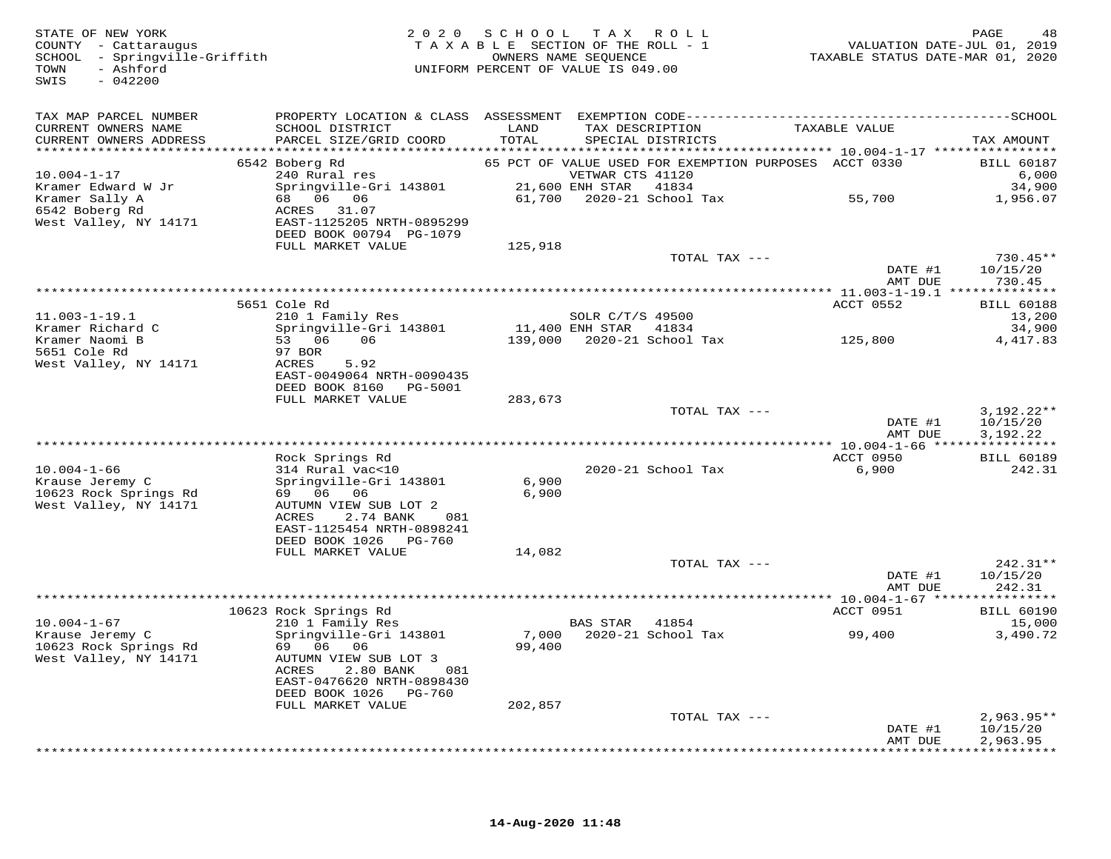| STATE OF NEW YORK<br>COUNTY - Cattaraugus<br>SCHOOL - Springville-Griffith<br>- Ashford<br>TOWN<br>SWIS<br>$-042200$ |                                                                                                                       | 2020 SCHOOL TAX ROLL<br>TAXABLE SECTION OF THE ROLL - 1<br>UNIFORM PERCENT OF VALUE IS 049.00 | OWNERS NAME SEOUENCE                      |                                      |                                                       | PAGE<br>48<br>VALUATION DATE-JUL 01, 2019<br>TAXABLE STATUS DATE-MAR 01, 2020 |
|----------------------------------------------------------------------------------------------------------------------|-----------------------------------------------------------------------------------------------------------------------|-----------------------------------------------------------------------------------------------|-------------------------------------------|--------------------------------------|-------------------------------------------------------|-------------------------------------------------------------------------------|
| TAX MAP PARCEL NUMBER<br>CURRENT OWNERS NAME<br>CURRENT OWNERS ADDRESS                                               | SCHOOL DISTRICT<br>PARCEL SIZE/GRID COORD                                                                             | LAND<br>TOTAL                                                                                 |                                           | TAX DESCRIPTION<br>SPECIAL DISTRICTS | TAXABLE VALUE                                         | TAX AMOUNT                                                                    |
|                                                                                                                      | 6542 Boberg Rd                                                                                                        |                                                                                               |                                           |                                      | 65 PCT OF VALUE USED FOR EXEMPTION PURPOSES ACCT 0330 | <b>BILL 60187</b>                                                             |
| $10.004 - 1 - 17$<br>Kramer Edward W Jr                                                                              | 240 Rural res<br>Springville-Gri 143801                                                                               |                                                                                               | VETWAR CTS 41120<br>21,600 ENH STAR 41834 |                                      |                                                       | 6,000<br>34,900                                                               |
| Kramer Sally A<br>6542 Boberg Rd<br>West Valley, NY 14171                                                            | 68 06 06<br>ACRES 31.07<br>EAST-1125205 NRTH-0895299<br>DEED BOOK 00794 PG-1079                                       |                                                                                               |                                           | 61,700 2020-21 School Tax            | 55,700                                                | 1,956.07                                                                      |
|                                                                                                                      | FULL MARKET VALUE                                                                                                     | 125,918                                                                                       |                                           |                                      |                                                       |                                                                               |
|                                                                                                                      |                                                                                                                       |                                                                                               |                                           | TOTAL TAX ---                        | DATE #1<br>AMT DUE                                    | $730.45**$<br>10/15/20<br>730.45                                              |
|                                                                                                                      |                                                                                                                       |                                                                                               |                                           |                                      |                                                       |                                                                               |
|                                                                                                                      | 5651 Cole Rd                                                                                                          |                                                                                               |                                           |                                      | ACCT 0552                                             | <b>BILL 60188</b>                                                             |
| $11.003 - 1 - 19.1$                                                                                                  | 210 1 Family Res<br>Springville-Gri 143801                                                                            |                                                                                               | SOLR C/T/S 49500                          |                                      |                                                       | 13,200                                                                        |
| Kramer Richard C<br>Kramer Naomi B<br>5651 Cole Rd                                                                   | 53 06<br>06<br>97 BOR                                                                                                 | 11,400 ENH STAR 41834                                                                         |                                           |                                      |                                                       | 34,900<br>4, 417.83                                                           |
| West Valley, NY 14171                                                                                                | 5.92<br>ACRES<br>EAST-0049064 NRTH-0090435<br>DEED BOOK 8160 PG-5001<br>FULL MARKET VALUE                             | 283,673                                                                                       |                                           |                                      |                                                       |                                                                               |
|                                                                                                                      |                                                                                                                       |                                                                                               |                                           | TOTAL TAX ---                        |                                                       | $3,192.22**$                                                                  |
|                                                                                                                      |                                                                                                                       |                                                                                               |                                           |                                      | DATE #1<br>AMT DUE                                    | 10/15/20<br>3,192.22                                                          |
|                                                                                                                      |                                                                                                                       |                                                                                               |                                           |                                      |                                                       |                                                                               |
| $10.004 - 1 - 66$                                                                                                    | Rock Springs Rd<br>314 Rural vac<10                                                                                   |                                                                                               |                                           | 2020-21 School Tax                   | ACCT 0950<br>6,900                                    | <b>BILL 60189</b><br>242.31                                                   |
| Krause Jeremy C<br>10623 Rock Springs Rd                                                                             | Springville-Gri 143801<br>69 06 06                                                                                    | 6,900<br>6,900                                                                                |                                           |                                      |                                                       |                                                                               |
| West Valley, NY 14171                                                                                                | AUTUMN VIEW SUB LOT 2<br>ACRES<br>2.74 BANK<br>081<br>EAST-1125454 NRTH-0898241<br>DEED BOOK 1026 PG-760              |                                                                                               |                                           |                                      |                                                       |                                                                               |
|                                                                                                                      | FULL MARKET VALUE                                                                                                     | 14,082                                                                                        |                                           |                                      |                                                       |                                                                               |
|                                                                                                                      |                                                                                                                       |                                                                                               |                                           | TOTAL TAX ---                        |                                                       | $242.31**$                                                                    |
|                                                                                                                      |                                                                                                                       |                                                                                               |                                           |                                      | DATE #1<br>AMT DUE                                    | 10/15/20<br>242.31                                                            |
|                                                                                                                      | 10623 Rock Springs Rd                                                                                                 |                                                                                               |                                           |                                      | ACCT 0951                                             | <b>BILL 60190</b>                                                             |
| $10.004 - 1 - 67$                                                                                                    | 210 1 Family Res                                                                                                      |                                                                                               | BAS STAR 41854                            |                                      |                                                       | 15,000                                                                        |
| Krause Jeremy C<br>10623 Rock Springs Rd<br>West Valley, NY 14171                                                    | Springville-Gri 143801<br>69 06 06<br>AUTUMN VIEW SUB LOT 3<br>ACRES<br>2.80 BANK<br>081<br>EAST-0476620 NRTH-0898430 | 99,400                                                                                        |                                           | 7,000 2020-21 School Tax             | 99,400                                                | 3,490.72                                                                      |
|                                                                                                                      | DEED BOOK 1026 PG-760                                                                                                 |                                                                                               |                                           |                                      |                                                       |                                                                               |
|                                                                                                                      | FULL MARKET VALUE                                                                                                     | 202,857                                                                                       |                                           | TOTAL TAX ---                        |                                                       | $2,963.95**$                                                                  |
|                                                                                                                      |                                                                                                                       |                                                                                               |                                           |                                      | DATE #1<br>AMT DUE                                    | 10/15/20<br>2,963.95                                                          |
|                                                                                                                      |                                                                                                                       |                                                                                               |                                           |                                      |                                                       | ************                                                                  |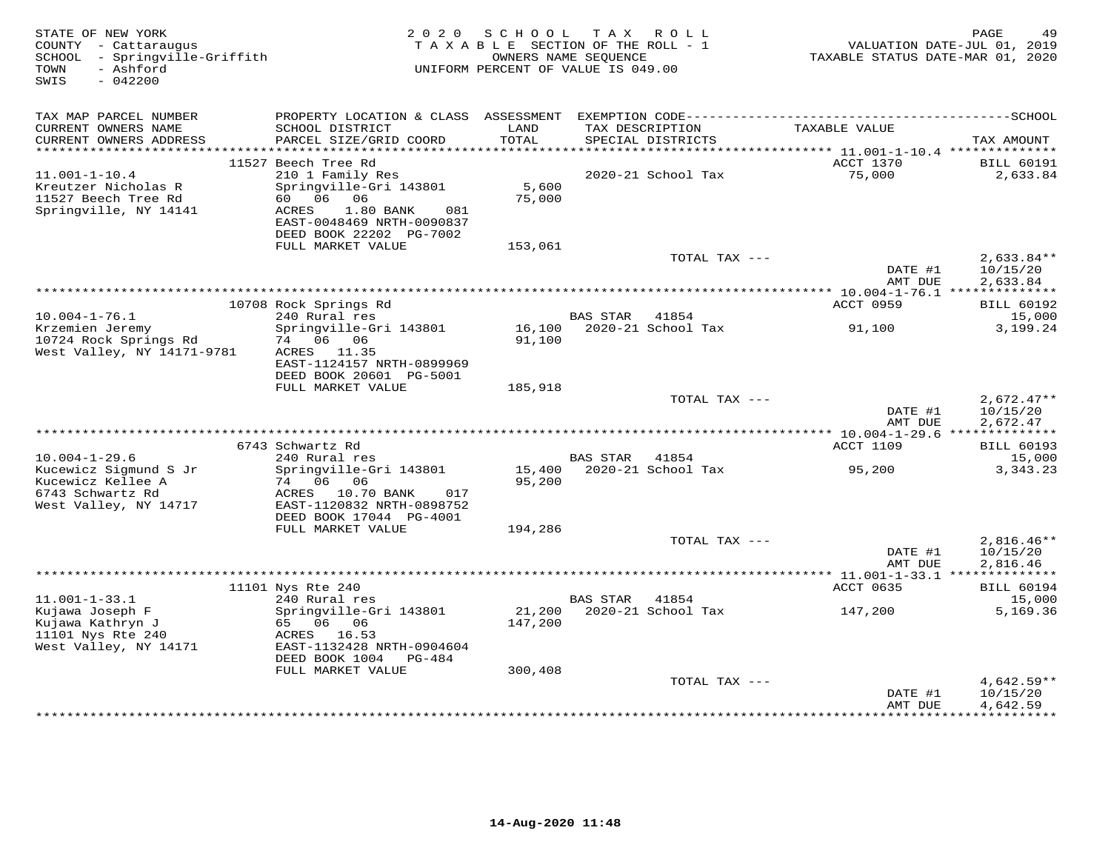| STATE OF NEW YORK<br>COUNTY - Cattaraugus<br>SCHOOL - Springville-Griffith<br>- Ashford<br>TOWN<br>SWIS<br>$-042200$ | 2 0 2 0                                      | SCHOOL<br>TAXABLE SECTION OF THE ROLL - 1<br>OWNERS NAME SEOUENCE<br>UNIFORM PERCENT OF VALUE IS 049.00 | T A X           | R O L L            | TAXABLE STATUS DATE-MAR 01, 2020                    | PAGE<br>49<br>VALUATION DATE-JUL 01, 2019 |
|----------------------------------------------------------------------------------------------------------------------|----------------------------------------------|---------------------------------------------------------------------------------------------------------|-----------------|--------------------|-----------------------------------------------------|-------------------------------------------|
|                                                                                                                      |                                              |                                                                                                         |                 |                    |                                                     |                                           |
| TAX MAP PARCEL NUMBER<br>CURRENT OWNERS NAME                                                                         | SCHOOL DISTRICT                              | LAND                                                                                                    |                 | TAX DESCRIPTION    | TAXABLE VALUE                                       |                                           |
| CURRENT OWNERS ADDRESS                                                                                               | PARCEL SIZE/GRID COORD                       | TOTAL                                                                                                   |                 | SPECIAL DISTRICTS  |                                                     | TAX AMOUNT                                |
| ***********************                                                                                              |                                              |                                                                                                         |                 |                    |                                                     |                                           |
| $11.001 - 1 - 10.4$                                                                                                  | 11527 Beech Tree Rd<br>210 1 Family Res      |                                                                                                         |                 | 2020-21 School Tax | ACCT 1370<br>75,000                                 | <b>BILL 60191</b><br>2,633.84             |
| Kreutzer Nicholas R                                                                                                  | Springville-Gri 143801                       | 5,600                                                                                                   |                 |                    |                                                     |                                           |
| 11527 Beech Tree Rd                                                                                                  | 60 06<br>06                                  | 75,000                                                                                                  |                 |                    |                                                     |                                           |
| Springville, NY 14141                                                                                                | ACRES<br>1.80 BANK<br>081                    |                                                                                                         |                 |                    |                                                     |                                           |
|                                                                                                                      | EAST-0048469 NRTH-0090837                    |                                                                                                         |                 |                    |                                                     |                                           |
|                                                                                                                      | DEED BOOK 22202 PG-7002<br>FULL MARKET VALUE | 153,061                                                                                                 |                 |                    |                                                     |                                           |
|                                                                                                                      |                                              |                                                                                                         |                 | TOTAL TAX ---      |                                                     | $2,633.84**$                              |
|                                                                                                                      |                                              |                                                                                                         |                 |                    | DATE #1                                             | 10/15/20                                  |
|                                                                                                                      |                                              |                                                                                                         |                 |                    | AMT DUE                                             | 2,633.84                                  |
|                                                                                                                      | 10708 Rock Springs Rd                        |                                                                                                         |                 |                    | ACCT 0959                                           | <b>BILL 60192</b>                         |
| $10.004 - 1 - 76.1$                                                                                                  | 240 Rural res                                |                                                                                                         | <b>BAS STAR</b> | 41854              |                                                     | 15,000                                    |
| Krzemien Jeremy                                                                                                      | Springville-Gri 143801                       | 16,100                                                                                                  |                 | 2020-21 School Tax | 91,100                                              | 3,199.24                                  |
| 10724 Rock Springs Rd                                                                                                | 74 06 06                                     | 91,100                                                                                                  |                 |                    |                                                     |                                           |
| West Valley, NY 14171-9781                                                                                           | ACRES 11.35<br>EAST-1124157 NRTH-0899969     |                                                                                                         |                 |                    |                                                     |                                           |
|                                                                                                                      | DEED BOOK 20601 PG-5001                      |                                                                                                         |                 |                    |                                                     |                                           |
|                                                                                                                      | FULL MARKET VALUE                            | 185,918                                                                                                 |                 |                    |                                                     |                                           |
|                                                                                                                      |                                              |                                                                                                         |                 | TOTAL TAX ---      |                                                     | $2.672.47**$                              |
|                                                                                                                      |                                              |                                                                                                         |                 |                    | DATE #1                                             | 10/15/20                                  |
|                                                                                                                      |                                              |                                                                                                         |                 |                    | AMT DUE<br>********** 10.004-1-29.6 *************** | 2,672.47                                  |
|                                                                                                                      | 6743 Schwartz Rd                             |                                                                                                         |                 |                    | <b>ACCT 1109</b>                                    | <b>BILL 60193</b>                         |
| $10.004 - 1 - 29.6$                                                                                                  | 240 Rural res                                |                                                                                                         | BAS STAR        | 41854              |                                                     | 15,000                                    |
| Kucewicz Sigmund S Jr                                                                                                | Springville-Gri 143801                       | 15,400                                                                                                  |                 | 2020-21 School Tax | 95,200                                              | 3,343.23                                  |
| Kucewicz Kellee A<br>6743 Schwartz Rd                                                                                | 74 06<br>06<br>ACRES 10.70 BANK<br>017       | 95,200                                                                                                  |                 |                    |                                                     |                                           |
| West Valley, NY 14717                                                                                                | EAST-1120832 NRTH-0898752                    |                                                                                                         |                 |                    |                                                     |                                           |
|                                                                                                                      | DEED BOOK 17044 PG-4001                      |                                                                                                         |                 |                    |                                                     |                                           |
|                                                                                                                      | FULL MARKET VALUE                            | 194,286                                                                                                 |                 |                    |                                                     |                                           |
|                                                                                                                      |                                              |                                                                                                         |                 | TOTAL TAX ---      |                                                     | $2,816.46**$                              |
|                                                                                                                      |                                              |                                                                                                         |                 |                    | DATE #1<br>AMT DUE                                  | 10/15/20<br>2,816.46                      |
|                                                                                                                      |                                              |                                                                                                         |                 |                    |                                                     |                                           |
|                                                                                                                      | 11101 Nys Rte 240                            |                                                                                                         |                 |                    | ACCT 0635                                           | <b>BILL 60194</b>                         |
| $11.001 - 1 - 33.1$                                                                                                  | 240 Rural res                                |                                                                                                         | <b>BAS STAR</b> | 41854              |                                                     | 15,000                                    |
| Kujawa Joseph F<br>Kujawa Kathryn J                                                                                  | Springville-Gri 143801<br>65 06 06           | 21,200<br>147,200                                                                                       |                 | 2020-21 School Tax | 147,200                                             | 5,169.36                                  |
| 11101 Nys Rte 240                                                                                                    | ACRES 16.53                                  |                                                                                                         |                 |                    |                                                     |                                           |
| West Valley, NY 14171                                                                                                | EAST-1132428 NRTH-0904604                    |                                                                                                         |                 |                    |                                                     |                                           |
|                                                                                                                      | DEED BOOK 1004<br>PG-484                     |                                                                                                         |                 |                    |                                                     |                                           |
|                                                                                                                      | FULL MARKET VALUE                            | 300,408                                                                                                 |                 |                    |                                                     |                                           |
|                                                                                                                      |                                              |                                                                                                         |                 | TOTAL TAX ---      | DATE #1                                             | 4,642.59**<br>10/15/20                    |
|                                                                                                                      |                                              |                                                                                                         |                 |                    | AMT DUE                                             | 4,642.59                                  |
|                                                                                                                      |                                              |                                                                                                         |                 |                    |                                                     | <b>++++++++++</b>                         |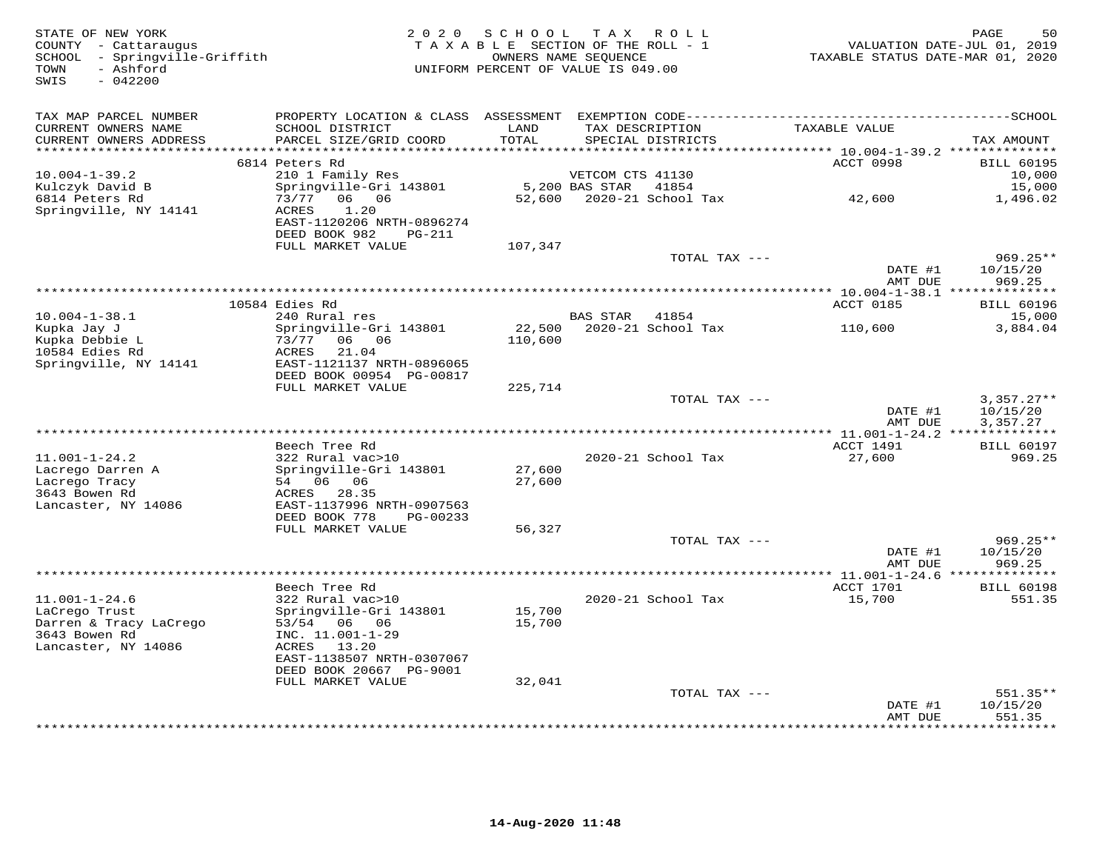| STATE OF NEW YORK<br>COUNTY - Cattaraugus<br>SCHOOL - Springville-Griffith<br>- Ashford<br>TOWN<br>$-042200$<br>SWIS |                                             |               | 2020 SCHOOL TAX ROLL<br>TAXABLE SECTION OF THE ROLL - 1<br>OWNERS NAME SEQUENCE<br>UNIFORM PERCENT OF VALUE IS 049.00 | TAXABLE STATUS DATE-MAR 01, 2020   | PAGE<br>50<br>VALUATION DATE-JUL 01, 2019 |
|----------------------------------------------------------------------------------------------------------------------|---------------------------------------------|---------------|-----------------------------------------------------------------------------------------------------------------------|------------------------------------|-------------------------------------------|
| TAX MAP PARCEL NUMBER                                                                                                |                                             |               |                                                                                                                       |                                    |                                           |
| CURRENT OWNERS NAME<br>CURRENT OWNERS ADDRESS                                                                        | SCHOOL DISTRICT<br>PARCEL SIZE/GRID COORD   | LAND<br>TOTAL | TAX DESCRIPTION<br>SPECIAL DISTRICTS                                                                                  | TAXABLE VALUE                      | TAX AMOUNT                                |
| ***********************                                                                                              |                                             |               |                                                                                                                       |                                    |                                           |
| $10.004 - 1 - 39.2$                                                                                                  | 6814 Peters Rd<br>210 1 Family Res          |               | VETCOM CTS 41130                                                                                                      | ACCT 0998                          | <b>BILL 60195</b><br>10,000               |
| Kulczyk David B                                                                                                      | Springville-Gri 143801                      |               | 5,200 BAS STAR<br>41854                                                                                               |                                    | 15,000                                    |
| 6814 Peters Rd                                                                                                       | 73/77 06 06                                 | 52,600        | 2020-21 School Tax                                                                                                    | 42,600                             | 1,496.02                                  |
| Springville, NY 14141                                                                                                | 1.20<br><b>ACRES</b>                        |               |                                                                                                                       |                                    |                                           |
|                                                                                                                      | EAST-1120206 NRTH-0896274                   |               |                                                                                                                       |                                    |                                           |
|                                                                                                                      | DEED BOOK 982<br>PG-211                     |               |                                                                                                                       |                                    |                                           |
|                                                                                                                      | FULL MARKET VALUE                           | 107,347       |                                                                                                                       |                                    |                                           |
|                                                                                                                      |                                             |               | TOTAL TAX ---                                                                                                         | DATE #1                            | $969.25**$                                |
|                                                                                                                      |                                             |               |                                                                                                                       | AMT DUE                            | 10/15/20<br>969.25                        |
|                                                                                                                      |                                             |               |                                                                                                                       |                                    |                                           |
|                                                                                                                      | 10584 Edies Rd                              |               |                                                                                                                       | <b>ACCT 0185</b>                   | <b>BILL 60196</b>                         |
| $10.004 - 1 - 38.1$                                                                                                  | 240 Rural res                               |               | BAS STAR 41854                                                                                                        |                                    | 15,000                                    |
| Kupka Jay J                                                                                                          | Springville-Gri 143801                      | 22,500        | 2020-21 School Tax                                                                                                    | 110,600                            | 3,884.04                                  |
| Kupka Debbie L                                                                                                       | 73/77 06 06                                 | 110,600       |                                                                                                                       |                                    |                                           |
| 10584 Edies Rd<br>Springville, NY 14141                                                                              | 21.04<br>ACRES<br>EAST-1121137 NRTH-0896065 |               |                                                                                                                       |                                    |                                           |
|                                                                                                                      | DEED BOOK 00954 PG-00817                    |               |                                                                                                                       |                                    |                                           |
|                                                                                                                      | FULL MARKET VALUE                           | 225,714       |                                                                                                                       |                                    |                                           |
|                                                                                                                      |                                             |               | TOTAL TAX ---                                                                                                         |                                    | $3,357.27**$                              |
|                                                                                                                      |                                             |               |                                                                                                                       | DATE #1                            | 10/15/20                                  |
|                                                                                                                      |                                             |               |                                                                                                                       | AMT DUE                            | 3,357.27                                  |
|                                                                                                                      |                                             |               |                                                                                                                       |                                    |                                           |
| $11.001 - 1 - 24.2$                                                                                                  | Beech Tree Rd<br>322 Rural vac>10           |               | 2020-21 School Tax                                                                                                    | ACCT 1491<br>27,600                | <b>BILL 60197</b><br>969.25               |
| Lacrego Darren A                                                                                                     | Springville-Gri 143801                      | 27,600        |                                                                                                                       |                                    |                                           |
| Lacrego Tracy                                                                                                        | 54 06 06                                    | 27,600        |                                                                                                                       |                                    |                                           |
| 3643 Bowen Rd                                                                                                        | ACRES<br>28.35                              |               |                                                                                                                       |                                    |                                           |
| Lancaster, NY 14086                                                                                                  | EAST-1137996 NRTH-0907563                   |               |                                                                                                                       |                                    |                                           |
|                                                                                                                      | DEED BOOK 778<br>PG-00233                   |               |                                                                                                                       |                                    |                                           |
|                                                                                                                      | FULL MARKET VALUE                           | 56,327        |                                                                                                                       |                                    |                                           |
|                                                                                                                      |                                             |               | TOTAL TAX ---                                                                                                         | DATE #1                            | $969.25**$<br>10/15/20                    |
|                                                                                                                      |                                             |               |                                                                                                                       | AMT DUE                            | 969.25                                    |
|                                                                                                                      |                                             |               |                                                                                                                       | **** 11.001-1-24.6 *************** |                                           |
|                                                                                                                      | Beech Tree Rd                               |               |                                                                                                                       | ACCT 1701                          | <b>BILL 60198</b>                         |
| $11.001 - 1 - 24.6$                                                                                                  | 322 Rural vac>10                            |               | 2020-21 School Tax                                                                                                    | 15,700                             | 551.35                                    |
| LaCrego Trust                                                                                                        | Springville-Gri 143801                      | 15,700        |                                                                                                                       |                                    |                                           |
| Darren & Tracy LaCrego                                                                                               | 53/54 06 06                                 | 15,700        |                                                                                                                       |                                    |                                           |
| 3643 Bowen Rd<br>Lancaster, NY 14086                                                                                 | INC. 11.001-1-29<br>ACRES 13.20             |               |                                                                                                                       |                                    |                                           |
|                                                                                                                      | EAST-1138507 NRTH-0307067                   |               |                                                                                                                       |                                    |                                           |
|                                                                                                                      | DEED BOOK 20667 PG-9001                     |               |                                                                                                                       |                                    |                                           |
|                                                                                                                      | FULL MARKET VALUE                           | 32,041        |                                                                                                                       |                                    |                                           |
|                                                                                                                      |                                             |               | TOTAL TAX ---                                                                                                         |                                    | 551.35**                                  |
|                                                                                                                      |                                             |               |                                                                                                                       | DATE #1                            | 10/15/20                                  |
|                                                                                                                      |                                             |               |                                                                                                                       | AMT DUE                            | 551.35<br>* * * * * * * *                 |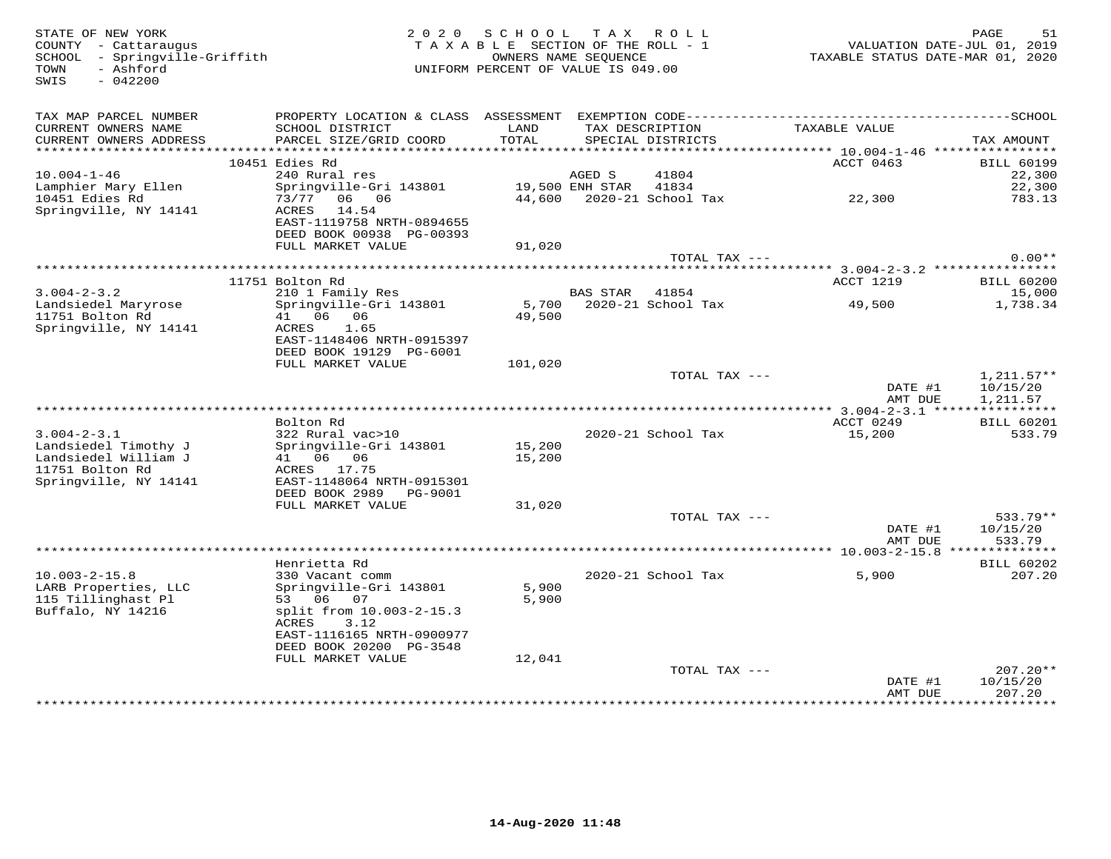| STATE OF NEW YORK<br>COUNTY - Cattaraugus<br>SCHOOL - Springville-Griffith<br>- Ashford<br>TOWN<br>SWIS<br>$-042200$ |                                            | 2020 SCHOOL<br>TAXABLE SECTION OF THE ROLL - 1<br>UNIFORM PERCENT OF VALUE IS 049.00 | OWNERS NAME SEQUENCE | TAX ROLL                             | VALUATION DATE-JUL 01, 2019<br>TAXABLE STATUS DATE-MAR 01, 2020 | PAGE<br>51             |
|----------------------------------------------------------------------------------------------------------------------|--------------------------------------------|--------------------------------------------------------------------------------------|----------------------|--------------------------------------|-----------------------------------------------------------------|------------------------|
| TAX MAP PARCEL NUMBER                                                                                                |                                            |                                                                                      |                      |                                      |                                                                 |                        |
| CURRENT OWNERS NAME<br>CURRENT OWNERS ADDRESS                                                                        | SCHOOL DISTRICT<br>PARCEL SIZE/GRID COORD  | LAND<br>TOTAL                                                                        |                      | TAX DESCRIPTION<br>SPECIAL DISTRICTS | TAXABLE VALUE                                                   | TAX AMOUNT             |
|                                                                                                                      |                                            |                                                                                      |                      |                                      |                                                                 |                        |
|                                                                                                                      | 10451 Edies Rd                             |                                                                                      |                      |                                      | ACCT 0463                                                       | <b>BILL 60199</b>      |
| $10.004 - 1 - 46$                                                                                                    | 240 Rural res                              |                                                                                      | AGED S               | 41804                                |                                                                 | 22,300                 |
| Lamphier Mary Ellen                                                                                                  | Springville-Gri 143801                     | 19,500 ENH STAR 41834                                                                |                      |                                      |                                                                 | 22,300                 |
| 10451 Edies Rd                                                                                                       | 73/77 06 06                                |                                                                                      |                      |                                      | 44,600 2020-21 School Tax 22,300                                | 783.13                 |
| Springville, NY 14141                                                                                                | ACRES<br>14.54                             |                                                                                      |                      |                                      |                                                                 |                        |
|                                                                                                                      | EAST-1119758 NRTH-0894655                  |                                                                                      |                      |                                      |                                                                 |                        |
|                                                                                                                      | DEED BOOK 00938 PG-00393                   |                                                                                      |                      |                                      |                                                                 |                        |
|                                                                                                                      | FULL MARKET VALUE                          | 91,020                                                                               |                      |                                      |                                                                 |                        |
|                                                                                                                      |                                            |                                                                                      |                      | TOTAL TAX ---                        |                                                                 | $0.00**$               |
|                                                                                                                      | 11751 Bolton Rd                            |                                                                                      |                      |                                      | ACCT 1219                                                       | <b>BILL 60200</b>      |
| $3.004 - 2 - 3.2$                                                                                                    |                                            |                                                                                      | BAS STAR 41854       |                                      |                                                                 | 15,000                 |
| Landsiedel Maryrose                                                                                                  | 210 1 Family Res<br>Springville-Gri 143801 |                                                                                      |                      |                                      | 5,700 $2020-21$ School Tax 49,500                               | 1,738.34               |
| 11751 Bolton Rd                                                                                                      | 41  06  06                                 | 49,500                                                                               |                      |                                      |                                                                 |                        |
| Springville, NY 14141                                                                                                | ACRES 1.65                                 |                                                                                      |                      |                                      |                                                                 |                        |
|                                                                                                                      | EAST-1148406 NRTH-0915397                  |                                                                                      |                      |                                      |                                                                 |                        |
|                                                                                                                      | DEED BOOK 19129 PG-6001                    |                                                                                      |                      |                                      |                                                                 |                        |
|                                                                                                                      | FULL MARKET VALUE                          | 101,020                                                                              |                      |                                      |                                                                 |                        |
|                                                                                                                      |                                            |                                                                                      |                      | TOTAL TAX ---                        |                                                                 | $1,211.57**$           |
|                                                                                                                      |                                            |                                                                                      |                      |                                      | DATE #1                                                         | 10/15/20               |
|                                                                                                                      |                                            |                                                                                      |                      |                                      | AMT DUE                                                         | 1,211.57               |
|                                                                                                                      |                                            |                                                                                      |                      |                                      |                                                                 |                        |
|                                                                                                                      | Bolton Rd                                  |                                                                                      |                      |                                      | ACCT 0249                                                       | <b>BILL 60201</b>      |
| $3.004 - 2 - 3.1$                                                                                                    | 322 Rural vac>10                           |                                                                                      |                      | 2020-21 School Tax                   | 15,200                                                          | 533.79                 |
| Landsiedel Timothy J                                                                                                 | Springville-Gri 143801                     | 15,200                                                                               |                      |                                      |                                                                 |                        |
| Landsiedel William J                                                                                                 | 41 06 06                                   | 15,200                                                                               |                      |                                      |                                                                 |                        |
| 11751 Bolton Rd                                                                                                      | ACRES 17.75                                |                                                                                      |                      |                                      |                                                                 |                        |
| Springville, NY 14141                                                                                                | EAST-1148064 NRTH-0915301                  |                                                                                      |                      |                                      |                                                                 |                        |
|                                                                                                                      | DEED BOOK 2989<br>PG-9001                  |                                                                                      |                      |                                      |                                                                 |                        |
|                                                                                                                      | FULL MARKET VALUE                          | 31,020                                                                               |                      |                                      |                                                                 |                        |
|                                                                                                                      |                                            |                                                                                      |                      | TOTAL TAX ---                        | DATE #1                                                         | $533.79**$<br>10/15/20 |
|                                                                                                                      |                                            |                                                                                      |                      |                                      | AMT DUE                                                         | 533.79                 |
|                                                                                                                      |                                            |                                                                                      |                      |                                      |                                                                 |                        |
|                                                                                                                      | Henrietta Rd                               |                                                                                      |                      |                                      |                                                                 | <b>BILL 60202</b>      |
| $10.003 - 2 - 15.8$                                                                                                  | 330 Vacant comm                            |                                                                                      |                      | 2020-21 School Tax                   | 5,900                                                           | 207.20                 |
| LARB Properties, LLC                                                                                                 | Springville-Gri 143801                     | 5,900                                                                                |                      |                                      |                                                                 |                        |
| 115 Tillinghast Pl                                                                                                   | 53 06 07                                   | 5,900                                                                                |                      |                                      |                                                                 |                        |
| Buffalo, NY 14216                                                                                                    | split from 10.003-2-15.3                   |                                                                                      |                      |                                      |                                                                 |                        |
|                                                                                                                      | ACRES<br>3.12                              |                                                                                      |                      |                                      |                                                                 |                        |
|                                                                                                                      | EAST-1116165 NRTH-0900977                  |                                                                                      |                      |                                      |                                                                 |                        |
|                                                                                                                      | DEED BOOK 20200 PG-3548                    |                                                                                      |                      |                                      |                                                                 |                        |
|                                                                                                                      | FULL MARKET VALUE                          | 12,041                                                                               |                      |                                      |                                                                 |                        |
|                                                                                                                      |                                            |                                                                                      |                      | TOTAL TAX ---                        |                                                                 | $207.20**$             |
|                                                                                                                      |                                            |                                                                                      |                      |                                      | DATE #1                                                         | 10/15/20               |
|                                                                                                                      |                                            |                                                                                      |                      |                                      | AMT DUE                                                         | 207.20<br>**********   |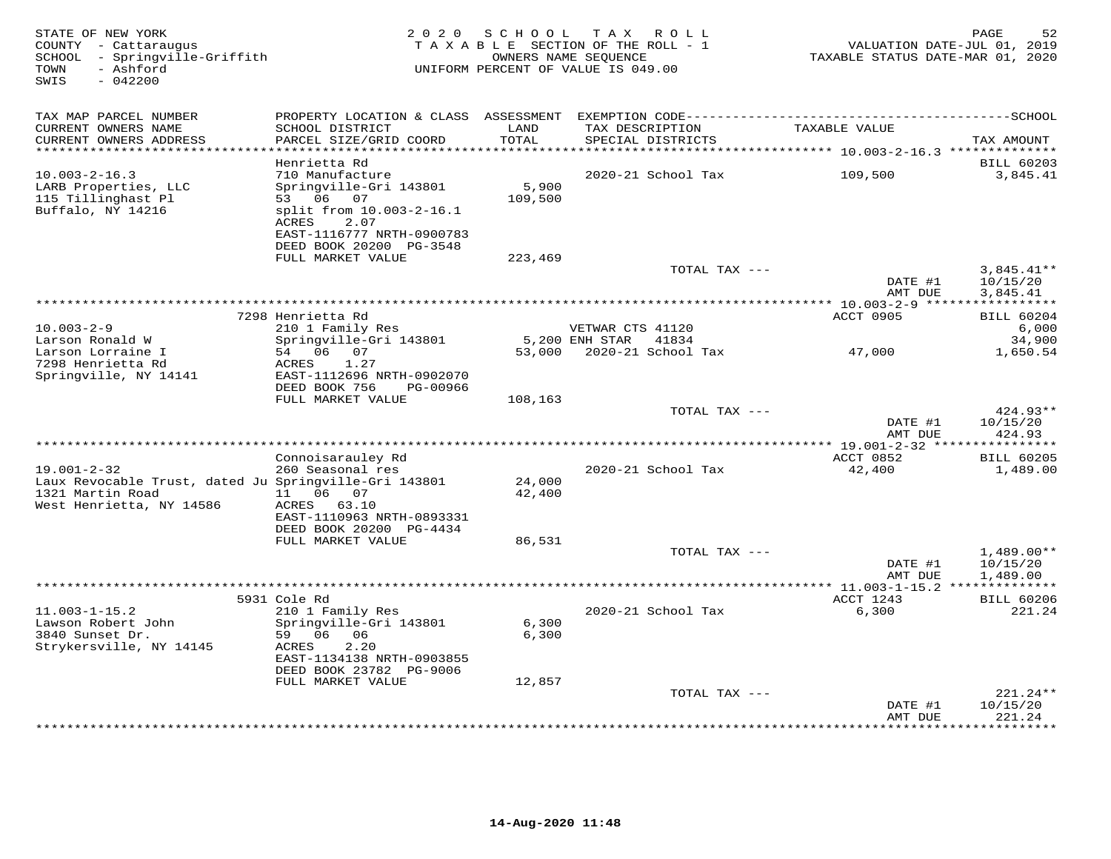| STATE OF NEW YORK<br>COUNTY - Cattaraugus<br>SCHOOL - Springville-Griffith<br>- Ashford<br>TOWN<br>SWIS<br>$-042200$ | 2 0 2 0                                                                                                                                                    | SCHOOL           | T A X<br>ROLL<br>TAXABLE SECTION OF THE ROLL - 1<br>OWNERS NAME SEQUENCE<br>UNIFORM PERCENT OF VALUE IS 049.00 | VALUATION DATE-JUL 01, 2019<br>TAXABLE STATUS DATE-MAR 01, 2020 | 52<br>PAGE                           |
|----------------------------------------------------------------------------------------------------------------------|------------------------------------------------------------------------------------------------------------------------------------------------------------|------------------|----------------------------------------------------------------------------------------------------------------|-----------------------------------------------------------------|--------------------------------------|
| TAX MAP PARCEL NUMBER<br>CURRENT OWNERS NAME<br>CURRENT OWNERS ADDRESS<br>***********************                    | PROPERTY LOCATION & CLASS ASSESSMENT<br>SCHOOL DISTRICT<br>PARCEL SIZE/GRID COORD                                                                          | LAND<br>TOTAL    | TAX DESCRIPTION<br>SPECIAL DISTRICTS                                                                           | TAXABLE VALUE                                                   | TAX AMOUNT                           |
|                                                                                                                      | Henrietta Rd                                                                                                                                               |                  |                                                                                                                |                                                                 | <b>BILL 60203</b>                    |
| $10.003 - 2 - 16.3$<br>LARB Properties, LLC<br>115 Tillinghast Pl<br>Buffalo, NY 14216                               | 710 Manufacture<br>Springville-Gri 143801<br>53 06 07<br>split from 10.003-2-16.1<br>ACRES<br>2.07<br>EAST-1116777 NRTH-0900783<br>DEED BOOK 20200 PG-3548 | 5,900<br>109,500 | 2020-21 School Tax                                                                                             | 109,500                                                         | 3,845.41                             |
|                                                                                                                      | FULL MARKET VALUE                                                                                                                                          | 223,469          |                                                                                                                |                                                                 |                                      |
|                                                                                                                      |                                                                                                                                                            |                  | TOTAL TAX ---                                                                                                  | DATE #1<br>AMT DUE                                              | $3,845.41**$<br>10/15/20<br>3,845.41 |
|                                                                                                                      |                                                                                                                                                            |                  |                                                                                                                |                                                                 | ***********                          |
| $10.003 - 2 - 9$                                                                                                     | 7298 Henrietta Rd<br>210 1 Family Res                                                                                                                      |                  | VETWAR CTS 41120                                                                                               | ACCT 0905                                                       | <b>BILL 60204</b><br>6,000           |
| Larson Ronald W                                                                                                      | Springville-Gri 143801                                                                                                                                     |                  | 5,200 ENH STAR<br>41834                                                                                        |                                                                 | 34,900                               |
| Larson Lorraine I<br>7298 Henrietta Rd<br>Springville, NY 14141                                                      | 54 06<br>07<br>1.27<br>ACRES<br>EAST-1112696 NRTH-0902070<br>DEED BOOK 756<br>PG-00966                                                                     | 53,000           | 2020-21 School Tax                                                                                             | 47,000                                                          | 1,650.54                             |
|                                                                                                                      | FULL MARKET VALUE                                                                                                                                          | 108,163          |                                                                                                                |                                                                 |                                      |
|                                                                                                                      |                                                                                                                                                            |                  | TOTAL TAX ---                                                                                                  | DATE #1<br>AMT DUE                                              | $424.93**$<br>10/15/20<br>424.93     |
|                                                                                                                      |                                                                                                                                                            |                  | **********************                                                                                         | * $19.001 - 2 - 32$ ***                                         | *********                            |
| $19.001 - 2 - 32$                                                                                                    | Connoisarauley Rd<br>260 Seasonal res                                                                                                                      |                  | 2020-21 School Tax                                                                                             | ACCT 0852<br>42,400                                             | <b>BILL 60205</b><br>1,489.00        |
| Laux Revocable Trust, dated Ju Springville-Gri 143801<br>1321 Martin Road<br>West Henrietta, NY 14586                | 11  06  07<br>ACRES 63.10<br>EAST-1110963 NRTH-0893331<br>DEED BOOK 20200 PG-4434                                                                          | 24,000<br>42,400 |                                                                                                                |                                                                 |                                      |
|                                                                                                                      | FULL MARKET VALUE                                                                                                                                          | 86,531           |                                                                                                                |                                                                 |                                      |
|                                                                                                                      | ***************************                                                                                                                                |                  | TOTAL TAX ---<br>**********************                                                                        | DATE #1<br>AMT DUE                                              | $1,489.00**$<br>10/15/20<br>1,489.00 |
|                                                                                                                      | 5931 Cole Rd                                                                                                                                               |                  |                                                                                                                | ** 11.003-1-15.2 **************<br>ACCT 1243                    | <b>BILL 60206</b>                    |
| $11.003 - 1 - 15.2$<br>Lawson Robert John<br>3840 Sunset Dr.<br>Strykersville, NY 14145                              | 210 1 Family Res<br>Springville-Gri 143801<br>59 06<br>06<br>2.20<br>ACRES<br>EAST-1134138 NRTH-0903855<br>DEED BOOK 23782 PG-9006                         | 6,300<br>6,300   | 2020-21 School Tax                                                                                             | 6,300                                                           | 221.24                               |
|                                                                                                                      | FULL MARKET VALUE                                                                                                                                          | 12,857           |                                                                                                                |                                                                 | 221.24**                             |
|                                                                                                                      |                                                                                                                                                            |                  | TOTAL TAX ---                                                                                                  | DATE #1<br>AMT DUE                                              | 10/15/20<br>221.24                   |
|                                                                                                                      |                                                                                                                                                            |                  |                                                                                                                |                                                                 | **********                           |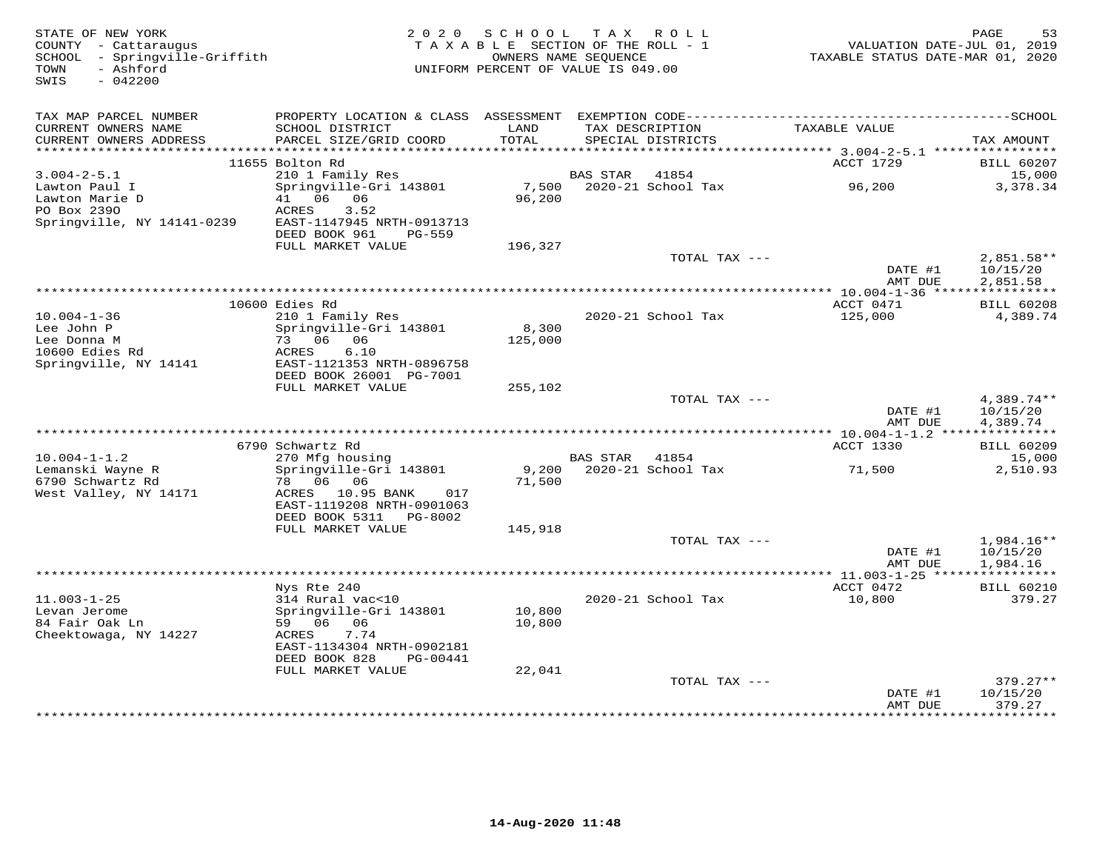| STATE OF NEW YORK<br>COUNTY - Cattaraugus<br>SCHOOL - Springville-Griffith<br>- Ashford<br>TOWN<br>SWIS<br>$-042200$ | 2 0 2 0                                                                           | SCHOOL<br>TAXABLE SECTION OF THE ROLL - 1<br>OWNERS NAME SEQUENCE<br>UNIFORM PERCENT OF VALUE IS 049.00 |                 | TAX ROLL                             | VALUATION DATE-JUL 01, 2019<br>TAXABLE STATUS DATE-MAR 01, 2020 | 53<br>PAGE                                 |
|----------------------------------------------------------------------------------------------------------------------|-----------------------------------------------------------------------------------|---------------------------------------------------------------------------------------------------------|-----------------|--------------------------------------|-----------------------------------------------------------------|--------------------------------------------|
| TAX MAP PARCEL NUMBER                                                                                                |                                                                                   |                                                                                                         |                 |                                      |                                                                 |                                            |
| CURRENT OWNERS NAME<br>CURRENT OWNERS ADDRESS<br>************************                                            | SCHOOL DISTRICT<br>PARCEL SIZE/GRID COORD                                         | LAND<br>TOTAL                                                                                           |                 | TAX DESCRIPTION<br>SPECIAL DISTRICTS | TAXABLE VALUE                                                   | TAX AMOUNT                                 |
|                                                                                                                      | 11655 Bolton Rd                                                                   |                                                                                                         |                 |                                      | ACCT 1729                                                       | <b>BILL 60207</b>                          |
| $3.004 - 2 - 5.1$                                                                                                    | 210 1 Family Res                                                                  |                                                                                                         | <b>BAS STAR</b> | 41854                                |                                                                 | 15,000                                     |
| Lawton Paul I<br>Lawton Marie D                                                                                      | Springville-Gri 143801<br>06<br>06<br>41                                          | 7,500<br>96,200                                                                                         |                 | 2020-21 School Tax                   | 96,200                                                          | 3,378.34                                   |
| PO Box 2390<br>Springville, NY 14141-0239                                                                            | ACRES<br>3.52<br>EAST-1147945 NRTH-0913713<br>DEED BOOK 961                       |                                                                                                         |                 |                                      |                                                                 |                                            |
|                                                                                                                      | <b>PG-559</b><br>FULL MARKET VALUE                                                | 196,327                                                                                                 |                 |                                      |                                                                 |                                            |
|                                                                                                                      |                                                                                   |                                                                                                         |                 | TOTAL TAX ---                        | DATE #1                                                         | $2,851.58**$<br>10/15/20                   |
|                                                                                                                      |                                                                                   | ***********************************                                                                     |                 |                                      | AMT DUE                                                         | 2,851.58                                   |
|                                                                                                                      | 10600 Edies Rd                                                                    |                                                                                                         |                 |                                      | $*10.004 - 1 - 36$ **<br>ACCT 0471                              | * * * * * * * * * * *<br><b>BILL 60208</b> |
| $10.004 - 1 - 36$                                                                                                    | 210 1 Family Res                                                                  |                                                                                                         |                 | 2020-21 School Tax                   | 125,000                                                         | 4,389.74                                   |
| Lee John P                                                                                                           | Springville-Gri 143801                                                            | 8,300                                                                                                   |                 |                                      |                                                                 |                                            |
| Lee Donna M                                                                                                          | 73 06 06                                                                          | 125,000                                                                                                 |                 |                                      |                                                                 |                                            |
| 10600 Edies Rd                                                                                                       | ACRES<br>6.10                                                                     |                                                                                                         |                 |                                      |                                                                 |                                            |
| Springville, NY 14141                                                                                                | EAST-1121353 NRTH-0896758<br>DEED BOOK 26001 PG-7001                              |                                                                                                         |                 |                                      |                                                                 |                                            |
|                                                                                                                      | FULL MARKET VALUE                                                                 | 255,102                                                                                                 |                 |                                      |                                                                 |                                            |
|                                                                                                                      |                                                                                   |                                                                                                         |                 | TOTAL TAX ---                        |                                                                 | $4,389.74**$                               |
|                                                                                                                      |                                                                                   |                                                                                                         |                 |                                      | DATE #1<br>AMT DUE                                              | 10/15/20<br>4,389.74                       |
|                                                                                                                      | 6790 Schwartz Rd                                                                  |                                                                                                         |                 |                                      | ACCT 1330                                                       | <b>BILL 60209</b>                          |
| $10.004 - 1 - 1.2$                                                                                                   | 270 Mfg housing                                                                   |                                                                                                         | <b>BAS STAR</b> | 41854                                |                                                                 | 15,000                                     |
| Lemanski Wayne R                                                                                                     | Springville-Gri 143801                                                            | 9,200                                                                                                   |                 | 2020-21 School Tax                   | 71,500                                                          | 2,510.93                                   |
| 6790 Schwartz Rd                                                                                                     | 06 06<br>78                                                                       | 71,500                                                                                                  |                 |                                      |                                                                 |                                            |
| West Valley, NY 14171                                                                                                | ACRES 10.95 BANK<br>017<br>EAST-1119208 NRTH-0901063<br>DEED BOOK 5311<br>PG-8002 |                                                                                                         |                 |                                      |                                                                 |                                            |
|                                                                                                                      | FULL MARKET VALUE                                                                 | 145,918                                                                                                 |                 |                                      |                                                                 |                                            |
|                                                                                                                      |                                                                                   |                                                                                                         |                 | TOTAL TAX ---                        |                                                                 | $1,984.16**$                               |
|                                                                                                                      |                                                                                   |                                                                                                         |                 |                                      | DATE #1                                                         | 10/15/20                                   |
|                                                                                                                      |                                                                                   |                                                                                                         |                 |                                      | AMT DUE                                                         | 1,984.16<br>***********                    |
|                                                                                                                      | Nys Rte 240                                                                       |                                                                                                         |                 |                                      | ACCT 0472                                                       | <b>BILL 60210</b>                          |
| $11.003 - 1 - 25$                                                                                                    | 314 Rural vac<10                                                                  |                                                                                                         |                 | 2020-21 School Tax                   | 10,800                                                          | 379.27                                     |
| Levan Jerome                                                                                                         | Springville-Gri 143801                                                            | 10,800                                                                                                  |                 |                                      |                                                                 |                                            |
| 84 Fair Oak Ln                                                                                                       | 59 06<br>06                                                                       | 10,800                                                                                                  |                 |                                      |                                                                 |                                            |
| Cheektowaga, NY 14227                                                                                                | ACRES<br>7.74<br>EAST-1134304 NRTH-0902181                                        |                                                                                                         |                 |                                      |                                                                 |                                            |
|                                                                                                                      | DEED BOOK 828<br>PG-00441<br>FULL MARKET VALUE                                    | 22,041                                                                                                  |                 |                                      |                                                                 |                                            |
|                                                                                                                      |                                                                                   |                                                                                                         |                 | TOTAL TAX ---                        |                                                                 | $379.27**$                                 |
|                                                                                                                      |                                                                                   |                                                                                                         |                 |                                      | DATE #1                                                         | 10/15/20                                   |
|                                                                                                                      |                                                                                   |                                                                                                         |                 |                                      | AMT DUE<br>*********                                            | 379.27<br>*********                        |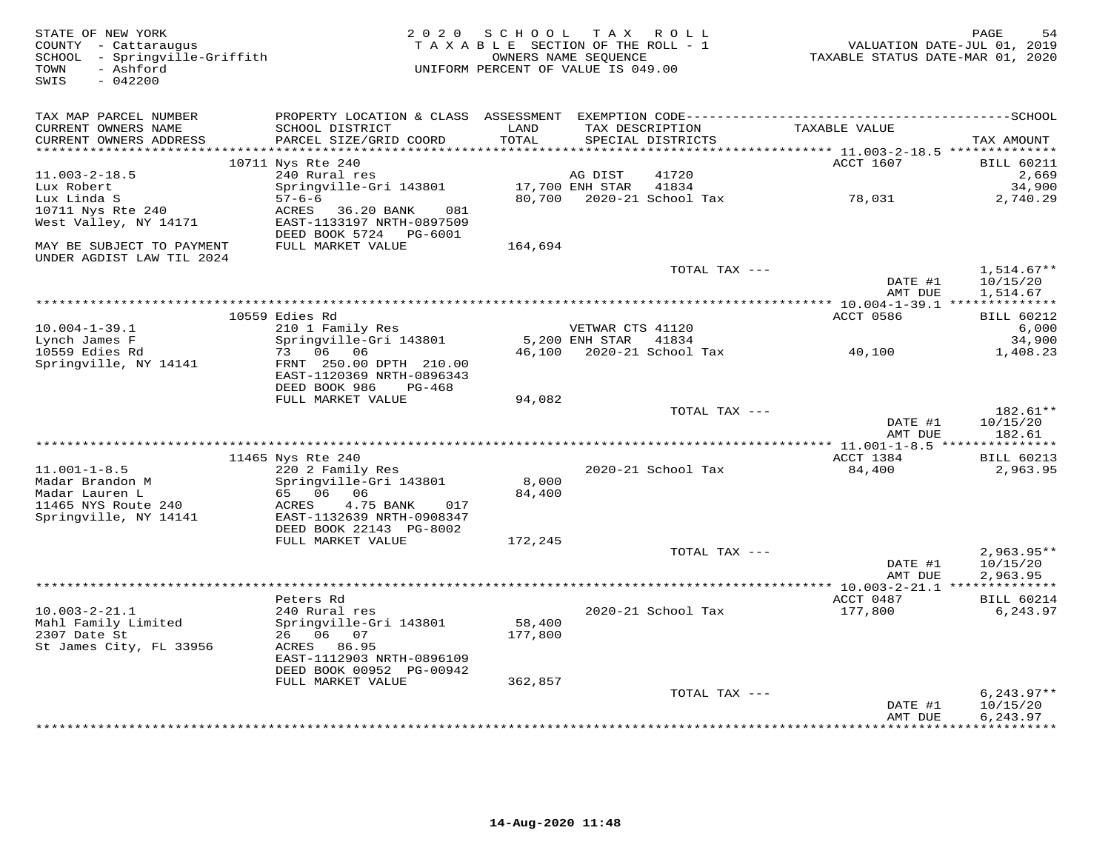| STATE OF NEW YORK<br>COUNTY - Cattaraugus<br>SCHOOL - Springville-Griffith<br>TOWN<br>- Ashford<br>SWIS<br>$-042200$ | 2 0 2 0                                                                           | SCHOOL TAX ROLL<br>TAXABLE SECTION OF THE ROLL - 1<br>UNIFORM PERCENT OF VALUE IS 049.00 | OWNERS NAME SEQUENCE                 |                                      | TAXABLE STATUS DATE-MAR 01, 2020                    | PAGE<br>54<br>VALUATION DATE-JUL 01, 2019 |
|----------------------------------------------------------------------------------------------------------------------|-----------------------------------------------------------------------------------|------------------------------------------------------------------------------------------|--------------------------------------|--------------------------------------|-----------------------------------------------------|-------------------------------------------|
| TAX MAP PARCEL NUMBER                                                                                                |                                                                                   |                                                                                          |                                      |                                      |                                                     |                                           |
| CURRENT OWNERS NAME<br>CURRENT OWNERS ADDRESS                                                                        | SCHOOL DISTRICT<br>PARCEL SIZE/GRID COORD                                         | LAND<br>TOTAL                                                                            |                                      | TAX DESCRIPTION<br>SPECIAL DISTRICTS | TAXABLE VALUE                                       | TAX AMOUNT                                |
| *******************                                                                                                  | 10711 Nys Rte 240                                                                 | *******                                                                                  |                                      |                                      | ******** 11.003-2-18.5 ***************<br>ACCT 1607 | <b>BILL 60211</b>                         |
| $11.003 - 2 - 18.5$                                                                                                  | 240 Rural res                                                                     |                                                                                          | AG DIST                              | 41720                                |                                                     | 2,669                                     |
| Lux Robert                                                                                                           | Springville-Gri 143801                                                            |                                                                                          | 17,700 ENH STAR                      | 41834                                |                                                     | 34,900                                    |
| Lux Linda S                                                                                                          | $57 - 6 - 6$                                                                      |                                                                                          |                                      | 80,700 2020-21 School Tax            | 78,031                                              | 2,740.29                                  |
| 10711 Nys Rte 240<br>West Valley, NY 14171                                                                           | 36.20 BANK<br>ACRES<br>081<br>EAST-1133197 NRTH-0897509<br>DEED BOOK 5724 PG-6001 |                                                                                          |                                      |                                      |                                                     |                                           |
| MAY BE SUBJECT TO PAYMENT<br>UNDER AGDIST LAW TIL 2024                                                               | FULL MARKET VALUE                                                                 | 164,694                                                                                  |                                      |                                      |                                                     |                                           |
|                                                                                                                      |                                                                                   |                                                                                          |                                      | TOTAL TAX ---                        |                                                     | $1,514.67**$                              |
|                                                                                                                      |                                                                                   |                                                                                          |                                      |                                      | DATE #1<br>AMT DUE                                  | 10/15/20<br>1,514.67                      |
|                                                                                                                      |                                                                                   |                                                                                          |                                      |                                      |                                                     |                                           |
|                                                                                                                      | 10559 Edies Rd                                                                    |                                                                                          |                                      |                                      | ACCT 0586                                           | <b>BILL 60212</b>                         |
| $10.004 - 1 - 39.1$<br>Lynch James F                                                                                 | 210 1 Family Res<br>Springville-Gri 143801                                        |                                                                                          | VETWAR CTS 41120<br>$5.200$ ENH STAR | 41834                                |                                                     | 6,000<br>34,900                           |
| 10559 Edies Rd                                                                                                       | 73 06 06                                                                          | 46,100                                                                                   |                                      | 2020-21 School Tax                   | 40,100                                              | 1,408.23                                  |
| Springville, NY 14141                                                                                                | FRNT 250.00 DPTH 210.00<br>EAST-1120369 NRTH-0896343<br>DEED BOOK 986<br>PG-468   |                                                                                          |                                      |                                      |                                                     |                                           |
|                                                                                                                      | FULL MARKET VALUE                                                                 | 94,082                                                                                   |                                      |                                      |                                                     |                                           |
|                                                                                                                      |                                                                                   |                                                                                          |                                      | TOTAL TAX ---                        | DATE #1                                             | 182.61**<br>10/15/20                      |
|                                                                                                                      |                                                                                   |                                                                                          |                                      |                                      | AMT DUE                                             | 182.61                                    |
|                                                                                                                      |                                                                                   |                                                                                          |                                      |                                      |                                                     |                                           |
| $11.001 - 1 - 8.5$                                                                                                   | 11465 Nys Rte 240<br>220 2 Family Res                                             |                                                                                          |                                      | 2020-21 School Tax                   | ACCT 1384<br>84,400                                 | <b>BILL 60213</b><br>2,963.95             |
| Madar Brandon M                                                                                                      | Springville-Gri 143801                                                            | 8,000                                                                                    |                                      |                                      |                                                     |                                           |
| Madar Lauren L                                                                                                       | 65 06 06                                                                          | 84,400                                                                                   |                                      |                                      |                                                     |                                           |
| 11465 NYS Route 240<br>Springville, NY 14141                                                                         | 4.75 BANK<br>ACRES<br>017<br>EAST-1132639 NRTH-0908347<br>DEED BOOK 22143 PG-8002 |                                                                                          |                                      |                                      |                                                     |                                           |
|                                                                                                                      | FULL MARKET VALUE                                                                 | 172,245                                                                                  |                                      |                                      |                                                     |                                           |
|                                                                                                                      |                                                                                   |                                                                                          |                                      | TOTAL TAX ---                        |                                                     | $2,963.95**$                              |
|                                                                                                                      |                                                                                   |                                                                                          |                                      |                                      | DATE #1                                             | 10/15/20                                  |
|                                                                                                                      |                                                                                   |                                                                                          |                                      |                                      | AMT DUE                                             | 2,963.95                                  |
|                                                                                                                      |                                                                                   |                                                                                          |                                      |                                      |                                                     |                                           |
| $10.003 - 2 - 21.1$                                                                                                  | Peters Rd<br>240 Rural res                                                        |                                                                                          |                                      | 2020-21 School Tax                   | ACCT 0487<br>177,800                                | <b>BILL 60214</b><br>6,243.97             |
| Mahl Family Limited                                                                                                  | Springville-Gri 143801                                                            | 58,400                                                                                   |                                      |                                      |                                                     |                                           |
| 2307 Date St                                                                                                         | 26 06 07                                                                          | 177,800                                                                                  |                                      |                                      |                                                     |                                           |
| St James City, FL 33956                                                                                              | ACRES 86.95<br>EAST-1112903 NRTH-0896109                                          |                                                                                          |                                      |                                      |                                                     |                                           |
|                                                                                                                      | DEED BOOK 00952 PG-00942                                                          |                                                                                          |                                      |                                      |                                                     |                                           |
|                                                                                                                      | FULL MARKET VALUE                                                                 | 362,857                                                                                  |                                      |                                      |                                                     |                                           |
|                                                                                                                      |                                                                                   |                                                                                          |                                      | TOTAL TAX ---                        |                                                     | $6, 243.97**$                             |
|                                                                                                                      |                                                                                   |                                                                                          |                                      |                                      | DATE #1                                             | 10/15/20                                  |
|                                                                                                                      |                                                                                   |                                                                                          |                                      |                                      | AMT DUE                                             | 6,243.97<br>***********                   |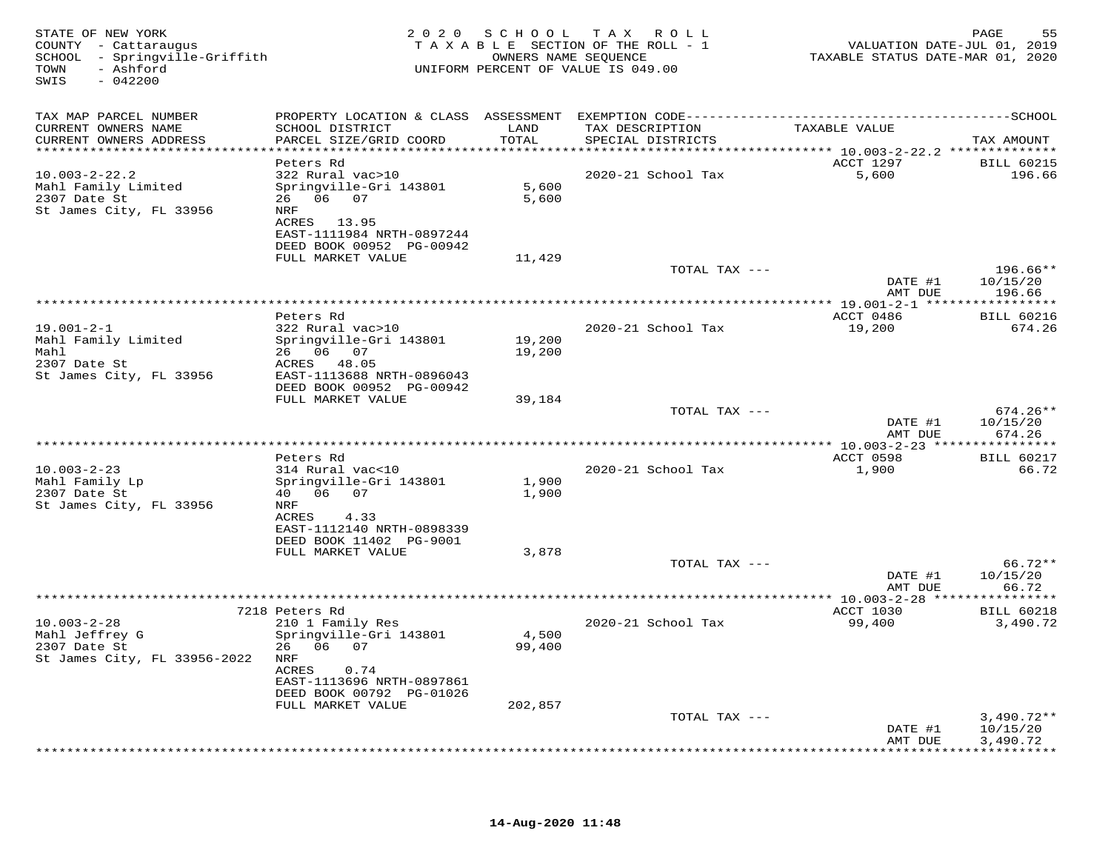| STATE OF NEW YORK<br>COUNTY - Cattaraugus<br>SCHOOL - Springville-Griffith<br>- Ashford<br>TOWN<br>SWIS<br>$-042200$ |                                                                                           | OWNERS NAME SEQUENCE | 2020 SCHOOL TAX ROLL<br>TAXABLE SECTION OF THE ROLL - 1<br>UNIFORM PERCENT OF VALUE IS 049.00 | VALUATION DATE-JUL 01, 2019<br>TAXABLE STATUS DATE-MAR 01, 2020 | 55<br>PAGE                           |
|----------------------------------------------------------------------------------------------------------------------|-------------------------------------------------------------------------------------------|----------------------|-----------------------------------------------------------------------------------------------|-----------------------------------------------------------------|--------------------------------------|
| TAX MAP PARCEL NUMBER<br>CURRENT OWNERS NAME<br>CURRENT OWNERS ADDRESS                                               | SCHOOL DISTRICT<br>PARCEL SIZE/GRID COORD                                                 | LAND<br>TOTAL        | TAX DESCRIPTION<br>SPECIAL DISTRICTS                                                          | TAXABLE VALUE                                                   | TAX AMOUNT                           |
| ***************************                                                                                          |                                                                                           |                      |                                                                                               |                                                                 |                                      |
| $10.003 - 2 - 22.2$<br>Mahl Family Limited<br>2307 Date St<br>St James City, FL 33956                                | Peters Rd<br>322 Rural vac>10<br>Springville-Gri 143801<br>26 06 07<br>NRF<br>ACRES 13.95 | 5,600<br>5,600       | 2020-21 School Tax                                                                            | ACCT 1297<br>5,600                                              | <b>BILL 60215</b><br>196.66          |
|                                                                                                                      | EAST-1111984 NRTH-0897244<br>DEED BOOK 00952 PG-00942                                     |                      |                                                                                               |                                                                 |                                      |
|                                                                                                                      | FULL MARKET VALUE                                                                         | 11,429               |                                                                                               |                                                                 |                                      |
|                                                                                                                      |                                                                                           |                      | TOTAL TAX ---                                                                                 | DATE #1                                                         | $196.66**$<br>10/15/20               |
|                                                                                                                      |                                                                                           |                      |                                                                                               | AMT DUE                                                         | 196.66                               |
|                                                                                                                      | Peters Rd                                                                                 |                      |                                                                                               | ACCT 0486                                                       | <b>BILL 60216</b>                    |
| $19.001 - 2 - 1$<br>Mahl Family Limited<br>Mahl                                                                      | 322 Rural vac>10<br>Springville-Gri 143801<br>26 06 07                                    | 19,200<br>19,200     | 2020-21 School Tax                                                                            | 19,200                                                          | 674.26                               |
| 2307 Date St<br>St James City, FL 33956                                                                              | ACRES 48.05<br>EAST-1113688 NRTH-0896043<br>DEED BOOK 00952 PG-00942                      |                      |                                                                                               |                                                                 |                                      |
|                                                                                                                      | FULL MARKET VALUE                                                                         | 39,184               |                                                                                               |                                                                 |                                      |
|                                                                                                                      |                                                                                           |                      | TOTAL TAX ---                                                                                 | DATE #1<br>AMT DUE                                              | $674.26**$<br>10/15/20<br>674.26     |
|                                                                                                                      |                                                                                           |                      |                                                                                               |                                                                 |                                      |
| $10.003 - 2 - 23$                                                                                                    | Peters Rd<br>314 Rural vac<10                                                             |                      | 2020-21 School Tax                                                                            | ACCT 0598<br>1,900                                              | <b>BILL 60217</b><br>66.72           |
| Mahl Family Lp<br>2307 Date St<br>St James City, FL 33956                                                            | Springville-Gri 143801<br>40   06   07<br>NRF                                             | 1,900<br>1,900       |                                                                                               |                                                                 |                                      |
|                                                                                                                      | ACRES<br>4.33<br>EAST-1112140 NRTH-0898339<br>DEED BOOK 11402 PG-9001                     |                      |                                                                                               |                                                                 |                                      |
|                                                                                                                      | FULL MARKET VALUE                                                                         | 3,878                |                                                                                               |                                                                 | 66.72**                              |
|                                                                                                                      |                                                                                           |                      | TOTAL TAX ---                                                                                 | DATE #1<br>AMT DUE                                              | 10/15/20<br>66.72                    |
|                                                                                                                      |                                                                                           |                      |                                                                                               |                                                                 |                                      |
| $10.003 - 2 - 28$                                                                                                    | 7218 Peters Rd<br>210 1 Family Res                                                        |                      | 2020-21 School Tax                                                                            | ACCT 1030<br>99,400                                             | <b>BILL 60218</b><br>3,490.72        |
| Mahl Jeffrey G<br>2307 Date St<br>St James City, FL 33956-2022                                                       | Springville-Gri 143801<br>26 06 07<br>NRF<br>ACRES<br>0.74<br>EAST-1113696 NRTH-0897861   | 4,500<br>99,400      |                                                                                               |                                                                 |                                      |
|                                                                                                                      | DEED BOOK 00792 PG-01026                                                                  |                      |                                                                                               |                                                                 |                                      |
|                                                                                                                      | FULL MARKET VALUE                                                                         | 202,857              |                                                                                               |                                                                 |                                      |
|                                                                                                                      |                                                                                           |                      | TOTAL TAX ---                                                                                 | DATE #1<br>AMT DUE                                              | $3,490.72**$<br>10/15/20<br>3,490.72 |
|                                                                                                                      |                                                                                           |                      |                                                                                               |                                                                 |                                      |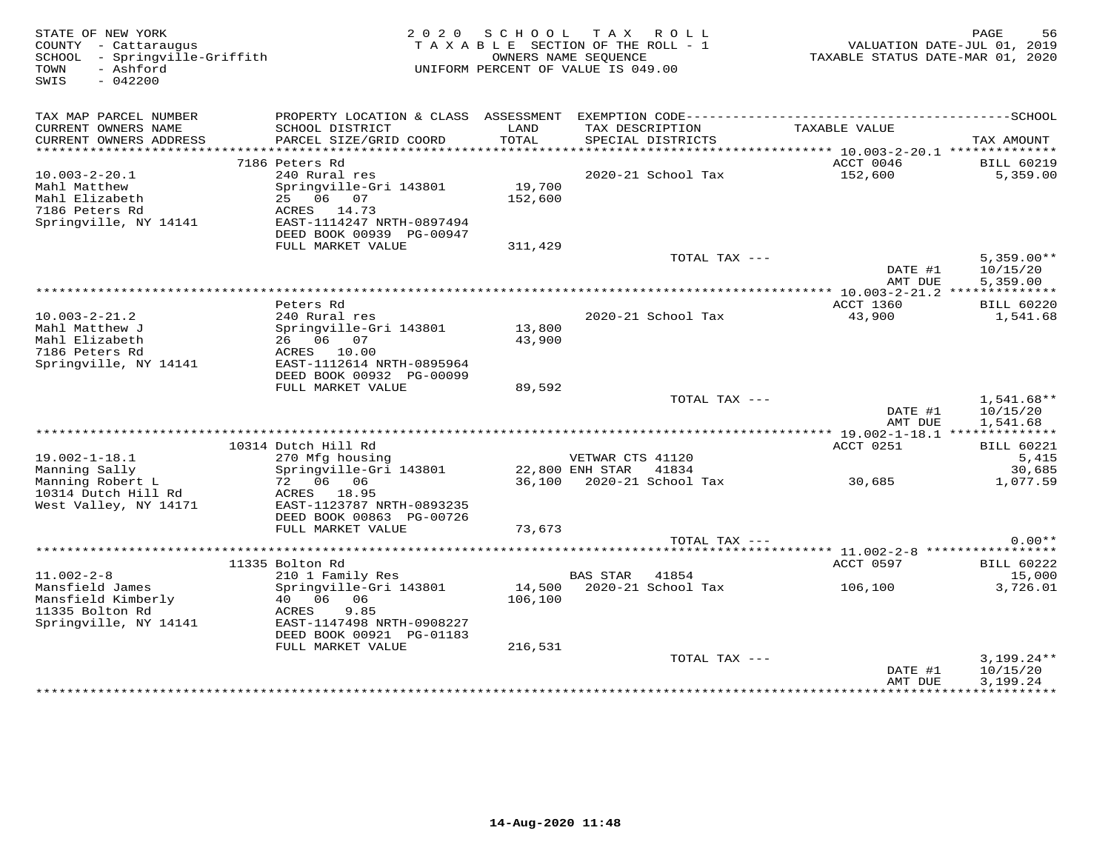| STATE OF NEW YORK<br>COUNTY - Cattaraugus<br>SCHOOL - Springville-Griffith<br>- Ashford<br>TOWN<br>SWIS<br>$-042200$ |                                                       |         | 2020 SCHOOL TAX ROLL<br>TAXABLE SECTION OF THE ROLL - 1<br>OWNERS NAME SEOUENCE<br>UNIFORM PERCENT OF VALUE IS 049.00 |                 | TAXABLE STATUS DATE-MAR 01, 2020 | PAGE<br>56<br>VALUATION DATE-JUL 01, 2019 |
|----------------------------------------------------------------------------------------------------------------------|-------------------------------------------------------|---------|-----------------------------------------------------------------------------------------------------------------------|-----------------|----------------------------------|-------------------------------------------|
| TAX MAP PARCEL NUMBER<br>CURRENT OWNERS NAME                                                                         | SCHOOL DISTRICT                                       | LAND    |                                                                                                                       | TAX DESCRIPTION | TAXABLE VALUE                    |                                           |
| CURRENT OWNERS ADDRESS                                                                                               | PARCEL SIZE/GRID COORD                                | TOTAL   | SPECIAL DISTRICTS                                                                                                     |                 |                                  | TAX AMOUNT                                |
|                                                                                                                      | 7186 Peters Rd                                        |         |                                                                                                                       |                 | ACCT 0046                        | <b>BILL 60219</b>                         |
| $10.003 - 2 - 20.1$                                                                                                  | 240 Rural res                                         |         | 2020-21 School Tax                                                                                                    |                 | 152,600                          | 5,359.00                                  |
| Mahl Matthew                                                                                                         | Springville-Gri 143801                                | 19,700  |                                                                                                                       |                 |                                  |                                           |
| Mahl Elizabeth                                                                                                       | 25 06 07                                              | 152,600 |                                                                                                                       |                 |                                  |                                           |
| 7186 Peters Rd                                                                                                       | ACRES 14.73                                           |         |                                                                                                                       |                 |                                  |                                           |
| Springville, NY 14141                                                                                                | EAST-1114247 NRTH-0897494<br>DEED BOOK 00939 PG-00947 |         |                                                                                                                       |                 |                                  |                                           |
|                                                                                                                      | FULL MARKET VALUE                                     | 311,429 |                                                                                                                       |                 |                                  |                                           |
|                                                                                                                      |                                                       |         |                                                                                                                       | TOTAL TAX ---   |                                  | $5,359.00**$                              |
|                                                                                                                      |                                                       |         |                                                                                                                       |                 | DATE #1                          | 10/15/20                                  |
|                                                                                                                      |                                                       |         |                                                                                                                       |                 | AMT DUE                          | 5,359.00                                  |
|                                                                                                                      | Peters Rd                                             |         |                                                                                                                       |                 | ACCT 1360                        | <b>BILL 60220</b>                         |
| $10.003 - 2 - 21.2$                                                                                                  | 240 Rural res                                         |         | 2020-21 School Tax                                                                                                    |                 | 43,900                           | 1,541.68                                  |
| Mahl Matthew J                                                                                                       | Springville-Gri 143801                                | 13,800  |                                                                                                                       |                 |                                  |                                           |
| Mahl Elizabeth                                                                                                       | 26 06 07                                              | 43,900  |                                                                                                                       |                 |                                  |                                           |
| 7186 Peters Rd                                                                                                       | ACRES 10.00                                           |         |                                                                                                                       |                 |                                  |                                           |
| Springville, NY 14141                                                                                                | EAST-1112614 NRTH-0895964                             |         |                                                                                                                       |                 |                                  |                                           |
|                                                                                                                      | DEED BOOK 00932 PG-00099                              |         |                                                                                                                       |                 |                                  |                                           |
|                                                                                                                      | FULL MARKET VALUE                                     | 89,592  |                                                                                                                       | TOTAL TAX ---   |                                  | $1,541.68**$                              |
|                                                                                                                      |                                                       |         |                                                                                                                       |                 | DATE #1                          | 10/15/20                                  |
|                                                                                                                      |                                                       |         |                                                                                                                       |                 | AMT DUE                          | 1,541.68                                  |
|                                                                                                                      |                                                       |         |                                                                                                                       |                 |                                  |                                           |
|                                                                                                                      | 10314 Dutch Hill Rd                                   |         |                                                                                                                       |                 | ACCT 0251                        | <b>BILL 60221</b>                         |
| $19.002 - 1 - 18.1$                                                                                                  | 270 Mfg housing                                       |         | VETWAR CTS 41120                                                                                                      |                 |                                  | 5.415                                     |
| Manning Sally                                                                                                        | Springville-Gri 143801                                |         | 22,800 ENH STAR 41834                                                                                                 |                 |                                  | 30,685                                    |
| Manning Robert L<br>10314 Dutch Hill Rd                                                                              | 72 06 06<br>ACRES 18.95                               |         | 36,100 2020-21 School Tax                                                                                             |                 | 30,685                           | 1,077.59                                  |
| West Valley, NY 14171                                                                                                | EAST-1123787 NRTH-0893235                             |         |                                                                                                                       |                 |                                  |                                           |
|                                                                                                                      | DEED BOOK 00863 PG-00726                              |         |                                                                                                                       |                 |                                  |                                           |
|                                                                                                                      | FULL MARKET VALUE                                     | 73,673  |                                                                                                                       |                 |                                  |                                           |
|                                                                                                                      |                                                       |         |                                                                                                                       | TOTAL TAX ---   |                                  | $0.00**$                                  |
|                                                                                                                      |                                                       |         |                                                                                                                       |                 |                                  |                                           |
|                                                                                                                      | 11335 Bolton Rd                                       |         |                                                                                                                       |                 | ACCT 0597                        | <b>BILL 60222</b>                         |
| $11.002 - 2 - 8$                                                                                                     | 210 1 Family Res                                      |         | <b>BAS STAR</b>                                                                                                       | 41854           |                                  | 15,000                                    |
| Mansfield James                                                                                                      | Springville-Gri 143801                                |         | 14,500 2020-21 School Tax                                                                                             |                 | 106,100                          | 3,726.01                                  |
| Mansfield Kimberly<br>11335 Bolton Rd                                                                                | 40  06  06<br>ACRES<br>9.85                           | 106,100 |                                                                                                                       |                 |                                  |                                           |
| Springville, NY 14141                                                                                                | EAST-1147498 NRTH-0908227                             |         |                                                                                                                       |                 |                                  |                                           |
|                                                                                                                      | DEED BOOK 00921 PG-01183                              |         |                                                                                                                       |                 |                                  |                                           |
|                                                                                                                      | FULL MARKET VALUE                                     | 216,531 |                                                                                                                       |                 |                                  |                                           |
|                                                                                                                      |                                                       |         |                                                                                                                       | TOTAL TAX ---   |                                  | $3,199.24**$                              |
|                                                                                                                      |                                                       |         |                                                                                                                       |                 | DATE #1                          | 10/15/20                                  |
|                                                                                                                      |                                                       |         |                                                                                                                       |                 | AMT DUE                          | 3,199.24<br>************                  |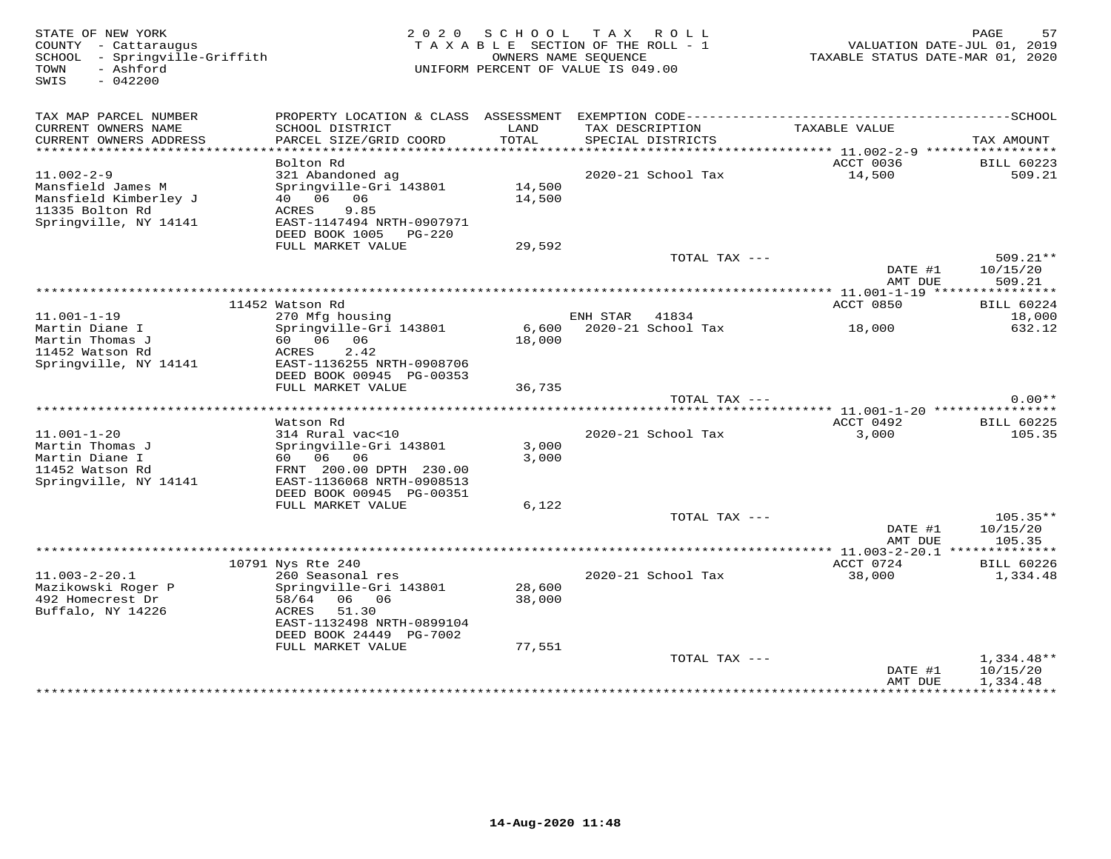| STATE OF NEW YORK<br>COUNTY - Cattaraugus<br>SCHOOL<br>- Springville-Griffith<br>- Ashford<br>TOWN<br>SWIS<br>$-042200$ |                                                      | 2020 SCHOOL<br>TAXABLE SECTION OF THE ROLL - 1<br>UNIFORM PERCENT OF VALUE IS 049.00 | TAX ROLL<br>OWNERS NAME SEQUENCE           |                    | TAXABLE STATUS DATE-MAR 01, 2020 | 57<br>PAGE<br>VALUATION DATE-JUL 01, 2019 |
|-------------------------------------------------------------------------------------------------------------------------|------------------------------------------------------|--------------------------------------------------------------------------------------|--------------------------------------------|--------------------|----------------------------------|-------------------------------------------|
| TAX MAP PARCEL NUMBER<br>CURRENT OWNERS NAME                                                                            | SCHOOL DISTRICT                                      | LAND                                                                                 | TAX DESCRIPTION                            |                    | TAXABLE VALUE                    |                                           |
| CURRENT OWNERS ADDRESS                                                                                                  | PARCEL SIZE/GRID COORD                               | TOTAL                                                                                | SPECIAL DISTRICTS                          |                    |                                  | TAX AMOUNT                                |
| ***********************                                                                                                 |                                                      |                                                                                      |                                            |                    |                                  |                                           |
| $11.002 - 2 - 9$                                                                                                        | Bolton Rd<br>321 Abandoned ag                        |                                                                                      |                                            | 2020-21 School Tax | ACCT 0036<br>14,500              | <b>BILL 60223</b><br>509.21               |
| Mansfield James M                                                                                                       | Springville-Gri 143801                               | 14,500                                                                               |                                            |                    |                                  |                                           |
| Mansfield Kimberley J                                                                                                   | 40  06  06                                           | 14,500                                                                               |                                            |                    |                                  |                                           |
| 11335 Bolton Rd                                                                                                         | 9.85<br>ACRES                                        |                                                                                      |                                            |                    |                                  |                                           |
| Springville, NY 14141                                                                                                   | EAST-1147494 NRTH-0907971                            |                                                                                      |                                            |                    |                                  |                                           |
|                                                                                                                         | DEED BOOK 1005 PG-220                                |                                                                                      |                                            |                    |                                  |                                           |
|                                                                                                                         | FULL MARKET VALUE                                    | 29,592                                                                               |                                            |                    |                                  |                                           |
|                                                                                                                         |                                                      |                                                                                      |                                            | TOTAL TAX ---      |                                  | 509.21**                                  |
|                                                                                                                         |                                                      |                                                                                      |                                            |                    | DATE #1                          | 10/15/20                                  |
|                                                                                                                         |                                                      |                                                                                      |                                            |                    | AMT DUE                          | 509.21                                    |
|                                                                                                                         |                                                      |                                                                                      |                                            |                    |                                  |                                           |
|                                                                                                                         | 11452 Watson Rd                                      |                                                                                      |                                            |                    | ACCT 0850                        | <b>BILL 60224</b>                         |
| $11.001 - 1 - 19$<br>Martin Diane I                                                                                     | 270 Mfg housing<br>Springville-Gri 143801            |                                                                                      | ENH STAR 41834<br>6,600 2020-21 School Tax |                    |                                  | 18,000<br>632.12                          |
| Martin Thomas J                                                                                                         | 60 06 06                                             | 18,000                                                                               |                                            |                    | 18,000                           |                                           |
| 11452 Watson Rd                                                                                                         | 2.42<br>ACRES                                        |                                                                                      |                                            |                    |                                  |                                           |
| Springville, NY 14141                                                                                                   | EAST-1136255 NRTH-0908706                            |                                                                                      |                                            |                    |                                  |                                           |
|                                                                                                                         | DEED BOOK 00945 PG-00353                             |                                                                                      |                                            |                    |                                  |                                           |
|                                                                                                                         | FULL MARKET VALUE                                    | 36,735                                                                               |                                            |                    |                                  |                                           |
|                                                                                                                         |                                                      |                                                                                      |                                            | TOTAL TAX ---      |                                  | $0.00**$                                  |
|                                                                                                                         |                                                      |                                                                                      |                                            |                    |                                  |                                           |
|                                                                                                                         | Watson Rd                                            |                                                                                      |                                            |                    | ACCT 0492                        | <b>BILL 60225</b>                         |
| $11.001 - 1 - 20$                                                                                                       | 314 Rural vac<10                                     |                                                                                      |                                            | 2020-21 School Tax | 3,000                            | 105.35                                    |
| Martin Thomas J                                                                                                         | Springville-Gri 143801                               | 3,000                                                                                |                                            |                    |                                  |                                           |
| Martin Diane I                                                                                                          | 60 06 06                                             | 3,000                                                                                |                                            |                    |                                  |                                           |
| 11452 Watson Rd<br>Springville, NY 14141                                                                                | FRNT 200.00 DPTH 230.00<br>EAST-1136068 NRTH-0908513 |                                                                                      |                                            |                    |                                  |                                           |
|                                                                                                                         | DEED BOOK 00945 PG-00351                             |                                                                                      |                                            |                    |                                  |                                           |
|                                                                                                                         | FULL MARKET VALUE                                    | 6,122                                                                                |                                            |                    |                                  |                                           |
|                                                                                                                         |                                                      |                                                                                      |                                            | TOTAL TAX ---      |                                  | $105.35**$                                |
|                                                                                                                         |                                                      |                                                                                      |                                            |                    | DATE #1                          | 10/15/20                                  |
|                                                                                                                         |                                                      |                                                                                      |                                            |                    | AMT DUE                          | 105.35                                    |
|                                                                                                                         |                                                      |                                                                                      |                                            |                    |                                  |                                           |
|                                                                                                                         | 10791 Nys Rte 240                                    |                                                                                      |                                            |                    | ACCT 0724                        | <b>BILL 60226</b>                         |
| $11.003 - 2 - 20.1$                                                                                                     | 260 Seasonal res                                     |                                                                                      |                                            | 2020-21 School Tax | 38,000                           | 1,334.48                                  |
| Mazikowski Roger P                                                                                                      | Springville-Gri 143801                               | 28,600                                                                               |                                            |                    |                                  |                                           |
| 492 Homecrest Dr                                                                                                        | 58/64 06 06                                          | 38,000                                                                               |                                            |                    |                                  |                                           |
| Buffalo, NY 14226                                                                                                       | ACRES<br>51.30<br>EAST-1132498 NRTH-0899104          |                                                                                      |                                            |                    |                                  |                                           |
|                                                                                                                         | DEED BOOK 24449 PG-7002                              |                                                                                      |                                            |                    |                                  |                                           |
|                                                                                                                         | FULL MARKET VALUE                                    | 77,551                                                                               |                                            |                    |                                  |                                           |
|                                                                                                                         |                                                      |                                                                                      |                                            | TOTAL TAX ---      |                                  | $1,334.48**$                              |
|                                                                                                                         |                                                      |                                                                                      |                                            |                    | DATE #1                          | 10/15/20                                  |
|                                                                                                                         |                                                      |                                                                                      |                                            |                    | AMT DUE                          | 1,334.48                                  |
|                                                                                                                         |                                                      |                                                                                      |                                            |                    | ***************                  | ************                              |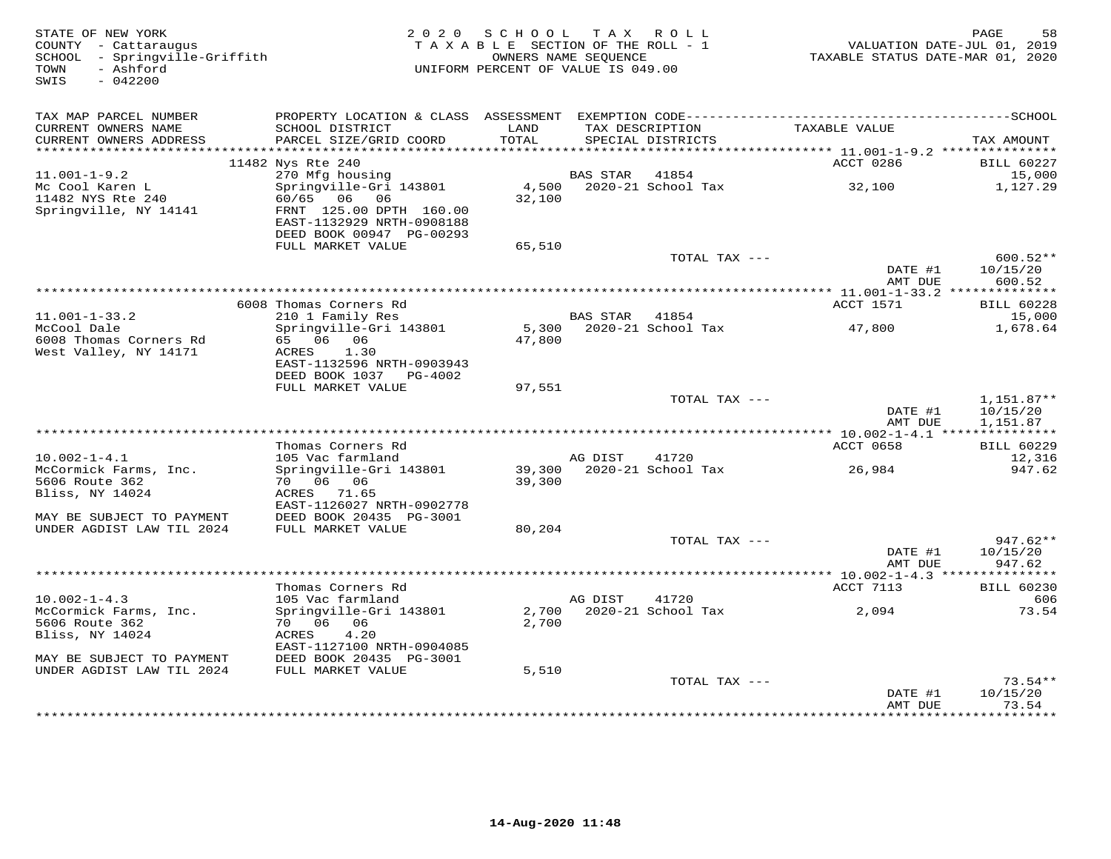| STATE OF NEW YORK<br>COUNTY - Cattaraugus<br>SCHOOL - Springville-Griffith<br>- Ashford<br>TOWN<br>SWIS<br>$-042200$ |                                                                                                 | 2020 SCHOOL TAX ROLL<br>TAXABLE SECTION OF THE ROLL - 1<br>OWNERS NAME SEQUENCE<br>UNIFORM PERCENT OF VALUE IS 049.00 |                 |                                      | VALUATION DATE-JUL 01, 2019<br>TAXABLE STATUS DATE-MAR 01, 2020 | PAGE<br>58                  |
|----------------------------------------------------------------------------------------------------------------------|-------------------------------------------------------------------------------------------------|-----------------------------------------------------------------------------------------------------------------------|-----------------|--------------------------------------|-----------------------------------------------------------------|-----------------------------|
| TAX MAP PARCEL NUMBER                                                                                                |                                                                                                 |                                                                                                                       |                 |                                      |                                                                 |                             |
| CURRENT OWNERS NAME<br>CURRENT OWNERS ADDRESS                                                                        | SCHOOL DISTRICT<br>PARCEL SIZE/GRID COORD                                                       | LAND<br>TOTAL                                                                                                         |                 | TAX DESCRIPTION<br>SPECIAL DISTRICTS | TAXABLE VALUE                                                   | TAX AMOUNT                  |
|                                                                                                                      |                                                                                                 |                                                                                                                       |                 |                                      | ACCT 0286                                                       |                             |
| $11.001 - 1 - 9.2$                                                                                                   | 11482 Nys Rte 240<br>270 Mfg housing                                                            |                                                                                                                       | <b>BAS STAR</b> | 41854                                |                                                                 | <b>BILL 60227</b><br>15,000 |
| Mc Cool Karen L                                                                                                      | Springville-Gri 143801                                                                          | 4,500                                                                                                                 |                 | 2020-21 School Tax                   | 32,100                                                          | 1,127.29                    |
| 11482 NYS Rte 240<br>Springville, NY 14141                                                                           | 60/65 06 06<br>FRNT 125.00 DPTH 160.00<br>EAST-1132929 NRTH-0908188<br>DEED BOOK 00947 PG-00293 | 32,100                                                                                                                |                 |                                      |                                                                 |                             |
|                                                                                                                      | FULL MARKET VALUE                                                                               | 65,510                                                                                                                |                 |                                      |                                                                 |                             |
|                                                                                                                      |                                                                                                 |                                                                                                                       |                 | TOTAL TAX ---                        | DATE #1                                                         | 600.52**<br>10/15/20        |
|                                                                                                                      |                                                                                                 |                                                                                                                       |                 |                                      | AMT DUE                                                         | 600.52                      |
|                                                                                                                      | 6008 Thomas Corners Rd                                                                          |                                                                                                                       |                 |                                      | ACCT 1571                                                       | <b>BILL 60228</b>           |
| $11.001 - 1 - 33.2$                                                                                                  | 210 1 Family Res                                                                                |                                                                                                                       | BAS STAR 41854  |                                      |                                                                 | 15,000                      |
| McCool Dale<br>6008 Thomas Corners Rd<br>West Valley, NY 14171                                                       | Springville-Gri 143801<br>65 06 06<br>ACRES<br>1.30                                             | 47,800                                                                                                                |                 | 5,300 2020-21 School Tax             | 47,800                                                          | 1,678.64                    |
|                                                                                                                      | EAST-1132596 NRTH-0903943<br>DEED BOOK 1037 PG-4002                                             |                                                                                                                       |                 |                                      |                                                                 |                             |
|                                                                                                                      | FULL MARKET VALUE                                                                               | 97,551                                                                                                                |                 |                                      |                                                                 |                             |
|                                                                                                                      |                                                                                                 |                                                                                                                       |                 | TOTAL TAX ---                        |                                                                 | $1,151.87**$                |
|                                                                                                                      |                                                                                                 |                                                                                                                       |                 |                                      | DATE #1<br>AMT DUE                                              | 10/15/20<br>1,151.87        |
|                                                                                                                      |                                                                                                 |                                                                                                                       |                 |                                      |                                                                 |                             |
| $10.002 - 1 - 4.1$                                                                                                   | Thomas Corners Rd<br>105 Vac farmland                                                           |                                                                                                                       | AG DIST         | 41720                                | ACCT 0658                                                       | <b>BILL 60229</b><br>12,316 |
| McCormick Farms, Inc.                                                                                                | Springville-Gri 143801                                                                          |                                                                                                                       |                 | 39,300 2020-21 School Tax            | 26,984                                                          | 947.62                      |
| 5606 Route 362                                                                                                       | 70 06 06                                                                                        | 39,300                                                                                                                |                 |                                      |                                                                 |                             |
| Bliss, NY 14024                                                                                                      | ACRES 71.65                                                                                     |                                                                                                                       |                 |                                      |                                                                 |                             |
|                                                                                                                      | EAST-1126027 NRTH-0902778                                                                       |                                                                                                                       |                 |                                      |                                                                 |                             |
| MAY BE SUBJECT TO PAYMENT                                                                                            | DEED BOOK 20435 PG-3001                                                                         |                                                                                                                       |                 |                                      |                                                                 |                             |
| UNDER AGDIST LAW TIL 2024                                                                                            | FULL MARKET VALUE                                                                               | 80,204                                                                                                                |                 | TOTAL TAX ---                        |                                                                 | 947.62**                    |
|                                                                                                                      |                                                                                                 |                                                                                                                       |                 |                                      | DATE #1                                                         | 10/15/20                    |
|                                                                                                                      |                                                                                                 |                                                                                                                       |                 |                                      | AMT DUE                                                         | 947.62                      |
| ******************************                                                                                       |                                                                                                 |                                                                                                                       |                 |                                      |                                                                 |                             |
|                                                                                                                      | Thomas Corners Rd                                                                               |                                                                                                                       |                 |                                      | ACCT 7113                                                       | <b>BILL 60230</b>           |
| $10.002 - 1 - 4.3$                                                                                                   | 105 Vac farmland                                                                                |                                                                                                                       | AG DIST         | 41720                                |                                                                 | 606                         |
| McCormick Farms, Inc.<br>5606 Route 362                                                                              | Springville-Gri 143801<br>70 06 06                                                              | 2,700<br>2,700                                                                                                        |                 | 2020-21 School Tax                   | 2,094                                                           | 73.54                       |
| Bliss, NY 14024                                                                                                      | ACRES<br>4.20                                                                                   |                                                                                                                       |                 |                                      |                                                                 |                             |
|                                                                                                                      | EAST-1127100 NRTH-0904085                                                                       |                                                                                                                       |                 |                                      |                                                                 |                             |
| MAY BE SUBJECT TO PAYMENT                                                                                            | DEED BOOK 20435 PG-3001                                                                         |                                                                                                                       |                 |                                      |                                                                 |                             |
| UNDER AGDIST LAW TIL 2024                                                                                            | FULL MARKET VALUE                                                                               | 5,510                                                                                                                 |                 |                                      |                                                                 |                             |
|                                                                                                                      |                                                                                                 |                                                                                                                       |                 | TOTAL TAX ---                        |                                                                 | $73.54**$                   |
|                                                                                                                      |                                                                                                 |                                                                                                                       |                 |                                      | DATE #1<br>AMT DUE                                              | 10/15/20<br>73.54           |
|                                                                                                                      |                                                                                                 |                                                                                                                       |                 |                                      |                                                                 | * * * * * * * * * *         |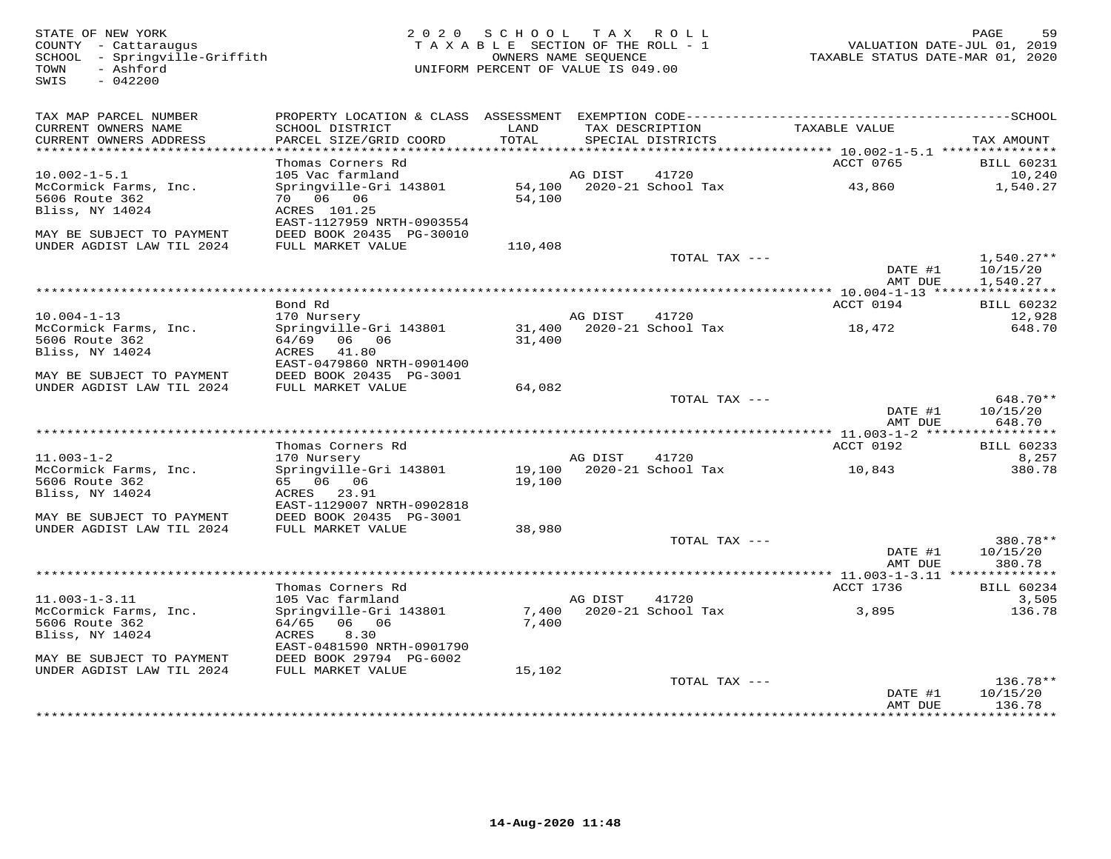SWIS - 042200

## STATE OF NEW YORK BAGE 59<br>COUNTY - Cattaraugus (COUNTY - Cattaraugus ) TAXABLE SECTION OF THE ROLL - 1 (SALUATION DATE-JUL 01, 2019<br>SCHOOL - SPINGVIILE-Griffith (COUNTRE STATE AND THE ROLL - 1 (SALUATION DATE-JUL 01, 2019<br>

| TAX MAP PARCEL NUMBER<br>CURRENT OWNERS NAME<br>CURRENT OWNERS ADDRESS | PROPERTY LOCATION & CLASS ASSESSMENT<br>SCHOOL DISTRICT<br>PARCEL SIZE/GRID COORD | LAND<br>TOTAL    | TAX DESCRIPTION | SPECIAL DISTRICTS           | TAXABLE VALUE      | TAX AMOUNT                                            |
|------------------------------------------------------------------------|-----------------------------------------------------------------------------------|------------------|-----------------|-----------------------------|--------------------|-------------------------------------------------------|
| ********************                                                   |                                                                                   |                  |                 |                             |                    |                                                       |
| $10.002 - 1 - 5.1$                                                     | Thomas Corners Rd<br>105 Vac farmland                                             |                  | AG DIST         | 41720                       | ACCT 0765          | <b>BILL 60231</b><br>10,240                           |
| McCormick Farms, Inc.<br>5606 Route 362<br>Bliss, NY 14024             | Springville-Gri 143801<br>70 06 06<br>ACRES 101.25                                | 54,100<br>54,100 |                 | 2020-21 School Tax          | 43,860             | 1,540.27                                              |
| MAY BE SUBJECT TO PAYMENT<br>UNDER AGDIST LAW TIL 2024                 | EAST-1127959 NRTH-0903554<br>DEED BOOK 20435 PG-30010<br>FULL MARKET VALUE        | 110,408          |                 |                             |                    |                                                       |
|                                                                        |                                                                                   |                  |                 | TOTAL TAX ---               | DATE #1<br>AMT DUE | $1,540.27**$<br>10/15/20<br>1,540.27                  |
|                                                                        | Bond Rd                                                                           |                  |                 |                             | ACCT 0194          | <b>BILL 60232</b>                                     |
| $10.004 - 1 - 13$                                                      | 170 Nursery                                                                       |                  | AG DIST         | 41720                       |                    | 12,928                                                |
| McCormick Farms, Inc.<br>5606 Route 362<br>Bliss, NY 14024             | Springville-Gri 143801<br>64/69<br>06 06<br>41.80<br>ACRES                        | 31,400           |                 | 31,400 2020-21 School Tax   | 18,472             | 648.70                                                |
| MAY BE SUBJECT TO PAYMENT<br>UNDER AGDIST LAW TIL 2024                 | EAST-0479860 NRTH-0901400<br>DEED BOOK 20435 PG-3001<br>FULL MARKET VALUE         | 64,082           |                 |                             |                    |                                                       |
|                                                                        |                                                                                   |                  |                 | TOTAL TAX ---               |                    | 648.70**                                              |
|                                                                        |                                                                                   |                  |                 |                             | DATE #1<br>AMT DUE | 10/15/20<br>648.70                                    |
|                                                                        | Thomas Corners Rd                                                                 |                  |                 |                             | ACCT 0192          | <b>BILL 60233</b>                                     |
| $11.003 - 1 - 2$                                                       | 170 Nursery                                                                       |                  | AG DIST         | 41720                       |                    | 8,257                                                 |
| McCormick Farms, Inc.<br>5606 Route 362<br>Bliss, NY 14024             | Springville-Gri 143801<br>65 06 06<br>ACRES 23.91                                 | 19,100           |                 | 19,100 2020-21 School Tax   | 10,843             | 380.78                                                |
| MAY BE SUBJECT TO PAYMENT<br>UNDER AGDIST LAW TIL 2024                 | EAST-1129007 NRTH-0902818<br>DEED BOOK 20435 PG-3001<br>FULL MARKET VALUE         | 38,980           |                 |                             |                    |                                                       |
|                                                                        |                                                                                   |                  |                 | TOTAL TAX ---               | DATE #1<br>AMT DUE | 380.78**<br>10/15/20<br>380.78                        |
|                                                                        |                                                                                   |                  |                 |                             |                    |                                                       |
|                                                                        | Thomas Corners Rd                                                                 |                  |                 |                             | ACCT 1736          | BILL 60234                                            |
| $11.003 - 1 - 3.11$<br>McCormick Farms, Inc.<br>5606 Route 362         | 105 Vac farmland<br>Springville-Gri 143801<br>64/65 06 06                         | 7,400<br>7,400   | AG DIST         | 41720<br>2020-21 School Tax | 3,895              | 3,505<br>136.78                                       |
| Bliss, NY 14024<br>MAY BE SUBJECT TO PAYMENT                           | 8.30<br>ACRES<br>EAST-0481590 NRTH-0901790<br>DEED BOOK 29794 PG-6002             |                  |                 |                             |                    |                                                       |
| UNDER AGDIST LAW TIL 2024                                              | FULL MARKET VALUE                                                                 | 15,102           |                 |                             |                    |                                                       |
|                                                                        |                                                                                   |                  |                 | TOTAL TAX $---$             | DATE #1<br>AMT DUE | $136.78**$<br>10/15/20<br>136.78<br>* * * * * * * * * |
|                                                                        |                                                                                   |                  |                 |                             |                    |                                                       |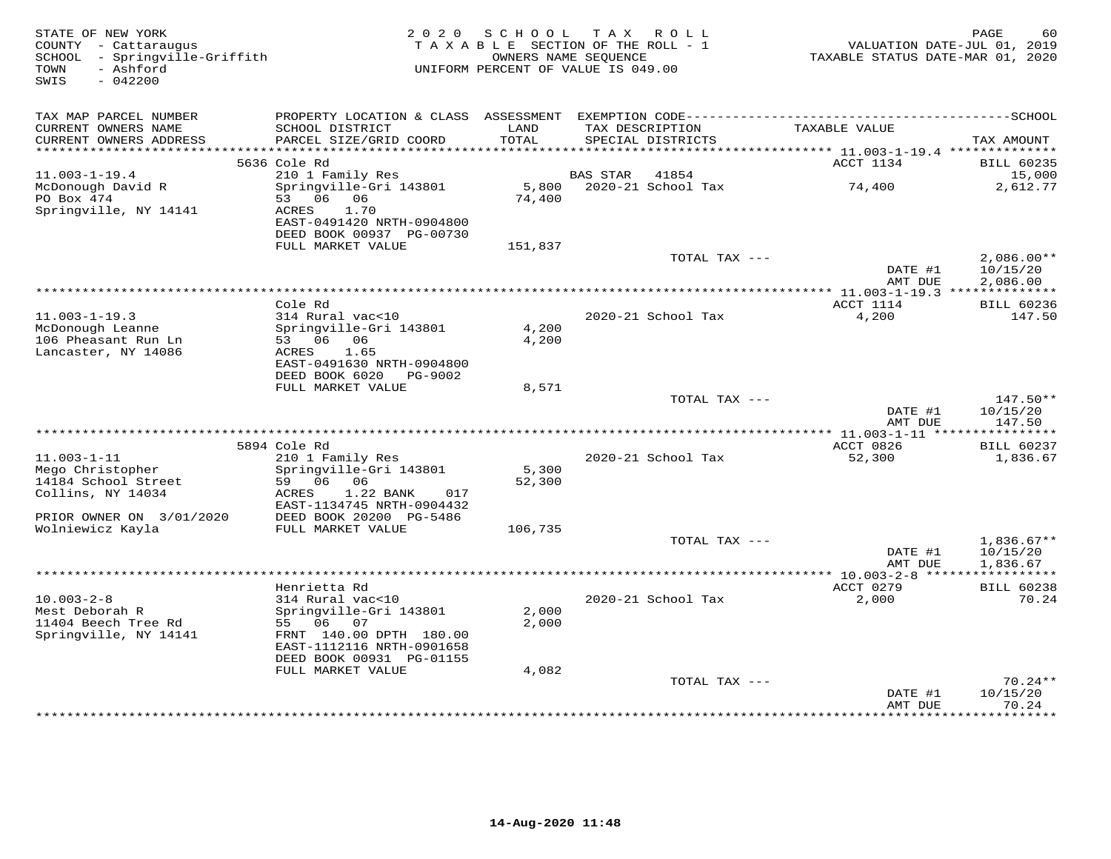| STATE OF NEW YORK<br>COUNTY - Cattaraugus<br>SCHOOL - Springville-Griffith<br>- Ashford<br>TOWN<br>$-042200$<br>SWIS | 2 0 2 0                                                                                      | SCHOOL<br>TAXABLE SECTION OF THE ROLL - 1<br>OWNERS NAME SEQUENCE<br>UNIFORM PERCENT OF VALUE IS 049.00 |                 | TAX ROLL           | VALUATION DATE-JUL 01, 2019<br>TAXABLE STATUS DATE-MAR 01, 2020 | PAGE<br>60                  |
|----------------------------------------------------------------------------------------------------------------------|----------------------------------------------------------------------------------------------|---------------------------------------------------------------------------------------------------------|-----------------|--------------------|-----------------------------------------------------------------|-----------------------------|
| TAX MAP PARCEL NUMBER                                                                                                | PROPERTY LOCATION & CLASS ASSESSMENT EXEMPTION CODE-----------------------------------SCHOOL |                                                                                                         |                 |                    |                                                                 |                             |
| CURRENT OWNERS NAME                                                                                                  | SCHOOL DISTRICT                                                                              | LAND                                                                                                    |                 | TAX DESCRIPTION    | TAXABLE VALUE                                                   |                             |
| CURRENT OWNERS ADDRESS                                                                                               | PARCEL SIZE/GRID COORD                                                                       | TOTAL                                                                                                   |                 | SPECIAL DISTRICTS  |                                                                 | TAX AMOUNT                  |
| *******************                                                                                                  |                                                                                              | * * * * * * * * * *                                                                                     |                 |                    | *************************** 11.003-1-19.4 **************        |                             |
| $11.003 - 1 - 19.4$                                                                                                  | 5636 Cole Rd<br>210 1 Family Res                                                             |                                                                                                         | <b>BAS STAR</b> | 41854              | ACCT 1134                                                       | <b>BILL 60235</b><br>15,000 |
| McDonough David R                                                                                                    | Springville-Gri 143801                                                                       | 5,800                                                                                                   |                 | 2020-21 School Tax | 74,400                                                          | 2,612.77                    |
| PO Box 474                                                                                                           | 53 06 06                                                                                     | 74,400                                                                                                  |                 |                    |                                                                 |                             |
| Springville, NY 14141                                                                                                | ACRES<br>1.70                                                                                |                                                                                                         |                 |                    |                                                                 |                             |
|                                                                                                                      | EAST-0491420 NRTH-0904800                                                                    |                                                                                                         |                 |                    |                                                                 |                             |
|                                                                                                                      | DEED BOOK 00937 PG-00730                                                                     |                                                                                                         |                 |                    |                                                                 |                             |
|                                                                                                                      | FULL MARKET VALUE                                                                            | 151,837                                                                                                 |                 |                    |                                                                 |                             |
|                                                                                                                      |                                                                                              |                                                                                                         |                 | TOTAL TAX ---      | DATE #1                                                         | $2,086.00**$<br>10/15/20    |
|                                                                                                                      |                                                                                              |                                                                                                         |                 |                    | AMT DUE                                                         | 2,086.00                    |
|                                                                                                                      |                                                                                              |                                                                                                         |                 |                    |                                                                 |                             |
|                                                                                                                      | Cole Rd                                                                                      |                                                                                                         |                 |                    | ACCT 1114                                                       | <b>BILL 60236</b>           |
| $11.003 - 1 - 19.3$                                                                                                  | 314 Rural vac<10                                                                             |                                                                                                         |                 | 2020-21 School Tax | 4,200                                                           | 147.50                      |
| McDonough Leanne                                                                                                     | Springville-Gri 143801                                                                       | 4,200                                                                                                   |                 |                    |                                                                 |                             |
| 106 Pheasant Run Ln<br>Lancaster, NY 14086                                                                           | 53 06 06<br>1.65<br>ACRES                                                                    | 4,200                                                                                                   |                 |                    |                                                                 |                             |
|                                                                                                                      | EAST-0491630 NRTH-0904800                                                                    |                                                                                                         |                 |                    |                                                                 |                             |
|                                                                                                                      | DEED BOOK 6020<br>PG-9002                                                                    |                                                                                                         |                 |                    |                                                                 |                             |
|                                                                                                                      | FULL MARKET VALUE                                                                            | 8,571                                                                                                   |                 |                    |                                                                 |                             |
|                                                                                                                      |                                                                                              |                                                                                                         |                 | TOTAL TAX ---      |                                                                 | 147.50**                    |
|                                                                                                                      |                                                                                              |                                                                                                         |                 |                    | DATE #1                                                         | 10/15/20                    |
|                                                                                                                      |                                                                                              |                                                                                                         |                 |                    | AMT DUE                                                         | 147.50                      |
|                                                                                                                      | 5894 Cole Rd                                                                                 |                                                                                                         |                 |                    | ACCT 0826                                                       | <b>BILL 60237</b>           |
| $11.003 - 1 - 11$                                                                                                    | 210 1 Family Res                                                                             |                                                                                                         |                 | 2020-21 School Tax | 52,300                                                          | 1,836.67                    |
| Mego Christopher                                                                                                     | Springville-Gri 143801                                                                       | 5,300                                                                                                   |                 |                    |                                                                 |                             |
| 14184 School Street                                                                                                  | 59 06 06                                                                                     | 52,300                                                                                                  |                 |                    |                                                                 |                             |
| Collins, NY 14034                                                                                                    | 1.22 BANK<br>ACRES<br>017                                                                    |                                                                                                         |                 |                    |                                                                 |                             |
|                                                                                                                      | EAST-1134745 NRTH-0904432                                                                    |                                                                                                         |                 |                    |                                                                 |                             |
| PRIOR OWNER ON 3/01/2020<br>Wolniewicz Kayla                                                                         | DEED BOOK 20200 PG-5486<br>FULL MARKET VALUE                                                 | 106,735                                                                                                 |                 |                    |                                                                 |                             |
|                                                                                                                      |                                                                                              |                                                                                                         |                 | TOTAL TAX ---      |                                                                 | $1,836.67**$                |
|                                                                                                                      |                                                                                              |                                                                                                         |                 |                    | DATE #1                                                         | 10/15/20                    |
|                                                                                                                      |                                                                                              |                                                                                                         |                 |                    | AMT DUE                                                         | 1,836.67                    |
|                                                                                                                      |                                                                                              |                                                                                                         |                 |                    |                                                                 |                             |
|                                                                                                                      | Henrietta Rd                                                                                 |                                                                                                         |                 |                    | ACCT 0279                                                       | <b>BILL 60238</b>           |
| $10.003 - 2 - 8$                                                                                                     | 314 Rural vac<10                                                                             |                                                                                                         |                 | 2020-21 School Tax | 2,000                                                           | 70.24                       |
| Mest Deborah R<br>11404 Beech Tree Rd                                                                                | Springville-Gri 143801<br>55 06 07                                                           | 2,000<br>2,000                                                                                          |                 |                    |                                                                 |                             |
| Springville, NY 14141                                                                                                | FRNT 140.00 DPTH 180.00                                                                      |                                                                                                         |                 |                    |                                                                 |                             |
|                                                                                                                      | EAST-1112116 NRTH-0901658                                                                    |                                                                                                         |                 |                    |                                                                 |                             |
|                                                                                                                      | DEED BOOK 00931 PG-01155                                                                     |                                                                                                         |                 |                    |                                                                 |                             |
|                                                                                                                      | FULL MARKET VALUE                                                                            | 4,082                                                                                                   |                 |                    |                                                                 |                             |
|                                                                                                                      |                                                                                              |                                                                                                         |                 | TOTAL TAX ---      |                                                                 | $70.24**$                   |
|                                                                                                                      |                                                                                              |                                                                                                         |                 |                    | DATE #1                                                         | 10/15/20                    |
|                                                                                                                      |                                                                                              |                                                                                                         |                 |                    | AMT DUE<br>*************                                        | 70.24<br>*********          |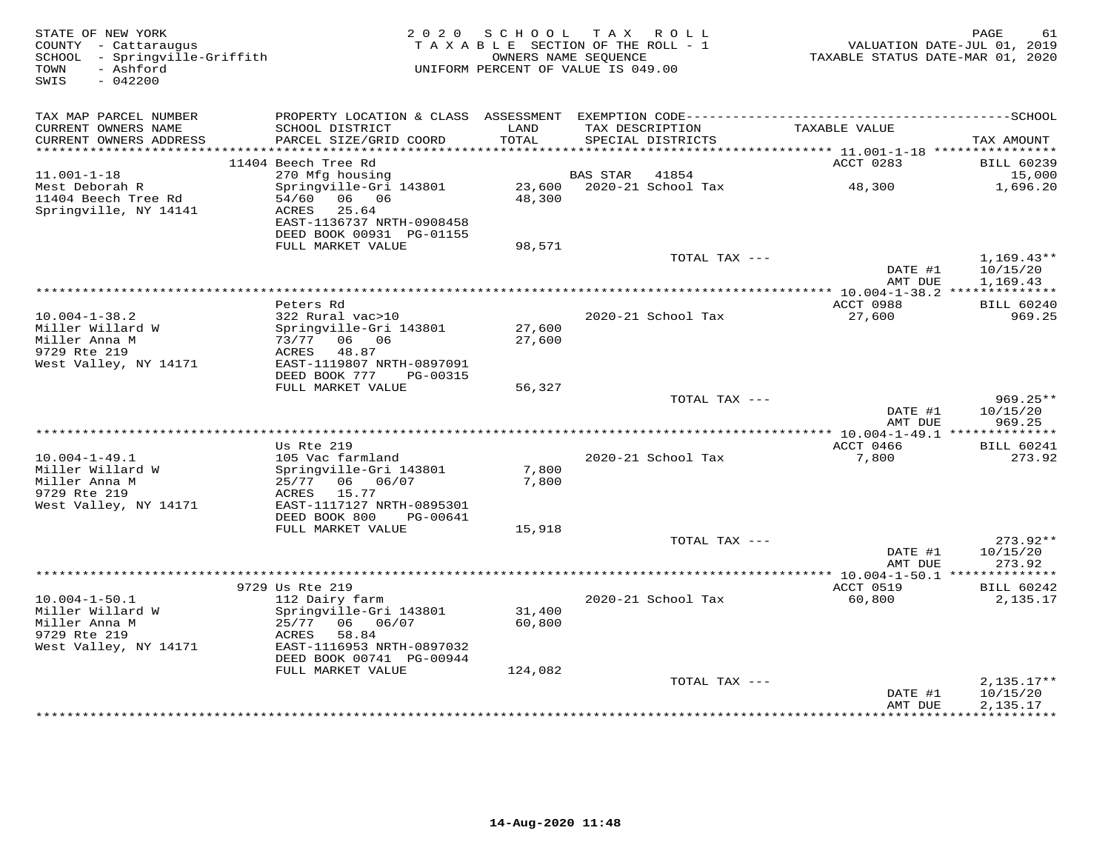| STATE OF NEW YORK<br>COUNTY - Cattaraugus<br>SCHOOL - Springville-Griffith<br>- Ashford<br>TOWN<br>$-042200$<br>SWIS |                                                        | 2020 SCHOOL TAX ROLL<br>TAXABLE SECTION OF THE ROLL - 1<br>OWNERS NAME SEOUENCE<br>UNIFORM PERCENT OF VALUE IS 049.00 |          |                           | TAXABLE STATUS DATE-MAR 01, 2020 | PAGE<br>61<br>VALUATION DATE-JUL 01, 2019 |
|----------------------------------------------------------------------------------------------------------------------|--------------------------------------------------------|-----------------------------------------------------------------------------------------------------------------------|----------|---------------------------|----------------------------------|-------------------------------------------|
| TAX MAP PARCEL NUMBER                                                                                                |                                                        |                                                                                                                       |          |                           |                                  |                                           |
| CURRENT OWNERS NAME                                                                                                  | SCHOOL DISTRICT                                        | LAND                                                                                                                  |          | TAX DESCRIPTION           | TAXABLE VALUE                    |                                           |
| CURRENT OWNERS ADDRESS<br>************************                                                                   | PARCEL SIZE/GRID COORD                                 | TOTAL                                                                                                                 |          | SPECIAL DISTRICTS         |                                  | TAX AMOUNT                                |
|                                                                                                                      | 11404 Beech Tree Rd                                    |                                                                                                                       |          |                           | ACCT 0283                        | <b>BILL 60239</b>                         |
| $11.001 - 1 - 18$                                                                                                    | 270 Mfg housing                                        |                                                                                                                       | BAS STAR | 41854                     |                                  | 15,000                                    |
| Mest Deborah R<br>11404 Beech Tree Rd                                                                                | Springville-Gri 143801<br>54/60 06 06                  | 48,300                                                                                                                |          | 23,600 2020-21 School Tax | 48,300                           | 1,696.20                                  |
| Springville, NY 14141                                                                                                | 25.64<br>ACRES<br>EAST-1136737 NRTH-0908458            |                                                                                                                       |          |                           |                                  |                                           |
|                                                                                                                      | DEED BOOK 00931 PG-01155<br>FULL MARKET VALUE          | 98,571                                                                                                                |          |                           |                                  |                                           |
|                                                                                                                      |                                                        |                                                                                                                       |          | TOTAL TAX ---             |                                  | $1,169.43**$                              |
|                                                                                                                      |                                                        |                                                                                                                       |          |                           | DATE #1<br>AMT DUE               | 10/15/20<br>1,169.43                      |
|                                                                                                                      | Peters Rd                                              |                                                                                                                       |          |                           | ACCT 0988                        | <b>BILL 60240</b>                         |
| $10.004 - 1 - 38.2$                                                                                                  | 322 Rural vac>10                                       |                                                                                                                       |          | 2020-21 School Tax        | 27,600                           | 969.25                                    |
| Miller Willard W                                                                                                     | Springville-Gri 143801                                 | 27,600                                                                                                                |          |                           |                                  |                                           |
| Miller Anna M<br>9729 Rte 219                                                                                        | 73/77 06 06<br>ACRES<br>48.87                          | 27,600                                                                                                                |          |                           |                                  |                                           |
| West Valley, NY 14171                                                                                                | EAST-1119807 NRTH-0897091                              |                                                                                                                       |          |                           |                                  |                                           |
|                                                                                                                      | DEED BOOK 777<br>PG-00315                              |                                                                                                                       |          |                           |                                  |                                           |
|                                                                                                                      | FULL MARKET VALUE                                      | 56,327                                                                                                                |          |                           |                                  |                                           |
|                                                                                                                      |                                                        |                                                                                                                       |          | TOTAL TAX ---             | DATE #1<br>AMT DUE               | $969.25**$<br>10/15/20<br>969.25          |
|                                                                                                                      |                                                        |                                                                                                                       |          |                           |                                  |                                           |
|                                                                                                                      | Us Rte 219                                             |                                                                                                                       |          |                           | ACCT 0466                        | <b>BILL 60241</b>                         |
| $10.004 - 1 - 49.1$<br>Miller Willard W                                                                              | 105 Vac farmland<br>Springville-Gri 143801             | 7,800                                                                                                                 |          | 2020-21 School Tax        | 7,800                            | 273.92                                    |
| Miller Anna M                                                                                                        | 25/77 06 06/07                                         | 7,800                                                                                                                 |          |                           |                                  |                                           |
| 9729 Rte 219                                                                                                         | 15.77<br>ACRES                                         |                                                                                                                       |          |                           |                                  |                                           |
| West Valley, NY 14171                                                                                                | EAST-1117127 NRTH-0895301<br>DEED BOOK 800<br>PG-00641 |                                                                                                                       |          |                           |                                  |                                           |
|                                                                                                                      | FULL MARKET VALUE                                      | 15,918                                                                                                                |          |                           |                                  |                                           |
|                                                                                                                      |                                                        |                                                                                                                       |          | TOTAL TAX ---             |                                  | $273.92**$                                |
|                                                                                                                      |                                                        |                                                                                                                       |          |                           | DATE #1<br>AMT DUE               | 10/15/20<br>273.92                        |
|                                                                                                                      |                                                        |                                                                                                                       |          |                           |                                  |                                           |
|                                                                                                                      | 9729 Us Rte 219                                        |                                                                                                                       |          |                           | ACCT 0519                        | <b>BILL 60242</b>                         |
| $10.004 - 1 - 50.1$<br>Miller Willard W                                                                              | 112 Dairy farm<br>Springville-Gri 143801               | 31,400                                                                                                                |          | 2020-21 School Tax        | 60,800                           | 2,135.17                                  |
| Miller Anna M                                                                                                        | 25/77 06 06/07                                         | 60,800                                                                                                                |          |                           |                                  |                                           |
| 9729 Rte 219                                                                                                         | 58.84<br>ACRES                                         |                                                                                                                       |          |                           |                                  |                                           |
| West Valley, NY 14171                                                                                                | EAST-1116953 NRTH-0897032<br>DEED BOOK 00741 PG-00944  |                                                                                                                       |          |                           |                                  |                                           |
|                                                                                                                      | FULL MARKET VALUE                                      | 124,082                                                                                                               |          |                           |                                  |                                           |
|                                                                                                                      |                                                        |                                                                                                                       |          | TOTAL TAX ---             | DATE #1                          | $2,135.17**$<br>10/15/20                  |
|                                                                                                                      |                                                        |                                                                                                                       |          |                           | AMT DUE                          | 2,135.17                                  |
|                                                                                                                      |                                                        |                                                                                                                       |          |                           |                                  |                                           |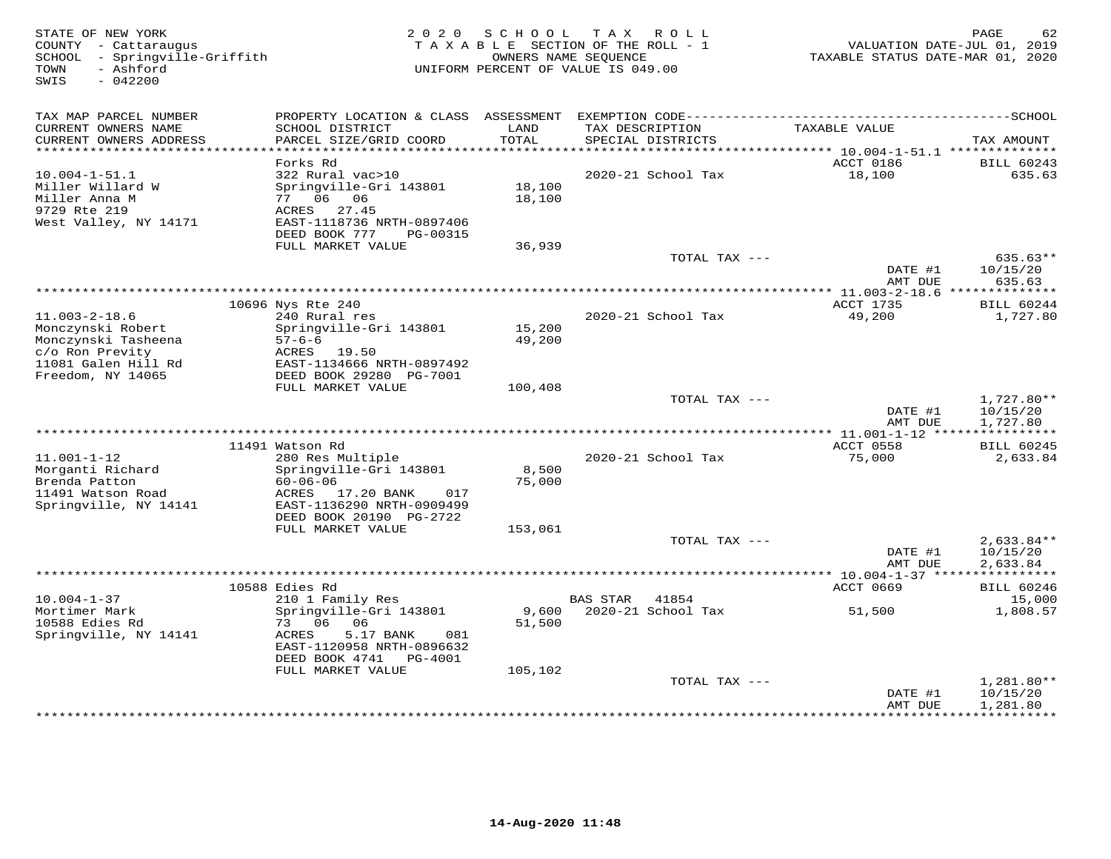| STATE OF NEW YORK<br>COUNTY - Cattaraugus<br>SCHOOL - Springville-Griffith<br>- Ashford<br>TOWN<br>SWIS<br>$-042200$ | 2 0 2 0                                                                                                        | SCHOOL           | T A X<br>R O L L<br>TAXABLE SECTION OF THE ROLL - 1<br>OWNERS NAME SEQUENCE<br>UNIFORM PERCENT OF VALUE IS 049.00 | VALUATION DATE-JUL 01, 2019<br>TAXABLE STATUS DATE-MAR 01, 2020 | PAGE<br>62                           |
|----------------------------------------------------------------------------------------------------------------------|----------------------------------------------------------------------------------------------------------------|------------------|-------------------------------------------------------------------------------------------------------------------|-----------------------------------------------------------------|--------------------------------------|
| TAX MAP PARCEL NUMBER                                                                                                |                                                                                                                |                  |                                                                                                                   |                                                                 |                                      |
| CURRENT OWNERS NAME<br>CURRENT OWNERS ADDRESS                                                                        | SCHOOL DISTRICT<br>PARCEL SIZE/GRID COORD                                                                      | LAND<br>TOTAL    | TAX DESCRIPTION<br>SPECIAL DISTRICTS                                                                              | TAXABLE VALUE                                                   | TAX AMOUNT                           |
| ***********************                                                                                              |                                                                                                                |                  |                                                                                                                   |                                                                 |                                      |
| $10.004 - 1 - 51.1$                                                                                                  | Forks Rd<br>322 Rural vac>10                                                                                   |                  | 2020-21 School Tax                                                                                                | ACCT 0186<br>18,100                                             | <b>BILL 60243</b><br>635.63          |
| Miller Willard W<br>Miller Anna M<br>9729 Rte 219<br>West Valley, NY 14171                                           | Springville-Gri 143801<br>77 06 06<br>27.45<br>ACRES<br>EAST-1118736 NRTH-0897406<br>DEED BOOK 777<br>PG-00315 | 18,100<br>18,100 |                                                                                                                   |                                                                 |                                      |
|                                                                                                                      | FULL MARKET VALUE                                                                                              | 36,939           |                                                                                                                   |                                                                 |                                      |
|                                                                                                                      |                                                                                                                |                  | TOTAL TAX ---                                                                                                     | DATE #1<br>AMT DUE                                              | 635.63**<br>10/15/20<br>635.63       |
|                                                                                                                      |                                                                                                                |                  | ********************************                                                                                  | **** 11.003-2-18.6 ***************                              |                                      |
|                                                                                                                      | 10696 Nys Rte 240                                                                                              |                  |                                                                                                                   | ACCT 1735                                                       | BILL 60244                           |
| $11.003 - 2 - 18.6$<br>Monczynski Robert                                                                             | 240 Rural res<br>Springville-Gri 143801                                                                        | 15,200           | 2020-21 School Tax                                                                                                | 49,200                                                          | 1,727.80                             |
| Monczynski Tasheena<br>c/o Ron Previty<br>11081 Galen Hill Rd                                                        | $57 - 6 - 6$<br>ACRES 19.50<br>EAST-1134666 NRTH-0897492                                                       | 49,200           |                                                                                                                   |                                                                 |                                      |
| Freedom, NY 14065                                                                                                    | DEED BOOK 29280 PG-7001                                                                                        |                  |                                                                                                                   |                                                                 |                                      |
|                                                                                                                      | FULL MARKET VALUE                                                                                              | 100,408          | TOTAL TAX ---                                                                                                     |                                                                 | 1,727.80**                           |
|                                                                                                                      |                                                                                                                |                  |                                                                                                                   | DATE #1<br>AMT DUE                                              | 10/15/20<br>1,727.80                 |
|                                                                                                                      |                                                                                                                |                  |                                                                                                                   |                                                                 |                                      |
| $11.001 - 1 - 12$<br>Morganti Richard                                                                                | 11491 Watson Rd<br>280 Res Multiple<br>Springville-Gri 143801                                                  | 8,500            | 2020-21 School Tax                                                                                                | ACCT 0558<br>75,000                                             | <b>BILL 60245</b><br>2,633.84        |
| Brenda Patton<br>11491 Watson Road<br>Springville, NY 14141                                                          | $60 - 06 - 06$<br>ACRES 17.20 BANK<br>017<br>EAST-1136290 NRTH-0909499<br>DEED BOOK 20190 PG-2722              | 75,000           |                                                                                                                   |                                                                 |                                      |
|                                                                                                                      | FULL MARKET VALUE                                                                                              | 153,061          |                                                                                                                   |                                                                 |                                      |
|                                                                                                                      |                                                                                                                |                  | TOTAL TAX ---                                                                                                     | DATE #1<br>AMT DUE                                              | $2,633.84**$<br>10/15/20<br>2,633.84 |
|                                                                                                                      |                                                                                                                |                  |                                                                                                                   |                                                                 |                                      |
|                                                                                                                      | 10588 Edies Rd                                                                                                 |                  |                                                                                                                   | ACCT 0669                                                       | <b>BILL 60246</b>                    |
| $10.004 - 1 - 37$                                                                                                    | 210 1 Family Res                                                                                               |                  | <b>BAS STAR</b><br>41854                                                                                          |                                                                 | 15,000                               |
| Mortimer Mark<br>10588 Edies Rd<br>Springville, NY 14141                                                             | Springville-Gri 143801<br>73 06<br>06<br>ACRES<br>5.17 BANK<br>081<br>EAST-1120958 NRTH-0896632                | 9,600<br>51,500  | 2020-21 School Tax                                                                                                | 51,500                                                          | 1,808.57                             |
|                                                                                                                      | DEED BOOK 4741 PG-4001<br>FULL MARKET VALUE                                                                    | 105,102          |                                                                                                                   |                                                                 |                                      |
|                                                                                                                      |                                                                                                                |                  | TOTAL TAX ---                                                                                                     | DATE #1                                                         | 1,281.80**<br>10/15/20               |
|                                                                                                                      |                                                                                                                |                  |                                                                                                                   | AMT DUE<br>***********                                          | 1,281.80<br>**********               |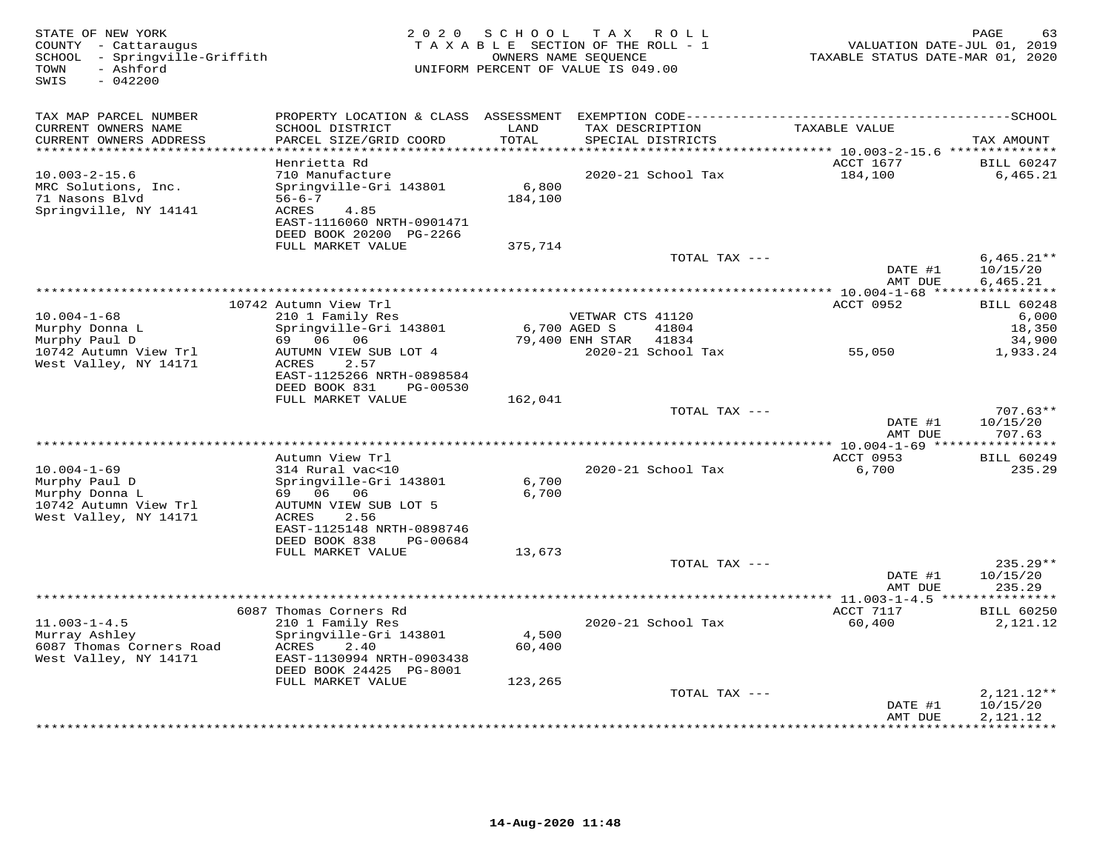| STATE OF NEW YORK<br>COUNTY - Cattaraugus<br>SCHOOL - Springville-Griffith<br>- Ashford<br>TOWN<br>SWIS<br>$-042200$ | 2 0 2 0                                                                | SCHOOL        | T A X<br>ROLL<br>TAXABLE SECTION OF THE ROLL - 1<br>OWNERS NAME SEQUENCE<br>UNIFORM PERCENT OF VALUE IS 049.00 | VALUATION DATE-JUL 01, 2019<br>TAXABLE STATUS DATE-MAR 01, 2020 | PAGE<br>63               |
|----------------------------------------------------------------------------------------------------------------------|------------------------------------------------------------------------|---------------|----------------------------------------------------------------------------------------------------------------|-----------------------------------------------------------------|--------------------------|
| TAX MAP PARCEL NUMBER                                                                                                |                                                                        |               |                                                                                                                |                                                                 |                          |
| CURRENT OWNERS NAME<br>CURRENT OWNERS ADDRESS<br>***********************                                             | SCHOOL DISTRICT<br>PARCEL SIZE/GRID COORD<br>************************* | LAND<br>TOTAL | TAX DESCRIPTION<br>SPECIAL DISTRICTS                                                                           | TAXABLE VALUE                                                   | TAX AMOUNT               |
|                                                                                                                      | Henrietta Rd                                                           |               |                                                                                                                | ACCT 1677                                                       | <b>BILL 60247</b>        |
| $10.003 - 2 - 15.6$                                                                                                  | 710 Manufacture                                                        |               | 2020-21 School Tax                                                                                             | 184,100                                                         | 6,465.21                 |
| MRC Solutions, Inc.                                                                                                  | Springville-Gri 143801                                                 | 6,800         |                                                                                                                |                                                                 |                          |
| 71 Nasons Blvd                                                                                                       | $56 - 6 - 7$                                                           | 184,100       |                                                                                                                |                                                                 |                          |
| Springville, NY 14141                                                                                                | ACRES<br>4.85                                                          |               |                                                                                                                |                                                                 |                          |
|                                                                                                                      | EAST-1116060 NRTH-0901471<br>DEED BOOK 20200 PG-2266                   |               |                                                                                                                |                                                                 |                          |
|                                                                                                                      | FULL MARKET VALUE                                                      | 375,714       |                                                                                                                |                                                                 |                          |
|                                                                                                                      |                                                                        |               | TOTAL TAX ---                                                                                                  |                                                                 | $6,465.21**$             |
|                                                                                                                      |                                                                        |               |                                                                                                                | DATE #1                                                         | 10/15/20                 |
|                                                                                                                      |                                                                        |               |                                                                                                                | AMT DUE                                                         | 6,465.21                 |
|                                                                                                                      | 10742 Autumn View Trl                                                  |               |                                                                                                                | ACCT 0952                                                       | <b>BILL 60248</b>        |
| $10.004 - 1 - 68$                                                                                                    | 210 1 Family Res                                                       |               | VETWAR CTS 41120                                                                                               |                                                                 | 6,000                    |
| Murphy Donna L                                                                                                       | Springville-Gri 143801                                                 | 6,700 AGED S  | 41804                                                                                                          |                                                                 | 18,350                   |
| Murphy Paul D                                                                                                        | 69 06 06                                                               |               | 79,400 ENH STAR<br>41834                                                                                       |                                                                 | 34,900                   |
| 10742 Autumn View Trl<br>West Valley, NY 14171                                                                       | AUTUMN VIEW SUB LOT 4<br>ACRES<br>2.57                                 |               | 2020-21 School Tax                                                                                             | 55,050                                                          | 1,933.24                 |
|                                                                                                                      | EAST-1125266 NRTH-0898584                                              |               |                                                                                                                |                                                                 |                          |
|                                                                                                                      | DEED BOOK 831<br>PG-00530                                              |               |                                                                                                                |                                                                 |                          |
|                                                                                                                      | FULL MARKET VALUE                                                      | 162,041       |                                                                                                                |                                                                 |                          |
|                                                                                                                      |                                                                        |               | TOTAL TAX ---                                                                                                  |                                                                 | $707.63**$               |
|                                                                                                                      |                                                                        |               |                                                                                                                | DATE #1<br>AMT DUE                                              | 10/15/20<br>707.63       |
|                                                                                                                      |                                                                        |               |                                                                                                                |                                                                 |                          |
|                                                                                                                      | Autumn View Trl                                                        |               |                                                                                                                | ACCT 0953                                                       | <b>BILL 60249</b>        |
| $10.004 - 1 - 69$                                                                                                    | 314 Rural vac<10                                                       |               | 2020-21 School Tax                                                                                             | 6,700                                                           | 235.29                   |
| Murphy Paul D                                                                                                        | Springville-Gri 143801<br>69 06 06                                     | 6,700         |                                                                                                                |                                                                 |                          |
| Murphy Donna L<br>10742 Autumn View Trl                                                                              | AUTUMN VIEW SUB LOT 5                                                  | 6,700         |                                                                                                                |                                                                 |                          |
| West Valley, NY 14171                                                                                                | ACRES<br>2.56                                                          |               |                                                                                                                |                                                                 |                          |
|                                                                                                                      | EAST-1125148 NRTH-0898746                                              |               |                                                                                                                |                                                                 |                          |
|                                                                                                                      | DEED BOOK 838<br>PG-00684                                              |               |                                                                                                                |                                                                 |                          |
|                                                                                                                      | FULL MARKET VALUE                                                      | 13,673        | TOTAL TAX ---                                                                                                  |                                                                 | $235.29**$               |
|                                                                                                                      |                                                                        |               |                                                                                                                | DATE #1                                                         | 10/15/20                 |
|                                                                                                                      |                                                                        |               |                                                                                                                | AMT DUE                                                         | 235.29                   |
|                                                                                                                      |                                                                        |               |                                                                                                                |                                                                 |                          |
|                                                                                                                      | 6087 Thomas Corners Rd                                                 |               |                                                                                                                | ACCT 7117                                                       | <b>BILL 60250</b>        |
| $11.003 - 1 - 4.5$<br>Murray Ashley                                                                                  | 210 1 Family Res<br>Springville-Gri 143801                             | 4,500         | 2020-21 School Tax                                                                                             | 60,400                                                          | 2,121.12                 |
| 6087 Thomas Corners Road                                                                                             | ACRES<br>2.40                                                          | 60,400        |                                                                                                                |                                                                 |                          |
| West Valley, NY 14171                                                                                                | EAST-1130994 NRTH-0903438                                              |               |                                                                                                                |                                                                 |                          |
|                                                                                                                      | DEED BOOK 24425 PG-8001                                                |               |                                                                                                                |                                                                 |                          |
|                                                                                                                      | FULL MARKET VALUE                                                      | 123,265       |                                                                                                                |                                                                 |                          |
|                                                                                                                      |                                                                        |               | TOTAL TAX ---                                                                                                  | DATE #1                                                         | $2,121.12**$<br>10/15/20 |
|                                                                                                                      |                                                                        |               |                                                                                                                | AMT DUE                                                         | 2,121.12                 |
|                                                                                                                      |                                                                        |               |                                                                                                                |                                                                 | ***********              |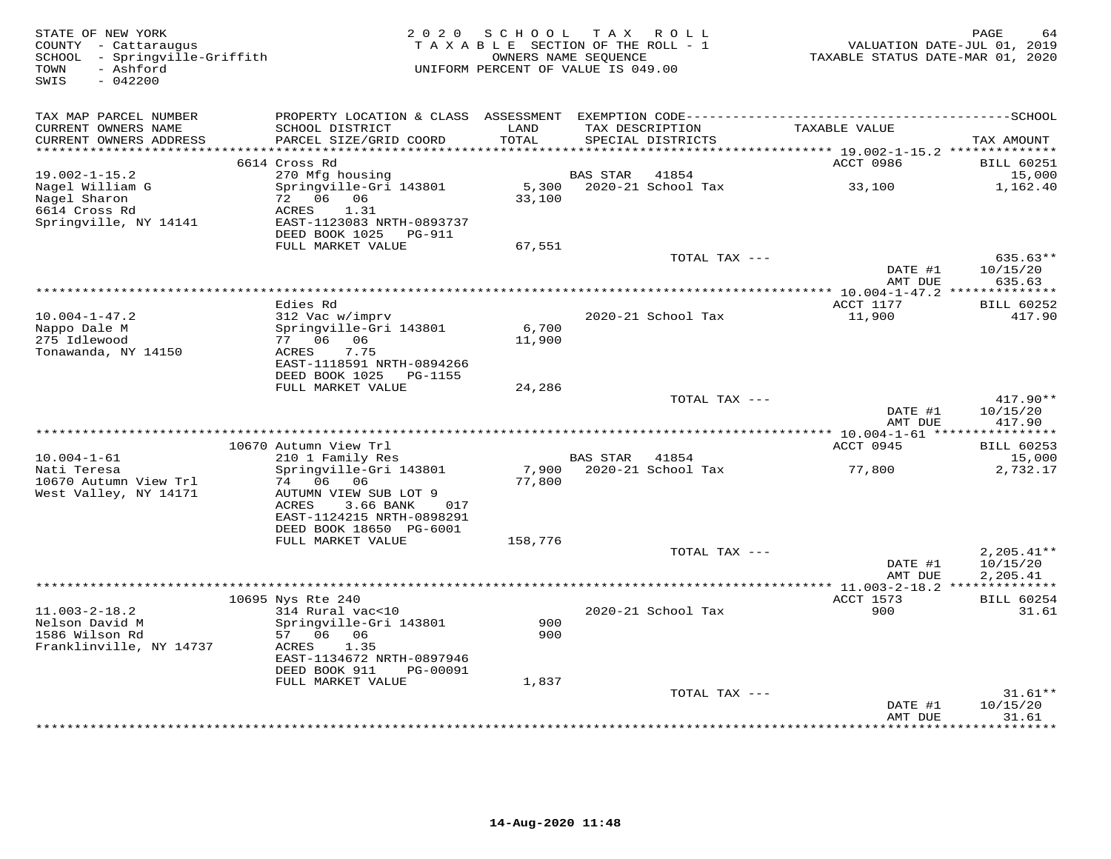| STATE OF NEW YORK<br>COUNTY - Cattaraugus<br>SCHOOL - Springville-Griffith<br>- Ashford<br>TOWN<br>$-042200$<br>SWIS | 2 0 2 0                                                                                                                | SCHOOL TAX ROLL<br>TAXABLE SECTION OF THE ROLL - 1<br>OWNERS NAME SEQUENCE<br>UNIFORM PERCENT OF VALUE IS 049.00 |                 |                                      | TAXABLE STATUS DATE-MAR 01, 2020                                      | PAGE<br>64<br>VALUATION DATE-JUL 01, 2019 |
|----------------------------------------------------------------------------------------------------------------------|------------------------------------------------------------------------------------------------------------------------|------------------------------------------------------------------------------------------------------------------|-----------------|--------------------------------------|-----------------------------------------------------------------------|-------------------------------------------|
| TAX MAP PARCEL NUMBER<br>CURRENT OWNERS NAME<br>CURRENT OWNERS ADDRESS<br>********************                       | SCHOOL DISTRICT<br>PARCEL SIZE/GRID COORD                                                                              | LAND<br>TOTAL<br>* * * * * * * * * *                                                                             |                 | TAX DESCRIPTION<br>SPECIAL DISTRICTS | TAXABLE VALUE                                                         | TAX AMOUNT                                |
|                                                                                                                      | 6614 Cross Rd                                                                                                          |                                                                                                                  |                 |                                      | *************************** 19.002-1-15.2 **************<br>ACCT 0986 | <b>BILL 60251</b>                         |
| $19.002 - 1 - 15.2$<br>Nagel William G                                                                               | 270 Mfg housing<br>Springville-Gri 143801                                                                              | 5,300                                                                                                            | BAS STAR        | 41854<br>2020-21 School Tax          | 33,100                                                                | 15,000<br>1,162.40                        |
| Nagel Sharon<br>6614 Cross Rd<br>Springville, NY 14141                                                               | 72 06 06<br>ACRES<br>1.31<br>EAST-1123083 NRTH-0893737<br>DEED BOOK 1025<br>PG-911                                     | 33,100                                                                                                           |                 |                                      |                                                                       |                                           |
|                                                                                                                      | FULL MARKET VALUE                                                                                                      | 67,551                                                                                                           |                 | TOTAL TAX ---                        |                                                                       | 635.63**                                  |
|                                                                                                                      |                                                                                                                        |                                                                                                                  |                 |                                      | DATE #1<br>AMT DUE                                                    | 10/15/20<br>635.63                        |
|                                                                                                                      |                                                                                                                        |                                                                                                                  |                 |                                      |                                                                       |                                           |
| $10.004 - 1 - 47.2$                                                                                                  | Edies Rd<br>312 Vac w/imprv                                                                                            |                                                                                                                  |                 | 2020-21 School Tax                   | ACCT 1177<br>11,900                                                   | <b>BILL 60252</b><br>417.90               |
| Nappo Dale M<br>275 Idlewood<br>Tonawanda, NY 14150                                                                  | Springville-Gri 143801<br>77 06 06<br>ACRES<br>7.75<br>EAST-1118591 NRTH-0894266                                       | 6,700<br>11,900                                                                                                  |                 |                                      |                                                                       |                                           |
|                                                                                                                      | DEED BOOK 1025 PG-1155<br>FULL MARKET VALUE                                                                            | 24,286                                                                                                           |                 |                                      |                                                                       |                                           |
|                                                                                                                      |                                                                                                                        |                                                                                                                  |                 | TOTAL TAX ---                        | DATE #1<br>AMT DUE                                                    | $417.90**$<br>10/15/20<br>417.90          |
|                                                                                                                      |                                                                                                                        |                                                                                                                  |                 |                                      |                                                                       |                                           |
|                                                                                                                      | 10670 Autumn View Trl                                                                                                  |                                                                                                                  |                 |                                      | ACCT 0945                                                             | <b>BILL 60253</b>                         |
| $10.004 - 1 - 61$<br>Nati Teresa                                                                                     | 210 1 Family Res<br>Springville-Gri 143801                                                                             | 7,900                                                                                                            | <b>BAS STAR</b> | 41854<br>2020-21 School Tax          | 77,800                                                                | 15,000<br>2,732.17                        |
| 10670 Autumn View Trl<br>West Valley, NY 14171                                                                       | 74 06 06<br>AUTUMN VIEW SUB LOT 9<br>ACRES<br>3.66 BANK<br>017<br>EAST-1124215 NRTH-0898291<br>DEED BOOK 18650 PG-6001 | 77,800                                                                                                           |                 |                                      |                                                                       |                                           |
|                                                                                                                      | FULL MARKET VALUE                                                                                                      | 158,776                                                                                                          |                 |                                      |                                                                       |                                           |
|                                                                                                                      |                                                                                                                        |                                                                                                                  |                 | TOTAL TAX ---                        | DATE #1<br>AMT DUE                                                    | $2,205.41**$<br>10/15/20<br>2,205.41      |
|                                                                                                                      |                                                                                                                        |                                                                                                                  |                 |                                      |                                                                       |                                           |
| $11.003 - 2 - 18.2$                                                                                                  | 10695 Nys Rte 240<br>314 Rural vac<10                                                                                  |                                                                                                                  |                 | 2020-21 School Tax                   | ACCT 1573<br>900                                                      | <b>BILL 60254</b><br>31.61                |
| Nelson David M<br>1586 Wilson Rd<br>Franklinville, NY 14737                                                          | Springville-Gri 143801<br>57 06 06<br>ACRES<br>1.35<br>EAST-1134672 NRTH-0897946                                       | 900<br>900                                                                                                       |                 |                                      |                                                                       |                                           |
|                                                                                                                      | DEED BOOK 911<br>PG-00091                                                                                              |                                                                                                                  |                 |                                      |                                                                       |                                           |
|                                                                                                                      | FULL MARKET VALUE                                                                                                      | 1,837                                                                                                            |                 |                                      |                                                                       |                                           |
|                                                                                                                      |                                                                                                                        |                                                                                                                  |                 | TOTAL TAX ---                        | DATE #1<br>AMT DUE                                                    | $31.61**$<br>10/15/20<br>31.61            |
|                                                                                                                      |                                                                                                                        |                                                                                                                  |                 |                                      | * * * * * * * * * * * *                                               | * * * * * * * *                           |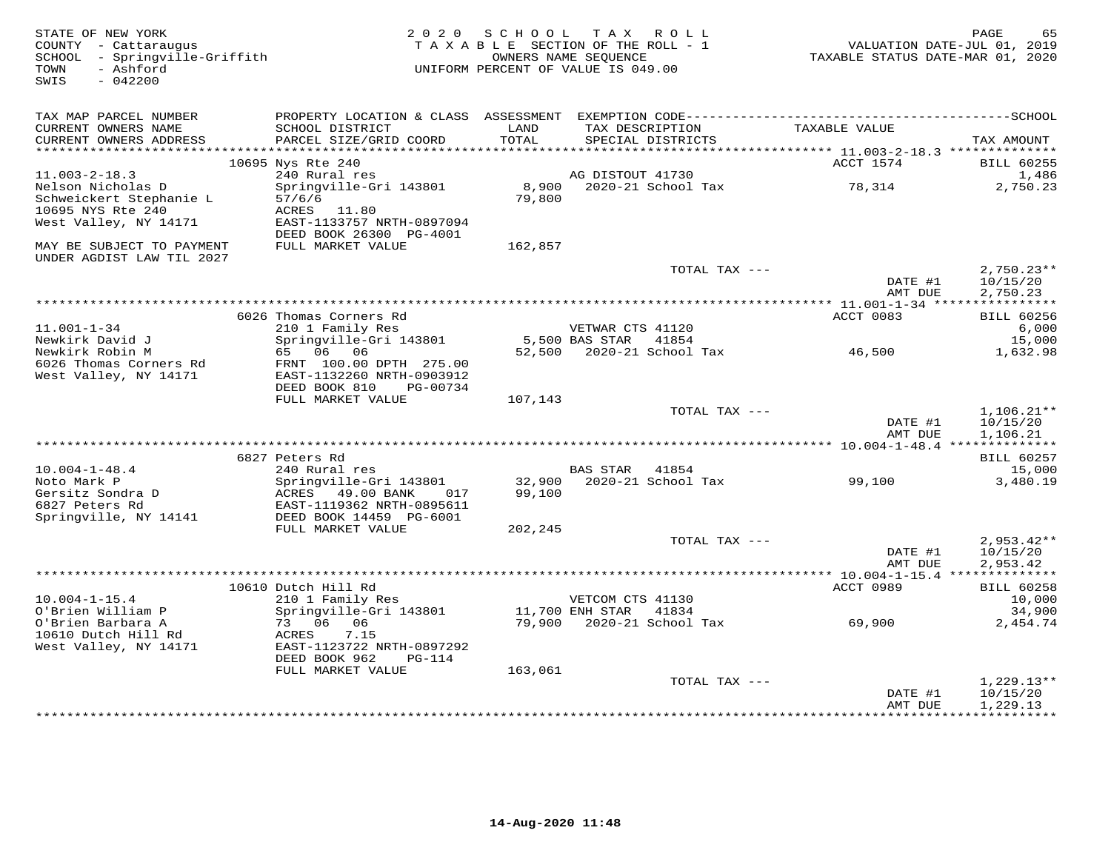| STATE OF NEW YORK<br>COUNTY - Cattaraugus<br>SCHOOL - Springville-Griffith<br>- Ashford<br>TOWN<br>$-042200$<br>SWIS |                                                      |         | 2020 SCHOOL TAX ROLL<br>TAXABLE SECTION OF THE ROLL - 1<br>OWNERS NAME SEQUENCE<br>UNIFORM PERCENT OF VALUE IS 049.00 | VALUATION DATE-JUL 01, 2019<br>TAXABLE STATUS DATE-MAR 01, 2020 | PAGE<br>65           |
|----------------------------------------------------------------------------------------------------------------------|------------------------------------------------------|---------|-----------------------------------------------------------------------------------------------------------------------|-----------------------------------------------------------------|----------------------|
| TAX MAP PARCEL NUMBER                                                                                                |                                                      |         |                                                                                                                       |                                                                 |                      |
| CURRENT OWNERS NAME                                                                                                  | SCHOOL DISTRICT                                      | LAND    | TAX DESCRIPTION                                                                                                       | TAXABLE VALUE                                                   |                      |
| CURRENT OWNERS ADDRESS                                                                                               | PARCEL SIZE/GRID COORD                               | TOTAL   | SPECIAL DISTRICTS                                                                                                     |                                                                 | TAX AMOUNT           |
|                                                                                                                      | 10695 Nys Rte 240                                    |         |                                                                                                                       | ACCT 1574                                                       | <b>BILL 60255</b>    |
| $11.003 - 2 - 18.3$                                                                                                  | 240 Rural res                                        |         | AG DISTOUT 41730                                                                                                      |                                                                 | 1,486                |
| Nelson Nicholas D                                                                                                    | Springville-Gri 143801                               |         | 8,900 2020-21 School Tax 314                                                                                          |                                                                 | 2,750.23             |
| Schweickert Stephanie L                                                                                              | 57/6/6                                               | 79,800  |                                                                                                                       |                                                                 |                      |
| 10695 NYS Rte 240                                                                                                    | ACRES 11.80                                          |         |                                                                                                                       |                                                                 |                      |
| West Valley, NY 14171                                                                                                | EAST-1133757 NRTH-0897094<br>DEED BOOK 26300 PG-4001 |         |                                                                                                                       |                                                                 |                      |
| MAY BE SUBJECT TO PAYMENT                                                                                            | FULL MARKET VALUE                                    | 162,857 |                                                                                                                       |                                                                 |                      |
| UNDER AGDIST LAW TIL 2027                                                                                            |                                                      |         |                                                                                                                       |                                                                 |                      |
|                                                                                                                      |                                                      |         | TOTAL TAX ---                                                                                                         |                                                                 | $2,750.23**$         |
|                                                                                                                      |                                                      |         |                                                                                                                       | DATE #1<br>AMT DUE                                              | 10/15/20<br>2,750.23 |
|                                                                                                                      |                                                      |         |                                                                                                                       |                                                                 |                      |
|                                                                                                                      | 6026 Thomas Corners Rd                               |         |                                                                                                                       | ACCT 0083                                                       | <b>BILL 60256</b>    |
| $11.001 - 1 - 34$                                                                                                    | 210 1 Family Res                                     |         | VETWAR CTS 41120                                                                                                      |                                                                 | 6,000                |
| Newkirk David J                                                                                                      | Springville-Gri 143801                               |         | 5,500 BAS STAR 41854                                                                                                  |                                                                 | 15,000               |
| Newkirk Robin M<br>6026 Thomas Corners Rd                                                                            | 65 06 06<br>FRNT 100.00 DPTH 275.00                  |         | 52,500 2020-21 School Tax 46,500                                                                                      |                                                                 | 1,632.98             |
| West Valley, NY 14171                                                                                                | EAST-1132260 NRTH-0903912                            |         |                                                                                                                       |                                                                 |                      |
|                                                                                                                      | DEED BOOK 810<br>PG-00734                            |         |                                                                                                                       |                                                                 |                      |
|                                                                                                                      | FULL MARKET VALUE                                    | 107,143 |                                                                                                                       |                                                                 |                      |
|                                                                                                                      |                                                      |         | TOTAL TAX ---                                                                                                         |                                                                 | $1,106.21**$         |
|                                                                                                                      |                                                      |         |                                                                                                                       | DATE #1<br>AMT DUE                                              | 10/15/20<br>1,106.21 |
|                                                                                                                      |                                                      |         |                                                                                                                       |                                                                 |                      |
|                                                                                                                      | 6827 Peters Rd                                       |         |                                                                                                                       |                                                                 | <b>BILL 60257</b>    |
| $10.004 - 1 - 48.4$                                                                                                  | 240 Rural res                                        |         | BAS STAR 41854                                                                                                        |                                                                 | 15,000               |
| Noto Mark P                                                                                                          | Springville-Gri 143801<br>ACRES 49.00 BANK 017       |         | 32,900 2020-21 School Tax 99,100                                                                                      |                                                                 | 3,480.19             |
| Gersitz Sondra D<br>6827 Peters Rd<br>6827 Peters Rd                                                                 | EAST-1119362 NRTH-0895611                            | 99,100  |                                                                                                                       |                                                                 |                      |
| Springville, NY 14141                                                                                                | DEED BOOK 14459 PG-6001                              |         |                                                                                                                       |                                                                 |                      |
|                                                                                                                      | FULL MARKET VALUE                                    | 202,245 |                                                                                                                       |                                                                 |                      |
|                                                                                                                      |                                                      |         | TOTAL TAX ---                                                                                                         |                                                                 | $2,953.42**$         |
|                                                                                                                      |                                                      |         |                                                                                                                       | DATE #1                                                         | 10/15/20             |
|                                                                                                                      |                                                      |         |                                                                                                                       | AMT DUE                                                         | 2,953.42             |
|                                                                                                                      | 10610 Dutch Hill Rd                                  |         |                                                                                                                       | ACCT 0989                                                       | <b>BILL 60258</b>    |
| $10.004 - 1 - 15.4$                                                                                                  | 210 1 Family Res                                     |         | VETCOM CTS 41130                                                                                                      |                                                                 | 10,000               |
| O'Brien William P                                                                                                    | Springville-Gri 143801                               |         | 11,700 ENH STAR 41834                                                                                                 |                                                                 | 34,900               |
| O'Brien Barbara A<br>10610 Dutch Hill Rd                                                                             | 73 06 06<br>ACRES<br>7.15                            | 79,900  | 2020-21 School Tax 69,900                                                                                             |                                                                 | 2,454.74             |
| West Valley, NY 14171                                                                                                | EAST-1123722 NRTH-0897292                            |         |                                                                                                                       |                                                                 |                      |
|                                                                                                                      | DEED BOOK 962<br>PG-114                              |         |                                                                                                                       |                                                                 |                      |
|                                                                                                                      | FULL MARKET VALUE                                    | 163,061 |                                                                                                                       |                                                                 |                      |
|                                                                                                                      |                                                      |         | TOTAL TAX ---                                                                                                         |                                                                 | $1,229.13**$         |
|                                                                                                                      |                                                      |         |                                                                                                                       | DATE #1<br>AMT DUE                                              | 10/15/20<br>1,229.13 |
|                                                                                                                      |                                                      |         |                                                                                                                       |                                                                 |                      |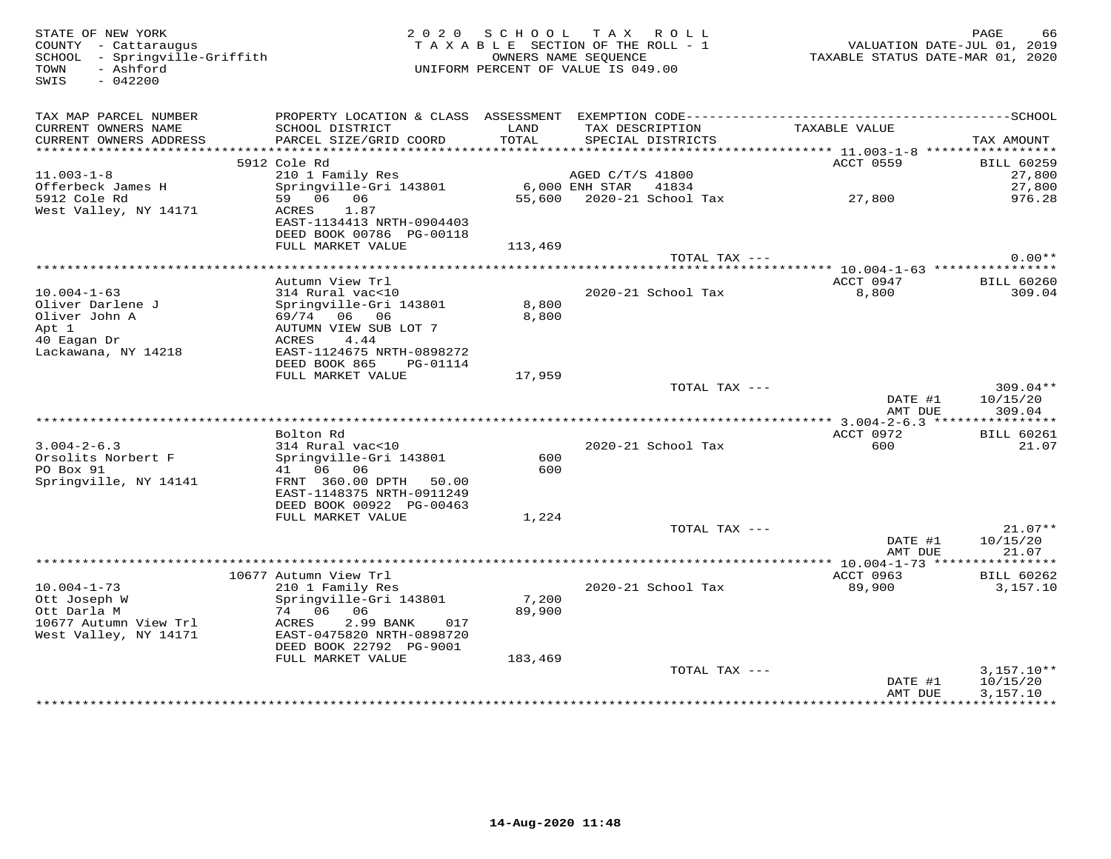| STATE OF NEW YORK<br>COUNTY - Cattaraugus<br>SCHOOL - Springville-Griffith<br>- Ashford<br>TOWN<br>SWIS<br>$-042200$ | 2 0 2 0                                                                           | SCHOOL        | TAX ROLL<br>TAXABLE SECTION OF THE ROLL - 1<br>OWNERS NAME SEQUENCE<br>UNIFORM PERCENT OF VALUE IS 049.00 | VALUATION DATE-JUL 01, 2019<br>TAXABLE STATUS DATE-MAR 01, 2020 | 66<br>PAGE                  |
|----------------------------------------------------------------------------------------------------------------------|-----------------------------------------------------------------------------------|---------------|-----------------------------------------------------------------------------------------------------------|-----------------------------------------------------------------|-----------------------------|
| TAX MAP PARCEL NUMBER                                                                                                |                                                                                   |               |                                                                                                           |                                                                 |                             |
| CURRENT OWNERS NAME<br>CURRENT OWNERS ADDRESS                                                                        | SCHOOL DISTRICT<br>PARCEL SIZE/GRID COORD                                         | LAND<br>TOTAL | TAX DESCRIPTION<br>SPECIAL DISTRICTS                                                                      | TAXABLE VALUE                                                   | TAX AMOUNT                  |
|                                                                                                                      |                                                                                   |               |                                                                                                           |                                                                 |                             |
| $11.003 - 1 - 8$                                                                                                     | 5912 Cole Rd<br>210 1 Family Res                                                  |               | AGED C/T/S 41800                                                                                          | ACCT 0559                                                       | <b>BILL 60259</b><br>27,800 |
| Offerbeck James H                                                                                                    | Springville-Gri 143801                                                            |               | $6,000$ ENH STAR<br>41834                                                                                 |                                                                 | 27,800                      |
| 5912 Cole Rd                                                                                                         | 59 06 06                                                                          | 55,600        | 2020-21 School Tax                                                                                        | 27,800                                                          | 976.28                      |
| West Valley, NY 14171                                                                                                | ACRES<br>1.87<br>EAST-1134413 NRTH-0904403                                        |               |                                                                                                           |                                                                 |                             |
|                                                                                                                      | DEED BOOK 00786 PG-00118                                                          |               |                                                                                                           |                                                                 |                             |
|                                                                                                                      | FULL MARKET VALUE                                                                 | 113,469       |                                                                                                           |                                                                 |                             |
|                                                                                                                      |                                                                                   |               | TOTAL TAX ---                                                                                             |                                                                 | $0.00**$                    |
|                                                                                                                      | Autumn View Trl                                                                   |               |                                                                                                           | ACCT 0947                                                       | <b>BILL 60260</b>           |
| $10.004 - 1 - 63$                                                                                                    | 314 Rural vac<10                                                                  |               | 2020-21 School Tax                                                                                        | 8,800                                                           | 309.04                      |
| Oliver Darlene J                                                                                                     | Springville-Gri 143801                                                            | 8,800         |                                                                                                           |                                                                 |                             |
| Oliver John A                                                                                                        | 69/74 06 06                                                                       | 8,800         |                                                                                                           |                                                                 |                             |
| Apt 1                                                                                                                | AUTUMN VIEW SUB LOT 7                                                             |               |                                                                                                           |                                                                 |                             |
| 40 Eagan Dr                                                                                                          | ACRES<br>4.44                                                                     |               |                                                                                                           |                                                                 |                             |
| Lackawana, NY 14218                                                                                                  | EAST-1124675 NRTH-0898272                                                         |               |                                                                                                           |                                                                 |                             |
|                                                                                                                      | DEED BOOK 865<br>PG-01114                                                         |               |                                                                                                           |                                                                 |                             |
|                                                                                                                      | FULL MARKET VALUE                                                                 | 17,959        | TOTAL TAX ---                                                                                             |                                                                 | $309.04**$                  |
|                                                                                                                      |                                                                                   |               |                                                                                                           | DATE #1                                                         | 10/15/20                    |
|                                                                                                                      |                                                                                   |               |                                                                                                           | AMT DUE                                                         | 309.04                      |
|                                                                                                                      | Bolton Rd                                                                         |               |                                                                                                           | ACCT 0972                                                       | <b>BILL 60261</b>           |
| $3.004 - 2 - 6.3$                                                                                                    | 314 Rural vac<10                                                                  |               | 2020-21 School Tax                                                                                        | 600                                                             | 21.07                       |
| Orsolits Norbert F                                                                                                   | Springville-Gri 143801                                                            | 600           |                                                                                                           |                                                                 |                             |
| PO Box 91                                                                                                            | 41 06<br>06                                                                       | 600           |                                                                                                           |                                                                 |                             |
| Springville, NY 14141                                                                                                | FRNT 360.00 DPTH<br>50.00                                                         |               |                                                                                                           |                                                                 |                             |
|                                                                                                                      | EAST-1148375 NRTH-0911249                                                         |               |                                                                                                           |                                                                 |                             |
|                                                                                                                      | DEED BOOK 00922 PG-00463                                                          |               |                                                                                                           |                                                                 |                             |
|                                                                                                                      | FULL MARKET VALUE                                                                 | 1,224         | TOTAL TAX ---                                                                                             |                                                                 | $21.07**$                   |
|                                                                                                                      |                                                                                   |               |                                                                                                           | DATE #1                                                         | 10/15/20                    |
|                                                                                                                      |                                                                                   |               |                                                                                                           | AMT DUE                                                         | 21.07                       |
|                                                                                                                      |                                                                                   |               |                                                                                                           |                                                                 |                             |
|                                                                                                                      | 10677 Autumn View Trl                                                             |               |                                                                                                           | ACCT 0963                                                       | <b>BILL 60262</b>           |
| $10.004 - 1 - 73$                                                                                                    | 210 1 Family Res                                                                  |               | 2020-21 School Tax                                                                                        | 89,900                                                          | 3,157.10                    |
| Ott Joseph W                                                                                                         | Springville-Gri 143801                                                            | 7,200         |                                                                                                           |                                                                 |                             |
| Ott Darla M                                                                                                          | 74 06 06                                                                          | 89,900        |                                                                                                           |                                                                 |                             |
| 10677 Autumn View Trl<br>West Valley, NY 14171                                                                       | ACRES<br>2.99 BANK<br>017<br>EAST-0475820 NRTH-0898720<br>DEED BOOK 22792 PG-9001 |               |                                                                                                           |                                                                 |                             |
|                                                                                                                      | FULL MARKET VALUE                                                                 | 183,469       |                                                                                                           |                                                                 |                             |
|                                                                                                                      |                                                                                   |               | TOTAL TAX ---                                                                                             |                                                                 | $3,157.10**$                |
|                                                                                                                      |                                                                                   |               |                                                                                                           | DATE #1                                                         | 10/15/20                    |
|                                                                                                                      |                                                                                   |               |                                                                                                           | AMT DUE                                                         | 3,157.10                    |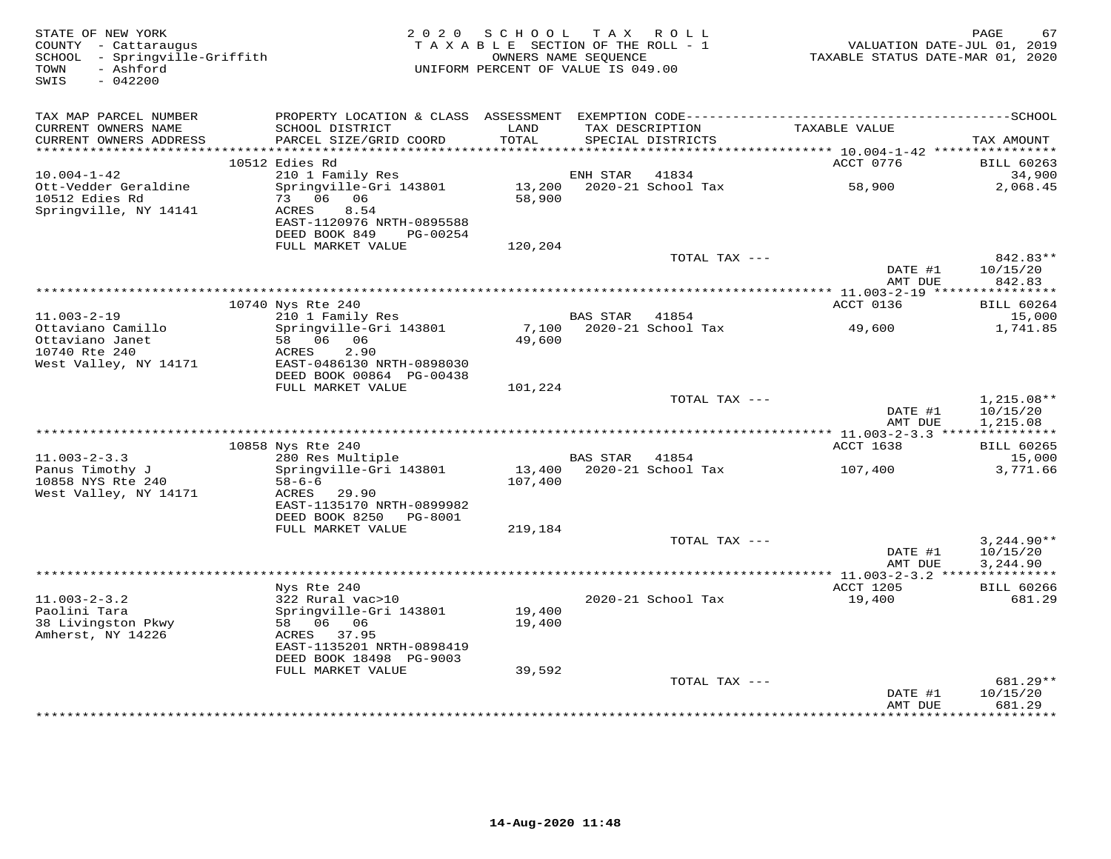| - Ashford<br>UNIFORM PERCENT OF VALUE IS 049.00<br>TOWN<br>SWIS<br>$-042200$<br>TAX MAP PARCEL NUMBER<br>TAXABLE VALUE<br>CURRENT OWNERS NAME<br>SCHOOL DISTRICT<br>LAND<br>TAX DESCRIPTION<br>CURRENT OWNERS ADDRESS<br>PARCEL SIZE/GRID COORD<br>TOTAL<br>SPECIAL DISTRICTS<br>TAX AMOUNT<br>************************<br>10512 Edies Rd<br>ACCT 0776<br><b>BILL 60263</b><br>$10.004 - 1 - 42$<br>210 1 Family Res<br>ENH STAR<br>41834<br>34,900<br>Ott-Vedder Geraldine<br>Springville-Gri 143801<br>13,200<br>2020-21 School Tax<br>58,900<br>2,068.45<br>10512 Edies Rd<br>73 06 06<br>58,900<br>Springville, NY 14141<br>ACRES<br>8.54<br>EAST-1120976 NRTH-0895588<br>DEED BOOK 849<br>PG-00254<br>120,204<br>FULL MARKET VALUE<br>TOTAL TAX ---<br>842.83**<br>DATE #1<br>10/15/20<br>842.83<br>AMT DUE<br>************** 11.003-2-19 ****<br>***********<br>10740 Nys Rte 240<br>ACCT 0136<br><b>BILL 60264</b><br>$11.003 - 2 - 19$<br>210 1 Family Res<br><b>BAS STAR</b><br>41854<br>15,000<br>Springville-Gri 143801<br>7,100<br>2020-21 School Tax<br>1,741.85<br>Ottaviano Camillo<br>49,600<br>58 06 06<br>Ottaviano Janet<br>49,600<br>10740 Rte 240<br>2.90<br>ACRES<br>West Valley, NY 14171<br>EAST-0486130 NRTH-0898030<br>DEED BOOK 00864 PG-00438<br>FULL MARKET VALUE<br>101,224<br>TOTAL TAX ---<br>1,215.08**<br>DATE #1<br>10/15/20<br>1,215.08<br>AMT DUE<br>10858 Nys Rte 240<br>ACCT 1638<br><b>BILL 60265</b><br>280 Res Multiple<br>$11.003 - 2 - 3.3$<br>BAS STAR 41854<br>15,000<br>Panus Timothy J<br>13,400 2020-21 School Tax<br>Springville-Gri 143801<br>107,400<br>3,771.66<br>10858 NYS Rte 240<br>$58 - 6 - 6$<br>107,400<br>West Valley, NY 14171<br>ACRES 29.90<br>EAST-1135170 NRTH-0899982<br>DEED BOOK 8250<br>PG-8001<br>FULL MARKET VALUE<br>219,184<br>TOTAL TAX ---<br>$3,244.90**$<br>DATE #1<br>10/15/20<br>3,244.90<br>AMT DUE<br>************ 11.003-2-3.2 ***************<br>ACCT 1205<br>Nys Rte 240<br><b>BILL 60266</b><br>$11.003 - 2 - 3.2$<br>322 Rural vac>10<br>2020-21 School Tax<br>19,400<br>681.29<br>Paolini Tara<br>Springville-Gri 143801<br>19,400<br>38 Livingston Pkwy<br>58 06 06<br>19,400<br>Amherst, NY 14226<br>ACRES 37.95<br>EAST-1135201 NRTH-0898419<br>DEED BOOK 18498 PG-9003<br>FULL MARKET VALUE<br>39,592<br>TOTAL TAX ---<br>$681.29**$<br>10/15/20<br>DATE #1<br>AMT DUE<br>681.29<br>* * * * * * * * | STATE OF NEW YORK<br>COUNTY - Cattaraugus<br>SCHOOL - Springville-Griffith | 2 0 2 0 | SCHOOL<br>TAXABLE SECTION OF THE ROLL - 1<br>OWNERS NAME SEQUENCE | TAX ROLL | VALUATION DATE-JUL 01, 2019<br>TAXABLE STATUS DATE-MAR 01, 2020 | 67<br>PAGE |
|--------------------------------------------------------------------------------------------------------------------------------------------------------------------------------------------------------------------------------------------------------------------------------------------------------------------------------------------------------------------------------------------------------------------------------------------------------------------------------------------------------------------------------------------------------------------------------------------------------------------------------------------------------------------------------------------------------------------------------------------------------------------------------------------------------------------------------------------------------------------------------------------------------------------------------------------------------------------------------------------------------------------------------------------------------------------------------------------------------------------------------------------------------------------------------------------------------------------------------------------------------------------------------------------------------------------------------------------------------------------------------------------------------------------------------------------------------------------------------------------------------------------------------------------------------------------------------------------------------------------------------------------------------------------------------------------------------------------------------------------------------------------------------------------------------------------------------------------------------------------------------------------------------------------------------------------------------------------------------------------------------------------------------------------------------------------------------------------------------------------------------------------------------------------------------------------------------------------------------------------------------------------------------------------------------------------------------------------------------------------------------------------------|----------------------------------------------------------------------------|---------|-------------------------------------------------------------------|----------|-----------------------------------------------------------------|------------|
|                                                                                                                                                                                                                                                                                                                                                                                                                                                                                                                                                                                                                                                                                                                                                                                                                                                                                                                                                                                                                                                                                                                                                                                                                                                                                                                                                                                                                                                                                                                                                                                                                                                                                                                                                                                                                                                                                                                                                                                                                                                                                                                                                                                                                                                                                                                                                                                                  |                                                                            |         |                                                                   |          |                                                                 |            |
|                                                                                                                                                                                                                                                                                                                                                                                                                                                                                                                                                                                                                                                                                                                                                                                                                                                                                                                                                                                                                                                                                                                                                                                                                                                                                                                                                                                                                                                                                                                                                                                                                                                                                                                                                                                                                                                                                                                                                                                                                                                                                                                                                                                                                                                                                                                                                                                                  |                                                                            |         |                                                                   |          |                                                                 |            |
|                                                                                                                                                                                                                                                                                                                                                                                                                                                                                                                                                                                                                                                                                                                                                                                                                                                                                                                                                                                                                                                                                                                                                                                                                                                                                                                                                                                                                                                                                                                                                                                                                                                                                                                                                                                                                                                                                                                                                                                                                                                                                                                                                                                                                                                                                                                                                                                                  |                                                                            |         |                                                                   |          |                                                                 |            |
|                                                                                                                                                                                                                                                                                                                                                                                                                                                                                                                                                                                                                                                                                                                                                                                                                                                                                                                                                                                                                                                                                                                                                                                                                                                                                                                                                                                                                                                                                                                                                                                                                                                                                                                                                                                                                                                                                                                                                                                                                                                                                                                                                                                                                                                                                                                                                                                                  |                                                                            |         |                                                                   |          |                                                                 |            |
|                                                                                                                                                                                                                                                                                                                                                                                                                                                                                                                                                                                                                                                                                                                                                                                                                                                                                                                                                                                                                                                                                                                                                                                                                                                                                                                                                                                                                                                                                                                                                                                                                                                                                                                                                                                                                                                                                                                                                                                                                                                                                                                                                                                                                                                                                                                                                                                                  |                                                                            |         |                                                                   |          |                                                                 |            |
|                                                                                                                                                                                                                                                                                                                                                                                                                                                                                                                                                                                                                                                                                                                                                                                                                                                                                                                                                                                                                                                                                                                                                                                                                                                                                                                                                                                                                                                                                                                                                                                                                                                                                                                                                                                                                                                                                                                                                                                                                                                                                                                                                                                                                                                                                                                                                                                                  |                                                                            |         |                                                                   |          |                                                                 |            |
|                                                                                                                                                                                                                                                                                                                                                                                                                                                                                                                                                                                                                                                                                                                                                                                                                                                                                                                                                                                                                                                                                                                                                                                                                                                                                                                                                                                                                                                                                                                                                                                                                                                                                                                                                                                                                                                                                                                                                                                                                                                                                                                                                                                                                                                                                                                                                                                                  |                                                                            |         |                                                                   |          |                                                                 |            |
|                                                                                                                                                                                                                                                                                                                                                                                                                                                                                                                                                                                                                                                                                                                                                                                                                                                                                                                                                                                                                                                                                                                                                                                                                                                                                                                                                                                                                                                                                                                                                                                                                                                                                                                                                                                                                                                                                                                                                                                                                                                                                                                                                                                                                                                                                                                                                                                                  |                                                                            |         |                                                                   |          |                                                                 |            |
|                                                                                                                                                                                                                                                                                                                                                                                                                                                                                                                                                                                                                                                                                                                                                                                                                                                                                                                                                                                                                                                                                                                                                                                                                                                                                                                                                                                                                                                                                                                                                                                                                                                                                                                                                                                                                                                                                                                                                                                                                                                                                                                                                                                                                                                                                                                                                                                                  |                                                                            |         |                                                                   |          |                                                                 |            |
|                                                                                                                                                                                                                                                                                                                                                                                                                                                                                                                                                                                                                                                                                                                                                                                                                                                                                                                                                                                                                                                                                                                                                                                                                                                                                                                                                                                                                                                                                                                                                                                                                                                                                                                                                                                                                                                                                                                                                                                                                                                                                                                                                                                                                                                                                                                                                                                                  |                                                                            |         |                                                                   |          |                                                                 |            |
|                                                                                                                                                                                                                                                                                                                                                                                                                                                                                                                                                                                                                                                                                                                                                                                                                                                                                                                                                                                                                                                                                                                                                                                                                                                                                                                                                                                                                                                                                                                                                                                                                                                                                                                                                                                                                                                                                                                                                                                                                                                                                                                                                                                                                                                                                                                                                                                                  |                                                                            |         |                                                                   |          |                                                                 |            |
|                                                                                                                                                                                                                                                                                                                                                                                                                                                                                                                                                                                                                                                                                                                                                                                                                                                                                                                                                                                                                                                                                                                                                                                                                                                                                                                                                                                                                                                                                                                                                                                                                                                                                                                                                                                                                                                                                                                                                                                                                                                                                                                                                                                                                                                                                                                                                                                                  |                                                                            |         |                                                                   |          |                                                                 |            |
|                                                                                                                                                                                                                                                                                                                                                                                                                                                                                                                                                                                                                                                                                                                                                                                                                                                                                                                                                                                                                                                                                                                                                                                                                                                                                                                                                                                                                                                                                                                                                                                                                                                                                                                                                                                                                                                                                                                                                                                                                                                                                                                                                                                                                                                                                                                                                                                                  |                                                                            |         |                                                                   |          |                                                                 |            |
|                                                                                                                                                                                                                                                                                                                                                                                                                                                                                                                                                                                                                                                                                                                                                                                                                                                                                                                                                                                                                                                                                                                                                                                                                                                                                                                                                                                                                                                                                                                                                                                                                                                                                                                                                                                                                                                                                                                                                                                                                                                                                                                                                                                                                                                                                                                                                                                                  |                                                                            |         |                                                                   |          |                                                                 |            |
|                                                                                                                                                                                                                                                                                                                                                                                                                                                                                                                                                                                                                                                                                                                                                                                                                                                                                                                                                                                                                                                                                                                                                                                                                                                                                                                                                                                                                                                                                                                                                                                                                                                                                                                                                                                                                                                                                                                                                                                                                                                                                                                                                                                                                                                                                                                                                                                                  |                                                                            |         |                                                                   |          |                                                                 |            |
|                                                                                                                                                                                                                                                                                                                                                                                                                                                                                                                                                                                                                                                                                                                                                                                                                                                                                                                                                                                                                                                                                                                                                                                                                                                                                                                                                                                                                                                                                                                                                                                                                                                                                                                                                                                                                                                                                                                                                                                                                                                                                                                                                                                                                                                                                                                                                                                                  |                                                                            |         |                                                                   |          |                                                                 |            |
|                                                                                                                                                                                                                                                                                                                                                                                                                                                                                                                                                                                                                                                                                                                                                                                                                                                                                                                                                                                                                                                                                                                                                                                                                                                                                                                                                                                                                                                                                                                                                                                                                                                                                                                                                                                                                                                                                                                                                                                                                                                                                                                                                                                                                                                                                                                                                                                                  |                                                                            |         |                                                                   |          |                                                                 |            |
|                                                                                                                                                                                                                                                                                                                                                                                                                                                                                                                                                                                                                                                                                                                                                                                                                                                                                                                                                                                                                                                                                                                                                                                                                                                                                                                                                                                                                                                                                                                                                                                                                                                                                                                                                                                                                                                                                                                                                                                                                                                                                                                                                                                                                                                                                                                                                                                                  |                                                                            |         |                                                                   |          |                                                                 |            |
|                                                                                                                                                                                                                                                                                                                                                                                                                                                                                                                                                                                                                                                                                                                                                                                                                                                                                                                                                                                                                                                                                                                                                                                                                                                                                                                                                                                                                                                                                                                                                                                                                                                                                                                                                                                                                                                                                                                                                                                                                                                                                                                                                                                                                                                                                                                                                                                                  |                                                                            |         |                                                                   |          |                                                                 |            |
|                                                                                                                                                                                                                                                                                                                                                                                                                                                                                                                                                                                                                                                                                                                                                                                                                                                                                                                                                                                                                                                                                                                                                                                                                                                                                                                                                                                                                                                                                                                                                                                                                                                                                                                                                                                                                                                                                                                                                                                                                                                                                                                                                                                                                                                                                                                                                                                                  |                                                                            |         |                                                                   |          |                                                                 |            |
|                                                                                                                                                                                                                                                                                                                                                                                                                                                                                                                                                                                                                                                                                                                                                                                                                                                                                                                                                                                                                                                                                                                                                                                                                                                                                                                                                                                                                                                                                                                                                                                                                                                                                                                                                                                                                                                                                                                                                                                                                                                                                                                                                                                                                                                                                                                                                                                                  |                                                                            |         |                                                                   |          |                                                                 |            |
|                                                                                                                                                                                                                                                                                                                                                                                                                                                                                                                                                                                                                                                                                                                                                                                                                                                                                                                                                                                                                                                                                                                                                                                                                                                                                                                                                                                                                                                                                                                                                                                                                                                                                                                                                                                                                                                                                                                                                                                                                                                                                                                                                                                                                                                                                                                                                                                                  |                                                                            |         |                                                                   |          |                                                                 |            |
|                                                                                                                                                                                                                                                                                                                                                                                                                                                                                                                                                                                                                                                                                                                                                                                                                                                                                                                                                                                                                                                                                                                                                                                                                                                                                                                                                                                                                                                                                                                                                                                                                                                                                                                                                                                                                                                                                                                                                                                                                                                                                                                                                                                                                                                                                                                                                                                                  |                                                                            |         |                                                                   |          |                                                                 |            |
|                                                                                                                                                                                                                                                                                                                                                                                                                                                                                                                                                                                                                                                                                                                                                                                                                                                                                                                                                                                                                                                                                                                                                                                                                                                                                                                                                                                                                                                                                                                                                                                                                                                                                                                                                                                                                                                                                                                                                                                                                                                                                                                                                                                                                                                                                                                                                                                                  |                                                                            |         |                                                                   |          |                                                                 |            |
|                                                                                                                                                                                                                                                                                                                                                                                                                                                                                                                                                                                                                                                                                                                                                                                                                                                                                                                                                                                                                                                                                                                                                                                                                                                                                                                                                                                                                                                                                                                                                                                                                                                                                                                                                                                                                                                                                                                                                                                                                                                                                                                                                                                                                                                                                                                                                                                                  |                                                                            |         |                                                                   |          |                                                                 |            |
|                                                                                                                                                                                                                                                                                                                                                                                                                                                                                                                                                                                                                                                                                                                                                                                                                                                                                                                                                                                                                                                                                                                                                                                                                                                                                                                                                                                                                                                                                                                                                                                                                                                                                                                                                                                                                                                                                                                                                                                                                                                                                                                                                                                                                                                                                                                                                                                                  |                                                                            |         |                                                                   |          |                                                                 |            |
|                                                                                                                                                                                                                                                                                                                                                                                                                                                                                                                                                                                                                                                                                                                                                                                                                                                                                                                                                                                                                                                                                                                                                                                                                                                                                                                                                                                                                                                                                                                                                                                                                                                                                                                                                                                                                                                                                                                                                                                                                                                                                                                                                                                                                                                                                                                                                                                                  |                                                                            |         |                                                                   |          |                                                                 |            |
|                                                                                                                                                                                                                                                                                                                                                                                                                                                                                                                                                                                                                                                                                                                                                                                                                                                                                                                                                                                                                                                                                                                                                                                                                                                                                                                                                                                                                                                                                                                                                                                                                                                                                                                                                                                                                                                                                                                                                                                                                                                                                                                                                                                                                                                                                                                                                                                                  |                                                                            |         |                                                                   |          |                                                                 |            |
|                                                                                                                                                                                                                                                                                                                                                                                                                                                                                                                                                                                                                                                                                                                                                                                                                                                                                                                                                                                                                                                                                                                                                                                                                                                                                                                                                                                                                                                                                                                                                                                                                                                                                                                                                                                                                                                                                                                                                                                                                                                                                                                                                                                                                                                                                                                                                                                                  |                                                                            |         |                                                                   |          |                                                                 |            |
|                                                                                                                                                                                                                                                                                                                                                                                                                                                                                                                                                                                                                                                                                                                                                                                                                                                                                                                                                                                                                                                                                                                                                                                                                                                                                                                                                                                                                                                                                                                                                                                                                                                                                                                                                                                                                                                                                                                                                                                                                                                                                                                                                                                                                                                                                                                                                                                                  |                                                                            |         |                                                                   |          |                                                                 |            |
|                                                                                                                                                                                                                                                                                                                                                                                                                                                                                                                                                                                                                                                                                                                                                                                                                                                                                                                                                                                                                                                                                                                                                                                                                                                                                                                                                                                                                                                                                                                                                                                                                                                                                                                                                                                                                                                                                                                                                                                                                                                                                                                                                                                                                                                                                                                                                                                                  |                                                                            |         |                                                                   |          |                                                                 |            |
|                                                                                                                                                                                                                                                                                                                                                                                                                                                                                                                                                                                                                                                                                                                                                                                                                                                                                                                                                                                                                                                                                                                                                                                                                                                                                                                                                                                                                                                                                                                                                                                                                                                                                                                                                                                                                                                                                                                                                                                                                                                                                                                                                                                                                                                                                                                                                                                                  |                                                                            |         |                                                                   |          |                                                                 |            |
|                                                                                                                                                                                                                                                                                                                                                                                                                                                                                                                                                                                                                                                                                                                                                                                                                                                                                                                                                                                                                                                                                                                                                                                                                                                                                                                                                                                                                                                                                                                                                                                                                                                                                                                                                                                                                                                                                                                                                                                                                                                                                                                                                                                                                                                                                                                                                                                                  |                                                                            |         |                                                                   |          |                                                                 |            |
|                                                                                                                                                                                                                                                                                                                                                                                                                                                                                                                                                                                                                                                                                                                                                                                                                                                                                                                                                                                                                                                                                                                                                                                                                                                                                                                                                                                                                                                                                                                                                                                                                                                                                                                                                                                                                                                                                                                                                                                                                                                                                                                                                                                                                                                                                                                                                                                                  |                                                                            |         |                                                                   |          |                                                                 |            |
|                                                                                                                                                                                                                                                                                                                                                                                                                                                                                                                                                                                                                                                                                                                                                                                                                                                                                                                                                                                                                                                                                                                                                                                                                                                                                                                                                                                                                                                                                                                                                                                                                                                                                                                                                                                                                                                                                                                                                                                                                                                                                                                                                                                                                                                                                                                                                                                                  |                                                                            |         |                                                                   |          |                                                                 |            |
|                                                                                                                                                                                                                                                                                                                                                                                                                                                                                                                                                                                                                                                                                                                                                                                                                                                                                                                                                                                                                                                                                                                                                                                                                                                                                                                                                                                                                                                                                                                                                                                                                                                                                                                                                                                                                                                                                                                                                                                                                                                                                                                                                                                                                                                                                                                                                                                                  |                                                                            |         |                                                                   |          |                                                                 |            |
|                                                                                                                                                                                                                                                                                                                                                                                                                                                                                                                                                                                                                                                                                                                                                                                                                                                                                                                                                                                                                                                                                                                                                                                                                                                                                                                                                                                                                                                                                                                                                                                                                                                                                                                                                                                                                                                                                                                                                                                                                                                                                                                                                                                                                                                                                                                                                                                                  |                                                                            |         |                                                                   |          |                                                                 |            |
|                                                                                                                                                                                                                                                                                                                                                                                                                                                                                                                                                                                                                                                                                                                                                                                                                                                                                                                                                                                                                                                                                                                                                                                                                                                                                                                                                                                                                                                                                                                                                                                                                                                                                                                                                                                                                                                                                                                                                                                                                                                                                                                                                                                                                                                                                                                                                                                                  |                                                                            |         |                                                                   |          |                                                                 |            |
|                                                                                                                                                                                                                                                                                                                                                                                                                                                                                                                                                                                                                                                                                                                                                                                                                                                                                                                                                                                                                                                                                                                                                                                                                                                                                                                                                                                                                                                                                                                                                                                                                                                                                                                                                                                                                                                                                                                                                                                                                                                                                                                                                                                                                                                                                                                                                                                                  |                                                                            |         |                                                                   |          |                                                                 |            |
|                                                                                                                                                                                                                                                                                                                                                                                                                                                                                                                                                                                                                                                                                                                                                                                                                                                                                                                                                                                                                                                                                                                                                                                                                                                                                                                                                                                                                                                                                                                                                                                                                                                                                                                                                                                                                                                                                                                                                                                                                                                                                                                                                                                                                                                                                                                                                                                                  |                                                                            |         |                                                                   |          |                                                                 |            |
|                                                                                                                                                                                                                                                                                                                                                                                                                                                                                                                                                                                                                                                                                                                                                                                                                                                                                                                                                                                                                                                                                                                                                                                                                                                                                                                                                                                                                                                                                                                                                                                                                                                                                                                                                                                                                                                                                                                                                                                                                                                                                                                                                                                                                                                                                                                                                                                                  |                                                                            |         |                                                                   |          |                                                                 |            |
|                                                                                                                                                                                                                                                                                                                                                                                                                                                                                                                                                                                                                                                                                                                                                                                                                                                                                                                                                                                                                                                                                                                                                                                                                                                                                                                                                                                                                                                                                                                                                                                                                                                                                                                                                                                                                                                                                                                                                                                                                                                                                                                                                                                                                                                                                                                                                                                                  |                                                                            |         |                                                                   |          |                                                                 |            |
|                                                                                                                                                                                                                                                                                                                                                                                                                                                                                                                                                                                                                                                                                                                                                                                                                                                                                                                                                                                                                                                                                                                                                                                                                                                                                                                                                                                                                                                                                                                                                                                                                                                                                                                                                                                                                                                                                                                                                                                                                                                                                                                                                                                                                                                                                                                                                                                                  |                                                                            |         |                                                                   |          |                                                                 |            |
|                                                                                                                                                                                                                                                                                                                                                                                                                                                                                                                                                                                                                                                                                                                                                                                                                                                                                                                                                                                                                                                                                                                                                                                                                                                                                                                                                                                                                                                                                                                                                                                                                                                                                                                                                                                                                                                                                                                                                                                                                                                                                                                                                                                                                                                                                                                                                                                                  |                                                                            |         |                                                                   |          |                                                                 |            |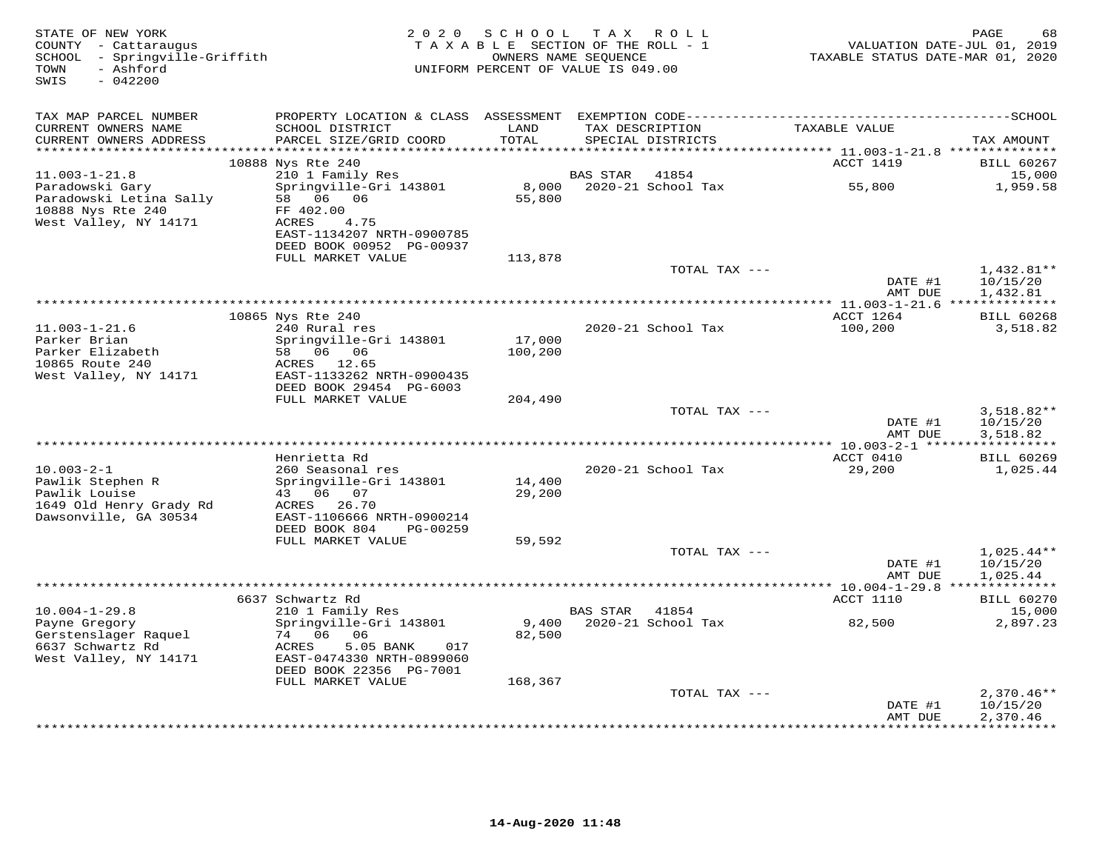| STATE OF NEW YORK<br>COUNTY - Cattaraugus<br>SCHOOL - Springville-Griffith<br>TOWN<br>- Ashford<br>SWIS<br>$-042200$ | 2 0 2 0                                                                   | SCHOOL<br>TAXABLE SECTION OF THE ROLL - 1<br>OWNERS NAME SEQUENCE<br>UNIFORM PERCENT OF VALUE IS 049.00 | T A X           | R O L L                              | VALUATION DATE-JUL 01, 2019<br>TAXABLE STATUS DATE-MAR 01, 2020 | PAGE<br>68                           |
|----------------------------------------------------------------------------------------------------------------------|---------------------------------------------------------------------------|---------------------------------------------------------------------------------------------------------|-----------------|--------------------------------------|-----------------------------------------------------------------|--------------------------------------|
| TAX MAP PARCEL NUMBER                                                                                                |                                                                           |                                                                                                         |                 |                                      |                                                                 |                                      |
| CURRENT OWNERS NAME<br>CURRENT OWNERS ADDRESS                                                                        | SCHOOL DISTRICT<br>PARCEL SIZE/GRID COORD                                 | LAND<br>TOTAL                                                                                           |                 | TAX DESCRIPTION<br>SPECIAL DISTRICTS | TAXABLE VALUE                                                   | TAX AMOUNT                           |
| ******************                                                                                                   |                                                                           | ******                                                                                                  |                 |                                      | ******* 11.003-1-21.8 **************<br>ACCT 1419               | <b>BILL 60267</b>                    |
| $11.003 - 1 - 21.8$                                                                                                  | 10888 Nys Rte 240<br>210 1 Family Res                                     |                                                                                                         | BAS STAR        | 41854                                |                                                                 | 15,000                               |
| Paradowski Gary<br>Paradowski Letina Sally                                                                           | Springville-Gri 143801<br>58 06 06                                        | 8,000<br>55,800                                                                                         |                 | 2020-21 School Tax                   | 55,800                                                          | 1,959.58                             |
| 10888 Nys Rte 240<br>West Valley, NY 14171                                                                           | FF 402.00<br>ACRES<br>4.75<br>EAST-1134207 NRTH-0900785                   |                                                                                                         |                 |                                      |                                                                 |                                      |
|                                                                                                                      | DEED BOOK 00952 PG-00937<br>FULL MARKET VALUE                             | 113,878                                                                                                 |                 |                                      |                                                                 |                                      |
|                                                                                                                      |                                                                           |                                                                                                         |                 | TOTAL TAX ---                        |                                                                 | 1,432.81**                           |
|                                                                                                                      |                                                                           |                                                                                                         |                 |                                      | DATE #1<br>AMT DUE                                              | 10/15/20<br>1,432.81                 |
|                                                                                                                      | 10865 Nys Rte 240                                                         |                                                                                                         |                 |                                      | ACCT 1264                                                       | <b>BILL 60268</b>                    |
| $11.003 - 1 - 21.6$<br>Parker Brian                                                                                  | 240 Rural res<br>Springville-Gri 143801                                   | 17,000                                                                                                  |                 | 2020-21 School Tax                   | 100,200                                                         | 3,518.82                             |
| Parker Elizabeth<br>10865 Route 240<br>West Valley, NY 14171                                                         | 58 06 06<br>12.65<br>ACRES<br>EAST-1133262 NRTH-0900435                   | 100,200                                                                                                 |                 |                                      |                                                                 |                                      |
|                                                                                                                      | DEED BOOK 29454 PG-6003<br>FULL MARKET VALUE                              | 204,490                                                                                                 |                 |                                      |                                                                 |                                      |
|                                                                                                                      |                                                                           |                                                                                                         |                 | TOTAL TAX ---                        | DATE #1<br>AMT DUE                                              | $3,518.82**$<br>10/15/20<br>3,518.82 |
|                                                                                                                      |                                                                           |                                                                                                         |                 |                                      |                                                                 |                                      |
|                                                                                                                      | Henrietta Rd                                                              |                                                                                                         |                 |                                      | ACCT 0410                                                       | <b>BILL 60269</b>                    |
| $10.003 - 2 - 1$<br>Pawlik Stephen R                                                                                 | 260 Seasonal res<br>Springville-Gri 143801                                | 14,400                                                                                                  |                 | 2020-21 School Tax                   | 29,200                                                          | 1,025.44                             |
| Pawlik Louise<br>1649 Old Henry Grady Rd<br>Dawsonville, GA 30534                                                    | 43 06 07<br>ACRES 26.70<br>EAST-1106666 NRTH-0900214                      | 29,200                                                                                                  |                 |                                      |                                                                 |                                      |
|                                                                                                                      | DEED BOOK 804<br>PG-00259                                                 |                                                                                                         |                 |                                      |                                                                 |                                      |
|                                                                                                                      | FULL MARKET VALUE                                                         | 59,592                                                                                                  |                 |                                      |                                                                 |                                      |
|                                                                                                                      |                                                                           |                                                                                                         |                 | TOTAL TAX ---                        | DATE #1<br>AMT DUE                                              | $1,025.44**$<br>10/15/20<br>1,025.44 |
|                                                                                                                      |                                                                           |                                                                                                         |                 |                                      |                                                                 |                                      |
|                                                                                                                      | 6637 Schwartz Rd                                                          |                                                                                                         |                 |                                      | ACCT 1110                                                       | <b>BILL 60270</b>                    |
| $10.004 - 1 - 29.8$<br>Payne Gregory                                                                                 | 210 1 Family Res<br>Springville-Gri 143801                                | 9,400                                                                                                   | <b>BAS STAR</b> | 41854<br>2020-21 School Tax          | 82,500                                                          | 15,000<br>2,897.23                   |
| Gerstenslager Raquel<br>6637 Schwartz Rd                                                                             | 74 06<br>06<br>5.05 BANK<br>ACRES<br>017                                  | 82,500                                                                                                  |                 |                                      |                                                                 |                                      |
| West Valley, NY 14171                                                                                                | EAST-0474330 NRTH-0899060<br>DEED BOOK 22356 PG-7001<br>FULL MARKET VALUE | 168,367                                                                                                 |                 |                                      |                                                                 |                                      |
|                                                                                                                      |                                                                           |                                                                                                         |                 | TOTAL TAX ---                        |                                                                 | $2,370.46**$                         |
|                                                                                                                      |                                                                           |                                                                                                         |                 |                                      | DATE #1<br>AMT DUE                                              | 10/15/20<br>2,370.46                 |
|                                                                                                                      |                                                                           |                                                                                                         |                 |                                      | ***************                                                 | ************                         |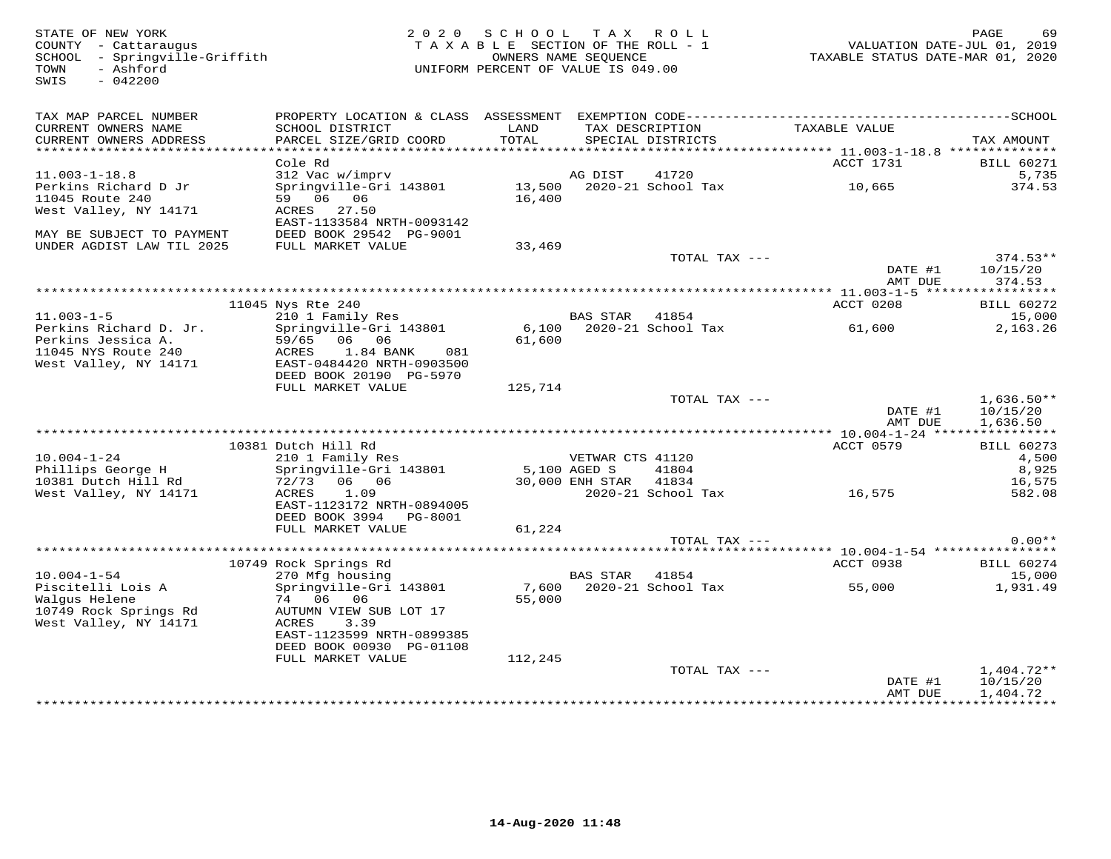| STATE OF NEW YORK<br>COUNTY - Cattaraugus<br>SCHOOL - Springville-Griffith<br>TOWN<br>- Ashford<br>$-042200$<br>SWIS |                                                      | 2020 SCHOOL TAX ROLL<br>TAXABLE SECTION OF THE ROLL - 1<br>UNIFORM PERCENT OF VALUE IS 049.00 | OWNERS NAME SEQUENCE  |                                                  | VALUATION DATE-JUL 01, 2019<br>TAXABLE STATUS DATE-MAR 01, 2020 | PAGE<br>69           |
|----------------------------------------------------------------------------------------------------------------------|------------------------------------------------------|-----------------------------------------------------------------------------------------------|-----------------------|--------------------------------------------------|-----------------------------------------------------------------|----------------------|
| TAX MAP PARCEL NUMBER<br>CURRENT OWNERS NAME<br>CURRENT OWNERS ADDRESS                                               | SCHOOL DISTRICT<br>PARCEL SIZE/GRID COORD            | LAND<br>TOTAL                                                                                 |                       | TAX DESCRIPTION<br>SPECIAL DISTRICTS             | TAXABLE VALUE                                                   | TAX AMOUNT           |
|                                                                                                                      |                                                      |                                                                                               |                       |                                                  |                                                                 |                      |
|                                                                                                                      | Cole Rd                                              |                                                                                               |                       |                                                  | ACCT 1731                                                       | <b>BILL 60271</b>    |
| $11.003 - 1 - 18.8$                                                                                                  | 312 Vac w/imprv                                      |                                                                                               | AG DIST               | 41720                                            |                                                                 | 5,735                |
| Perkins Richard D Jr                                                                                                 | Springville-Gri 143801                               |                                                                                               |                       | AG DIST     41720<br>13,500   2020-21 School Tax | 10,665                                                          | 374.53               |
| 11045 Route 240                                                                                                      | 59 06 06                                             | 16,400                                                                                        |                       |                                                  |                                                                 |                      |
| West Valley, NY 14171                                                                                                | ACRES 27.50                                          |                                                                                               |                       |                                                  |                                                                 |                      |
| MAY BE SUBJECT TO PAYMENT                                                                                            | EAST-1133584 NRTH-0093142<br>DEED BOOK 29542 PG-9001 |                                                                                               |                       |                                                  |                                                                 |                      |
| UNDER AGDIST LAW TIL 2025                                                                                            | FULL MARKET VALUE                                    | 33,469                                                                                        |                       |                                                  |                                                                 |                      |
|                                                                                                                      |                                                      |                                                                                               |                       | TOTAL TAX ---                                    |                                                                 | $374.53**$           |
|                                                                                                                      |                                                      |                                                                                               |                       |                                                  | DATE #1                                                         | 10/15/20             |
|                                                                                                                      |                                                      |                                                                                               |                       |                                                  | AMT DUE                                                         | 374.53               |
|                                                                                                                      |                                                      |                                                                                               |                       |                                                  |                                                                 |                      |
|                                                                                                                      | 11045 Nys Rte 240<br>210 1 Family Res                |                                                                                               | BAS STAR 41854        |                                                  | ACCT 0208                                                       | <b>BILL 60272</b>    |
| $11.003 - 1 - 5$<br>Perkins Richard D. Jr.                                                                           | Springville-Gri 143801                               |                                                                                               |                       |                                                  |                                                                 | 15,000<br>2,163.26   |
| Perkins Jessica A.                                                                                                   | 59/65 06 06                                          | 61,600                                                                                        |                       |                                                  |                                                                 |                      |
| 11045 NYS Route 240                                                                                                  | 1.84 BANK<br>ACRES<br>081                            |                                                                                               |                       |                                                  |                                                                 |                      |
| West Valley, NY 14171                                                                                                | EAST-0484420 NRTH-0903500                            |                                                                                               |                       |                                                  |                                                                 |                      |
|                                                                                                                      | DEED BOOK 20190 PG-5970                              |                                                                                               |                       |                                                  |                                                                 |                      |
|                                                                                                                      | FULL MARKET VALUE                                    | 125,714                                                                                       |                       |                                                  |                                                                 |                      |
|                                                                                                                      |                                                      |                                                                                               |                       | TOTAL TAX ---                                    |                                                                 | $1,636.50**$         |
|                                                                                                                      |                                                      |                                                                                               |                       |                                                  | DATE #1<br>AMT DUE                                              | 10/15/20<br>1,636.50 |
|                                                                                                                      |                                                      |                                                                                               |                       |                                                  |                                                                 |                      |
|                                                                                                                      | 10381 Dutch Hill Rd                                  |                                                                                               |                       |                                                  | ACCT 0579                                                       | <b>BILL 60273</b>    |
| $10.004 - 1 - 24$                                                                                                    | 210 1 Family Res                                     |                                                                                               | VETWAR CTS 41120      |                                                  |                                                                 | 4,500                |
| Phillips George H                                                                                                    | Springville-Gri 143801                               | 5,100 AGED S                                                                                  |                       | 41804                                            |                                                                 | 8,925                |
| 10381 Dutch Hill Rd                                                                                                  | 72/73 06 06                                          |                                                                                               | 30,000 ENH STAR 41834 |                                                  |                                                                 | 16,575               |
| West Valley, NY 14171                                                                                                | 1.09<br>ACRES                                        |                                                                                               |                       |                                                  | 2020-21 School Tax 16,575                                       | 582.08               |
|                                                                                                                      | EAST-1123172 NRTH-0894005<br>DEED BOOK 3994 PG-8001  |                                                                                               |                       |                                                  |                                                                 |                      |
|                                                                                                                      | FULL MARKET VALUE                                    | 61,224                                                                                        |                       |                                                  |                                                                 |                      |
|                                                                                                                      |                                                      |                                                                                               |                       | TOTAL TAX ---                                    |                                                                 | $0.00**$             |
|                                                                                                                      |                                                      |                                                                                               |                       |                                                  |                                                                 |                      |
|                                                                                                                      | 10749 Rock Springs Rd                                |                                                                                               |                       |                                                  | ACCT 0938                                                       | <b>BILL 60274</b>    |
| $10.004 - 1 - 54$                                                                                                    | 270 Mfg housing                                      |                                                                                               | BAS STAR 41854        |                                                  |                                                                 | 15,000               |
| Piscitelli Lois A                                                                                                    | Springville-Gri 143801<br>74 06 06                   |                                                                                               |                       | 7,600 2020-21 School Tax                         | 55,000                                                          | 1,931.49             |
| Walqus Helene<br>10749 Rock Springs Rd                                                                               | AUTUMN VIEW SUB LOT 17                               | 55,000                                                                                        |                       |                                                  |                                                                 |                      |
| West Valley, NY 14171                                                                                                | ACRES<br>3.39                                        |                                                                                               |                       |                                                  |                                                                 |                      |
|                                                                                                                      | EAST-1123599 NRTH-0899385                            |                                                                                               |                       |                                                  |                                                                 |                      |
|                                                                                                                      | DEED BOOK 00930 PG-01108                             |                                                                                               |                       |                                                  |                                                                 |                      |
|                                                                                                                      | FULL MARKET VALUE                                    | 112,245                                                                                       |                       |                                                  |                                                                 |                      |
|                                                                                                                      |                                                      |                                                                                               |                       | TOTAL TAX ---                                    |                                                                 | $1,404.72**$         |
|                                                                                                                      |                                                      |                                                                                               |                       |                                                  | DATE #1                                                         | 10/15/20             |
|                                                                                                                      |                                                      |                                                                                               |                       |                                                  | AMT DUE                                                         | 1,404.72             |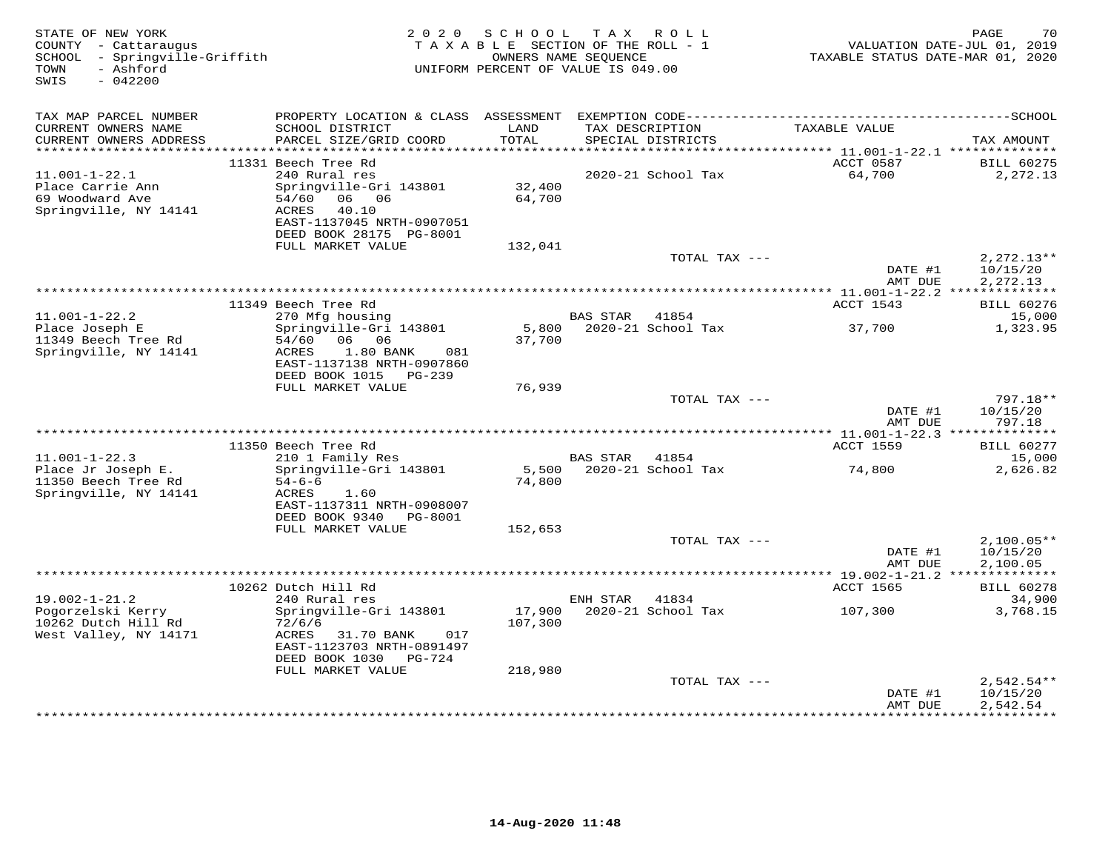| STATE OF NEW YORK<br>COUNTY - Cattaraugus<br>SCHOOL - Springville-Griffith<br>- Ashford<br>TOWN<br>SWIS<br>$-042200$ | 2 0 2 0                                                                                                                                   | S C H O O L<br>TAXABLE SECTION OF THE ROLL - 1<br>OWNERS NAME SEQUENCE<br>UNIFORM PERCENT OF VALUE IS 049.00 | T A X           | ROLL                                 | TAXABLE STATUS DATE-MAR 01, 2020 | PAGE<br>70<br>VALUATION DATE-JUL 01, 2019 |
|----------------------------------------------------------------------------------------------------------------------|-------------------------------------------------------------------------------------------------------------------------------------------|--------------------------------------------------------------------------------------------------------------|-----------------|--------------------------------------|----------------------------------|-------------------------------------------|
| TAX MAP PARCEL NUMBER                                                                                                |                                                                                                                                           |                                                                                                              |                 |                                      |                                  |                                           |
| CURRENT OWNERS NAME<br>CURRENT OWNERS ADDRESS                                                                        | SCHOOL DISTRICT<br>PARCEL SIZE/GRID COORD                                                                                                 | LAND<br>TOTAL                                                                                                |                 | TAX DESCRIPTION<br>SPECIAL DISTRICTS | TAXABLE VALUE                    | TAX AMOUNT                                |
|                                                                                                                      | 11331 Beech Tree Rd                                                                                                                       |                                                                                                              |                 |                                      | ACCT 0587                        | <b>BILL 60275</b>                         |
| $11.001 - 1 - 22.1$                                                                                                  | 240 Rural res                                                                                                                             |                                                                                                              |                 | 2020-21 School Tax                   | 64,700                           | 2,272.13                                  |
| Place Carrie Ann<br>69 Woodward Ave<br>Springville, NY 14141                                                         | Springville-Gri 143801<br>54/60<br>06 06<br>ACRES<br>40.10<br>EAST-1137045 NRTH-0907051<br>DEED BOOK 28175 PG-8001                        | 32,400<br>64,700                                                                                             |                 |                                      |                                  |                                           |
|                                                                                                                      | FULL MARKET VALUE                                                                                                                         | 132,041                                                                                                      |                 |                                      |                                  |                                           |
|                                                                                                                      |                                                                                                                                           |                                                                                                              |                 | TOTAL TAX ---                        | DATE #1<br>AMT DUE               | $2,272.13**$<br>10/15/20<br>2,272.13      |
|                                                                                                                      |                                                                                                                                           |                                                                                                              |                 |                                      |                                  |                                           |
|                                                                                                                      | 11349 Beech Tree Rd                                                                                                                       |                                                                                                              |                 |                                      | ACCT 1543                        | <b>BILL 60276</b>                         |
| $11.001 - 1 - 22.2$                                                                                                  | 270 Mfg housing                                                                                                                           |                                                                                                              | <b>BAS STAR</b> | 41854                                |                                  | 15,000                                    |
| Place Joseph E<br>11349 Beech Tree Rd<br>Springville, NY 14141                                                       | Springville-Gri 143801<br>54/60 06 06<br>ACRES<br>1.80 BANK<br>081<br>EAST-1137138 NRTH-0907860<br>DEED BOOK 1015<br>PG-239               | 5,800<br>37,700                                                                                              |                 | 2020-21 School Tax                   | 37,700                           | 1,323.95                                  |
|                                                                                                                      | FULL MARKET VALUE                                                                                                                         | 76,939                                                                                                       |                 |                                      |                                  |                                           |
|                                                                                                                      |                                                                                                                                           |                                                                                                              |                 | TOTAL TAX ---                        | DATE #1<br>AMT DUE               | 797.18**<br>10/15/20<br>797.18            |
|                                                                                                                      |                                                                                                                                           |                                                                                                              |                 |                                      |                                  |                                           |
|                                                                                                                      | 11350 Beech Tree Rd                                                                                                                       |                                                                                                              |                 |                                      | <b>ACCT 1559</b>                 | <b>BILL 60277</b>                         |
| $11.001 - 1 - 22.3$                                                                                                  | 210 1 Family Res                                                                                                                          |                                                                                                              | BAS STAR        | 41854                                |                                  | 15,000                                    |
| Place Jr Joseph E.<br>11350 Beech Tree Rd<br>Springville, NY 14141                                                   | Springville-Gri 143801<br>$54 - 6 - 6$<br>ACRES<br>1.60<br>EAST-1137311 NRTH-0908007<br>DEED BOOK 9340<br>PG-8001<br>FULL MARKET VALUE    | 5,500<br>74,800<br>152,653                                                                                   |                 | 2020-21 School Tax                   | 74,800                           | 2,626.82                                  |
|                                                                                                                      |                                                                                                                                           |                                                                                                              |                 | TOTAL TAX ---                        |                                  | $2,100.05**$                              |
|                                                                                                                      |                                                                                                                                           |                                                                                                              |                 |                                      | DATE #1<br>AMT DUE               | 10/15/20<br>2,100.05                      |
|                                                                                                                      |                                                                                                                                           |                                                                                                              |                 |                                      |                                  |                                           |
|                                                                                                                      | 10262 Dutch Hill Rd                                                                                                                       |                                                                                                              |                 |                                      | ACCT 1565                        | <b>BILL 60278</b>                         |
| $19.002 - 1 - 21.2$<br>Pogorzelski Kerry                                                                             | 240 Rural res                                                                                                                             | 17,900                                                                                                       | ENH STAR        | 41834<br>2020-21 School Tax          |                                  | 34,900                                    |
| 10262 Dutch Hill Rd<br>West Valley, NY 14171                                                                         | Springville-Gri 143801<br>72/6/6<br>ACRES<br>31.70 BANK<br>017<br>EAST-1123703 NRTH-0891497<br>DEED BOOK 1030 PG-724<br>FULL MARKET VALUE | 107,300<br>218,980                                                                                           |                 |                                      | 107,300                          | 3,768.15                                  |
|                                                                                                                      |                                                                                                                                           |                                                                                                              |                 | TOTAL TAX ---                        |                                  | $2,542.54**$                              |
|                                                                                                                      |                                                                                                                                           |                                                                                                              |                 |                                      | DATE #1<br>AMT DUE               | 10/15/20<br>2,542.54<br>**********        |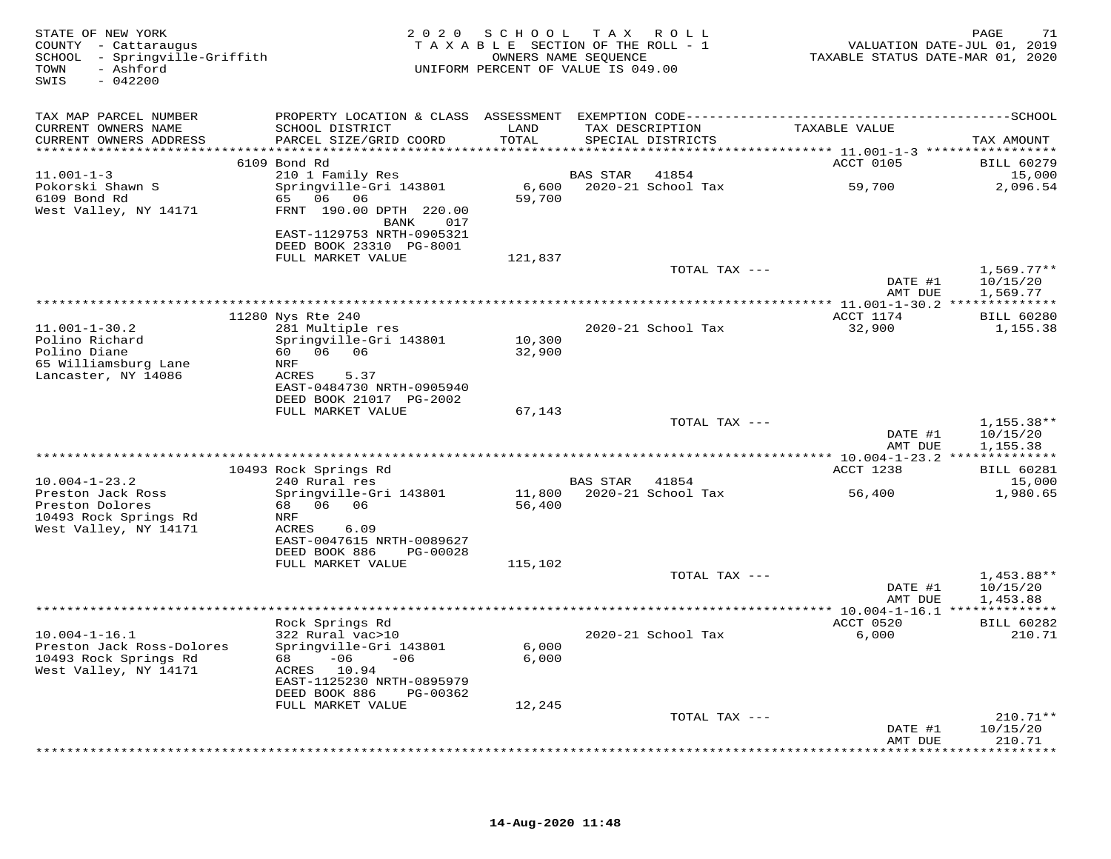| STATE OF NEW YORK<br>COUNTY - Cattaraugus<br>SCHOOL - Springville-Griffith<br>- Ashford<br>TOWN<br>$-042200$<br>SWIS |                                                                                   | 2020 SCHOOL      | TAX ROLL<br>TAXABLE SECTION OF THE ROLL - 1<br>OWNERS NAME SEQUENCE<br>UNIFORM PERCENT OF VALUE IS 049.00 | VALUATION DATE-JUL 01, 2019<br>TAXABLE STATUS DATE-MAR 01, 2020 | 71<br>PAGE                       |
|----------------------------------------------------------------------------------------------------------------------|-----------------------------------------------------------------------------------|------------------|-----------------------------------------------------------------------------------------------------------|-----------------------------------------------------------------|----------------------------------|
| TAX MAP PARCEL NUMBER<br>CURRENT OWNERS NAME                                                                         | SCHOOL DISTRICT                                                                   | LAND             | TAX DESCRIPTION                                                                                           | TAXABLE VALUE                                                   |                                  |
| CURRENT OWNERS ADDRESS                                                                                               | PARCEL SIZE/GRID COORD                                                            | TOTAL            | SPECIAL DISTRICTS                                                                                         |                                                                 | TAX AMOUNT                       |
|                                                                                                                      | 6109 Bond Rd                                                                      |                  |                                                                                                           | ACCT 0105                                                       | <b>BILL 60279</b>                |
| $11.001 - 1 - 3$                                                                                                     | 210 1 Family Res                                                                  |                  | <b>BAS STAR</b><br>41854                                                                                  |                                                                 | 15,000                           |
| Pokorski Shawn S<br>6109 Bond Rd<br>West Valley, NY 14171                                                            | Springville-Gri 143801<br>65 06<br>06<br>FRNT 190.00 DPTH 220.00<br>BANK<br>017   | 6,600<br>59,700  | 2020-21 School Tax                                                                                        | 59,700                                                          | 2,096.54                         |
|                                                                                                                      | EAST-1129753 NRTH-0905321<br>DEED BOOK 23310 PG-8001<br>FULL MARKET VALUE         | 121,837          |                                                                                                           |                                                                 |                                  |
|                                                                                                                      |                                                                                   |                  | TOTAL TAX ---                                                                                             |                                                                 | $1,569.77**$                     |
|                                                                                                                      |                                                                                   |                  |                                                                                                           | DATE #1<br>AMT DUE                                              | 10/15/20<br>1,569.77             |
|                                                                                                                      | 11280 Nys Rte 240                                                                 |                  |                                                                                                           | ACCT 1174                                                       | <b>BILL 60280</b>                |
| $11.001 - 1 - 30.2$<br>Polino Richard                                                                                | 281 Multiple res<br>Springville-Gri 143801<br>60  06  06                          | 10,300           | 2020-21 School Tax                                                                                        | 32,900                                                          | 1,155.38                         |
| Polino Diane<br>65 Williamsburg Lane<br>Lancaster, NY 14086                                                          | NRF<br>ACRES<br>5.37<br>EAST-0484730 NRTH-0905940                                 | 32,900           |                                                                                                           |                                                                 |                                  |
|                                                                                                                      | DEED BOOK 21017 PG-2002<br>FULL MARKET VALUE                                      | 67,143           |                                                                                                           |                                                                 |                                  |
|                                                                                                                      |                                                                                   |                  | TOTAL TAX ---                                                                                             | DATE #1                                                         | $1,155.38**$<br>10/15/20         |
|                                                                                                                      |                                                                                   |                  |                                                                                                           | AMT DUE                                                         | 1,155.38                         |
|                                                                                                                      | 10493 Rock Springs Rd                                                             |                  |                                                                                                           | ACCT 1238                                                       | <b>BILL 60281</b>                |
| $10.004 - 1 - 23.2$<br>Preston Jack Ross<br>Preston Dolores                                                          | 240 Rural res<br>Springville-Gri 143801<br>68 06 06                               | 11,800<br>56,400 | BAS STAR<br>41854<br>2020-21 School Tax                                                                   | 56,400                                                          | 15,000<br>1,980.65               |
| 10493 Rock Springs Rd<br>West Valley, NY 14171                                                                       | NRF<br>ACRES<br>6.09<br>EAST-0047615 NRTH-0089627                                 |                  |                                                                                                           |                                                                 |                                  |
|                                                                                                                      | DEED BOOK 886<br>PG-00028<br>FULL MARKET VALUE                                    | 115,102          |                                                                                                           |                                                                 |                                  |
|                                                                                                                      |                                                                                   |                  | TOTAL TAX ---                                                                                             | DATE #1                                                         | 1,453.88**<br>10/15/20           |
|                                                                                                                      |                                                                                   |                  |                                                                                                           | AMT DUE<br>** 10.004-1-16.1 ***************                     | 1,453.88                         |
|                                                                                                                      | Rock Springs Rd                                                                   |                  |                                                                                                           | ACCT 0520                                                       | <b>BILL 60282</b>                |
| $10.004 - 1 - 16.1$<br>Preston Jack Ross-Dolores<br>10493 Rock Springs Rd<br>West Valley, NY 14171                   | 322 Rural vac>10<br>Springville-Gri 143801<br>68<br>$-06$<br>$-06$<br>ACRES 10.94 | 6,000<br>6,000   | 2020-21 School Tax                                                                                        | 6,000                                                           | 210.71                           |
|                                                                                                                      | EAST-1125230 NRTH-0895979<br>DEED BOOK 886<br>PG-00362                            |                  |                                                                                                           |                                                                 |                                  |
|                                                                                                                      | FULL MARKET VALUE                                                                 | 12,245           | TOTAL TAX ---                                                                                             |                                                                 | $210.71**$                       |
|                                                                                                                      |                                                                                   |                  |                                                                                                           | DATE #1<br>AMT DUE                                              | 10/15/20<br>210.71<br>********** |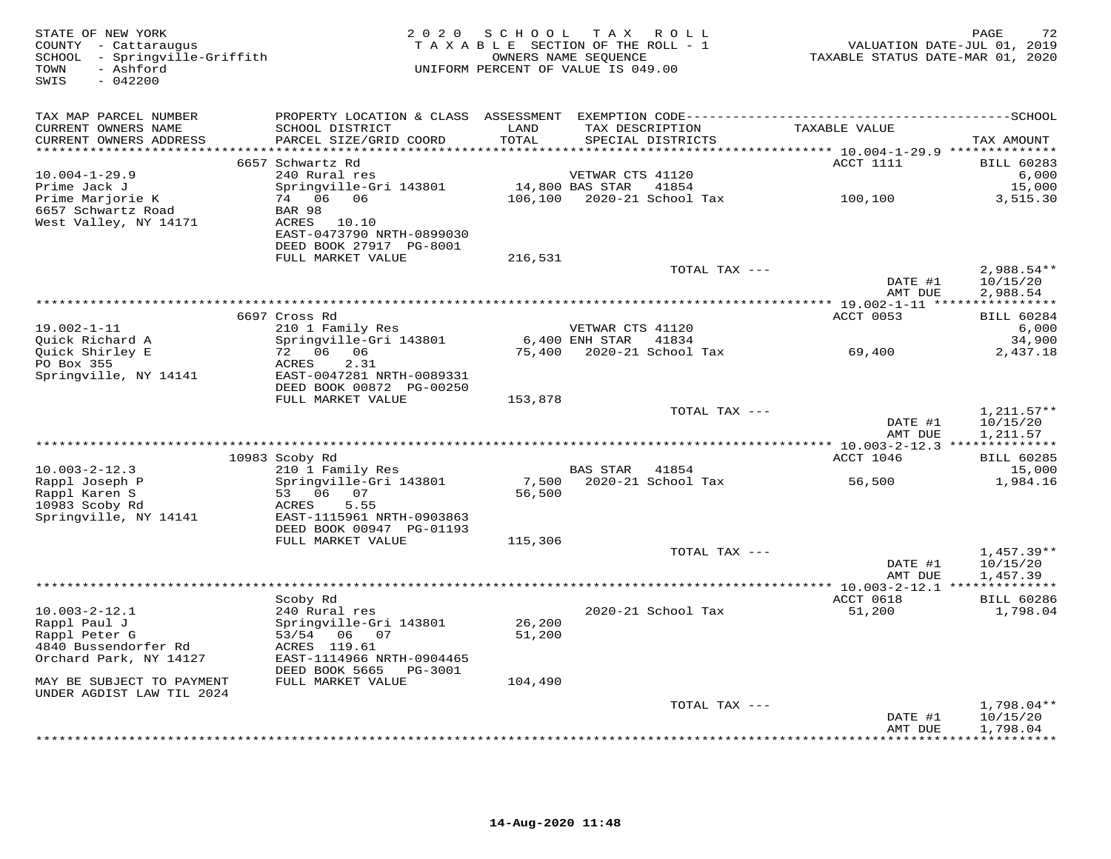| STATE OF NEW YORK<br>COUNTY - Cattaraugus<br>SCHOOL - Springville-Griffith<br>- Ashford<br>TOWN<br>SWIS<br>$-042200$ |                                                        |                 | 2020 SCHOOL TAX ROLL<br>TAXABLE SECTION OF THE ROLL - 1<br>OWNERS NAME SEQUENCE<br>UNIFORM PERCENT OF VALUE IS 049.00 | TAXABLE STATUS DATE-MAR 01, 2020 | PAGE<br>72<br>VALUATION DATE-JUL 01, 2019 |
|----------------------------------------------------------------------------------------------------------------------|--------------------------------------------------------|-----------------|-----------------------------------------------------------------------------------------------------------------------|----------------------------------|-------------------------------------------|
| TAX MAP PARCEL NUMBER                                                                                                |                                                        |                 |                                                                                                                       |                                  |                                           |
| CURRENT OWNERS NAME<br>CURRENT OWNERS ADDRESS                                                                        | SCHOOL DISTRICT<br>PARCEL SIZE/GRID COORD              | LAND<br>TOTAL   | TAX DESCRIPTION<br>SPECIAL DISTRICTS                                                                                  | TAXABLE VALUE                    | TAX AMOUNT                                |
|                                                                                                                      | 6657 Schwartz Rd                                       |                 |                                                                                                                       | ACCT 1111                        | <b>BILL 60283</b>                         |
| $10.004 - 1 - 29.9$                                                                                                  | 240 Rural res                                          |                 | VETWAR CTS 41120                                                                                                      |                                  | 6,000                                     |
| Prime Jack J                                                                                                         | Springville-Gri 143801                                 |                 | 14,800 BAS STAR 41854                                                                                                 |                                  | 15,000                                    |
| Prime Marjorie K                                                                                                     | 74 06 06                                               |                 | 106,100  2020-21  School Tax                                                                                          | 100,100                          | 3,515.30                                  |
| 6657 Schwartz Road                                                                                                   | BAR 98                                                 |                 |                                                                                                                       |                                  |                                           |
| West Valley, NY 14171                                                                                                | ACRES 10.10                                            |                 |                                                                                                                       |                                  |                                           |
|                                                                                                                      | EAST-0473790 NRTH-0899030<br>DEED BOOK 27917 PG-8001   |                 |                                                                                                                       |                                  |                                           |
|                                                                                                                      | FULL MARKET VALUE                                      | 216,531         |                                                                                                                       |                                  |                                           |
|                                                                                                                      |                                                        |                 | TOTAL TAX ---                                                                                                         |                                  | 2,988.54**                                |
|                                                                                                                      |                                                        |                 |                                                                                                                       | DATE #1                          | 10/15/20                                  |
|                                                                                                                      |                                                        |                 |                                                                                                                       | AMT DUE                          | 2,988.54                                  |
|                                                                                                                      |                                                        |                 |                                                                                                                       |                                  |                                           |
|                                                                                                                      | 6697 Cross Rd                                          |                 |                                                                                                                       | ACCT 0053                        | <b>BILL 60284</b>                         |
| $19.002 - 1 - 11$<br>Ouick Richard A                                                                                 | 210 1 Family Res<br>Springville-Gri 143801             |                 | VETWAR CTS 41120<br>6,400 ENH STAR 41834                                                                              |                                  | 6,000<br>34,900                           |
| Quick Shirley E                                                                                                      |                                                        |                 |                                                                                                                       | 69,400                           | 2,437.18                                  |
| PO Box 355                                                                                                           | ACRES<br>2.31                                          |                 |                                                                                                                       |                                  |                                           |
| Springville, NY 14141                                                                                                | EAST-0047281 NRTH-0089331                              |                 |                                                                                                                       |                                  |                                           |
|                                                                                                                      | DEED BOOK 00872 PG-00250                               |                 |                                                                                                                       |                                  |                                           |
|                                                                                                                      | FULL MARKET VALUE                                      | 153,878         | TOTAL TAX ---                                                                                                         |                                  |                                           |
|                                                                                                                      |                                                        |                 |                                                                                                                       | DATE #1                          | $1,211.57**$<br>10/15/20                  |
|                                                                                                                      |                                                        |                 |                                                                                                                       | AMT DUE                          | 1,211.57                                  |
|                                                                                                                      |                                                        |                 |                                                                                                                       |                                  |                                           |
|                                                                                                                      | 10983 Scoby Rd                                         |                 |                                                                                                                       | ACCT 1046                        | <b>BILL 60285</b>                         |
| $10.003 - 2 - 12.3$                                                                                                  | 210 1 Family Res                                       |                 | BAS STAR<br>41854                                                                                                     |                                  | 15,000                                    |
| Rappl Joseph P                                                                                                       | Springville-Gri 143801<br>53 06 07                     | 7,500<br>56,500 | 2020-21 School Tax                                                                                                    | 56,500                           | 1,984.16                                  |
| Rappl Karen S<br>10983 Scoby Rd                                                                                      | ACRES<br>5.55                                          |                 |                                                                                                                       |                                  |                                           |
| Springville, NY 14141                                                                                                | EAST-1115961 NRTH-0903863                              |                 |                                                                                                                       |                                  |                                           |
|                                                                                                                      | DEED BOOK 00947 PG-01193                               |                 |                                                                                                                       |                                  |                                           |
|                                                                                                                      | FULL MARKET VALUE                                      | 115,306         |                                                                                                                       |                                  |                                           |
|                                                                                                                      |                                                        |                 | TOTAL TAX ---                                                                                                         |                                  | $1,457.39**$                              |
|                                                                                                                      |                                                        |                 |                                                                                                                       | DATE #1<br>AMT DUE               | 10/15/20                                  |
|                                                                                                                      |                                                        |                 |                                                                                                                       |                                  | 1,457.39                                  |
|                                                                                                                      | Scoby Rd                                               |                 |                                                                                                                       | ACCT 0618                        | <b>BILL 60286</b>                         |
| $10.003 - 2 - 12.1$                                                                                                  | 240 Rural res                                          |                 | 2020-21 School Tax                                                                                                    | 51,200                           | 1,798.04                                  |
| Rappl Paul J                                                                                                         | Springville-Gri 143801                                 | 26,200          |                                                                                                                       |                                  |                                           |
| Rappl Peter G                                                                                                        | 53/54 06 07                                            | 51,200          |                                                                                                                       |                                  |                                           |
| 4840 Bussendorfer Rd                                                                                                 | ACRES 119.61                                           |                 |                                                                                                                       |                                  |                                           |
| Orchard Park, NY 14127                                                                                               | EAST-1114966 NRTH-0904465<br>DEED BOOK 5665<br>PG-3001 |                 |                                                                                                                       |                                  |                                           |
| MAY BE SUBJECT TO PAYMENT                                                                                            | FULL MARKET VALUE                                      | 104,490         |                                                                                                                       |                                  |                                           |
| UNDER AGDIST LAW TIL 2024                                                                                            |                                                        |                 |                                                                                                                       |                                  |                                           |
|                                                                                                                      |                                                        |                 | TOTAL TAX ---                                                                                                         |                                  | $1,798.04**$                              |
|                                                                                                                      |                                                        |                 |                                                                                                                       | DATE #1                          | 10/15/20                                  |
|                                                                                                                      |                                                        |                 |                                                                                                                       | AMT DUE                          | 1,798.04<br><b>++++++++++++</b>           |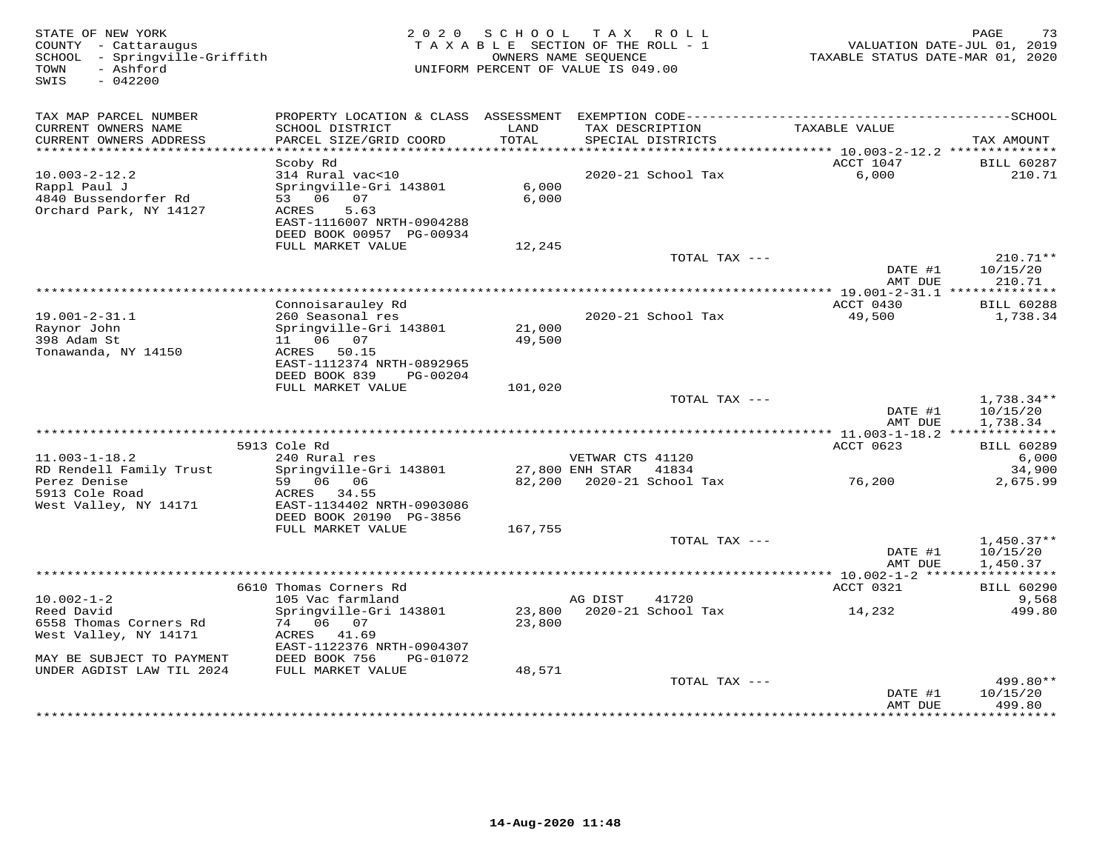| STATE OF NEW YORK<br>COUNTY - Cattaraugus<br>SCHOOL - Springville-Griffith<br>- Ashford<br>TOWN<br>SWIS<br>$-042200$ | 2 0 2 0                                                                                                                                      | SCHOOL           | TAX ROLL<br>TAXABLE SECTION OF THE ROLL - 1<br>OWNERS NAME SEQUENCE<br>UNIFORM PERCENT OF VALUE IS 049.00 | TAXABLE STATUS DATE-MAR 01, 2020  | 73<br>PAGE<br>VALUATION DATE-JUL 01, 2019 |
|----------------------------------------------------------------------------------------------------------------------|----------------------------------------------------------------------------------------------------------------------------------------------|------------------|-----------------------------------------------------------------------------------------------------------|-----------------------------------|-------------------------------------------|
| TAX MAP PARCEL NUMBER                                                                                                |                                                                                                                                              |                  |                                                                                                           |                                   |                                           |
| CURRENT OWNERS NAME<br>CURRENT OWNERS ADDRESS                                                                        | SCHOOL DISTRICT<br>PARCEL SIZE/GRID COORD                                                                                                    | LAND<br>TOTAL    | TAX DESCRIPTION<br>SPECIAL DISTRICTS                                                                      | TAXABLE VALUE                     | TAX AMOUNT                                |
| ************************                                                                                             |                                                                                                                                              |                  |                                                                                                           |                                   |                                           |
| $10.003 - 2 - 12.2$<br>Rappl Paul J<br>4840 Bussendorfer Rd<br>Orchard Park, NY 14127                                | Scoby Rd<br>314 Rural vac<10<br>Springville-Gri 143801<br>53 06 07<br>ACRES<br>5.63<br>EAST-1116007 NRTH-0904288<br>DEED BOOK 00957 PG-00934 | 6,000<br>6,000   | 2020-21 School Tax                                                                                        | ACCT 1047<br>6,000                | <b>BILL 60287</b><br>210.71               |
|                                                                                                                      | FULL MARKET VALUE                                                                                                                            | 12,245           |                                                                                                           |                                   |                                           |
|                                                                                                                      |                                                                                                                                              |                  | TOTAL TAX ---                                                                                             | DATE #1<br>AMT DUE                | $210.71**$<br>10/15/20<br>210.71          |
|                                                                                                                      |                                                                                                                                              |                  | *********************                                                                                     | *** 19.001-2-31.1 *************** |                                           |
| $19.001 - 2 - 31.1$<br>Raynor John                                                                                   | Connoisarauley Rd<br>260 Seasonal res<br>Springville-Gri 143801                                                                              | 21,000           | 2020-21 School Tax                                                                                        | ACCT 0430<br>49,500               | <b>BILL 60288</b><br>1,738.34             |
| 398 Adam St<br>Tonawanda, NY 14150                                                                                   | 11   06   07<br>ACRES 50.15<br>EAST-1112374 NRTH-0892965<br>DEED BOOK 839<br>PG-00204                                                        | 49,500           |                                                                                                           |                                   |                                           |
|                                                                                                                      | FULL MARKET VALUE                                                                                                                            | 101,020          |                                                                                                           |                                   |                                           |
|                                                                                                                      |                                                                                                                                              |                  | TOTAL TAX ---                                                                                             | DATE #1<br>AMT DUE                | 1,738.34**<br>10/15/20<br>1,738.34        |
|                                                                                                                      | 5913 Cole Rd                                                                                                                                 |                  |                                                                                                           | ACCT 0623                         | <b>BILL 60289</b>                         |
| $11.003 - 1 - 18.2$                                                                                                  | 240 Rural res                                                                                                                                |                  | VETWAR CTS 41120                                                                                          |                                   | 6,000                                     |
| RD Rendell Family Trust                                                                                              | Springville-Gri 143801                                                                                                                       |                  | 27,800 ENH STAR<br>41834                                                                                  |                                   | 34,900                                    |
| Perez Denise<br>5913 Cole Road<br>West Valley, NY 14171                                                              | 59 06 06<br>ACRES 34.55<br>EAST-1134402 NRTH-0903086<br>DEED BOOK 20190 PG-3856                                                              | 82,200           | 2020-21 School Tax                                                                                        | 76,200                            | 2,675.99                                  |
|                                                                                                                      | FULL MARKET VALUE                                                                                                                            | 167,755          |                                                                                                           |                                   |                                           |
|                                                                                                                      |                                                                                                                                              |                  | TOTAL TAX ---                                                                                             | DATE #1<br>AMT DUE                | $1,450.37**$<br>10/15/20<br>1,450.37      |
|                                                                                                                      |                                                                                                                                              |                  |                                                                                                           |                                   |                                           |
|                                                                                                                      | 6610 Thomas Corners Rd                                                                                                                       |                  |                                                                                                           | ACCT 0321                         | <b>BILL 60290</b>                         |
| $10.002 - 1 - 2$                                                                                                     | 105 Vac farmland                                                                                                                             |                  | AG DIST<br>41720                                                                                          |                                   | 9,568                                     |
| Reed David<br>6558 Thomas Corners Rd<br>West Valley, NY 14171                                                        | Springville-Gri 143801<br>74 06 07<br>ACRES<br>41.69                                                                                         | 23,800<br>23,800 | 2020-21 School Tax                                                                                        | 14,232                            | 499.80                                    |
| MAY BE SUBJECT TO PAYMENT                                                                                            | EAST-1122376 NRTH-0904307<br>DEED BOOK 756<br>PG-01072                                                                                       |                  |                                                                                                           |                                   |                                           |
| UNDER AGDIST LAW TIL 2024                                                                                            | FULL MARKET VALUE                                                                                                                            | 48,571           |                                                                                                           |                                   |                                           |
|                                                                                                                      |                                                                                                                                              |                  | TOTAL TAX ---                                                                                             | DATE #1<br>AMT DUE                | 499.80**<br>10/15/20<br>499.80            |
|                                                                                                                      |                                                                                                                                              |                  |                                                                                                           | * * * * * * * * * * * * * * *     | * * * * * * * * * *                       |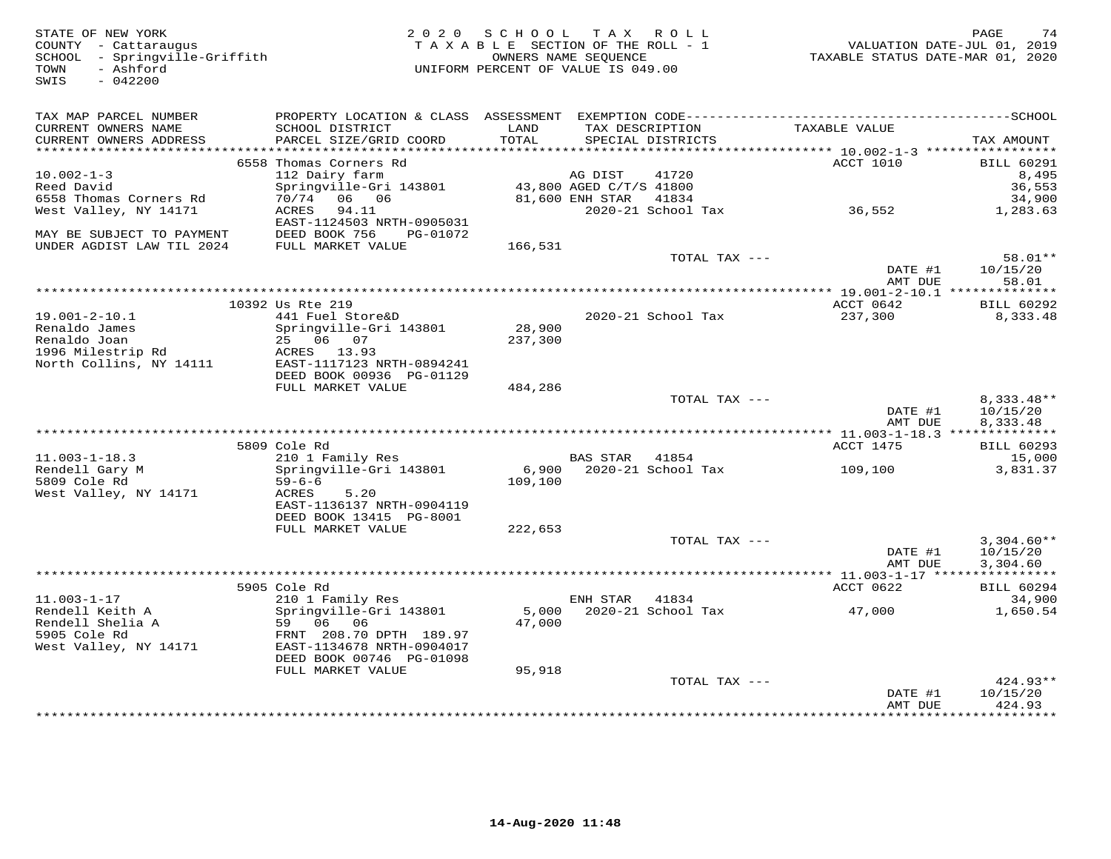| STATE OF NEW YORK<br>COUNTY - Cattaraugus<br>- Springville-Griffith<br>SCHOOL<br>- Ashford<br>TOWN<br>SWIS<br>$-042200$ | 2 0 2 0                                        | S C H O O L<br>TAXABLE SECTION OF THE ROLL - 1<br>UNIFORM PERCENT OF VALUE IS 049.00 | OWNERS NAME SEQUENCE               | TAX ROLL                             | TAXABLE STATUS DATE-MAR 01, 2020 | PAGE<br>74<br>VALUATION DATE-JUL 01, 2019 |
|-------------------------------------------------------------------------------------------------------------------------|------------------------------------------------|--------------------------------------------------------------------------------------|------------------------------------|--------------------------------------|----------------------------------|-------------------------------------------|
| TAX MAP PARCEL NUMBER                                                                                                   |                                                |                                                                                      |                                    |                                      |                                  |                                           |
| CURRENT OWNERS NAME<br>CURRENT OWNERS ADDRESS                                                                           | SCHOOL DISTRICT<br>PARCEL SIZE/GRID COORD      | LAND<br>TOTAL                                                                        |                                    | TAX DESCRIPTION<br>SPECIAL DISTRICTS | TAXABLE VALUE                    | TAX AMOUNT                                |
|                                                                                                                         |                                                |                                                                                      |                                    |                                      |                                  |                                           |
| $10.002 - 1 - 3$                                                                                                        | 6558 Thomas Corners Rd                         |                                                                                      |                                    | 41720                                | ACCT 1010                        | <b>BILL 60291</b>                         |
| Reed David                                                                                                              | 112 Dairy farm<br>Springville-Gri 143801       |                                                                                      | AG DIST<br>43,800 AGED C/T/S 41800 |                                      |                                  | 8,495<br>36,553                           |
| 6558 Thomas Corners Rd                                                                                                  | 70/74 06 06                                    |                                                                                      | 81,600 ENH STAR                    | 41834                                |                                  | 34,900                                    |
| West Valley, NY 14171                                                                                                   | ACRES<br>94.11<br>EAST-1124503 NRTH-0905031    |                                                                                      |                                    | 2020-21 School Tax                   | 36,552                           | 1,283.63                                  |
| MAY BE SUBJECT TO PAYMENT<br>UNDER AGDIST LAW TIL 2024                                                                  | DEED BOOK 756<br>PG-01072<br>FULL MARKET VALUE | 166,531                                                                              |                                    |                                      |                                  |                                           |
|                                                                                                                         |                                                |                                                                                      |                                    | TOTAL TAX ---                        |                                  | 58.01**                                   |
|                                                                                                                         |                                                |                                                                                      |                                    |                                      | DATE #1<br>AMT DUE               | 10/15/20<br>58.01                         |
|                                                                                                                         |                                                |                                                                                      |                                    |                                      |                                  |                                           |
| $19.001 - 2 - 10.1$                                                                                                     | 10392 Us Rte 219                               |                                                                                      |                                    |                                      | ACCT 0642                        | BILL 60292                                |
| Renaldo James                                                                                                           | 441 Fuel Store&D<br>Springville-Gri 143801     | 28,900                                                                               |                                    | 2020-21 School Tax                   | 237,300                          | 8,333.48                                  |
| Renaldo Joan                                                                                                            | 25 06 07                                       | 237,300                                                                              |                                    |                                      |                                  |                                           |
| 1996 Milestrip Rd                                                                                                       | ACRES 13.93                                    |                                                                                      |                                    |                                      |                                  |                                           |
| North Collins, NY 14111                                                                                                 | EAST-1117123 NRTH-0894241                      |                                                                                      |                                    |                                      |                                  |                                           |
|                                                                                                                         | DEED BOOK 00936 PG-01129                       |                                                                                      |                                    |                                      |                                  |                                           |
|                                                                                                                         | FULL MARKET VALUE                              | 484,286                                                                              |                                    | TOTAL TAX ---                        |                                  | $8.333.48**$                              |
|                                                                                                                         |                                                |                                                                                      |                                    |                                      | DATE #1                          | 10/15/20                                  |
|                                                                                                                         |                                                |                                                                                      |                                    |                                      | AMT DUE                          | 8,333.48                                  |
|                                                                                                                         |                                                |                                                                                      |                                    |                                      | *** 11.003-1-18.3 ************** |                                           |
|                                                                                                                         | 5809 Cole Rd                                   |                                                                                      |                                    |                                      | ACCT 1475                        | <b>BILL 60293</b>                         |
| $11.003 - 1 - 18.3$                                                                                                     | 210 1 Family Res                               |                                                                                      | BAS STAR 41854                     | 6,900 2020-21 School Tax             |                                  | 15,000                                    |
| Rendell Gary M<br>5809 Cole Rd                                                                                          | Springville-Gri 143801<br>$59 - 6 - 6$         | 109,100                                                                              |                                    |                                      | 109,100                          | 3,831.37                                  |
| West Valley, NY 14171                                                                                                   | 5.20<br>ACRES                                  |                                                                                      |                                    |                                      |                                  |                                           |
|                                                                                                                         | EAST-1136137 NRTH-0904119                      |                                                                                      |                                    |                                      |                                  |                                           |
|                                                                                                                         | DEED BOOK 13415 PG-8001                        |                                                                                      |                                    |                                      |                                  |                                           |
|                                                                                                                         | FULL MARKET VALUE                              | 222,653                                                                              |                                    |                                      |                                  |                                           |
|                                                                                                                         |                                                |                                                                                      |                                    | TOTAL TAX ---                        | DATE #1                          | $3,304.60**$<br>10/15/20                  |
|                                                                                                                         |                                                |                                                                                      |                                    |                                      | AMT DUE                          | 3,304.60                                  |
|                                                                                                                         |                                                |                                                                                      |                                    |                                      |                                  |                                           |
|                                                                                                                         | 5905 Cole Rd                                   |                                                                                      |                                    |                                      | ACCT 0622                        | BILL 60294                                |
| $11.003 - 1 - 17$                                                                                                       | 210 1 Family Res                               |                                                                                      | ENH STAR                           | 41834                                |                                  | 34,900                                    |
| Rendell Keith A                                                                                                         | Springville-Gri 143801                         | 5,000                                                                                |                                    | 2020-21 School Tax                   | 47,000                           | 1,650.54                                  |
| Rendell Shelia A<br>5905 Cole Rd                                                                                        | 59 06 06<br>FRNT 208.70 DPTH 189.97            | 47,000                                                                               |                                    |                                      |                                  |                                           |
| West Valley, NY 14171                                                                                                   | EAST-1134678 NRTH-0904017                      |                                                                                      |                                    |                                      |                                  |                                           |
|                                                                                                                         | DEED BOOK 00746 PG-01098                       |                                                                                      |                                    |                                      |                                  |                                           |
|                                                                                                                         | FULL MARKET VALUE                              | 95,918                                                                               |                                    |                                      |                                  |                                           |
|                                                                                                                         |                                                |                                                                                      |                                    | TOTAL TAX ---                        |                                  | $424.93**$                                |
|                                                                                                                         |                                                |                                                                                      |                                    |                                      | DATE #1                          | 10/15/20                                  |
|                                                                                                                         |                                                |                                                                                      |                                    |                                      | AMT DUE                          | 424.93<br>.                               |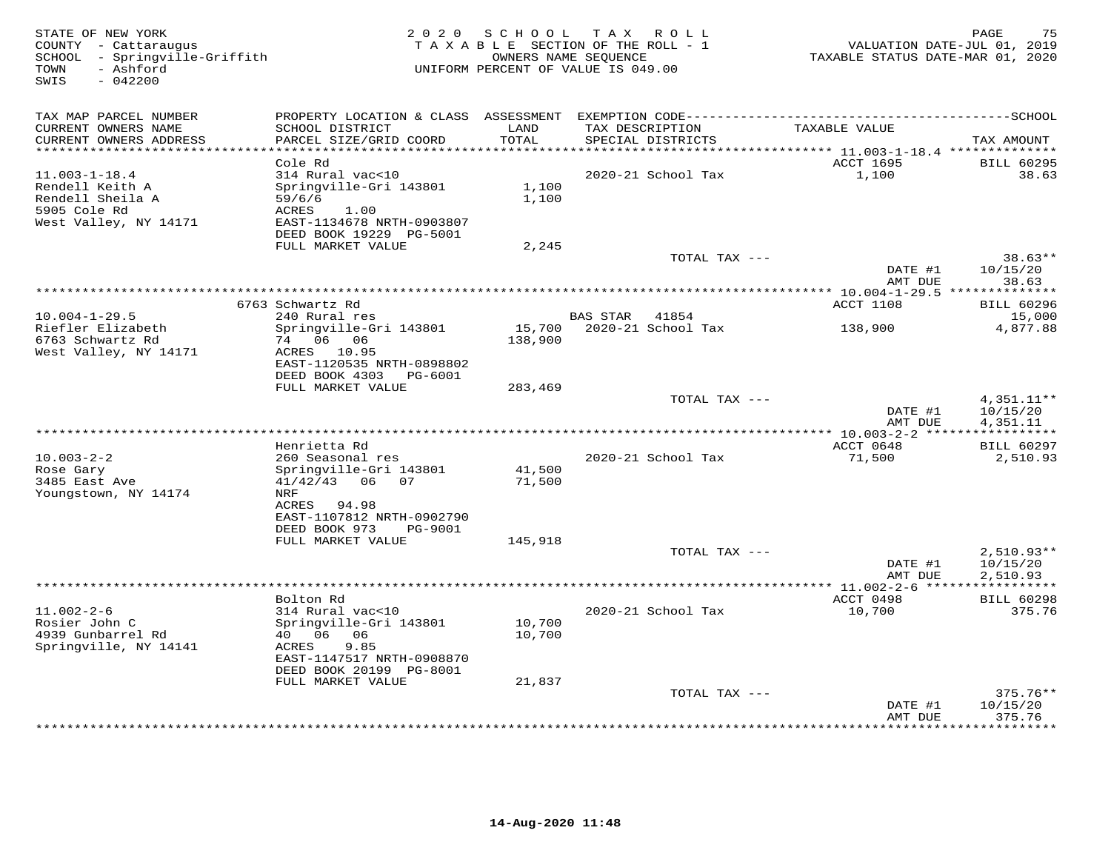| STATE OF NEW YORK<br>COUNTY - Cattaraugus<br>SCHOOL - Springville-Griffith<br>- Ashford<br>TOWN<br>SWIS<br>$-042200$ |                                                    | 2020 SCHOOL | TAX ROLL<br>TAXABLE SECTION OF THE ROLL - 1<br>OWNERS NAME SEQUENCE<br>UNIFORM PERCENT OF VALUE IS 049.00 | TAXABLE STATUS DATE-MAR 01, 2020 | PAGE<br>75<br>VALUATION DATE-JUL 01, 2019 |
|----------------------------------------------------------------------------------------------------------------------|----------------------------------------------------|-------------|-----------------------------------------------------------------------------------------------------------|----------------------------------|-------------------------------------------|
| TAX MAP PARCEL NUMBER<br>CURRENT OWNERS NAME                                                                         | SCHOOL DISTRICT                                    | LAND        | TAX DESCRIPTION                                                                                           | TAXABLE VALUE                    |                                           |
| CURRENT OWNERS ADDRESS<br>**********************                                                                     | PARCEL SIZE/GRID COORD<br>************************ | TOTAL       | SPECIAL DISTRICTS                                                                                         |                                  | TAX AMOUNT                                |
|                                                                                                                      | Cole Rd                                            |             |                                                                                                           | ACCT 1695                        | <b>BILL 60295</b>                         |
| $11.003 - 1 - 18.4$                                                                                                  | 314 Rural vac<10                                   |             | 2020-21 School Tax                                                                                        | 1,100                            | 38.63                                     |
| Rendell Keith A                                                                                                      | Springville-Gri 143801                             | 1,100       |                                                                                                           |                                  |                                           |
| Rendell Sheila A                                                                                                     | 59/6/6                                             | 1,100       |                                                                                                           |                                  |                                           |
| 5905 Cole Rd                                                                                                         | ACRES<br>1.00                                      |             |                                                                                                           |                                  |                                           |
| West Valley, NY 14171                                                                                                | EAST-1134678 NRTH-0903807                          |             |                                                                                                           |                                  |                                           |
|                                                                                                                      | DEED BOOK 19229 PG-5001<br>FULL MARKET VALUE       | 2,245       |                                                                                                           |                                  |                                           |
|                                                                                                                      |                                                    |             | TOTAL TAX ---                                                                                             |                                  | $38.63**$                                 |
|                                                                                                                      |                                                    |             |                                                                                                           | DATE #1                          | 10/15/20                                  |
|                                                                                                                      |                                                    |             |                                                                                                           | AMT DUE                          | 38.63                                     |
|                                                                                                                      |                                                    |             |                                                                                                           |                                  |                                           |
| $10.004 - 1 - 29.5$                                                                                                  | 6763 Schwartz Rd<br>240 Rural res                  |             | BAS STAR<br>41854                                                                                         | ACCT 1108                        | <b>BILL 60296</b><br>15,000               |
| Riefler Elizabeth                                                                                                    | Springville-Gri 143801                             | 15,700      | 2020-21 School Tax                                                                                        | 138,900                          | 4,877.88                                  |
| 6763 Schwartz Rd                                                                                                     | 74 06 06                                           | 138,900     |                                                                                                           |                                  |                                           |
| West Valley, NY 14171                                                                                                | 10.95<br>ACRES                                     |             |                                                                                                           |                                  |                                           |
|                                                                                                                      | EAST-1120535 NRTH-0898802                          |             |                                                                                                           |                                  |                                           |
|                                                                                                                      | DEED BOOK 4303<br>PG-6001<br>FULL MARKET VALUE     | 283,469     |                                                                                                           |                                  |                                           |
|                                                                                                                      |                                                    |             | TOTAL TAX ---                                                                                             |                                  | 4,351.11**                                |
|                                                                                                                      |                                                    |             |                                                                                                           | DATE #1                          | 10/15/20                                  |
|                                                                                                                      |                                                    |             |                                                                                                           | AMT DUE                          | 4,351.11                                  |
|                                                                                                                      |                                                    |             |                                                                                                           | ************ 10.003-2-2 ******   | ***********                               |
| $10.003 - 2 - 2$                                                                                                     | Henrietta Rd<br>260 Seasonal res                   |             | 2020-21 School Tax                                                                                        | ACCT 0648<br>71,500              | <b>BILL 60297</b><br>2,510.93             |
| Rose Gary                                                                                                            | Springville-Gri 143801                             | 41,500      |                                                                                                           |                                  |                                           |
| 3485 East Ave                                                                                                        | $41/42/43$ 06 07                                   | 71,500      |                                                                                                           |                                  |                                           |
| Youngstown, NY 14174                                                                                                 | NRF                                                |             |                                                                                                           |                                  |                                           |
|                                                                                                                      | ACRES 94.98                                        |             |                                                                                                           |                                  |                                           |
|                                                                                                                      | EAST-1107812 NRTH-0902790                          |             |                                                                                                           |                                  |                                           |
|                                                                                                                      | DEED BOOK 973<br>PG-9001<br>FULL MARKET VALUE      | 145,918     |                                                                                                           |                                  |                                           |
|                                                                                                                      |                                                    |             | TOTAL TAX ---                                                                                             |                                  | $2,510.93**$                              |
|                                                                                                                      |                                                    |             |                                                                                                           | DATE #1                          | 10/15/20                                  |
|                                                                                                                      |                                                    |             |                                                                                                           | AMT DUE                          | 2,510.93                                  |
|                                                                                                                      |                                                    |             | *************                                                                                             | ** $11.002 - 2 - 6$ **           |                                           |
| $11.002 - 2 - 6$                                                                                                     | Bolton Rd<br>314 Rural vac<10                      |             | 2020-21 School Tax                                                                                        | ACCT 0498<br>10,700              | <b>BILL 60298</b><br>375.76               |
| Rosier John C                                                                                                        | Springville-Gri 143801                             | 10,700      |                                                                                                           |                                  |                                           |
| 4939 Gunbarrel Rd                                                                                                    | 40  06  06                                         | 10,700      |                                                                                                           |                                  |                                           |
| Springville, NY 14141                                                                                                | 9.85<br>ACRES                                      |             |                                                                                                           |                                  |                                           |
|                                                                                                                      | EAST-1147517 NRTH-0908870                          |             |                                                                                                           |                                  |                                           |
|                                                                                                                      | DEED BOOK 20199 PG-8001                            |             |                                                                                                           |                                  |                                           |
|                                                                                                                      |                                                    |             |                                                                                                           |                                  | $375.76**$                                |
|                                                                                                                      |                                                    |             |                                                                                                           | DATE #1                          | 10/15/20                                  |
|                                                                                                                      |                                                    |             |                                                                                                           | AMT DUE                          | 375.76                                    |
|                                                                                                                      | FULL MARKET VALUE                                  | 21,837      | TOTAL TAX ---                                                                                             |                                  | * * * * * * *                             |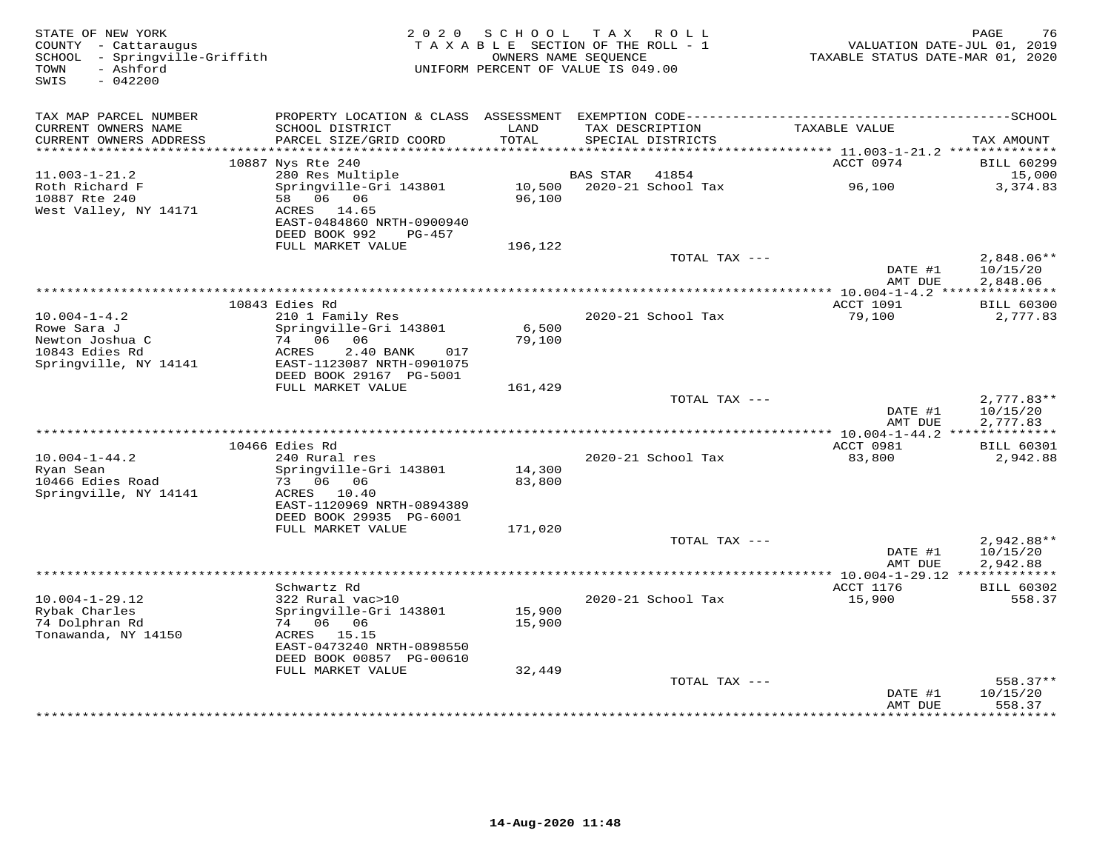| STATE OF NEW YORK<br>COUNTY - Cattaraugus<br>SCHOOL - Springville-Griffith | 2 0 2 0                                                               | SCHOOL<br>TAXABLE SECTION OF THE ROLL - 1<br>OWNERS NAME SEQUENCE |                 | TAX ROLL                             | TAXABLE STATUS DATE-MAR 01, 2020               | PAGE<br>76<br>VALUATION DATE-JUL 01, 2019 |
|----------------------------------------------------------------------------|-----------------------------------------------------------------------|-------------------------------------------------------------------|-----------------|--------------------------------------|------------------------------------------------|-------------------------------------------|
| - Ashford<br>TOWN<br>$-042200$<br>SWIS                                     |                                                                       | UNIFORM PERCENT OF VALUE IS 049.00                                |                 |                                      |                                                |                                           |
| TAX MAP PARCEL NUMBER                                                      |                                                                       |                                                                   |                 |                                      |                                                |                                           |
| CURRENT OWNERS NAME<br>CURRENT OWNERS ADDRESS<br>***********************   | SCHOOL DISTRICT<br>PARCEL SIZE/GRID COORD<br>************************ | LAND<br>TOTAL                                                     |                 | TAX DESCRIPTION<br>SPECIAL DISTRICTS | TAXABLE VALUE                                  | TAX AMOUNT                                |
|                                                                            | 10887 Nys Rte 240                                                     |                                                                   |                 |                                      | ACCT 0974                                      | <b>BILL 60299</b>                         |
| $11.003 - 1 - 21.2$                                                        | 280 Res Multiple                                                      |                                                                   | <b>BAS STAR</b> | 41854                                |                                                | 15,000                                    |
| Roth Richard F<br>10887 Rte 240                                            | Springville-Gri 143801<br>58 06 06                                    | 10,500<br>96,100                                                  |                 | 2020-21 School Tax                   | 96,100                                         | 3,374.83                                  |
| West Valley, NY 14171                                                      | ACRES 14.65<br>EAST-0484860 NRTH-0900940<br>DEED BOOK 992<br>PG-457   |                                                                   |                 |                                      |                                                |                                           |
|                                                                            | FULL MARKET VALUE                                                     | 196,122                                                           |                 |                                      |                                                |                                           |
|                                                                            |                                                                       |                                                                   |                 | TOTAL TAX ---                        | DATE #1<br>AMT DUE                             | $2,848.06**$<br>10/15/20<br>2,848.06      |
|                                                                            |                                                                       | ***********************************                               |                 |                                      | *** 10.004-1-4.2 ****                          | ***********                               |
|                                                                            | 10843 Edies Rd                                                        |                                                                   |                 |                                      | <b>ACCT 1091</b>                               | <b>BILL 60300</b>                         |
| $10.004 - 1 - 4.2$                                                         | 210 1 Family Res                                                      |                                                                   |                 | 2020-21 School Tax                   | 79,100                                         | 2,777.83                                  |
| Rowe Sara J<br>Newton Joshua C                                             | Springville-Gri 143801<br>74 06 06                                    | 6,500<br>79,100                                                   |                 |                                      |                                                |                                           |
| 10843 Edies Rd                                                             | ACRES<br>2.40 BANK<br>017                                             |                                                                   |                 |                                      |                                                |                                           |
| Springville, NY 14141                                                      | EAST-1123087 NRTH-0901075                                             |                                                                   |                 |                                      |                                                |                                           |
|                                                                            | DEED BOOK 29167 PG-5001                                               |                                                                   |                 |                                      |                                                |                                           |
|                                                                            | FULL MARKET VALUE                                                     | 161,429                                                           |                 | TOTAL TAX ---                        |                                                | $2,777.83**$                              |
|                                                                            |                                                                       |                                                                   |                 |                                      | DATE #1                                        | 10/15/20                                  |
|                                                                            |                                                                       |                                                                   |                 |                                      | AMT DUE                                        | 2,777.83                                  |
|                                                                            | 10466 Edies Rd                                                        |                                                                   |                 |                                      | ACCT 0981                                      | <b>BILL 60301</b>                         |
| $10.004 - 1 - 44.2$                                                        | 240 Rural res                                                         |                                                                   |                 | 2020-21 School Tax                   | 83,800                                         | 2,942.88                                  |
| Ryan Sean                                                                  | Springville-Gri 143801                                                | 14,300                                                            |                 |                                      |                                                |                                           |
| 10466 Edies Road                                                           | 73 06 06                                                              | 83,800                                                            |                 |                                      |                                                |                                           |
| Springville, NY 14141                                                      | ACRES 10.40<br>EAST-1120969 NRTH-0894389                              |                                                                   |                 |                                      |                                                |                                           |
|                                                                            | DEED BOOK 29935 PG-6001                                               |                                                                   |                 |                                      |                                                |                                           |
|                                                                            | FULL MARKET VALUE                                                     | 171,020                                                           |                 |                                      |                                                |                                           |
|                                                                            |                                                                       |                                                                   |                 | TOTAL TAX ---                        |                                                | $2,942.88**$                              |
|                                                                            |                                                                       |                                                                   |                 |                                      | DATE #1<br>AMT DUE                             | 10/15/20<br>2,942.88                      |
|                                                                            |                                                                       |                                                                   |                 |                                      | ***************** 10.004-1-29.12 ************* |                                           |
|                                                                            | Schwartz Rd                                                           |                                                                   |                 |                                      | ACCT 1176                                      | <b>BILL 60302</b>                         |
| $10.004 - 1 - 29.12$<br>Rybak Charles                                      | 322 Rural vac>10<br>Springville-Gri 143801                            | 15,900                                                            |                 | 2020-21 School Tax                   | 15,900                                         | 558.37                                    |
| 74 Dolphran Rd                                                             | 74 06 06                                                              | 15,900                                                            |                 |                                      |                                                |                                           |
| Tonawanda, NY 14150                                                        | ACRES 15.15                                                           |                                                                   |                 |                                      |                                                |                                           |
|                                                                            | EAST-0473240 NRTH-0898550                                             |                                                                   |                 |                                      |                                                |                                           |
|                                                                            | DEED BOOK 00857 PG-00610<br>FULL MARKET VALUE                         | 32,449                                                            |                 |                                      |                                                |                                           |
|                                                                            |                                                                       |                                                                   |                 | TOTAL TAX ---                        |                                                | 558.37**                                  |
|                                                                            |                                                                       |                                                                   |                 |                                      | DATE #1                                        | 10/15/20                                  |
|                                                                            |                                                                       |                                                                   |                 |                                      | AMT DUE<br>*********                           | 558.37<br>*********                       |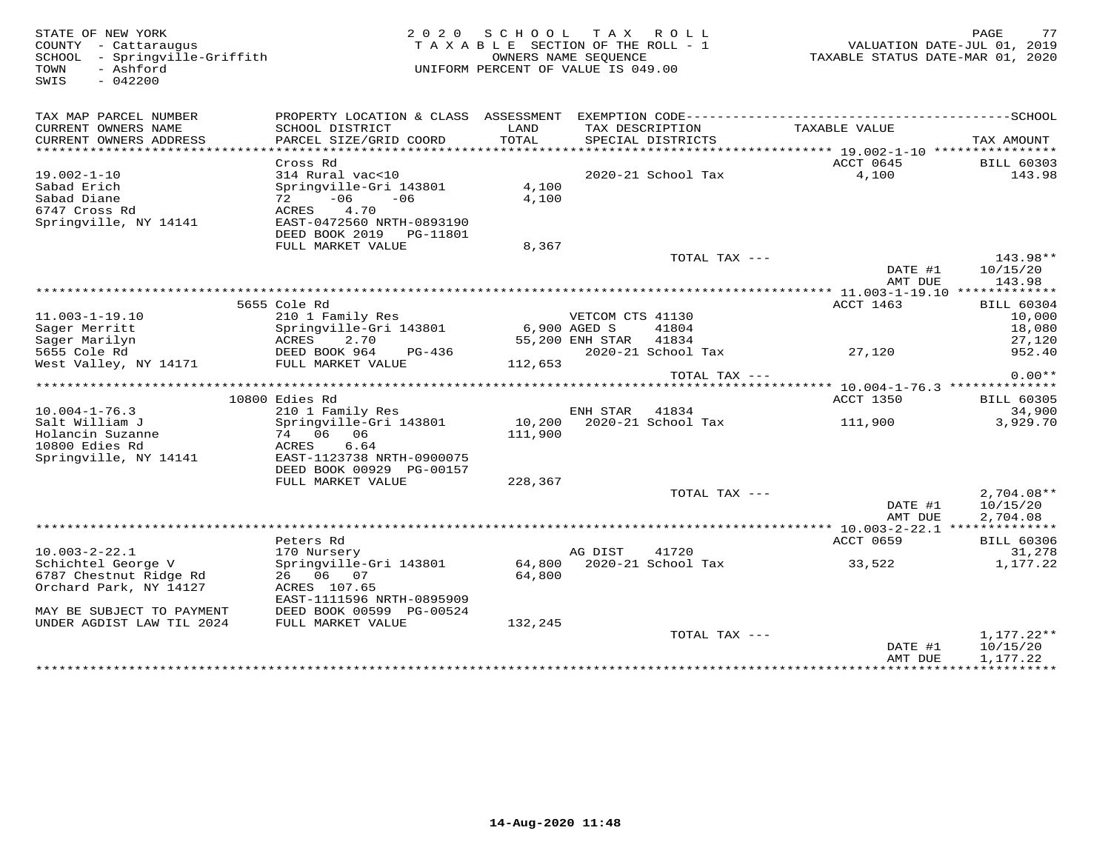77 STATE OF NEW YORK GERE AGE NOT CONTY - CALLARY OR SUBSETION OF THE ROLL AND RESULT A SAME ARE SECTION OF THE ROLL<br>COUNTY - Cattaraugus and the section of the roll - 1 when the section of the Roll - 1 when the section of SWIS - 042200TAX MAP PARCEL NUMBER PROPERTY LOCATION & CLASS ASSESSMENT EXEMPTION CODE------------------------------------------SCHOOL CURRENT OWNERS NAME SCHOOL DISTRICT LAND TAX DESCRIPTION TAXABLE VALUE CURRENT OWNERS ADDRESS PARCEL SIZE/GRID COORD TOTAL SPECIAL DISTRICTS TAX AMOUNT \*\*\*\*\*\*\*\*\*\*\*\*\*\*\*\*\*\*\*\*\*\*\*\*\*\*\*\*\*\*\*\*\*\*\*\*\*\*\*\*\*\*\*\*\*\*\*\*\*\*\*\*\*\*\*\*\*\*\*\*\*\*\*\*\*\*\*\*\*\*\*\*\*\*\*\*\*\*\*\*\*\*\*\*\*\*\*\*\*\*\*\*\*\*\*\*\*\*\*\*\*\*\* 19.002-1-10 \*\*\*\*\*\*\*\*\*\*\*\*\*\*\*\* Cross Rd ACCT 0645 BILL 60303 19.002-1-10 314 Rural vac<10 2020-21 School Tax 4,100 143.98Sabad Erich Springville-Gri 143801 4,100 Sabad Diane 72 -06 -06 4,100 6747 Cross Rd ACRES 4.70 Springville, NY 14141 EAST-0472560 NRTH-0893190 DEED BOOK 2019 PG-11801FULL MARKET VALUE 8,367 TOTAL TAX --- 143.98\*\* DATE #1 10/15/20 AMT DUE 143.98\*\*\*\*\*\*\*\*\*\*\*\*\*\*\*\*\*\*\*\*\*\*\*\*\*\*\*\*\*\*\*\*\*\*\*\*\*\*\*\*\*\*\*\*\*\*\*\*\*\*\*\*\*\*\*\*\*\*\*\*\*\*\*\*\*\*\*\*\*\*\*\*\*\*\*\*\*\*\*\*\*\*\*\*\*\*\*\*\*\*\*\*\*\*\*\*\*\*\*\*\*\*\* 11.003-1-19.10 \*\*\*\*\*\*\*\*\*\*\*\*\*ACCT 1463 BILL 60304 5655 Cole Rd ACCT 1463 BILL 6030410,000 11.003-1-19.10 210 1 Family Res VETCOM CTS 41130 10,000 18,080 Sager Merritt Springville-Gri 143801 6,900 AGED S 41804 18,08027,120 Sager Marilyn ACRES 2.70 55,200 ENH STAR 41834 27,120952.40 5655 Cole Rd DEED BOOK 964 PG-436 2020-21 School Tax 27,120 952.40West Valley, NY 14171 FULL MARKET VALUE 112,653 TOTAL TAX --- 0.00\*\* \*\*\*\*\*\*\*\*\*\*\*\*\*\*\*\*\*\*\*\*\*\*\*\*\*\*\*\*\*\*\*\*\*\*\*\*\*\*\*\*\*\*\*\*\*\*\*\*\*\*\*\*\*\*\*\*\*\*\*\*\*\*\*\*\*\*\*\*\*\*\*\*\*\*\*\*\*\*\*\*\*\*\*\*\*\*\*\*\*\*\*\*\*\*\*\*\*\*\*\*\*\*\* 10.004-1-76.3 \*\*\*\*\*\*\*\*\*\*\*\*\*\*ACCT 1350 BILL 60305 10800 Edies Rd ACCT 1350 BILL 6030534,900 10.004-1-76.3 210 1 Family Res ENH STAR 41834 34,9003.929.70 Salt William J Springville-Gri 143801 10,200 2020-21 School Tax 111,900 3,929.70Holancin Suzanne 74 06 06 111,900 Holancin Suzanne<br>10800 Edies Rd Springville, NY 14141 EAST-1123738 NRTH-0900075 DEED BOOK 00929 PG-00157 DEED BOOK 00929 PG-00157 FULL MARKET VALUE 228,367 TOTAL TAX --- 2,704.08\*\* $\text{DATE}$  #1  $10/15/20$  AMT DUE 2,704.08 \*\*\*\*\*\*\*\*\*\*\*\*\*\*\*\*\*\*\*\*\*\*\*\*\*\*\*\*\*\*\*\*\*\*\*\*\*\*\*\*\*\*\*\*\*\*\*\*\*\*\*\*\*\*\*\*\*\*\*\*\*\*\*\*\*\*\*\*\*\*\*\*\*\*\*\*\*\*\*\*\*\*\*\*\*\*\*\*\*\*\*\*\*\*\*\*\*\*\*\*\*\*\* 10.003-2-22.1 \*\*\*\*\*\*\*\*\*\*\*\*\*\* Peters Rd ACCT 0659 BILL 60306 10.003-2-22.1 170 Nursery AG DIST 41720 31,278 Schichtel George V Springville-Gri 143801 64,800 2020-21 School Tax 33,522 1,177.22 6787 Chestnut Ridge Rd 26 06 07 64,800 Orchard Park, NY 14127 ACRES 107.65 EAST-1111596 NRTH-0895909 MAY BE SUBJECT TO PAYMENT DEED BOOK 00599 PG-00524 UNDER AGDIST LAW TIL 2024 FULL MARKET VALUE 132,245 TOTAL TAX --- 1,177.22\*\*DATE #1 10/15/20<br>AMT DUE 1,177.22 \*\*\*\*\*\*\*\*\*\*\*\*\*\*\*\*\*\*\*\*\*\*\*\*\*\*\*\*\*\*\*\*\*\*\*\*\*\*\*\*\*\*\*\*\*\*\*\*\*\*\*\*\*\*\*\*\*\*\*\*\*\*\*\*\*\*\*\*\*\*\*\*\*\*\*\*\*\*\*\*\*\*\*\*\*\*\*\*\*\*\*\*\*\*\*\*\*\*\*\*\*\*\*\*\*\*\*\*\*\*\*\*\*\*\*\*\*\*\*\*\*\*\*\*\*\*\*\*\*\*\*\*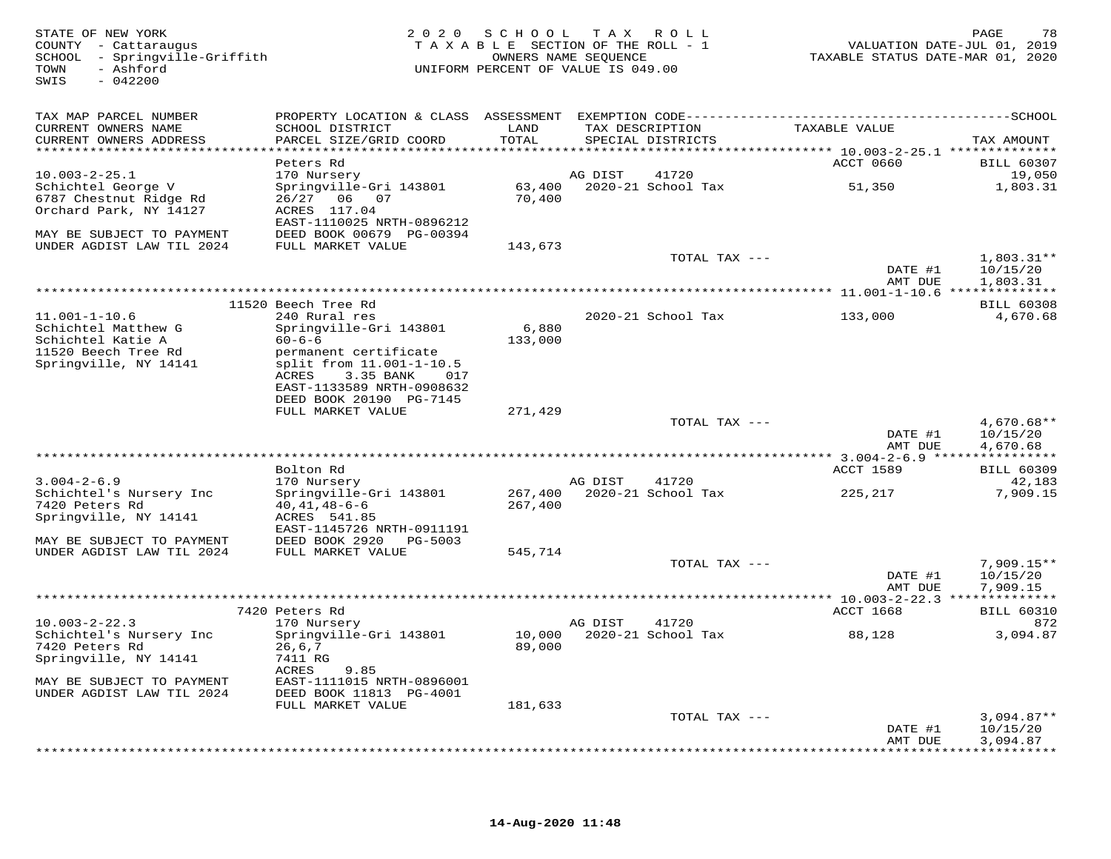| STATE OF NEW YORK<br>COUNTY - Cattaraugus<br>SCHOOL - Springville-Griffith<br>- Ashford<br>TOWN<br>$-042200$<br>SWIS |                                                      |                  | 2020 SCHOOL TAX ROLL<br>TAXABLE SECTION OF THE ROLL - 1<br>OWNERS NAME SEQUENCE<br>UNIFORM PERCENT OF VALUE IS 049.00 | VALUATION DATE-JUL 01, 2019<br>TAXABLE STATUS DATE-MAR 01, 2020 | PAGE<br>78               |
|----------------------------------------------------------------------------------------------------------------------|------------------------------------------------------|------------------|-----------------------------------------------------------------------------------------------------------------------|-----------------------------------------------------------------|--------------------------|
| TAX MAP PARCEL NUMBER<br>CURRENT OWNERS NAME                                                                         | SCHOOL DISTRICT                                      | LAND             | TAX DESCRIPTION                                                                                                       | TAXABLE VALUE                                                   |                          |
| CURRENT OWNERS ADDRESS                                                                                               | PARCEL SIZE/GRID COORD                               | TOTAL            | SPECIAL DISTRICTS                                                                                                     |                                                                 | TAX AMOUNT               |
| ************************                                                                                             | Peters Rd                                            |                  |                                                                                                                       | ACCT 0660                                                       | <b>BILL 60307</b>        |
| $10.003 - 2 - 25.1$                                                                                                  | 170 Nursery                                          |                  | 41720<br>AG DIST                                                                                                      |                                                                 | 19,050                   |
| Schichtel George V                                                                                                   | Springville-Gri 143801                               | 63,400           | 2020-21 School Tax                                                                                                    | 51,350                                                          | 1,803.31                 |
| 6787 Chestnut Ridge Rd                                                                                               | 26/27 06 07                                          | 70,400           |                                                                                                                       |                                                                 |                          |
| Orchard Park, NY 14127                                                                                               | ACRES 117.04<br>EAST-1110025 NRTH-0896212            |                  |                                                                                                                       |                                                                 |                          |
| MAY BE SUBJECT TO PAYMENT                                                                                            | DEED BOOK 00679 PG-00394                             |                  |                                                                                                                       |                                                                 |                          |
| UNDER AGDIST LAW TIL 2024                                                                                            | FULL MARKET VALUE                                    | 143,673          |                                                                                                                       |                                                                 |                          |
|                                                                                                                      |                                                      |                  | TOTAL TAX ---                                                                                                         |                                                                 | 1,803.31**               |
|                                                                                                                      |                                                      |                  |                                                                                                                       | DATE #1<br>AMT DUE                                              | 10/15/20<br>1,803.31     |
|                                                                                                                      |                                                      |                  |                                                                                                                       |                                                                 |                          |
|                                                                                                                      | 11520 Beech Tree Rd                                  |                  |                                                                                                                       |                                                                 | <b>BILL 60308</b>        |
| $11.001 - 1 - 10.6$                                                                                                  | 240 Rural res                                        |                  | 2020-21 School Tax                                                                                                    | 133,000                                                         | 4,670.68                 |
| Schichtel Matthew G<br>Schichtel Katie A                                                                             | Springville-Gri 143801<br>$60 - 6 - 6$               | 6,880<br>133,000 |                                                                                                                       |                                                                 |                          |
| 11520 Beech Tree Rd                                                                                                  | permanent certificate                                |                  |                                                                                                                       |                                                                 |                          |
| Springville, NY 14141                                                                                                | split from 11.001-1-10.5                             |                  |                                                                                                                       |                                                                 |                          |
|                                                                                                                      | ACRES<br>3.35 BANK 017                               |                  |                                                                                                                       |                                                                 |                          |
|                                                                                                                      | EAST-1133589 NRTH-0908632<br>DEED BOOK 20190 PG-7145 |                  |                                                                                                                       |                                                                 |                          |
|                                                                                                                      | FULL MARKET VALUE                                    | 271,429          |                                                                                                                       |                                                                 |                          |
|                                                                                                                      |                                                      |                  | TOTAL TAX ---                                                                                                         |                                                                 | $4,670.68**$             |
|                                                                                                                      |                                                      |                  |                                                                                                                       | DATE #1                                                         | 10/15/20                 |
|                                                                                                                      |                                                      |                  |                                                                                                                       | AMT DUE                                                         | 4,670.68                 |
|                                                                                                                      | Bolton Rd                                            |                  |                                                                                                                       | ACCT 1589                                                       | <b>BILL 60309</b>        |
| $3.004 - 2 - 6.9$                                                                                                    | 170 Nursery                                          |                  | AG DIST<br>41720                                                                                                      |                                                                 | 42,183                   |
| Schichtel's Nursery Inc                                                                                              | Springville-Gri 143801                               | 267,400          | 2020-21 School Tax                                                                                                    | 225,217                                                         | 7,909.15                 |
| 7420 Peters Rd<br>Springville, NY 14141                                                                              | $40, 41, 48 - 6 - 6$<br>ACRES 541.85                 | 267,400          |                                                                                                                       |                                                                 |                          |
|                                                                                                                      | EAST-1145726 NRTH-0911191                            |                  |                                                                                                                       |                                                                 |                          |
| MAY BE SUBJECT TO PAYMENT                                                                                            | DEED BOOK 2920 PG-5003                               |                  |                                                                                                                       |                                                                 |                          |
| UNDER AGDIST LAW TIL 2024                                                                                            | FULL MARKET VALUE                                    | 545,714          |                                                                                                                       |                                                                 |                          |
|                                                                                                                      |                                                      |                  | TOTAL TAX ---                                                                                                         | DATE #1                                                         | $7,909.15**$<br>10/15/20 |
|                                                                                                                      |                                                      |                  |                                                                                                                       | AMT DUE                                                         | 7,909.15                 |
|                                                                                                                      |                                                      |                  |                                                                                                                       |                                                                 |                          |
|                                                                                                                      | 7420 Peters Rd                                       |                  |                                                                                                                       | ACCT 1668                                                       | <b>BILL 60310</b>        |
| $10.003 - 2 - 22.3$<br>Schichtel's Nursery Inc                                                                       | 170 Nursery<br>Springville-Gri 143801                | 10,000           | 41720<br>AG DIST<br>2020-21 School Tax                                                                                | 88,128                                                          | 872<br>3,094.87          |
| 7420 Peters Rd                                                                                                       | 26,6,7                                               | 89,000           |                                                                                                                       |                                                                 |                          |
| Springville, NY 14141                                                                                                | 7411 RG                                              |                  |                                                                                                                       |                                                                 |                          |
|                                                                                                                      | ACRES<br>9.85                                        |                  |                                                                                                                       |                                                                 |                          |
| MAY BE SUBJECT TO PAYMENT<br>UNDER AGDIST LAW TIL 2024                                                               | EAST-1111015 NRTH-0896001<br>DEED BOOK 11813 PG-4001 |                  |                                                                                                                       |                                                                 |                          |
|                                                                                                                      | FULL MARKET VALUE                                    | 181,633          |                                                                                                                       |                                                                 |                          |
|                                                                                                                      |                                                      |                  | TOTAL TAX ---                                                                                                         |                                                                 | $3,094.87**$             |
|                                                                                                                      |                                                      |                  |                                                                                                                       | DATE #1                                                         | 10/15/20                 |
|                                                                                                                      |                                                      |                  |                                                                                                                       | AMT DUE                                                         | 3,094.87                 |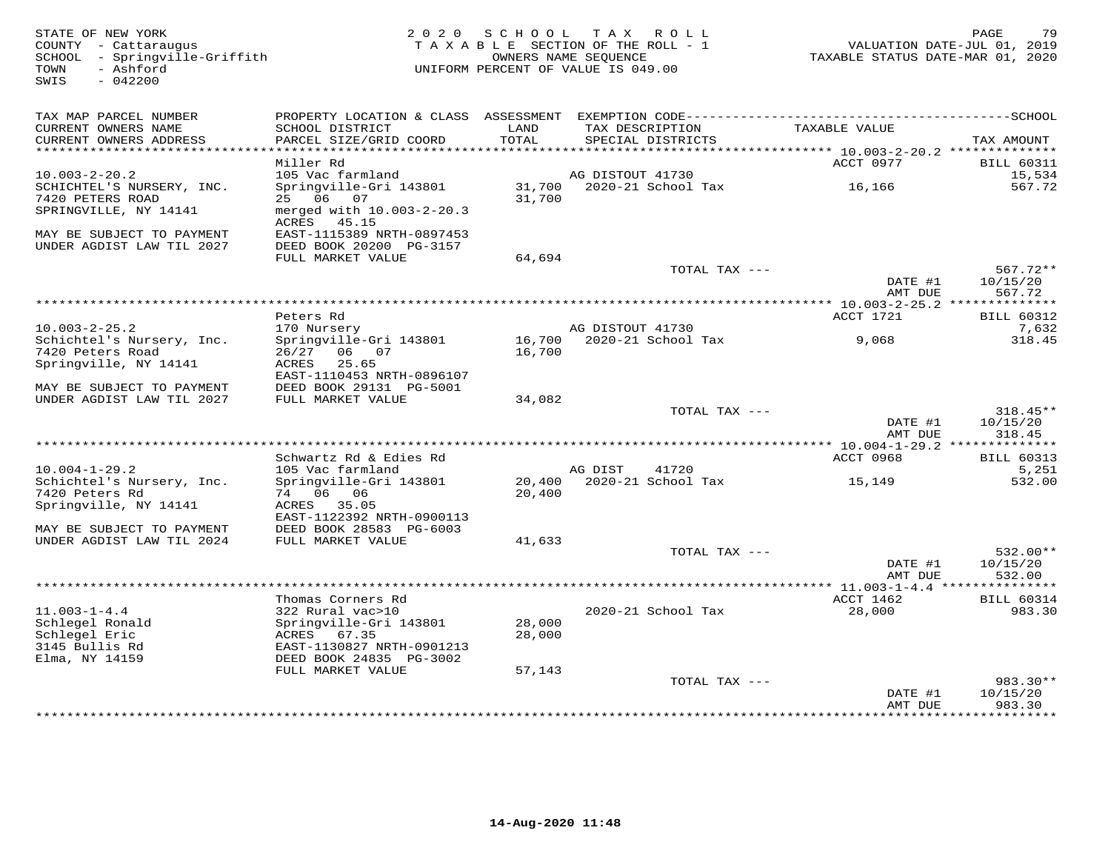STATE OF NEW YORK MESS FOR SOLUTE A SUBSETION OF THE ROLL TO A SUBSETION OF THE ROLL TO A MONE OUNTY - CATATAUR<br>COUNTY - Cattaraugus TAXABLE SECTION OF THE ROLL - 1 WALUATION DATE-JUL 01, 2019<br>SOMON - Ashford (1, 2020) TAX SWIS - 042200TAX MAP PARCEL NUMBER PROPERTY LOCATION & CLASS ASSESSMENT EXEMPTION CODE------------------------------------------SCHOOL CURRENT OWNERS NAME SCHOOL DISTRICT LAND TAX DESCRIPTION TAXABLE VALUE CURRENT OWNERS ADDRESS PARCEL SIZE/GRID COORD TOTAL SPECIAL DISTRICTS TAX AMOUNT \*\*\*\*\*\*\*\*\*\*\*\*\*\*\*\*\*\*\*\*\*\*\*\*\*\*\*\*\*\*\*\*\*\*\*\*\*\*\*\*\*\*\*\*\*\*\*\*\*\*\*\*\*\*\*\*\*\*\*\*\*\*\*\*\*\*\*\*\*\*\*\*\*\*\*\*\*\*\*\*\*\*\*\*\*\*\*\*\*\*\*\*\*\*\*\*\*\*\*\*\*\*\* 10.003-2-20.2 \*\*\*\*\*\*\*\*\*\*\*\*\*\* Miller Rd ACCT 0977 BILL 6031115.534 10.003-2-20.2 105 Vac farmland AG DISTOUT 41730 567 72 SCHICHTEL'S NURSERY, INC. Springville-Gri 143801 31,700 2020-21 School Tax 16,166 567.727420 PETERS ROAD 25 06 07 31,700 SPRINGVILLE, NY 14141 merged with 10.003-2-20.3 ACRES 45.15 MAY BE SUBJECT TO PAYMENT EAST-1115389 NRTH-0897453 UNDER AGDIST LAW TIL 2027 DEED BOOK 20200 PG-3157 FULL MARKET VALUE 64,694 TOTAL TAX --- 567.72\*\* DATE #1 10/15/20 AMT DUE 567.72 \*\*\*\*\*\*\*\*\*\*\*\*\*\*\*\*\*\*\*\*\*\*\*\*\*\*\*\*\*\*\*\*\*\*\*\*\*\*\*\*\*\*\*\*\*\*\*\*\*\*\*\*\*\*\*\*\*\*\*\*\*\*\*\*\*\*\*\*\*\*\*\*\*\*\*\*\*\*\*\*\*\*\*\*\*\*\*\*\*\*\*\*\*\*\*\*\*\*\*\*\*\*\* 10.003-2-25.2 \*\*\*\*\*\*\*\*\*\*\*\*\*\*ACCT 1721 BILL 60312 Peters Rd ACCT 1721 BILL 603127,632 10.003-2-25.2 170 Nursery AG DISTOUT 41730 7,632318.45 Schichtel's Nursery, Inc. Springville-Gri 143801 16,700 2020-21 School Tax 9,068 318.457420 Peters Road 26/27 06 07 16,700 Springville, NY 14141 ACRES 25.65 EAST-1110453 NRTH-0896107 MAY BE SUBJECT TO PAYMENT DEED BOOK 29131 PG-5001 UNDER AGDIST LAW TIL 2027 FULL MARKET VALUE 34,082 TOTAL TAX --- 318.45\*\* $\text{DATE}$  #1  $10/15/20$ 318.45 AMT DUE 318.45 \*\*\*\*\*\*\*\*\*\*\*\*\*\*\*\*\*\*\*\*\*\*\*\*\*\*\*\*\*\*\*\*\*\*\*\*\*\*\*\*\*\*\*\*\*\*\*\*\*\*\*\*\*\*\*\*\*\*\*\*\*\*\*\*\*\*\*\*\*\*\*\*\*\*\*\*\*\*\*\*\*\*\*\*\*\*\*\*\*\*\*\*\*\*\*\*\*\*\*\*\*\*\* 10.004-1-29.2 \*\*\*\*\*\*\*\*\*\*\*\*\*\*ACCT 0968 BILL 60313 Schwartz Rd & Edies Rd ACCT 0968 BILL 60313 $5.251$ 10.004-1-29.2 105 Vac farmland AG DIST 41720 5,251532.00 Schichtel's Nursery, Inc. Springville-Gri 143801 20,400 2020-21 School Tax 15,149 532.007420 Peters Rd 74 06 06 20,400 Springville, NY 14141 ACRES 35.05 EAST-1122392 NRTH-0900113 MAY BE SUBJECT TO PAYMENT DEED BOOK 28583 PG-6003 UNDER AGDIST LAW TIL 2024 FULL MARKET VALUE 41,633 TOTAL TAX --- 532.00\*\* $\text{DATE}$  #1  $10/15/20$ AMT DUE 532.00 AMT DUE 532.00 \*\*\*\*\*\*\*\*\*\*\*\*\*\*\*\*\*\*\*\*\*\*\*\*\*\*\*\*\*\*\*\*\*\*\*\*\*\*\*\*\*\*\*\*\*\*\*\*\*\*\*\*\*\*\*\*\*\*\*\*\*\*\*\*\*\*\*\*\*\*\*\*\*\*\*\*\*\*\*\*\*\*\*\*\*\*\*\*\*\*\*\*\*\*\*\*\*\*\*\*\*\*\* 11.003-1-4.4 \*\*\*\*\*\*\*\*\*\*\*\*\*\*\* $\text{ACCT}$  1462 BILL 60314 Thomas Corners Rd ACCT 1462 BILL 60314983.30 11.003-1-4.4 322 Rural vac>10 2020-21 School Tax 28,000 983.30Schlegel Ronald Springville-Gri 143801 28,000 Schlegel Eric ACRES 67.35 28,000 3145 Bullis Rd EAST-1130827 NRTH-0901213 Elma, NY 14159 DEED BOOK 24835 PG-3002 FULL MARKET VALUE 57,143 TOTAL TAX --- 983.30\*\* $\text{DATE}$  #1  $10/15/20$ AMT DUE 983.30

\*\*\*\*\*\*\*\*\*\*\*\*\*\*\*\*\*\*\*\*\*\*\*\*\*\*\*\*\*\*\*\*\*\*\*\*\*\*\*\*\*\*\*\*\*\*\*\*\*\*\*\*\*\*\*\*\*\*\*\*\*\*\*\*\*\*\*\*\*\*\*\*\*\*\*\*\*\*\*\*\*\*\*\*\*\*\*\*\*\*\*\*\*\*\*\*\*\*\*\*\*\*\*\*\*\*\*\*\*\*\*\*\*\*\*\*\*\*\*\*\*\*\*\*\*\*\*\*\*\*\*\*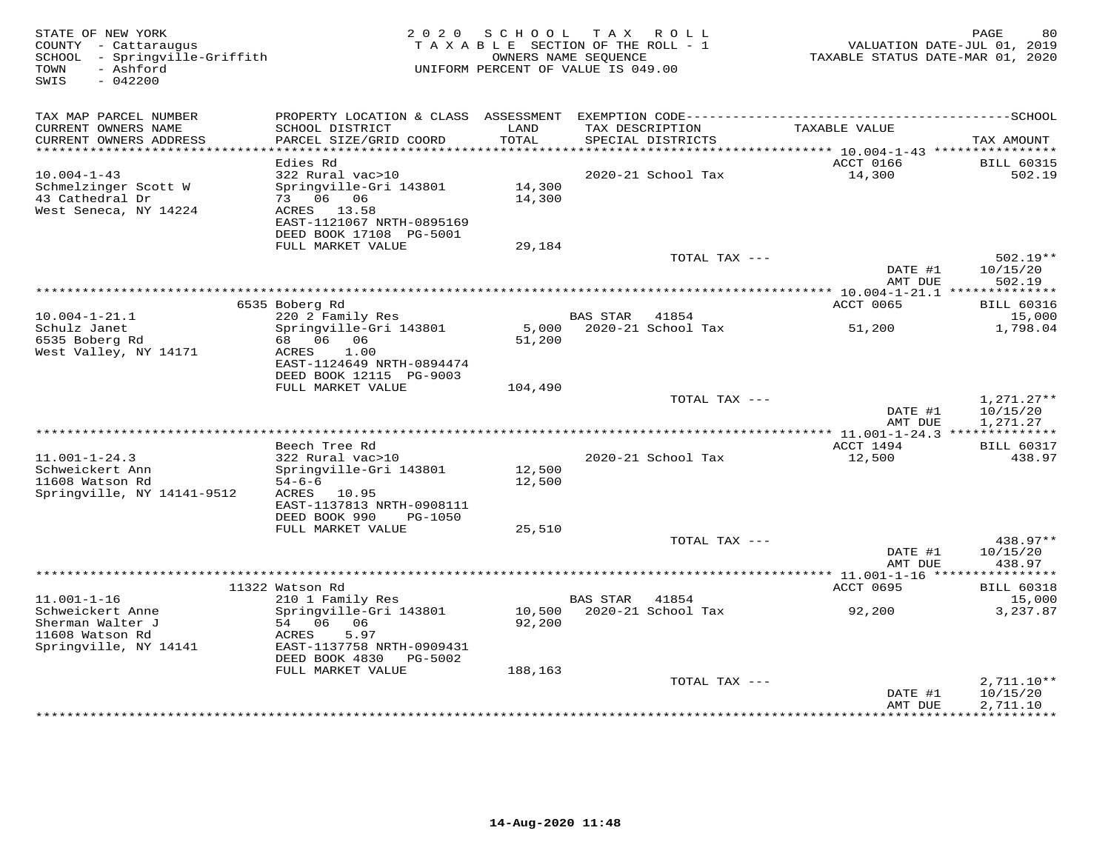| STATE OF NEW YORK<br>COUNTY - Cattaraugus<br>SCHOOL - Springville-Griffith<br>- Ashford<br>TOWN<br>SWIS<br>$-042200$ | 2 0 2 0                                                                     | SCHOOL<br>TAXABLE SECTION OF THE ROLL - 1<br>OWNERS NAME SEQUENCE<br>UNIFORM PERCENT OF VALUE IS 049.00 | T A X           | R O L L            | VALUATION DATE-JUL 01, 2019<br>TAXABLE STATUS DATE-MAR 01, 2020 | PAGE<br>80                        |
|----------------------------------------------------------------------------------------------------------------------|-----------------------------------------------------------------------------|---------------------------------------------------------------------------------------------------------|-----------------|--------------------|-----------------------------------------------------------------|-----------------------------------|
| TAX MAP PARCEL NUMBER                                                                                                |                                                                             |                                                                                                         |                 |                    |                                                                 |                                   |
| CURRENT OWNERS NAME<br>CURRENT OWNERS ADDRESS<br>***********************                                             | SCHOOL DISTRICT<br>PARCEL SIZE/GRID COORD<br>*************************      | LAND<br>TOTAL                                                                                           | TAX DESCRIPTION | SPECIAL DISTRICTS  | TAXABLE VALUE                                                   | TAX AMOUNT                        |
|                                                                                                                      | Edies Rd                                                                    |                                                                                                         |                 |                    | ACCT 0166                                                       | <b>BILL 60315</b>                 |
| $10.004 - 1 - 43$                                                                                                    | 322 Rural vac>10                                                            |                                                                                                         |                 | 2020-21 School Tax | 14,300                                                          | 502.19                            |
| Schmelzinger Scott W<br>43 Cathedral Dr                                                                              | Springville-Gri 143801<br>73 06 06                                          | 14,300<br>14,300                                                                                        |                 |                    |                                                                 |                                   |
| West Seneca, NY 14224                                                                                                | ACRES 13.58<br>EAST-1121067 NRTH-0895169<br>DEED BOOK 17108 PG-5001         |                                                                                                         |                 |                    |                                                                 |                                   |
|                                                                                                                      | FULL MARKET VALUE                                                           | 29,184                                                                                                  |                 |                    |                                                                 |                                   |
|                                                                                                                      |                                                                             |                                                                                                         |                 | TOTAL TAX ---      | DATE #1                                                         | $502.19**$<br>10/15/20            |
|                                                                                                                      |                                                                             | *********************************                                                                       |                 |                    | AMT DUE<br>********** 10.004-1-21.1 **************              | 502.19                            |
|                                                                                                                      | 6535 Boberg Rd                                                              |                                                                                                         |                 |                    | ACCT 0065                                                       | <b>BILL 60316</b>                 |
| $10.004 - 1 - 21.1$                                                                                                  | 220 2 Family Res                                                            |                                                                                                         | <b>BAS STAR</b> | 41854              |                                                                 | 15,000                            |
| Schulz Janet                                                                                                         | Springville-Gri 143801                                                      | 5,000                                                                                                   |                 | 2020-21 School Tax | 51,200                                                          | 1,798.04                          |
| 6535 Boberg Rd<br>West Valley, NY 14171                                                                              | 68 06 06<br>ACRES<br>1.00<br>EAST-1124649 NRTH-0894474                      | 51,200                                                                                                  |                 |                    |                                                                 |                                   |
|                                                                                                                      | DEED BOOK 12115 PG-9003                                                     |                                                                                                         |                 |                    |                                                                 |                                   |
|                                                                                                                      | FULL MARKET VALUE                                                           | 104,490                                                                                                 |                 | TOTAL TAX ---      |                                                                 | $1,271.27**$                      |
|                                                                                                                      |                                                                             |                                                                                                         |                 |                    | DATE #1<br>AMT DUE                                              | 10/15/20<br>1,271.27              |
|                                                                                                                      |                                                                             |                                                                                                         |                 |                    |                                                                 |                                   |
|                                                                                                                      | Beech Tree Rd                                                               |                                                                                                         |                 |                    | ACCT 1494                                                       | <b>BILL 60317</b>                 |
| $11.001 - 1 - 24.3$<br>Schweickert Ann                                                                               | 322 Rural vac>10<br>Springville-Gri 143801                                  | 12,500                                                                                                  |                 | 2020-21 School Tax | 12,500                                                          | 438.97                            |
| 11608 Watson Rd                                                                                                      | $54 - 6 - 6$                                                                | 12,500                                                                                                  |                 |                    |                                                                 |                                   |
| Springville, NY 14141-9512                                                                                           | ACRES 10.95<br>EAST-1137813 NRTH-0908111                                    |                                                                                                         |                 |                    |                                                                 |                                   |
|                                                                                                                      | DEED BOOK 990<br>PG-1050                                                    |                                                                                                         |                 |                    |                                                                 |                                   |
|                                                                                                                      | FULL MARKET VALUE                                                           | 25,510                                                                                                  |                 |                    |                                                                 |                                   |
|                                                                                                                      |                                                                             |                                                                                                         |                 | TOTAL TAX ---      |                                                                 | 438.97**                          |
|                                                                                                                      |                                                                             |                                                                                                         |                 |                    | DATE #1<br>AMT DUE                                              | 10/15/20<br>438.97<br>*********** |
|                                                                                                                      | 11322 Watson Rd                                                             |                                                                                                         |                 |                    | ACCT 0695                                                       | <b>BILL 60318</b>                 |
| $11.001 - 1 - 16$                                                                                                    | 210 1 Family Res                                                            |                                                                                                         | <b>BAS STAR</b> | 41854              |                                                                 | 15,000                            |
| Schweickert Anne                                                                                                     | Springville-Gri 143801                                                      | 10,500                                                                                                  |                 | 2020-21 School Tax | 92,200                                                          | 3,237.87                          |
| Sherman Walter J                                                                                                     | 54 06 06                                                                    | 92,200                                                                                                  |                 |                    |                                                                 |                                   |
| 11608 Watson Rd                                                                                                      | 5.97<br>ACRES                                                               |                                                                                                         |                 |                    |                                                                 |                                   |
| Springville, NY 14141                                                                                                | EAST-1137758 NRTH-0909431<br>DEED BOOK 4830<br>PG-5002<br>FULL MARKET VALUE | 188,163                                                                                                 |                 |                    |                                                                 |                                   |
|                                                                                                                      |                                                                             |                                                                                                         |                 | TOTAL TAX ---      |                                                                 | 2,711.10**                        |
|                                                                                                                      |                                                                             |                                                                                                         |                 |                    | DATE #1<br>AMT DUE                                              | 10/15/20<br>2,711.10              |
|                                                                                                                      |                                                                             |                                                                                                         |                 |                    |                                                                 | <b>++++++++++</b>                 |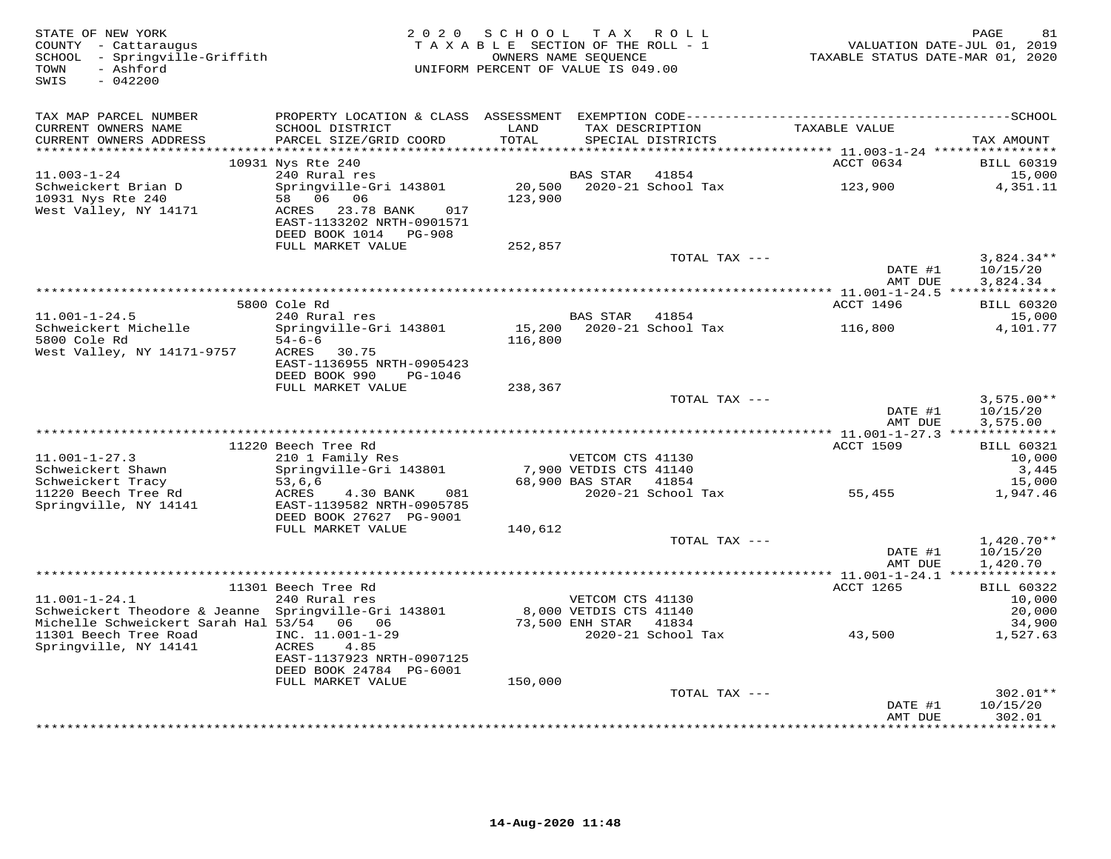| STATE OF NEW YORK<br>COUNTY - Cattaraugus<br>SCHOOL - Springville-Griffith<br>- Ashford<br>TOWN<br>SWIS<br>$-042200$ | 2 0 2 0                                                                           | SCHOOL TAX ROLL<br>TAXABLE SECTION OF THE ROLL - 1<br>UNIFORM PERCENT OF VALUE IS 049.00 | OWNERS NAME SEOUENCE                                           |                                      | VALUATION DATE-JUL 01, 2019<br>TAXABLE STATUS DATE-MAR 01, 2020 | PAGE<br>81                           |
|----------------------------------------------------------------------------------------------------------------------|-----------------------------------------------------------------------------------|------------------------------------------------------------------------------------------|----------------------------------------------------------------|--------------------------------------|-----------------------------------------------------------------|--------------------------------------|
| TAX MAP PARCEL NUMBER<br>CURRENT OWNERS NAME<br>CURRENT OWNERS ADDRESS                                               | SCHOOL DISTRICT<br>PARCEL SIZE/GRID COORD                                         | LAND<br>TOTAL                                                                            |                                                                | TAX DESCRIPTION<br>SPECIAL DISTRICTS | TAXABLE VALUE                                                   | TAX AMOUNT                           |
| *********************                                                                                                |                                                                                   | ********************                                                                     |                                                                |                                      | **************************** 11.003-1-24 ****************       |                                      |
|                                                                                                                      | 10931 Nys Rte 240                                                                 |                                                                                          |                                                                |                                      | ACCT 0634                                                       | <b>BILL 60319</b>                    |
| $11.003 - 1 - 24$<br>Schweickert Brian D<br>10931 Nys Rte 240<br>West Valley, NY 14171                               | 240 Rural res<br>Springville-Gri 143801<br>58 06 06<br>ACRES 23.78 BANK<br>017    | 20,500<br>123,900                                                                        | BAS STAR                                                       | 41854<br>2020-21 School Tax          | 123,900                                                         | 15,000<br>4,351.11                   |
|                                                                                                                      | EAST-1133202 NRTH-0901571<br>DEED BOOK 1014 PG-908                                |                                                                                          |                                                                |                                      |                                                                 |                                      |
|                                                                                                                      | FULL MARKET VALUE                                                                 | 252,857                                                                                  |                                                                |                                      |                                                                 |                                      |
|                                                                                                                      |                                                                                   |                                                                                          |                                                                | TOTAL TAX ---                        | DATE #1<br>AMT DUE                                              | $3,824.34**$<br>10/15/20<br>3,824.34 |
|                                                                                                                      |                                                                                   |                                                                                          |                                                                |                                      |                                                                 |                                      |
|                                                                                                                      | 5800 Cole Rd                                                                      |                                                                                          |                                                                |                                      | ACCT 1496                                                       | <b>BILL 60320</b>                    |
| $11.001 - 1 - 24.5$<br>Schweickert Michelle                                                                          | 240 Rural res<br>Springville-Gri 143801                                           |                                                                                          | BAS STAR 41854                                                 | 15,200 2020-21 School Tax            |                                                                 | 15,000<br>4,101.77                   |
| 5800 Cole Rd                                                                                                         | $54 - 6 - 6$                                                                      | 116,800                                                                                  |                                                                |                                      | 116,800                                                         |                                      |
| West Valley, NY 14171-9757                                                                                           | ACRES 30.75                                                                       |                                                                                          |                                                                |                                      |                                                                 |                                      |
|                                                                                                                      | EAST-1136955 NRTH-0905423                                                         |                                                                                          |                                                                |                                      |                                                                 |                                      |
|                                                                                                                      | DEED BOOK 990<br>PG-1046<br>FULL MARKET VALUE                                     |                                                                                          |                                                                |                                      |                                                                 |                                      |
|                                                                                                                      |                                                                                   | 238,367                                                                                  |                                                                | TOTAL TAX ---                        |                                                                 | $3,575.00**$                         |
|                                                                                                                      |                                                                                   |                                                                                          |                                                                |                                      | DATE #1                                                         | 10/15/20                             |
|                                                                                                                      |                                                                                   |                                                                                          |                                                                |                                      | AMT DUE                                                         | 3,575.00                             |
|                                                                                                                      |                                                                                   |                                                                                          |                                                                |                                      |                                                                 |                                      |
| $11.001 - 1 - 27.3$                                                                                                  | 11220 Beech Tree Rd<br>210 1 Family Res                                           |                                                                                          | VETCOM CTS 41130                                               |                                      | <b>ACCT 1509</b>                                                | <b>BILL 60321</b><br>10,000          |
| Schweickert Shawn                                                                                                    | Springville-Gri 143801                                                            |                                                                                          | 7,900 VETDIS CTS 41140                                         |                                      |                                                                 | 3,445                                |
| Schweickert Tracy                                                                                                    | 53,6,6                                                                            |                                                                                          | 68,900 BAS STAR 41854                                          |                                      |                                                                 | 15,000                               |
| 11220 Beech Tree Rd<br>Springville, NY 14141                                                                         | ACRES<br>4.30 BANK<br>081<br>EAST-1139582 NRTH-0905785<br>DEED BOOK 27627 PG-9001 |                                                                                          |                                                                | 2020-21 School Tax                   | 55,455                                                          | 1,947.46                             |
|                                                                                                                      | FULL MARKET VALUE                                                                 | 140,612                                                                                  |                                                                |                                      |                                                                 |                                      |
|                                                                                                                      |                                                                                   |                                                                                          |                                                                | TOTAL TAX ---                        | DATE #1<br>AMT DUE                                              | $1,420.70**$<br>10/15/20<br>1,420.70 |
|                                                                                                                      |                                                                                   |                                                                                          |                                                                |                                      |                                                                 |                                      |
|                                                                                                                      | 11301 Beech Tree Rd                                                               |                                                                                          |                                                                |                                      | ACCT 1265                                                       | <b>BILL 60322</b>                    |
| $11.001 - 1 - 24.1$                                                                                                  | 240 Rural res                                                                     |                                                                                          | 011130 v JUUM CTS<br>8,000 VETDIS CTS 41140<br>73,500 ENU CELL |                                      |                                                                 | 10,000                               |
| Schweickert Theodore & Jeanne Springville-Gri 143801<br>Michelle Schweickert Sarah Hal 53/54 06 06                   |                                                                                   |                                                                                          |                                                                |                                      |                                                                 | 20,000<br>34,900                     |
| 11301 Beech Tree Road                                                                                                | INC. 11.001-1-29                                                                  |                                                                                          |                                                                | 2020-21 School Tax                   | 43,500                                                          | 1,527.63                             |
| Springville, NY 14141                                                                                                | ACRES<br>4.85<br>EAST-1137923 NRTH-0907125                                        |                                                                                          |                                                                |                                      |                                                                 |                                      |
|                                                                                                                      | DEED BOOK 24784 PG-6001                                                           |                                                                                          |                                                                |                                      |                                                                 |                                      |
|                                                                                                                      | FULL MARKET VALUE                                                                 | 150,000                                                                                  |                                                                | TOTAL TAX ---                        |                                                                 | $302.01**$                           |
|                                                                                                                      |                                                                                   |                                                                                          |                                                                |                                      | DATE #1                                                         | 10/15/20                             |
|                                                                                                                      |                                                                                   |                                                                                          |                                                                |                                      | AMT DUE<br>***************                                      | 302.01<br>*********                  |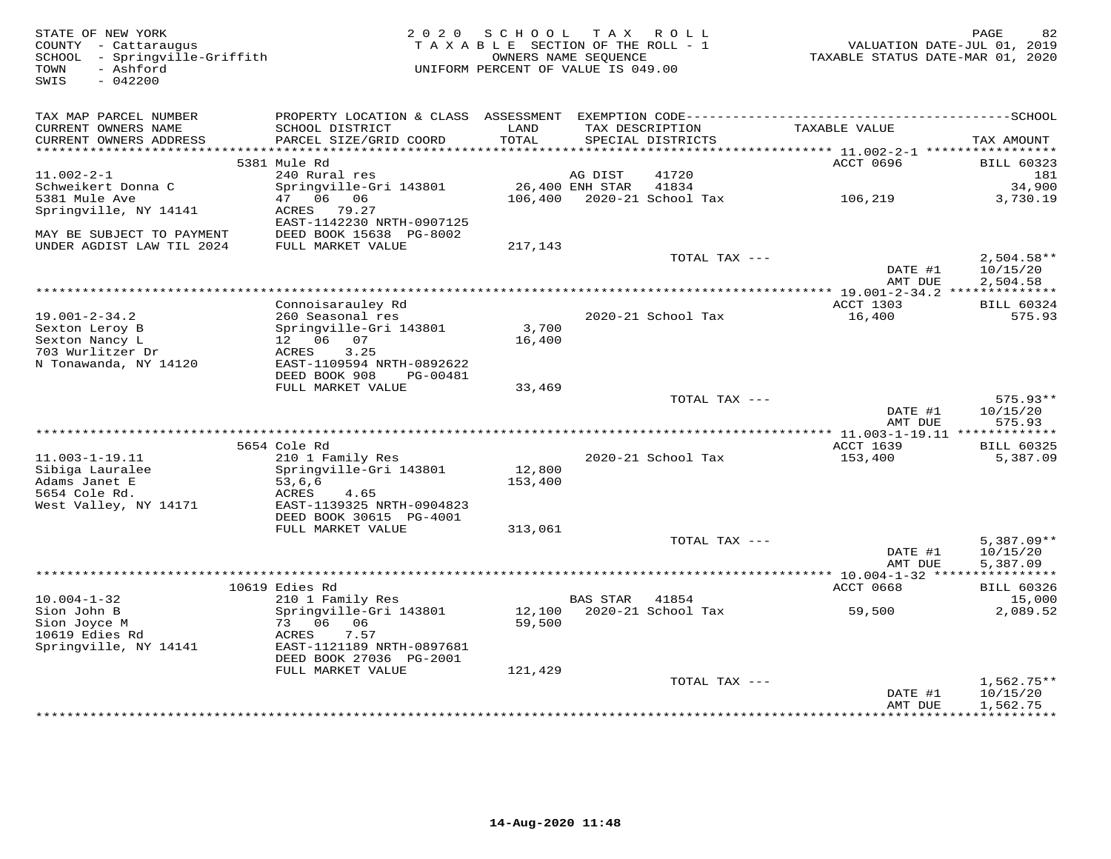| STATE OF NEW YORK<br>COUNTY - Cattaraugus<br>SCHOOL - Springville-Griffith<br>- Ashford<br>TOWN<br>$-042200$<br>SWIS | 2 0 2 0                                              | SCHOOL<br>TAXABLE SECTION OF THE ROLL - 1<br>OWNERS NAME SEQUENCE<br>UNIFORM PERCENT OF VALUE IS 049.00 | T A X           | R O L L                              | VALUATION DATE-JUL 01, 2019<br>TAXABLE STATUS DATE-MAR 01, 2020 | PAGE<br>82                    |
|----------------------------------------------------------------------------------------------------------------------|------------------------------------------------------|---------------------------------------------------------------------------------------------------------|-----------------|--------------------------------------|-----------------------------------------------------------------|-------------------------------|
| TAX MAP PARCEL NUMBER                                                                                                |                                                      |                                                                                                         |                 |                                      |                                                                 |                               |
| CURRENT OWNERS NAME<br>CURRENT OWNERS ADDRESS<br>***********************                                             | SCHOOL DISTRICT<br>PARCEL SIZE/GRID COORD            | LAND<br>TOTAL                                                                                           |                 | TAX DESCRIPTION<br>SPECIAL DISTRICTS | TAXABLE VALUE                                                   | TAX AMOUNT                    |
|                                                                                                                      | 5381 Mule Rd                                         |                                                                                                         |                 |                                      | ACCT 0696                                                       | <b>BILL 60323</b>             |
| $11.002 - 2 - 1$                                                                                                     | 240 Rural res                                        |                                                                                                         | AG DIST         | 41720                                |                                                                 | 181                           |
| Schweikert Donna C                                                                                                   | Springville-Gri 143801                               |                                                                                                         | 26,400 ENH STAR | 41834                                |                                                                 | 34,900                        |
| 5381 Mule Ave                                                                                                        | 47<br>06<br>06                                       | 106,400                                                                                                 |                 | 2020-21 School Tax                   | 106,219                                                         | 3,730.19                      |
| Springville, NY 14141                                                                                                | ACRES<br>79.27                                       |                                                                                                         |                 |                                      |                                                                 |                               |
| MAY BE SUBJECT TO PAYMENT                                                                                            | EAST-1142230 NRTH-0907125<br>DEED BOOK 15638 PG-8002 |                                                                                                         |                 |                                      |                                                                 |                               |
| UNDER AGDIST LAW TIL 2024                                                                                            | FULL MARKET VALUE                                    | 217,143                                                                                                 |                 |                                      |                                                                 |                               |
|                                                                                                                      |                                                      |                                                                                                         |                 | TOTAL TAX ---                        |                                                                 | $2,504.58**$                  |
|                                                                                                                      |                                                      |                                                                                                         |                 |                                      | DATE #1                                                         | 10/15/20                      |
|                                                                                                                      |                                                      |                                                                                                         |                 |                                      | AMT DUE                                                         | 2,504.58                      |
|                                                                                                                      |                                                      |                                                                                                         |                 |                                      | **************** 19.001-2-34.2 **************                   |                               |
| $19.001 - 2 - 34.2$                                                                                                  | Connoisarauley Rd<br>260 Seasonal res                |                                                                                                         |                 | 2020-21 School Tax                   | ACCT 1303<br>16,400                                             | <b>BILL 60324</b><br>575.93   |
| Sexton Leroy B                                                                                                       | Springville-Gri 143801                               | 3,700                                                                                                   |                 |                                      |                                                                 |                               |
| Sexton Nancy L                                                                                                       | 12 06 07                                             | 16,400                                                                                                  |                 |                                      |                                                                 |                               |
| 703 Wurlitzer Dr                                                                                                     | ACRES<br>3.25                                        |                                                                                                         |                 |                                      |                                                                 |                               |
| N Tonawanda, NY 14120                                                                                                | EAST-1109594 NRTH-0892622                            |                                                                                                         |                 |                                      |                                                                 |                               |
|                                                                                                                      | DEED BOOK 908<br>PG-00481<br>FULL MARKET VALUE       | 33,469                                                                                                  |                 |                                      |                                                                 |                               |
|                                                                                                                      |                                                      |                                                                                                         |                 | TOTAL TAX ---                        |                                                                 | $575.93**$                    |
|                                                                                                                      |                                                      |                                                                                                         |                 |                                      | DATE #1                                                         | 10/15/20                      |
|                                                                                                                      |                                                      |                                                                                                         |                 |                                      | AMT DUE                                                         | 575.93                        |
|                                                                                                                      |                                                      |                                                                                                         |                 |                                      |                                                                 |                               |
| 11.003-1-19.11                                                                                                       | 5654 Cole Rd                                         |                                                                                                         |                 |                                      | ACCT 1639                                                       | <b>BILL 60325</b><br>5,387.09 |
| Sibiga Lauralee                                                                                                      | 210 1 Family Res<br>Springville-Gri 143801           | 12,800                                                                                                  |                 | 2020-21 School Tax                   | 153,400                                                         |                               |
| Adams Janet E                                                                                                        | 53, 6, 6                                             | 153,400                                                                                                 |                 |                                      |                                                                 |                               |
| 5654 Cole Rd.                                                                                                        | ACRES<br>4.65                                        |                                                                                                         |                 |                                      |                                                                 |                               |
| West Valley, NY 14171                                                                                                | EAST-1139325 NRTH-0904823                            |                                                                                                         |                 |                                      |                                                                 |                               |
|                                                                                                                      | DEED BOOK 30615 PG-4001                              |                                                                                                         |                 |                                      |                                                                 |                               |
|                                                                                                                      | FULL MARKET VALUE                                    | 313,061                                                                                                 |                 | TOTAL TAX ---                        |                                                                 | $5,387.09**$                  |
|                                                                                                                      |                                                      |                                                                                                         |                 |                                      | DATE #1                                                         | 10/15/20                      |
|                                                                                                                      |                                                      |                                                                                                         |                 |                                      | AMT DUE                                                         | 5,387.09                      |
|                                                                                                                      |                                                      |                                                                                                         |                 |                                      |                                                                 |                               |
|                                                                                                                      | 10619 Edies Rd                                       |                                                                                                         |                 |                                      | ACCT 0668                                                       | <b>BILL 60326</b>             |
| $10.004 - 1 - 32$<br>Sion John B                                                                                     | 210 1 Family Res<br>Springville-Gri 143801           | 12,100                                                                                                  | <b>BAS STAR</b> | 41854<br>2020-21 School Tax          | 59,500                                                          | 15,000<br>2,089.52            |
| Sion Joyce M                                                                                                         | 73 06<br>06                                          | 59,500                                                                                                  |                 |                                      |                                                                 |                               |
| 10619 Edies Rd                                                                                                       | ACRES<br>7.57                                        |                                                                                                         |                 |                                      |                                                                 |                               |
| Springville, NY 14141                                                                                                | EAST-1121189 NRTH-0897681                            |                                                                                                         |                 |                                      |                                                                 |                               |
|                                                                                                                      | DEED BOOK 27036 PG-2001                              |                                                                                                         |                 |                                      |                                                                 |                               |
|                                                                                                                      | FULL MARKET VALUE                                    | 121,429                                                                                                 |                 |                                      |                                                                 |                               |
|                                                                                                                      |                                                      |                                                                                                         |                 | TOTAL TAX ---                        | DATE #1                                                         | $1,562.75**$<br>10/15/20      |
|                                                                                                                      |                                                      |                                                                                                         |                 |                                      | AMT DUE                                                         | 1,562.75                      |
|                                                                                                                      |                                                      |                                                                                                         |                 |                                      | **************                                                  | ***********                   |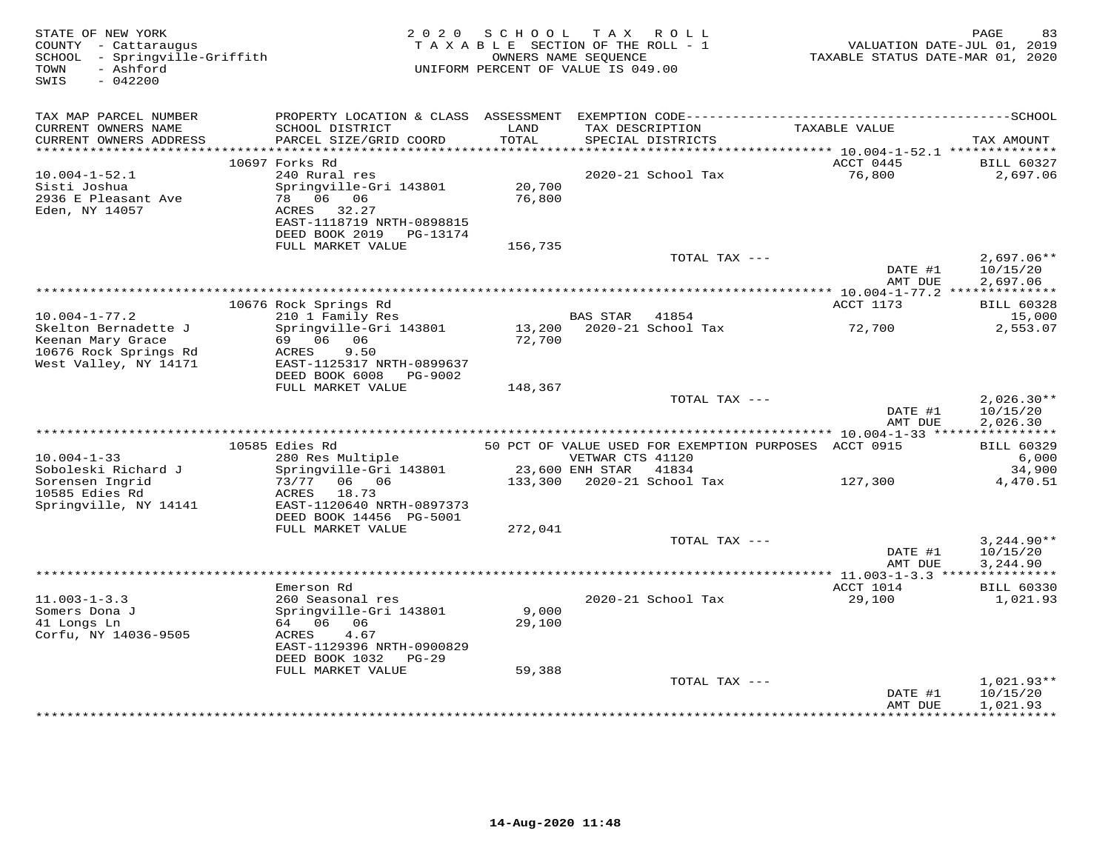| $-042200$<br>SWIS                                                                           |                                                                                                              | UNIFORM PERCENT OF VALUE IS 049.00 | OWNERS NAME SEQUENCE  | TAXABLE SECTION OF THE ROLL - 1                       | TAXABLE STATUS DATE-MAR 01, 2020 | VALUATION DATE-JUL 01, 2019                         |
|---------------------------------------------------------------------------------------------|--------------------------------------------------------------------------------------------------------------|------------------------------------|-----------------------|-------------------------------------------------------|----------------------------------|-----------------------------------------------------|
| TAX MAP PARCEL NUMBER                                                                       |                                                                                                              |                                    |                       |                                                       |                                  |                                                     |
| CURRENT OWNERS NAME<br>CURRENT OWNERS ADDRESS                                               | SCHOOL DISTRICT<br>PARCEL SIZE/GRID COORD                                                                    | LAND<br>TOTAL                      |                       | TAX DESCRIPTION<br>SPECIAL DISTRICTS                  | TAXABLE VALUE                    | TAX AMOUNT                                          |
|                                                                                             | 10697 Forks Rd                                                                                               |                                    |                       |                                                       | ACCT 0445                        | <b>BILL 60327</b>                                   |
| $10.004 - 1 - 52.1$                                                                         | 240 Rural res                                                                                                |                                    |                       | 2020-21 School Tax                                    | 76,800                           | 2,697.06                                            |
| Sisti Joshua<br>2936 E Pleasant Ave<br>Eden, NY 14057                                       | Springville-Gri 143801<br>78 06 06<br>ACRES 32.27<br>EAST-1118719 NRTH-0898815<br>DEED BOOK 2019<br>PG-13174 | 20,700<br>76,800                   |                       |                                                       |                                  |                                                     |
|                                                                                             | FULL MARKET VALUE                                                                                            | 156,735                            |                       |                                                       |                                  |                                                     |
|                                                                                             |                                                                                                              |                                    |                       | TOTAL TAX ---                                         | DATE #1                          | $2,697.06**$<br>10/15/20                            |
|                                                                                             |                                                                                                              |                                    |                       |                                                       | AMT DUE                          | 2,697.06                                            |
|                                                                                             | 10676 Rock Springs Rd                                                                                        |                                    |                       |                                                       | ACCT 1173                        | <b>BILL 60328</b>                                   |
| $10.004 - 1 - 77.2$                                                                         | 210 1 Family Res                                                                                             |                                    | <b>BAS STAR</b>       | 41854                                                 |                                  | 15,000                                              |
| Skelton Bernadette J<br>Keenan Mary Grace<br>10676 Rock Springs Rd<br>West Valley, NY 14171 | Springville-Gri 143801<br>69 06 06<br>ACRES<br>9.50<br>EAST-1125317 NRTH-0899637<br>DEED BOOK 6008 PG-9002   | 72,700                             |                       | 13,200 2020-21 School Tax                             | 72,700                           | 2,553.07                                            |
|                                                                                             | FULL MARKET VALUE                                                                                            | 148,367                            |                       |                                                       |                                  |                                                     |
|                                                                                             |                                                                                                              |                                    |                       | TOTAL TAX ---                                         | DATE #1<br>AMT DUE               | $2,026.30**$<br>10/15/20<br>2,026.30                |
|                                                                                             | 10585 Edies Rd                                                                                               |                                    |                       | 50 PCT OF VALUE USED FOR EXEMPTION PURPOSES ACCT 0915 |                                  | <b>BILL 60329</b>                                   |
| $10.004 - 1 - 33$                                                                           | 280 Res Multiple                                                                                             |                                    | VETWAR CTS 41120      |                                                       |                                  | 6,000                                               |
| Soboleski Richard J                                                                         | Springville-Gri 143801                                                                                       |                                    | 23,600 ENH STAR 41834 |                                                       |                                  | 34,900                                              |
| Sorensen Ingrid<br>10585 Edies Rd<br>Springville, NY 14141                                  | 73/77 06 06<br>18.73<br>ACRES<br>EAST-1120640 NRTH-0897373<br>DEED BOOK 14456 PG-5001                        |                                    |                       | 133,300 2020-21 School Tax                            | 127,300                          | 4,470.51                                            |
|                                                                                             | FULL MARKET VALUE                                                                                            | 272,041                            |                       |                                                       |                                  |                                                     |
|                                                                                             |                                                                                                              |                                    |                       | TOTAL TAX ---                                         |                                  | $3,244.90**$                                        |
|                                                                                             |                                                                                                              |                                    |                       |                                                       | DATE #1<br>AMT DUE               | 10/15/20<br>3,244.90                                |
|                                                                                             | Emerson Rd                                                                                                   |                                    |                       |                                                       | ACCT 1014                        |                                                     |
| $11.003 - 1 - 3.3$                                                                          | 260 Seasonal res                                                                                             |                                    |                       | 2020-21 School Tax                                    | 29,100                           | <b>BILL 60330</b><br>1,021.93                       |
| Somers Dona J<br>41 Longs Ln<br>Corfu, NY 14036-9505                                        | Springville-Gri 143801<br>64 06 06<br>ACRES<br>4.67<br>EAST-1129396 NRTH-0900829                             | 9,000<br>29,100                    |                       |                                                       |                                  |                                                     |
|                                                                                             | DEED BOOK 1032 PG-29                                                                                         |                                    |                       |                                                       |                                  |                                                     |
|                                                                                             | FULL MARKET VALUE                                                                                            | 59,388                             |                       |                                                       |                                  |                                                     |
|                                                                                             |                                                                                                              |                                    |                       | TOTAL TAX ---                                         | DATE #1<br>AMT DUE               | $1,021.93**$<br>10/15/20<br>1,021.93<br>*********** |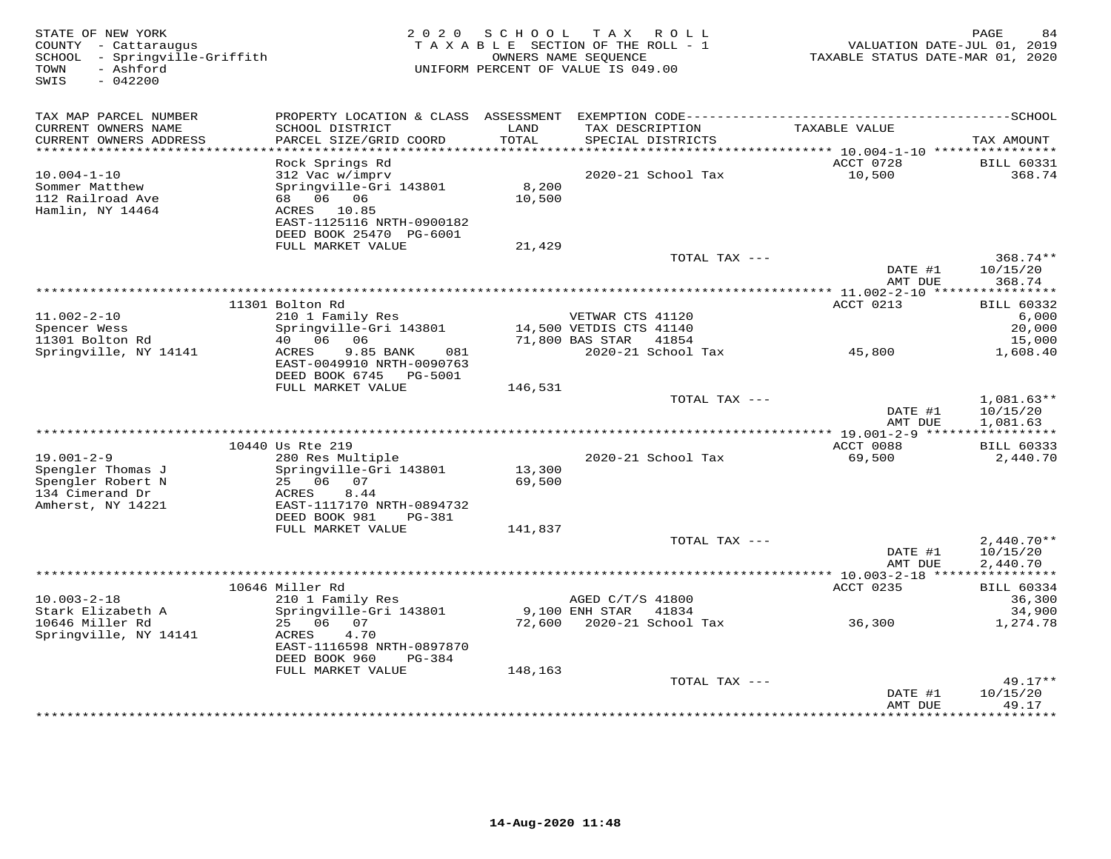| STATE OF NEW YORK<br>COUNTY - Cattaraugus<br>- Springville-Griffith<br>SCHOOL<br>- Ashford<br>TOWN<br>SWIS<br>$-042200$ | 2 0 2 0                                                                             | SCHOOL  | T A X<br>R O L L<br>TAXABLE SECTION OF THE ROLL - 1<br>OWNERS NAME SEQUENCE<br>UNIFORM PERCENT OF VALUE IS 049.00 | VALUATION DATE-JUL 01, 2019<br>TAXABLE STATUS DATE-MAR 01, 2020 | PAGE<br>84                     |
|-------------------------------------------------------------------------------------------------------------------------|-------------------------------------------------------------------------------------|---------|-------------------------------------------------------------------------------------------------------------------|-----------------------------------------------------------------|--------------------------------|
| TAX MAP PARCEL NUMBER<br>CURRENT OWNERS NAME                                                                            | SCHOOL DISTRICT                                                                     | LAND    | TAX DESCRIPTION                                                                                                   | TAXABLE VALUE                                                   |                                |
| CURRENT OWNERS ADDRESS                                                                                                  | PARCEL SIZE/GRID COORD                                                              | TOTAL   | SPECIAL DISTRICTS                                                                                                 |                                                                 | TAX AMOUNT                     |
|                                                                                                                         |                                                                                     |         |                                                                                                                   |                                                                 |                                |
|                                                                                                                         | Rock Springs Rd                                                                     |         |                                                                                                                   | ACCT 0728                                                       | <b>BILL 60331</b>              |
| $10.004 - 1 - 10$<br>Sommer Matthew                                                                                     | 312 Vac w/imprv<br>Springville-Gri 143801                                           | 8,200   | 2020-21 School Tax                                                                                                | 10,500                                                          | 368.74                         |
| 112 Railroad Ave                                                                                                        | 68 06 06                                                                            | 10,500  |                                                                                                                   |                                                                 |                                |
| Hamlin, NY 14464                                                                                                        | ACRES 10.85                                                                         |         |                                                                                                                   |                                                                 |                                |
|                                                                                                                         | EAST-1125116 NRTH-0900182                                                           |         |                                                                                                                   |                                                                 |                                |
|                                                                                                                         | DEED BOOK 25470 PG-6001                                                             |         |                                                                                                                   |                                                                 |                                |
|                                                                                                                         | FULL MARKET VALUE                                                                   | 21,429  | TOTAL TAX ---                                                                                                     |                                                                 | $368.74**$                     |
|                                                                                                                         |                                                                                     |         |                                                                                                                   | DATE #1                                                         | 10/15/20                       |
|                                                                                                                         |                                                                                     |         |                                                                                                                   | AMT DUE                                                         | 368.74                         |
|                                                                                                                         |                                                                                     |         |                                                                                                                   |                                                                 |                                |
| 11.002-2-10                                                                                                             | 11301 Bolton Rd                                                                     |         | VETWAR CTS 41120                                                                                                  | ACCT 0213                                                       | BILL 60332<br>6,000            |
| Spencer Wess                                                                                                            | 210 1 Family Res<br>Springville-Gri 143801                                          |         | 14,500 VETDIS CTS 41140                                                                                           |                                                                 | 20,000                         |
| 11301 Bolton Rd                                                                                                         | 40 06<br>06                                                                         |         | 71,800 BAS STAR<br>41854                                                                                          |                                                                 | 15,000                         |
| Springville, NY 14141                                                                                                   | 9.85 BANK<br>ACRES<br>081<br>EAST-0049910 NRTH-0090763<br>DEED BOOK 6745<br>PG-5001 |         | 2020-21 School Tax                                                                                                | 45,800                                                          | 1,608.40                       |
|                                                                                                                         | FULL MARKET VALUE                                                                   | 146,531 |                                                                                                                   |                                                                 |                                |
|                                                                                                                         |                                                                                     |         | TOTAL TAX ---                                                                                                     | DATE #1                                                         | 1,081.63**<br>10/15/20         |
|                                                                                                                         |                                                                                     |         |                                                                                                                   | AMT DUE<br>** 19.001-2-9 ******                                 | 1,081.63<br>***********        |
|                                                                                                                         | 10440 Us Rte 219                                                                    |         |                                                                                                                   | ACCT 0088                                                       | <b>BILL 60333</b>              |
| $19.001 - 2 - 9$                                                                                                        | 280 Res Multiple                                                                    |         | 2020-21 School Tax                                                                                                | 69,500                                                          | 2,440.70                       |
| Spengler Thomas J                                                                                                       | Springville-Gri 143801                                                              | 13,300  |                                                                                                                   |                                                                 |                                |
| Spengler Robert N<br>134 Cimerand Dr                                                                                    | 25 06<br>07<br>ACRES<br>8.44                                                        | 69,500  |                                                                                                                   |                                                                 |                                |
| Amherst, NY 14221                                                                                                       | EAST-1117170 NRTH-0894732                                                           |         |                                                                                                                   |                                                                 |                                |
|                                                                                                                         | DEED BOOK 981<br>PG-381                                                             |         |                                                                                                                   |                                                                 |                                |
|                                                                                                                         | FULL MARKET VALUE                                                                   | 141,837 |                                                                                                                   |                                                                 |                                |
|                                                                                                                         |                                                                                     |         | TOTAL TAX ---                                                                                                     |                                                                 | $2,440.70**$                   |
|                                                                                                                         |                                                                                     |         |                                                                                                                   | DATE #1<br>AMT DUE                                              | 10/15/20<br>2,440.70           |
|                                                                                                                         |                                                                                     |         |                                                                                                                   |                                                                 |                                |
|                                                                                                                         | 10646 Miller Rd                                                                     |         |                                                                                                                   | ACCT 0235                                                       | <b>BILL 60334</b>              |
| $10.003 - 2 - 18$                                                                                                       | 210 1 Family Res                                                                    |         | AGED C/T/S 41800                                                                                                  |                                                                 | 36,300                         |
| Stark Elizabeth A                                                                                                       | Springville-Gri 143801                                                              |         | 9,100 ENH STAR<br>41834                                                                                           |                                                                 | 34,900                         |
| 10646 Miller Rd<br>Springville, NY 14141                                                                                | 25 06<br>07<br>4.70<br>ACRES                                                        | 72,600  | 2020-21 School Tax                                                                                                | 36,300                                                          | 1,274.78                       |
|                                                                                                                         | EAST-1116598 NRTH-0897870<br>DEED BOOK 960<br>$PG-384$                              |         |                                                                                                                   |                                                                 |                                |
|                                                                                                                         | FULL MARKET VALUE                                                                   | 148,163 |                                                                                                                   |                                                                 |                                |
|                                                                                                                         |                                                                                     |         | TOTAL TAX ---                                                                                                     |                                                                 | $49.17**$                      |
|                                                                                                                         |                                                                                     |         | ***************************                                                                                       | DATE #1<br>AMT DUE<br>************                              | 10/15/20<br>49.17<br>********* |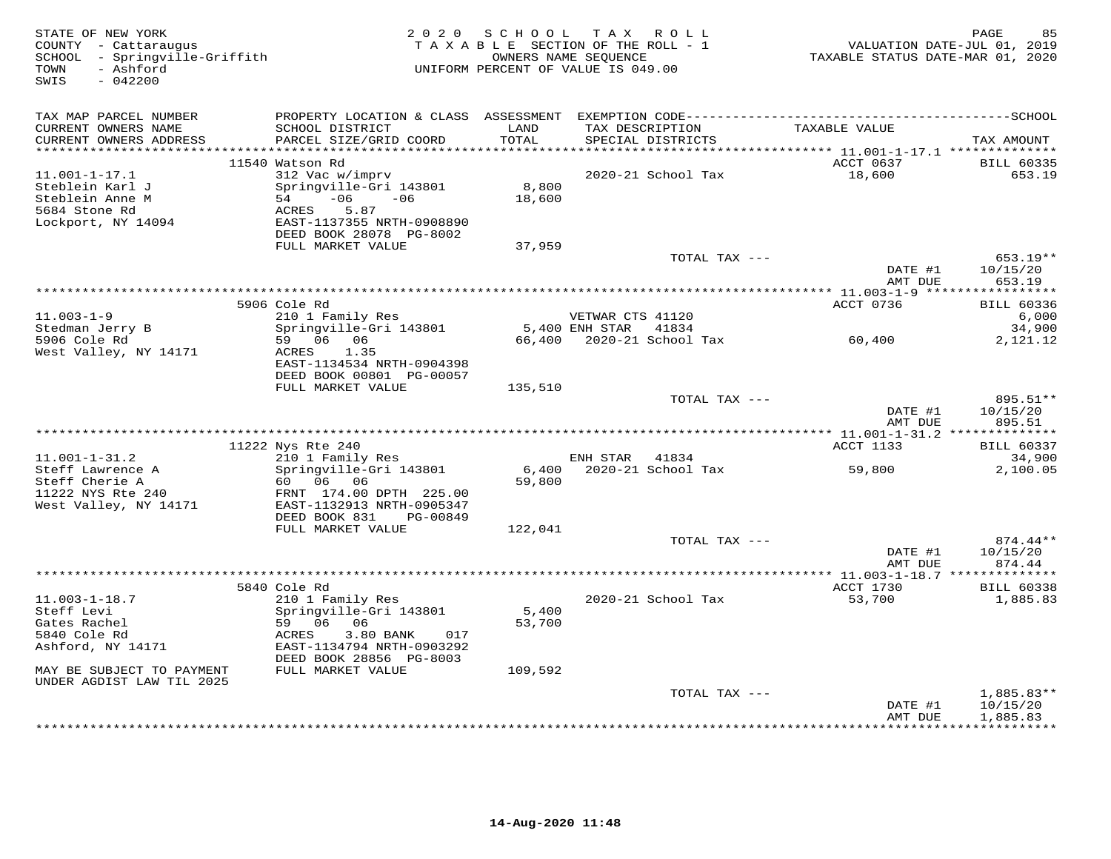| STATE OF NEW YORK<br>COUNTY - Cattaraugus<br>SCHOOL - Springville-Griffith<br>- Ashford<br>TOWN<br>SWIS<br>$-042200$                             |                                                                                                                                                                                  | 2020 SCHOOL                | TAX ROLL<br>TAXABLE SECTION OF THE ROLL - 1<br>OWNERS NAME SEQUENCE<br>UNIFORM PERCENT OF VALUE IS 049.00 | TAXABLE STATUS DATE-MAR 01, 2020 | PAGE<br>85<br>VALUATION DATE-JUL 01, 2019 |
|--------------------------------------------------------------------------------------------------------------------------------------------------|----------------------------------------------------------------------------------------------------------------------------------------------------------------------------------|----------------------------|-----------------------------------------------------------------------------------------------------------|----------------------------------|-------------------------------------------|
| TAX MAP PARCEL NUMBER<br>CURRENT OWNERS NAME<br>CURRENT OWNERS ADDRESS<br>************************                                               | PROPERTY LOCATION & CLASS ASSESSMENT EXEMPTION CODE-----------------------------------SCHOOL<br>SCHOOL DISTRICT<br>PARCEL SIZE/GRID COORD                                        | LAND<br>TOTAL              | TAX DESCRIPTION<br>SPECIAL DISTRICTS                                                                      | TAXABLE VALUE                    | TAX AMOUNT                                |
|                                                                                                                                                  | 11540 Watson Rd                                                                                                                                                                  |                            |                                                                                                           | ACCT 0637                        | <b>BILL 60335</b>                         |
| $11.001 - 1 - 17.1$<br>Steblein Karl J<br>Steblein Anne M<br>5684 Stone Rd<br>Lockport, NY 14094                                                 | 312 Vac w/imprv<br>Springville-Gri 143801<br>$-06 - 06$<br>54<br>5.87<br>ACRES<br>EAST-1137355 NRTH-0908890<br>DEED BOOK 28078 PG-8002<br>FULL MARKET VALUE                      | 8,800<br>18,600<br>37,959  | 2020-21 School Tax                                                                                        | 18,600                           | 653.19                                    |
|                                                                                                                                                  |                                                                                                                                                                                  |                            | TOTAL TAX ---                                                                                             |                                  | 653.19**                                  |
|                                                                                                                                                  |                                                                                                                                                                                  |                            |                                                                                                           | DATE #1<br>AMT DUE               | 10/15/20<br>653.19                        |
|                                                                                                                                                  | 5906 Cole Rd                                                                                                                                                                     |                            |                                                                                                           | ACCT 0736                        | <b>BILL 60336</b>                         |
| $11.003 - 1 - 9$<br>Stedman Jerry B                                                                                                              | 210 1 Family Res<br>Springville-Gri 143801                                                                                                                                       |                            | VETWAR CTS 41120<br>5,400 ENH STAR 41834                                                                  |                                  | 6,000<br>34,900                           |
| 5906 Cole Rd<br>West Valley, NY 14171                                                                                                            | 59 06 06<br>ACRES<br>1.35<br>EAST-1134534 NRTH-0904398<br>DEED BOOK 00801 PG-00057                                                                                               |                            | 66,400 2020-21 School Tax                                                                                 | 60,400                           | 2,121.12                                  |
|                                                                                                                                                  | FULL MARKET VALUE                                                                                                                                                                | 135,510                    |                                                                                                           |                                  |                                           |
|                                                                                                                                                  |                                                                                                                                                                                  |                            | TOTAL TAX ---                                                                                             | DATE #1<br>AMT DUE               | 895.51**<br>10/15/20<br>895.51            |
|                                                                                                                                                  |                                                                                                                                                                                  |                            |                                                                                                           |                                  |                                           |
|                                                                                                                                                  | 11222 Nys Rte 240                                                                                                                                                                |                            |                                                                                                           | ACCT 1133                        | <b>BILL 60337</b>                         |
| $11.001 - 1 - 31.2$<br>Steff Lawrence A<br>Steff Cherie A<br>11222 NYS Rte 240<br>West Valley, NY 14171                                          | 210 1 Family Res<br>Springville-Gri 143801<br>60 06 06<br>FRNT 174.00 DPTH 225.00<br>EAST-1132913 NRTH-0905347<br>DEED BOOK 831<br>PG-00849                                      | 6,400<br>59,800            | ENH STAR<br>41834<br>2020-21 School Tax                                                                   | 59,800                           | 34,900<br>2,100.05                        |
|                                                                                                                                                  | FULL MARKET VALUE                                                                                                                                                                | 122,041                    |                                                                                                           |                                  |                                           |
|                                                                                                                                                  |                                                                                                                                                                                  |                            | TOTAL TAX ---                                                                                             | DATE #1<br>AMT DUE               | 874.44**<br>10/15/20<br>874.44            |
|                                                                                                                                                  |                                                                                                                                                                                  |                            |                                                                                                           |                                  |                                           |
| $11.003 - 1 - 18.7$<br>Steff Levi<br>Gates Rachel<br>5840 Cole Rd<br>Ashford, NY 14171<br>MAY BE SUBJECT TO PAYMENT<br>UNDER AGDIST LAW TIL 2025 | 5840 Cole Rd<br>210 1 Family Res<br>Springville-Gri 143801<br>59 06 06<br>3.80 BANK<br>ACRES<br>017<br>EAST-1134794 NRTH-0903292<br>DEED BOOK 28856 PG-8003<br>FULL MARKET VALUE | 5,400<br>53,700<br>109,592 | 2020-21 School Tax                                                                                        | ACCT 1730<br>53,700              | <b>BILL 60338</b><br>1,885.83             |
|                                                                                                                                                  |                                                                                                                                                                                  |                            | TOTAL TAX ---                                                                                             | DATE #1                          | $1,885.83**$<br>10/15/20                  |
|                                                                                                                                                  |                                                                                                                                                                                  |                            |                                                                                                           | AMT DUE                          | 1,885.83<br>***********                   |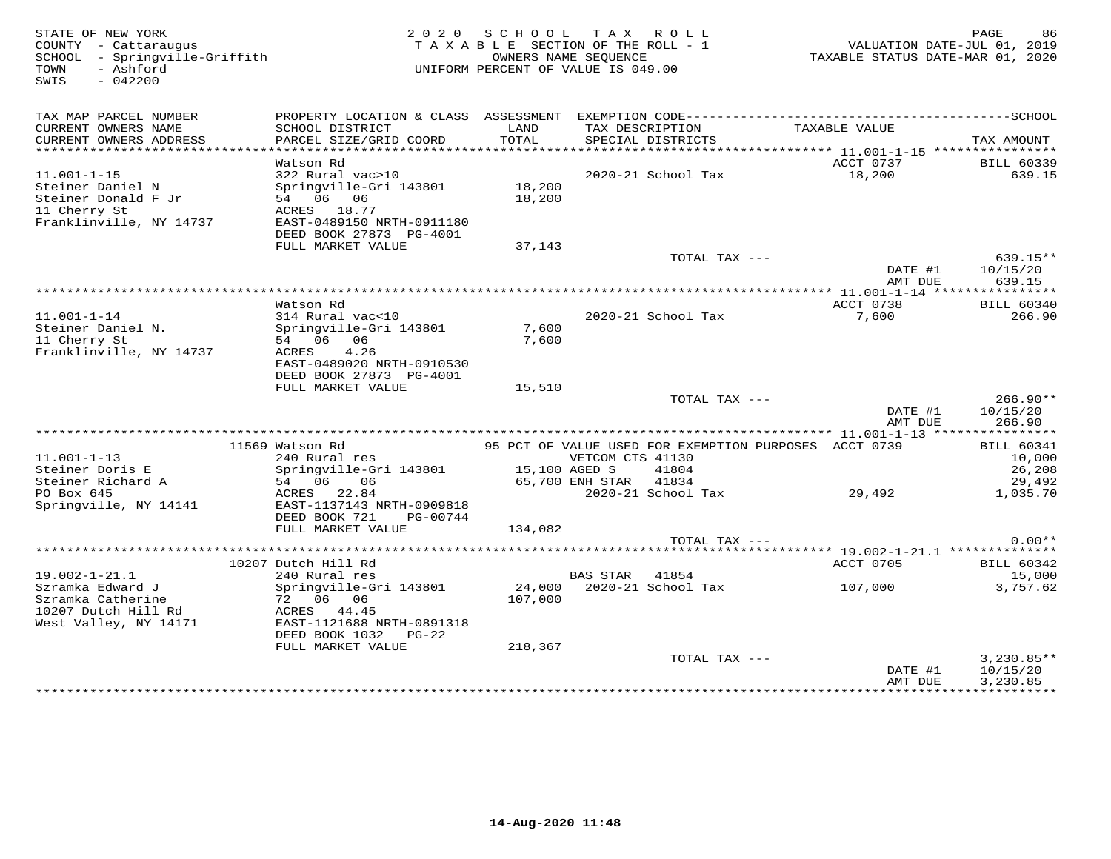| STATE OF NEW YORK<br>COUNTY - Cattaraugus<br>SCHOOL - Springville-Griffith<br>- Ashford<br>TOWN<br>SWIS<br>$-042200$ |                                           | 2020 SCHOOL TAX ROLL<br>TAXABLE SECTION OF THE ROLL - 1<br>UNIFORM PERCENT OF VALUE IS 049.00 | OWNERS NAME SEOUENCE |                                      |                                                       | PAGE<br>86<br>VALUATION DATE-JUL 01, 2019<br>TAXABLE STATUS DATE-MAR 01, 2020 |
|----------------------------------------------------------------------------------------------------------------------|-------------------------------------------|-----------------------------------------------------------------------------------------------|----------------------|--------------------------------------|-------------------------------------------------------|-------------------------------------------------------------------------------|
| TAX MAP PARCEL NUMBER                                                                                                |                                           |                                                                                               |                      |                                      |                                                       |                                                                               |
| CURRENT OWNERS NAME<br>CURRENT OWNERS ADDRESS                                                                        | SCHOOL DISTRICT<br>PARCEL SIZE/GRID COORD | LAND<br>TOTAL                                                                                 |                      | TAX DESCRIPTION<br>SPECIAL DISTRICTS | TAXABLE VALUE                                         | TAX AMOUNT                                                                    |
| ***********************                                                                                              |                                           |                                                                                               |                      |                                      |                                                       |                                                                               |
|                                                                                                                      | Watson Rd                                 |                                                                                               |                      |                                      | ACCT 0737                                             | <b>BILL 60339</b>                                                             |
| $11.001 - 1 - 15$                                                                                                    | 322 Rural vac>10                          |                                                                                               |                      | 2020-21 School Tax                   | 18,200                                                | 639.15                                                                        |
| Steiner Daniel N                                                                                                     | Springville-Gri 143801                    | 18,200                                                                                        |                      |                                      |                                                       |                                                                               |
| Steiner Donald F Jr                                                                                                  | 54 06 06                                  | 18,200                                                                                        |                      |                                      |                                                       |                                                                               |
| 11 Cherry St<br>Franklinville, NY 14737                                                                              | ACRES 18.77<br>EAST-0489150 NRTH-0911180  |                                                                                               |                      |                                      |                                                       |                                                                               |
|                                                                                                                      | DEED BOOK 27873 PG-4001                   |                                                                                               |                      |                                      |                                                       |                                                                               |
|                                                                                                                      | FULL MARKET VALUE                         | 37,143                                                                                        |                      |                                      |                                                       |                                                                               |
|                                                                                                                      |                                           |                                                                                               |                      | TOTAL TAX ---                        |                                                       | 639.15**                                                                      |
|                                                                                                                      |                                           |                                                                                               |                      |                                      | DATE #1<br>AMT DUE                                    | 10/15/20<br>639.15                                                            |
|                                                                                                                      |                                           |                                                                                               |                      |                                      |                                                       |                                                                               |
|                                                                                                                      | Watson Rd                                 |                                                                                               |                      |                                      | ACCT 0738                                             | <b>BILL 60340</b>                                                             |
| $11.001 - 1 - 14$                                                                                                    | 314 Rural vac<10                          |                                                                                               |                      | 2020-21 School Tax                   | 7,600                                                 | 266.90                                                                        |
| Steiner Daniel N.<br>11 Cherry St                                                                                    | Springville-Gri 143801<br>54 06 06        | 7,600<br>7,600                                                                                |                      |                                      |                                                       |                                                                               |
| Franklinville, NY 14737                                                                                              | ACRES<br>4.26                             |                                                                                               |                      |                                      |                                                       |                                                                               |
|                                                                                                                      | EAST-0489020 NRTH-0910530                 |                                                                                               |                      |                                      |                                                       |                                                                               |
|                                                                                                                      | DEED BOOK 27873 PG-4001                   |                                                                                               |                      |                                      |                                                       |                                                                               |
|                                                                                                                      | FULL MARKET VALUE                         | 15,510                                                                                        |                      |                                      |                                                       |                                                                               |
|                                                                                                                      |                                           |                                                                                               |                      | TOTAL TAX ---                        |                                                       | $266.90**$                                                                    |
|                                                                                                                      |                                           |                                                                                               |                      |                                      | DATE #1<br>AMT DUE                                    | 10/15/20<br>266.90                                                            |
|                                                                                                                      |                                           |                                                                                               |                      |                                      |                                                       |                                                                               |
|                                                                                                                      | 11569 Watson Rd                           |                                                                                               |                      |                                      | 95 PCT OF VALUE USED FOR EXEMPTION PURPOSES ACCT 0739 | <b>BILL 60341</b>                                                             |
| $11.001 - 1 - 13$                                                                                                    | 240 Rural res                             |                                                                                               | VETCOM CTS 41130     |                                      |                                                       | 10,000                                                                        |
| Steiner Doris E                                                                                                      | Springville-Gri 143801                    | 15,100 AGED S                                                                                 |                      | 41804                                |                                                       | 26,208                                                                        |
| Steiner Richard A                                                                                                    | 54 06 06                                  |                                                                                               | 65,700 ENH STAR      | 41834                                |                                                       | 29,492                                                                        |
| PO Box 645<br>Springville, NY 14141                                                                                  | ACRES 22.84<br>EAST-1137143 NRTH-0909818  |                                                                                               |                      | 2020-21 School Tax                   | 29,492                                                | 1,035.70                                                                      |
|                                                                                                                      | DEED BOOK 721<br>PG-00744                 |                                                                                               |                      |                                      |                                                       |                                                                               |
|                                                                                                                      | FULL MARKET VALUE                         | 134,082                                                                                       |                      |                                      |                                                       |                                                                               |
|                                                                                                                      |                                           |                                                                                               |                      | TOTAL TAX ---                        |                                                       | $0.00**$                                                                      |
|                                                                                                                      |                                           |                                                                                               |                      |                                      |                                                       |                                                                               |
|                                                                                                                      | 10207 Dutch Hill Rd                       |                                                                                               |                      |                                      | ACCT 0705                                             | <b>BILL 60342</b>                                                             |
| $19.002 - 1 - 21.1$<br>Szramka Edward J                                                                              | 240 Rural res                             |                                                                                               | <b>BAS STAR</b>      | 41854                                |                                                       | 15,000                                                                        |
| Szramka Catherine                                                                                                    | Springville-Gri 143801<br>72 06 06        | 107,000                                                                                       |                      |                                      | 107,000                                               | 3,757.62                                                                      |
| 10207 Dutch Hill Rd                                                                                                  | ACRES 44.45                               |                                                                                               |                      |                                      |                                                       |                                                                               |
| West Valley, NY 14171                                                                                                | EAST-1121688 NRTH-0891318                 |                                                                                               |                      |                                      |                                                       |                                                                               |
|                                                                                                                      | DEED BOOK 1032<br>$PG-22$                 |                                                                                               |                      |                                      |                                                       |                                                                               |
|                                                                                                                      | FULL MARKET VALUE                         | 218,367                                                                                       |                      |                                      |                                                       |                                                                               |
|                                                                                                                      |                                           |                                                                                               |                      | TOTAL TAX ---                        |                                                       | $3,230.85**$                                                                  |
|                                                                                                                      |                                           |                                                                                               |                      |                                      | DATE #1                                               | 10/15/20                                                                      |
|                                                                                                                      |                                           |                                                                                               |                      |                                      | AMT DUE                                               | 3,230.85<br>*****************************                                     |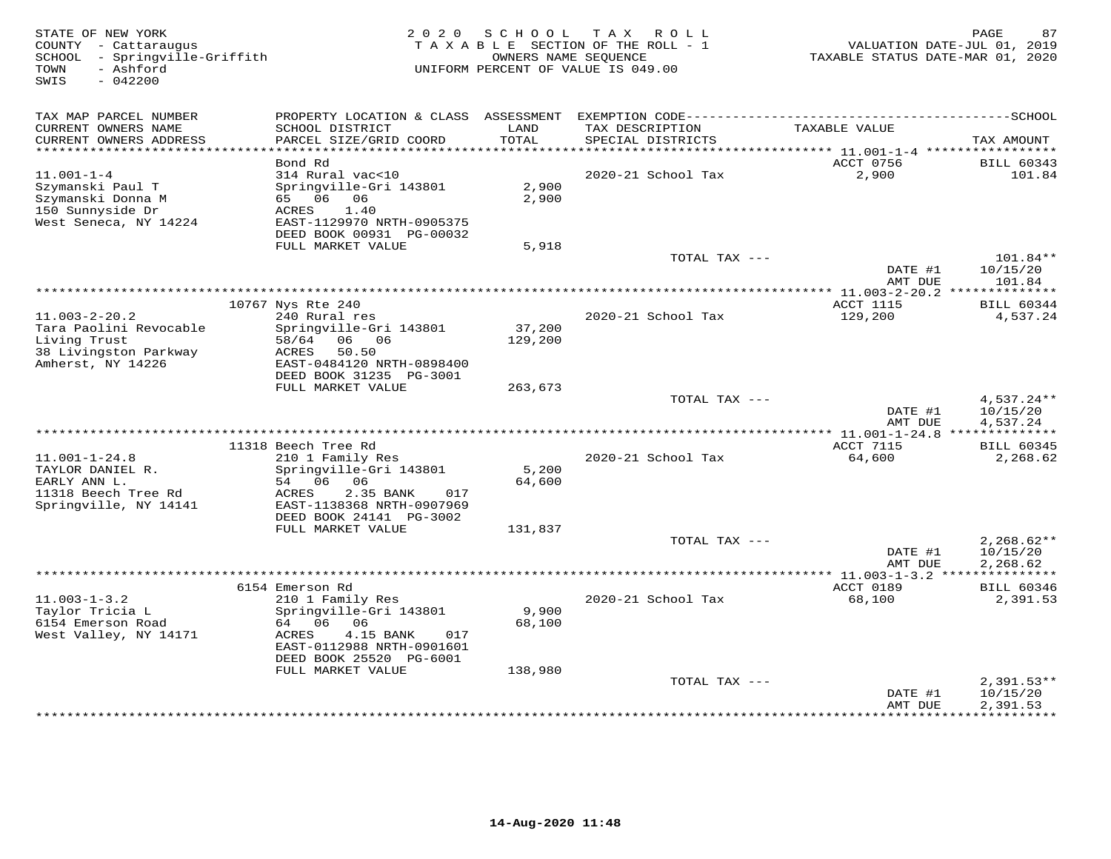| STATE OF NEW YORK<br>COUNTY - Cattaraugus<br>SCHOOL - Springville-Griffith<br>- Ashford<br>TOWN<br>SWIS<br>$-042200$ | 2 0 2 0                                                                                                                                           | SCHOOL            | T A X<br>R O L L<br>TAXABLE SECTION OF THE ROLL - 1<br>OWNERS NAME SEOUENCE<br>UNIFORM PERCENT OF VALUE IS 049.00 | VALUATION DATE-JUL 01, 2019<br>TAXABLE STATUS DATE-MAR 01, 2020 | PAGE<br>87                           |
|----------------------------------------------------------------------------------------------------------------------|---------------------------------------------------------------------------------------------------------------------------------------------------|-------------------|-------------------------------------------------------------------------------------------------------------------|-----------------------------------------------------------------|--------------------------------------|
| TAX MAP PARCEL NUMBER                                                                                                |                                                                                                                                                   |                   |                                                                                                                   |                                                                 |                                      |
| CURRENT OWNERS NAME<br>CURRENT OWNERS ADDRESS                                                                        | SCHOOL DISTRICT<br>PARCEL SIZE/GRID COORD                                                                                                         | LAND<br>TOTAL     | TAX DESCRIPTION<br>SPECIAL DISTRICTS                                                                              | TAXABLE VALUE                                                   | TAX AMOUNT                           |
| ************************                                                                                             | Bond Rd                                                                                                                                           |                   |                                                                                                                   | ACCT 0756                                                       |                                      |
| $11.001 - 1 - 4$                                                                                                     | 314 Rural vac<10                                                                                                                                  |                   | 2020-21 School Tax                                                                                                | 2,900                                                           | <b>BILL 60343</b><br>101.84          |
| Szymanski Paul T<br>Szymanski Donna M<br>150 Sunnyside Dr<br>West Seneca, NY 14224                                   | Springville-Gri 143801<br>65 06<br>06<br>1.40<br>ACRES<br>EAST-1129970 NRTH-0905375                                                               | 2,900<br>2,900    |                                                                                                                   |                                                                 |                                      |
|                                                                                                                      | DEED BOOK 00931 PG-00032<br>FULL MARKET VALUE                                                                                                     | 5,918             |                                                                                                                   |                                                                 |                                      |
|                                                                                                                      |                                                                                                                                                   |                   | TOTAL TAX ---                                                                                                     | DATE #1                                                         | 101.84**<br>10/15/20                 |
|                                                                                                                      |                                                                                                                                                   |                   | **********************************                                                                                | AMT DUE                                                         | 101.84                               |
|                                                                                                                      | 10767 Nys Rte 240                                                                                                                                 |                   |                                                                                                                   | ******* 11.003-2-20.2 **************<br><b>ACCT 1115</b>        | <b>BILL 60344</b>                    |
| $11.003 - 2 - 20.2$                                                                                                  | 240 Rural res                                                                                                                                     |                   | 2020-21 School Tax                                                                                                | 129,200                                                         | 4,537.24                             |
| Tara Paolini Revocable<br>Living Trust<br>38 Livingston Parkway<br>Amherst, NY 14226                                 | Springville-Gri 143801<br>58/64<br>06 06<br>ACRES<br>50.50<br>EAST-0484120 NRTH-0898400<br>DEED BOOK 31235 PG-3001                                | 37,200<br>129,200 |                                                                                                                   |                                                                 |                                      |
|                                                                                                                      | FULL MARKET VALUE                                                                                                                                 | 263,673           |                                                                                                                   |                                                                 |                                      |
|                                                                                                                      |                                                                                                                                                   |                   | TOTAL TAX ---                                                                                                     | DATE #1<br>AMT DUE                                              | 4,537.24**<br>10/15/20<br>4,537.24   |
|                                                                                                                      |                                                                                                                                                   |                   |                                                                                                                   | ACCT 7115                                                       |                                      |
| $11.001 - 1 - 24.8$<br>TAYLOR DANIEL R.<br>EARLY ANN L.<br>11318 Beech Tree Rd<br>Springville, NY 14141              | 11318 Beech Tree Rd<br>210 1 Family Res<br>Springville-Gri 143801<br>54 06<br>06<br>ACRES<br>2.35 BANK<br>017<br>EAST-1138368 NRTH-0907969        | 5,200<br>64,600   | 2020-21 School Tax                                                                                                | 64,600                                                          | <b>BILL 60345</b><br>2,268.62        |
|                                                                                                                      | DEED BOOK 24141 PG-3002                                                                                                                           |                   |                                                                                                                   |                                                                 |                                      |
|                                                                                                                      | FULL MARKET VALUE                                                                                                                                 | 131,837           |                                                                                                                   |                                                                 |                                      |
|                                                                                                                      |                                                                                                                                                   |                   | TOTAL TAX ---                                                                                                     | DATE #1<br>AMT DUE                                              | $2,268.62**$<br>10/15/20<br>2,268.62 |
|                                                                                                                      |                                                                                                                                                   |                   |                                                                                                                   | ************ 11.003-1-3.2 ****************                      |                                      |
|                                                                                                                      | 6154 Emerson Rd                                                                                                                                   |                   |                                                                                                                   | ACCT 0189                                                       | <b>BILL 60346</b>                    |
| $11.003 - 1 - 3.2$<br>Taylor Tricia L<br>6154 Emerson Road<br>West Valley, NY 14171                                  | 210 1 Family Res<br>Springville-Gri 143801<br>06<br>64<br>06<br>ACRES<br>4.15 BANK<br>017<br>EAST-0112988 NRTH-0901601<br>DEED BOOK 25520 PG-6001 | 9,900<br>68,100   | 2020-21 School Tax                                                                                                | 68,100                                                          | 2,391.53                             |
|                                                                                                                      | FULL MARKET VALUE                                                                                                                                 | 138,980           |                                                                                                                   |                                                                 |                                      |
|                                                                                                                      |                                                                                                                                                   |                   | TOTAL TAX ---                                                                                                     | DATE #1<br>AMT DUE                                              | $2,391.53**$<br>10/15/20<br>2,391.53 |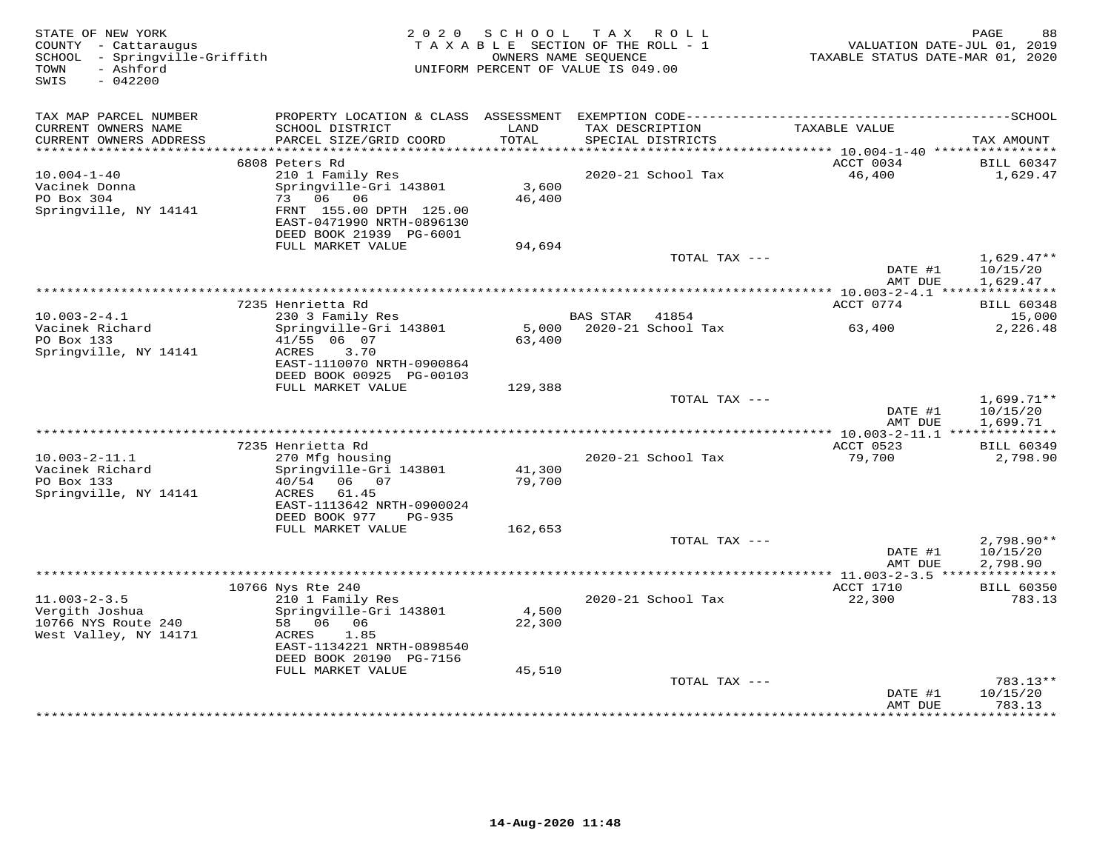| STATE OF NEW YORK<br>COUNTY - Cattaraugus<br>- Springville-Griffith<br>SCHOOL<br>- Ashford<br>TOWN<br>SWIS<br>$-042200$ | 2 0 2 0                                                                                                         | SCHOOL<br>OWNERS NAME SEOUENCE | TAX ROLL<br>TAXABLE SECTION OF THE ROLL - 1<br>UNIFORM PERCENT OF VALUE IS 049.00 |               | TAXABLE STATUS DATE-MAR 01, 2020                 | PAGE<br>88<br>VALUATION DATE-JUL 01, 2019 |
|-------------------------------------------------------------------------------------------------------------------------|-----------------------------------------------------------------------------------------------------------------|--------------------------------|-----------------------------------------------------------------------------------|---------------|--------------------------------------------------|-------------------------------------------|
| TAX MAP PARCEL NUMBER                                                                                                   |                                                                                                                 |                                |                                                                                   |               |                                                  |                                           |
| CURRENT OWNERS NAME<br>CURRENT OWNERS ADDRESS                                                                           | SCHOOL DISTRICT<br>PARCEL SIZE/GRID COORD                                                                       | LAND<br>TOTAL                  | TAX DESCRIPTION<br>SPECIAL DISTRICTS                                              |               | TAXABLE VALUE                                    | TAX AMOUNT                                |
| ************************                                                                                                | 6808 Peters Rd                                                                                                  |                                |                                                                                   |               | ACCT 0034                                        |                                           |
| $10.004 - 1 - 40$                                                                                                       | 210 1 Family Res                                                                                                |                                | 2020-21 School Tax                                                                |               | 46,400                                           | <b>BILL 60347</b><br>1,629.47             |
| Vacinek Donna<br>PO Box 304<br>Springville, NY 14141                                                                    | Springville-Gri 143801<br>06<br>73<br>06<br>FRNT 155.00 DPTH 125.00                                             | 3,600<br>46,400                |                                                                                   |               |                                                  |                                           |
|                                                                                                                         | EAST-0471990 NRTH-0896130<br>DEED BOOK 21939 PG-6001                                                            |                                |                                                                                   |               |                                                  |                                           |
|                                                                                                                         | FULL MARKET VALUE                                                                                               | 94,694                         |                                                                                   |               |                                                  |                                           |
|                                                                                                                         |                                                                                                                 |                                |                                                                                   | TOTAL TAX --- | DATE #1<br>AMT DUE                               | $1,629.47**$<br>10/15/20<br>1,629.47      |
|                                                                                                                         |                                                                                                                 |                                | ************************************                                              |               | ****************** 10.003-2-4.1 **************** |                                           |
|                                                                                                                         | 7235 Henrietta Rd                                                                                               |                                |                                                                                   |               | ACCT 0774                                        | <b>BILL 60348</b>                         |
| $10.003 - 2 - 4.1$                                                                                                      | 230 3 Family Res                                                                                                |                                | <b>BAS STAR</b><br>41854                                                          |               |                                                  | 15,000                                    |
| Vacinek Richard<br>PO Box 133<br>Springville, NY 14141                                                                  | Springville-Gri 143801<br>41/55 06 07<br>ACRES<br>3.70<br>EAST-1110070 NRTH-0900864<br>DEED BOOK 00925 PG-00103 | 5,000<br>63,400                | 2020-21 School Tax                                                                |               | 63,400                                           | 2,226.48                                  |
|                                                                                                                         | FULL MARKET VALUE                                                                                               | 129,388                        |                                                                                   |               |                                                  |                                           |
|                                                                                                                         |                                                                                                                 |                                |                                                                                   | TOTAL TAX --- | DATE #1<br>AMT DUE                               | $1,699.71**$<br>10/15/20<br>1,699.71      |
|                                                                                                                         |                                                                                                                 |                                |                                                                                   |               |                                                  |                                           |
|                                                                                                                         | 7235 Henrietta Rd                                                                                               |                                |                                                                                   |               | ACCT 0523                                        | <b>BILL 60349</b>                         |
| $10.003 - 2 - 11.1$<br>Vacinek Richard                                                                                  | 270 Mfg housing<br>Springville-Gri 143801                                                                       | 41,300                         | 2020-21 School Tax                                                                |               | 79,700                                           | 2,798.90                                  |
| PO Box 133<br>Springville, NY 14141                                                                                     | 40/54<br>06 07<br>ACRES<br>61.45                                                                                | 79,700                         |                                                                                   |               |                                                  |                                           |
|                                                                                                                         | EAST-1113642 NRTH-0900024<br>DEED BOOK 977<br>$PG-935$                                                          |                                |                                                                                   |               |                                                  |                                           |
|                                                                                                                         | FULL MARKET VALUE                                                                                               | 162,653                        |                                                                                   |               |                                                  |                                           |
|                                                                                                                         |                                                                                                                 |                                |                                                                                   | TOTAL TAX --- | DATE #1<br>AMT DUE                               | $2,798.90**$<br>10/15/20<br>2,798.90      |
|                                                                                                                         |                                                                                                                 |                                |                                                                                   |               | ****************** 11.003-2-3.5 **************** |                                           |
|                                                                                                                         | 10766 Nys Rte 240                                                                                               |                                |                                                                                   |               | ACCT 1710                                        | <b>BILL 60350</b>                         |
| $11.003 - 2 - 3.5$                                                                                                      | 210 1 Family Res                                                                                                |                                | 2020-21 School Tax                                                                |               | 22,300                                           | 783.13                                    |
| Vergith Joshua<br>10766 NYS Route 240<br>West Valley, NY 14171                                                          | Springville-Gri 143801<br>58 06 06<br>ACRES<br>1.85                                                             | 4,500<br>22,300                |                                                                                   |               |                                                  |                                           |
|                                                                                                                         | EAST-1134221 NRTH-0898540<br>DEED BOOK 20190 PG-7156                                                            |                                |                                                                                   |               |                                                  |                                           |
|                                                                                                                         | FULL MARKET VALUE                                                                                               | 45,510                         |                                                                                   |               |                                                  |                                           |
|                                                                                                                         |                                                                                                                 |                                |                                                                                   | TOTAL TAX --- | DATE #1<br>AMT DUE                               | 783.13**<br>10/15/20<br>783.13            |
|                                                                                                                         |                                                                                                                 |                                |                                                                                   |               | *********                                        | .                                         |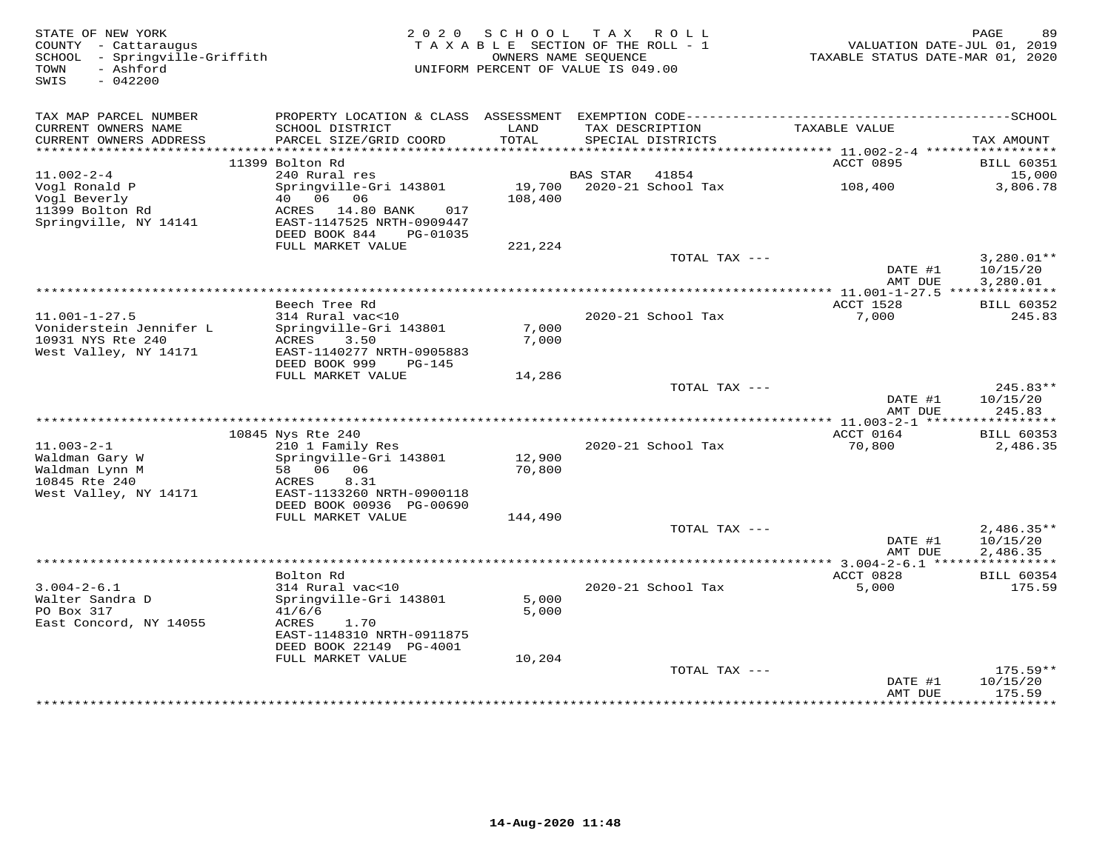| STATE OF NEW YORK<br>COUNTY - Cattaraugus<br>SCHOOL - Springville-Griffith<br>- Ashford<br>TOWN<br>SWIS<br>$-042200$ |                                                                                                                 | 2020 SCHOOL<br>TAXABLE SECTION OF THE ROLL - 1<br>OWNERS NAME SEQUENCE<br>UNIFORM PERCENT OF VALUE IS 049.00 |                 | TAX ROLL                    | TAXABLE STATUS DATE-MAR 01, 2020              | PAGE<br>89<br>VALUATION DATE-JUL 01, 2019 |
|----------------------------------------------------------------------------------------------------------------------|-----------------------------------------------------------------------------------------------------------------|--------------------------------------------------------------------------------------------------------------|-----------------|-----------------------------|-----------------------------------------------|-------------------------------------------|
| TAX MAP PARCEL NUMBER<br>CURRENT OWNERS NAME                                                                         | PROPERTY LOCATION & CLASS ASSESSMENT EXEMPTION CODE-----------------------------------SCHOOL<br>SCHOOL DISTRICT | LAND                                                                                                         |                 | TAX DESCRIPTION             | TAXABLE VALUE                                 |                                           |
| CURRENT OWNERS ADDRESS                                                                                               | PARCEL SIZE/GRID COORD                                                                                          | TOTAL                                                                                                        |                 | SPECIAL DISTRICTS           |                                               | TAX AMOUNT                                |
| ************************                                                                                             |                                                                                                                 |                                                                                                              |                 |                             |                                               |                                           |
|                                                                                                                      | 11399 Bolton Rd                                                                                                 |                                                                                                              |                 |                             | ACCT 0895                                     | <b>BILL 60351</b>                         |
| $11.002 - 2 - 4$<br>Vogl Ronald P                                                                                    | 240 Rural res<br>Springville-Gri 143801                                                                         | 19,700                                                                                                       | <b>BAS STAR</b> | 41854<br>2020-21 School Tax | 108,400                                       | 15,000<br>3,806.78                        |
| Vogl Beverly                                                                                                         | 40  06  06                                                                                                      | 108,400                                                                                                      |                 |                             |                                               |                                           |
| 11399 Bolton Rd                                                                                                      | ACRES 14.80 BANK<br>017                                                                                         |                                                                                                              |                 |                             |                                               |                                           |
| Springville, NY 14141                                                                                                | EAST-1147525 NRTH-0909447                                                                                       |                                                                                                              |                 |                             |                                               |                                           |
|                                                                                                                      | DEED BOOK 844<br>PG-01035                                                                                       |                                                                                                              |                 |                             |                                               |                                           |
|                                                                                                                      | FULL MARKET VALUE                                                                                               | 221,224                                                                                                      |                 |                             |                                               |                                           |
|                                                                                                                      |                                                                                                                 |                                                                                                              |                 | TOTAL TAX ---               |                                               | $3,280.01**$                              |
|                                                                                                                      |                                                                                                                 |                                                                                                              |                 |                             | DATE #1<br>AMT DUE                            | 10/15/20<br>3,280.01                      |
|                                                                                                                      |                                                                                                                 |                                                                                                              |                 |                             | *************** 11.001-1-27.5 *************** |                                           |
|                                                                                                                      | Beech Tree Rd                                                                                                   |                                                                                                              |                 |                             | ACCT 1528                                     | <b>BILL 60352</b>                         |
| $11.001 - 1 - 27.5$                                                                                                  | 314 Rural vac<10                                                                                                |                                                                                                              |                 | 2020-21 School Tax          | 7,000                                         | 245.83                                    |
| Voniderstein Jennifer L                                                                                              | Springville-Gri 143801                                                                                          | 7,000                                                                                                        |                 |                             |                                               |                                           |
| 10931 NYS Rte 240                                                                                                    | ACRES<br>3.50                                                                                                   | 7,000                                                                                                        |                 |                             |                                               |                                           |
| West Valley, NY 14171                                                                                                | EAST-1140277 NRTH-0905883<br>DEED BOOK 999<br>$PG-145$                                                          |                                                                                                              |                 |                             |                                               |                                           |
|                                                                                                                      | FULL MARKET VALUE                                                                                               | 14,286                                                                                                       |                 |                             |                                               |                                           |
|                                                                                                                      |                                                                                                                 |                                                                                                              |                 | TOTAL TAX ---               |                                               | $245.83**$                                |
|                                                                                                                      |                                                                                                                 |                                                                                                              |                 |                             | DATE #1                                       | 10/15/20                                  |
|                                                                                                                      |                                                                                                                 |                                                                                                              |                 |                             | AMT DUE                                       | 245.83                                    |
|                                                                                                                      |                                                                                                                 |                                                                                                              |                 |                             |                                               |                                           |
|                                                                                                                      | 10845 Nys Rte 240                                                                                               |                                                                                                              |                 |                             | ACCT 0164                                     | <b>BILL 60353</b>                         |
| $11.003 - 2 - 1$<br>Waldman Gary W                                                                                   | 210 1 Family Res<br>Springville-Gri 143801                                                                      | 12,900                                                                                                       |                 | 2020-21 School Tax          | 70,800                                        | 2,486.35                                  |
| Waldman Lynn M                                                                                                       | 58 06 06                                                                                                        | 70,800                                                                                                       |                 |                             |                                               |                                           |
| 10845 Rte 240                                                                                                        | 8.31<br>ACRES                                                                                                   |                                                                                                              |                 |                             |                                               |                                           |
| West Valley, NY 14171                                                                                                | EAST-1133260 NRTH-0900118                                                                                       |                                                                                                              |                 |                             |                                               |                                           |
|                                                                                                                      | DEED BOOK 00936 PG-00690                                                                                        |                                                                                                              |                 |                             |                                               |                                           |
|                                                                                                                      | FULL MARKET VALUE                                                                                               | 144,490                                                                                                      |                 |                             |                                               |                                           |
|                                                                                                                      |                                                                                                                 |                                                                                                              |                 | TOTAL TAX ---               | DATE #1                                       | $2,486.35**$<br>10/15/20                  |
|                                                                                                                      |                                                                                                                 |                                                                                                              |                 |                             | AMT DUE                                       | 2,486.35                                  |
|                                                                                                                      |                                                                                                                 |                                                                                                              |                 |                             |                                               |                                           |
|                                                                                                                      | Bolton Rd                                                                                                       |                                                                                                              |                 |                             | ACCT 0828                                     | <b>BILL 60354</b>                         |
| $3.004 - 2 - 6.1$                                                                                                    | 314 Rural vac<10                                                                                                |                                                                                                              |                 | 2020-21 School Tax          | 5,000                                         | 175.59                                    |
| Walter Sandra D                                                                                                      | Springville-Gri 143801                                                                                          | 5,000                                                                                                        |                 |                             |                                               |                                           |
| PO Box 317                                                                                                           | 41/6/6                                                                                                          | 5,000                                                                                                        |                 |                             |                                               |                                           |
| East Concord, NY 14055                                                                                               | ACRES<br>1.70<br>EAST-1148310 NRTH-0911875                                                                      |                                                                                                              |                 |                             |                                               |                                           |
|                                                                                                                      | DEED BOOK 22149 PG-4001                                                                                         |                                                                                                              |                 |                             |                                               |                                           |
|                                                                                                                      | FULL MARKET VALUE                                                                                               | 10,204                                                                                                       |                 |                             |                                               |                                           |
|                                                                                                                      |                                                                                                                 |                                                                                                              |                 | TOTAL TAX ---               |                                               | $175.59**$                                |
|                                                                                                                      |                                                                                                                 |                                                                                                              |                 |                             | DATE #1                                       | 10/15/20                                  |
|                                                                                                                      |                                                                                                                 |                                                                                                              |                 |                             | AMT DUE                                       | 175.59                                    |
|                                                                                                                      |                                                                                                                 |                                                                                                              |                 |                             |                                               |                                           |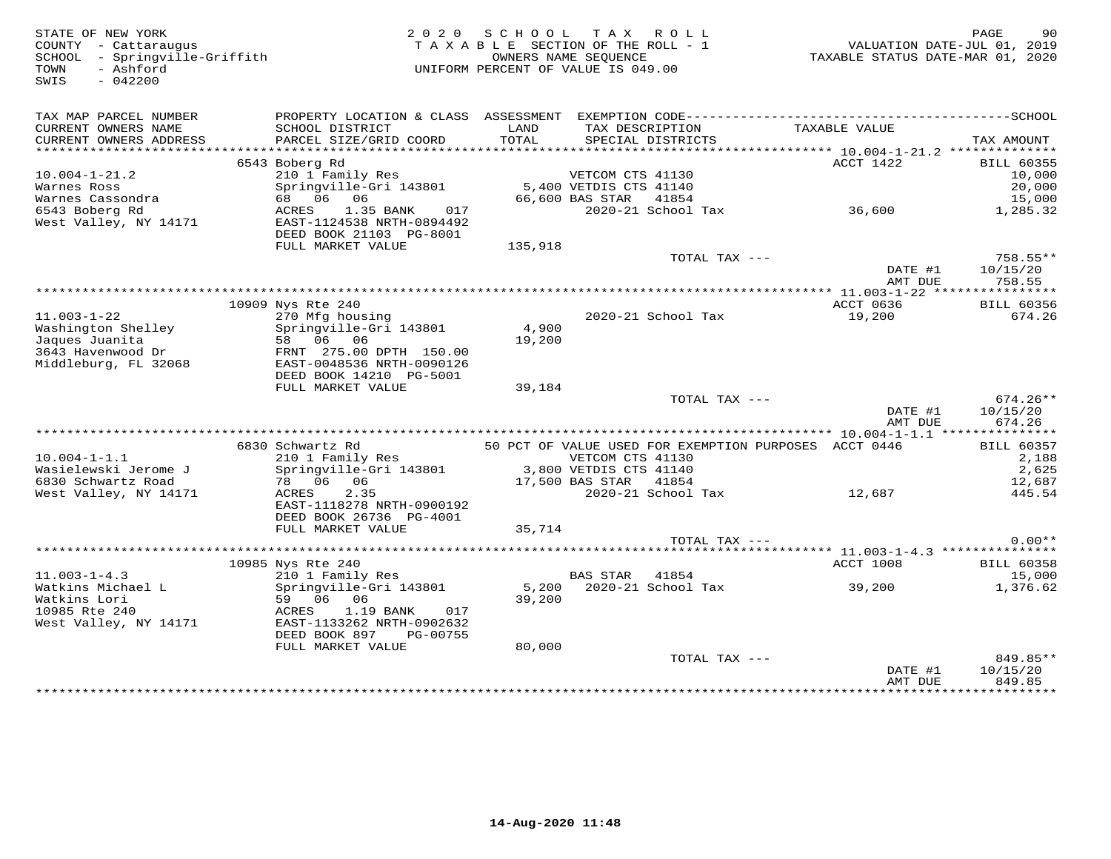| STATE OF NEW YORK<br>COUNTY - Cattaraugus<br>SCHOOL - Springville-Griffith<br>- Ashford<br>TOWN<br>SWIS<br>$-042200$ |                                                                                   |                 | 2020 SCHOOL TAX ROLL<br>TAXABLE SECTION OF THE ROLL - 1<br>OWNERS NAME SEOUENCE<br>UNIFORM PERCENT OF VALUE IS 049.00 |                                                       | PAGE<br>VALUATION DATE-JUL 01, 2019<br>TAXABLE STATUS DATE-MAR 01, 2020 | 90 |
|----------------------------------------------------------------------------------------------------------------------|-----------------------------------------------------------------------------------|-----------------|-----------------------------------------------------------------------------------------------------------------------|-------------------------------------------------------|-------------------------------------------------------------------------|----|
| TAX MAP PARCEL NUMBER<br>CURRENT OWNERS NAME<br>CURRENT OWNERS ADDRESS                                               | SCHOOL DISTRICT<br>PARCEL SIZE/GRID COORD                                         | LAND<br>TOTAL   | TAX DESCRIPTION<br>SPECIAL DISTRICTS                                                                                  | TAXABLE VALUE                                         | TAX AMOUNT                                                              |    |
|                                                                                                                      |                                                                                   |                 |                                                                                                                       |                                                       |                                                                         |    |
| $10.004 - 1 - 21.2$                                                                                                  | 6543 Boberg Rd<br>210 1 Family Res                                                |                 |                                                                                                                       |                                                       | ACCT 1422<br><b>BILL 60355</b><br>10,000                                |    |
| Warnes Ross                                                                                                          | Springville-Gri 143801                                                            |                 | VETCOM CTS 41130<br>5,400 VETDIS CTS 41140                                                                            |                                                       | 20,000                                                                  |    |
| Warnes Cassondra                                                                                                     | 68 06 06                                                                          |                 | 66,600 BAS STAR<br>41854                                                                                              |                                                       | 15,000                                                                  |    |
| 6543 Boberg Rd<br>West Valley, NY 14171                                                                              | 017<br>ACRES<br>1.35 BANK<br>EAST-1124538 NRTH-0894492<br>DEED BOOK 21103 PG-8001 |                 | 2020-21 School Tax                                                                                                    | 36,600                                                | 1,285.32                                                                |    |
|                                                                                                                      | FULL MARKET VALUE                                                                 | 135,918         |                                                                                                                       |                                                       |                                                                         |    |
|                                                                                                                      |                                                                                   |                 |                                                                                                                       | TOTAL TAX ---                                         | 758.55**<br>DATE #1<br>10/15/20<br>758.55<br>AMT DUE                    |    |
|                                                                                                                      |                                                                                   |                 |                                                                                                                       |                                                       |                                                                         |    |
| $11.003 - 1 - 22$<br>Washington Shelley<br>Jaques Juanita                                                            | 10909 Nys Rte 240<br>270 Mfg housing<br>Springville-Gri 143801<br>58 06 06        | 4,900<br>19,200 | 2020-21 School Tax                                                                                                    |                                                       | ACCT 0636<br><b>BILL 60356</b><br>19,200<br>674.26                      |    |
| 3643 Havenwood Dr<br>Middleburg, FL 32068                                                                            | FRNT 275.00 DPTH 150.00<br>EAST-0048536 NRTH-0090126<br>DEED BOOK 14210 PG-5001   |                 |                                                                                                                       |                                                       |                                                                         |    |
|                                                                                                                      | FULL MARKET VALUE                                                                 | 39,184          |                                                                                                                       |                                                       |                                                                         |    |
|                                                                                                                      |                                                                                   |                 |                                                                                                                       | TOTAL TAX ---                                         | $674.26**$<br>DATE #1<br>10/15/20<br>674.26<br>AMT DUE                  |    |
|                                                                                                                      | 6830 Schwartz Rd                                                                  |                 |                                                                                                                       | 50 PCT OF VALUE USED FOR EXEMPTION PURPOSES ACCT 0446 | <b>BILL 60357</b>                                                       |    |
| $10.004 - 1 - 1.1$<br>Wasielewski Jerome J                                                                           | 210 1 Family Res<br>Springville-Gri 143801                                        |                 | VETCOM CTS 41130<br>3,800 VETDIS CTS 41140                                                                            |                                                       | 2,188<br>2,625                                                          |    |
| 6830 Schwartz Road                                                                                                   | 78 06 06                                                                          |                 | 17,500 BAS STAR<br>41854                                                                                              |                                                       | 12,687                                                                  |    |
| West Valley, NY 14171                                                                                                | ACRES<br>2.35<br>EAST-1118278 NRTH-0900192<br>DEED BOOK 26736 PG-4001             |                 | 2020-21 School Tax                                                                                                    |                                                       | 12,687<br>445.54                                                        |    |
|                                                                                                                      | FULL MARKET VALUE                                                                 | 35,714          |                                                                                                                       |                                                       |                                                                         |    |
|                                                                                                                      |                                                                                   |                 |                                                                                                                       | TOTAL TAX ---                                         | $0.00**$                                                                |    |
|                                                                                                                      | 10985 Nys Rte 240                                                                 |                 |                                                                                                                       |                                                       | ACCT 1008<br><b>BILL 60358</b>                                          |    |
| $11.003 - 1 - 4.3$                                                                                                   | 210 1 Family Res                                                                  |                 | <b>BAS STAR</b><br>41854                                                                                              |                                                       | 15,000                                                                  |    |
| Watkins Michael L<br>Watkins Lori<br>10985 Rte 240                                                                   | Springville-Gri 143801<br>59 06 06<br>ACRES<br>1.19 BANK<br>017                   | 39,200          | 5,200 2020-21 School Tax                                                                                              | 39,200                                                | 1,376.62                                                                |    |
| West Valley, NY 14171                                                                                                | EAST-1133262 NRTH-0902632<br>DEED BOOK 897<br>PG-00755<br>FULL MARKET VALUE       | 80,000          |                                                                                                                       |                                                       |                                                                         |    |
|                                                                                                                      |                                                                                   |                 |                                                                                                                       | TOTAL TAX ---                                         | 849.85**                                                                |    |
|                                                                                                                      |                                                                                   |                 |                                                                                                                       |                                                       | 10/15/20<br>DATE #1<br>849.85<br>AMT DUE                                |    |
|                                                                                                                      |                                                                                   |                 |                                                                                                                       |                                                       | ************                                                            |    |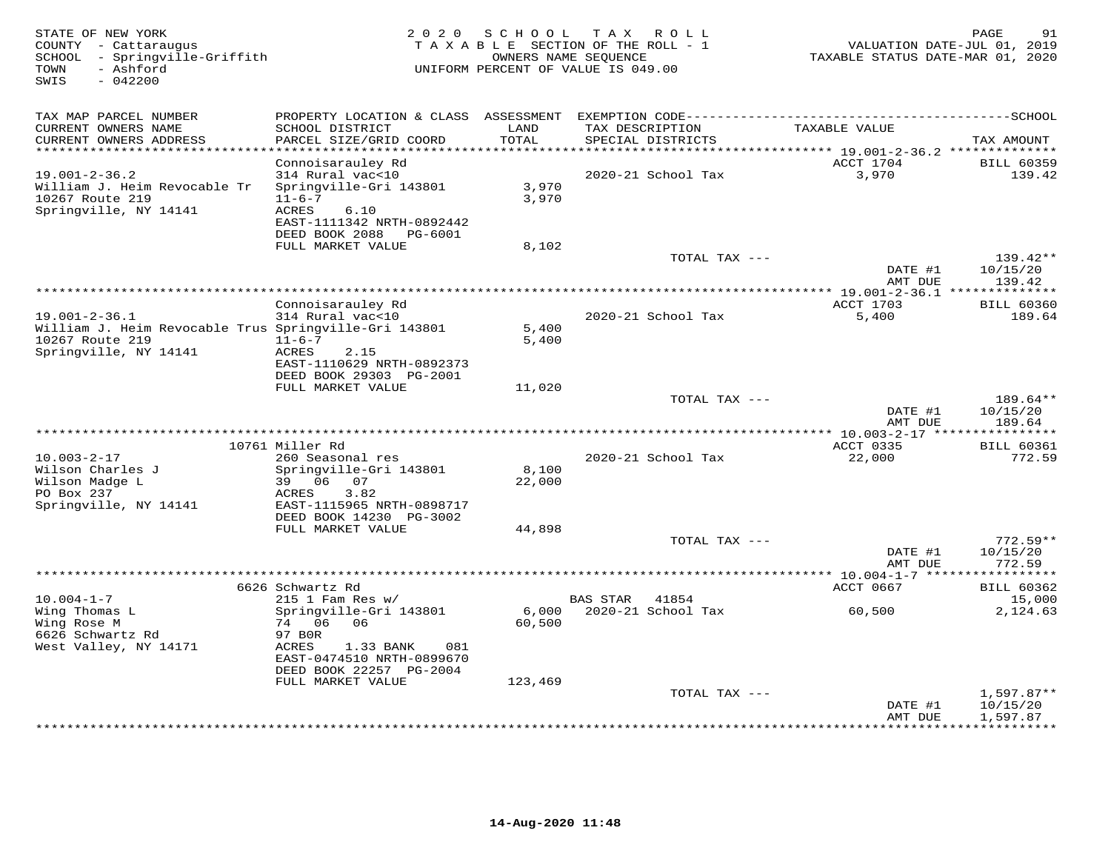| STATE OF NEW YORK<br>COUNTY - Cattaraugus<br>SCHOOL - Springville-Griffith<br>- Ashford<br>TOWN<br>$-042200$<br>SWIS | 2 0 2 0                                      |               | SCHOOL TAX ROLL<br>TAXABLE SECTION OF THE ROLL - 1<br>OWNERS NAME SEQUENCE<br>UNIFORM PERCENT OF VALUE IS 049.00 | VALUATION DATE-JUL 01, 2019<br>TAXABLE STATUS DATE-MAR 01, 2020 | PAGE<br>91             |
|----------------------------------------------------------------------------------------------------------------------|----------------------------------------------|---------------|------------------------------------------------------------------------------------------------------------------|-----------------------------------------------------------------|------------------------|
| TAX MAP PARCEL NUMBER                                                                                                | PROPERTY LOCATION & CLASS ASSESSMENT         |               |                                                                                                                  |                                                                 |                        |
| CURRENT OWNERS NAME<br>CURRENT OWNERS ADDRESS<br>**********************                                              | SCHOOL DISTRICT<br>PARCEL SIZE/GRID COORD    | LAND<br>TOTAL | TAX DESCRIPTION<br>SPECIAL DISTRICTS                                                                             | TAXABLE VALUE                                                   | TAX AMOUNT             |
|                                                                                                                      | Connoisarauley Rd                            |               |                                                                                                                  | ACCT 1704                                                       | <b>BILL 60359</b>      |
| $19.001 - 2 - 36.2$                                                                                                  | 314 Rural vac<10                             |               | 2020-21 School Tax                                                                                               | 3,970                                                           | 139.42                 |
| William J. Heim Revocable Tr                                                                                         | Springville-Gri 143801                       | 3,970         |                                                                                                                  |                                                                 |                        |
| 10267 Route 219                                                                                                      | $11 - 6 - 7$                                 | 3,970         |                                                                                                                  |                                                                 |                        |
| Springville, NY 14141                                                                                                | ACRES<br>6.10                                |               |                                                                                                                  |                                                                 |                        |
|                                                                                                                      | EAST-1111342 NRTH-0892442                    |               |                                                                                                                  |                                                                 |                        |
|                                                                                                                      | DEED BOOK 2088 PG-6001                       |               |                                                                                                                  |                                                                 |                        |
|                                                                                                                      | FULL MARKET VALUE                            | 8,102         |                                                                                                                  |                                                                 |                        |
|                                                                                                                      |                                              |               | TOTAL TAX ---                                                                                                    |                                                                 | $139.42**$             |
|                                                                                                                      |                                              |               |                                                                                                                  | DATE #1<br>AMT DUE                                              | 10/15/20<br>139.42     |
|                                                                                                                      |                                              |               |                                                                                                                  |                                                                 |                        |
|                                                                                                                      | Connoisarauley Rd                            |               |                                                                                                                  | ACCT 1703                                                       | <b>BILL 60360</b>      |
| $19.001 - 2 - 36.1$                                                                                                  | 314 Rural vac<10                             |               | 2020-21 School Tax                                                                                               | 5,400                                                           | 189.64                 |
| William J. Heim Revocable Trus Springville-Gri 143801                                                                |                                              | 5,400         |                                                                                                                  |                                                                 |                        |
| 10267 Route 219                                                                                                      | $11 - 6 - 7$                                 | 5,400         |                                                                                                                  |                                                                 |                        |
| Springville, NY 14141                                                                                                | ACRES<br>2.15                                |               |                                                                                                                  |                                                                 |                        |
|                                                                                                                      | EAST-1110629 NRTH-0892373                    |               |                                                                                                                  |                                                                 |                        |
|                                                                                                                      | DEED BOOK 29303 PG-2001<br>FULL MARKET VALUE |               |                                                                                                                  |                                                                 |                        |
|                                                                                                                      |                                              | 11,020        | TOTAL TAX ---                                                                                                    |                                                                 | 189.64**               |
|                                                                                                                      |                                              |               |                                                                                                                  | DATE #1                                                         | 10/15/20               |
|                                                                                                                      |                                              |               |                                                                                                                  | AMT DUE                                                         | 189.64                 |
|                                                                                                                      |                                              |               |                                                                                                                  |                                                                 |                        |
|                                                                                                                      | 10761 Miller Rd                              |               |                                                                                                                  | ACCT 0335                                                       | <b>BILL 60361</b>      |
| $10.003 - 2 - 17$                                                                                                    | 260 Seasonal res                             |               | 2020-21 School Tax                                                                                               | 22,000                                                          | 772.59                 |
| Wilson Charles J                                                                                                     | Springville-Gri 143801                       | 8,100         |                                                                                                                  |                                                                 |                        |
| Wilson Madge L                                                                                                       | 39 06 07                                     | 22,000        |                                                                                                                  |                                                                 |                        |
| PO Box 237<br>Springville, NY 14141                                                                                  | ACRES<br>3.82<br>EAST-1115965 NRTH-0898717   |               |                                                                                                                  |                                                                 |                        |
|                                                                                                                      | DEED BOOK 14230 PG-3002                      |               |                                                                                                                  |                                                                 |                        |
|                                                                                                                      | FULL MARKET VALUE                            | 44,898        |                                                                                                                  |                                                                 |                        |
|                                                                                                                      |                                              |               | TOTAL TAX ---                                                                                                    |                                                                 | $772.59**$             |
|                                                                                                                      |                                              |               |                                                                                                                  | DATE #1                                                         | 10/15/20               |
|                                                                                                                      |                                              |               |                                                                                                                  | AMT DUE                                                         | 772.59                 |
|                                                                                                                      |                                              |               |                                                                                                                  | ******* 10.004-1-7 ******************                           |                        |
|                                                                                                                      | 6626 Schwartz Rd                             |               |                                                                                                                  | ACCT 0667                                                       | BILL 60362             |
| $10.004 - 1 - 7$<br>Wing Thomas L                                                                                    | $215$ 1 Fam Res w/<br>Springville-Gri 143801 | 6,000         | <b>BAS STAR</b><br>41854<br>2020-21 School Tax                                                                   | 60,500                                                          | 15,000<br>2,124.63     |
| Wing Rose M                                                                                                          | 74 06<br>06                                  | 60,500        |                                                                                                                  |                                                                 |                        |
| 6626 Schwartz Rd                                                                                                     | 97 B0R                                       |               |                                                                                                                  |                                                                 |                        |
| West Valley, NY 14171                                                                                                | ACRES<br>081<br>1.33 BANK                    |               |                                                                                                                  |                                                                 |                        |
|                                                                                                                      | EAST-0474510 NRTH-0899670                    |               |                                                                                                                  |                                                                 |                        |
|                                                                                                                      | DEED BOOK 22257 PG-2004                      |               |                                                                                                                  |                                                                 |                        |
|                                                                                                                      | FULL MARKET VALUE                            | 123,469       |                                                                                                                  |                                                                 |                        |
|                                                                                                                      |                                              |               | TOTAL TAX ---                                                                                                    |                                                                 | $1,597.87**$           |
|                                                                                                                      |                                              |               |                                                                                                                  | DATE #1                                                         | 10/15/20               |
|                                                                                                                      |                                              |               |                                                                                                                  | AMT DUE                                                         | 1,597.87<br>********** |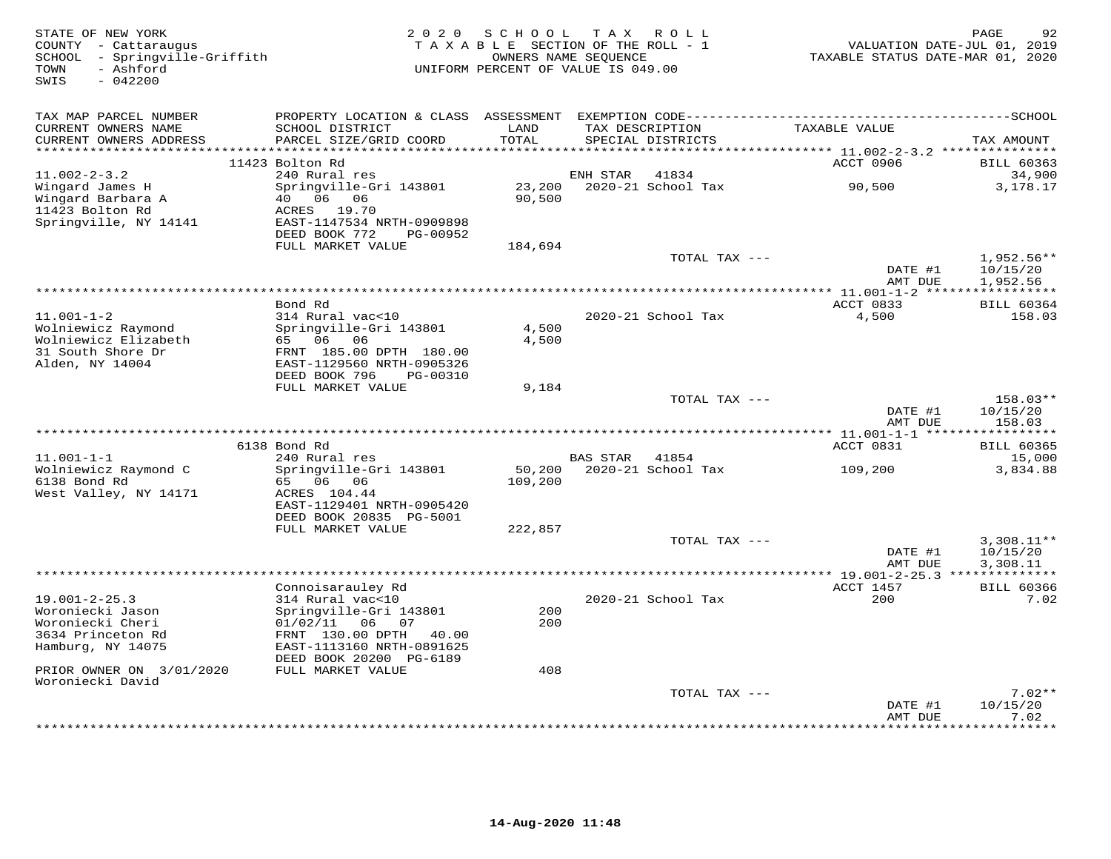| STATE OF NEW YORK<br>COUNTY - Cattaraugus<br>SCHOOL - Springville-Griffith<br>TOWN<br>- Ashford<br>SWIS<br>$-042200$ | 2 0 2 0                                                | SCHOOL TAX ROLL<br>TAXABLE SECTION OF THE ROLL - 1<br>OWNERS NAME SEQUENCE<br>UNIFORM PERCENT OF VALUE IS 049.00 |                 |                                      | TAXABLE STATUS DATE-MAR 01, 2020                    | 92<br>PAGE<br>VALUATION DATE-JUL 01, 2019 |
|----------------------------------------------------------------------------------------------------------------------|--------------------------------------------------------|------------------------------------------------------------------------------------------------------------------|-----------------|--------------------------------------|-----------------------------------------------------|-------------------------------------------|
| TAX MAP PARCEL NUMBER                                                                                                |                                                        |                                                                                                                  |                 |                                      |                                                     |                                           |
| CURRENT OWNERS NAME<br>CURRENT OWNERS ADDRESS                                                                        | SCHOOL DISTRICT<br>PARCEL SIZE/GRID COORD              | LAND<br>TOTAL                                                                                                    |                 | TAX DESCRIPTION<br>SPECIAL DISTRICTS | TAXABLE VALUE                                       | TAX AMOUNT                                |
| **********************                                                                                               | 11423 Bolton Rd                                        | ********                                                                                                         |                 |                                      | ******** 11.002-2-3.2 ****************<br>ACCT 0906 | <b>BILL 60363</b>                         |
| $11.002 - 2 - 3.2$                                                                                                   | 240 Rural res                                          |                                                                                                                  | ENH STAR        | 41834                                |                                                     | 34,900                                    |
| Wingard James H                                                                                                      | Springville-Gri 143801                                 | 23,200                                                                                                           |                 | 2020-21 School Tax                   | 90,500                                              | 3,178.17                                  |
| Wingard Barbara A                                                                                                    | 40  06  06                                             | 90,500                                                                                                           |                 |                                      |                                                     |                                           |
| 11423 Bolton Rd                                                                                                      | ACRES 19.70                                            |                                                                                                                  |                 |                                      |                                                     |                                           |
| Springville, NY 14141                                                                                                | EAST-1147534 NRTH-0909898<br>DEED BOOK 772<br>PG-00952 |                                                                                                                  |                 |                                      |                                                     |                                           |
|                                                                                                                      | FULL MARKET VALUE                                      | 184,694                                                                                                          |                 |                                      |                                                     |                                           |
|                                                                                                                      |                                                        |                                                                                                                  |                 | TOTAL TAX ---                        |                                                     | 1,952.56**                                |
|                                                                                                                      |                                                        |                                                                                                                  |                 |                                      | DATE #1                                             | 10/15/20                                  |
|                                                                                                                      |                                                        |                                                                                                                  |                 |                                      | AMT DUE                                             | 1,952.56                                  |
|                                                                                                                      |                                                        |                                                                                                                  |                 |                                      |                                                     |                                           |
| $11.001 - 1 - 2$                                                                                                     | Bond Rd<br>314 Rural vac<10                            |                                                                                                                  |                 | 2020-21 School Tax                   | ACCT 0833<br>4,500                                  | <b>BILL 60364</b><br>158.03               |
| Wolniewicz Raymond                                                                                                   | Springville-Gri 143801                                 | 4,500                                                                                                            |                 |                                      |                                                     |                                           |
| Wolniewicz Elizabeth                                                                                                 | 65 06 06                                               | 4,500                                                                                                            |                 |                                      |                                                     |                                           |
| 31 South Shore Dr                                                                                                    | FRNT 185.00 DPTH 180.00                                |                                                                                                                  |                 |                                      |                                                     |                                           |
| Alden, NY 14004                                                                                                      | EAST-1129560 NRTH-0905326                              |                                                                                                                  |                 |                                      |                                                     |                                           |
|                                                                                                                      | DEED BOOK 796<br>PG-00310                              |                                                                                                                  |                 |                                      |                                                     |                                           |
|                                                                                                                      | FULL MARKET VALUE                                      | 9,184                                                                                                            |                 | TOTAL TAX ---                        |                                                     | 158.03**                                  |
|                                                                                                                      |                                                        |                                                                                                                  |                 |                                      | DATE #1                                             | 10/15/20                                  |
|                                                                                                                      |                                                        |                                                                                                                  |                 |                                      | AMT DUE                                             | 158.03                                    |
| ********************                                                                                                 |                                                        |                                                                                                                  |                 |                                      |                                                     |                                           |
|                                                                                                                      | 6138 Bond Rd                                           |                                                                                                                  |                 |                                      | ACCT 0831                                           | <b>BILL 60365</b>                         |
| $11.001 - 1 - 1$                                                                                                     | 240 Rural res                                          |                                                                                                                  | <b>BAS STAR</b> | 41854                                |                                                     | 15,000                                    |
| Wolniewicz Raymond C<br>6138 Bond Rd                                                                                 | Springville-Gri 143801<br>65 06 06                     | 50,200<br>109,200                                                                                                |                 | 2020-21 School Tax                   | 109,200                                             | 3,834.88                                  |
| West Valley, NY 14171                                                                                                | ACRES 104.44                                           |                                                                                                                  |                 |                                      |                                                     |                                           |
|                                                                                                                      | EAST-1129401 NRTH-0905420                              |                                                                                                                  |                 |                                      |                                                     |                                           |
|                                                                                                                      | DEED BOOK 20835 PG-5001                                |                                                                                                                  |                 |                                      |                                                     |                                           |
|                                                                                                                      | FULL MARKET VALUE                                      | 222,857                                                                                                          |                 |                                      |                                                     |                                           |
|                                                                                                                      |                                                        |                                                                                                                  |                 | TOTAL TAX ---                        |                                                     | $3,308.11**$                              |
|                                                                                                                      |                                                        |                                                                                                                  |                 |                                      | DATE #1<br>AMT DUE                                  | 10/15/20<br>3,308.11                      |
|                                                                                                                      |                                                        |                                                                                                                  |                 |                                      |                                                     |                                           |
|                                                                                                                      | Connoisarauley Rd                                      |                                                                                                                  |                 |                                      | ACCT 1457                                           | <b>BILL 60366</b>                         |
| $19.001 - 2 - 25.3$                                                                                                  | 314 Rural vac<10                                       |                                                                                                                  |                 | 2020-21 School Tax                   | 200                                                 | 7.02                                      |
| Woroniecki Jason                                                                                                     | Springville-Gri 143801                                 | 200                                                                                                              |                 |                                      |                                                     |                                           |
| Woroniecki Cheri                                                                                                     | $01/02/11$ 06 07                                       | 200                                                                                                              |                 |                                      |                                                     |                                           |
| 3634 Princeton Rd                                                                                                    | FRNT 130.00 DPTH<br>40.00                              |                                                                                                                  |                 |                                      |                                                     |                                           |
| Hamburg, NY 14075                                                                                                    | EAST-1113160 NRTH-0891625<br>DEED BOOK 20200 PG-6189   |                                                                                                                  |                 |                                      |                                                     |                                           |
| PRIOR OWNER ON 3/01/2020                                                                                             | FULL MARKET VALUE                                      | 408                                                                                                              |                 |                                      |                                                     |                                           |
| Woroniecki David                                                                                                     |                                                        |                                                                                                                  |                 |                                      |                                                     |                                           |
|                                                                                                                      |                                                        |                                                                                                                  |                 | TOTAL TAX ---                        |                                                     | $7.02**$                                  |
|                                                                                                                      |                                                        |                                                                                                                  |                 |                                      | DATE #1                                             | 10/15/20                                  |
|                                                                                                                      |                                                        |                                                                                                                  |                 |                                      | AMT DUE<br>. * * * * * * * * * * * * *              | 7.02<br>* * * * * * * *                   |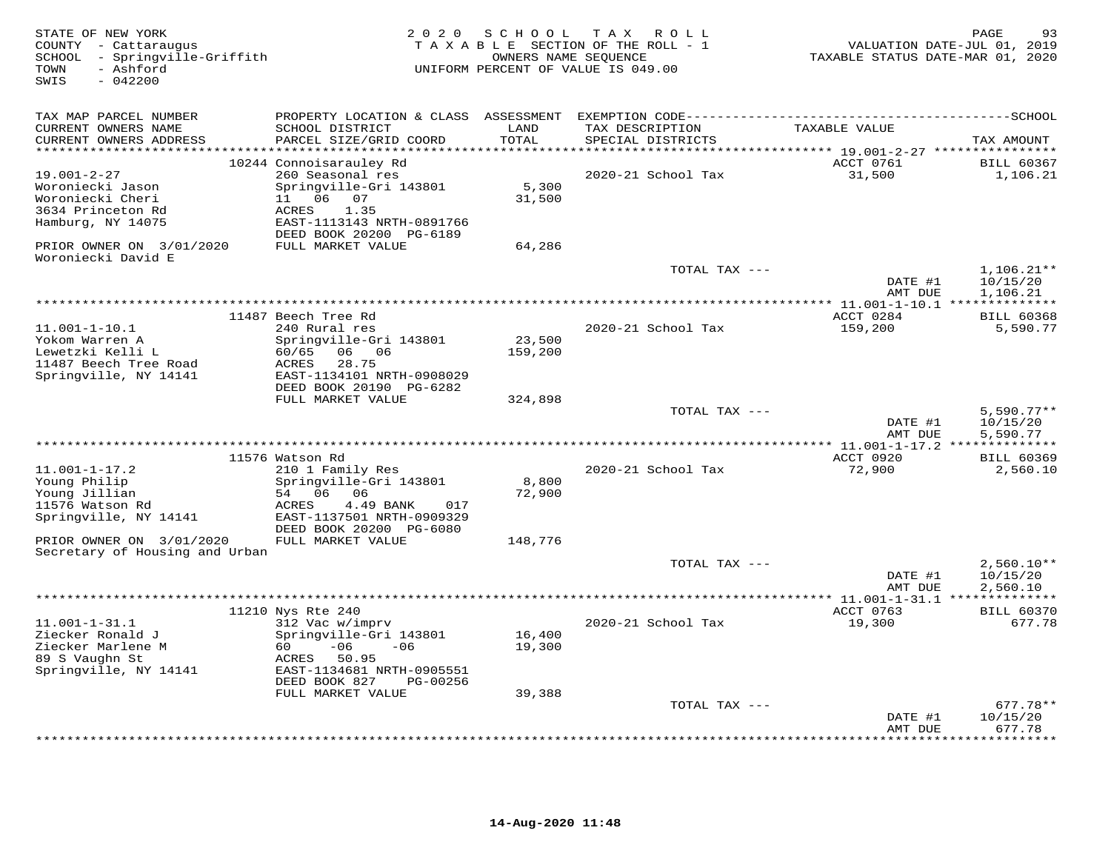| STATE OF NEW YORK<br>COUNTY - Cattaraugus<br>- Springville-Griffith<br>SCHOOL<br>- Ashford<br>TOWN<br>$-042200$<br>SWIS | 2 0 2 0                                        | SCHOOL                  | T A X<br>R O L L<br>TAXABLE SECTION OF THE ROLL - 1<br>OWNERS NAME SEQUENCE<br>UNIFORM PERCENT OF VALUE IS 049.00 | TAXABLE STATUS DATE-MAR 01, 2020                             | PAGE<br>93<br>VALUATION DATE-JUL 01, 2019 |
|-------------------------------------------------------------------------------------------------------------------------|------------------------------------------------|-------------------------|-------------------------------------------------------------------------------------------------------------------|--------------------------------------------------------------|-------------------------------------------|
| TAX MAP PARCEL NUMBER                                                                                                   |                                                |                         |                                                                                                                   |                                                              |                                           |
| CURRENT OWNERS NAME<br>CURRENT OWNERS ADDRESS<br>****************                                                       | SCHOOL DISTRICT<br>PARCEL SIZE/GRID COORD      | LAND<br>TOTAL<br>****** | TAX DESCRIPTION<br>SPECIAL DISTRICTS<br>***************                                                           | TAXABLE VALUE                                                | TAX AMOUNT                                |
|                                                                                                                         | 10244 Connoisarauley Rd                        |                         |                                                                                                                   | ******** 19.001-2-27 ****************<br>ACCT 0761           | <b>BILL 60367</b>                         |
| $19.001 - 2 - 27$                                                                                                       | 260 Seasonal res                               |                         | 2020-21 School Tax                                                                                                | 31,500                                                       | 1,106.21                                  |
| Woroniecki Jason                                                                                                        | Springville-Gri 143801                         | 5,300                   |                                                                                                                   |                                                              |                                           |
| Woroniecki Cheri                                                                                                        | 11 06 07                                       | 31,500                  |                                                                                                                   |                                                              |                                           |
| 3634 Princeton Rd<br>Hamburg, NY 14075                                                                                  | ACRES<br>1.35<br>EAST-1113143 NRTH-0891766     |                         |                                                                                                                   |                                                              |                                           |
|                                                                                                                         | DEED BOOK 20200 PG-6189                        |                         |                                                                                                                   |                                                              |                                           |
| PRIOR OWNER ON 3/01/2020<br>Woroniecki David E                                                                          | FULL MARKET VALUE                              | 64,286                  |                                                                                                                   |                                                              |                                           |
|                                                                                                                         |                                                |                         | TOTAL TAX ---                                                                                                     |                                                              | $1,106.21**$                              |
|                                                                                                                         |                                                |                         |                                                                                                                   | DATE #1<br>AMT DUE<br>********* 11.001-1-10.1 ************** | 10/15/20<br>1,106.21                      |
|                                                                                                                         | 11487 Beech Tree Rd                            |                         |                                                                                                                   | ACCT 0284                                                    | <b>BILL 60368</b>                         |
| $11.001 - 1 - 10.1$                                                                                                     | 240 Rural res                                  |                         | 2020-21 School Tax                                                                                                | 159,200                                                      | 5,590.77                                  |
| Yokom Warren A                                                                                                          | Springville-Gri 143801                         | 23,500                  |                                                                                                                   |                                                              |                                           |
| Lewetzki Kelli L                                                                                                        | 60/65<br>06 06                                 | 159,200                 |                                                                                                                   |                                                              |                                           |
| 11487 Beech Tree Road<br>Springville, NY 14141                                                                          | 28.75<br>ACRES<br>EAST-1134101 NRTH-0908029    |                         |                                                                                                                   |                                                              |                                           |
|                                                                                                                         | DEED BOOK 20190 PG-6282                        |                         |                                                                                                                   |                                                              |                                           |
|                                                                                                                         | FULL MARKET VALUE                              | 324,898                 |                                                                                                                   |                                                              |                                           |
|                                                                                                                         |                                                |                         | TOTAL TAX ---                                                                                                     |                                                              | $5,590.77**$                              |
|                                                                                                                         |                                                |                         |                                                                                                                   | DATE #1<br>AMT DUE                                           | 10/15/20<br>5,590.77                      |
|                                                                                                                         |                                                |                         |                                                                                                                   |                                                              |                                           |
|                                                                                                                         | 11576 Watson Rd                                |                         |                                                                                                                   | ACCT 0920                                                    | <b>BILL 60369</b>                         |
| $11.001 - 1 - 17.2$                                                                                                     | 210 1 Family Res                               |                         | 2020-21 School Tax                                                                                                | 72,900                                                       | 2,560.10                                  |
| Young Philip                                                                                                            | Springville-Gri 143801<br>54 06 06             | 8,800<br>72,900         |                                                                                                                   |                                                              |                                           |
| Young Jillian<br>11576 Watson Rd                                                                                        | ACRES<br>4.49 BANK<br>017                      |                         |                                                                                                                   |                                                              |                                           |
| Springville, NY 14141                                                                                                   | EAST-1137501 NRTH-0909329                      |                         |                                                                                                                   |                                                              |                                           |
|                                                                                                                         | DEED BOOK 20200 PG-6080                        |                         |                                                                                                                   |                                                              |                                           |
| PRIOR OWNER ON 3/01/2020                                                                                                | FULL MARKET VALUE                              | 148,776                 |                                                                                                                   |                                                              |                                           |
| Secretary of Housing and Urban                                                                                          |                                                |                         | TOTAL TAX ---                                                                                                     |                                                              | $2,560.10**$                              |
|                                                                                                                         |                                                |                         |                                                                                                                   | DATE #1                                                      | 10/15/20                                  |
|                                                                                                                         |                                                |                         |                                                                                                                   | AMT DUE                                                      | 2,560.10                                  |
|                                                                                                                         |                                                |                         |                                                                                                                   |                                                              |                                           |
| $11.001 - 1 - 31.1$                                                                                                     | 11210 Nys Rte 240<br>312 Vac w/imprv           |                         | 2020-21 School Tax                                                                                                | ACCT 0763<br>19,300                                          | <b>BILL 60370</b><br>677.78               |
| Ziecker Ronald J                                                                                                        | Springville-Gri 143801                         | 16,400                  |                                                                                                                   |                                                              |                                           |
| Ziecker Marlene M                                                                                                       | 60<br>$-06$<br>$-06$                           | 19,300                  |                                                                                                                   |                                                              |                                           |
| 89 S Vaughn St                                                                                                          | 50.95<br>ACRES                                 |                         |                                                                                                                   |                                                              |                                           |
| Springville, NY 14141                                                                                                   | EAST-1134681 NRTH-0905551                      |                         |                                                                                                                   |                                                              |                                           |
|                                                                                                                         | DEED BOOK 827<br>PG-00256<br>FULL MARKET VALUE | 39,388                  |                                                                                                                   |                                                              |                                           |
|                                                                                                                         |                                                |                         | TOTAL TAX ---                                                                                                     |                                                              | $677.78**$                                |
|                                                                                                                         |                                                |                         |                                                                                                                   | DATE #1                                                      | 10/15/20                                  |
|                                                                                                                         |                                                |                         |                                                                                                                   | AMT DUE                                                      | 677.78<br>.                               |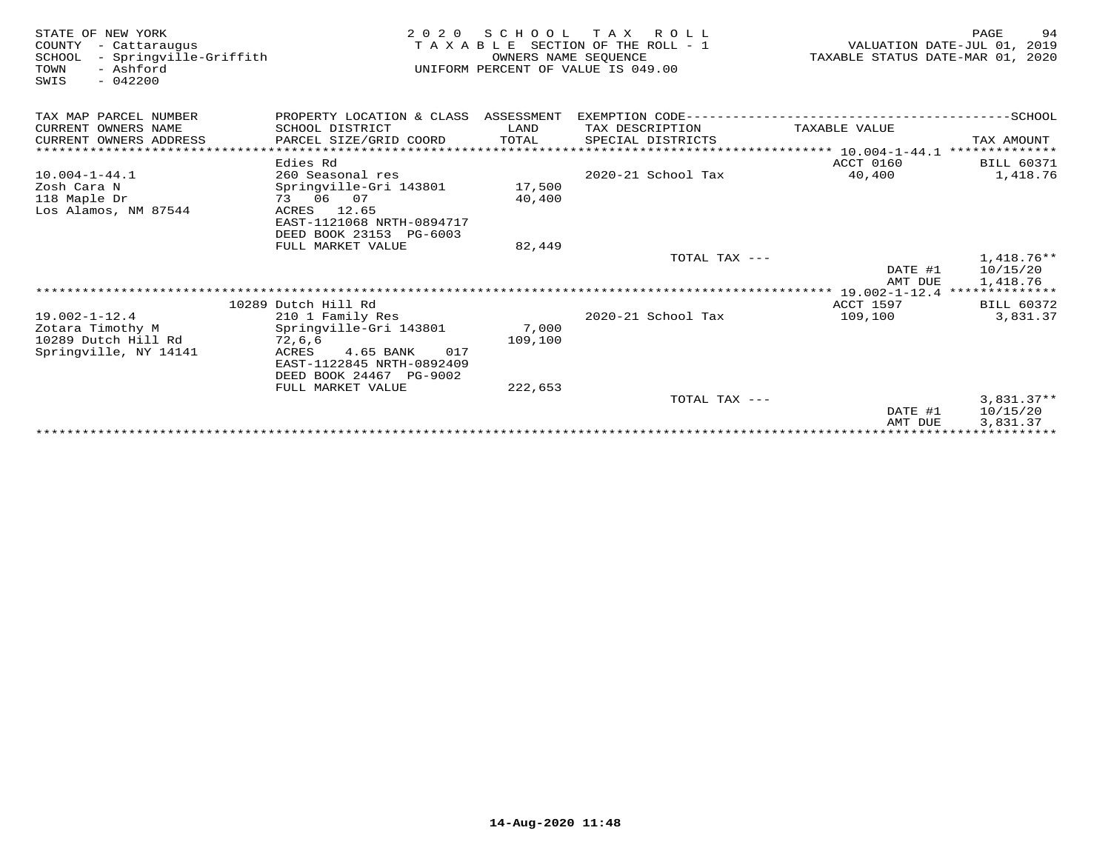| STATE OF NEW YORK<br>COUNTY<br>- Cattaraugus<br>- Springville-Griffith<br>SCHOOL<br>- Ashford<br>TOWN<br>$-042200$<br>SWIS | 2 0 2 0                                              | OWNERS NAME SEOUENCE | SCHOOL TAX ROLL<br>TAXABLE SECTION OF THE ROLL - 1<br>UNIFORM PERCENT OF VALUE IS 049.00 | TAXABLE STATUS DATE-MAR 01, 2020           | 94<br>PAGE<br>VALUATION DATE-JUL 01, 2019 |
|----------------------------------------------------------------------------------------------------------------------------|------------------------------------------------------|----------------------|------------------------------------------------------------------------------------------|--------------------------------------------|-------------------------------------------|
| TAX MAP PARCEL NUMBER                                                                                                      | PROPERTY LOCATION & CLASS ASSESSMENT                 |                      | EXEMPTION CODE--------                                                                   |                                            |                                           |
| CURRENT OWNERS NAME                                                                                                        | SCHOOL DISTRICT                                      | LAND                 | TAX DESCRIPTION                                                                          | TAXABLE VALUE                              |                                           |
| CURRENT OWNERS ADDRESS                                                                                                     | PARCEL SIZE/GRID COORD                               | TOTAL                | SPECIAL DISTRICTS                                                                        |                                            | TAX AMOUNT                                |
| ******************************                                                                                             |                                                      |                      |                                                                                          |                                            |                                           |
|                                                                                                                            | Edies Rd                                             |                      |                                                                                          | ACCT 0160                                  | <b>BILL 60371</b>                         |
| $10.004 - 1 - 44.1$                                                                                                        | 260 Seasonal res                                     |                      | 2020-21 School Tax                                                                       | 40,400                                     | 1,418.76                                  |
| Zosh Cara N                                                                                                                | Springville-Gri 143801                               | 17,500               |                                                                                          |                                            |                                           |
| 118 Maple Dr                                                                                                               | 73 06 07                                             | 40,400               |                                                                                          |                                            |                                           |
| Los Alamos, NM 87544                                                                                                       | ACRES<br>12.65                                       |                      |                                                                                          |                                            |                                           |
|                                                                                                                            | EAST-1121068 NRTH-0894717<br>DEED BOOK 23153 PG-6003 |                      |                                                                                          |                                            |                                           |
|                                                                                                                            | FULL MARKET VALUE                                    | 82,449               |                                                                                          |                                            |                                           |
|                                                                                                                            |                                                      |                      | TOTAL TAX ---                                                                            |                                            | $1,418.76**$                              |
|                                                                                                                            |                                                      |                      |                                                                                          | DATE #1                                    | 10/15/20                                  |
|                                                                                                                            |                                                      |                      |                                                                                          | AMT DUE                                    | 1,418.76                                  |
|                                                                                                                            |                                                      |                      |                                                                                          | ************* 19.002-1-12.4 ************** |                                           |
|                                                                                                                            | 10289 Dutch Hill Rd                                  |                      |                                                                                          | <b>ACCT 1597</b>                           | BILL 60372                                |
| $19.002 - 1 - 12.4$                                                                                                        | 210 1 Family Res                                     |                      | 2020-21 School Tax                                                                       | 109,100                                    | 3,831.37                                  |
| Zotara Timothy M                                                                                                           | Springville-Gri 143801                               | 7,000                |                                                                                          |                                            |                                           |
| 10289 Dutch Hill Rd                                                                                                        | 72,6,6                                               | 109,100              |                                                                                          |                                            |                                           |
| Springville, NY 14141                                                                                                      | ACRES<br>4.65 BANK<br>017                            |                      |                                                                                          |                                            |                                           |
|                                                                                                                            | EAST-1122845 NRTH-0892409                            |                      |                                                                                          |                                            |                                           |
|                                                                                                                            | DEED BOOK 24467 PG-9002                              |                      |                                                                                          |                                            |                                           |
|                                                                                                                            | FULL MARKET VALUE                                    | 222,653              | TOTAL TAX ---                                                                            |                                            | $3,831.37**$                              |
|                                                                                                                            |                                                      |                      |                                                                                          | DATE #1                                    | 10/15/20                                  |
|                                                                                                                            |                                                      |                      |                                                                                          | AMT DUE                                    | 3,831.37                                  |
|                                                                                                                            |                                                      |                      |                                                                                          | **************                             | * * * * * * * * * * *                     |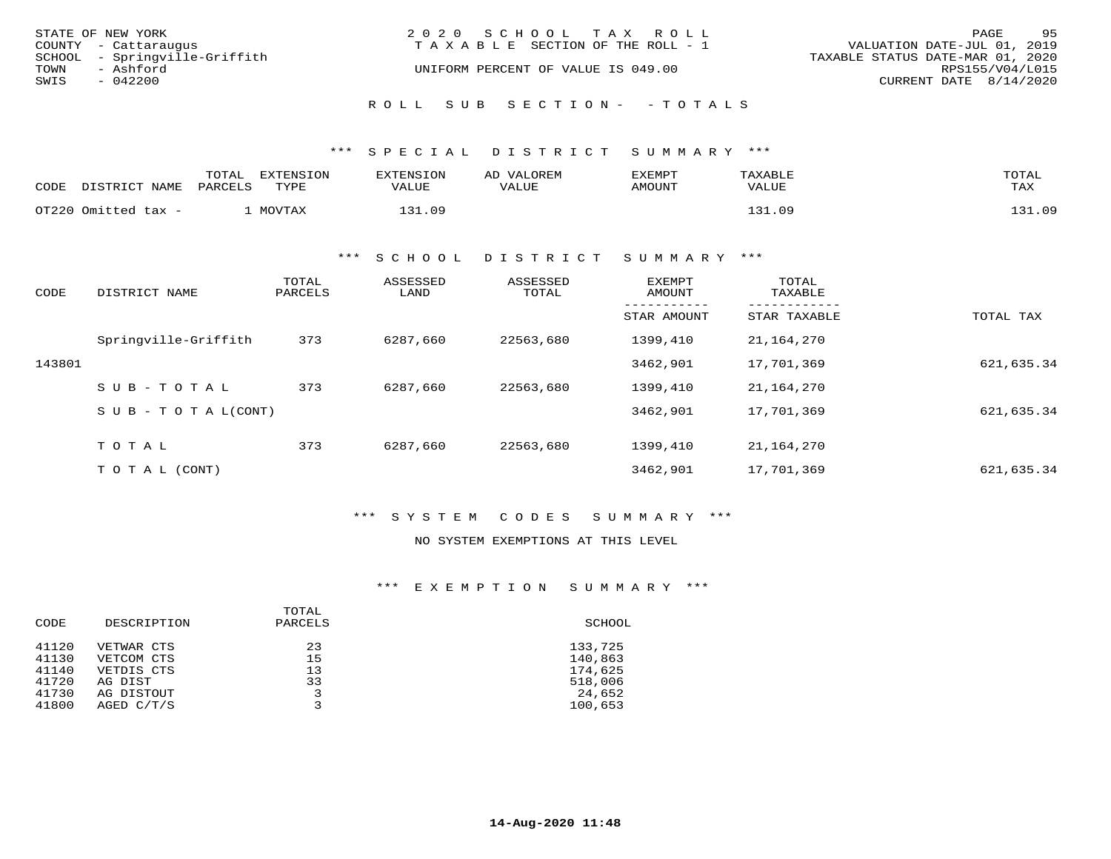|      | STATE OF NEW YORK             | 2020 SCHOOL TAX ROLL                  | 95<br>PAGE                       |
|------|-------------------------------|---------------------------------------|----------------------------------|
|      | COUNTY - Cattaraugus          | T A X A B L E SECTION OF THE ROLL - 1 | VALUATION DATE-JUL 01, 2019      |
|      | SCHOOL - Springville-Griffith |                                       | TAXABLE STATUS DATE-MAR 01, 2020 |
| TOWN | - Ashford                     | UNIFORM PERCENT OF VALUE IS 049.00    | RPS155/V04/L015                  |
| SWIS | $-042200$                     |                                       | CURRENT DATE 8/14/2020           |
|      |                               | ROLL SUB SECTION- - TOTALS            |                                  |

## \*\*\* S P E C I A L D I S T R I C T S U M M A R Y \*\*\*

| CODE | דת דפידף דת<br>NAME | TOTAL<br>PARCELS | <b>EXTENSION</b><br>TYPE | וא∩דפזאיםיז<br>ᄗᅏᇚ<br>VALUE | VALOREM<br>AP<br>LUE<br>TTA. | EXEMPT<br>AMOUNT | TAXABLE<br>VALUE | TOTAL<br>TAX           |
|------|---------------------|------------------|--------------------------|-----------------------------|------------------------------|------------------|------------------|------------------------|
|      | OT220 Omitted tax - |                  | $M \cap T$ $T \cap N$    | 1 2 1<br>n 9                |                              |                  |                  | $\pm 0^{\circ}$<br>121 |

#### \*\*\* S C H O O L D I S T R I C T S U M M A R Y \*\*\*

| CODE   | DISTRICT NAME                    | TOTAL<br>PARCELS | ASSESSED<br>LAND | ASSESSED<br>TOTAL | <b>EXEMPT</b><br>AMOUNT | TOTAL<br>TAXABLE |            |
|--------|----------------------------------|------------------|------------------|-------------------|-------------------------|------------------|------------|
|        |                                  |                  |                  |                   | STAR AMOUNT             | STAR TAXABLE     | TOTAL TAX  |
|        | Springville-Griffith             | 373              | 6287,660         | 22563,680         | 1399,410                | 21,164,270       |            |
| 143801 |                                  |                  |                  |                   | 3462,901                | 17,701,369       | 621,635.34 |
|        | $SUB - TO T AL$                  | 373              | 6287,660         | 22563,680         | 1399,410                | 21,164,270       |            |
|        | $S \cup B - T \cup T A L (CONT)$ |                  |                  |                   | 3462,901                | 17,701,369       | 621,635.34 |
|        |                                  |                  |                  |                   |                         |                  |            |
|        | TOTAL                            | 373              | 6287,660         | 22563,680         | 1399,410                | 21,164,270       |            |
|        | T O T A L (CONT)                 |                  |                  |                   | 3462,901                | 17,701,369       | 621,635.34 |

## \*\*\* S Y S T E M C O D E S S U M M A R Y \*\*\*

## NO SYSTEM EXEMPTIONS AT THIS LEVEL

## \*\*\* E X E M P T I O N S U M M A R Y \*\*\*

|       |             | TOTAL   |         |
|-------|-------------|---------|---------|
| CODE  | DESCRIPTION | PARCELS | SCHOOL  |
| 41120 | VETWAR CTS  | 23      | 133,725 |
| 41130 | VETCOM CTS  | 15      | 140,863 |
| 41140 | VETDIS CTS  | 13      | 174,625 |
| 41720 | AG DIST     | 33      | 518,006 |
| 41730 | AG DISTOUT  | 3       | 24,652  |
| 41800 | AGED C/T/S  | 3       | 100,653 |
|       |             |         |         |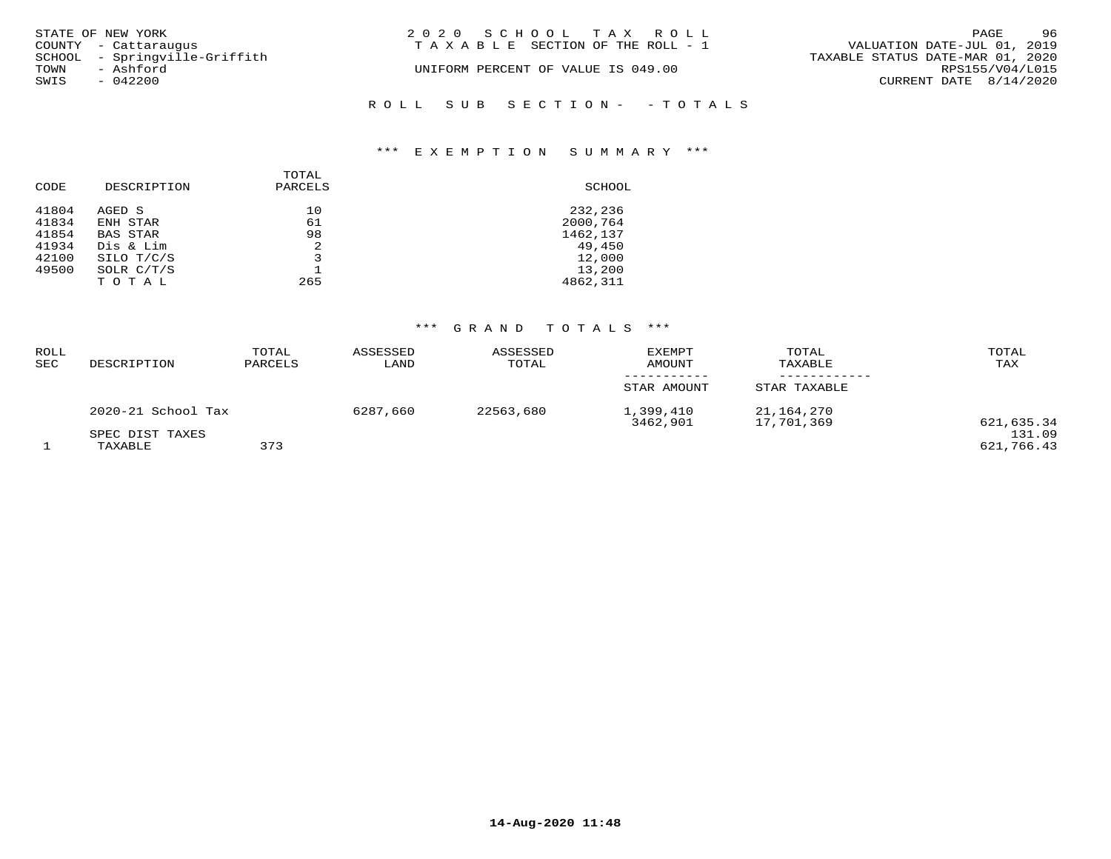| STATE OF NEW YORK             | 2020 SCHOOL TAX ROLL                  | 96<br>PAGE                       |
|-------------------------------|---------------------------------------|----------------------------------|
| COUNTY - Cattaraugus          | T A X A B L E SECTION OF THE ROLL - 1 | VALUATION DATE-JUL 01, 2019      |
| SCHOOL - Springville-Griffith |                                       | TAXABLE STATUS DATE-MAR 01, 2020 |
| TOWN<br>- Ashford             | UNIFORM PERCENT OF VALUE IS 049.00    | RPS155/V04/L015                  |
| SWIS<br>- 042200              |                                       | CURRENT DATE $8/14/2020$         |
|                               | ROLL SUB SECTION- - TOTALS            |                                  |

## \*\*\* E X E M P T I O N S U M M A R Y \*\*\*

| CODE  | DESCRIPTION  | TOTAL<br>PARCELS | SCHOOL   |
|-------|--------------|------------------|----------|
| 41804 | AGED S       | 10               | 232,236  |
| 41834 | ENH STAR     | 61               | 2000,764 |
| 41854 | BAS STAR     | 98               | 1462,137 |
| 41934 | Dis & Lim    | $\mathfrak{D}$   | 49,450   |
| 42100 | SILO T/C/S   | 3                | 12,000   |
| 49500 | SOLR $C/T/S$ |                  | 13,200   |
|       | TOTAL        | 265              | 4862,311 |

## \*\*\* G R A N D T O T A L S \*\*\*

| ROLL<br>SEC | DESCRIPTION                | TOTAL<br>PARCELS | ASSESSED<br>LAND | ASSESSED<br>TOTAL | <b>EXEMPT</b><br>AMOUNT | TOTAL<br>TAXABLE         | TOTAL<br>TAX         |
|-------------|----------------------------|------------------|------------------|-------------------|-------------------------|--------------------------|----------------------|
|             |                            |                  |                  |                   | STAR AMOUNT             | STAR TAXABLE             |                      |
|             | 2020-21 School Tax         |                  | 6287,660         | 22563,680         | 1,399,410<br>3462,901   | 21,164,270<br>17,701,369 | 621,635.34           |
|             | SPEC DIST TAXES<br>TAXABLE | 373              |                  |                   |                         |                          | 131.09<br>621,766.43 |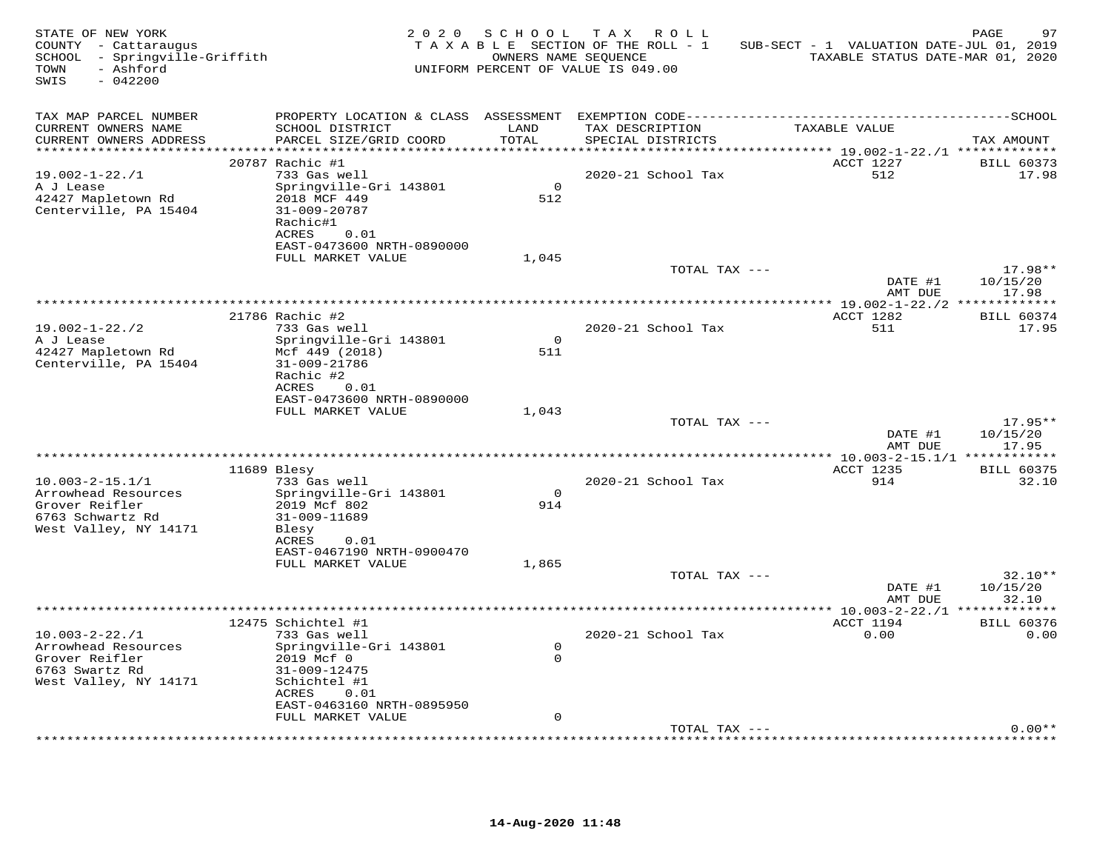| STATE OF NEW YORK<br>COUNTY - Cattaraugus<br>SCHOOL - Springville-Griffith<br>- Ashford<br>TOWN<br>SWIS<br>$-042200$ | 2 0 2 0                                                                                                                                                                     | SCHOOL                     | TAX ROLL<br>TAXABLE SECTION OF THE ROLL - 1<br>OWNERS NAME SEQUENCE<br>UNIFORM PERCENT OF VALUE IS 049.00 | SUB-SECT - 1 VALUATION DATE-JUL 01, 2019<br>TAXABLE STATUS DATE-MAR 01, 2020 | PAGE<br>97                          |
|----------------------------------------------------------------------------------------------------------------------|-----------------------------------------------------------------------------------------------------------------------------------------------------------------------------|----------------------------|-----------------------------------------------------------------------------------------------------------|------------------------------------------------------------------------------|-------------------------------------|
| TAX MAP PARCEL NUMBER<br>CURRENT OWNERS NAME<br>CURRENT OWNERS ADDRESS<br>***********************                    | SCHOOL DISTRICT<br>PARCEL SIZE/GRID COORD                                                                                                                                   | LAND<br>TOTAL              | TAX DESCRIPTION<br>SPECIAL DISTRICTS                                                                      | TAXABLE VALUE                                                                | TAX AMOUNT                          |
| $19.002 - 1 - 22.71$<br>A J Lease<br>42427 Mapletown Rd<br>Centerville, PA 15404                                     | 20787 Rachic #1<br>733 Gas well<br>Springville-Gri 143801<br>2018 MCF 449<br>31-009-20787<br>Rachic#1<br>ACRES<br>0.01<br>EAST-0473600 NRTH-0890000                         | $\Omega$<br>512            | 2020-21 School Tax                                                                                        | ACCT 1227<br>512                                                             | <b>BILL 60373</b><br>17.98          |
|                                                                                                                      | FULL MARKET VALUE                                                                                                                                                           | 1,045                      | TOTAL TAX ---                                                                                             | DATE #1                                                                      | $17.98**$<br>10/15/20               |
| $19.002 - 1 - 22.72$<br>A J Lease<br>42427 Mapletown Rd<br>Centerville, PA 15404                                     | 21786 Rachic #2<br>733 Gas well<br>Springville-Gri 143801<br>Mcf 449 (2018)<br>31-009-21786<br>Rachic #2<br>ACRES<br>0.01<br>EAST-0473600 NRTH-0890000<br>FULL MARKET VALUE | $\circ$<br>511<br>1,043    | 2020-21 School Tax                                                                                        | AMT DUE<br>ACCT 1282<br>511                                                  | 17.98<br><b>BILL 60374</b><br>17.95 |
|                                                                                                                      |                                                                                                                                                                             |                            | TOTAL TAX ---                                                                                             | DATE #1<br>AMT DUE                                                           | $17.95**$<br>10/15/20<br>17.95      |
| $10.003 - 2 - 15.1/1$<br>Arrowhead Resources<br>Grover Reifler<br>6763 Schwartz Rd<br>West Valley, NY 14171          | 11689 Blesy<br>733 Gas well<br>Springville-Gri 143801<br>2019 Mcf 802<br>31-009-11689<br>Blesy<br>ACRES<br>0.01<br>EAST-0467190 NRTH-0900470                                | $\mathbf 0$<br>914         | 2020-21 School Tax                                                                                        | ***************** 10.003-2-15.1/1 ************<br>ACCT 1235<br>914           | <b>BILL 60375</b><br>32.10          |
|                                                                                                                      | FULL MARKET VALUE                                                                                                                                                           | 1,865                      | TOTAL TAX ---                                                                                             | DATE #1<br>AMT DUE                                                           | $32.10**$<br>10/15/20<br>32.10      |
| $10.003 - 2 - 22.1$<br>Arrowhead Resources<br>Grover Reifler<br>6763 Swartz Rd<br>West Valley, NY 14171              | 12475 Schichtel #1<br>733 Gas well<br>Springville-Gri 143801<br>2019 Mcf 0<br>31-009-12475<br>Schichtel #1<br>ACRES<br>0.01<br>EAST-0463160 NRTH-0895950                    | $\mathbf 0$<br>$\mathbf 0$ | 2020-21 School Tax                                                                                        | *********** 10.003-2-22./1 **************<br>ACCT 1194<br>0.00               | <b>BILL 60376</b><br>0.00           |
|                                                                                                                      | FULL MARKET VALUE                                                                                                                                                           | $\mathbf 0$                | TOTAL TAX ---                                                                                             |                                                                              | $0.00**$                            |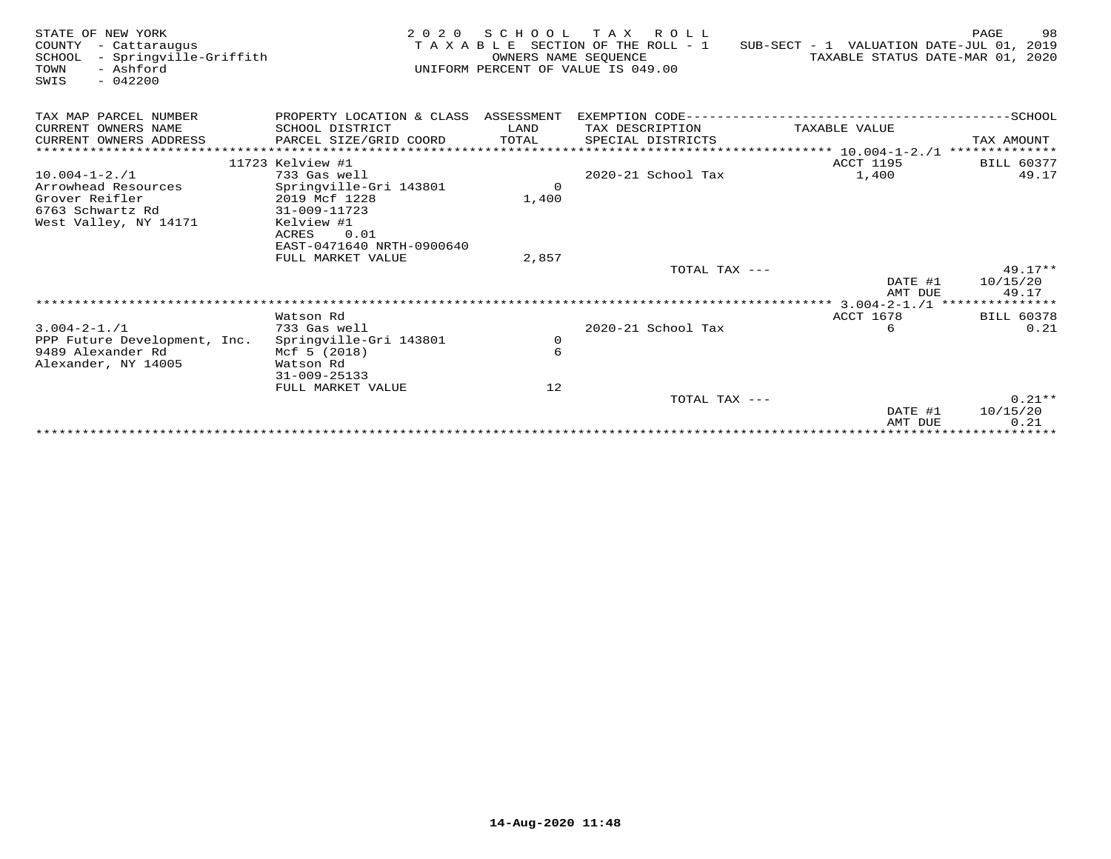| STATE OF NEW YORK<br>COUNTY<br>- Cattaraugus<br>- Springville-Griffith<br>SCHOOL<br>- Ashford<br>TOWN<br>$-042200$<br>SWIS | 2 0 2 0                                | SCHOOL<br>OWNERS NAME SEQUENCE | TAX ROLL<br>TAXABLE SECTION OF THE ROLL - 1<br>UNIFORM PERCENT OF VALUE IS 049.00 | SUB-SECT - 1 VALUATION DATE-JUL 01, 2019<br>TAXABLE STATUS DATE-MAR 01, 2020 | 98<br>PAGE        |
|----------------------------------------------------------------------------------------------------------------------------|----------------------------------------|--------------------------------|-----------------------------------------------------------------------------------|------------------------------------------------------------------------------|-------------------|
| TAX MAP PARCEL NUMBER                                                                                                      | PROPERTY LOCATION & CLASS ASSESSMENT   |                                |                                                                                   |                                                                              |                   |
| CURRENT OWNERS NAME                                                                                                        | SCHOOL DISTRICT                        | LAND                           | TAX DESCRIPTION                                                                   | TAXABLE VALUE                                                                |                   |
| CURRENT OWNERS ADDRESS                                                                                                     | PARCEL SIZE/GRID COORD                 | TOTAL                          | SPECIAL DISTRICTS                                                                 |                                                                              | TAX AMOUNT        |
| ************************                                                                                                   |                                        |                                |                                                                                   |                                                                              |                   |
|                                                                                                                            | 11723 Kelview #1                       |                                |                                                                                   | ACCT 1195                                                                    | <b>BILL 60377</b> |
| $10.004 - 1 - 2.71$                                                                                                        | 733 Gas well                           |                                | 2020-21 School Tax                                                                | 1,400                                                                        | 49.17             |
| Arrowhead Resources                                                                                                        | Springville-Gri 143801                 | $\Omega$                       |                                                                                   |                                                                              |                   |
| Grover Reifler                                                                                                             | 2019 Mcf 1228                          | 1,400                          |                                                                                   |                                                                              |                   |
| 6763 Schwartz Rd<br>West Valley, NY 14171                                                                                  | 31-009-11723<br>Kelview #1             |                                |                                                                                   |                                                                              |                   |
|                                                                                                                            | ACRES<br>0.01                          |                                |                                                                                   |                                                                              |                   |
|                                                                                                                            | EAST-0471640 NRTH-0900640              |                                |                                                                                   |                                                                              |                   |
|                                                                                                                            | FULL MARKET VALUE                      | 2,857                          |                                                                                   |                                                                              |                   |
|                                                                                                                            |                                        |                                | TOTAL TAX ---                                                                     |                                                                              | $49.17**$         |
|                                                                                                                            |                                        |                                |                                                                                   | DATE #1                                                                      | 10/15/20          |
|                                                                                                                            |                                        |                                |                                                                                   | AMT DUE                                                                      | 49.17             |
|                                                                                                                            |                                        |                                |                                                                                   |                                                                              |                   |
|                                                                                                                            | Watson Rd                              |                                |                                                                                   | <b>ACCT 1678</b>                                                             | <b>BILL 60378</b> |
| $3.004 - 2 - 1.71$                                                                                                         | 733 Gas well                           |                                | 2020-21 School Tax                                                                | 6                                                                            | 0.21              |
| PPP Future Development, Inc.<br>9489 Alexander Rd                                                                          | Springville-Gri 143801<br>Mcf 5 (2018) | $\circ$<br>6                   |                                                                                   |                                                                              |                   |
| Alexander, NY 14005                                                                                                        | Watson Rd                              |                                |                                                                                   |                                                                              |                   |
|                                                                                                                            | $31 - 009 - 25133$                     |                                |                                                                                   |                                                                              |                   |
|                                                                                                                            | FULL MARKET VALUE                      | 12                             |                                                                                   |                                                                              |                   |
|                                                                                                                            |                                        |                                | TOTAL TAX ---                                                                     |                                                                              | $0.21**$          |
|                                                                                                                            |                                        |                                |                                                                                   | DATE #1                                                                      | 10/15/20          |
|                                                                                                                            |                                        |                                |                                                                                   | AMT DUE                                                                      | 0.21              |
|                                                                                                                            |                                        |                                |                                                                                   |                                                                              |                   |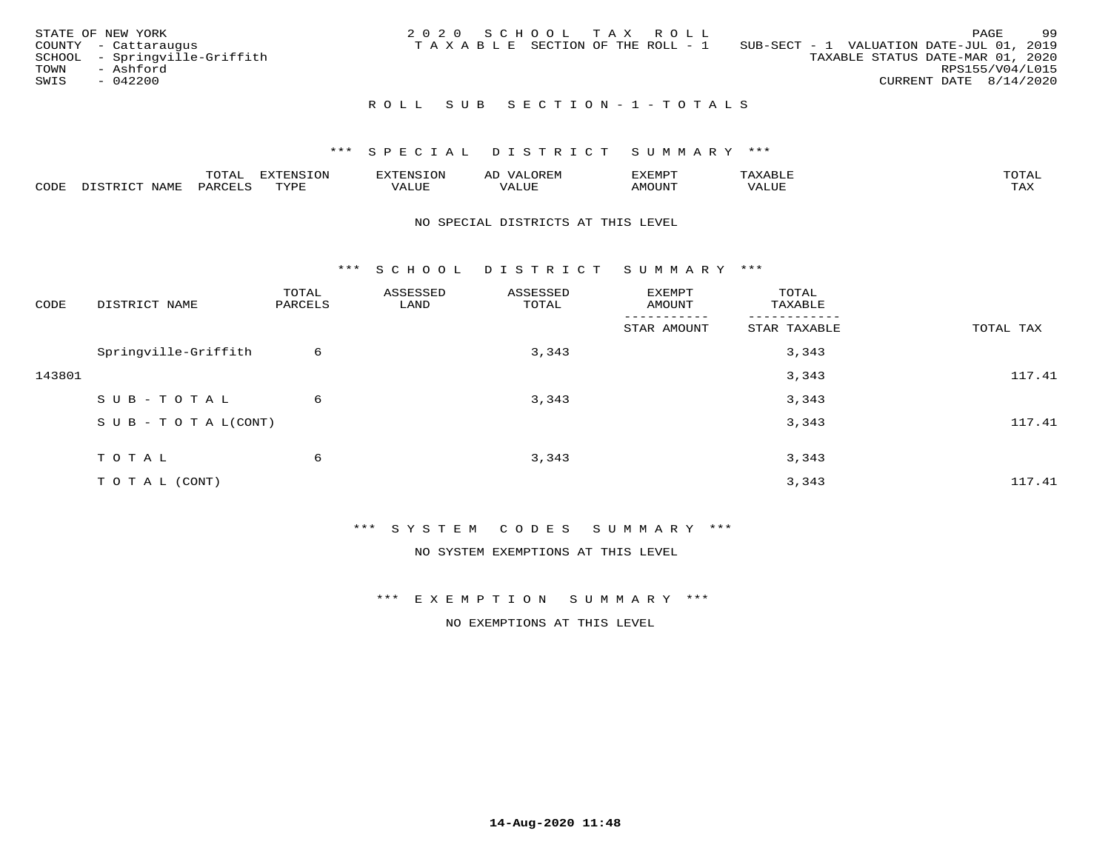|      | STATE OF NEW YORK             | 2020 SCHOOL TAX ROLL |  |                                 |                                          |                                  |                        | PAGE | -99 |
|------|-------------------------------|----------------------|--|---------------------------------|------------------------------------------|----------------------------------|------------------------|------|-----|
|      | COUNTY - Cattaraugus          |                      |  | TAXABLE SECTION OF THE ROLL - 1 | SUB-SECT - 1 VALUATION DATE-JUL 01, 2019 |                                  |                        |      |     |
|      | SCHOOL - Springville-Griffith |                      |  |                                 |                                          | TAXABLE STATUS DATE-MAR 01, 2020 |                        |      |     |
| TOWN | - Ashford                     |                      |  |                                 |                                          |                                  | RPS155/V04/L015        |      |     |
| SWIS | $-042200$                     |                      |  |                                 |                                          |                                  | CURRENT DATE 8/14/2020 |      |     |
|      |                               |                      |  |                                 |                                          |                                  |                        |      |     |

## R O L L S U B S E C T I O N - 1 - T O T A L S

## \*\*\* S P E C I A L D I S T R I C T S U M M A R Y \*\*\*

|      |              | ---- | ח 77 | F.N.S              | ΑL | דסMדאי        |       | $m \wedge m \wedge n$ |
|------|--------------|------|------|--------------------|----|---------------|-------|-----------------------|
| CODE | - --<br>NAME | 'AKV | TVDF | <b>TTT</b><br>ALUE |    | <b>MOTIN'</b> | T T T | ГAX                   |

### NO SPECIAL DISTRICTS AT THIS LEVEL

\*\*\* S C H O O L D I S T R I C T S U M M A R Y \*\*\*

| CODE   | DISTRICT NAME                    | TOTAL<br>PARCELS | ASSESSED<br>LAND | ASSESSED<br>TOTAL | EXEMPT<br>AMOUNT | TOTAL<br>TAXABLE |           |
|--------|----------------------------------|------------------|------------------|-------------------|------------------|------------------|-----------|
|        |                                  |                  |                  |                   | STAR AMOUNT      | STAR TAXABLE     | TOTAL TAX |
|        | Springville-Griffith             | 6                |                  | 3,343             |                  | 3,343            |           |
| 143801 |                                  |                  |                  |                   |                  | 3,343            | 117.41    |
|        | SUB-TOTAL                        | 6                |                  | 3,343             |                  | 3,343            |           |
|        | $S \cup B - T \cup T A L (CONT)$ |                  |                  |                   |                  | 3,343            | 117.41    |
|        | TOTAL                            | 6                |                  | 3,343             |                  | 3,343            |           |
|        | TO TAL (CONT)                    |                  |                  |                   |                  | 3,343            | 117.41    |

\*\*\* S Y S T E M C O D E S S U M M A R Y \*\*\*

NO SYSTEM EXEMPTIONS AT THIS LEVEL

\*\*\* E X E M P T I O N S U M M A R Y \*\*\*

NO EXEMPTIONS AT THIS LEVEL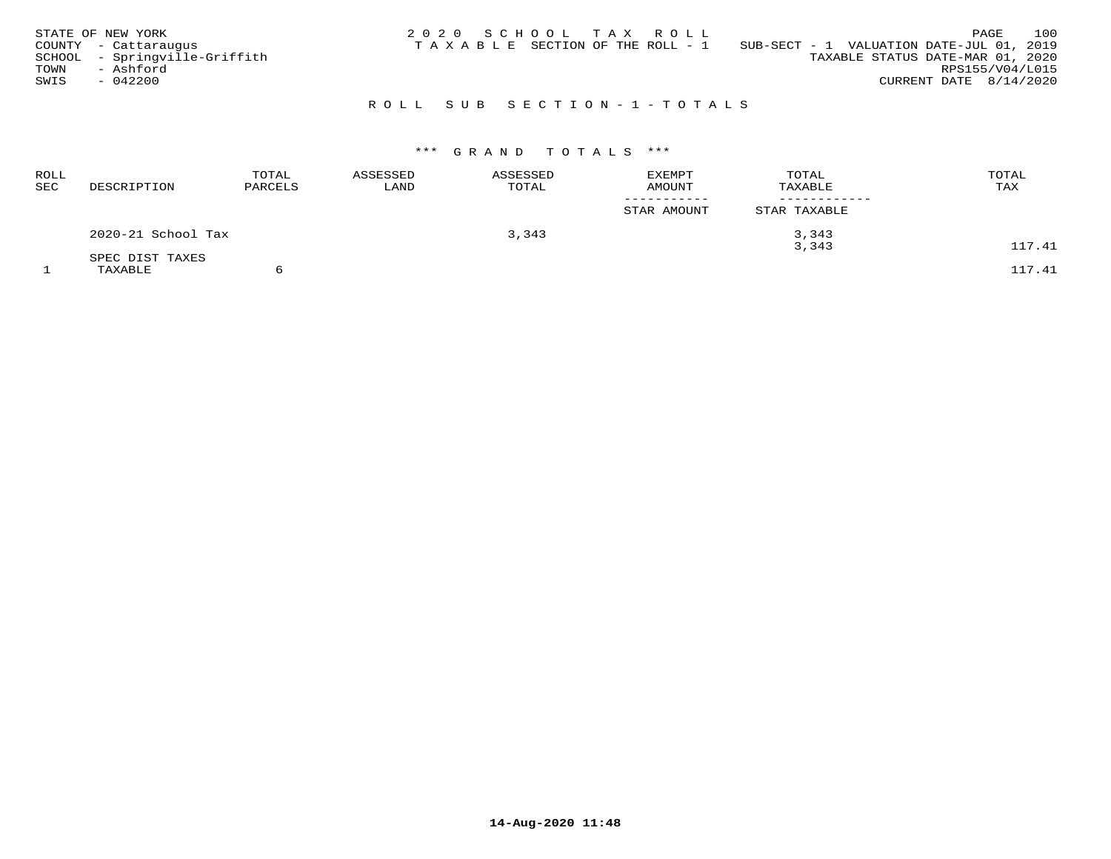| STATE OF NEW YORK<br>COUNTY - Cattaraugus<br>SCHOOL - Springville-Griffith<br>TOWN<br>- Ashford<br>SWIS<br>$-042200$ | 2020 SCHOOL TAX ROLL<br>SUB-SECT - 1 VALUATION DATE-JUL 01, 2019<br>T A X A B L E SECTION OF THE ROLL - 1<br>TAXABLE STATUS DATE-MAR 01, 2020<br>CURRENT DATE $8/14/2020$ | 100<br>PAGE<br>RPS155/V04/L015 |
|----------------------------------------------------------------------------------------------------------------------|---------------------------------------------------------------------------------------------------------------------------------------------------------------------------|--------------------------------|
|                                                                                                                      | ROLL SUB SECTION-1-TOTALS                                                                                                                                                 |                                |

# \*\*\* G R A N D T O T A L S \*\*\*

| ROLL<br>SEC | DESCRIPTION                | TOTAL<br>PARCELS | ASSESSED<br>LAND | ASSESSED<br>TOTAL | <b>EXEMPT</b><br><b>AMOUNT</b> | TOTAL<br>TAXABLE | TOTAL<br>TAX |
|-------------|----------------------------|------------------|------------------|-------------------|--------------------------------|------------------|--------------|
|             |                            |                  |                  |                   | STAR AMOUNT                    | STAR TAXABLE     |              |
|             | 2020-21 School Tax         |                  |                  | 3,343             |                                | 3,343<br>3,343   | 117.41       |
|             | SPEC DIST TAXES<br>TAXABLE |                  |                  |                   |                                |                  | 117.41       |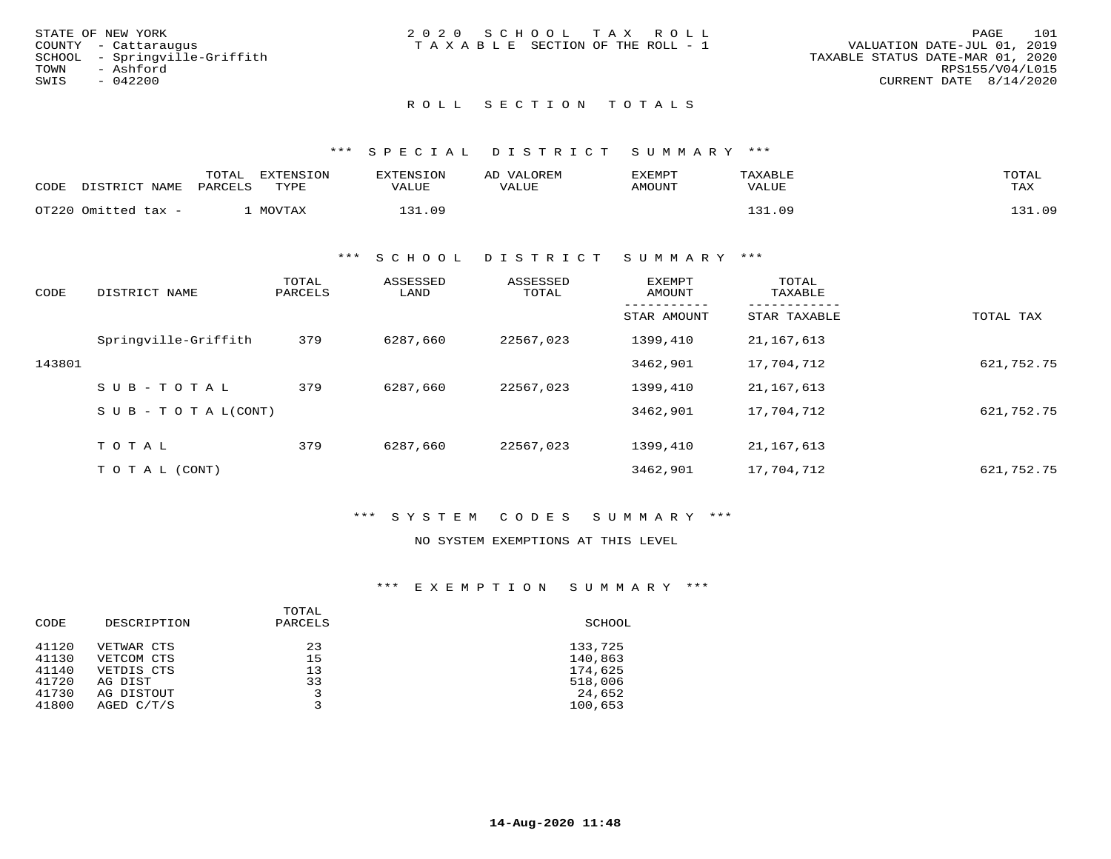| STATE OF NEW YORK             | 2020 SCHOOL TAX ROLL                  | 101<br>PAGE                      |
|-------------------------------|---------------------------------------|----------------------------------|
| COUNTY - Cattaraugus          | T A X A B L E SECTION OF THE ROLL - 1 | VALUATION DATE-JUL 01, 2019      |
| SCHOOL - Sprinqville-Griffith |                                       | TAXABLE STATUS DATE-MAR 01, 2020 |
| TOWN<br>- Ashford             |                                       | RPS155/V04/L015                  |
| SWIS<br>$-042200$             |                                       | CURRENT DATE 8/14/2020           |
|                               |                                       |                                  |
|                               |                                       |                                  |

# ROLL SECTION TOTALS

## \*\*\* SPECIAL DISTRICT SUMMARY \*\*\*

| CODE | דת <b>דפיד</b><br>NAME. | TOTAL<br>PARCELS | <b>EXTENSION</b><br>TYPE | <b>EXTENSION</b><br>VALUE | VALOREM<br>AD.<br>VALUE | EXEMPT<br>AMOUNT | TAXABLE<br>VALUE | TOTAL<br>TAX           |
|------|-------------------------|------------------|--------------------------|---------------------------|-------------------------|------------------|------------------|------------------------|
|      | OT220 Omitted tax -     |                  | MOVTAX                   | .09                       |                         |                  | 21<br>ng         | $21.0^{\circ}$<br>' 31 |

#### \*\*\* S C H O O L D I S T R I C T S U M M A R Y \*\*\*

| CODE   | DISTRICT NAME                    | TOTAL<br>PARCELS | ASSESSED<br>LAND | ASSESSED<br>TOTAL | <b>EXEMPT</b><br>AMOUNT | TOTAL<br>TAXABLE |            |
|--------|----------------------------------|------------------|------------------|-------------------|-------------------------|------------------|------------|
|        |                                  |                  |                  |                   | STAR AMOUNT             | STAR TAXABLE     | TOTAL TAX  |
|        | Springville-Griffith             | 379              | 6287,660         | 22567,023         | 1399,410                | 21,167,613       |            |
| 143801 |                                  |                  |                  |                   | 3462,901                | 17,704,712       | 621,752.75 |
|        | $SUB - TO TAL$                   | 379              | 6287,660         | 22567,023         | 1399,410                | 21,167,613       |            |
|        | $S \cup B - T \cup T A L (CONT)$ |                  |                  |                   | 3462,901                | 17,704,712       | 621,752.75 |
|        |                                  |                  |                  |                   |                         |                  |            |
|        | TOTAL                            | 379              | 6287,660         | 22567,023         | 1399,410                | 21,167,613       |            |
|        | T O T A L (CONT)                 |                  |                  |                   | 3462,901                | 17,704,712       | 621,752.75 |

## \*\*\* S Y S T E M C O D E S S U M M A R Y \*\*\*

#### NO SYSTEM EXEMPTIONS AT THIS LEVEL

## \*\*\* E X E M P T I O N S U M M A R Y \*\*\*

| CODE  | DESCRIPTION | TOTAL<br>PARCELS | SCHOOL  |
|-------|-------------|------------------|---------|
| 41120 | VETWAR CTS  | 23               | 133,725 |
| 41130 | VETCOM CTS  | 15               | 140,863 |
| 41140 | VETDIS CTS  | 13               | 174,625 |
| 41720 | AG DIST     | 33               | 518,006 |
| 41730 | AG DISTOUT  | 3                | 24,652  |
| 41800 | AGED C/T/S  | 3                | 100,653 |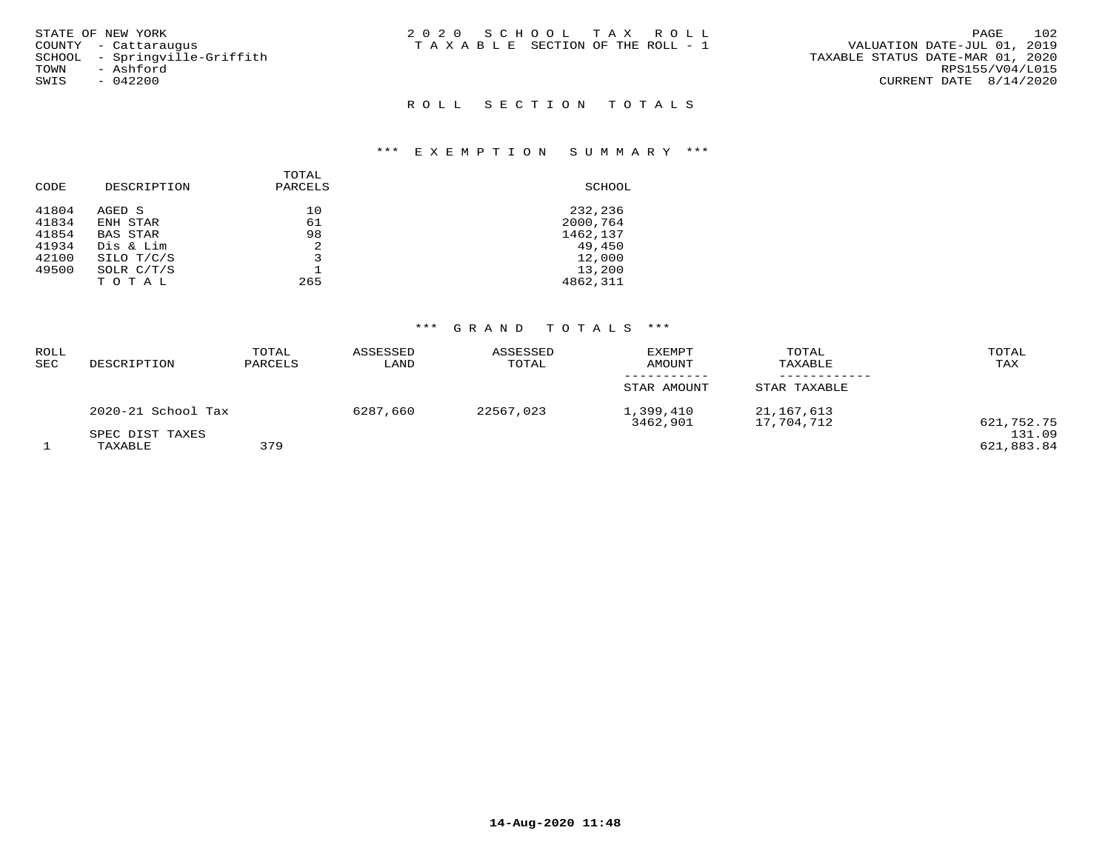| STATE OF NEW YORK             | 2020 SCHOOL TAX ROLL            | 102<br>PAGE                      |
|-------------------------------|---------------------------------|----------------------------------|
| COUNTY - Cattaraugus          | TAXABLE SECTION OF THE ROLL - 1 | VALUATION DATE-JUL 01, 2019      |
| SCHOOL - Springville-Griffith |                                 | TAXABLE STATUS DATE-MAR 01, 2020 |
| TOWN<br>- Ashford             |                                 | RPS155/V04/L015                  |
| SWIS<br>- 042200              |                                 | CURRENT DATE 8/14/2020           |
|                               |                                 |                                  |
|                               | ROLL SECTION TOTALS             |                                  |

# \*\*\* E X E M P T I O N S U M M A R Y \*\*\*

| DESCRIPTION     | PARCELS | SCHOOL   |
|-----------------|---------|----------|
| AGED S          | 10      | 232,236  |
| ENH STAR        | 61      | 2000,764 |
| <b>BAS STAR</b> | 98      | 1462,137 |
| Dis & Lim       | 2       | 49,450   |
| SILO T/C/S      | 3       | 12,000   |
| SOLR $C/T/S$    |         | 13,200   |
| TOTAL           | 265     | 4862,311 |
|                 |         | TOTAL    |

## \*\*\* G R A N D T O T A L S \*\*\*

| ROLL<br>SEC | DESCRIPTION                | TOTAL<br>PARCELS | ASSESSED<br>LAND | ASSESSED<br>TOTAL | <b>EXEMPT</b><br>AMOUNT | TOTAL<br>TAXABLE         | TOTAL<br>TAX         |
|-------------|----------------------------|------------------|------------------|-------------------|-------------------------|--------------------------|----------------------|
|             |                            |                  |                  |                   | STAR AMOUNT             | STAR TAXABLE             |                      |
|             | 2020-21 School Tax         |                  | 6287,660         | 22567,023         | 1,399,410<br>3462,901   | 21,167,613<br>17,704,712 | 621,752.75           |
|             | SPEC DIST TAXES<br>TAXABLE | 379              |                  |                   |                         |                          | 131.09<br>621,883.84 |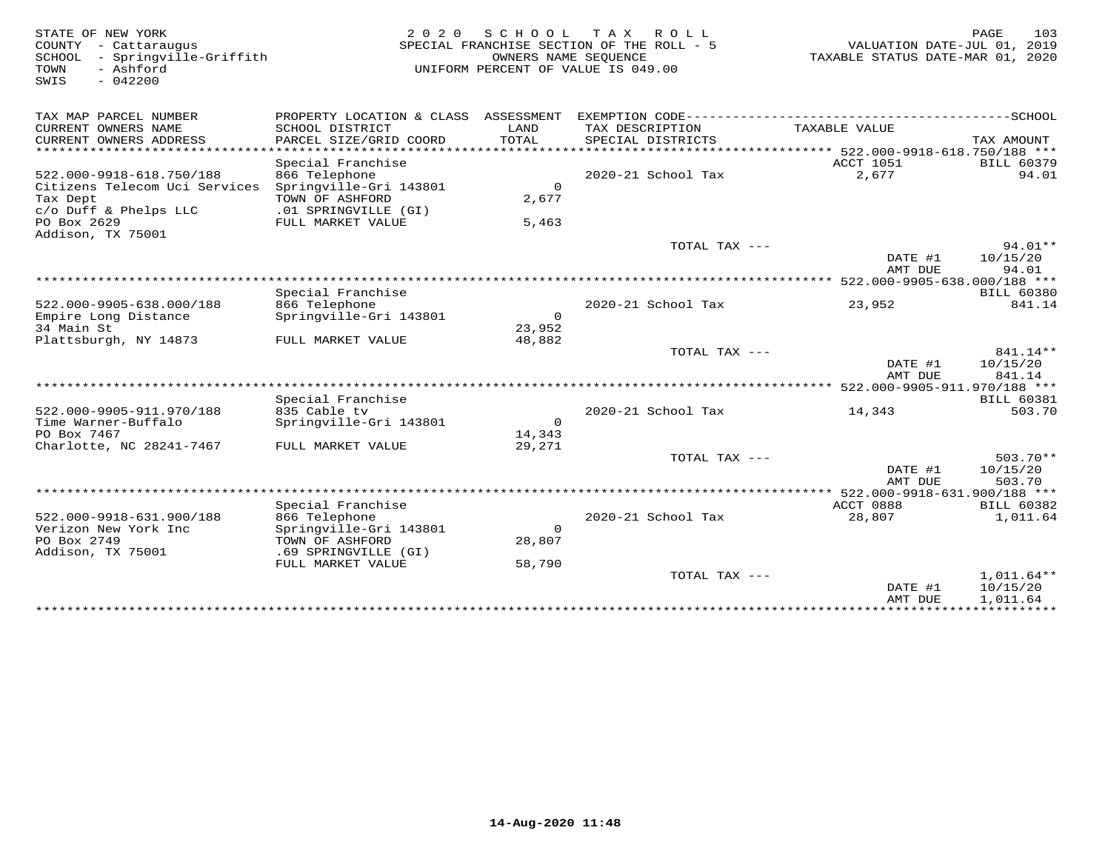| STATE OF NEW YORK<br>COUNTY<br>- Cattaraugus<br>- Springville-Griffith<br>SCHOOL<br>- Ashford<br>TOWN<br>$-042200$<br>SWIS | 2 0 2 0                                                                            | SCHOOL<br>OWNERS NAME SEOUENCE | T A X<br>R O L L<br>SPECIAL FRANCHISE SECTION OF THE ROLL - 5<br>UNIFORM PERCENT OF VALUE IS 049.00 | VALUATION DATE-JUL 01, 2019<br>TAXABLE STATUS DATE-MAR 01, 2020 | 103<br>PAGE                        |
|----------------------------------------------------------------------------------------------------------------------------|------------------------------------------------------------------------------------|--------------------------------|-----------------------------------------------------------------------------------------------------|-----------------------------------------------------------------|------------------------------------|
| TAX MAP PARCEL NUMBER                                                                                                      | PROPERTY LOCATION & CLASS ASSESSMENT                                               |                                |                                                                                                     |                                                                 |                                    |
| CURRENT OWNERS NAME<br>CURRENT OWNERS ADDRESS                                                                              | SCHOOL DISTRICT<br>PARCEL SIZE/GRID COORD                                          | LAND<br>TOTAL                  | TAX DESCRIPTION<br>SPECIAL DISTRICTS                                                                | TAXABLE VALUE                                                   | TAX AMOUNT                         |
| ***********************                                                                                                    | Special Franchise                                                                  |                                |                                                                                                     | <b>ACCT 1051</b>                                                | <b>BILL 60379</b>                  |
| 522.000-9918-618.750/188<br>Citizens Telecom Uci Services<br>Tax Dept<br>c/o Duff & Phelps LLC                             | 866 Telephone<br>Springville-Gri 143801<br>TOWN OF ASHFORD<br>.01 SPRINGVILLE (GI) | $\Omega$<br>2,677              | 2020-21 School Tax                                                                                  | 2,677                                                           | 94.01                              |
| PO Box 2629<br>Addison, TX 75001                                                                                           | FULL MARKET VALUE                                                                  | 5,463                          |                                                                                                     |                                                                 |                                    |
|                                                                                                                            |                                                                                    |                                | TOTAL TAX ---                                                                                       | DATE #1<br>AMT DUE                                              | 94.01**<br>10/15/20<br>94.01       |
|                                                                                                                            | Special Franchise                                                                  |                                |                                                                                                     | 522.000-9905-638.000/188 ***                                    | <b>BILL 60380</b>                  |
| 522.000-9905-638.000/188<br>Empire Long Distance                                                                           | 866 Telephone<br>Springville-Gri 143801                                            | $\Omega$                       | 2020-21 School Tax                                                                                  | 23,952                                                          | 841.14                             |
| 34 Main St<br>Plattsburgh, NY 14873                                                                                        | FULL MARKET VALUE                                                                  | 23,952<br>48,882               |                                                                                                     |                                                                 |                                    |
|                                                                                                                            |                                                                                    |                                | TOTAL TAX ---                                                                                       |                                                                 | 841.14**                           |
|                                                                                                                            |                                                                                    |                                |                                                                                                     | DATE #1                                                         | 10/15/20                           |
| *****************************                                                                                              |                                                                                    |                                |                                                                                                     | AMT DUE                                                         | 841.14                             |
|                                                                                                                            |                                                                                    |                                |                                                                                                     |                                                                 |                                    |
| 522.000-9905-911.970/188                                                                                                   | Special Franchise<br>835 Cable tv                                                  |                                | 2020-21 School Tax                                                                                  | 14,343                                                          | <b>BILL 60381</b><br>503.70        |
| Time Warner-Buffalo                                                                                                        | Springville-Gri 143801                                                             | $\Omega$                       |                                                                                                     |                                                                 |                                    |
| PO Box 7467<br>Charlotte, NC 28241-7467                                                                                    | FULL MARKET VALUE                                                                  | 14,343<br>29,271               |                                                                                                     |                                                                 |                                    |
|                                                                                                                            |                                                                                    |                                | TOTAL TAX ---                                                                                       |                                                                 | $503.70**$                         |
|                                                                                                                            |                                                                                    |                                |                                                                                                     | DATE #1<br>AMT DUE                                              | 10/15/20<br>503.70                 |
|                                                                                                                            |                                                                                    |                                |                                                                                                     | 522.000-9918-631.900/188 ***                                    |                                    |
|                                                                                                                            | Special Franchise                                                                  |                                |                                                                                                     | ACCT 0888                                                       | <b>BILL 60382</b>                  |
| 522.000-9918-631.900/188                                                                                                   | 866 Telephone                                                                      |                                | 2020-21 School Tax                                                                                  | 28,807                                                          | 1,011.64                           |
| Verizon New York Inc                                                                                                       | Springville-Gri 143801                                                             | $\Omega$                       |                                                                                                     |                                                                 |                                    |
| PO Box 2749<br>Addison, TX 75001                                                                                           | TOWN OF ASHFORD<br>.69 SPRINGVILLE (GI)                                            | 28,807                         |                                                                                                     |                                                                 |                                    |
|                                                                                                                            | FULL MARKET VALUE                                                                  | 58,790                         |                                                                                                     |                                                                 |                                    |
|                                                                                                                            |                                                                                    |                                | TOTAL TAX ---                                                                                       | DATE #1<br>AMT DUE                                              | 1,011.64**<br>10/15/20<br>1,011.64 |
|                                                                                                                            |                                                                                    |                                |                                                                                                     |                                                                 |                                    |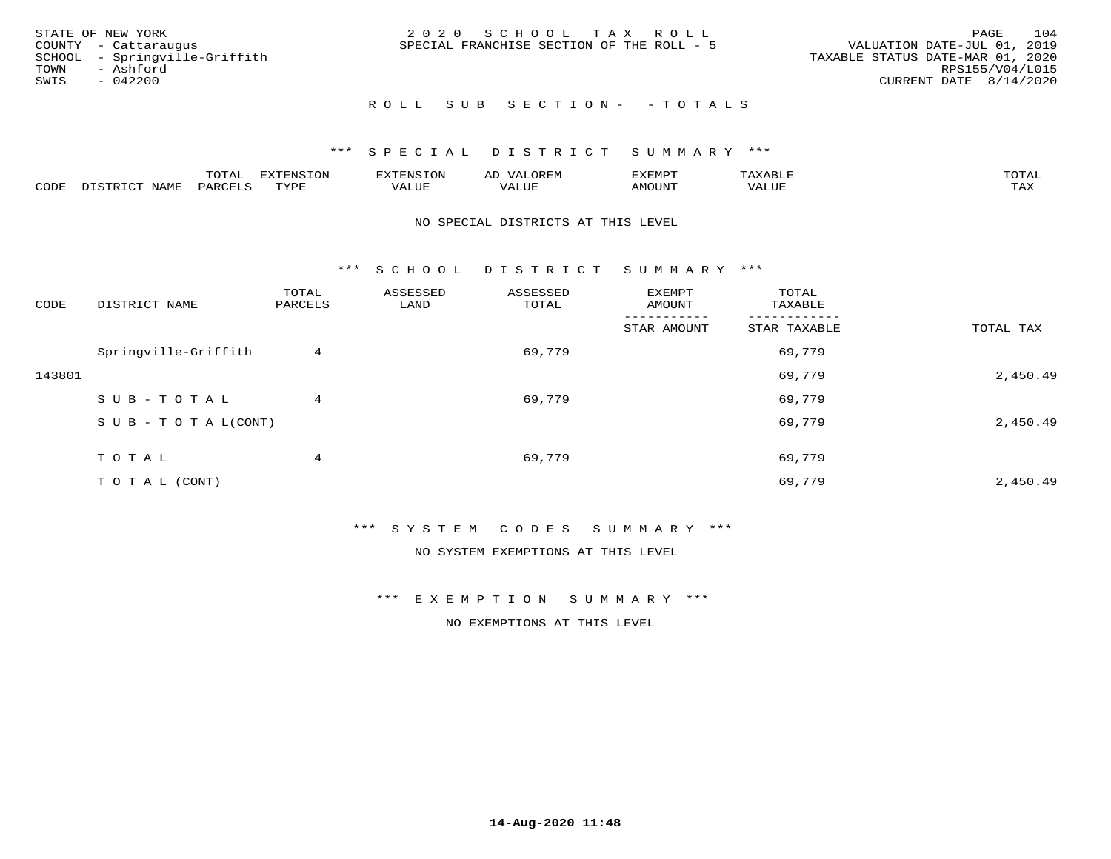| STATE OF NEW YORK<br>COUNTY - Cattaraugus<br>SCHOOL - Springville-Griffith<br>- Ashford<br>TOWN<br>SWIS<br>$-042200$ | 2020 SCHOOL TAX ROLL<br>SPECIAL FRANCHISE SECTION OF THE ROLL - 5 | 104<br>PAGE<br>VALUATION DATE-JUL 01, 2019<br>TAXABLE STATUS DATE-MAR 01, 2020<br>RPS155/V04/L015<br>CURRENT DATE 8/14/2020 |
|----------------------------------------------------------------------------------------------------------------------|-------------------------------------------------------------------|-----------------------------------------------------------------------------------------------------------------------------|
|                                                                                                                      | ROLL SUB SECTION- - TOTALS                                        |                                                                                                                             |

## \*\*\* S P E C I A L D I S T R I C T S U M M A R Y \*\*\*

|      |                              | ™∩m⊼<br>----                    | EXTENSION | . ENSION         | ΑL<br>$\cdots$ | דפוא:TXF<br>ـالمىتىدە |                | TOTAL |
|------|------------------------------|---------------------------------|-----------|------------------|----------------|-----------------------|----------------|-------|
| CODE | TTATAT<br>$-mm + am$<br>NAME | $\lambda$ DORT $\alpha$<br>'ARL | TVDF      | ** * ***<br>ALUE | 'ALUL          | <b>MOUNT</b>          | 77T<br>1 U J F | TAX   |

#### NO SPECIAL DISTRICTS AT THIS LEVEL

\*\*\* S C H O O L D I S T R I C T S U M M A R Y \*\*\*

| CODE   | DISTRICT NAME                    | TOTAL<br>PARCELS | ASSESSED<br>LAND | ASSESSED<br>TOTAL | EXEMPT<br>AMOUNT | TOTAL<br>TAXABLE |           |
|--------|----------------------------------|------------------|------------------|-------------------|------------------|------------------|-----------|
|        |                                  |                  |                  |                   | STAR AMOUNT      | STAR TAXABLE     | TOTAL TAX |
|        | Springville-Griffith             | 4                |                  | 69,779            |                  | 69,779           |           |
| 143801 |                                  |                  |                  |                   |                  | 69,779           | 2,450.49  |
|        | SUB-TOTAL                        | 4                |                  | 69,779            |                  | 69,779           |           |
|        | $S \cup B - T \cup T A L (CONT)$ |                  |                  |                   |                  | 69,779           | 2,450.49  |
|        | T O T A L                        | 4                |                  | 69,779            |                  | 69,779           |           |
|        | T O T A L (CONT)                 |                  |                  |                   |                  | 69,779           | 2,450.49  |

\*\*\* S Y S T E M C O D E S S U M M A R Y \*\*\*

NO SYSTEM EXEMPTIONS AT THIS LEVEL

\*\*\* E X E M P T I O N S U M M A R Y \*\*\*

NO EXEMPTIONS AT THIS LEVEL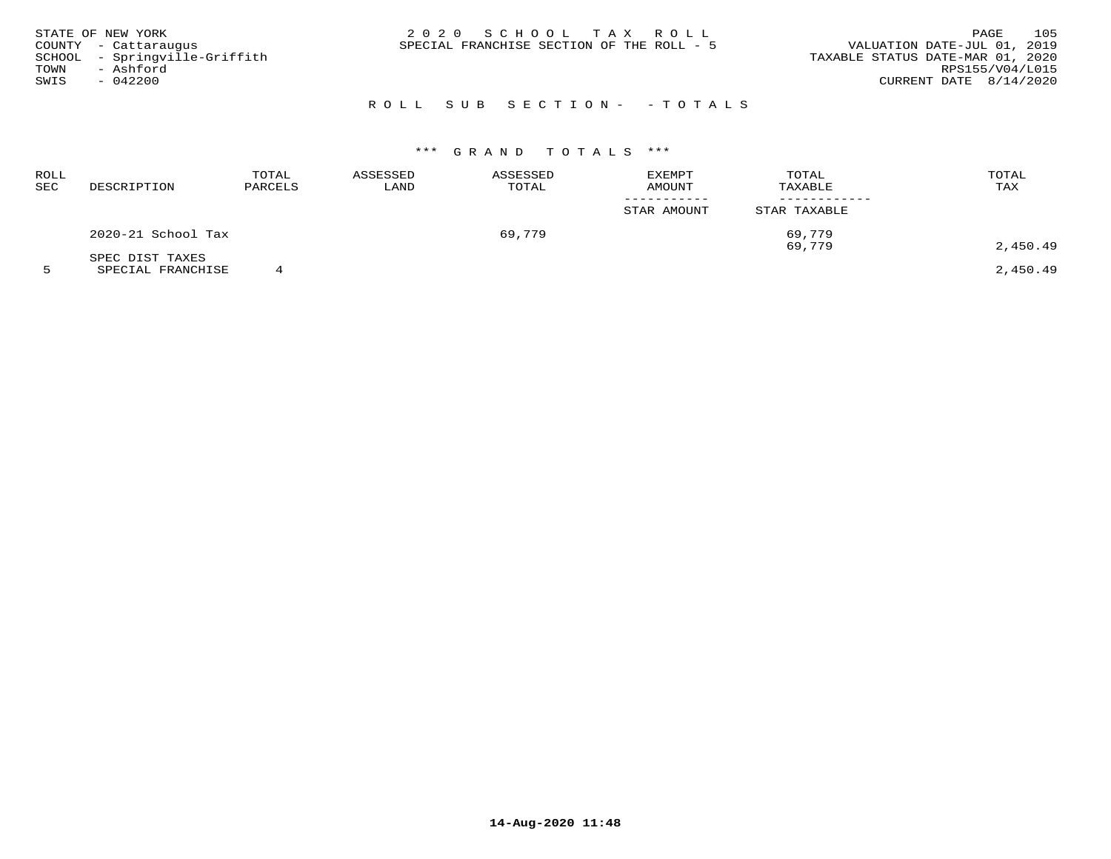| STATE OF NEW YORK<br>COUNTY - Cattaraugus<br>SCHOOL - Springville-Griffith<br>- Ashford<br>TOWN<br>SWIS<br>- 042200 | 2020 SCHOOL TAX ROLL<br>SPECIAL FRANCHISE SECTION OF THE ROLL - 5 | 105<br>PAGE<br>VALUATION DATE-JUL 01, 2019<br>TAXABLE STATUS DATE-MAR 01, 2020<br>RPS155/V04/L015<br>CURRENT DATE $8/14/2020$ |
|---------------------------------------------------------------------------------------------------------------------|-------------------------------------------------------------------|-------------------------------------------------------------------------------------------------------------------------------|
|                                                                                                                     | ROLL SUB SECTION- - TOTALS                                        |                                                                                                                               |

## \*\*\* G R A N D T O T A L S \*\*\*

| ROLL<br>SEC | DESCRIPTION        | TOTAL<br>PARCELS | ASSESSED<br>LAND | ASSESSED<br>TOTAL | <b>EXEMPT</b><br>AMOUNT | TOTAL<br>TAXABLE | TOTAL<br>TAX |
|-------------|--------------------|------------------|------------------|-------------------|-------------------------|------------------|--------------|
|             |                    |                  |                  |                   | STAR AMOUNT             | STAR TAXABLE     |              |
|             | 2020-21 School Tax |                  |                  | 69,779            |                         | 69,779           |              |
|             | SPEC DIST TAXES    |                  |                  |                   |                         | 69,779           | 2,450.49     |

5 SPECIAL FRANCHISE 4 2,450.49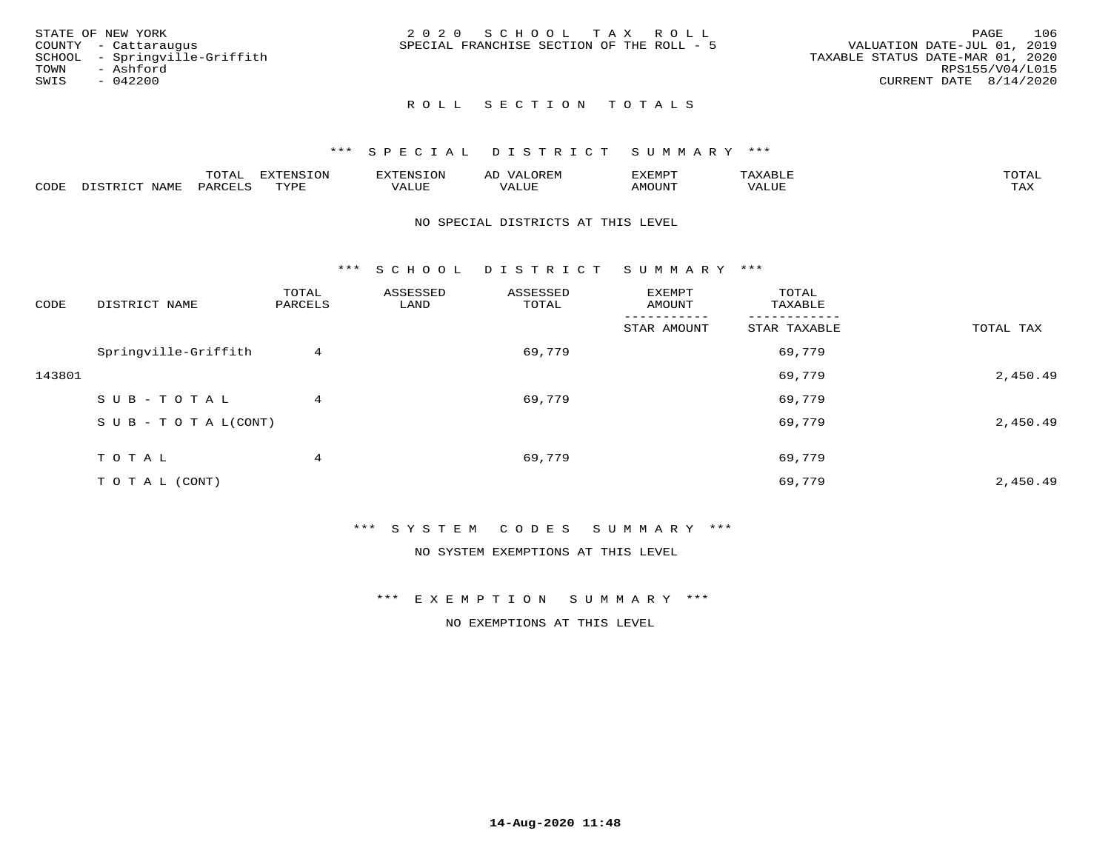| STATE OF NEW YORK             | 2020 SCHOOL TAX ROLL                      | 106<br>PAGE                      |
|-------------------------------|-------------------------------------------|----------------------------------|
| COUNTY - Cattaraugus          | SPECIAL FRANCHISE SECTION OF THE ROLL - 5 | VALUATION DATE-JUL 01, 2019      |
| SCHOOL - Springville-Griffith |                                           | TAXABLE STATUS DATE-MAR 01, 2020 |
| TOWN<br>- Ashford             |                                           | RPS155/V04/L015                  |
| SWIS<br>$-042200$             |                                           | CURRENT DATE 8/14/2020           |
|                               |                                           |                                  |

## ROLL SECTION TOTALS

### \*\*\* S P E C I A L D I S T R I C T S U M M A R Y \*\*\*

|      |      | $m \wedge m \wedge n$<br>L∪⊥AL | <b>DIZPOILIC TONT</b><br>- Uly | . N S                  | AL.<br>JR LIV        | ,,, <del>,</del> ,,, <del>,</del><br>، ب<br>- ۱٬۱۳۰ نالاند |       | $m \wedge m \wedge n$<br>$\rightarrow$ |
|------|------|--------------------------------|--------------------------------|------------------------|----------------------|------------------------------------------------------------|-------|----------------------------------------|
| CODE | NAME | $PAR$ $($                      | TVDF<br><u>ـ د د</u>           | <b>T T T T</b><br>ALUL | <b>+ +++</b><br>ALUE | TUUOMA                                                     | VALUE | $m \times r$<br>∸∽∸                    |

#### NO SPECIAL DISTRICTS AT THIS LEVEL

\*\*\* S C H O O L D I S T R I C T S U M M A R Y \*\*\*

| CODE   | DISTRICT NAME                    | TOTAL<br>PARCELS | ASSESSED<br>LAND | ASSESSED<br>TOTAL | EXEMPT<br>AMOUNT | TOTAL<br>TAXABLE |           |
|--------|----------------------------------|------------------|------------------|-------------------|------------------|------------------|-----------|
|        |                                  |                  |                  |                   | STAR AMOUNT      | STAR TAXABLE     | TOTAL TAX |
|        | Springville-Griffith             | 4                |                  | 69,779            |                  | 69,779           |           |
| 143801 |                                  |                  |                  |                   |                  | 69,779           | 2,450.49  |
|        | SUB-TOTAL                        | 4                |                  | 69,779            |                  | 69,779           |           |
|        | $S \cup B - T \cup T A L (CONT)$ |                  |                  |                   |                  | 69,779           | 2,450.49  |
|        | T O T A L                        | 4                |                  | 69,779            |                  | 69,779           |           |
|        | T O T A L (CONT)                 |                  |                  |                   |                  | 69,779           | 2,450.49  |

### \*\*\* S Y S T E M C O D E S S U M M A R Y \*\*\*

NO SYSTEM EXEMPTIONS AT THIS LEVEL

\*\*\* E X E M P T I O N S U M M A R Y \*\*\*

NO EXEMPTIONS AT THIS LEVEL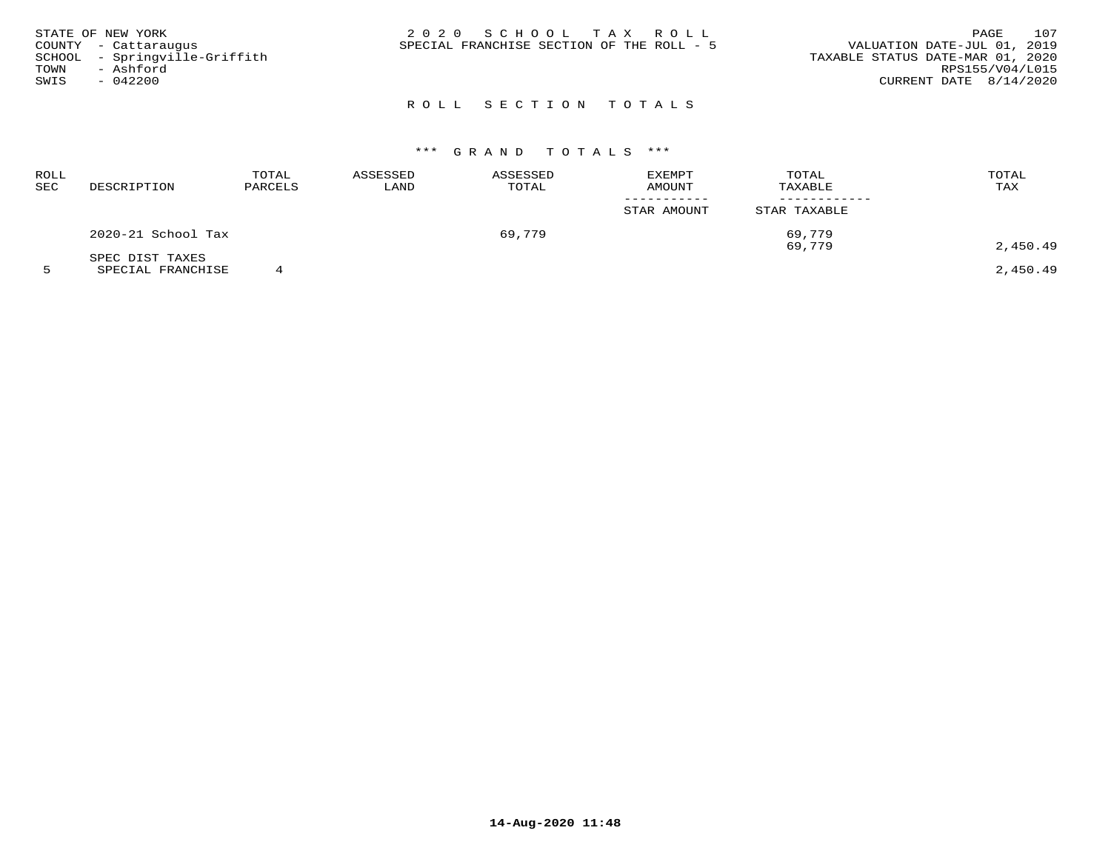| STATE OF NEW YORK             | 2020 SCHOOL TAX ROLL                      |                                  | PAGE | 107 |
|-------------------------------|-------------------------------------------|----------------------------------|------|-----|
| COUNTY - Cattaraugus          | SPECIAL FRANCHISE SECTION OF THE ROLL - 5 | VALUATION DATE-JUL 01, 2019      |      |     |
| SCHOOL - Springville-Griffith |                                           | TAXABLE STATUS DATE-MAR 01, 2020 |      |     |
| TOWN<br>- Ashford             |                                           | RPS155/V04/L015                  |      |     |
| $-042200$<br>SWIS             |                                           | CURRENT DATE $8/14/2020$         |      |     |
|                               |                                           |                                  |      |     |

# ROLL SECTION TOTALS

# \*\*\* G R A N D T O T A L S \*\*\*

| ROLL<br>SEC | DESCRIPTION        | TOTAL<br>PARCELS | ASSESSED<br>LAND | ASSESSED<br>TOTAL | EXEMPT<br>AMOUNT | TOTAL<br>TAXABLE | TOTAL<br>TAX |
|-------------|--------------------|------------------|------------------|-------------------|------------------|------------------|--------------|
|             |                    |                  |                  |                   | STAR AMOUNT      | STAR TAXABLE     |              |
|             | 2020-21 School Tax |                  |                  | 69,779            |                  | 69,779           |              |
|             | SPEC DIST TAXES    |                  |                  |                   |                  | 69,779           | 2,450.49     |

5 SPECIAL FRANCHISE 4 2,450.49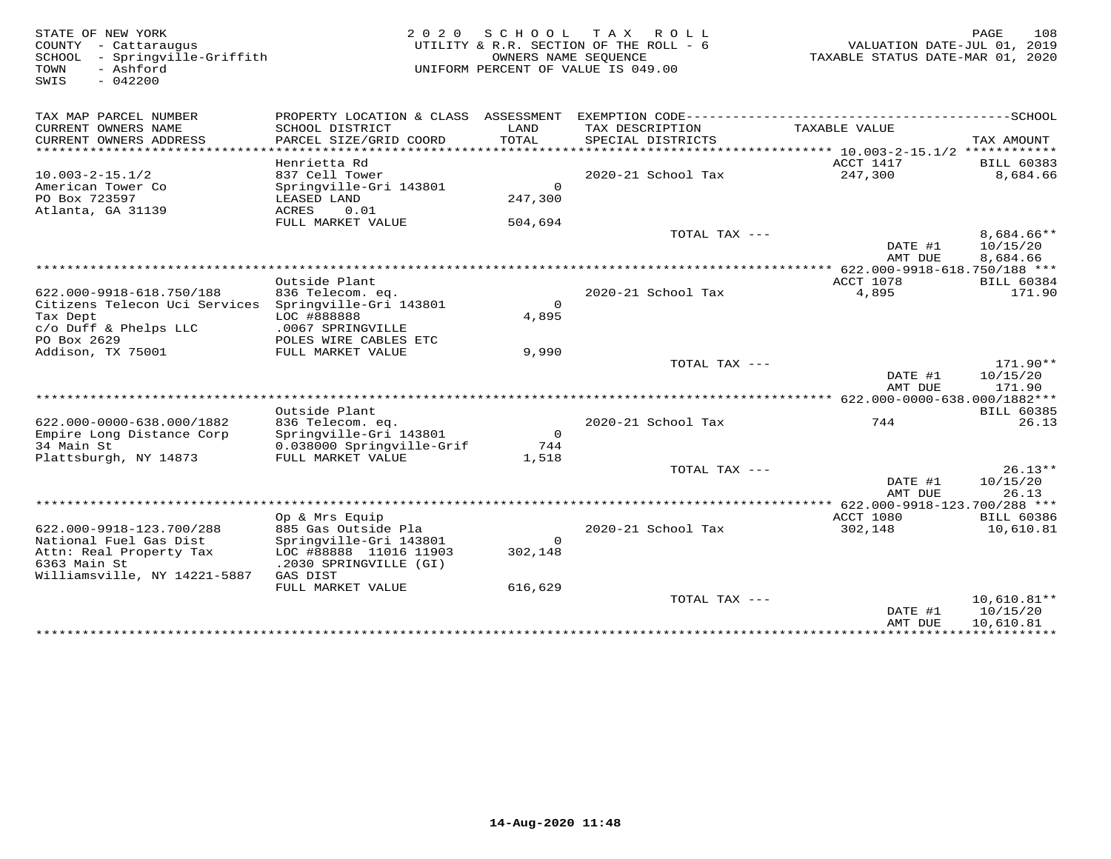| -------------SCHOOL<br>TAX MAP PARCEL NUMBER<br>PROPERTY LOCATION & CLASS ASSESSMENT<br>EXEMPTION CODE---------------------------<br>CURRENT OWNERS NAME<br>SCHOOL DISTRICT<br>LAND<br>TAX DESCRIPTION<br>TAXABLE VALUE<br>CURRENT OWNERS ADDRESS<br>PARCEL SIZE/GRID COORD<br>TOTAL<br>SPECIAL DISTRICTS<br>TAX AMOUNT<br>*********************<br>Henrietta Rd<br>ACCT 1417<br><b>BILL 60383</b><br>837 Cell Tower<br>2020-21 School Tax<br>247,300<br>$10.003 - 2 - 15.1/2$<br>8,684.66<br>American Tower Co<br>Springville-Gri 143801<br>$\Omega$<br>PO Box 723597<br>247,300<br>LEASED LAND<br>Atlanta, GA 31139<br>ACRES<br>0.01<br>FULL MARKET VALUE<br>504,694<br>TOTAL TAX ---<br>8,684.66**<br>DATE #1<br>10/15/20<br>AMT DUE<br>8,684.66<br>Outside Plant<br>ACCT 1078<br><b>BILL 60384</b><br>2020-21 School Tax<br>4,895<br>171.90<br>622.000-9918-618.750/188<br>836 Telecom. eq.<br>Citizens Telecon Uci Services<br>Springville-Gri 143801<br>$\Omega$<br>Tax Dept<br>LOC #888888<br>4,895<br>c/o Duff & Phelps LLC<br>.0067 SPRINGVILLE<br>PO Box 2629<br>POLES WIRE CABLES ETC<br>9,990<br>Addison, TX 75001<br>FULL MARKET VALUE<br>171.90**<br>TOTAL TAX ---<br>DATE #1<br>10/15/20<br>AMT DUE<br>171.90<br>Outside Plant<br><b>BILL 60385</b><br>622.000-0000-638.000/1882<br>836 Telecom. eq.<br>2020-21 School Tax<br>744<br>26.13<br>$\mathbf{0}$<br>Empire Long Distance Corp<br>Springville-Gri 143801<br>34 Main St<br>0.038000 Springville-Grif<br>744<br>Plattsburgh, NY 14873<br>FULL MARKET VALUE<br>1,518<br>$26.13**$<br>TOTAL TAX ---<br>DATE #1<br>10/15/20<br>AMT DUE<br>26.13<br>ACCT 1080<br>Op & Mrs Equip<br><b>BILL 60386</b><br>622.000-9918-123.700/288<br>885 Gas Outside Pla<br>2020-21 School Tax<br>302,148<br>10,610.81<br>National Fuel Gas Dist<br>Springville-Gri 143801<br>$\Omega$<br>302,148<br>Attn: Real Property Tax<br>LOC #88888 11016 11903<br>6363 Main St<br>.2030 SPRINGVILLE (GI)<br>Williamsville, NY 14221-5887<br>GAS DIST<br>FULL MARKET VALUE<br>616,629<br>TOTAL TAX ---<br>$10,610.81**$<br>DATE #1<br>10/15/20<br>10,610.81<br>AMT DUE | STATE OF NEW YORK<br>COUNTY - Cattaraugus<br>- Springville-Griffith<br>SCHOOL<br>TOWN<br>- Ashford<br>$-042200$<br>SWIS | 2 0 2 0 | SCHOOL TAX | R O L L<br>UTILITY & R.R. SECTION OF THE ROLL - 6<br>OWNERS NAME SEQUENCE<br>UNIFORM PERCENT OF VALUE IS 049.00 | VALUATION DATE-JUL 01, 2019<br>TAXABLE STATUS DATE-MAR 01, 2020 | PAGE<br>108 |
|----------------------------------------------------------------------------------------------------------------------------------------------------------------------------------------------------------------------------------------------------------------------------------------------------------------------------------------------------------------------------------------------------------------------------------------------------------------------------------------------------------------------------------------------------------------------------------------------------------------------------------------------------------------------------------------------------------------------------------------------------------------------------------------------------------------------------------------------------------------------------------------------------------------------------------------------------------------------------------------------------------------------------------------------------------------------------------------------------------------------------------------------------------------------------------------------------------------------------------------------------------------------------------------------------------------------------------------------------------------------------------------------------------------------------------------------------------------------------------------------------------------------------------------------------------------------------------------------------------------------------------------------------------------------------------------------------------------------------------------------------------------------------------------------------------------------------------------------------------------------------------------------------------------------------------------------------------------------------------------------------------------------------------------------------------------------------------------------------------------|-------------------------------------------------------------------------------------------------------------------------|---------|------------|-----------------------------------------------------------------------------------------------------------------|-----------------------------------------------------------------|-------------|
|                                                                                                                                                                                                                                                                                                                                                                                                                                                                                                                                                                                                                                                                                                                                                                                                                                                                                                                                                                                                                                                                                                                                                                                                                                                                                                                                                                                                                                                                                                                                                                                                                                                                                                                                                                                                                                                                                                                                                                                                                                                                                                                |                                                                                                                         |         |            |                                                                                                                 |                                                                 |             |
|                                                                                                                                                                                                                                                                                                                                                                                                                                                                                                                                                                                                                                                                                                                                                                                                                                                                                                                                                                                                                                                                                                                                                                                                                                                                                                                                                                                                                                                                                                                                                                                                                                                                                                                                                                                                                                                                                                                                                                                                                                                                                                                |                                                                                                                         |         |            |                                                                                                                 |                                                                 |             |
|                                                                                                                                                                                                                                                                                                                                                                                                                                                                                                                                                                                                                                                                                                                                                                                                                                                                                                                                                                                                                                                                                                                                                                                                                                                                                                                                                                                                                                                                                                                                                                                                                                                                                                                                                                                                                                                                                                                                                                                                                                                                                                                |                                                                                                                         |         |            |                                                                                                                 |                                                                 |             |
|                                                                                                                                                                                                                                                                                                                                                                                                                                                                                                                                                                                                                                                                                                                                                                                                                                                                                                                                                                                                                                                                                                                                                                                                                                                                                                                                                                                                                                                                                                                                                                                                                                                                                                                                                                                                                                                                                                                                                                                                                                                                                                                |                                                                                                                         |         |            |                                                                                                                 |                                                                 |             |
|                                                                                                                                                                                                                                                                                                                                                                                                                                                                                                                                                                                                                                                                                                                                                                                                                                                                                                                                                                                                                                                                                                                                                                                                                                                                                                                                                                                                                                                                                                                                                                                                                                                                                                                                                                                                                                                                                                                                                                                                                                                                                                                |                                                                                                                         |         |            |                                                                                                                 |                                                                 |             |
|                                                                                                                                                                                                                                                                                                                                                                                                                                                                                                                                                                                                                                                                                                                                                                                                                                                                                                                                                                                                                                                                                                                                                                                                                                                                                                                                                                                                                                                                                                                                                                                                                                                                                                                                                                                                                                                                                                                                                                                                                                                                                                                |                                                                                                                         |         |            |                                                                                                                 |                                                                 |             |
|                                                                                                                                                                                                                                                                                                                                                                                                                                                                                                                                                                                                                                                                                                                                                                                                                                                                                                                                                                                                                                                                                                                                                                                                                                                                                                                                                                                                                                                                                                                                                                                                                                                                                                                                                                                                                                                                                                                                                                                                                                                                                                                |                                                                                                                         |         |            |                                                                                                                 |                                                                 |             |
|                                                                                                                                                                                                                                                                                                                                                                                                                                                                                                                                                                                                                                                                                                                                                                                                                                                                                                                                                                                                                                                                                                                                                                                                                                                                                                                                                                                                                                                                                                                                                                                                                                                                                                                                                                                                                                                                                                                                                                                                                                                                                                                |                                                                                                                         |         |            |                                                                                                                 |                                                                 |             |
|                                                                                                                                                                                                                                                                                                                                                                                                                                                                                                                                                                                                                                                                                                                                                                                                                                                                                                                                                                                                                                                                                                                                                                                                                                                                                                                                                                                                                                                                                                                                                                                                                                                                                                                                                                                                                                                                                                                                                                                                                                                                                                                |                                                                                                                         |         |            |                                                                                                                 |                                                                 |             |
|                                                                                                                                                                                                                                                                                                                                                                                                                                                                                                                                                                                                                                                                                                                                                                                                                                                                                                                                                                                                                                                                                                                                                                                                                                                                                                                                                                                                                                                                                                                                                                                                                                                                                                                                                                                                                                                                                                                                                                                                                                                                                                                |                                                                                                                         |         |            |                                                                                                                 |                                                                 |             |
|                                                                                                                                                                                                                                                                                                                                                                                                                                                                                                                                                                                                                                                                                                                                                                                                                                                                                                                                                                                                                                                                                                                                                                                                                                                                                                                                                                                                                                                                                                                                                                                                                                                                                                                                                                                                                                                                                                                                                                                                                                                                                                                |                                                                                                                         |         |            |                                                                                                                 |                                                                 |             |
|                                                                                                                                                                                                                                                                                                                                                                                                                                                                                                                                                                                                                                                                                                                                                                                                                                                                                                                                                                                                                                                                                                                                                                                                                                                                                                                                                                                                                                                                                                                                                                                                                                                                                                                                                                                                                                                                                                                                                                                                                                                                                                                |                                                                                                                         |         |            |                                                                                                                 |                                                                 |             |
|                                                                                                                                                                                                                                                                                                                                                                                                                                                                                                                                                                                                                                                                                                                                                                                                                                                                                                                                                                                                                                                                                                                                                                                                                                                                                                                                                                                                                                                                                                                                                                                                                                                                                                                                                                                                                                                                                                                                                                                                                                                                                                                |                                                                                                                         |         |            |                                                                                                                 |                                                                 |             |
|                                                                                                                                                                                                                                                                                                                                                                                                                                                                                                                                                                                                                                                                                                                                                                                                                                                                                                                                                                                                                                                                                                                                                                                                                                                                                                                                                                                                                                                                                                                                                                                                                                                                                                                                                                                                                                                                                                                                                                                                                                                                                                                |                                                                                                                         |         |            |                                                                                                                 |                                                                 |             |
|                                                                                                                                                                                                                                                                                                                                                                                                                                                                                                                                                                                                                                                                                                                                                                                                                                                                                                                                                                                                                                                                                                                                                                                                                                                                                                                                                                                                                                                                                                                                                                                                                                                                                                                                                                                                                                                                                                                                                                                                                                                                                                                |                                                                                                                         |         |            |                                                                                                                 |                                                                 |             |
|                                                                                                                                                                                                                                                                                                                                                                                                                                                                                                                                                                                                                                                                                                                                                                                                                                                                                                                                                                                                                                                                                                                                                                                                                                                                                                                                                                                                                                                                                                                                                                                                                                                                                                                                                                                                                                                                                                                                                                                                                                                                                                                |                                                                                                                         |         |            |                                                                                                                 |                                                                 |             |
|                                                                                                                                                                                                                                                                                                                                                                                                                                                                                                                                                                                                                                                                                                                                                                                                                                                                                                                                                                                                                                                                                                                                                                                                                                                                                                                                                                                                                                                                                                                                                                                                                                                                                                                                                                                                                                                                                                                                                                                                                                                                                                                |                                                                                                                         |         |            |                                                                                                                 |                                                                 |             |
|                                                                                                                                                                                                                                                                                                                                                                                                                                                                                                                                                                                                                                                                                                                                                                                                                                                                                                                                                                                                                                                                                                                                                                                                                                                                                                                                                                                                                                                                                                                                                                                                                                                                                                                                                                                                                                                                                                                                                                                                                                                                                                                |                                                                                                                         |         |            |                                                                                                                 |                                                                 |             |
|                                                                                                                                                                                                                                                                                                                                                                                                                                                                                                                                                                                                                                                                                                                                                                                                                                                                                                                                                                                                                                                                                                                                                                                                                                                                                                                                                                                                                                                                                                                                                                                                                                                                                                                                                                                                                                                                                                                                                                                                                                                                                                                |                                                                                                                         |         |            |                                                                                                                 |                                                                 |             |
|                                                                                                                                                                                                                                                                                                                                                                                                                                                                                                                                                                                                                                                                                                                                                                                                                                                                                                                                                                                                                                                                                                                                                                                                                                                                                                                                                                                                                                                                                                                                                                                                                                                                                                                                                                                                                                                                                                                                                                                                                                                                                                                |                                                                                                                         |         |            |                                                                                                                 |                                                                 |             |
|                                                                                                                                                                                                                                                                                                                                                                                                                                                                                                                                                                                                                                                                                                                                                                                                                                                                                                                                                                                                                                                                                                                                                                                                                                                                                                                                                                                                                                                                                                                                                                                                                                                                                                                                                                                                                                                                                                                                                                                                                                                                                                                |                                                                                                                         |         |            |                                                                                                                 |                                                                 |             |
|                                                                                                                                                                                                                                                                                                                                                                                                                                                                                                                                                                                                                                                                                                                                                                                                                                                                                                                                                                                                                                                                                                                                                                                                                                                                                                                                                                                                                                                                                                                                                                                                                                                                                                                                                                                                                                                                                                                                                                                                                                                                                                                |                                                                                                                         |         |            |                                                                                                                 |                                                                 |             |
|                                                                                                                                                                                                                                                                                                                                                                                                                                                                                                                                                                                                                                                                                                                                                                                                                                                                                                                                                                                                                                                                                                                                                                                                                                                                                                                                                                                                                                                                                                                                                                                                                                                                                                                                                                                                                                                                                                                                                                                                                                                                                                                |                                                                                                                         |         |            |                                                                                                                 |                                                                 |             |
|                                                                                                                                                                                                                                                                                                                                                                                                                                                                                                                                                                                                                                                                                                                                                                                                                                                                                                                                                                                                                                                                                                                                                                                                                                                                                                                                                                                                                                                                                                                                                                                                                                                                                                                                                                                                                                                                                                                                                                                                                                                                                                                |                                                                                                                         |         |            |                                                                                                                 |                                                                 |             |
|                                                                                                                                                                                                                                                                                                                                                                                                                                                                                                                                                                                                                                                                                                                                                                                                                                                                                                                                                                                                                                                                                                                                                                                                                                                                                                                                                                                                                                                                                                                                                                                                                                                                                                                                                                                                                                                                                                                                                                                                                                                                                                                |                                                                                                                         |         |            |                                                                                                                 |                                                                 |             |
|                                                                                                                                                                                                                                                                                                                                                                                                                                                                                                                                                                                                                                                                                                                                                                                                                                                                                                                                                                                                                                                                                                                                                                                                                                                                                                                                                                                                                                                                                                                                                                                                                                                                                                                                                                                                                                                                                                                                                                                                                                                                                                                |                                                                                                                         |         |            |                                                                                                                 |                                                                 |             |
|                                                                                                                                                                                                                                                                                                                                                                                                                                                                                                                                                                                                                                                                                                                                                                                                                                                                                                                                                                                                                                                                                                                                                                                                                                                                                                                                                                                                                                                                                                                                                                                                                                                                                                                                                                                                                                                                                                                                                                                                                                                                                                                |                                                                                                                         |         |            |                                                                                                                 |                                                                 |             |
|                                                                                                                                                                                                                                                                                                                                                                                                                                                                                                                                                                                                                                                                                                                                                                                                                                                                                                                                                                                                                                                                                                                                                                                                                                                                                                                                                                                                                                                                                                                                                                                                                                                                                                                                                                                                                                                                                                                                                                                                                                                                                                                |                                                                                                                         |         |            |                                                                                                                 |                                                                 |             |
|                                                                                                                                                                                                                                                                                                                                                                                                                                                                                                                                                                                                                                                                                                                                                                                                                                                                                                                                                                                                                                                                                                                                                                                                                                                                                                                                                                                                                                                                                                                                                                                                                                                                                                                                                                                                                                                                                                                                                                                                                                                                                                                |                                                                                                                         |         |            |                                                                                                                 |                                                                 |             |
|                                                                                                                                                                                                                                                                                                                                                                                                                                                                                                                                                                                                                                                                                                                                                                                                                                                                                                                                                                                                                                                                                                                                                                                                                                                                                                                                                                                                                                                                                                                                                                                                                                                                                                                                                                                                                                                                                                                                                                                                                                                                                                                |                                                                                                                         |         |            |                                                                                                                 |                                                                 |             |
|                                                                                                                                                                                                                                                                                                                                                                                                                                                                                                                                                                                                                                                                                                                                                                                                                                                                                                                                                                                                                                                                                                                                                                                                                                                                                                                                                                                                                                                                                                                                                                                                                                                                                                                                                                                                                                                                                                                                                                                                                                                                                                                |                                                                                                                         |         |            |                                                                                                                 |                                                                 |             |
|                                                                                                                                                                                                                                                                                                                                                                                                                                                                                                                                                                                                                                                                                                                                                                                                                                                                                                                                                                                                                                                                                                                                                                                                                                                                                                                                                                                                                                                                                                                                                                                                                                                                                                                                                                                                                                                                                                                                                                                                                                                                                                                |                                                                                                                         |         |            |                                                                                                                 |                                                                 |             |
|                                                                                                                                                                                                                                                                                                                                                                                                                                                                                                                                                                                                                                                                                                                                                                                                                                                                                                                                                                                                                                                                                                                                                                                                                                                                                                                                                                                                                                                                                                                                                                                                                                                                                                                                                                                                                                                                                                                                                                                                                                                                                                                |                                                                                                                         |         |            |                                                                                                                 |                                                                 |             |
|                                                                                                                                                                                                                                                                                                                                                                                                                                                                                                                                                                                                                                                                                                                                                                                                                                                                                                                                                                                                                                                                                                                                                                                                                                                                                                                                                                                                                                                                                                                                                                                                                                                                                                                                                                                                                                                                                                                                                                                                                                                                                                                |                                                                                                                         |         |            |                                                                                                                 |                                                                 |             |
|                                                                                                                                                                                                                                                                                                                                                                                                                                                                                                                                                                                                                                                                                                                                                                                                                                                                                                                                                                                                                                                                                                                                                                                                                                                                                                                                                                                                                                                                                                                                                                                                                                                                                                                                                                                                                                                                                                                                                                                                                                                                                                                |                                                                                                                         |         |            |                                                                                                                 |                                                                 |             |
|                                                                                                                                                                                                                                                                                                                                                                                                                                                                                                                                                                                                                                                                                                                                                                                                                                                                                                                                                                                                                                                                                                                                                                                                                                                                                                                                                                                                                                                                                                                                                                                                                                                                                                                                                                                                                                                                                                                                                                                                                                                                                                                |                                                                                                                         |         |            |                                                                                                                 |                                                                 |             |
|                                                                                                                                                                                                                                                                                                                                                                                                                                                                                                                                                                                                                                                                                                                                                                                                                                                                                                                                                                                                                                                                                                                                                                                                                                                                                                                                                                                                                                                                                                                                                                                                                                                                                                                                                                                                                                                                                                                                                                                                                                                                                                                |                                                                                                                         |         |            |                                                                                                                 |                                                                 |             |
|                                                                                                                                                                                                                                                                                                                                                                                                                                                                                                                                                                                                                                                                                                                                                                                                                                                                                                                                                                                                                                                                                                                                                                                                                                                                                                                                                                                                                                                                                                                                                                                                                                                                                                                                                                                                                                                                                                                                                                                                                                                                                                                |                                                                                                                         |         |            |                                                                                                                 |                                                                 |             |
|                                                                                                                                                                                                                                                                                                                                                                                                                                                                                                                                                                                                                                                                                                                                                                                                                                                                                                                                                                                                                                                                                                                                                                                                                                                                                                                                                                                                                                                                                                                                                                                                                                                                                                                                                                                                                                                                                                                                                                                                                                                                                                                |                                                                                                                         |         |            |                                                                                                                 |                                                                 |             |
|                                                                                                                                                                                                                                                                                                                                                                                                                                                                                                                                                                                                                                                                                                                                                                                                                                                                                                                                                                                                                                                                                                                                                                                                                                                                                                                                                                                                                                                                                                                                                                                                                                                                                                                                                                                                                                                                                                                                                                                                                                                                                                                |                                                                                                                         |         |            |                                                                                                                 |                                                                 |             |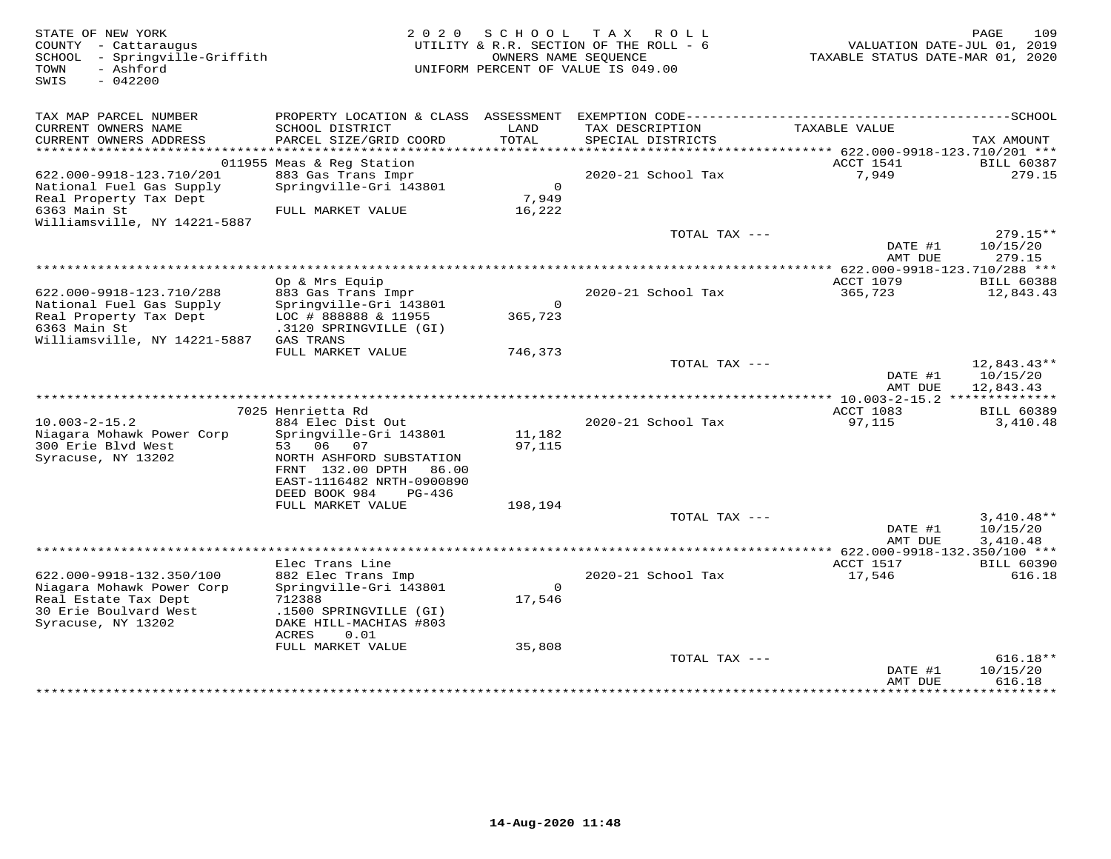| STATE OF NEW YORK<br>COUNTY - Cattaraugus<br>SCHOOL - Springville-Griffith<br>- Ashford<br>TOWN<br>SWIS<br>$-042200$ |                                                         | 2020 SCHOOL      | TAX ROLL<br>UTILITY & R.R. SECTION OF THE ROLL - 6<br>OWNERS NAME SEQUENCE<br>UNIFORM PERCENT OF VALUE IS 049.00 | VALUATION DATE-JUL 01, 2019<br>TAXABLE STATUS DATE-MAR 01, 2020 | 109<br>PAGE                          |
|----------------------------------------------------------------------------------------------------------------------|---------------------------------------------------------|------------------|------------------------------------------------------------------------------------------------------------------|-----------------------------------------------------------------|--------------------------------------|
| TAX MAP PARCEL NUMBER<br>CURRENT OWNERS NAME                                                                         | PROPERTY LOCATION & CLASS ASSESSMENT<br>SCHOOL DISTRICT | LAND             | TAX DESCRIPTION                                                                                                  | TAXABLE VALUE                                                   |                                      |
| CURRENT OWNERS ADDRESS                                                                                               | PARCEL SIZE/GRID COORD                                  | TOTAL            | SPECIAL DISTRICTS                                                                                                |                                                                 | TAX AMOUNT                           |
|                                                                                                                      |                                                         |                  |                                                                                                                  |                                                                 |                                      |
| 622.000-9918-123.710/201                                                                                             | 011955 Meas & Reg Station<br>883 Gas Trans Impr         |                  | 2020-21 School Tax                                                                                               | ACCT 1541<br>7,949                                              | <b>BILL 60387</b><br>279.15          |
| National Fuel Gas Supply                                                                                             | Springville-Gri 143801                                  | $\Omega$         |                                                                                                                  |                                                                 |                                      |
| Real Property Tax Dept                                                                                               |                                                         | 7,949            |                                                                                                                  |                                                                 |                                      |
| 6363 Main St                                                                                                         | FULL MARKET VALUE                                       | 16,222           |                                                                                                                  |                                                                 |                                      |
| Williamsville, NY 14221-5887                                                                                         |                                                         |                  |                                                                                                                  |                                                                 |                                      |
|                                                                                                                      |                                                         |                  | TOTAL TAX ---                                                                                                    | DATE #1<br>AMT DUE                                              | $279.15**$<br>10/15/20<br>279.15     |
|                                                                                                                      |                                                         |                  |                                                                                                                  | ************* 622.000-9918-123.710/288 ***                      |                                      |
|                                                                                                                      | Op & Mrs Equip                                          |                  |                                                                                                                  | ACCT 1079                                                       | <b>BILL 60388</b>                    |
| 622.000-9918-123.710/288                                                                                             | 883 Gas Trans Impr                                      | $\Omega$         | 2020-21 School Tax                                                                                               | 365,723                                                         | 12,843.43                            |
| National Fuel Gas Supply<br>Real Property Tax Dept                                                                   | Springville-Gri 143801<br>LOC # 888888 & 11955          | 365,723          |                                                                                                                  |                                                                 |                                      |
| 6363 Main St                                                                                                         | .3120 SPRINGVILLE (GI)                                  |                  |                                                                                                                  |                                                                 |                                      |
| Williamsville, NY 14221-5887                                                                                         | GAS TRANS                                               |                  |                                                                                                                  |                                                                 |                                      |
|                                                                                                                      | FULL MARKET VALUE                                       | 746,373          |                                                                                                                  |                                                                 |                                      |
|                                                                                                                      |                                                         |                  | TOTAL TAX ---                                                                                                    | DATE #1<br>AMT DUE                                              | 12,843.43**<br>10/15/20<br>12,843.43 |
|                                                                                                                      |                                                         |                  |                                                                                                                  |                                                                 |                                      |
|                                                                                                                      | 7025 Henrietta Rd                                       |                  |                                                                                                                  | ACCT 1083                                                       | <b>BILL 60389</b>                    |
| $10.003 - 2 - 15.2$                                                                                                  | 884 Elec Dist Out                                       |                  | 2020-21 School Tax                                                                                               | 97,115                                                          | 3,410.48                             |
| Niagara Mohawk Power Corp<br>300 Erie Blvd West                                                                      | Springville-Gri 143801<br>53 06<br>07                   | 11,182<br>97,115 |                                                                                                                  |                                                                 |                                      |
| Syracuse, NY 13202                                                                                                   | NORTH ASHFORD SUBSTATION                                |                  |                                                                                                                  |                                                                 |                                      |
|                                                                                                                      | FRNT 132.00 DPTH 86.00                                  |                  |                                                                                                                  |                                                                 |                                      |
|                                                                                                                      | EAST-1116482 NRTH-0900890                               |                  |                                                                                                                  |                                                                 |                                      |
|                                                                                                                      | DEED BOOK 984<br>$PG-436$                               |                  |                                                                                                                  |                                                                 |                                      |
|                                                                                                                      | FULL MARKET VALUE                                       | 198,194          | TOTAL TAX ---                                                                                                    |                                                                 | $3,410.48**$                         |
|                                                                                                                      |                                                         |                  |                                                                                                                  | DATE #1                                                         | 10/15/20                             |
|                                                                                                                      |                                                         |                  |                                                                                                                  | AMT DUE                                                         | 3,410.48                             |
|                                                                                                                      |                                                         |                  |                                                                                                                  |                                                                 |                                      |
| 622.000-9918-132.350/100                                                                                             | Elec Trans Line<br>882 Elec Trans Imp                   |                  | 2020-21 School Tax                                                                                               | ACCT 1517<br>17,546                                             | <b>BILL 60390</b><br>616.18          |
| Niagara Mohawk Power Corp                                                                                            | Springville-Gri 143801                                  | $\Omega$         |                                                                                                                  |                                                                 |                                      |
| Real Estate Tax Dept                                                                                                 | 712388                                                  | 17,546           |                                                                                                                  |                                                                 |                                      |
| 30 Erie Boulvard West                                                                                                | .1500 SPRINGVILLE (GI)                                  |                  |                                                                                                                  |                                                                 |                                      |
| Syracuse, NY 13202                                                                                                   | DAKE HILL-MACHIAS #803                                  |                  |                                                                                                                  |                                                                 |                                      |
|                                                                                                                      | ACRES<br>0.01<br>FULL MARKET VALUE                      | 35,808           |                                                                                                                  |                                                                 |                                      |
|                                                                                                                      |                                                         |                  | TOTAL TAX ---                                                                                                    |                                                                 | $616.18**$                           |
|                                                                                                                      |                                                         |                  |                                                                                                                  | DATE #1                                                         | 10/15/20                             |
|                                                                                                                      |                                                         |                  |                                                                                                                  | AMT DUE<br>*************                                        | 616.18<br>* * * * * * * * * * *      |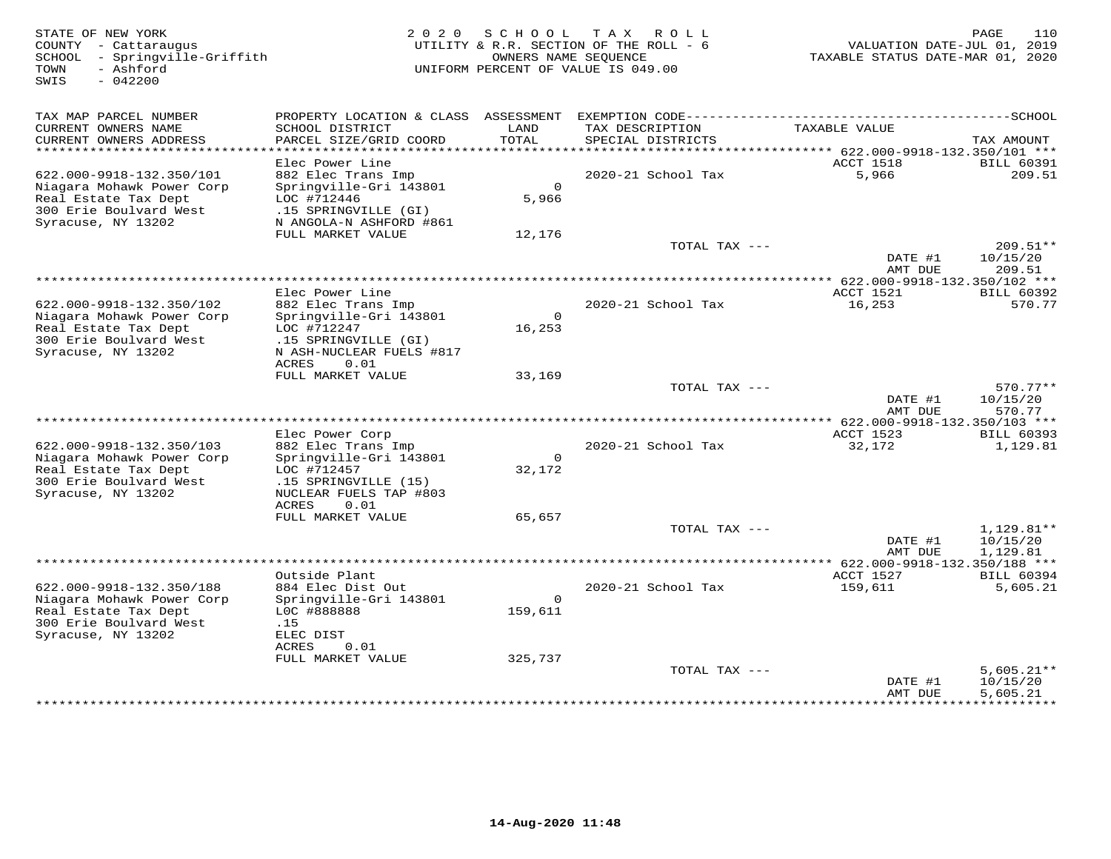| STATE OF NEW YORK<br>COUNTY - Cattaraugus<br>- Springville-Griffith<br>SCHOOL<br>- Ashford<br>TOWN<br>$-042200$<br>SWIS | 2 0 2 0                                                       | SCHOOL<br>OWNERS NAME SEOUENCE | T A X<br>ROLL<br>UTILITY & R.R. SECTION OF THE ROLL - 6<br>UNIFORM PERCENT OF VALUE IS 049.00 | VALUATION DATE-JUL 01, 2019<br>TAXABLE STATUS DATE-MAR 01, 2020 | PAGE<br>110                     |
|-------------------------------------------------------------------------------------------------------------------------|---------------------------------------------------------------|--------------------------------|-----------------------------------------------------------------------------------------------|-----------------------------------------------------------------|---------------------------------|
| TAX MAP PARCEL NUMBER                                                                                                   | PROPERTY LOCATION & CLASS ASSESSMENT                          |                                |                                                                                               |                                                                 |                                 |
| CURRENT OWNERS NAME<br>CURRENT OWNERS ADDRESS                                                                           | SCHOOL DISTRICT<br>PARCEL SIZE/GRID COORD                     | LAND<br><b>TOTAL</b>           | TAX DESCRIPTION<br>SPECIAL DISTRICTS                                                          | TAXABLE VALUE                                                   | TAX AMOUNT                      |
| ***********************                                                                                                 |                                                               |                                |                                                                                               |                                                                 |                                 |
| 622.000-9918-132.350/101                                                                                                | Elec Power Line<br>882 Elec Trans Imp                         |                                | 2020-21 School Tax                                                                            | ACCT 1518<br>5,966                                              | <b>BILL 60391</b><br>209.51     |
| Niagara Mohawk Power Corp<br>Real Estate Tax Dept<br>300 Erie Boulvard West                                             | Springville-Gri 143801<br>LOC #712446<br>.15 SPRINGVILLE (GI) | $\Omega$<br>5,966              |                                                                                               |                                                                 |                                 |
| Syracuse, NY 13202                                                                                                      | N ANGOLA-N ASHFORD #861<br>FULL MARKET VALUE                  | 12,176                         |                                                                                               |                                                                 |                                 |
|                                                                                                                         |                                                               |                                | TOTAL TAX ---                                                                                 |                                                                 | 209.51**                        |
|                                                                                                                         |                                                               |                                |                                                                                               | DATE #1                                                         | 10/15/20                        |
| ************************                                                                                                |                                                               |                                |                                                                                               | AMT DUE                                                         | 209.51                          |
|                                                                                                                         | Elec Power Line                                               |                                |                                                                                               | ACCT 1521                                                       | <b>BILL 60392</b>               |
| 622.000-9918-132.350/102<br>Niagara Mohawk Power Corp                                                                   | 882 Elec Trans Imp<br>Springville-Gri 143801                  | $\circ$                        | 2020-21 School Tax                                                                            | 16,253                                                          | 570.77                          |
| Real Estate Tax Dept                                                                                                    | LOC #712247                                                   | 16,253                         |                                                                                               |                                                                 |                                 |
| 300 Erie Boulvard West                                                                                                  | .15 SPRINGVILLE (GI)                                          |                                |                                                                                               |                                                                 |                                 |
| Syracuse, NY 13202                                                                                                      | N ASH-NUCLEAR FUELS #817<br><b>ACRES</b><br>0.01              |                                |                                                                                               |                                                                 |                                 |
|                                                                                                                         | FULL MARKET VALUE                                             | 33,169                         |                                                                                               |                                                                 |                                 |
|                                                                                                                         |                                                               |                                | TOTAL TAX ---                                                                                 | DATE #1                                                         | 570.77**                        |
|                                                                                                                         |                                                               |                                |                                                                                               | AMT DUE                                                         | 10/15/20<br>570.77              |
|                                                                                                                         |                                                               |                                |                                                                                               | *********** 622.000-9918-132.350/103 ***                        |                                 |
| 622.000-9918-132.350/103                                                                                                | Elec Power Corp<br>882 Elec Trans Imp                         |                                | 2020-21 School Tax                                                                            | ACCT 1523<br>32,172                                             | <b>BILL 60393</b><br>1,129.81   |
| Niagara Mohawk Power Corp                                                                                               | Springville-Gri 143801                                        | $\circ$                        |                                                                                               |                                                                 |                                 |
| Real Estate Tax Dept                                                                                                    | LOC #712457                                                   | 32,172                         |                                                                                               |                                                                 |                                 |
| 300 Erie Boulvard West<br>Syracuse, NY 13202                                                                            | .15 SPRINGVILLE (15)<br>NUCLEAR FUELS TAP #803                |                                |                                                                                               |                                                                 |                                 |
|                                                                                                                         | <b>ACRES</b><br>0.01                                          |                                |                                                                                               |                                                                 |                                 |
|                                                                                                                         | FULL MARKET VALUE                                             | 65,657                         |                                                                                               |                                                                 |                                 |
|                                                                                                                         |                                                               |                                | TOTAL TAX ---                                                                                 | DATE #1                                                         | $1,129.81**$<br>10/15/20        |
|                                                                                                                         |                                                               |                                |                                                                                               | AMT DUE                                                         | 1,129.81                        |
|                                                                                                                         |                                                               |                                |                                                                                               | ********* 622.000-9918-132.350/188 ***                          |                                 |
| 622.000-9918-132.350/188                                                                                                | Outside Plant<br>884 Elec Dist Out                            |                                | 2020-21 School Tax                                                                            | ACCT 1527<br>159,611                                            | <b>BILL 60394</b><br>5,605.21   |
| Niagara Mohawk Power Corp                                                                                               | Springville-Gri 143801                                        | $\Omega$                       |                                                                                               |                                                                 |                                 |
| Real Estate Tax Dept                                                                                                    | LOC #888888                                                   | 159,611                        |                                                                                               |                                                                 |                                 |
| 300 Erie Boulvard West<br>Syracuse, NY 13202                                                                            | .15<br>ELEC DIST                                              |                                |                                                                                               |                                                                 |                                 |
|                                                                                                                         | <b>ACRES</b><br>0.01                                          |                                |                                                                                               |                                                                 |                                 |
|                                                                                                                         | FULL MARKET VALUE                                             | 325,737                        | TOTAL TAX ---                                                                                 |                                                                 | $5,605.21**$                    |
|                                                                                                                         |                                                               |                                |                                                                                               | DATE #1                                                         | 10/15/20                        |
|                                                                                                                         |                                                               |                                |                                                                                               | AMT DUE<br>* * * * * * * * * * * * * *                          | 5,605.21<br>* * * * * * * * * * |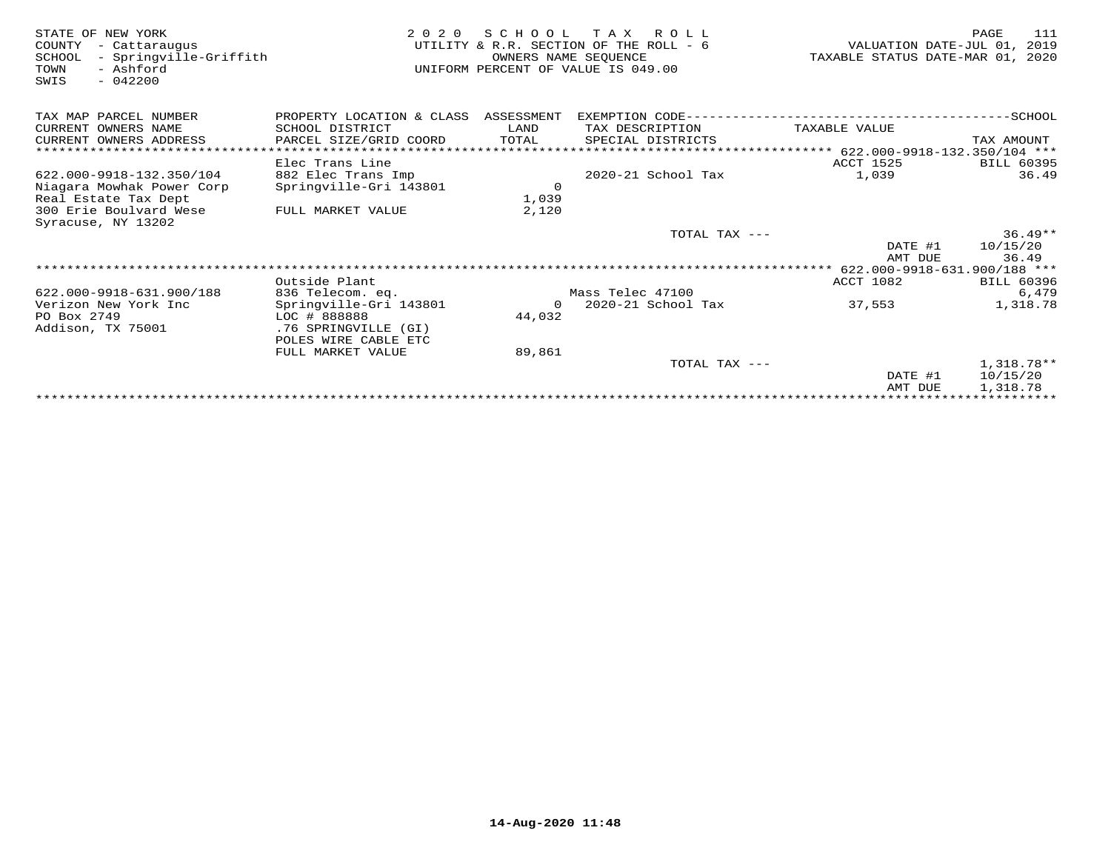| STATE OF NEW YORK<br>COUNTY<br>- Cattaraugus<br>- Springville-Griffith<br>SCHOOL<br>- Ashford<br>TOWN<br>$-042200$<br>SWIS | 2 0 2 0                   | OWNERS NAME SEOUENCE | SCHOOL TAX ROLL<br>UTILITY & R.R. SECTION OF THE ROLL - 6<br>UNIFORM PERCENT OF VALUE IS 049.00 | VALUATION DATE-JUL 01,<br>TAXABLE STATUS DATE-MAR 01, 2020 | 111<br>PAGE<br>2019 |
|----------------------------------------------------------------------------------------------------------------------------|---------------------------|----------------------|-------------------------------------------------------------------------------------------------|------------------------------------------------------------|---------------------|
| TAX MAP PARCEL NUMBER                                                                                                      | PROPERTY LOCATION & CLASS | ASSESSMENT           |                                                                                                 |                                                            |                     |
| CURRENT OWNERS NAME                                                                                                        | SCHOOL DISTRICT           | LAND                 | TAX DESCRIPTION                                                                                 | TAXABLE VALUE                                              |                     |
| CURRENT OWNERS ADDRESS                                                                                                     | PARCEL SIZE/GRID COORD    | TOTAL                | SPECIAL DISTRICTS                                                                               |                                                            | TAX AMOUNT          |
| ******************************                                                                                             |                           |                      |                                                                                                 |                                                            |                     |
|                                                                                                                            | Elec Trans Line           |                      |                                                                                                 | ACCT 1525                                                  | <b>BILL 60395</b>   |
| 622.000-9918-132.350/104                                                                                                   | 882 Elec Trans Imp        |                      | 2020-21 School Tax                                                                              | 1,039                                                      | 36.49               |
| Niagara Mowhak Power Corp                                                                                                  | Springville-Gri 143801    | $\overline{0}$       |                                                                                                 |                                                            |                     |
| Real Estate Tax Dept                                                                                                       |                           | 1,039                |                                                                                                 |                                                            |                     |
| 300 Erie Boulvard Wese<br>Syracuse, NY 13202                                                                               | FULL MARKET VALUE         | 2,120                |                                                                                                 |                                                            |                     |
|                                                                                                                            |                           |                      | TOTAL TAX ---                                                                                   |                                                            | $36.49**$           |
|                                                                                                                            |                           |                      |                                                                                                 | DATE #1<br>AMT DUE                                         | 10/15/20<br>36.49   |
|                                                                                                                            |                           |                      |                                                                                                 |                                                            |                     |
|                                                                                                                            | Outside Plant             |                      |                                                                                                 | ACCT 1082                                                  | <b>BILL 60396</b>   |
| 622.000-9918-631.900/188                                                                                                   | 836 Telecom. eq.          |                      | Mass Telec 47100                                                                                |                                                            | 6,479               |
| Verizon New York Inc                                                                                                       | Springville-Gri 143801    | $\Omega$             | 2020-21 School Tax                                                                              | 37,553                                                     | 1,318.78            |
| PO Box 2749                                                                                                                | LOC # 888888              | 44,032               |                                                                                                 |                                                            |                     |
| Addison, TX 75001                                                                                                          | .76 SPRINGVILLE (GI)      |                      |                                                                                                 |                                                            |                     |
|                                                                                                                            | POLES WIRE CABLE ETC      |                      |                                                                                                 |                                                            |                     |
|                                                                                                                            | FULL MARKET VALUE         | 89,861               |                                                                                                 |                                                            |                     |
|                                                                                                                            |                           |                      | TOTAL TAX ---                                                                                   |                                                            | $1,318.78**$        |
|                                                                                                                            |                           |                      |                                                                                                 | DATE #1                                                    | 10/15/20            |
|                                                                                                                            |                           |                      |                                                                                                 | AMT DUE                                                    | 1,318.78            |
|                                                                                                                            |                           |                      |                                                                                                 |                                                            |                     |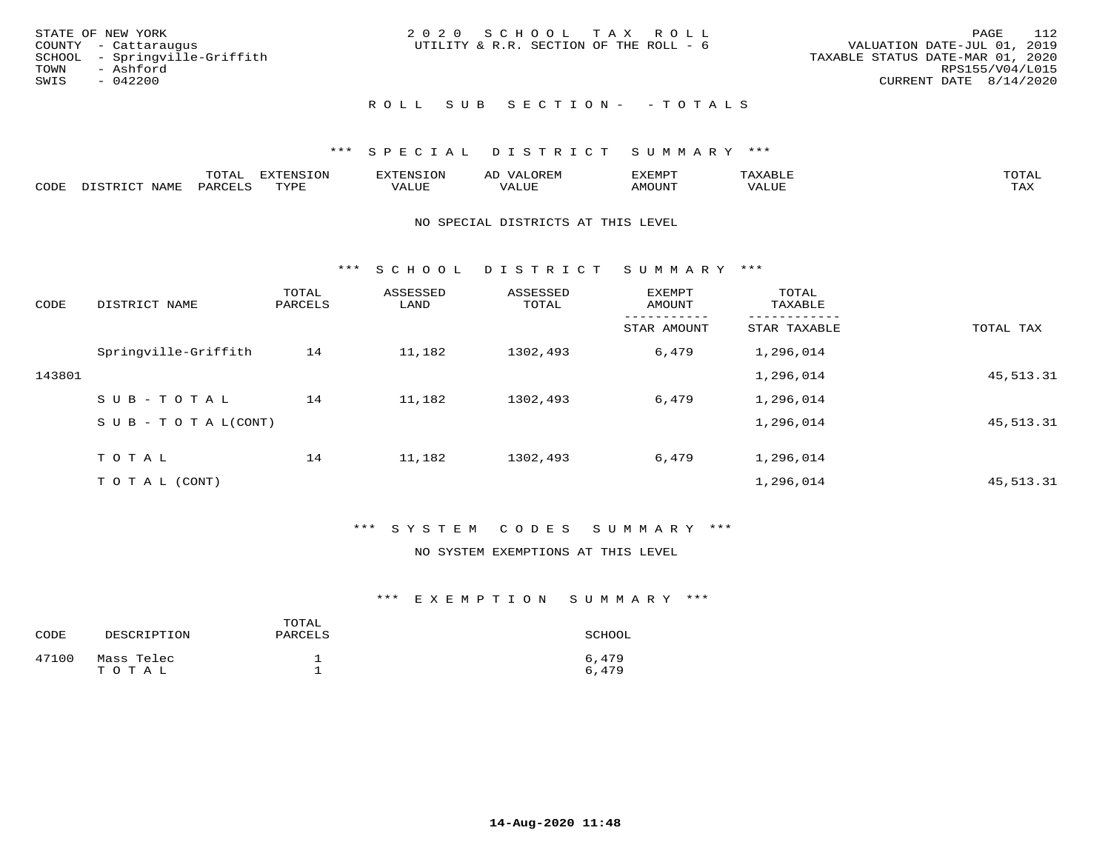|      | STATE OF NEW YORK             | 2020 SCHOOL TAX ROLL                   |                                  | - 112<br>PAGE   |
|------|-------------------------------|----------------------------------------|----------------------------------|-----------------|
|      | COUNTY - Cattaraugus          | UTILITY & R.R. SECTION OF THE ROLL - 6 | VALUATION DATE-JUL 01, 2019      |                 |
|      | SCHOOL - Springville-Griffith |                                        | TAXABLE STATUS DATE-MAR 01, 2020 |                 |
| TOWN | - Ashford                     |                                        |                                  | RPS155/V04/L015 |
| SWIS | $-042200$                     |                                        | CURRENT DATE 8/14/2020           |                 |
|      |                               |                                        |                                  |                 |

# ROLL SUB SECTION - - TOTALS

### \*\*\* S P E C I A L D I S T R I C T S U M M A R Y \*\*\*

|      |                   | -----<br>◡⊥▱ | <b>FYTFNSION</b><br>. v | H'NL'     |                          | .XEMP" | $\Delta$<br>.       | TOTAL |
|------|-------------------|--------------|-------------------------|-----------|--------------------------|--------|---------------------|-------|
| CODE | NTAM <sup>T</sup> | PARC         | $m \times r \cap \tau$  | تلالالتدك | , <del>,</del> , , , , , | MOUN.  | <b>TITT</b><br>ALUL | TAX   |

### NO SPECIAL DISTRICTS AT THIS LEVEL

\*\*\* S C H O O L D I S T R I C T S U M M A R Y \*\*\*

| CODE   | DISTRICT NAME             | TOTAL<br>PARCELS | ASSESSED<br>LAND | ASSESSED<br>TOTAL | EXEMPT<br>AMOUNT | TOTAL<br>TAXABLE |             |
|--------|---------------------------|------------------|------------------|-------------------|------------------|------------------|-------------|
|        |                           |                  |                  |                   | STAR AMOUNT      | STAR TAXABLE     | TOTAL TAX   |
|        | Springville-Griffith      | 14               | 11,182           | 1302,493          | 6,479            | 1,296,014        |             |
| 143801 |                           |                  |                  |                   |                  | 1,296,014        | 45, 513. 31 |
|        | SUB-TOTAL                 | 14               | 11,182           | 1302,493          | 6,479            | 1,296,014        |             |
|        | S U B - T O T A $L(CONT)$ |                  |                  |                   |                  | 1,296,014        | 45, 513. 31 |
|        | TOTAL                     | 14               | 11,182           | 1302,493          | 6,479            | 1,296,014        |             |
|        |                           |                  |                  |                   |                  |                  |             |
|        | TO TAL (CONT)             |                  |                  |                   |                  | 1,296,014        | 45, 513. 31 |

## \*\*\* S Y S T E M C O D E S S U M M A R Y \*\*\*

### NO SYSTEM EXEMPTIONS AT THIS LEVEL

| CODE  | DESCRIPTION         | TOTAL<br>PARCELS | SCHOOL         |
|-------|---------------------|------------------|----------------|
| 47100 | Mass Telec<br>TOTAL |                  | 6,479<br>6,479 |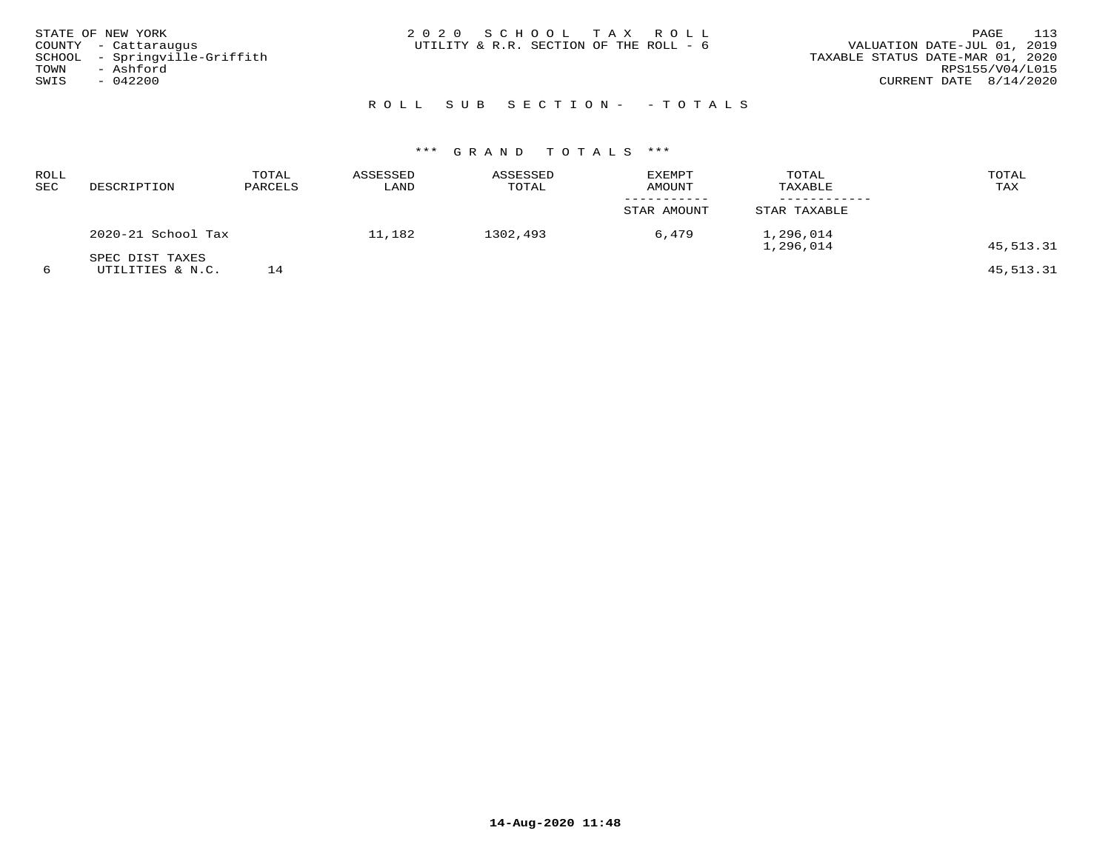| STATE OF NEW YORK<br>COUNTY - Cattaraugus<br>SCHOOL - Springville-Griffith<br>TOWN<br>- Ashford<br>SWIS<br>$-042200$ | 2020 SCHOOL TAX ROLL<br>UTILITY & R.R. SECTION OF THE ROLL - 6 | 113<br>PAGE<br>VALUATION DATE-JUL 01, 2019<br>TAXABLE STATUS DATE-MAR 01, 2020<br>RPS155/V04/L015<br>CURRENT DATE 8/14/2020 |
|----------------------------------------------------------------------------------------------------------------------|----------------------------------------------------------------|-----------------------------------------------------------------------------------------------------------------------------|
|                                                                                                                      | ROLL SUB SECTION- - TOTALS                                     |                                                                                                                             |

| ROLL<br>SEC | DESCRIPTION        | TOTAL<br>PARCELS | ASSESSED<br>LAND | ASSESSED<br>TOTAL | <b>EXEMPT</b><br>AMOUNT | TOTAL<br>TAXABLE       | TOTAL<br>TAX |
|-------------|--------------------|------------------|------------------|-------------------|-------------------------|------------------------|--------------|
|             |                    |                  |                  |                   | STAR AMOUNT             | STAR TAXABLE           |              |
|             | 2020-21 School Tax |                  | 11,182           | 1302,493          | 6,479                   | 1,296,014<br>1,296,014 | 45,513.31    |
|             | SPEC DIST TAXES    |                  |                  |                   |                         |                        |              |
|             | UTILITIES & N.C.   | 14               |                  |                   |                         |                        | 45,513.31    |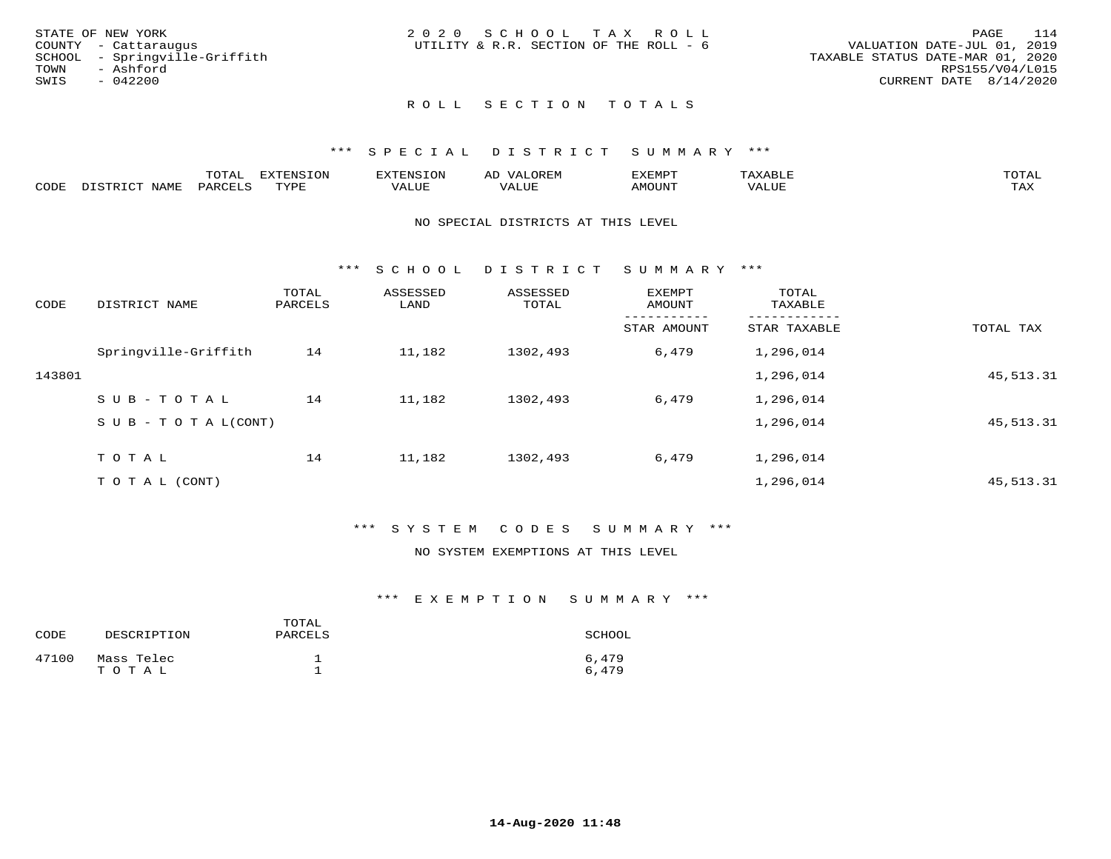|      | STATE OF NEW YORK             | 2020 SCHOOL TAX ROLL |  |                                        |                                  | PAGE | 114             |
|------|-------------------------------|----------------------|--|----------------------------------------|----------------------------------|------|-----------------|
|      | COUNTY - Cattaraugus          |                      |  | UTILITY & R.R. SECTION OF THE ROLL - 6 | VALUATION DATE-JUL 01, 2019      |      |                 |
|      | SCHOOL - Springville-Griffith |                      |  |                                        | TAXABLE STATUS DATE-MAR 01, 2020 |      |                 |
|      | TOWN - Ashford                |                      |  |                                        |                                  |      | RPS155/V04/L015 |
| SWIS | $-042200$                     |                      |  |                                        | CURRENT DATE 8/14/2020           |      |                 |
|      |                               |                      |  |                                        |                                  |      |                 |

## ROLL SECTION TOTALS

### \*\*\* S P E C I A L D I S T R I C T S U M M A R Y \*\*\*

|      | ----<br>---- | T ON<br>---     |           | ΑL | ----  | $m \wedge m$        |
|------|--------------|-----------------|-----------|----|-------|---------------------|
| CODE |              | $m \tau \tau n$ | --- - --- |    | MOUN. | $- - - -$<br>- ⊥777 |

### NO SPECIAL DISTRICTS AT THIS LEVEL

\*\*\* S C H O O L D I S T R I C T S U M M A R Y \*\*\*

| CODE   | DISTRICT NAME                    | TOTAL<br>PARCELS | ASSESSED<br>LAND | ASSESSED<br>TOTAL | EXEMPT<br>AMOUNT | TOTAL<br>TAXABLE |             |
|--------|----------------------------------|------------------|------------------|-------------------|------------------|------------------|-------------|
|        |                                  |                  |                  |                   | STAR AMOUNT      | STAR TAXABLE     | TOTAL TAX   |
|        | Springville-Griffith             | 14               | 11,182           | 1302,493          | 6,479            | 1,296,014        |             |
| 143801 |                                  |                  |                  |                   |                  | 1,296,014        | 45, 513. 31 |
|        | SUB-TOTAL                        | 14               | 11,182           | 1302,493          | 6,479            | 1,296,014        |             |
|        | $S \cup B - T \cup T A L (CONT)$ |                  |                  |                   |                  | 1,296,014        | 45, 513. 31 |
|        | TOTAL                            | 14               | 11,182           | 1302,493          | 6,479            | 1,296,014        |             |
|        |                                  |                  |                  |                   |                  |                  |             |
|        | TO TAL (CONT)                    |                  |                  |                   |                  | 1,296,014        | 45, 513. 31 |

### \*\*\* S Y S T E M C O D E S S U M M A R Y \*\*\*

### NO SYSTEM EXEMPTIONS AT THIS LEVEL

| CODE  | DESCRIPTION         | TOTAL<br>PARCELS | SCHOOL         |
|-------|---------------------|------------------|----------------|
| 47100 | Mass Telec<br>TOTAL |                  | 6,479<br>6,479 |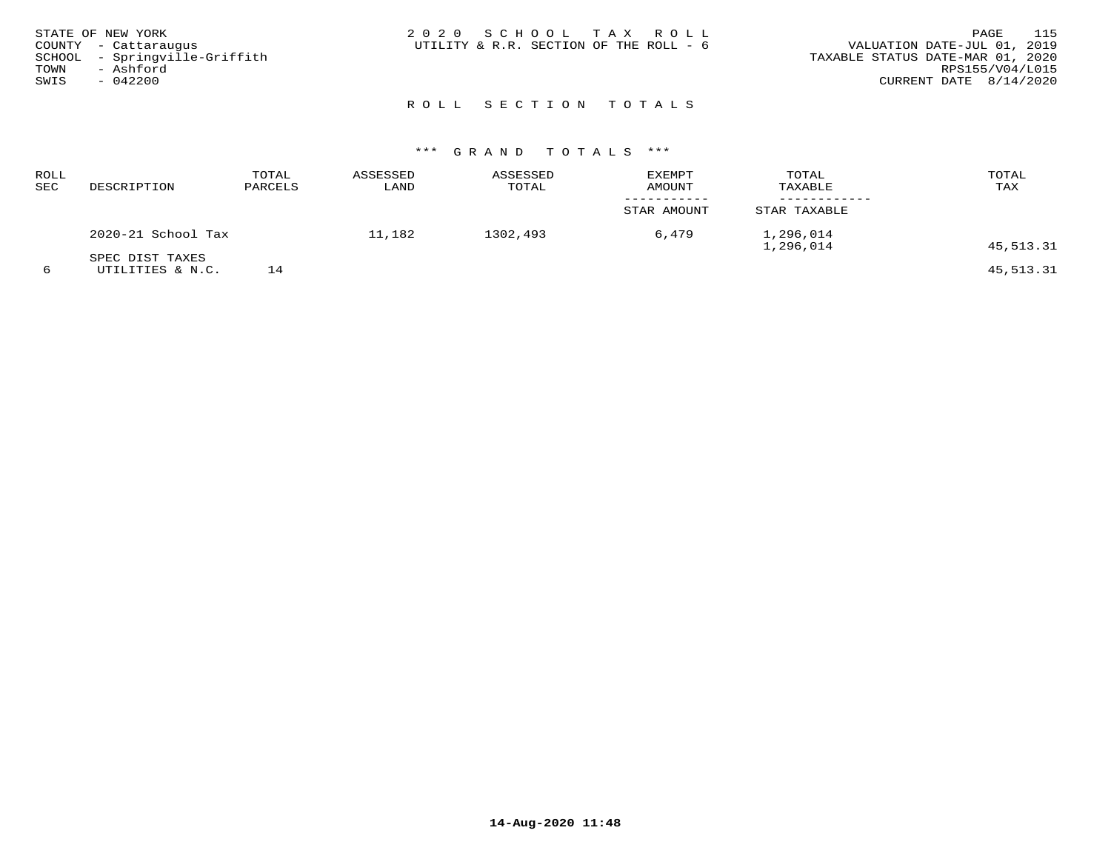| STATE OF NEW YORK<br>COUNTY - Cattaraugus<br>SCHOOL - Springville-Griffith<br>TOWN<br>- Ashford<br>SWIS<br>$-042200$ | 2020 SCHOOL TAX ROLL<br>UTILITY & R.R. SECTION OF THE ROLL - 6 | 115<br>PAGE<br>VALUATION DATE-JUL 01, 2019<br>TAXABLE STATUS DATE-MAR 01, 2020<br>RPS155/V04/L015<br>CURRENT DATE $8/14/2020$ |
|----------------------------------------------------------------------------------------------------------------------|----------------------------------------------------------------|-------------------------------------------------------------------------------------------------------------------------------|
|                                                                                                                      | ROLL SECTION TOTALS                                            |                                                                                                                               |

| ROLL<br>SEC | DESCRIPTION        | TOTAL<br>PARCELS | ASSESSED<br>LAND | ASSESSED<br>TOTAL | <b>EXEMPT</b><br><b>AMOUNT</b> | TOTAL<br>TAXABLE       | TOTAL<br>TAX |
|-------------|--------------------|------------------|------------------|-------------------|--------------------------------|------------------------|--------------|
|             |                    |                  |                  |                   | STAR AMOUNT                    | STAR TAXABLE           |              |
|             | 2020-21 School Tax |                  | 11,182           | 1302,493          | 6,479                          | 1,296,014<br>1,296,014 | 45,513.31    |
|             | SPEC DIST TAXES    |                  |                  |                   |                                |                        |              |
|             | UTILITIES & N.C.   |                  |                  |                   |                                |                        | 45,513.31    |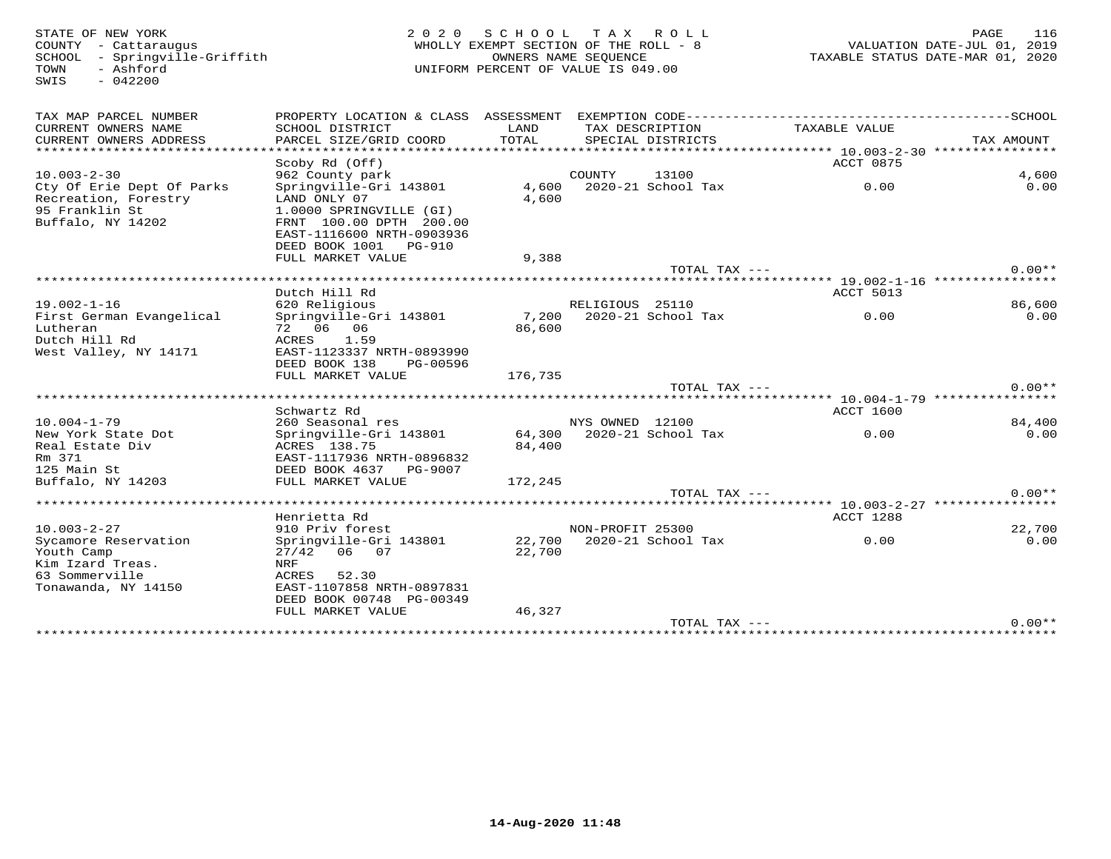SWIS - 042200

### STATE OF NEW YORK DURING MENUSION OF A SAME STATE OF NEW YORK 116<br>
COUNTY - Cattaraugus and the country the section of the roll - 8 which we country - Cattaraugus and the count<br>
SCHOOL - Springville-Griffith (David Countro WHOLLY EXEMPT SECTION OF THE ROLL -  $8$  SCHOOL - Springville-Griffith OWNERS NAME SEQUENCE TAXABLE STATUS DATE-MAR 01, 2020UNIFORM PERCENT OF VALUE IS 049.00

| TAX MAP PARCEL NUMBER     | PROPERTY LOCATION & CLASS ASSESSMENT       |         |                          | EXEMPTION CODE----------- |                                                  | -------------SCHOOL |
|---------------------------|--------------------------------------------|---------|--------------------------|---------------------------|--------------------------------------------------|---------------------|
| CURRENT OWNERS NAME       | SCHOOL DISTRICT                            | LAND    |                          | TAX DESCRIPTION           | TAXABLE VALUE                                    |                     |
| CURRENT OWNERS ADDRESS    | PARCEL SIZE/GRID COORD                     | TOTAL   |                          | SPECIAL DISTRICTS         |                                                  | TAX AMOUNT          |
| *******************       | ********************                       |         | ************************ |                           | ******************* 10.003-2-30 **************** |                     |
|                           | Scoby Rd (Off)                             |         |                          |                           | ACCT 0875                                        |                     |
| $10.003 - 2 - 30$         | 962 County park                            |         | COUNTY                   | 13100                     |                                                  | 4,600               |
| Cty Of Erie Dept Of Parks | Springville-Gri 143801                     | 4,600   |                          | 2020-21 School Tax        | 0.00                                             | 0.00                |
| Recreation, Forestry      | LAND ONLY 07                               | 4,600   |                          |                           |                                                  |                     |
| 95 Franklin St            | 1.0000 SPRINGVILLE (GI)                    |         |                          |                           |                                                  |                     |
| Buffalo, NY 14202         | FRNT 100.00 DPTH 200.00                    |         |                          |                           |                                                  |                     |
|                           | EAST-1116600 NRTH-0903936                  |         |                          |                           |                                                  |                     |
|                           | DEED BOOK 1001<br><b>PG-910</b>            |         |                          |                           |                                                  |                     |
|                           | FULL MARKET VALUE                          | 9,388   |                          |                           |                                                  |                     |
|                           |                                            |         |                          | TOTAL TAX ---             |                                                  | $0.00**$            |
|                           |                                            |         |                          |                           | **** 19.002-1-16 *********                       |                     |
|                           | Dutch Hill Rd                              |         |                          |                           | ACCT 5013                                        |                     |
| $19.002 - 1 - 16$         | 620 Religious                              |         | RELIGIOUS 25110          |                           |                                                  | 86,600              |
| First German Evangelical  | Springville-Gri 143801                     | 7,200   |                          | 2020-21 School Tax        | 0.00                                             | 0.00                |
| Lutheran                  | 72 06 06                                   | 86,600  |                          |                           |                                                  |                     |
| Dutch Hill Rd             | 1.59<br>ACRES                              |         |                          |                           |                                                  |                     |
| West Valley, NY 14171     | EAST-1123337 NRTH-0893990                  |         |                          |                           |                                                  |                     |
|                           | DEED BOOK 138<br>PG-00596                  |         |                          |                           |                                                  |                     |
|                           | FULL MARKET VALUE                          | 176,735 |                          |                           |                                                  |                     |
|                           |                                            |         |                          | TOTAL TAX ---             |                                                  | $0.00**$            |
|                           | Schwartz Rd                                |         |                          |                           | ACCT 1600                                        |                     |
| $10.004 - 1 - 79$         |                                            |         | NYS OWNED 12100          |                           |                                                  | 84,400              |
| New York State Dot        | 260 Seasonal res<br>Springville-Gri 143801 | 64,300  |                          | 2020-21 School Tax        | 0.00                                             | 0.00                |
| Real Estate Div           | ACRES 138.75                               | 84,400  |                          |                           |                                                  |                     |
| Rm 371                    | EAST-1117936 NRTH-0896832                  |         |                          |                           |                                                  |                     |
| 125 Main St               | DEED BOOK 4637<br>PG-9007                  |         |                          |                           |                                                  |                     |
| Buffalo, NY 14203         | FULL MARKET VALUE                          | 172,245 |                          |                           |                                                  |                     |
|                           |                                            |         |                          | $TOTAL$ $TAX$ $---$       |                                                  | $0.00**$            |
|                           |                                            |         |                          |                           |                                                  |                     |
|                           | Henrietta Rd                               |         |                          |                           | ACCT 1288                                        |                     |
| $10.003 - 2 - 27$         | 910 Priv forest                            |         | NON-PROFIT 25300         |                           |                                                  | 22,700              |
| Sycamore Reservation      | Springville-Gri 143801                     | 22,700  |                          | 2020-21 School Tax        | 0.00                                             | 0.00                |
| Youth Camp                | 27/42<br>06 07                             | 22,700  |                          |                           |                                                  |                     |
| Kim Izard Treas.          | NRF                                        |         |                          |                           |                                                  |                     |
| 63 Sommerville            | 52.30<br>ACRES                             |         |                          |                           |                                                  |                     |
| Tonawanda, NY 14150       | EAST-1107858 NRTH-0897831                  |         |                          |                           |                                                  |                     |
|                           | DEED BOOK 00748 PG-00349                   |         |                          |                           |                                                  |                     |
|                           | FULL MARKET VALUE                          | 46,327  |                          |                           |                                                  |                     |
|                           |                                            |         |                          | TOTAL TAX ---             |                                                  | $0.00**$            |
| ****************          |                                            |         |                          |                           |                                                  |                     |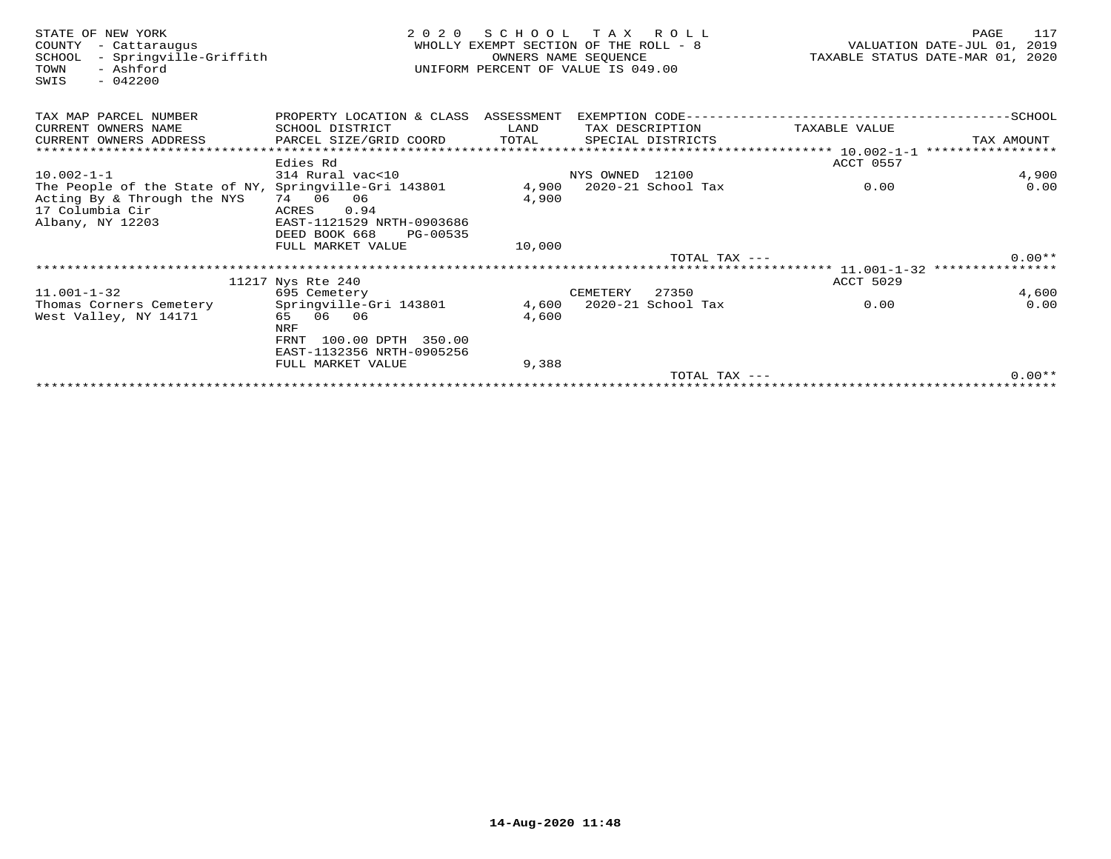| STATE OF NEW YORK<br>- Cattaraugus<br>COUNTY<br>- Springville-Griffith<br>SCHOOL<br>- Ashford<br>TOWN<br>$-042200$<br>SWIS | 2 0 2 0                    | SCHOOL TAX ROLL<br>WHOLLY EXEMPT SECTION OF THE ROLL - 8<br>UNIFORM PERCENT OF VALUE IS 049.00 | OWNERS NAME SEQUENCE |                    |                                                        | 117<br>PAGE<br>VALUATION DATE-JUL 01, 2019<br>TAXABLE STATUS DATE-MAR 01, 2020 |
|----------------------------------------------------------------------------------------------------------------------------|----------------------------|------------------------------------------------------------------------------------------------|----------------------|--------------------|--------------------------------------------------------|--------------------------------------------------------------------------------|
| TAX MAP PARCEL NUMBER                                                                                                      | PROPERTY LOCATION & CLASS  | ASSESSMENT                                                                                     |                      | EXEMPTION CODE---- |                                                        | --------------SCHOOL                                                           |
| CURRENT OWNERS NAME                                                                                                        | SCHOOL DISTRICT            | LAND                                                                                           | TAX DESCRIPTION      |                    | TAXABLE VALUE                                          |                                                                                |
| CURRENT OWNERS ADDRESS                                                                                                     | PARCEL SIZE/GRID COORD     | TOTAL                                                                                          |                      | SPECIAL DISTRICTS  |                                                        | TAX AMOUNT                                                                     |
| ******************************                                                                                             |                            |                                                                                                |                      |                    |                                                        |                                                                                |
|                                                                                                                            | Edies Rd                   |                                                                                                |                      |                    | ACCT 0557                                              |                                                                                |
| $10.002 - 1 - 1$                                                                                                           | 314 Rural vac<10           |                                                                                                | NYS OWNED 12100      |                    |                                                        | 4,900                                                                          |
| The People of the State of NY, Springville-Gri 143801                                                                      |                            | 4,900                                                                                          |                      | 2020-21 School Tax | 0.00                                                   | 0.00                                                                           |
| Acting By & Through the NYS                                                                                                | 74 06<br>06                | 4,900                                                                                          |                      |                    |                                                        |                                                                                |
| 17 Columbia Cir                                                                                                            | 0.94<br>ACRES              |                                                                                                |                      |                    |                                                        |                                                                                |
| Albany, NY 12203                                                                                                           | EAST-1121529 NRTH-0903686  |                                                                                                |                      |                    |                                                        |                                                                                |
|                                                                                                                            | DEED BOOK 668<br>PG-00535  |                                                                                                |                      |                    |                                                        |                                                                                |
|                                                                                                                            | FULL MARKET VALUE          | 10,000                                                                                         |                      | TOTAL TAX $---$    |                                                        | $0.00**$                                                                       |
|                                                                                                                            |                            |                                                                                                |                      |                    | ************************ 11.001-1-32 ***************** |                                                                                |
|                                                                                                                            | 11217 Nys Rte 240          |                                                                                                |                      |                    | ACCT 5029                                              |                                                                                |
| $11.001 - 1 - 32$                                                                                                          | 695 Cemetery               |                                                                                                | CEMETERY             | 27350              |                                                        | 4,600                                                                          |
| Thomas Corners Cemetery                                                                                                    | Springville-Gri 143801     | 4,600                                                                                          |                      | 2020-21 School Tax | 0.00                                                   | 0.00                                                                           |
| West Valley, NY 14171                                                                                                      | 65 06 06                   | 4,600                                                                                          |                      |                    |                                                        |                                                                                |
|                                                                                                                            | <b>NRF</b>                 |                                                                                                |                      |                    |                                                        |                                                                                |
|                                                                                                                            | 100.00 DPTH 350.00<br>FRNT |                                                                                                |                      |                    |                                                        |                                                                                |
|                                                                                                                            | EAST-1132356 NRTH-0905256  |                                                                                                |                      |                    |                                                        |                                                                                |
|                                                                                                                            | FULL MARKET VALUE          | 9,388                                                                                          |                      |                    |                                                        |                                                                                |
|                                                                                                                            |                            |                                                                                                |                      | TOTAL TAX $---$    |                                                        | $0.00**$                                                                       |
|                                                                                                                            |                            |                                                                                                |                      |                    |                                                        |                                                                                |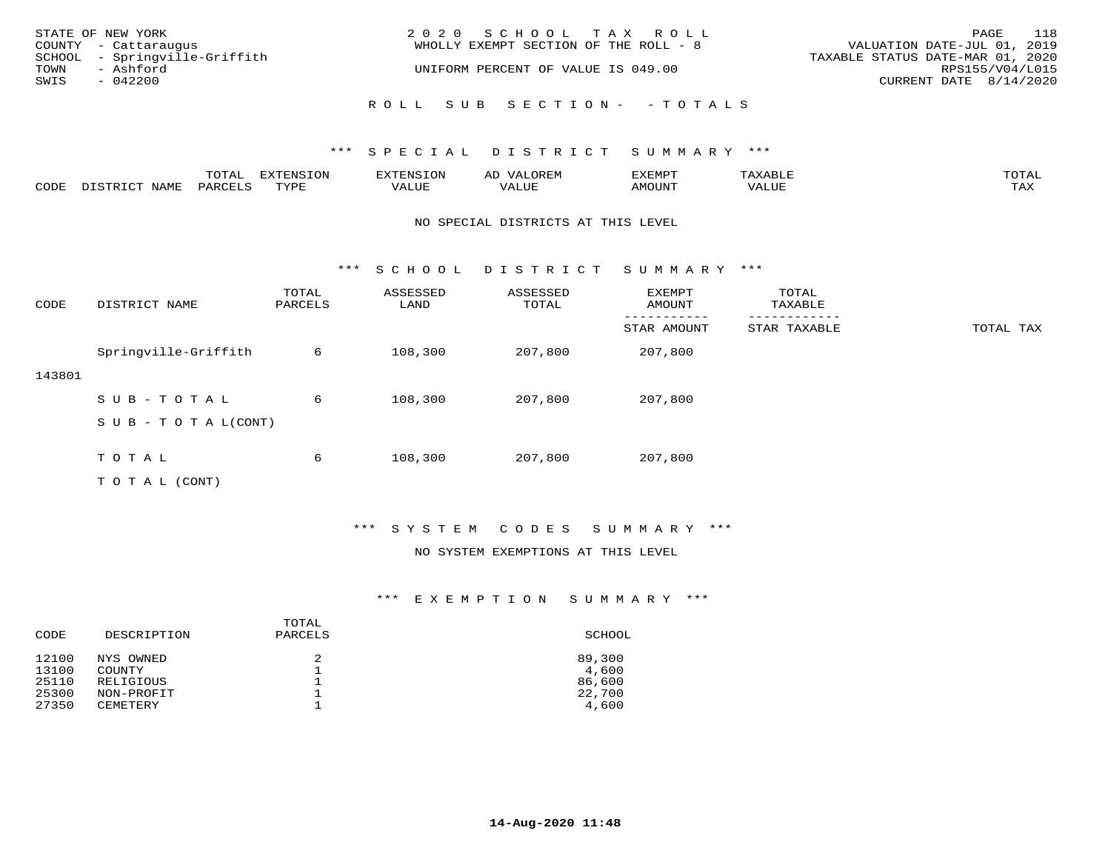| STATE OF NEW YORK<br>COUNTY - Cattaraugus          | 2020 SCHOOL TAX ROLL<br>WHOLLY EXEMPT SECTION OF THE ROLL - 8 | 118<br>PAGE<br>VALUATION DATE-JUL 01, 2019          |
|----------------------------------------------------|---------------------------------------------------------------|-----------------------------------------------------|
| SCHOOL - Springville-Griffith<br>TOWN<br>- Ashford | UNIFORM PERCENT OF VALUE IS 049.00                            | TAXABLE STATUS DATE-MAR 01, 2020<br>RPS155/V04/L015 |
| SWIS<br>- 042200                                   |                                                               | CURRENT DATE 8/14/2020                              |
|                                                    | ROLL SUB SECTION- - TOTALS                                    |                                                     |

|      |      | momn'<br>LUIAL | $\pi$                |      | - |        |       | -----<br>$\sim$  |
|------|------|----------------|----------------------|------|---|--------|-------|------------------|
| CODE | NAME | 'ARI           | TVDL<br><u>ـ د د</u> | ALUE |   | LUITOM | 'ALUL | max 37<br>⊥ ∠~∡∡ |

### NO SPECIAL DISTRICTS AT THIS LEVEL

\*\*\* S C H O O L D I S T R I C T S U M M A R Y \*\*\*

| CODE   | DISTRICT NAME             | TOTAL<br>PARCELS | ASSESSED<br>LAND | ASSESSED<br>TOTAL | EXEMPT<br>AMOUNT | TOTAL<br>TAXABLE |           |
|--------|---------------------------|------------------|------------------|-------------------|------------------|------------------|-----------|
|        |                           |                  |                  |                   | STAR AMOUNT      | STAR TAXABLE     | TOTAL TAX |
|        | Springville-Griffith      | 6                | 108,300          | 207,800           | 207,800          |                  |           |
| 143801 |                           |                  |                  |                   |                  |                  |           |
|        | SUB-TOTAL                 | 6                | 108,300          | 207,800           | 207,800          |                  |           |
|        | S U B - T O T A $L(CONT)$ |                  |                  |                   |                  |                  |           |
|        |                           |                  |                  |                   |                  |                  |           |
|        | TOTAL                     | 6                | 108,300          | 207,800           | 207,800          |                  |           |
|        | T O T A L (CONT)          |                  |                  |                   |                  |                  |           |

\*\*\* S Y S T E M C O D E S S U M M A R Y \*\*\*

### NO SYSTEM EXEMPTIONS AT THIS LEVEL

| CODE  | DESCRIPTION     | TOTAL<br>PARCELS | SCHOOL |
|-------|-----------------|------------------|--------|
| 12100 | NYS OWNED       | 2                | 89,300 |
| 13100 | COUNTY          |                  | 4,600  |
| 25110 | RELIGIOUS       |                  | 86,600 |
| 25300 | NON-PROFIT      |                  | 22,700 |
| 27350 | <b>CEMETERY</b> |                  | 4,600  |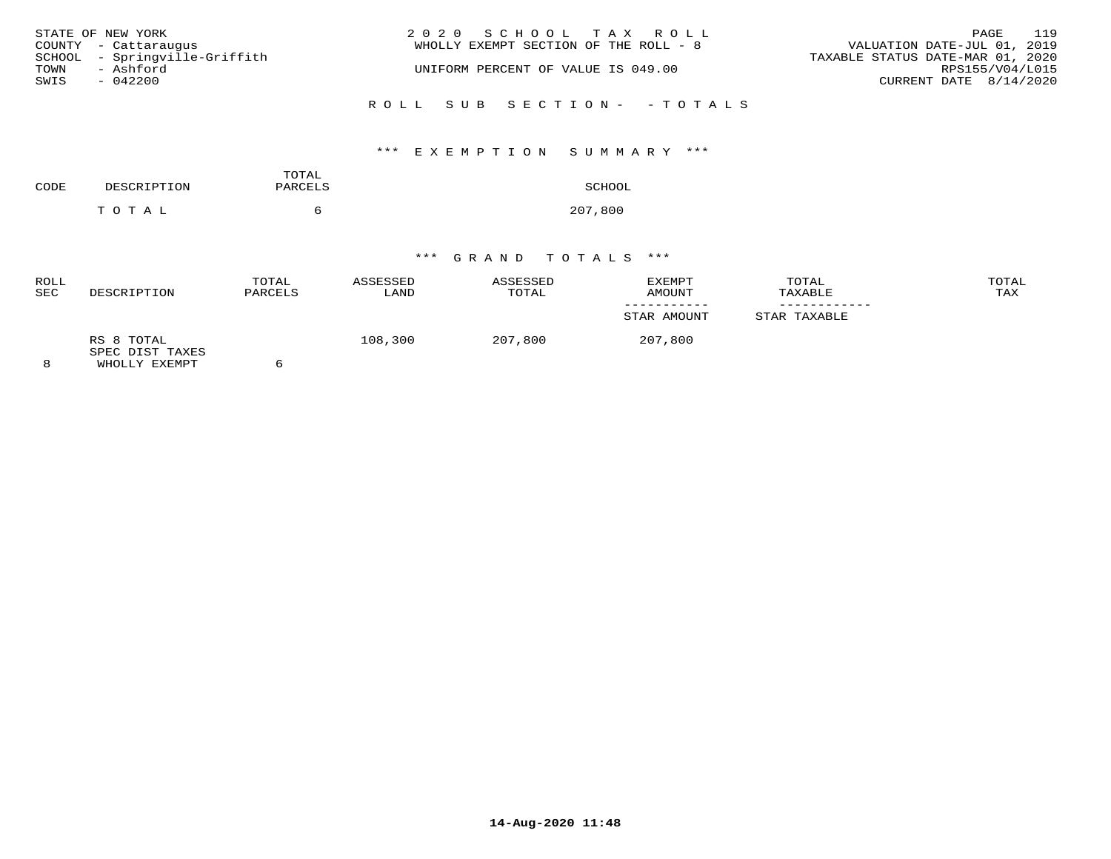| STATE OF NEW YORK<br>COUNTY - Cattaraugus          | 2020 SCHOOL TAX ROLL<br>WHOLLY EXEMPT SECTION OF THE ROLL - 8 | 119<br>PAGE<br>VALUATION DATE-JUL 01, 2019          |
|----------------------------------------------------|---------------------------------------------------------------|-----------------------------------------------------|
| SCHOOL - Springville-Griffith<br>TOWN<br>- Ashford | UNIFORM PERCENT OF VALUE IS 049.00                            | TAXABLE STATUS DATE-MAR 01, 2020<br>RPS155/V04/L015 |
| SWIS<br>$-042200$                                  |                                                               | CURRENT DATE 8/14/2020                              |
|                                                    | ROLL SUB SECTION- - TOTALS                                    |                                                     |

# \*\*\* E X E M P T I O N S U M M A R Y \*\*\*

| CODE | DESCRIPTION | TOTAL<br>PARCELS | SCHOOL  |
|------|-------------|------------------|---------|
|      | T O T A L   | n                | 207,800 |

| ROLL<br><b>SEC</b> | DESCRIPTION                                    | TOTAL<br>PARCELS | ASSESSED<br>LAND | ASSESSED<br>TOTAL | EXEMPT<br>AMOUNT | TOTAL<br>TAXABLE | TOTAL<br>TAX |
|--------------------|------------------------------------------------|------------------|------------------|-------------------|------------------|------------------|--------------|
|                    |                                                |                  |                  |                   | STAR AMOUNT      | STAR TAXABLE     |              |
|                    | RS 8 TOTAL<br>SPEC DIST TAXES<br>WHOLLY EXEMPT |                  | 108,300          | 207,800           | 207,800          |                  |              |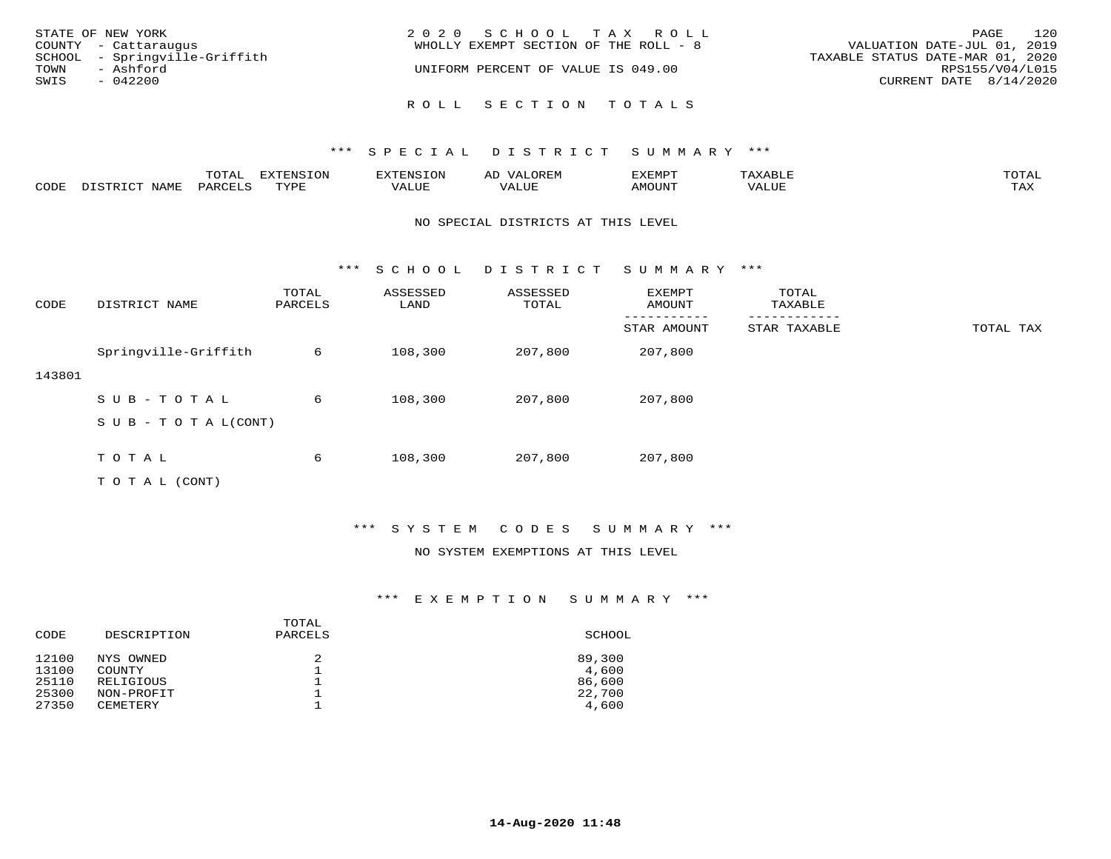| STATE OF NEW YORK<br>COUNTY - Cattaraugus<br>SCHOOL - Springville-Griffith<br>TOWN<br>- Ashford<br>SWIS<br>$-042200$ | 2020 SCHOOL TAX ROLL<br>WHOLLY EXEMPT SECTION OF THE ROLL - 8<br>UNIFORM PERCENT OF VALUE IS 049.00 | 120<br>PAGE<br>VALUATION DATE-JUL 01, 2019<br>TAXABLE STATUS DATE-MAR 01, 2020<br>RPS155/V04/L015<br>CURRENT DATE 8/14/2020 |
|----------------------------------------------------------------------------------------------------------------------|-----------------------------------------------------------------------------------------------------|-----------------------------------------------------------------------------------------------------------------------------|
|                                                                                                                      | ROLL SECTION TOTALS                                                                                 |                                                                                                                             |

|      |      | $m \wedge m \wedge n$<br>TOTAT | <b>FYTFNCTOM</b><br>TOT | H: N.S                              | ΑD   | דסאיזצי<br>ـالمىتىدە | . .⊥  | $m \wedge m \wedge n$<br>- I ` 1∆ ' |
|------|------|--------------------------------|-------------------------|-------------------------------------|------|----------------------|-------|-------------------------------------|
| CODE | NAMF | PARCELS                        | $m \tau \tau \tau$      | * * * * * * *<br>$\sqrt{ }$<br>ALUL | ALUP | MOUNT                | VALUE | may<br>- ∠∡∡                        |

### NO SPECIAL DISTRICTS AT THIS LEVEL

\*\*\* S C H O O L D I S T R I C T S U M M A R Y \*\*\*

| CODE   | DISTRICT NAME                    | TOTAL<br>PARCELS | ASSESSED<br>LAND | ASSESSED<br>TOTAL | EXEMPT<br>AMOUNT | TOTAL<br>TAXABLE |           |
|--------|----------------------------------|------------------|------------------|-------------------|------------------|------------------|-----------|
|        |                                  |                  |                  |                   | STAR AMOUNT      | STAR TAXABLE     | TOTAL TAX |
|        | Springville-Griffith             | 6                | 108,300          | 207,800           | 207,800          |                  |           |
| 143801 |                                  |                  |                  |                   |                  |                  |           |
|        | SUB-TOTAL                        | 6                | 108,300          | 207,800           | 207,800          |                  |           |
|        | $S \cup B - T \cup T A L (CONT)$ |                  |                  |                   |                  |                  |           |
|        |                                  |                  |                  |                   |                  |                  |           |
|        | TOTAL                            | 6                | 108,300          | 207,800           | 207,800          |                  |           |
|        | T O T A L (CONT)                 |                  |                  |                   |                  |                  |           |

## \*\*\* S Y S T E M C O D E S S U M M A R Y \*\*\*

### NO SYSTEM EXEMPTIONS AT THIS LEVEL

| CODE  | DESCRIPTION     | TOTAL<br>PARCELS | SCHOOL |
|-------|-----------------|------------------|--------|
| 12100 | NYS OWNED       | 2                | 89,300 |
| 13100 | COUNTY          |                  | 4,600  |
| 25110 | RELIGIOUS       |                  | 86,600 |
| 25300 | NON-PROFIT      |                  | 22,700 |
| 27350 | <b>CEMETERY</b> |                  | 4,600  |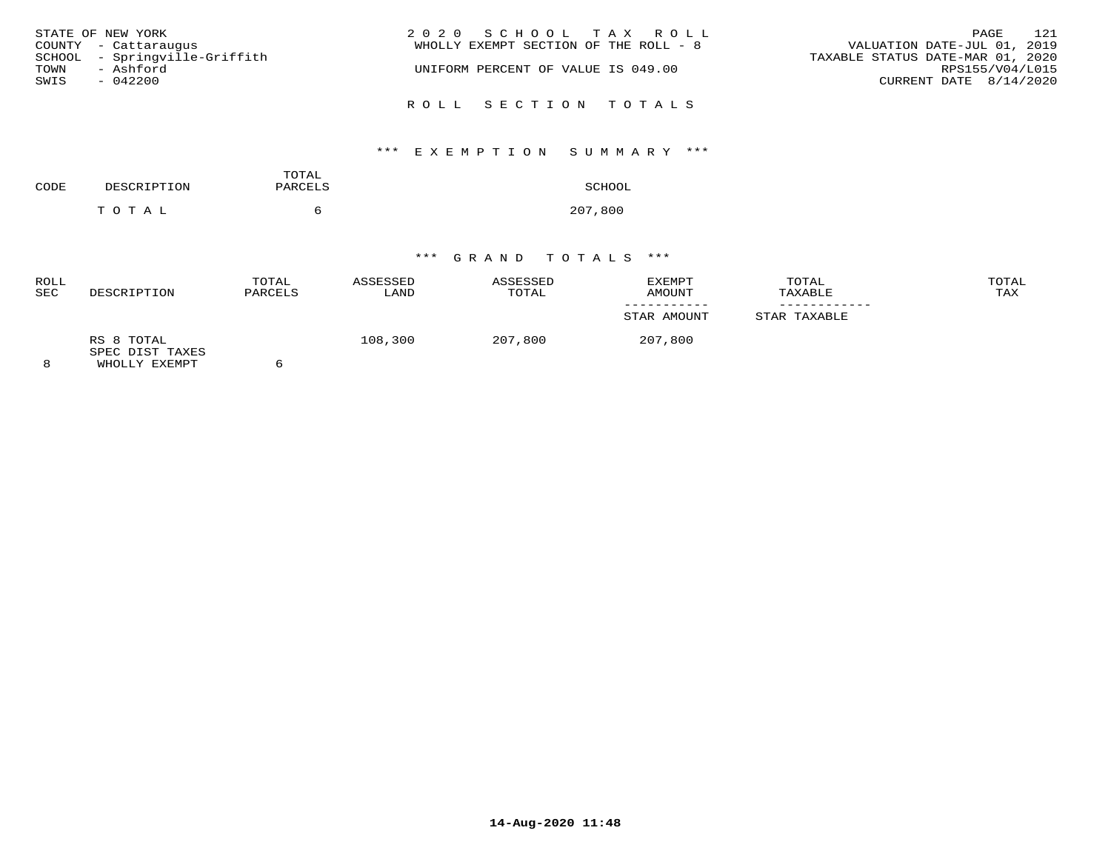| STATE OF NEW YORK             | 2020 SCHOOL TAX ROLL                  | 121<br>PAGE                      |
|-------------------------------|---------------------------------------|----------------------------------|
| COUNTY - Cattaraugus          | WHOLLY EXEMPT SECTION OF THE ROLL - 8 | VALUATION DATE-JUL 01, 2019      |
| SCHOOL - Springville-Griffith |                                       | TAXABLE STATUS DATE-MAR 01, 2020 |
| - Ashford<br>TOWN             | UNIFORM PERCENT OF VALUE IS 049.00    | RPS155/V04/L015                  |
| SWIS<br>$-042200$             |                                       | CURRENT DATE 8/14/2020           |
|                               | ROLL SECTION TOTALS                   |                                  |

# \*\*\* E X E M P T I O N S U M M A R Y \*\*\*

| CODE | DESCRIPTION | TOTAL<br>PARCELS | SCHOOL  |
|------|-------------|------------------|---------|
|      | тотаь       | $\sim$           | 207,800 |

| <b>ROLL</b><br>SEC | DESCRIPTION                                    | TOTAL<br>PARCELS | ASSESSED<br>LAND | ASSESSED<br>TOTAL | EXEMPT<br>AMOUNT | TOTAL<br>TAXABLE | TOTAL<br>TAX |
|--------------------|------------------------------------------------|------------------|------------------|-------------------|------------------|------------------|--------------|
|                    |                                                |                  |                  |                   | STAR AMOUNT      | STAR TAXABLE     |              |
| 8                  | RS 8 TOTAL<br>SPEC DIST TAXES<br>WHOLLY EXEMPT |                  | 108,300          | 207,800           | 207,800          |                  |              |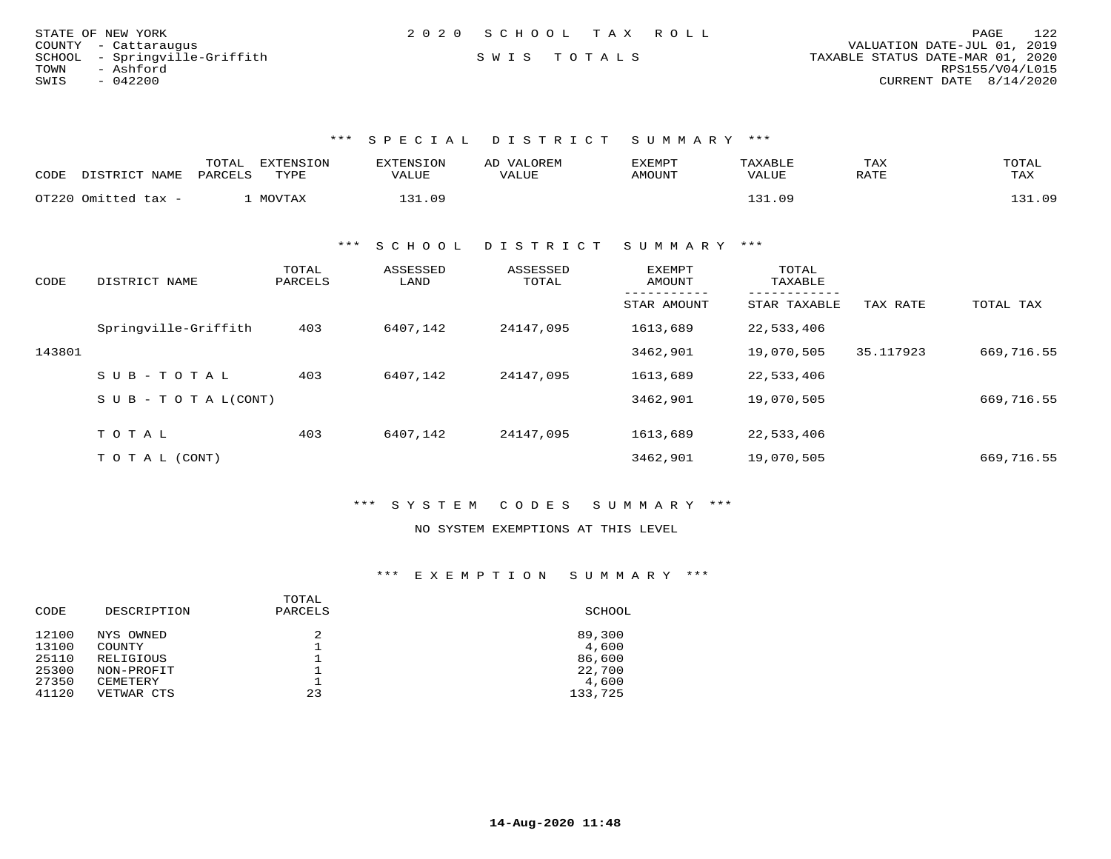|      | STATE OF NEW YORK             | 2020 SCHOOL TAX ROLL |  |                                  |                        | PAGE | 122 |
|------|-------------------------------|----------------------|--|----------------------------------|------------------------|------|-----|
|      | COUNTY - Cattaraugus          |                      |  | VALUATION DATE-JUL 01, 2019      |                        |      |     |
|      | SCHOOL - Springville-Griffith | SWIS TOTALS          |  | TAXABLE STATUS DATE-MAR 01, 2020 |                        |      |     |
| TOWN | - Ashford                     |                      |  |                                  | RPS155/V04/L015        |      |     |
| SWIS | - 042200                      |                      |  |                                  | CURRENT DATE 8/14/2020 |      |     |

| CODE | DISTRICT NAME       | TOTAL<br>EXTENSION<br>PARCELS<br>TYPE | EXTENSION<br>VALUE | AD VALOREM<br>VALUE | EXEMPT<br>AMOUNT | TAXABLE<br>VALUE | TAX<br>RATE | TOTAL<br>TAX |
|------|---------------------|---------------------------------------|--------------------|---------------------|------------------|------------------|-------------|--------------|
|      | OT220 Omitted tax - | MOVTAX                                | .31.09<br>ו רי     |                     |                  | 131.09           |             | 31.09        |

\*\*\* S C H O O L D I S T R I C T S U M M A R Y \*\*\*

| CODE   | DISTRICT NAME                    | TOTAL<br>PARCELS | ASSESSED<br>LAND | ASSESSED<br>TOTAL | EXEMPT<br>AMOUNT | TOTAL<br>TAXABLE |           |            |
|--------|----------------------------------|------------------|------------------|-------------------|------------------|------------------|-----------|------------|
|        |                                  |                  |                  |                   | STAR AMOUNT      | STAR TAXABLE     | TAX RATE  | TOTAL TAX  |
|        | Springville-Griffith             | 403              | 6407,142         | 24147,095         | 1613,689         | 22,533,406       |           |            |
| 143801 |                                  |                  |                  |                   | 3462,901         | 19,070,505       | 35.117923 | 669,716.55 |
|        | $SUB - TO T AL$                  | 403              | 6407,142         | 24147,095         | 1613,689         | 22,533,406       |           |            |
|        | $S \cup B - T \cup T A L (CONT)$ |                  |                  |                   | 3462,901         | 19,070,505       |           | 669,716.55 |
|        | TOTAL                            | 403              | 6407,142         | 24147,095         | 1613,689         | 22,533,406       |           |            |
|        | T O T A L (CONT)                 |                  |                  |                   | 3462,901         | 19,070,505       |           | 669,716.55 |

\*\*\* S Y S T E M C O D E S S U M M A R Y \*\*\*

NO SYSTEM EXEMPTIONS AT THIS LEVEL

|       |                  | TOTAL   |         |
|-------|------------------|---------|---------|
| CODE  | DESCRIPTION      | PARCELS | SCHOOL  |
| 12100 | NYS OWNED        | 2       | 89,300  |
| 13100 | COUNTY           |         | 4,600   |
| 25110 | <b>RELIGIOUS</b> |         | 86,600  |
| 25300 | NON-PROFIT       |         | 22,700  |
| 27350 | CEMETERY         |         | 4,600   |
| 41120 | VETWAR CTS       | 23      | 133,725 |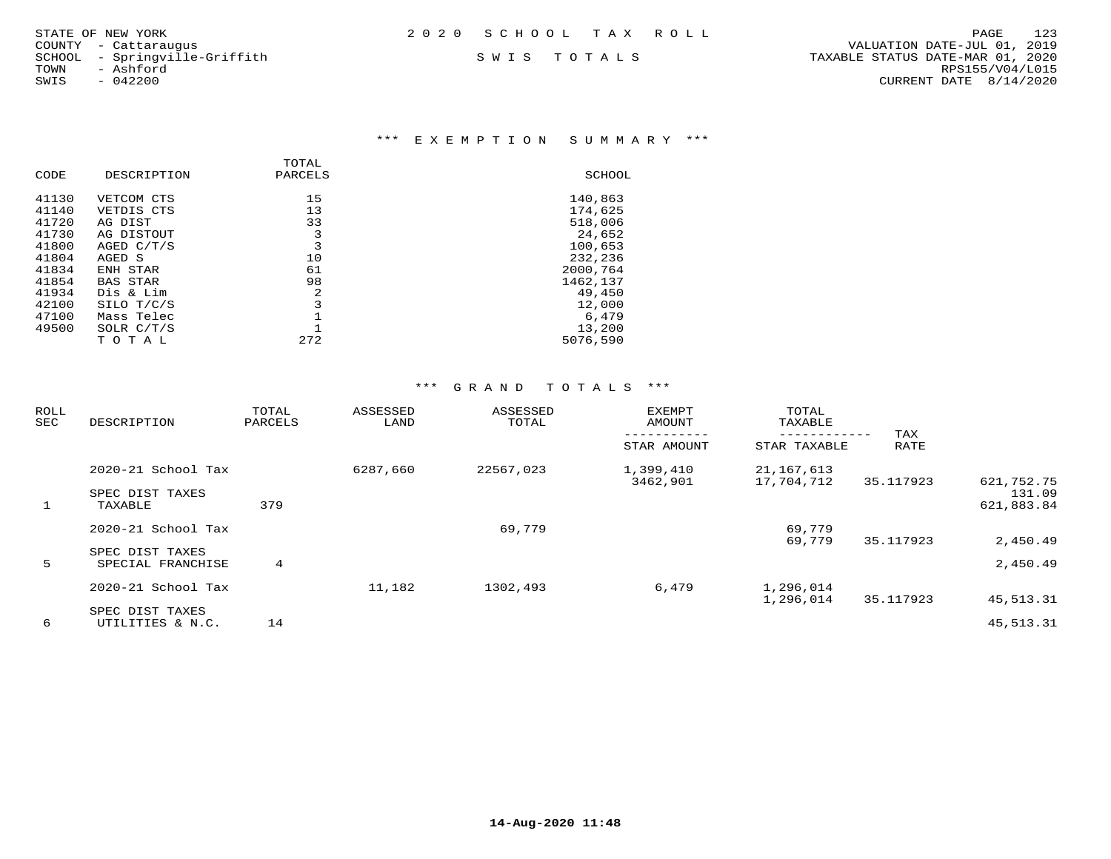| STATE OF NEW YORK | 2020 SCHOOL TAX ROLL |  | PAGE | 123 |
|-------------------|----------------------|--|------|-----|
|                   |                      |  |      |     |

COUNTY - Cattaraugus<br>SCHOOL - Springville-Griffith<br>TOWN - Ashford

### \*\*\* E X E M P T I O N S U M M A R Y \*\*\*

|       |                 | TOTAL   |          |
|-------|-----------------|---------|----------|
| CODE  | DESCRIPTION     | PARCELS | SCHOOL   |
| 41130 | VETCOM CTS      | 15      | 140,863  |
| 41140 | VETDIS CTS      | 13      | 174,625  |
| 41720 | AG DIST         | 33      | 518,006  |
| 41730 | AG DISTOUT      | 3       | 24,652   |
| 41800 | AGED C/T/S      | 3       | 100,653  |
| 41804 | AGED S          | 10      | 232,236  |
| 41834 | ENH STAR        | 61      | 2000,764 |
| 41854 | <b>BAS STAR</b> | 98      | 1462,137 |
| 41934 | Dis & Lim       | 2       | 49,450   |
| 42100 | SILO T/C/S      | 3       | 12,000   |
| 47100 | Mass Telec      |         | 6,479    |
| 49500 | SOLR C/T/S      |         | 13,200   |
|       | TOTAL           | 272     | 5076,590 |

| ROLL<br>SEC | DESCRIPTION                          | TOTAL<br>PARCELS | ASSESSED<br>LAND | ASSESSED<br>TOTAL | <b>EXEMPT</b><br>AMOUNT | TOTAL<br>TAXABLE<br>------------ | TAX       |                      |
|-------------|--------------------------------------|------------------|------------------|-------------------|-------------------------|----------------------------------|-----------|----------------------|
|             |                                      |                  |                  |                   | STAR AMOUNT             | STAR TAXABLE                     | RATE      |                      |
|             | $2020 - 21$ School Tax               |                  | 6287,660         | 22567,023         | 1,399,410               | 21,167,613                       |           |                      |
|             | SPEC DIST TAXES                      |                  |                  |                   | 3462,901                | 17,704,712                       | 35.117923 | 621,752.75<br>131.09 |
| 1           | TAXABLE                              | 379              |                  |                   |                         |                                  |           | 621,883.84           |
|             | 2020-21 School Tax                   |                  |                  | 69,779            |                         | 69,779                           |           |                      |
|             |                                      |                  |                  |                   |                         | 69,779                           | 35.117923 | 2,450.49             |
| 5           | SPEC DIST TAXES<br>SPECIAL FRANCHISE | $4\overline{ }$  |                  |                   |                         |                                  |           | 2,450.49             |
|             | 2020-21 School Tax                   |                  | 11,182           | 1302,493          | 6,479                   | 1,296,014                        |           |                      |
|             |                                      |                  |                  |                   |                         | 1,296,014                        | 35.117923 | 45, 513. 31          |
|             | SPEC DIST TAXES                      |                  |                  |                   |                         |                                  |           |                      |
| 6           | UTILITIES & N.C.                     | 14               |                  |                   |                         |                                  |           | 45, 513. 31          |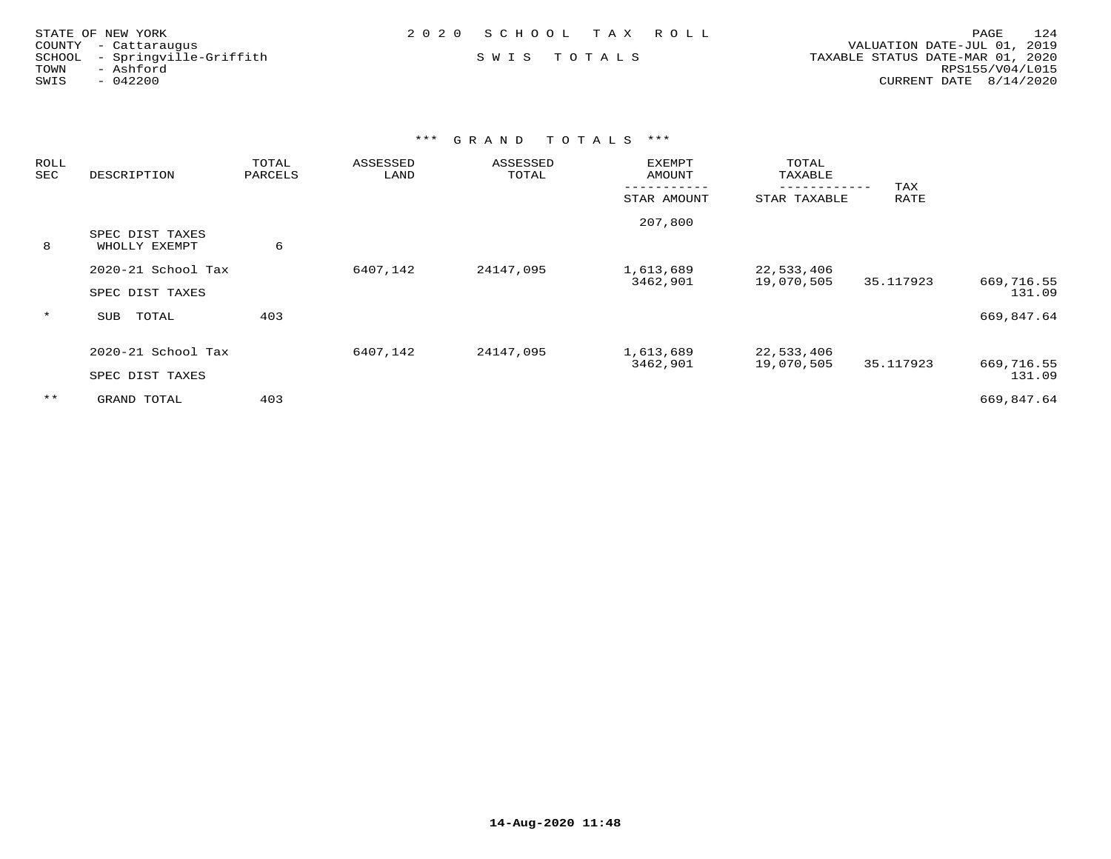| STATE OF NEW YORK             | 2020 SCHOOL TAX ROLL | 124<br>PAGE                      |
|-------------------------------|----------------------|----------------------------------|
| COUNTY - Cattaraugus          |                      | VALUATION DATE-JUL 01, 2019      |
| SCHOOL - Springville-Griffith | SWIS TOTALS          | TAXABLE STATUS DATE-MAR 01, 2020 |
| TOWN<br>- Ashford             |                      | RPS155/V04/L015                  |
| SWIS<br>- 042200              |                      | CURRENT DATE $8/14/2020$         |

| <b>ROLL</b><br>SEC | DESCRIPTION                           | TOTAL<br>PARCELS | ASSESSED<br>LAND | ASSESSED<br>TOTAL | <b>EXEMPT</b><br><b>AMOUNT</b> | TOTAL<br>TAXABLE         |             |                      |
|--------------------|---------------------------------------|------------------|------------------|-------------------|--------------------------------|--------------------------|-------------|----------------------|
|                    |                                       |                  |                  |                   | STAR AMOUNT                    | STAR TAXABLE             | TAX<br>RATE |                      |
| 8                  | SPEC DIST TAXES<br>WHOLLY EXEMPT      | 6                |                  |                   | 207,800                        |                          |             |                      |
|                    | 2020-21 School Tax<br>SPEC DIST TAXES |                  | 6407,142         | 24147,095         | 1,613,689<br>3462,901          | 22,533,406<br>19,070,505 | 35.117923   | 669,716.55<br>131.09 |
| $\star$            | TOTAL<br>SUB                          | 403              |                  |                   |                                |                          |             | 669,847.64           |
|                    | 2020-21 School Tax<br>SPEC DIST TAXES |                  | 6407,142         | 24147,095         | 1,613,689<br>3462,901          | 22,533,406<br>19,070,505 | 35.117923   | 669,716.55<br>131.09 |
| $***$              | GRAND TOTAL                           | 403              |                  |                   |                                |                          |             | 669,847.64           |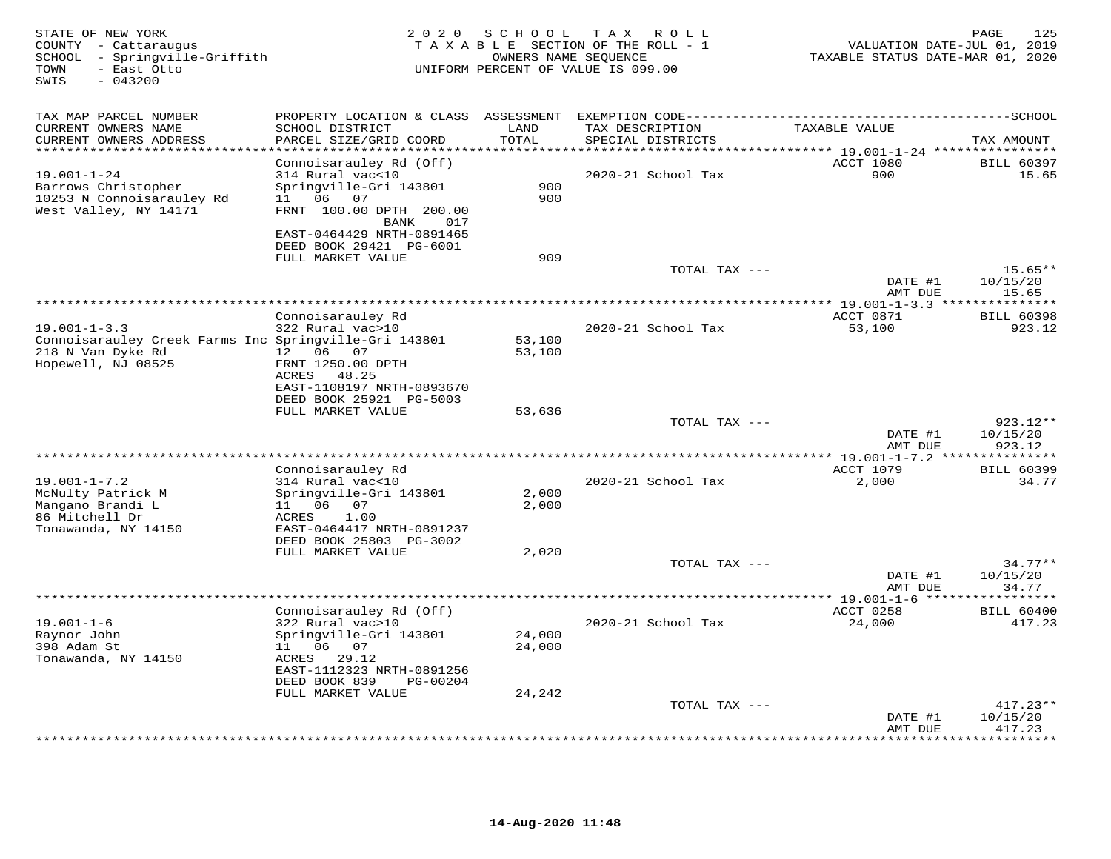| STATE OF NEW YORK<br>COUNTY - Cattaraugus<br>SCHOOL - Springville-Griffith<br>- East Otto<br>TOWN<br>SWIS<br>$-043200$ | 2 0 2 0                                                | S C H O O L             | T A X<br>ROLL<br>TAXABLE SECTION OF THE ROLL - 1<br>OWNERS NAME SEQUENCE<br>UNIFORM PERCENT OF VALUE IS 099.00 | VALUATION DATE-JUL 01, 2019<br>TAXABLE STATUS DATE-MAR 01, 2020 | 125<br>PAGE        |
|------------------------------------------------------------------------------------------------------------------------|--------------------------------------------------------|-------------------------|----------------------------------------------------------------------------------------------------------------|-----------------------------------------------------------------|--------------------|
| TAX MAP PARCEL NUMBER                                                                                                  | PROPERTY LOCATION & CLASS ASSESSMENT                   |                         |                                                                                                                |                                                                 |                    |
| CURRENT OWNERS NAME<br>CURRENT OWNERS ADDRESS                                                                          | SCHOOL DISTRICT<br>PARCEL SIZE/GRID COORD              | LAND<br>TOTAL<br>****** | TAX DESCRIPTION<br>SPECIAL DISTRICTS                                                                           | TAXABLE VALUE                                                   | TAX AMOUNT         |
|                                                                                                                        | Connoisarauley Rd (Off)                                |                         |                                                                                                                | ********** 19.001-1-24 *****************<br>ACCT 1080           | <b>BILL 60397</b>  |
| $19.001 - 1 - 24$                                                                                                      | 314 Rural vac<10                                       |                         | 2020-21 School Tax                                                                                             | 900                                                             | 15.65              |
| Barrows Christopher                                                                                                    | Springville-Gri 143801                                 | 900                     |                                                                                                                |                                                                 |                    |
| 10253 N Connoisarauley Rd                                                                                              | 11 06<br>07                                            | 900                     |                                                                                                                |                                                                 |                    |
| West Valley, NY 14171                                                                                                  | FRNT 100.00 DPTH 200.00                                |                         |                                                                                                                |                                                                 |                    |
|                                                                                                                        | BANK<br>017<br>EAST-0464429 NRTH-0891465               |                         |                                                                                                                |                                                                 |                    |
|                                                                                                                        | DEED BOOK 29421 PG-6001                                |                         |                                                                                                                |                                                                 |                    |
|                                                                                                                        | FULL MARKET VALUE                                      | 909                     |                                                                                                                |                                                                 |                    |
|                                                                                                                        |                                                        |                         | TOTAL TAX ---                                                                                                  |                                                                 | $15.65**$          |
|                                                                                                                        |                                                        |                         |                                                                                                                | DATE #1                                                         | 10/15/20           |
|                                                                                                                        |                                                        |                         |                                                                                                                | AMT DUE<br>*********** 19.001-1-3.3 ***                         | 15.65<br>********  |
|                                                                                                                        | Connoisarauley Rd                                      |                         |                                                                                                                | ACCT 0871                                                       | <b>BILL 60398</b>  |
| $19.001 - 1 - 3.3$                                                                                                     | 322 Rural vac>10                                       |                         | 2020-21 School Tax                                                                                             | 53,100                                                          | 923.12             |
| Connoisarauley Creek Farms Inc Springville-Gri 143801                                                                  |                                                        | 53,100                  |                                                                                                                |                                                                 |                    |
| 218 N Van Dyke Rd                                                                                                      | 12  06  07                                             | 53,100                  |                                                                                                                |                                                                 |                    |
| Hopewell, NJ 08525                                                                                                     | FRNT 1250.00 DPTH<br>ACRES 48.25                       |                         |                                                                                                                |                                                                 |                    |
|                                                                                                                        | EAST-1108197 NRTH-0893670                              |                         |                                                                                                                |                                                                 |                    |
|                                                                                                                        | DEED BOOK 25921 PG-5003                                |                         |                                                                                                                |                                                                 |                    |
|                                                                                                                        | FULL MARKET VALUE                                      | 53,636                  |                                                                                                                |                                                                 |                    |
|                                                                                                                        |                                                        |                         | TOTAL TAX ---                                                                                                  |                                                                 | $923.12**$         |
|                                                                                                                        |                                                        |                         |                                                                                                                | DATE #1                                                         | 10/15/20           |
|                                                                                                                        |                                                        |                         |                                                                                                                | AMT DUE<br>$***19.001-1-7.2**$                                  | 923.12<br>******** |
|                                                                                                                        | Connoisarauley Rd                                      |                         |                                                                                                                | ACCT 1079                                                       | <b>BILL 60399</b>  |
| $19.001 - 1 - 7.2$                                                                                                     | 314 Rural vac<10                                       |                         | 2020-21 School Tax                                                                                             | 2,000                                                           | 34.77              |
| McNulty Patrick M                                                                                                      | Springville-Gri 143801                                 | 2,000                   |                                                                                                                |                                                                 |                    |
| Mangano Brandi L                                                                                                       | 11 06<br>07                                            | 2,000                   |                                                                                                                |                                                                 |                    |
| 86 Mitchell Dr<br>Tonawanda, NY 14150                                                                                  | 1.00<br>ACRES<br>EAST-0464417 NRTH-0891237             |                         |                                                                                                                |                                                                 |                    |
|                                                                                                                        | DEED BOOK 25803 PG-3002                                |                         |                                                                                                                |                                                                 |                    |
|                                                                                                                        | FULL MARKET VALUE                                      | 2,020                   |                                                                                                                |                                                                 |                    |
|                                                                                                                        |                                                        |                         | TOTAL TAX ---                                                                                                  |                                                                 | $34.77**$          |
|                                                                                                                        |                                                        |                         |                                                                                                                | DATE #1                                                         | 10/15/20           |
|                                                                                                                        |                                                        |                         |                                                                                                                | AMT DUE                                                         | 34.77              |
|                                                                                                                        | Connoisarauley Rd (Off)                                |                         |                                                                                                                | ACCT 0258                                                       | <b>BILL 60400</b>  |
| $19.001 - 1 - 6$                                                                                                       | 322 Rural vac>10                                       |                         | 2020-21 School Tax                                                                                             | 24,000                                                          | 417.23             |
| Raynor John                                                                                                            | Springville-Gri 143801                                 | 24,000                  |                                                                                                                |                                                                 |                    |
| 398 Adam St                                                                                                            | 11  06  07                                             | 24,000                  |                                                                                                                |                                                                 |                    |
| Tonawanda, NY 14150                                                                                                    | ACRES<br>29.12                                         |                         |                                                                                                                |                                                                 |                    |
|                                                                                                                        | EAST-1112323 NRTH-0891256<br>DEED BOOK 839<br>PG-00204 |                         |                                                                                                                |                                                                 |                    |
|                                                                                                                        | FULL MARKET VALUE                                      | 24,242                  |                                                                                                                |                                                                 |                    |
|                                                                                                                        |                                                        |                         | TOTAL TAX ---                                                                                                  |                                                                 | $417.23**$         |
|                                                                                                                        |                                                        |                         |                                                                                                                | DATE #1                                                         | 10/15/20           |
|                                                                                                                        |                                                        |                         |                                                                                                                | AMT DUE                                                         | 417.23<br>.        |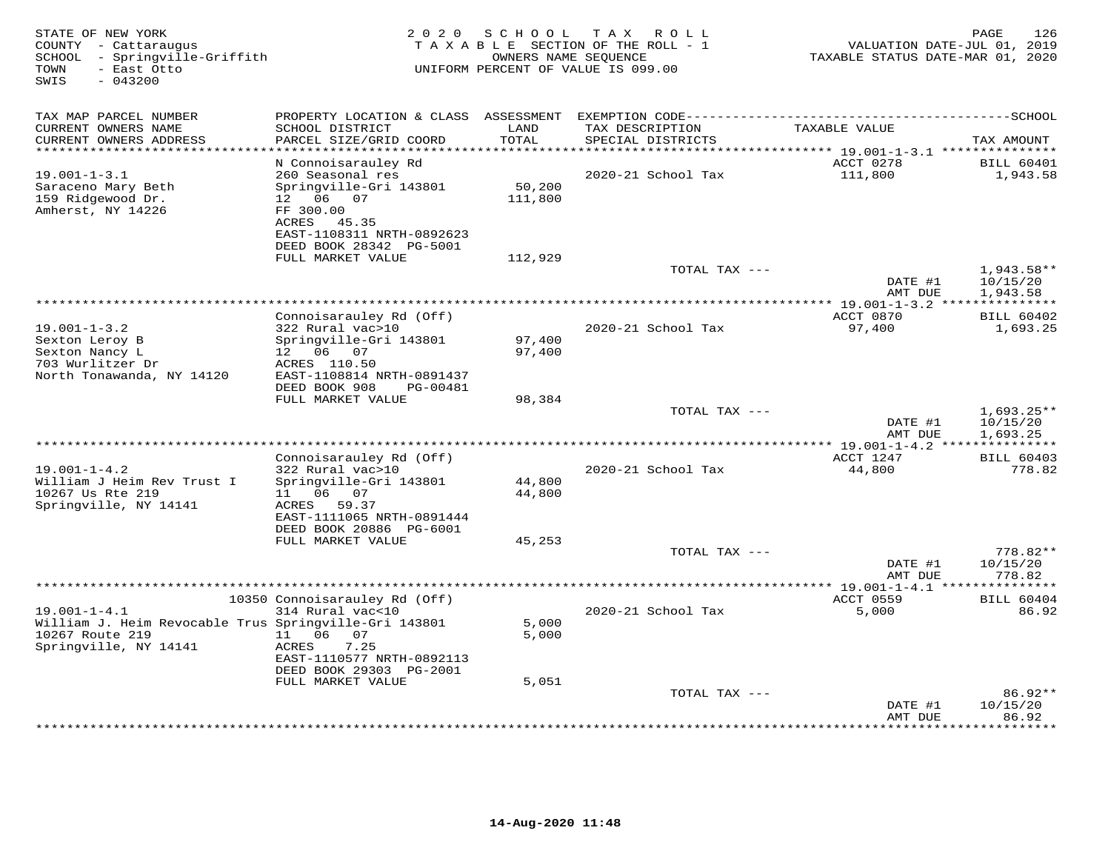| STATE OF NEW YORK<br>COUNTY - Cattaraugus<br>- Springville-Griffith<br>SCHOOL<br>TOWN<br>- East Otto<br>SWIS<br>$-043200$ | 2 0 2 0                                                                                                      | S C H O O L       | T A X<br>R O L L<br>TAXABLE SECTION OF THE ROLL - 1<br>OWNERS NAME SEQUENCE<br>UNIFORM PERCENT OF VALUE IS 099.00 | VALUATION DATE-JUL 01, 2019<br>TAXABLE STATUS DATE-MAR 01, 2020 | 126<br>PAGE                      |
|---------------------------------------------------------------------------------------------------------------------------|--------------------------------------------------------------------------------------------------------------|-------------------|-------------------------------------------------------------------------------------------------------------------|-----------------------------------------------------------------|----------------------------------|
| TAX MAP PARCEL NUMBER                                                                                                     |                                                                                                              |                   |                                                                                                                   |                                                                 |                                  |
| CURRENT OWNERS NAME<br>CURRENT OWNERS ADDRESS<br>**********************                                                   | SCHOOL DISTRICT<br>PARCEL SIZE/GRID COORD                                                                    | LAND<br>TOTAL     | TAX DESCRIPTION<br>SPECIAL DISTRICTS                                                                              | TAXABLE VALUE                                                   | TAX AMOUNT                       |
|                                                                                                                           | N Connoisarauley Rd                                                                                          |                   |                                                                                                                   | ACCT 0278                                                       | <b>BILL 60401</b>                |
| $19.001 - 1 - 3.1$                                                                                                        | 260 Seasonal res                                                                                             |                   | 2020-21 School Tax                                                                                                | 111,800                                                         | 1,943.58                         |
| Saraceno Mary Beth<br>159 Ridgewood Dr.<br>Amherst, NY 14226                                                              | Springville-Gri 143801<br>12  06  07<br>FF 300.00<br>ACRES 45.35                                             | 50,200<br>111,800 |                                                                                                                   |                                                                 |                                  |
|                                                                                                                           | EAST-1108311 NRTH-0892623<br>DEED BOOK 28342 PG-5001                                                         |                   |                                                                                                                   |                                                                 |                                  |
|                                                                                                                           | FULL MARKET VALUE                                                                                            | 112,929           | TOTAL TAX ---                                                                                                     |                                                                 | $1,943.58**$                     |
|                                                                                                                           |                                                                                                              |                   |                                                                                                                   | DATE #1<br>AMT DUE                                              | 10/15/20<br>1,943.58             |
|                                                                                                                           |                                                                                                              |                   |                                                                                                                   |                                                                 | ***********<br><b>BILL 60402</b> |
| $19.001 - 1 - 3.2$                                                                                                        | Connoisarauley Rd (Off)<br>322 Rural vac>10                                                                  |                   | 2020-21 School Tax                                                                                                | ACCT 0870<br>97,400                                             | 1,693.25                         |
| Sexton Leroy B<br>Sexton Nancy L<br>703 Wurlitzer Dr                                                                      | Springville-Gri 143801<br>12 06 07<br>ACRES 110.50                                                           | 97,400<br>97,400  |                                                                                                                   |                                                                 |                                  |
| North Tonawanda, NY 14120                                                                                                 | EAST-1108814 NRTH-0891437<br>DEED BOOK 908<br>PG-00481                                                       |                   |                                                                                                                   |                                                                 |                                  |
|                                                                                                                           | FULL MARKET VALUE                                                                                            | 98,384            | TOTAL TAX ---                                                                                                     |                                                                 | $1,693.25**$                     |
|                                                                                                                           |                                                                                                              |                   |                                                                                                                   | DATE #1<br>AMT DUE                                              | 10/15/20<br>1,693.25             |
|                                                                                                                           | Connoisarauley Rd (Off)                                                                                      |                   | *********************                                                                                             | $*$ 19.001-1-4.2<br>ACCT 1247                                   | ***********<br><b>BILL 60403</b> |
| $19.001 - 1 - 4.2$                                                                                                        | 322 Rural vac>10                                                                                             |                   | 2020-21 School Tax                                                                                                | 44,800                                                          | 778.82                           |
| William J Heim Rev Trust I<br>10267 Us Rte 219<br>Springville, NY 14141                                                   | Springville-Gri 143801<br>06 07<br>11<br>ACRES 59.37<br>EAST-1111065 NRTH-0891444<br>DEED BOOK 20886 PG-6001 | 44,800<br>44,800  |                                                                                                                   |                                                                 |                                  |
|                                                                                                                           | FULL MARKET VALUE                                                                                            | 45,253            |                                                                                                                   |                                                                 |                                  |
|                                                                                                                           |                                                                                                              |                   | TOTAL TAX ---                                                                                                     | DATE #1<br>AMT DUE                                              | 778.82**<br>10/15/20<br>778.82   |
|                                                                                                                           |                                                                                                              |                   |                                                                                                                   |                                                                 | * * * * * * * * *                |
| $19.001 - 1 - 4.1$                                                                                                        | 10350 Connoisarauley Rd (Off)<br>314 Rural vac<10                                                            |                   | 2020-21 School Tax                                                                                                | ACCT 0559<br>5,000                                              | <b>BILL 60404</b><br>86.92       |
| William J. Heim Revocable Trus Springville-Gri 143801<br>10267 Route 219<br>Springville, NY 14141                         | 06<br>07<br>11<br>ACRES<br>7.25                                                                              | 5,000<br>5,000    |                                                                                                                   |                                                                 |                                  |
|                                                                                                                           | EAST-1110577 NRTH-0892113<br>DEED BOOK 29303 PG-2001                                                         |                   |                                                                                                                   |                                                                 |                                  |
|                                                                                                                           | FULL MARKET VALUE                                                                                            | 5,051             |                                                                                                                   |                                                                 |                                  |
|                                                                                                                           |                                                                                                              |                   | TOTAL TAX ---                                                                                                     | DATE #1<br>AMT DUE                                              | 86.92**<br>10/15/20<br>86.92     |
|                                                                                                                           |                                                                                                              |                   |                                                                                                                   |                                                                 | * * * * * * * *                  |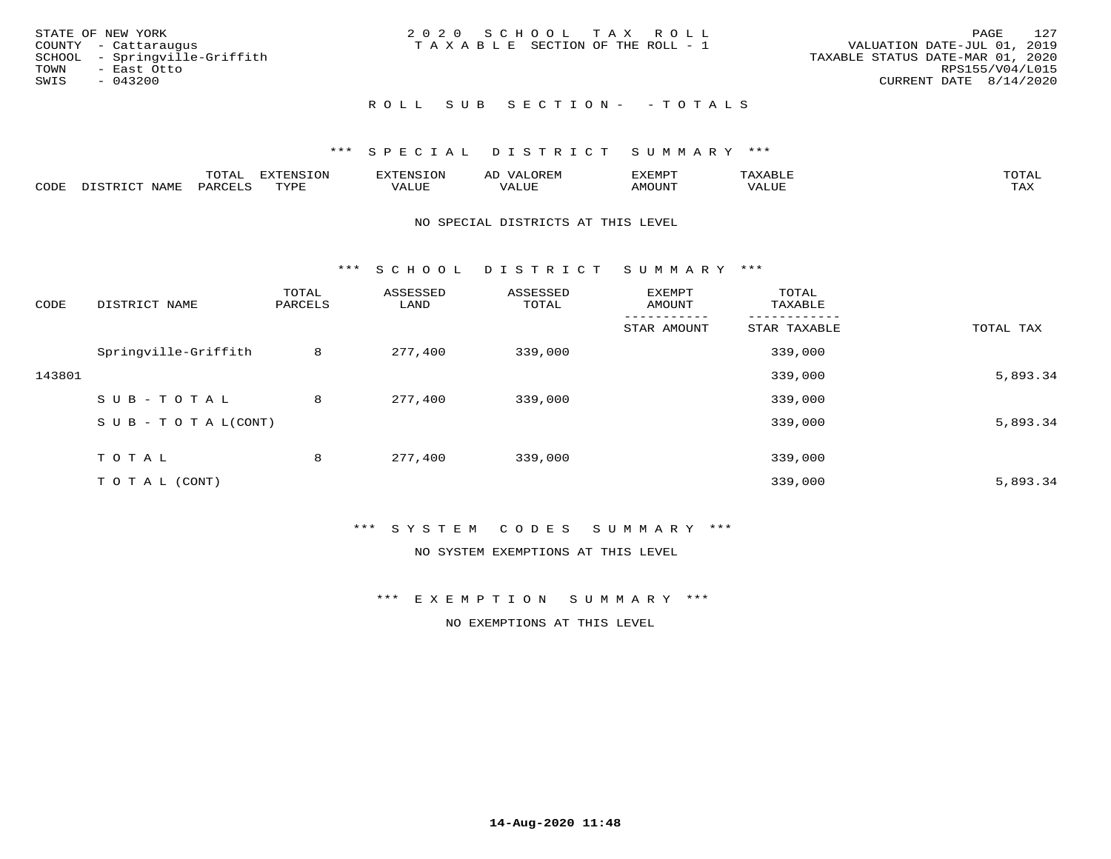| STATE OF NEW YORK             | 2020 SCHOOL TAX ROLL                  | 127<br>PAGE                      |
|-------------------------------|---------------------------------------|----------------------------------|
| COUNTY - Cattaraugus          | T A X A B L E SECTION OF THE ROLL - 1 | VALUATION DATE-JUL 01, 2019      |
| SCHOOL - Springville-Griffith |                                       | TAXABLE STATUS DATE-MAR 01, 2020 |
| TOWN<br>- East Otto           |                                       | RPS155/V04/L015                  |
| SWIS<br>- 043200              |                                       | CURRENT DATE 8/14/2020           |
|                               | ROLL SUB SECTION- - TOTALS            |                                  |

|      |      | $\blacksquare$<br>◡⊥▱ | FYTFNSION<br>. . <i>.</i> . | אים "                |                                  | "XEMP"  | $\Delta$<br>.      | TOTA. |
|------|------|-----------------------|-----------------------------|----------------------|----------------------------------|---------|--------------------|-------|
| CODE | NAMI | PARU                  | <b>TIVAT</b>                | $- - - - -$<br>'ALUE | , <del>,</del> , , , , ,<br>ALUP | AMOUNT. | הדדד דגלז<br>'ALUL | TAX   |

### NO SPECIAL DISTRICTS AT THIS LEVEL

\*\*\* S C H O O L D I S T R I C T S U M M A R Y \*\*\*

| CODE   | DISTRICT NAME                    | TOTAL<br>PARCELS | ASSESSED<br>LAND | ASSESSED<br>TOTAL | EXEMPT<br>AMOUNT | TOTAL<br>TAXABLE |           |
|--------|----------------------------------|------------------|------------------|-------------------|------------------|------------------|-----------|
|        |                                  |                  |                  |                   | STAR AMOUNT      | STAR TAXABLE     | TOTAL TAX |
|        | Springville-Griffith             | 8                | 277,400          | 339,000           |                  | 339,000          |           |
| 143801 |                                  |                  |                  |                   |                  | 339,000          | 5,893.34  |
|        | SUB-TOTAL                        | 8                | 277,400          | 339,000           |                  | 339,000          |           |
|        | $S \cup B - T \cup T A L (CONT)$ |                  |                  |                   |                  | 339,000          | 5,893.34  |
|        | T O T A L                        | 8                | 277,400          | 339,000           |                  | 339,000          |           |
|        | T O T A L (CONT)                 |                  |                  |                   |                  | 339,000          | 5,893.34  |

### \*\*\* S Y S T E M C O D E S S U M M A R Y \*\*\*

NO SYSTEM EXEMPTIONS AT THIS LEVEL

\*\*\* E X E M P T I O N S U M M A R Y \*\*\*

NO EXEMPTIONS AT THIS LEVEL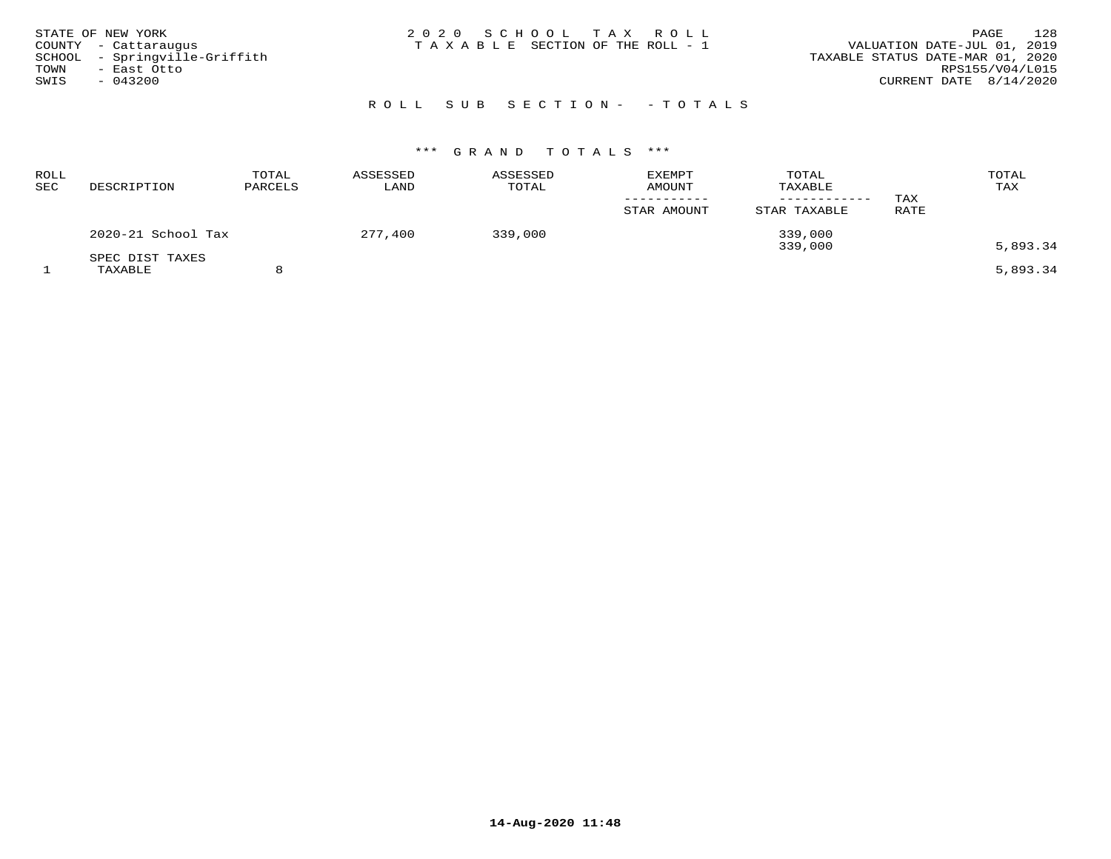| STATE OF NEW YORK<br>COUNTY - Cattaraugus<br>SCHOOL - Springville-Griffith<br>TOWN<br>- East Otto<br>SWIS<br>$-043200$ | 2020 SCHOOL TAX ROLL<br>T A X A B L E SECTION OF THE ROLL - 1 | 128<br>PAGE<br>VALUATION DATE-JUL 01, 2019<br>TAXABLE STATUS DATE-MAR 01, 2020<br>RPS155/V04/L015<br>CURRENT DATE $8/14/2020$ |
|------------------------------------------------------------------------------------------------------------------------|---------------------------------------------------------------|-------------------------------------------------------------------------------------------------------------------------------|
|                                                                                                                        | ROLL SUB SECTION- - TOTALS                                    |                                                                                                                               |

| ROLL<br><b>SEC</b> | DESCRIPTION        | TOTAL<br>PARCELS | ASSESSED<br>LAND | ASSESSED<br>TOTAL | <b>EXEMPT</b><br><b>AMOUNT</b> | TOTAL<br>TAXABLE<br>--------- | TAX  | TOTAL<br>TAX |
|--------------------|--------------------|------------------|------------------|-------------------|--------------------------------|-------------------------------|------|--------------|
|                    |                    |                  |                  |                   | STAR AMOUNT                    | STAR TAXABLE                  | RATE |              |
|                    | 2020-21 School Tax |                  | 277,400          | 339,000           |                                | 339,000<br>339,000            |      | 5,893.34     |
|                    | SPEC DIST TAXES    |                  |                  |                   |                                |                               |      |              |
|                    | TAXABLE            |                  |                  |                   |                                |                               |      | 5,893.34     |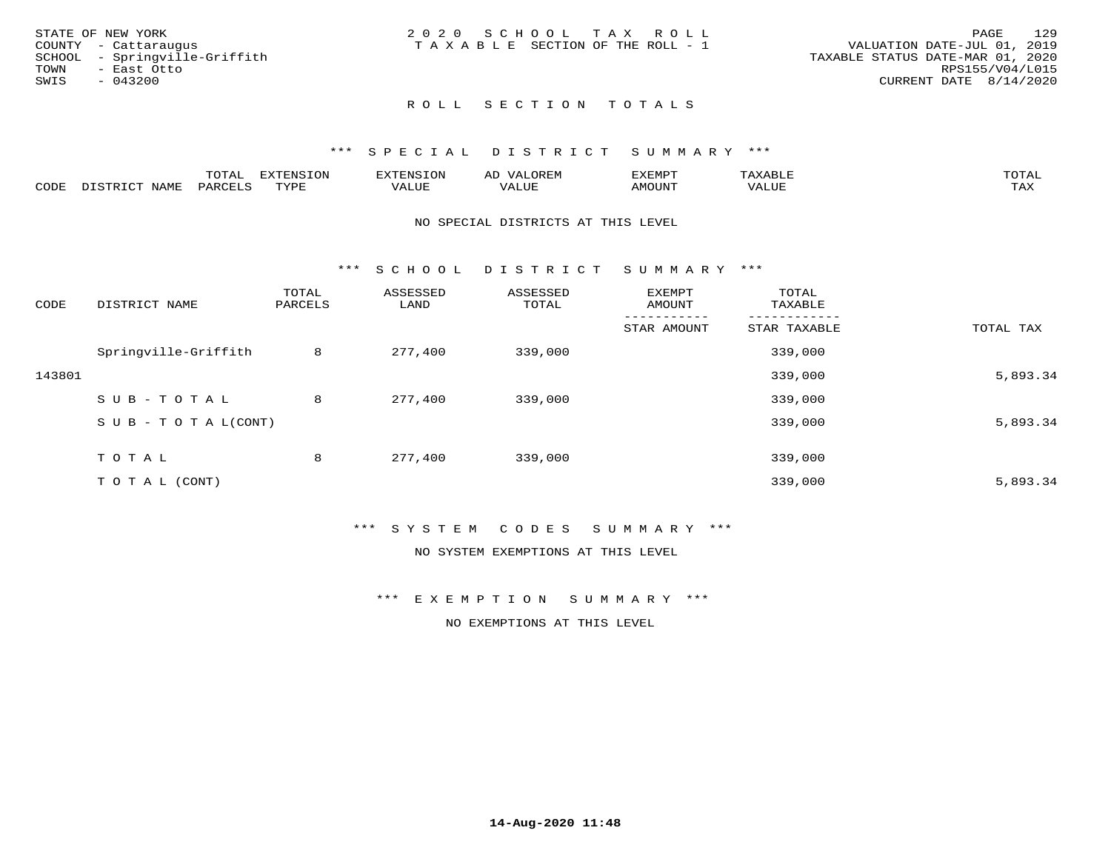| STATE OF NEW YORK             | 2020 SCHOOL TAX ROLL                  | 129<br>PAGE                      |
|-------------------------------|---------------------------------------|----------------------------------|
| COUNTY - Cattaraugus          | T A X A B L E SECTION OF THE ROLL - 1 | VALUATION DATE-JUL 01, 2019      |
| SCHOOL - Springville-Griffith |                                       | TAXABLE STATUS DATE-MAR 01, 2020 |
| TOWN<br>- East Otto           |                                       | RPS155/V04/L015                  |
| SWIS<br>$-043200$             |                                       | CURRENT DATE 8/14/2020           |
|                               |                                       |                                  |

## ROLL SECTION TOTALS

### \*\*\* S P E C I A L D I S T R I C T S U M M A R Y \*\*\*

|      |                  | momm <sup>.</sup><br>TOTAT | <b>ELIMENT OF ONT</b><br>T OTA | <b>FINS</b> | OREM                     | CXEMPT        | $max$ and $max$          | $m \wedge m \wedge n$ |
|------|------------------|----------------------------|--------------------------------|-------------|--------------------------|---------------|--------------------------|-----------------------|
| CODE | NAME<br>DISTRICT | PARCELS                    | TVDF<br>.                      | 7ALUE.      | . <del>.</del><br>. ALUF | <b>AMOUNT</b> | * * * * * * * *<br>'ALUL | <b>TAY</b><br>⊥⇔∆     |

### NO SPECIAL DISTRICTS AT THIS LEVEL

\*\*\* S C H O O L D I S T R I C T S U M M A R Y \*\*\*

| CODE   | DISTRICT NAME                    | TOTAL<br>PARCELS | ASSESSED<br>LAND | ASSESSED<br>TOTAL | EXEMPT<br>AMOUNT | TOTAL<br>TAXABLE |           |
|--------|----------------------------------|------------------|------------------|-------------------|------------------|------------------|-----------|
|        |                                  |                  |                  |                   | STAR AMOUNT      | STAR TAXABLE     | TOTAL TAX |
|        | Springville-Griffith             | 8                | 277,400          | 339,000           |                  | 339,000          |           |
| 143801 |                                  |                  |                  |                   |                  | 339,000          | 5,893.34  |
|        | SUB-TOTAL                        | 8                | 277,400          | 339,000           |                  | 339,000          |           |
|        | $S \cup B - T \cup T A L (CONT)$ |                  |                  |                   |                  | 339,000          | 5,893.34  |
|        | TOTAL                            | 8                | 277,400          | 339,000           |                  | 339,000          |           |
|        | TO TAL (CONT)                    |                  |                  |                   |                  | 339,000          | 5,893.34  |

### \*\*\* S Y S T E M C O D E S S U M M A R Y \*\*\*

NO SYSTEM EXEMPTIONS AT THIS LEVEL

\*\*\* E X E M P T I O N S U M M A R Y \*\*\*

NO EXEMPTIONS AT THIS LEVEL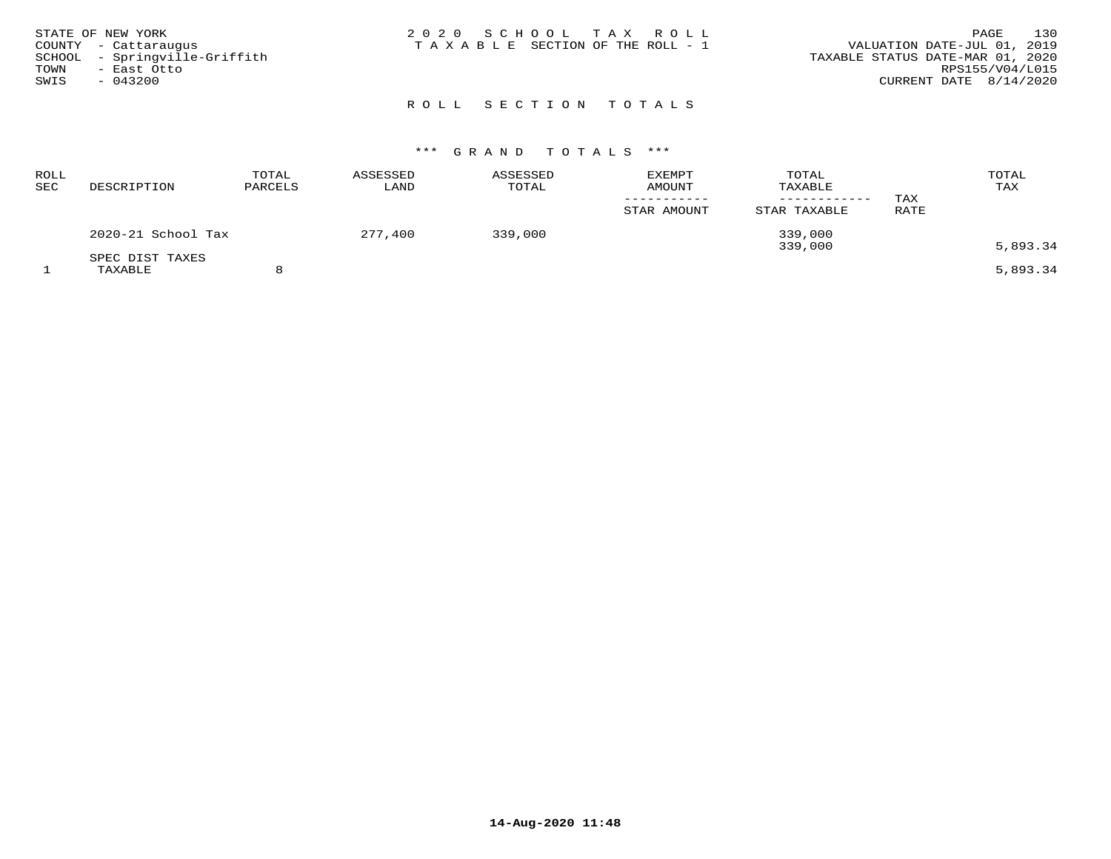| STATE OF NEW YORK<br>COUNTY - Cattaraugus<br>SCHOOL - Springville-Griffith<br>TOWN<br>- East Otto<br>SWIS<br>$-043200$ | 2020 SCHOOL TAX ROLL<br>T A X A B L E SECTION OF THE ROLL - 1 | 130<br>PAGE<br>VALUATION DATE-JUL 01, 2019<br>TAXABLE STATUS DATE-MAR 01, 2020<br>RPS155/V04/L015<br>CURRENT DATE $8/14/2020$ |
|------------------------------------------------------------------------------------------------------------------------|---------------------------------------------------------------|-------------------------------------------------------------------------------------------------------------------------------|
|                                                                                                                        | ROLL SECTION TOTALS                                           |                                                                                                                               |

| <b>ROLL</b><br>SEC | DESCRIPTION                | TOTAL<br>PARCELS | ASSESSED<br>LAND | ASSESSED<br>TOTAL | <b>EXEMPT</b><br><b>AMOUNT</b><br>STAR AMOUNT | TOTAL<br>TAXABLE<br>STAR TAXABLE | TAX<br>RATE | TOTAL<br>TAX |
|--------------------|----------------------------|------------------|------------------|-------------------|-----------------------------------------------|----------------------------------|-------------|--------------|
|                    | 2020-21 School Tax         |                  | 277,400          | 339,000           |                                               | 339,000<br>339,000               |             | 5,893.34     |
|                    | SPEC DIST TAXES<br>TAXABLE |                  |                  |                   |                                               |                                  |             | 5,893.34     |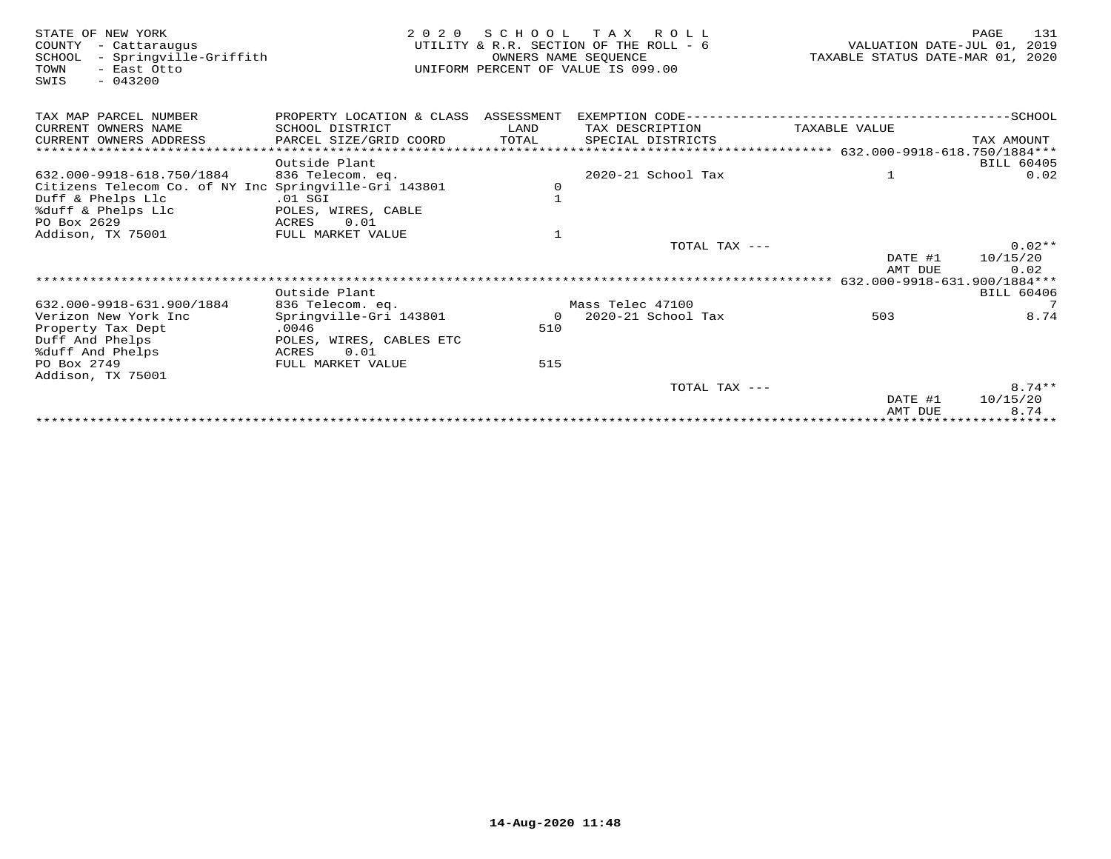| STATE OF NEW YORK<br>COUNTY<br>- Cattaraugus<br>- Springville-Griffith<br>SCHOOL<br>TOWN<br>- East Otto<br>SWIS<br>$-043200$ | 2 0 2 0                              | OWNERS NAME SEOUENCE | SCHOOL TAX ROLL<br>UTILITY & R.R. SECTION OF THE ROLL - 6<br>UNIFORM PERCENT OF VALUE IS 099.00 | VALUATION DATE-JUL 01, 2019<br>TAXABLE STATUS DATE-MAR 01, 2020 | 131<br>PAGE          |
|------------------------------------------------------------------------------------------------------------------------------|--------------------------------------|----------------------|-------------------------------------------------------------------------------------------------|-----------------------------------------------------------------|----------------------|
| TAX MAP PARCEL NUMBER                                                                                                        | PROPERTY LOCATION & CLASS ASSESSMENT |                      |                                                                                                 |                                                                 |                      |
| CURRENT OWNERS NAME                                                                                                          | SCHOOL DISTRICT                      | LAND                 | TAX DESCRIPTION                                                                                 | TAXABLE VALUE                                                   |                      |
| CURRENT OWNERS ADDRESS                                                                                                       | PARCEL SIZE/GRID COORD               | TOTAL                | SPECIAL DISTRICTS                                                                               |                                                                 | TAX AMOUNT           |
|                                                                                                                              |                                      |                      |                                                                                                 |                                                                 |                      |
|                                                                                                                              | Outside Plant                        |                      |                                                                                                 |                                                                 | <b>BILL 60405</b>    |
| 632.000-9918-618.750/1884                                                                                                    | 836 Telecom. eq.                     |                      | 2020-21 School Tax                                                                              | $\mathbf{1}$                                                    | 0.02                 |
| Citizens Telecom Co. of NY Inc Springville-Gri 143801                                                                        |                                      | 0                    |                                                                                                 |                                                                 |                      |
| Duff & Phelps Llc                                                                                                            | $.01$ SGI                            | $\mathbf{1}$         |                                                                                                 |                                                                 |                      |
| %duff & Phelps Llc<br>PO Box 2629                                                                                            | POLES, WIRES, CABLE<br>0.01<br>ACRES |                      |                                                                                                 |                                                                 |                      |
| Addison, TX 75001                                                                                                            | FULL MARKET VALUE                    | $\mathbf{1}$         |                                                                                                 |                                                                 |                      |
|                                                                                                                              |                                      |                      | TOTAL TAX ---                                                                                   |                                                                 | $0.02**$             |
|                                                                                                                              |                                      |                      |                                                                                                 | DATE #1                                                         | 10/15/20             |
|                                                                                                                              |                                      |                      |                                                                                                 | AMT DUE                                                         | 0.02                 |
|                                                                                                                              |                                      |                      |                                                                                                 | 632.000-9918-631.900/1884***                                    |                      |
|                                                                                                                              | Outside Plant                        |                      |                                                                                                 |                                                                 | <b>BILL 60406</b>    |
| 632.000-9918-631.900/1884                                                                                                    | 836 Telecom. eq.                     |                      | Mass Telec 47100                                                                                |                                                                 | $7\overline{ }$      |
| Verizon New York Inc                                                                                                         | Springville-Gri 143801               | $\overline{O}$       | 2020-21 School Tax                                                                              | 503                                                             | 8.74                 |
| Property Tax Dept                                                                                                            | .0046                                | 510                  |                                                                                                 |                                                                 |                      |
| Duff And Phelps                                                                                                              | POLES, WIRES, CABLES ETC             |                      |                                                                                                 |                                                                 |                      |
| %duff And Phelps                                                                                                             | 0.01<br>ACRES                        |                      |                                                                                                 |                                                                 |                      |
| PO Box 2749                                                                                                                  | FULL MARKET VALUE                    | 515                  |                                                                                                 |                                                                 |                      |
| Addison, TX 75001                                                                                                            |                                      |                      |                                                                                                 |                                                                 |                      |
|                                                                                                                              |                                      |                      | TOTAL TAX ---                                                                                   | DATE #1                                                         | $8.74**$<br>10/15/20 |
|                                                                                                                              |                                      |                      |                                                                                                 | AMT DUE                                                         | 8.74                 |
|                                                                                                                              |                                      |                      |                                                                                                 | *********************************                               |                      |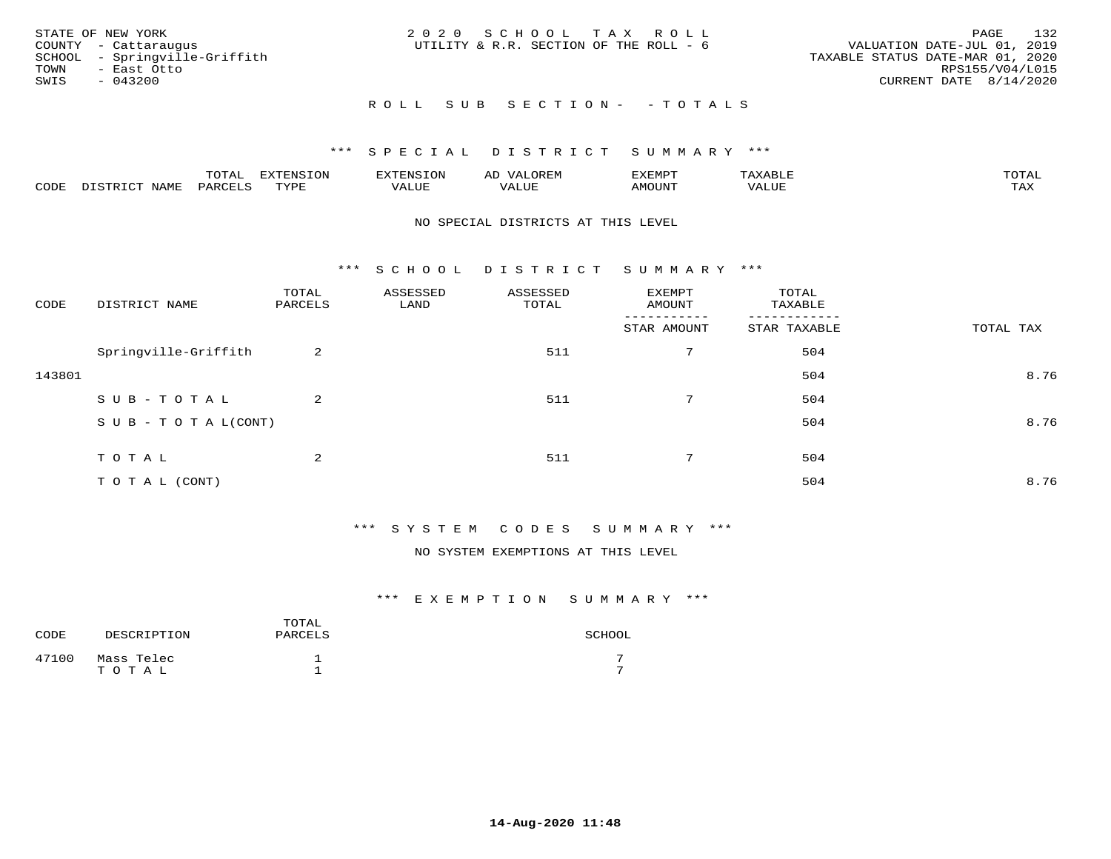| STATE OF NEW YORK<br>COUNTY - Cattaraugus<br>SCHOOL - Springville-Griffith<br>TOWN<br>– East Otto<br>SWIS<br>- 043200 | 2020 SCHOOL TAX ROLL<br>UTILITY & R.R. SECTION OF THE ROLL - 6 | 132<br>PAGE<br>VALUATION DATE-JUL 01, 2019<br>TAXABLE STATUS DATE-MAR 01, 2020<br>RPS155/V04/L015<br>CURRENT DATE 8/14/2020 |
|-----------------------------------------------------------------------------------------------------------------------|----------------------------------------------------------------|-----------------------------------------------------------------------------------------------------------------------------|
|                                                                                                                       | ROLL SUB SECTION- - TOTALS                                     |                                                                                                                             |

|      |             | $m \wedge m$<br>$\sim$ |      | אי - | ΑL   | "EMP   |       |                |
|------|-------------|------------------------|------|------|------|--------|-------|----------------|
| CODE | <b>NAMH</b> | PARTF                  | TVDF | ALUE | ALUI | AMOUNT | VALUE | max x<br>- ∠∡∡ |

### NO SPECIAL DISTRICTS AT THIS LEVEL

\*\*\* S C H O O L D I S T R I C T S U M M A R Y \*\*\*

| CODE   | DISTRICT NAME                    | TOTAL<br>PARCELS | ASSESSED<br>LAND | ASSESSED<br>TOTAL | EXEMPT<br>AMOUNT | TOTAL<br>TAXABLE |           |
|--------|----------------------------------|------------------|------------------|-------------------|------------------|------------------|-----------|
|        |                                  |                  |                  |                   | STAR AMOUNT      | STAR TAXABLE     | TOTAL TAX |
|        | Springville-Griffith             | 2                |                  | 511               | 7                | 504              |           |
| 143801 |                                  |                  |                  |                   |                  | 504              | 8.76      |
|        | SUB-TOTAL                        | 2                |                  | 511               | $7^{\circ}$      | 504              |           |
|        | $S \cup B - T \cup T A L (CONT)$ |                  |                  |                   |                  | 504              | 8.76      |
|        |                                  |                  |                  |                   |                  |                  |           |
|        | TOTAL                            | 2                |                  | 511               | 7                | 504              |           |
|        | TO TAL (CONT)                    |                  |                  |                   |                  | 504              | 8.76      |

## \*\*\* S Y S T E M C O D E S S U M M A R Y \*\*\*

NO SYSTEM EXEMPTIONS AT THIS LEVEL

| CODE  | DESCRIPTION         | TOTAL<br>PARCELS | SCHOOL |
|-------|---------------------|------------------|--------|
| 47100 | Mass Telec<br>TOTAL |                  |        |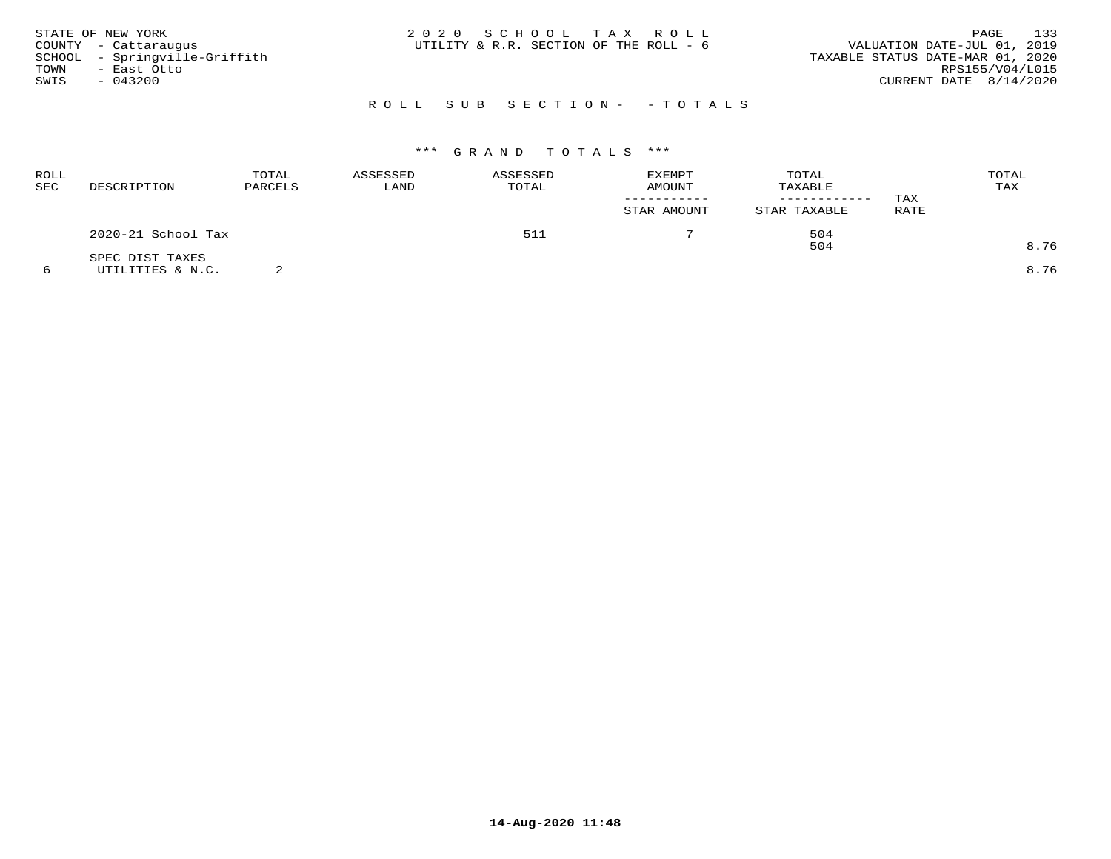| STATE OF NEW YORK<br>COUNTY - Cattaraugus<br>SCHOOL - Springville-Griffith<br>TOWN<br>- East Otto<br>SWIS<br>$-043200$ | 2020 SCHOOL TAX ROLL<br>UTILITY & R.R. SECTION OF THE ROLL - 6 | 133<br>PAGE<br>VALUATION DATE-JUL 01, 2019<br>TAXABLE STATUS DATE-MAR 01, 2020<br>RPS155/V04/L015<br>CURRENT DATE 8/14/2020 |
|------------------------------------------------------------------------------------------------------------------------|----------------------------------------------------------------|-----------------------------------------------------------------------------------------------------------------------------|
|                                                                                                                        | ROLL SUB SECTION- - TOTALS                                     |                                                                                                                             |

| ROLL<br>SEC | DESCRIPTION        | TOTAL<br>ASSESSED<br>PARCELS |     | ASSESSED<br>TOTAL | <b>EXEMPT</b><br>AMOUNT | TOTAL<br>TAXABLE | TAX  | TOTAL<br>TAX |
|-------------|--------------------|------------------------------|-----|-------------------|-------------------------|------------------|------|--------------|
|             |                    |                              |     |                   | STAR AMOUNT             | STAR TAXABLE     | RATE |              |
|             | 2020-21 School Tax |                              | 511 |                   | 504                     |                  |      |              |
|             | SPEC DIST TAXES    |                              |     |                   |                         | 504              |      | 8.76         |
|             | UTILITIES & N.C.   |                              |     |                   |                         |                  |      | 8.76         |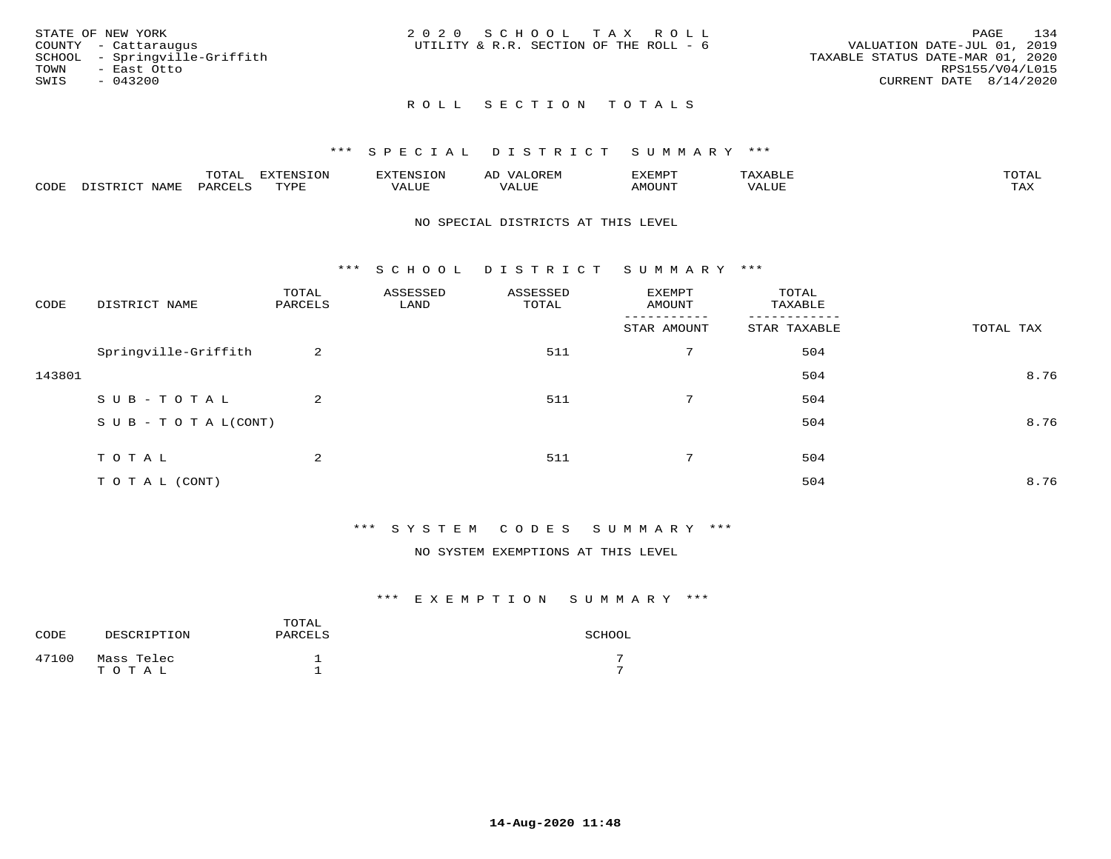|      | STATE OF NEW YORK             | 2020 SCHOOL TAX ROLL                   |  |  |                                  |                        | PAGE | 134 |
|------|-------------------------------|----------------------------------------|--|--|----------------------------------|------------------------|------|-----|
|      | COUNTY - Cattaraugus          | UTILITY & R.R. SECTION OF THE ROLL - 6 |  |  | VALUATION DATE-JUL 01, 2019      |                        |      |     |
|      | SCHOOL - Springville-Griffith |                                        |  |  | TAXABLE STATUS DATE-MAR 01, 2020 |                        |      |     |
| TOWN | - East Otto                   |                                        |  |  |                                  | RPS155/V04/L015        |      |     |
| SWIS | $-043200$                     |                                        |  |  |                                  | CURRENT DATE 8/14/2020 |      |     |
|      |                               |                                        |  |  |                                  |                        |      |     |

# ROLL SECTION TOTALS

### \*\*\* S P E C I A L D I S T R I C T S U M M A R Y \*\*\*

|      |      | m∧m⊼<br>L∪⊥AL | $\pi$<br><b>1111</b><br>-UP | n s       | AL'                                         | ⊿XEMP"       | $\cdot$ $\Delta$ $\times$ $\Delta$ | mom <sub>n</sub> |
|------|------|---------------|-----------------------------|-----------|---------------------------------------------|--------------|------------------------------------|------------------|
| CODE | NAME |               | TVDI                        | $- - - -$ | - ---<br>$\overline{\phantom{a}}$<br>اللبين | <b>MOUNT</b> | ALUE                               | ГAX              |

### NO SPECIAL DISTRICTS AT THIS LEVEL

\*\*\* S C H O O L D I S T R I C T S U M M A R Y \*\*\*

| CODE   | DISTRICT NAME                    | TOTAL<br>PARCELS | ASSESSED<br>LAND | ASSESSED<br>TOTAL | EXEMPT<br>AMOUNT | TOTAL<br>TAXABLE |           |
|--------|----------------------------------|------------------|------------------|-------------------|------------------|------------------|-----------|
|        |                                  |                  |                  |                   | STAR AMOUNT      | STAR TAXABLE     | TOTAL TAX |
|        | Springville-Griffith             | 2                |                  | 511               | 7                | 504              |           |
| 143801 |                                  |                  |                  |                   |                  | 504              | 8.76      |
|        | SUB-TOTAL                        | 2                |                  | 511               | $7^{\circ}$      | 504              |           |
|        | $S \cup B - T \cup T A L (CONT)$ |                  |                  |                   |                  | 504              | 8.76      |
|        |                                  |                  |                  |                   |                  |                  |           |
|        | TOTAL                            | 2                |                  | 511               | $7^{\circ}$      | 504              |           |
|        | TO TAL (CONT)                    |                  |                  |                   |                  | 504              | 8.76      |

## \*\*\* S Y S T E M C O D E S S U M M A R Y \*\*\*

NO SYSTEM EXEMPTIONS AT THIS LEVEL

| CODE  | DESCRIPTION         | TOTAL<br>PARCELS | SCHOOL |
|-------|---------------------|------------------|--------|
| 47100 | Mass Telec<br>TOTAL |                  |        |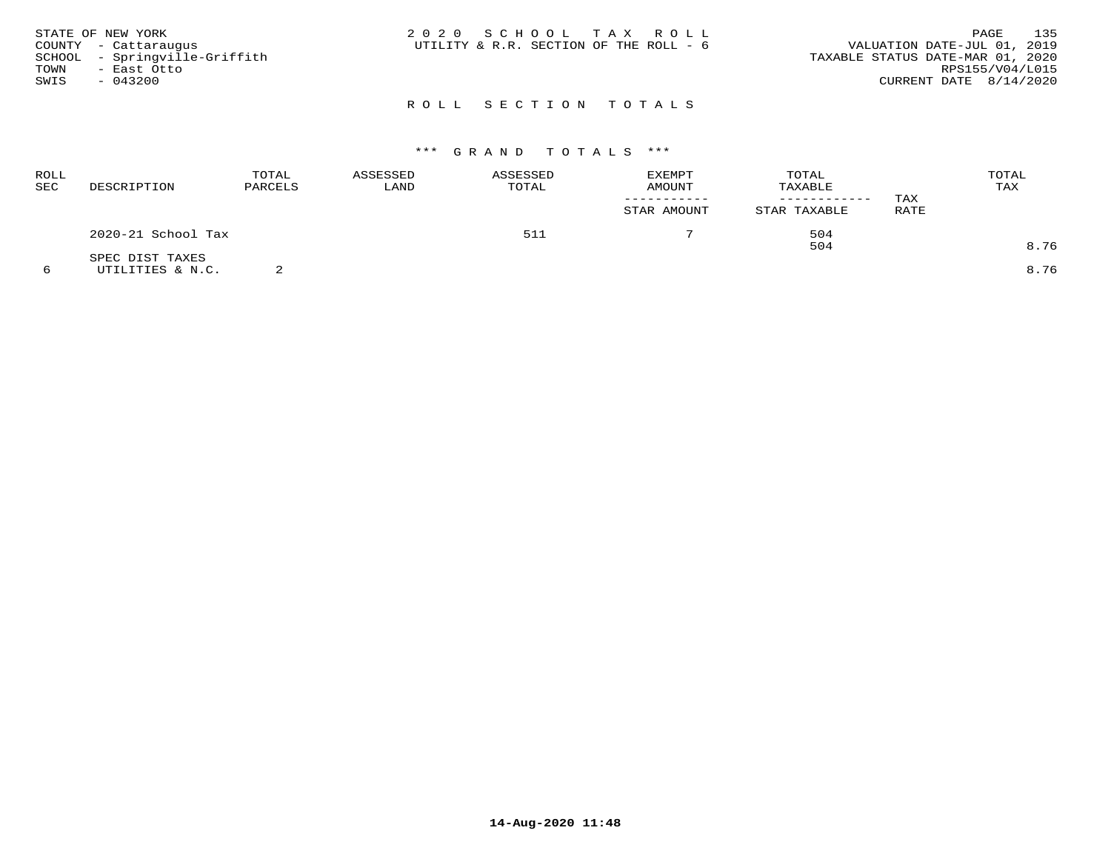| STATE OF NEW YORK<br>COUNTY - Cattaraugus<br>SCHOOL - Springville-Griffith<br>TOWN<br>– East Otto<br>SWIS<br>$-043200$ | 2020 SCHOOL TAX ROLL<br>UTILITY & R.R. SECTION OF THE ROLL - 6 | 135<br>PAGE<br>VALUATION DATE-JUL 01, 2019<br>TAXABLE STATUS DATE-MAR 01, 2020<br>RPS155/V04/L015<br>CURRENT DATE $8/14/2020$ |
|------------------------------------------------------------------------------------------------------------------------|----------------------------------------------------------------|-------------------------------------------------------------------------------------------------------------------------------|
|                                                                                                                        | ROLL SECTION TOTALS                                            |                                                                                                                               |

| ROLL<br>SEC | DESCRIPTION                         | TOTAL<br>PARCELS | ASSESSED<br>LAND | ASSESSED<br>TOTAL | EXEMPT<br><b>AMOUNT</b> | TOTAL<br>TAXABLE | TAX  | TOTAL<br>TAX |
|-------------|-------------------------------------|------------------|------------------|-------------------|-------------------------|------------------|------|--------------|
|             |                                     |                  |                  |                   | STAR AMOUNT             | STAR TAXABLE     | RATE |              |
|             | 2020-21 School Tax                  |                  |                  | 511               |                         | 504              |      |              |
|             |                                     |                  |                  |                   |                         | 504              |      | 8.76         |
|             | SPEC DIST TAXES<br>UTILITIES & N.C. |                  |                  |                   |                         |                  |      | 8.76         |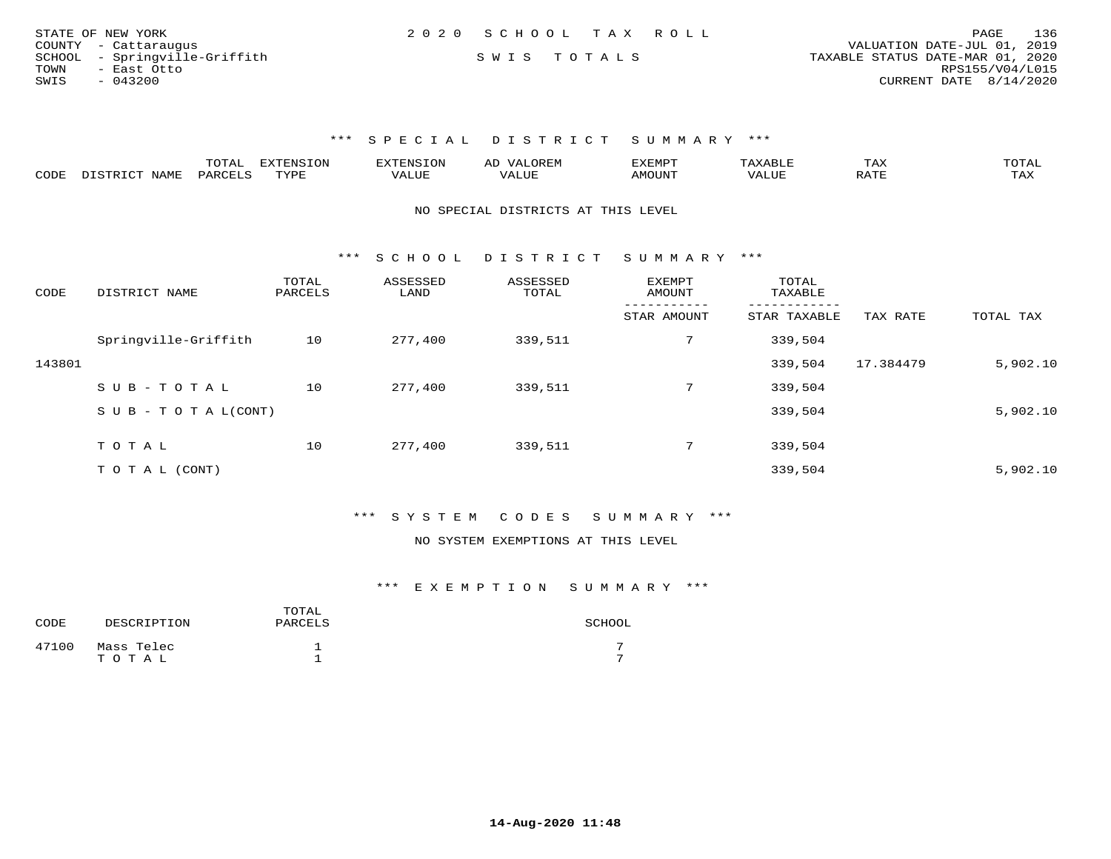| STATE OF NEW YORK             | 2020 SCHOOL TAX ROLL | 136<br>PAGE                      |
|-------------------------------|----------------------|----------------------------------|
| COUNTY - Cattaraugus          |                      | VALUATION DATE-JUL 01, 2019      |
| SCHOOL - Springville-Griffith | SWIS TOTALS          | TAXABLE STATUS DATE-MAR 01, 2020 |
| TOWN<br>- East Otto           |                      | RPS155/V04/L015                  |
| SWIS<br>$-043200$             |                      | CURRENT DATE 8/14/2020           |

|      |                                  | "Ω"ΠΟ"<br>⊥∪⊥ ∟ | <b>EXTENSION</b> |                         | A <sub>L</sub> | XEMPT:        |                        | 1 A.A       |                     |
|------|----------------------------------|-----------------|------------------|-------------------------|----------------|---------------|------------------------|-------------|---------------------|
| CODE | <b>NAMF</b><br><u>היה דפידים</u> | <b>PARC</b>     | TYPE             | $\mathcal{A}\text{LUF}$ |                | <b>AMOUNT</b> | , 7 7 T T T T<br>VALUE | הדרח ג<br>▵ | $m \times r$<br>⊥≞∆ |

### NO SPECIAL DISTRICTS AT THIS LEVEL

\*\*\* S C H O O L D I S T R I C T S U M M A R Y \*\*\*

| CODE   | DISTRICT NAME                    | TOTAL<br>PARCELS | ASSESSED<br>LAND | ASSESSED<br>TOTAL | <b>EXEMPT</b><br>AMOUNT | TOTAL<br>TAXABLE |           |           |
|--------|----------------------------------|------------------|------------------|-------------------|-------------------------|------------------|-----------|-----------|
|        |                                  |                  |                  |                   | STAR AMOUNT             | STAR TAXABLE     | TAX RATE  | TOTAL TAX |
|        | Springville-Griffith             | 10               | 277,400          | 339,511           | 7                       | 339,504          |           |           |
| 143801 |                                  |                  |                  |                   |                         | 339,504          | 17.384479 | 5,902.10  |
|        | SUB-TOTAL                        | 10               | 277,400          | 339,511           | $7^{\circ}$             | 339,504          |           |           |
|        | $S \cup B - T \cup T A L (CONT)$ |                  |                  |                   |                         | 339,504          |           | 5,902.10  |
|        |                                  |                  |                  |                   |                         |                  |           |           |
|        | TOTAL                            | 10               | 277,400          | 339,511           | $7^{\circ}$             | 339,504          |           |           |
|        | T O T A L (CONT)                 |                  |                  |                   |                         | 339,504          |           | 5,902.10  |

## \*\*\* S Y S T E M C O D E S S U M M A R Y \*\*\*

### NO SYSTEM EXEMPTIONS AT THIS LEVEL

| CODE  | DESCRIPTION | TOTAL<br>PARCELS | SCHOOL |
|-------|-------------|------------------|--------|
| 47100 | Mass Telec  |                  |        |
|       | TOTAL       |                  |        |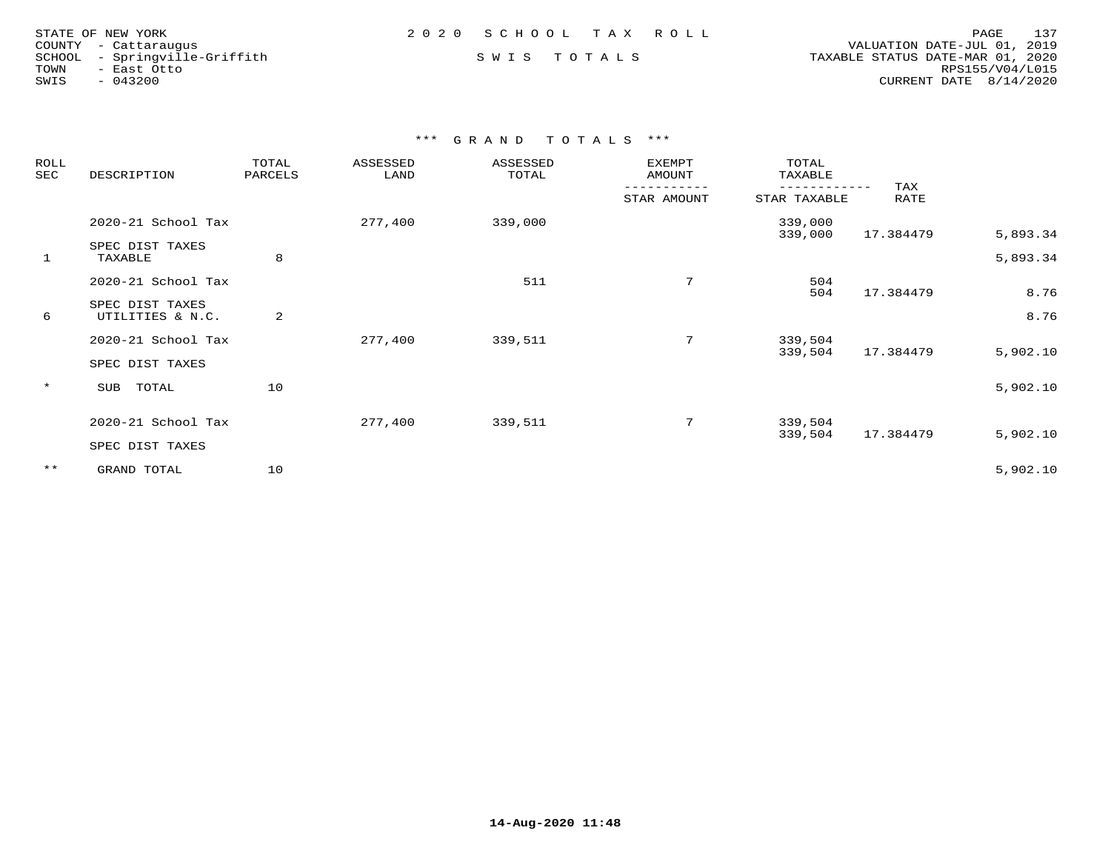| STATE OF NEW YORK |                               |
|-------------------|-------------------------------|
|                   |                               |
|                   | COUNTY - Cattaraugus          |
|                   | SCHOOL - Springville-Griffith |
| TOWN              | - East Otto                   |
| SWIS              | $-043200$                     |

 COUNTY - Cattaraugus VALUATION DATE-JUL 01, 2019 SCHOOL - Springville-Griffith S W I S T O T A L S TAXABLE STATUS DATE-MAR 01, 2020 TOWN - East Otto RPS155/V04/L015SWIS - 043200 CURRENT DATE 8/14/2020

| ROLL<br>SEC | DESCRIPTION                         | TOTAL<br>PARCELS | ASSESSED<br>LAND | ASSESSED<br>TOTAL | EXEMPT<br>AMOUNT | TOTAL<br>TAXABLE   |             |              |
|-------------|-------------------------------------|------------------|------------------|-------------------|------------------|--------------------|-------------|--------------|
|             |                                     |                  |                  |                   | STAR AMOUNT      | STAR TAXABLE       | TAX<br>RATE |              |
|             | 2020-21 School Tax                  |                  | 277,400          | 339,000           |                  | 339,000<br>339,000 | 17.384479   | 5,893.34     |
| 1           | SPEC DIST TAXES<br>TAXABLE          | 8                |                  |                   |                  |                    |             | 5,893.34     |
|             | 2020-21 School Tax                  |                  |                  | 511               | 7                | 504                |             |              |
| 6           | SPEC DIST TAXES<br>UTILITIES & N.C. | 2                |                  |                   |                  | 504                | 17.384479   | 8.76<br>8.76 |
|             | 2020-21 School Tax                  |                  | 277,400          | 339,511           | 7                | 339,504            | 17.384479   |              |
|             | SPEC DIST TAXES                     |                  |                  |                   |                  | 339,504            |             | 5,902.10     |
| $\star$     | TOTAL<br>SUB                        | 10               |                  |                   |                  |                    |             | 5,902.10     |
|             | 2020-21 School Tax                  |                  | 277,400          | 339,511           | 7                | 339,504            |             |              |
|             | SPEC DIST TAXES                     |                  |                  |                   |                  | 339,504            | 17.384479   | 5,902.10     |
| $***$       | GRAND TOTAL                         | 10               |                  |                   |                  |                    |             | 5,902.10     |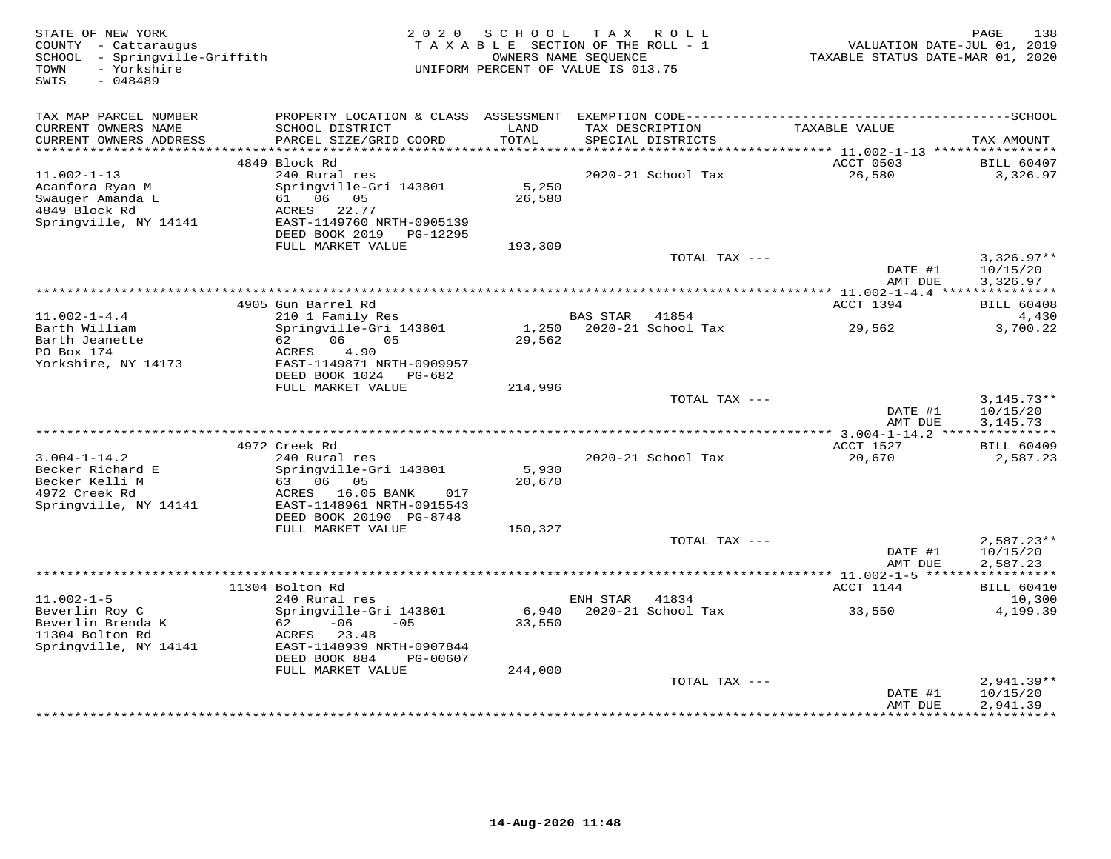| STATE OF NEW YORK<br>COUNTY - Cattaraugus<br>SCHOOL - Springville-Griffith<br>- Yorkshire<br>TOWN<br>$-048489$<br>SWIS | 2 0 2 0                                                                                                                                       | S C H O O L<br>TAXABLE SECTION OF THE ROLL - 1<br>OWNERS NAME SEQUENCE<br>UNIFORM PERCENT OF VALUE IS 013.75 |                 | TAX ROLL                             | VALUATION DATE-JUL 01, 2019<br>TAXABLE STATUS DATE-MAR 01, 2020 | 138<br>PAGE                            |
|------------------------------------------------------------------------------------------------------------------------|-----------------------------------------------------------------------------------------------------------------------------------------------|--------------------------------------------------------------------------------------------------------------|-----------------|--------------------------------------|-----------------------------------------------------------------|----------------------------------------|
| TAX MAP PARCEL NUMBER                                                                                                  |                                                                                                                                               |                                                                                                              |                 |                                      |                                                                 |                                        |
| CURRENT OWNERS NAME<br>CURRENT OWNERS ADDRESS                                                                          | SCHOOL DISTRICT<br>PARCEL SIZE/GRID COORD                                                                                                     | LAND<br>TOTAL                                                                                                |                 | TAX DESCRIPTION<br>SPECIAL DISTRICTS | TAXABLE VALUE                                                   | TAX AMOUNT                             |
| **********************                                                                                                 | 4849 Block Rd                                                                                                                                 |                                                                                                              |                 |                                      | ACCT 0503                                                       | <b>BILL 60407</b>                      |
| $11.002 - 1 - 13$<br>Acanfora Ryan M<br>Swauger Amanda L<br>4849 Block Rd<br>Springville, NY 14141                     | 240 Rural res<br>Springville-Gri 143801<br>61 06 05<br>ACRES<br>22.77<br>EAST-1149760 NRTH-0905139<br>DEED BOOK 2019<br>PG-12295              | 5,250<br>26,580                                                                                              |                 | 2020-21 School Tax                   | 26,580                                                          | 3,326.97                               |
|                                                                                                                        | FULL MARKET VALUE                                                                                                                             | 193,309                                                                                                      |                 |                                      |                                                                 |                                        |
|                                                                                                                        |                                                                                                                                               |                                                                                                              |                 | TOTAL TAX ---                        | DATE #1<br>AMT DUE                                              | $3,326.97**$<br>10/15/20<br>3,326.97   |
|                                                                                                                        |                                                                                                                                               |                                                                                                              |                 |                                      | *********** 11.002-1-4.4 ****************                       |                                        |
|                                                                                                                        | 4905 Gun Barrel Rd                                                                                                                            |                                                                                                              |                 |                                      | ACCT 1394                                                       | <b>BILL 60408</b>                      |
| $11.002 - 1 - 4.4$<br>Barth William<br>Barth Jeanette<br>PO Box 174<br>Yorkshire, NY 14173                             | 210 1 Family Res<br>Springville-Gri 143801<br>06<br>05<br>62<br>ACRES<br>4.90<br>EAST-1149871 NRTH-0909957<br>DEED BOOK 1024 PG-682           | 1,250<br>29,562                                                                                              | <b>BAS STAR</b> | 41854<br>2020-21 School Tax          | 29,562                                                          | 4,430<br>3,700.22                      |
|                                                                                                                        | FULL MARKET VALUE                                                                                                                             | 214,996                                                                                                      |                 |                                      |                                                                 |                                        |
|                                                                                                                        |                                                                                                                                               |                                                                                                              |                 | TOTAL TAX ---                        | DATE #1<br>AMT DUE                                              | $3,145.73**$<br>10/15/20<br>3, 145. 73 |
|                                                                                                                        | 4972 Creek Rd                                                                                                                                 |                                                                                                              |                 |                                      | ACCT 1527                                                       | <b>BILL 60409</b>                      |
| $3.004 - 1 - 14.2$<br>Becker Richard E<br>Becker Kelli M<br>4972 Creek Rd<br>Springville, NY 14141                     | 240 Rural res<br>Springville-Gri 143801<br>63 06 05<br>ACRES<br>16.05 BANK<br>017<br>EAST-1148961 NRTH-0915543                                | 5,930<br>20,670                                                                                              |                 | 2020-21 School Tax                   | 20,670                                                          | 2,587.23                               |
|                                                                                                                        | DEED BOOK 20190 PG-8748<br>FULL MARKET VALUE                                                                                                  | 150,327                                                                                                      |                 |                                      |                                                                 |                                        |
|                                                                                                                        |                                                                                                                                               |                                                                                                              |                 | TOTAL TAX ---                        | DATE #1<br>AMT DUE                                              | $2,587.23**$<br>10/15/20<br>2,587.23   |
|                                                                                                                        |                                                                                                                                               |                                                                                                              |                 |                                      |                                                                 |                                        |
|                                                                                                                        | 11304 Bolton Rd                                                                                                                               |                                                                                                              |                 |                                      | ACCT 1144                                                       | <b>BILL 60410</b>                      |
| $11.002 - 1 - 5$                                                                                                       | 240 Rural res                                                                                                                                 |                                                                                                              | ENH STAR        | 41834                                |                                                                 | 10,300                                 |
| Beverlin Roy C<br>Beverlin Brenda K<br>11304 Bolton Rd<br>Springville, NY 14141                                        | Springville-Gri 143801<br>$-06$<br>62<br>$-0.5$<br>ACRES 23.48<br>EAST-1148939 NRTH-0907844<br>DEED BOOK 884<br>PG-00607<br>FULL MARKET VALUE | 6,940<br>33,550<br>244,000                                                                                   |                 | 2020-21 School Tax                   | 33,550                                                          | 4,199.39                               |
|                                                                                                                        |                                                                                                                                               |                                                                                                              |                 | TOTAL TAX ---                        |                                                                 | $2,941.39**$                           |
|                                                                                                                        |                                                                                                                                               |                                                                                                              |                 | ***************************          | DATE #1<br>AMT DUE<br>************                              | 10/15/20<br>2,941.39<br>**********     |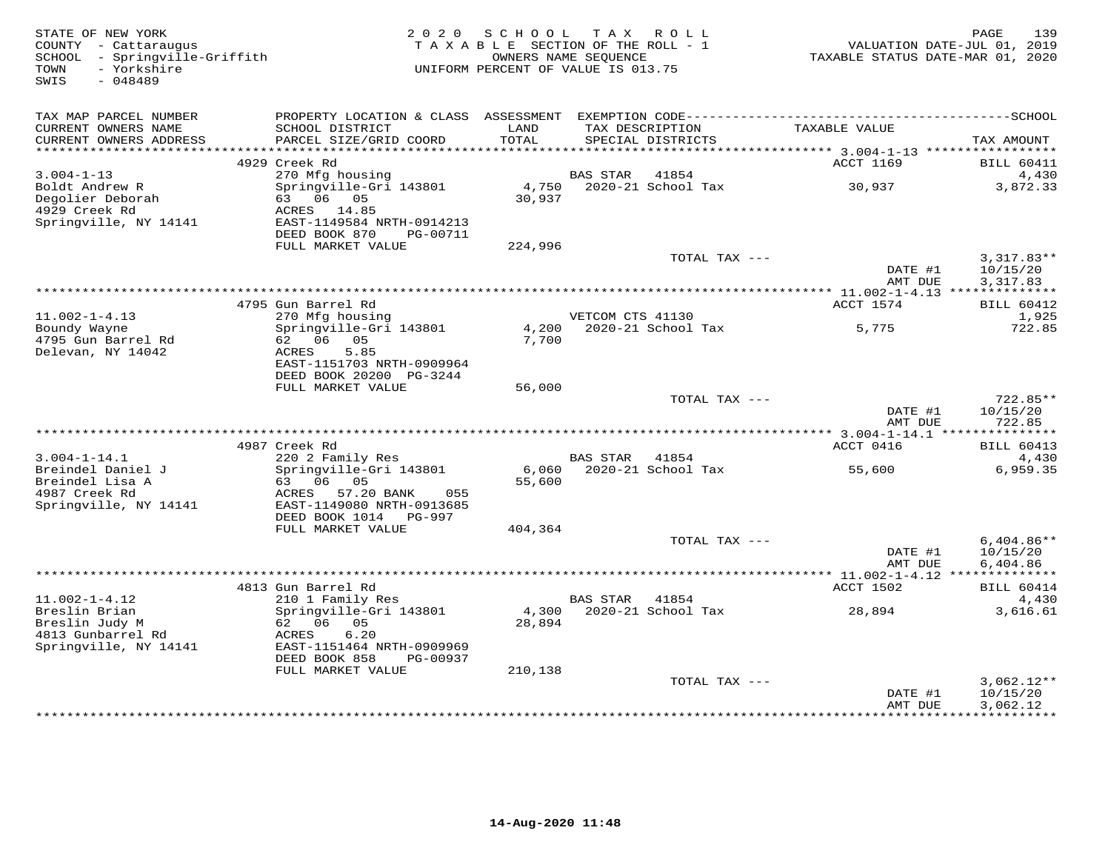| STATE OF NEW YORK<br>COUNTY - Cattaraugus<br>SCHOOL - Springville-Griffith<br>- Yorkshire<br>TOWN<br>SWIS<br>$-048489$ | 2 0 2 0                                                                                                                              | SCHOOL<br>TAXABLE SECTION OF THE ROLL - 1<br>OWNERS NAME SEQUENCE<br>UNIFORM PERCENT OF VALUE IS 013.75 | T A X            | ROLL                                 | TAXABLE STATUS DATE-MAR 01, 2020         | 139<br>PAGE<br>VALUATION DATE-JUL 01, 2019 |
|------------------------------------------------------------------------------------------------------------------------|--------------------------------------------------------------------------------------------------------------------------------------|---------------------------------------------------------------------------------------------------------|------------------|--------------------------------------|------------------------------------------|--------------------------------------------|
| TAX MAP PARCEL NUMBER                                                                                                  |                                                                                                                                      |                                                                                                         |                  |                                      |                                          |                                            |
| CURRENT OWNERS NAME<br>CURRENT OWNERS ADDRESS                                                                          | SCHOOL DISTRICT<br>PARCEL SIZE/GRID COORD                                                                                            | LAND<br>TOTAL                                                                                           |                  | TAX DESCRIPTION<br>SPECIAL DISTRICTS | TAXABLE VALUE                            | TAX AMOUNT                                 |
| ***********************                                                                                                | 4929 Creek Rd                                                                                                                        |                                                                                                         |                  |                                      | ACCT 1169                                | <b>BILL 60411</b>                          |
| $3.004 - 1 - 13$                                                                                                       | 270 Mfg housing                                                                                                                      |                                                                                                         | <b>BAS STAR</b>  | 41854                                |                                          | 4,430                                      |
| Boldt Andrew R<br>Degolier Deborah<br>4929 Creek Rd<br>Springville, NY 14141                                           | Springville-Gri 143801<br>63 06 05<br>ACRES 14.85<br>EAST-1149584 NRTH-0914213                                                       | 4,750<br>30,937                                                                                         |                  | 2020-21 School Tax                   | 30,937                                   | 3,872.33                                   |
|                                                                                                                        | DEED BOOK 870<br>PG-00711<br>FULL MARKET VALUE                                                                                       | 224,996                                                                                                 |                  |                                      |                                          |                                            |
|                                                                                                                        |                                                                                                                                      |                                                                                                         |                  | TOTAL TAX ---                        | DATE #1<br>AMT DUE                       | $3,317.83**$<br>10/15/20<br>3,317.83       |
|                                                                                                                        |                                                                                                                                      |                                                                                                         |                  |                                      | ********** 11.002-1-4.13 *************** |                                            |
|                                                                                                                        | 4795 Gun Barrel Rd                                                                                                                   |                                                                                                         |                  |                                      | ACCT 1574                                | <b>BILL 60412</b>                          |
| $11.002 - 1 - 4.13$<br>Boundy Wayne<br>4795 Gun Barrel Rd<br>Delevan, NY 14042                                         | 270 Mfg housing<br>Springville-Gri 143801<br>62 06 05<br>5.85<br>ACRES<br>EAST-1151703 NRTH-0909964                                  | 4,200<br>7,700                                                                                          | VETCOM CTS 41130 | 2020-21 School Tax                   | 5,775                                    | 1,925<br>722.85                            |
|                                                                                                                        | DEED BOOK 20200 PG-3244                                                                                                              |                                                                                                         |                  |                                      |                                          |                                            |
|                                                                                                                        | FULL MARKET VALUE                                                                                                                    | 56,000                                                                                                  |                  |                                      |                                          |                                            |
|                                                                                                                        |                                                                                                                                      |                                                                                                         |                  | TOTAL TAX ---                        | DATE #1<br>AMT DUE                       | 722.85**<br>10/15/20<br>722.85             |
|                                                                                                                        | 4987 Creek Rd                                                                                                                        |                                                                                                         |                  |                                      | ACCT 0416                                | <b>BILL 60413</b>                          |
| $3.004 - 1 - 14.1$                                                                                                     | 220 2 Family Res                                                                                                                     |                                                                                                         | BAS STAR         | 41854                                |                                          | 4,430                                      |
| Breindel Daniel J<br>Breindel Lisa A<br>4987 Creek Rd<br>Springville, NY 14141                                         | Springville-Gri 143801<br>63 06<br>05<br>ACRES<br>57.20 BANK<br>055<br>EAST-1149080 NRTH-0913685<br>DEED BOOK 1014<br>PG-997         | 6,060<br>55,600                                                                                         |                  | 2020-21 School Tax                   | 55,600                                   | 6,959.35                                   |
|                                                                                                                        | FULL MARKET VALUE                                                                                                                    | 404,364                                                                                                 |                  |                                      |                                          |                                            |
|                                                                                                                        |                                                                                                                                      |                                                                                                         |                  | TOTAL TAX ---                        | DATE #1<br>AMT DUE                       | $6,404.86**$<br>10/15/20<br>6,404.86       |
|                                                                                                                        |                                                                                                                                      |                                                                                                         |                  |                                      | ********** 11.002-1-4.12 *************** |                                            |
|                                                                                                                        | 4813 Gun Barrel Rd                                                                                                                   |                                                                                                         |                  |                                      | ACCT 1502                                | <b>BILL 60414</b>                          |
| $11.002 - 1 - 4.12$<br>Breslin Brian<br>Breslin Judy M<br>4813 Gunbarrel Rd<br>Springville, NY 14141                   | 210 1 Family Res<br>Springville-Gri 143801<br>62<br>06 05<br>6.20<br>ACRES<br>EAST-1151464 NRTH-0909969<br>DEED BOOK 858<br>PG-00937 | 4,300<br>28,894                                                                                         | <b>BAS STAR</b>  | 41854<br>2020-21 School Tax          | 28,894                                   | 4,430<br>3,616.61                          |
|                                                                                                                        | FULL MARKET VALUE                                                                                                                    | 210,138                                                                                                 |                  |                                      |                                          | $3,062.12**$                               |
|                                                                                                                        |                                                                                                                                      |                                                                                                         |                  | TOTAL TAX ---                        | DATE #1<br>AMT DUE<br>*********          | 10/15/20<br>3,062.12<br>***********        |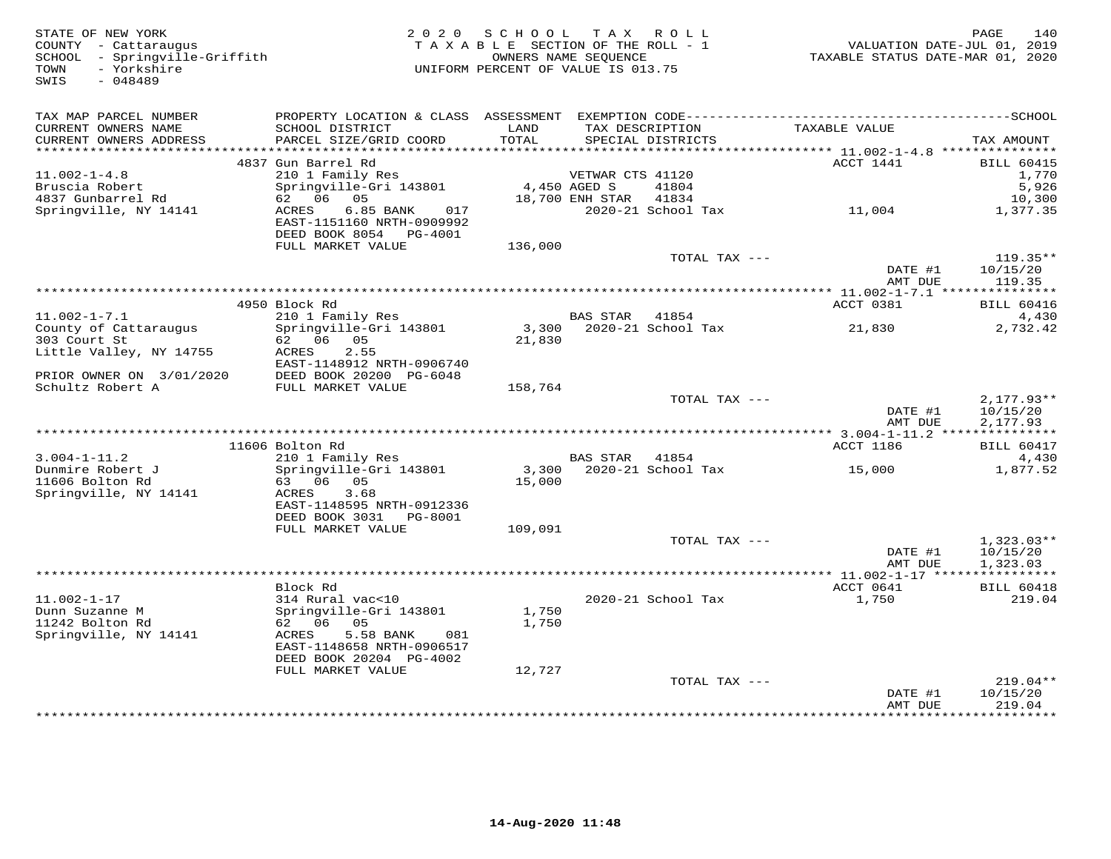| STATE OF NEW YORK<br>COUNTY - Cattaraugus<br>SCHOOL - Springville-Griffith<br>- Yorkshire<br>TOWN<br>SWIS<br>$-048489$ |                                                                                   | 2020 SCHOOL<br>TAXABLE SECTION OF THE ROLL - 1<br>UNIFORM PERCENT OF VALUE IS 013.75 | OWNERS NAME SEOUENCE | TAX ROLL                             | VALUATION DATE-JUL 01, 2019<br>TAXABLE STATUS DATE-MAR 01, 2020 | 140<br>PAGE                         |
|------------------------------------------------------------------------------------------------------------------------|-----------------------------------------------------------------------------------|--------------------------------------------------------------------------------------|----------------------|--------------------------------------|-----------------------------------------------------------------|-------------------------------------|
| TAX MAP PARCEL NUMBER                                                                                                  |                                                                                   |                                                                                      |                      |                                      |                                                                 |                                     |
| CURRENT OWNERS NAME<br>CURRENT OWNERS ADDRESS                                                                          | SCHOOL DISTRICT<br>PARCEL SIZE/GRID COORD                                         | LAND<br>TOTAL                                                                        |                      | TAX DESCRIPTION<br>SPECIAL DISTRICTS | TAXABLE VALUE                                                   | TAX AMOUNT                          |
|                                                                                                                        | 4837 Gun Barrel Rd                                                                |                                                                                      |                      |                                      | ACCT 1441                                                       | <b>BILL 60415</b>                   |
| $11.002 - 1 - 4.8$                                                                                                     | 210 1 Family Res                                                                  |                                                                                      | VETWAR CTS 41120     |                                      |                                                                 | 1,770                               |
| Bruscia Robert                                                                                                         | Springville-Gri 143801                                                            | 4,450 AGED S                                                                         |                      | 41804                                |                                                                 | 5,926                               |
| 4837 Gunbarrel Rd                                                                                                      | 62 06<br>05                                                                       |                                                                                      | 18,700 ENH STAR      | 41834                                |                                                                 | 10,300                              |
| Springville, NY 14141                                                                                                  | ACRES<br>6.85 BANK<br>017<br>EAST-1151160 NRTH-0909992<br>DEED BOOK 8054 PG-4001  |                                                                                      |                      | 2020-21 School Tax                   | 11,004                                                          | 1,377.35                            |
|                                                                                                                        | FULL MARKET VALUE                                                                 | 136,000                                                                              |                      |                                      |                                                                 |                                     |
|                                                                                                                        |                                                                                   |                                                                                      |                      | TOTAL TAX ---                        | DATE #1<br>AMT DUE                                              | $119.35**$<br>10/15/20<br>119.35    |
|                                                                                                                        |                                                                                   |                                                                                      |                      |                                      |                                                                 |                                     |
|                                                                                                                        | 4950 Block Rd                                                                     |                                                                                      |                      |                                      | ACCT 0381                                                       | <b>BILL 60416</b>                   |
| $11.002 - 1 - 7.1$                                                                                                     | 210 1 Family Res                                                                  |                                                                                      | BAS STAR             | 41854                                |                                                                 | 4,430                               |
| County of Cattaraugus                                                                                                  | Springville-Gri 143801                                                            | 3,300                                                                                |                      | 2020-21 School Tax                   | 21,830                                                          | 2,732.42                            |
| 303 Court St<br>Little Valley, NY 14755                                                                                | 62 06 05<br>ACRES<br>2.55<br>EAST-1148912 NRTH-0906740                            | 21,830                                                                               |                      |                                      |                                                                 |                                     |
| PRIOR OWNER ON 3/01/2020                                                                                               | DEED BOOK 20200 PG-6048                                                           |                                                                                      |                      |                                      |                                                                 |                                     |
| Schultz Robert A                                                                                                       | FULL MARKET VALUE                                                                 | 158,764                                                                              |                      |                                      |                                                                 |                                     |
|                                                                                                                        |                                                                                   |                                                                                      |                      | TOTAL TAX ---                        | DATE #1                                                         | $2.177.93**$<br>10/15/20            |
|                                                                                                                        |                                                                                   |                                                                                      |                      |                                      | AMT DUE                                                         | 2,177.93                            |
|                                                                                                                        | 11606 Bolton Rd                                                                   |                                                                                      |                      |                                      | ACCT 1186                                                       | <b>BILL 60417</b>                   |
| $3.004 - 1 - 11.2$                                                                                                     | 210 1 Family Res                                                                  |                                                                                      | BAS STAR 41854       |                                      |                                                                 | 4,430                               |
| Dunmire Robert J<br>11606 Bolton Rd<br>Springville, NY 14141                                                           | Springville-Gri 143801<br>63 06 05<br>ACRES<br>3.68                               | 15,000                                                                               |                      | 3,300 2020-21 School Tax             | 15,000                                                          | 1,877.52                            |
|                                                                                                                        | EAST-1148595 NRTH-0912336<br>DEED BOOK 3031<br>PG-8001                            |                                                                                      |                      |                                      |                                                                 |                                     |
|                                                                                                                        | FULL MARKET VALUE                                                                 | 109,091                                                                              |                      |                                      |                                                                 |                                     |
|                                                                                                                        |                                                                                   |                                                                                      |                      | TOTAL TAX ---                        |                                                                 | $1,323.03**$                        |
|                                                                                                                        |                                                                                   |                                                                                      |                      |                                      | DATE #1<br>AMT DUE                                              | 10/15/20<br>1,323.03<br>*********** |
|                                                                                                                        | Block Rd                                                                          |                                                                                      |                      |                                      | ACCT 0641                                                       | <b>BILL 60418</b>                   |
| $11.002 - 1 - 17$                                                                                                      | 314 Rural vac<10                                                                  |                                                                                      |                      | 2020-21 School Tax                   | 1,750                                                           | 219.04                              |
| Dunn Suzanne M                                                                                                         | Springville-Gri 143801                                                            | 1,750                                                                                |                      |                                      |                                                                 |                                     |
| 11242 Bolton Rd                                                                                                        | 62 06<br>05                                                                       | 1,750                                                                                |                      |                                      |                                                                 |                                     |
| Springville, NY 14141                                                                                                  | 5.58 BANK<br>ACRES<br>081<br>EAST-1148658 NRTH-0906517<br>DEED BOOK 20204 PG-4002 |                                                                                      |                      |                                      |                                                                 |                                     |
|                                                                                                                        | FULL MARKET VALUE                                                                 | 12,727                                                                               |                      |                                      |                                                                 |                                     |
|                                                                                                                        |                                                                                   |                                                                                      |                      | TOTAL TAX ---                        |                                                                 | $219.04**$                          |
|                                                                                                                        |                                                                                   |                                                                                      |                      |                                      | DATE #1<br>AMT DUE                                              | 10/15/20<br>219.04<br>********      |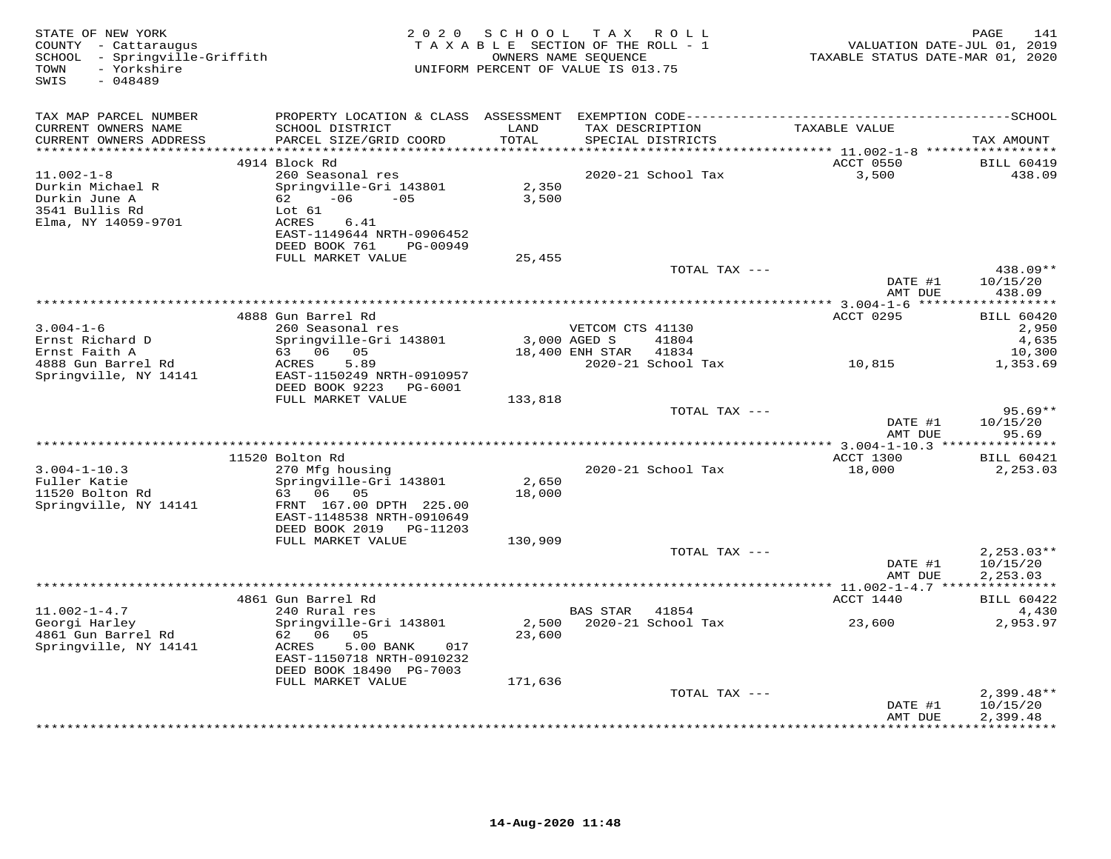| STATE OF NEW YORK<br>COUNTY - Cattaraugus<br>SCHOOL - Springville-Griffith<br>- Yorkshire<br>TOWN<br>SWIS<br>$-048489$ |                                                                                                                    | 2020 SCHOOL<br>TAXABLE SECTION OF THE ROLL - 1<br>UNIFORM PERCENT OF VALUE IS 013.75 | TAX ROLL<br>OWNERS NAME SEQUENCE |                                                    | 211 - 1412<br>VALUATION DATE-JUL 01, 2019<br>TAXABLE STATUS DATE-MAR 01, 2020 | PAGE<br>141                          |
|------------------------------------------------------------------------------------------------------------------------|--------------------------------------------------------------------------------------------------------------------|--------------------------------------------------------------------------------------|----------------------------------|----------------------------------------------------|-------------------------------------------------------------------------------|--------------------------------------|
| TAX MAP PARCEL NUMBER                                                                                                  |                                                                                                                    |                                                                                      |                                  |                                                    |                                                                               |                                      |
| CURRENT OWNERS NAME<br>CURRENT OWNERS ADDRESS                                                                          | SCHOOL DISTRICT<br>PARCEL SIZE/GRID COORD                                                                          | LAND<br>TOTAL                                                                        |                                  | TAX DESCRIPTION TAXABLE VALUE<br>SPECIAL DISTRICTS |                                                                               | TAX AMOUNT                           |
|                                                                                                                        | 4914 Block Rd                                                                                                      |                                                                                      |                                  |                                                    | ACCT 0550                                                                     | <b>BILL 60419</b>                    |
| $11.002 - 1 - 8$<br>Durkin Michael R<br>Durkin June A<br>3541 Bullis Rd<br>Elma, NY 14059-9701                         | 260 Seasonal res<br>Springville-Gri 143801<br>$62 -06 -05$<br>Lot 61<br>ACRES<br>6.41<br>EAST-1149644 NRTH-0906452 | 2,350<br>3,500                                                                       |                                  | 2020-21 School Tax                                 | 3,500                                                                         | 438.09                               |
|                                                                                                                        | DEED BOOK 761<br>PG-00949<br>FULL MARKET VALUE                                                                     | 25,455                                                                               |                                  |                                                    |                                                                               |                                      |
|                                                                                                                        |                                                                                                                    |                                                                                      |                                  | TOTAL TAX ---                                      |                                                                               | 438.09**                             |
|                                                                                                                        |                                                                                                                    |                                                                                      |                                  |                                                    | DATE #1<br>AMT DUE                                                            | 10/15/20<br>438.09                   |
|                                                                                                                        |                                                                                                                    |                                                                                      |                                  |                                                    |                                                                               | ***********                          |
|                                                                                                                        | 4888 Gun Barrel Rd                                                                                                 |                                                                                      |                                  |                                                    | ACCT 0295                                                                     | <b>BILL 60420</b>                    |
| $3.004 - 1 - 6$                                                                                                        | 260 Seasonal res<br>Springville-Gri 143801                                                                         |                                                                                      | VETCOM CTS 41130<br>3,000 AGED S | 41804                                              |                                                                               | 2,950<br>4,635                       |
| Ernst Richard D<br>Ernst Faith A                                                                                       | 63 06 05                                                                                                           |                                                                                      | 18,400 ENH STAR 41834            |                                                    |                                                                               | 10,300                               |
| 4888 Gun Barrel Rd                                                                                                     | ACRES<br>5.89                                                                                                      |                                                                                      |                                  |                                                    |                                                                               | 1,353.69                             |
| Springville, NY 14141                                                                                                  | EAST-1150249 NRTH-0910957<br>DEED BOOK 9223 PG-6001                                                                |                                                                                      |                                  |                                                    |                                                                               |                                      |
|                                                                                                                        | FULL MARKET VALUE                                                                                                  | 133,818                                                                              |                                  | TOTAL TAX ---                                      |                                                                               | 95.69**                              |
|                                                                                                                        |                                                                                                                    |                                                                                      |                                  |                                                    | DATE #1<br>AMT DUE                                                            | 10/15/20<br>95.69                    |
|                                                                                                                        |                                                                                                                    |                                                                                      |                                  |                                                    |                                                                               |                                      |
|                                                                                                                        | 11520 Bolton Rd                                                                                                    |                                                                                      |                                  |                                                    | ACCT 1300                                                                     | <b>BILL 60421</b>                    |
| $3.004 - 1 - 10.3$<br>Fuller Katie<br>Tuller Katie<br>11520 Bolton Rd<br>Springville, NY 14141                         | 270 Mfg housing<br>Springville-Gri 143801<br>63 06 05<br>FRNT 167.00 DPTH 225.00                                   | 2,650<br>18,000                                                                      |                                  | 2020-21 School Tax                                 | 18,000                                                                        | 2,253.03                             |
|                                                                                                                        | EAST-1148538 NRTH-0910649<br>DEED BOOK 2019    PG-11203                                                            |                                                                                      |                                  |                                                    |                                                                               |                                      |
|                                                                                                                        | FULL MARKET VALUE                                                                                                  | 130,909                                                                              |                                  |                                                    |                                                                               |                                      |
|                                                                                                                        |                                                                                                                    |                                                                                      |                                  | TOTAL TAX ---                                      | DATE #1<br>AMT DUE                                                            | $2,253.03**$<br>10/15/20<br>2,253.03 |
|                                                                                                                        |                                                                                                                    |                                                                                      |                                  |                                                    |                                                                               |                                      |
|                                                                                                                        | 4861 Gun Barrel Rd                                                                                                 |                                                                                      |                                  |                                                    | ACCT 1440                                                                     | <b>BILL 60422</b>                    |
| $11.002 - 1 - 4.7$<br>Georgi Harley<br>4861 Gun Barrel Rd                                                              | 240 Rural res<br>Springville-Gri 143801<br>62 06 05                                                                | 23,600                                                                               | BAS STAR 41854                   |                                                    | 2,500 2020-21 School Tax 23,600                                               | 4,430<br>2,953.97                    |
| Springville, NY 14141                                                                                                  | ACRES<br>5.00 BANK<br>017<br>EAST-1150718 NRTH-0910232<br>DEED BOOK 18490 PG-7003                                  |                                                                                      |                                  |                                                    |                                                                               |                                      |
|                                                                                                                        | FULL MARKET VALUE                                                                                                  | 171,636                                                                              |                                  |                                                    |                                                                               |                                      |
|                                                                                                                        |                                                                                                                    |                                                                                      |                                  | TOTAL TAX ---                                      | DATE #1                                                                       | $2,399.48**$<br>10/15/20<br>2,399.48 |
|                                                                                                                        |                                                                                                                    |                                                                                      |                                  |                                                    | AMT DUE                                                                       |                                      |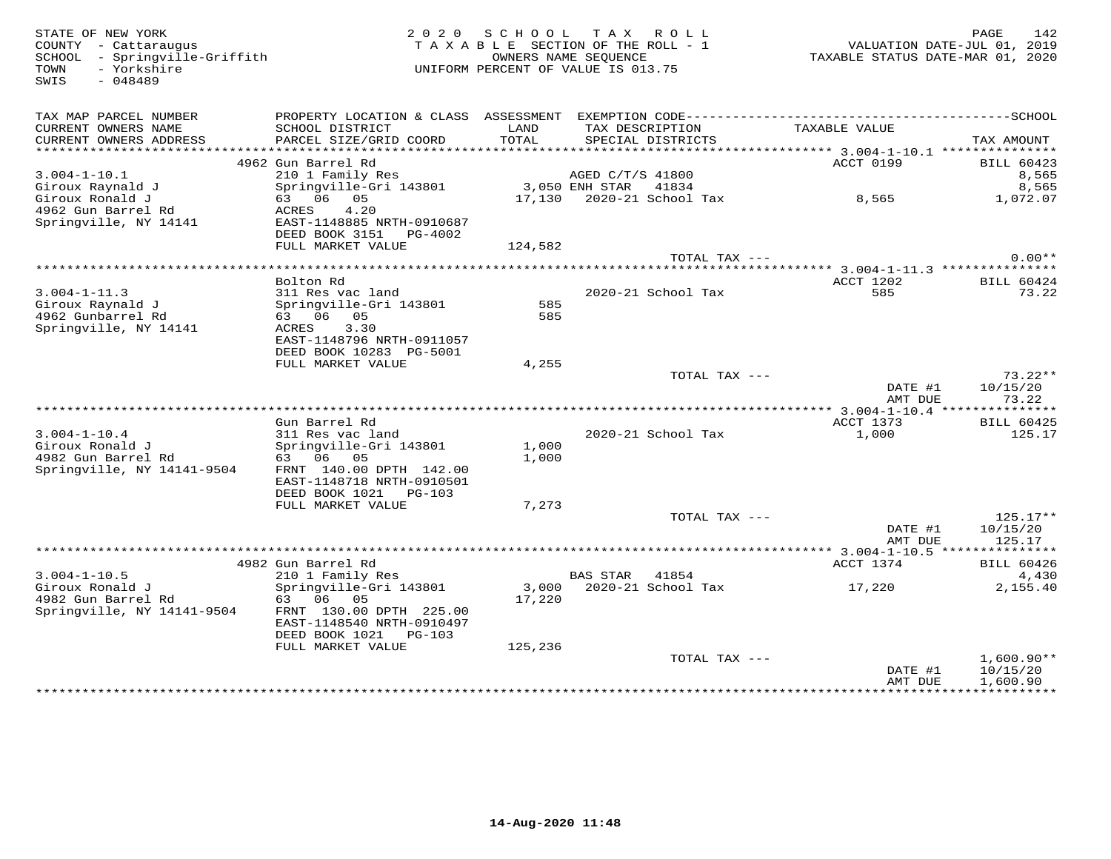STATE OF NEW YORK 2 0 2 0 S C H O O L T A X R O L L PAGE 142 COUNTY - Cattaraugus T A X A B L E SECTION OF THE ROLL - 1 VALUATION DATE-JUL 01, 2019 SCHOOL - Springville-Griffith OWNERS NAME SEQUENCE TAXABLE STATUS DATE-MAR 01, 2020 TOWN - Yorkshire UNIFORM PERCENT OF VALUE IS 013.75SWIS - 048489 TAX MAP PARCEL NUMBER PROPERTY LOCATION & CLASS ASSESSMENT EXEMPTION CODE------------------------------------------SCHOOL CURRENT OWNERS NAME SCHOOL DISTRICT LAND TAX DESCRIPTION TAXABLE VALUE CURRENT OWNERS ADDRESS PARCEL SIZE/GRID COORD TOTAL SPECIAL DISTRICTS TAX AMOUNT \*\*\*\*\*\*\*\*\*\*\*\*\*\*\*\*\*\*\*\*\*\*\*\*\*\*\*\*\*\*\*\*\*\*\*\*\*\*\*\*\*\*\*\*\*\*\*\*\*\*\*\*\*\*\*\*\*\*\*\*\*\*\*\*\*\*\*\*\*\*\*\*\*\*\*\*\*\*\*\*\*\*\*\*\*\*\*\*\*\*\*\*\*\*\*\*\*\*\*\*\*\*\* 3.004-1-10.1 \*\*\*\*\*\*\*\*\*\*\*\*\*\*\* 4962 Gun Barrel Rd ACCT 0199 BILL 60423 3.004-1-10.1 210 1 Family Res AGED C/T/S 41800 8,565 Giroux Raynald J Springville-Gri 143801 3,050 ENH STAR 41834 8,565 Giroux Ronald J 63 06 05 17,130 2020-21 School Tax 8,565 1,072.07 4962 Gun Barrel Rd ACRES 4.20 Springville, NY 14141 EAST-1148885 NRTH-0910687 DEED BOOK 3151 PG-4002FULL MARKET VALUE 124,582 TOTAL TAX --- 0.00\*\* \*\*\*\*\*\*\*\*\*\*\*\*\*\*\*\*\*\*\*\*\*\*\*\*\*\*\*\*\*\*\*\*\*\*\*\*\*\*\*\*\*\*\*\*\*\*\*\*\*\*\*\*\*\*\*\*\*\*\*\*\*\*\*\*\*\*\*\*\*\*\*\*\*\*\*\*\*\*\*\*\*\*\*\*\*\*\*\*\*\*\*\*\*\*\*\*\*\*\*\*\*\*\* 3.004-1-11.3 \*\*\*\*\*\*\*\*\*\*\*\*\*\*\* Bolton Rd ACCT 1202 BILL 604243.004-1-11.3 311 Res vac land 2020-21 School Tax 585 73.22Giroux Raynald J Springville-Gri 143801 585 4962 Gunbarrel Rd 63 06 05 585 Springville, NY 14141 ACRES 3.30 EAST-1148796 NRTH-0911057 DEED BOOK 10283 PG-5001 FULL MARKET VALUE 4,255 TOTAL TAX --- 73.22\*\* DATE #1 10/15/20 AMT DUE 73.22 \*\*\*\*\*\*\*\*\*\*\*\*\*\*\*\*\*\*\*\*\*\*\*\*\*\*\*\*\*\*\*\*\*\*\*\*\*\*\*\*\*\*\*\*\*\*\*\*\*\*\*\*\*\*\*\*\*\*\*\*\*\*\*\*\*\*\*\*\*\*\*\*\*\*\*\*\*\*\*\*\*\*\*\*\*\*\*\*\*\*\*\*\*\*\*\*\*\*\*\*\*\*\* 3.004-1-10.4 \*\*\*\*\*\*\*\*\*\*\*\*\*\*\*ACCT 1373 BILL 60425 Gun Barrel Rd ACCT 1373 BILL 60425125.17 3.004-1-10.4 311 Res vac land 2020-21 School Tax 1,000 125.17Giroux Ronald J Springville-Gri 143801 1,000 4982 Gun Barrel Rd 63 06 05 1,000 Springville, NY 14141-9504 FRNT 140.00 DPTH 142.00 EAST-1148718 NRTH-0910501 DEED BOOK 1021 PG-103 FULL MARKET VALUE 7,273 TOTAL TAX --- 125.17\*\* $\text{DATE}$ #1  $10/15/20$ AMT DUE 125.17 AMT DUE 125.17 \*\*\*\*\*\*\*\*\*\*\*\*\*\*\*\*\*\*\*\*\*\*\*\*\*\*\*\*\*\*\*\*\*\*\*\*\*\*\*\*\*\*\*\*\*\*\*\*\*\*\*\*\*\*\*\*\*\*\*\*\*\*\*\*\*\*\*\*\*\*\*\*\*\*\*\*\*\*\*\*\*\*\*\*\*\*\*\*\*\*\*\*\*\*\*\*\*\*\*\*\*\*\* 3.004-1-10.5 \*\*\*\*\*\*\*\*\*\*\*\*\*\*\* 4982 Gun Barrel Rd ACCT 1374 BILL 60426 3.004-1-10.5 210 1 Family Res BAS STAR 41854 4,430 Giroux Ronald J Springville-Gri 143801 3,000 2020-21 School Tax 17,220 2,155.40 4982 Gun Barrel Rd 63 06 05 17,220 Springville, NY 14141-9504 FRNT 130.00 DPTH 225.00 EAST-1148540 NRTH-0910497 DEED BOOK 1021 PG-103 FULL MARKET VALUE 125,236 TOTAL TAX --- 1,600.90\*\*DATE #1 10/15/20 AMT DUE 1,600.90

\*\*\*\*\*\*\*\*\*\*\*\*\*\*\*\*\*\*\*\*\*\*\*\*\*\*\*\*\*\*\*\*\*\*\*\*\*\*\*\*\*\*\*\*\*\*\*\*\*\*\*\*\*\*\*\*\*\*\*\*\*\*\*\*\*\*\*\*\*\*\*\*\*\*\*\*\*\*\*\*\*\*\*\*\*\*\*\*\*\*\*\*\*\*\*\*\*\*\*\*\*\*\*\*\*\*\*\*\*\*\*\*\*\*\*\*\*\*\*\*\*\*\*\*\*\*\*\*\*\*\*\*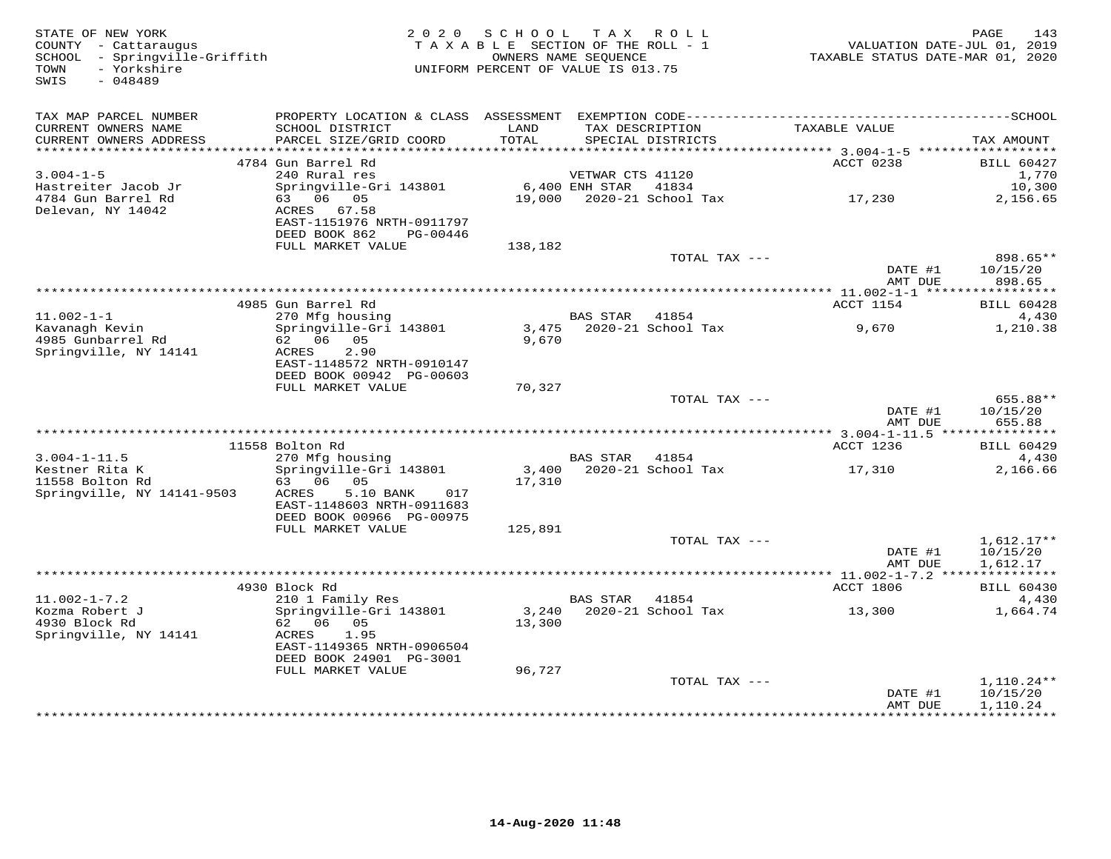| STATE OF NEW YORK<br>COUNTY - Cattaraugus<br>SCHOOL - Springville-Griffith<br>- Yorkshire<br>TOWN<br>$-048489$<br>SWIS | 2 0 2 0                                                                                      | SCHOOL<br>TAXABLE SECTION OF THE ROLL - 1<br>UNIFORM PERCENT OF VALUE IS 013.75 | OWNERS NAME SEQUENCE | TAX ROLL                             | TAXABLE STATUS DATE-MAR 01, 2020 | PAGE<br>143<br>VALUATION DATE-JUL 01, 2019 |
|------------------------------------------------------------------------------------------------------------------------|----------------------------------------------------------------------------------------------|---------------------------------------------------------------------------------|----------------------|--------------------------------------|----------------------------------|--------------------------------------------|
| TAX MAP PARCEL NUMBER                                                                                                  | PROPERTY LOCATION & CLASS ASSESSMENT EXEMPTION CODE-----------------------------------SCHOOL |                                                                                 |                      |                                      |                                  |                                            |
| CURRENT OWNERS NAME<br>CURRENT OWNERS ADDRESS<br>***********************                                               | SCHOOL DISTRICT<br>PARCEL SIZE/GRID COORD                                                    | LAND<br>TOTAL                                                                   |                      | TAX DESCRIPTION<br>SPECIAL DISTRICTS | TAXABLE VALUE                    | TAX AMOUNT                                 |
|                                                                                                                        | 4784 Gun Barrel Rd                                                                           |                                                                                 |                      |                                      | ACCT 0238                        | <b>BILL 60427</b>                          |
| $3.004 - 1 - 5$                                                                                                        | 240 Rural res                                                                                |                                                                                 | VETWAR CTS 41120     |                                      |                                  | 1,770                                      |
| Hastreiter Jacob Jr                                                                                                    | Springville-Gri 143801                                                                       |                                                                                 | 6,400 ENH STAR       | 41834                                |                                  | 10,300                                     |
| 4784 Gun Barrel Rd                                                                                                     | 63 06 05                                                                                     | 19,000                                                                          |                      | 2020-21 School Tax                   | 17,230                           | 2,156.65                                   |
| Delevan, NY 14042                                                                                                      | ACRES<br>67.58<br>EAST-1151976 NRTH-0911797                                                  |                                                                                 |                      |                                      |                                  |                                            |
|                                                                                                                        | DEED BOOK 862<br>PG-00446                                                                    |                                                                                 |                      |                                      |                                  |                                            |
|                                                                                                                        | FULL MARKET VALUE                                                                            | 138,182                                                                         |                      |                                      |                                  |                                            |
|                                                                                                                        |                                                                                              |                                                                                 |                      | TOTAL TAX ---                        |                                  | 898.65**                                   |
|                                                                                                                        |                                                                                              |                                                                                 |                      |                                      | DATE #1<br>AMT DUE               | 10/15/20<br>898.65                         |
|                                                                                                                        |                                                                                              |                                                                                 |                      |                                      | *********** 11.002-1-1 *****     | ***********                                |
|                                                                                                                        | 4985 Gun Barrel Rd                                                                           |                                                                                 |                      |                                      | ACCT 1154                        | <b>BILL 60428</b>                          |
| $11.002 - 1 - 1$                                                                                                       | 270 Mfg housing                                                                              |                                                                                 | <b>BAS STAR</b>      | 41854                                |                                  | 4,430                                      |
| Kavanagh Kevin<br>4985 Gunbarrel Rd                                                                                    | Springville-Gri 143801<br>62 06 05                                                           | 3,475<br>9,670                                                                  |                      | 2020-21 School Tax                   | 9,670                            | 1,210.38                                   |
| Springville, NY 14141                                                                                                  | 2.90<br>ACRES                                                                                |                                                                                 |                      |                                      |                                  |                                            |
|                                                                                                                        | EAST-1148572 NRTH-0910147                                                                    |                                                                                 |                      |                                      |                                  |                                            |
|                                                                                                                        | DEED BOOK 00942 PG-00603                                                                     |                                                                                 |                      |                                      |                                  |                                            |
|                                                                                                                        | FULL MARKET VALUE                                                                            | 70,327                                                                          |                      |                                      |                                  |                                            |
|                                                                                                                        |                                                                                              |                                                                                 |                      | TOTAL TAX ---                        | DATE #1                          | 655.88**<br>10/15/20                       |
|                                                                                                                        |                                                                                              |                                                                                 |                      |                                      | AMT DUE                          | 655.88                                     |
|                                                                                                                        |                                                                                              |                                                                                 |                      |                                      |                                  |                                            |
|                                                                                                                        | 11558 Bolton Rd                                                                              |                                                                                 |                      |                                      | ACCT 1236                        | <b>BILL 60429</b>                          |
| $3.004 - 1 - 11.5$<br>Kestner Rita K                                                                                   | 270 Mfg housing<br>Springville-Gri 143801                                                    |                                                                                 | BAS STAR             | 41854<br>3,400 2020-21 School Tax    |                                  | 4,430<br>2,166.66                          |
| 11558 Bolton Rd                                                                                                        | 63 06<br>05                                                                                  | 17,310                                                                          |                      |                                      | 17,310                           |                                            |
| Springville, NY 14141-9503                                                                                             | 5.10 BANK<br>ACRES<br>017                                                                    |                                                                                 |                      |                                      |                                  |                                            |
|                                                                                                                        | EAST-1148603 NRTH-0911683                                                                    |                                                                                 |                      |                                      |                                  |                                            |
|                                                                                                                        | DEED BOOK 00966 PG-00975                                                                     |                                                                                 |                      |                                      |                                  |                                            |
|                                                                                                                        | FULL MARKET VALUE                                                                            | 125,891                                                                         |                      | TOTAL TAX ---                        |                                  | $1,612.17**$                               |
|                                                                                                                        |                                                                                              |                                                                                 |                      |                                      | DATE #1                          | 10/15/20                                   |
|                                                                                                                        |                                                                                              |                                                                                 |                      |                                      | AMT DUE                          | 1,612.17                                   |
|                                                                                                                        |                                                                                              |                                                                                 |                      |                                      |                                  |                                            |
|                                                                                                                        | 4930 Block Rd                                                                                |                                                                                 |                      |                                      | ACCT 1806                        | <b>BILL 60430</b>                          |
| $11.002 - 1 - 7.2$<br>Kozma Robert J                                                                                   | 210 1 Family Res<br>Springville-Gri 143801                                                   | 3,240                                                                           | <b>BAS STAR</b>      | 41854<br>2020-21 School Tax          | 13,300                           | 4,430<br>1,664.74                          |
| 4930 Block Rd                                                                                                          | 62 06 05                                                                                     | 13,300                                                                          |                      |                                      |                                  |                                            |
| Springville, NY 14141                                                                                                  | 1.95<br>ACRES                                                                                |                                                                                 |                      |                                      |                                  |                                            |
|                                                                                                                        | EAST-1149365 NRTH-0906504                                                                    |                                                                                 |                      |                                      |                                  |                                            |
|                                                                                                                        | DEED BOOK 24901 PG-3001<br>FULL MARKET VALUE                                                 | 96,727                                                                          |                      |                                      |                                  |                                            |
|                                                                                                                        |                                                                                              |                                                                                 |                      | TOTAL TAX ---                        |                                  | 1,110.24**                                 |
|                                                                                                                        |                                                                                              |                                                                                 |                      |                                      | DATE #1                          | 10/15/20                                   |
|                                                                                                                        |                                                                                              |                                                                                 |                      |                                      | AMT DUE<br>*************         | 1,110.24<br>* * * * * * * * * * *          |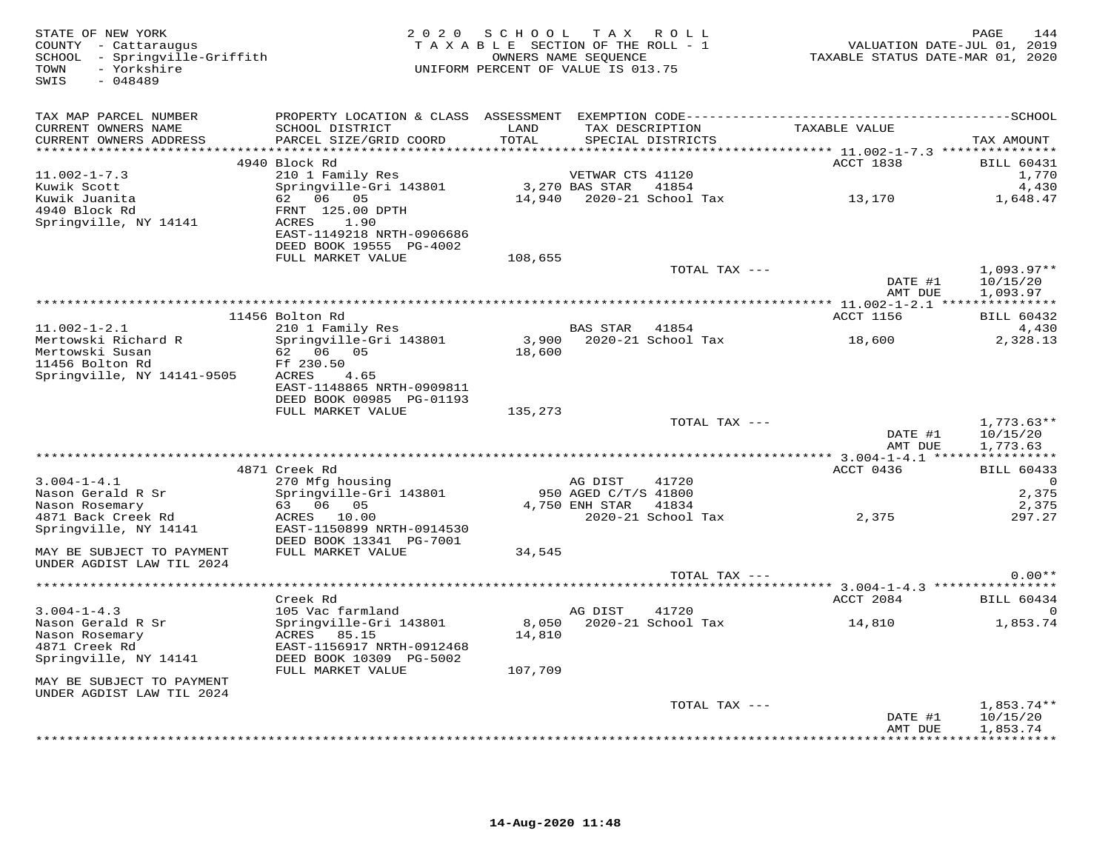| STATE OF NEW YORK<br>COUNTY - Cattaraugus<br>SCHOOL - Springville-Griffith<br>- Yorkshire<br>TOWN<br>SWIS<br>$-048489$ |                                                              | 2020 SCHOOL TAX ROLL<br>UNIFORM PERCENT OF VALUE IS 013.75 |                                 | TAXABLE SECTION OF THE ROLL - 1<br>OWNERS NAME SEQUENCE | 14-4 - 14-4.<br>VALUATION DATE-JUL 01, 2019<br>TAXABLE STATUS DATE-MAR 01, 2020 | PAGE<br>144          |
|------------------------------------------------------------------------------------------------------------------------|--------------------------------------------------------------|------------------------------------------------------------|---------------------------------|---------------------------------------------------------|---------------------------------------------------------------------------------|----------------------|
| TAX MAP PARCEL NUMBER                                                                                                  |                                                              |                                                            |                                 |                                                         |                                                                                 |                      |
| CURRENT OWNERS NAME<br>CURRENT OWNERS ADDRESS                                                                          | SCHOOL DISTRICT<br>PARCEL SIZE/GRID COORD                    | LAND<br>TOTAL                                              |                                 | TAX DESCRIPTION<br>SPECIAL DISTRICTS                    | TAXABLE VALUE                                                                   | TAX AMOUNT           |
|                                                                                                                        | 4940 Block Rd                                                |                                                            |                                 |                                                         | ACCT 1838                                                                       | <b>BILL 60431</b>    |
| $11.002 - 1 - 7.3$                                                                                                     | 210 1 Family Res                                             |                                                            | VETWAR CTS 41120                |                                                         |                                                                                 | 1,770                |
| Kuwik Scott                                                                                                            | Springville-Gri 143801                                       |                                                            | 3,270 BAS STAR 41854            |                                                         |                                                                                 | 4,430                |
| Kuwik Juanita<br>4940 Block Rd                                                                                         | 62 06 05                                                     |                                                            |                                 |                                                         | 14,940 2020-21 School Tax 13,170                                                | 1,648.47             |
| Springville, NY 14141                                                                                                  | FRNT 125.00 DPTH<br>ACRES 1.90                               |                                                            |                                 |                                                         |                                                                                 |                      |
|                                                                                                                        | EAST-1149218 NRTH-0906686                                    |                                                            |                                 |                                                         |                                                                                 |                      |
|                                                                                                                        | DEED BOOK 19555 PG-4002                                      |                                                            |                                 |                                                         |                                                                                 |                      |
|                                                                                                                        | FULL MARKET VALUE                                            | 108,655                                                    |                                 |                                                         |                                                                                 |                      |
|                                                                                                                        |                                                              |                                                            |                                 | TOTAL TAX ---                                           |                                                                                 | $1,093.97**$         |
|                                                                                                                        |                                                              |                                                            |                                 |                                                         | DATE #1<br>AMT DUE                                                              | 10/15/20<br>1,093.97 |
|                                                                                                                        |                                                              |                                                            |                                 |                                                         |                                                                                 |                      |
|                                                                                                                        | 11456 Bolton Rd                                              |                                                            |                                 |                                                         | ACCT 1156                                                                       | <b>BILL 60432</b>    |
| $11.002 - 1 - 2.1$                                                                                                     | 210 1 Family Res                                             |                                                            | BAS STAR 41854                  |                                                         |                                                                                 | 4,430                |
| Mertowski Richard R<br>Mertowski Susan                                                                                 | Springville-Gri 143801<br>62 06 05                           | 18,600                                                     |                                 | $3,900$ $2020-21$ School Tax                            | 18,600                                                                          | 2,328.13             |
| 11456 Bolton Rd                                                                                                        | Ff 230.50                                                    |                                                            |                                 |                                                         |                                                                                 |                      |
| Springville, NY 14141-9505                                                                                             | ACRES 4.65                                                   |                                                            |                                 |                                                         |                                                                                 |                      |
|                                                                                                                        | EAST-1148865 NRTH-0909811                                    |                                                            |                                 |                                                         |                                                                                 |                      |
|                                                                                                                        | DEED BOOK 00985 PG-01193                                     |                                                            |                                 |                                                         |                                                                                 |                      |
|                                                                                                                        | FULL MARKET VALUE                                            | 135,273                                                    |                                 | TOTAL TAX ---                                           |                                                                                 | $1,773.63**$         |
|                                                                                                                        |                                                              |                                                            |                                 |                                                         | DATE #1                                                                         | 10/15/20             |
|                                                                                                                        |                                                              |                                                            |                                 |                                                         | AMT DUE                                                                         | 1,773.63             |
|                                                                                                                        |                                                              |                                                            |                                 |                                                         |                                                                                 |                      |
|                                                                                                                        | 4871 Creek Rd                                                |                                                            |                                 |                                                         | ACCT 0436                                                                       | <b>BILL 60433</b>    |
| $3.004 - 1 - 4.1$<br>Nason Gerald R Sr                                                                                 | 270 Mfg housing<br>270 Mrg Housing<br>Springville-Gri 143801 |                                                            | AG DIST<br>950 AGED C/T/S 41800 | 41720                                                   |                                                                                 | $\circ$<br>2,375     |
| Nason Rosemary                                                                                                         | $63$ 06 05                                                   |                                                            | 4,750 ENH STAR 41834            |                                                         |                                                                                 | 2,375                |
| 4871 Back Creek Rd                                                                                                     | ACRES 10.00                                                  |                                                            |                                 |                                                         | NH STAR 41834<br>2020-21 School Tax 2,375                                       | 297.27               |
| Springville, NY 14141                                                                                                  | EAST-1150899 NRTH-0914530                                    |                                                            |                                 |                                                         |                                                                                 |                      |
| MAY BE SUBJECT TO PAYMENT                                                                                              | DEED BOOK 13341 PG-7001<br>FULL MARKET VALUE                 | 34,545                                                     |                                 |                                                         |                                                                                 |                      |
| UNDER AGDIST LAW TIL 2024                                                                                              |                                                              |                                                            |                                 |                                                         |                                                                                 |                      |
|                                                                                                                        |                                                              |                                                            |                                 | TOTAL TAX ---                                           |                                                                                 | $0.00**$             |
|                                                                                                                        |                                                              |                                                            |                                 |                                                         |                                                                                 |                      |
|                                                                                                                        | Creek Rd                                                     |                                                            |                                 |                                                         | ACCT 2084                                                                       | <b>BILL 60434</b>    |
| $3.004 - 1 - 4.3$<br>Nason Gerald R Sr                                                                                 | 105 Vac farmland<br>springville-Gri 143801                   |                                                            | AG DIST                         | 41720                                                   | 8,050 2020-21 School Tax 14,810                                                 | 1,853.74             |
| Nason Rosemary                                                                                                         | ACRES 85.15                                                  | 14,810                                                     |                                 |                                                         |                                                                                 |                      |
| 4871 Creek Rd                                                                                                          | EAST-1156917 NRTH-0912468                                    |                                                            |                                 |                                                         |                                                                                 |                      |
| Springville, NY 14141                                                                                                  | DEED BOOK 10309 PG-5002                                      |                                                            |                                 |                                                         |                                                                                 |                      |
|                                                                                                                        | FULL MARKET VALUE                                            | 107,709                                                    |                                 |                                                         |                                                                                 |                      |
| MAY BE SUBJECT TO PAYMENT<br>UNDER AGDIST LAW TIL 2024                                                                 |                                                              |                                                            |                                 |                                                         |                                                                                 |                      |
|                                                                                                                        |                                                              |                                                            |                                 | TOTAL TAX ---                                           |                                                                                 | $1,853.74**$         |
|                                                                                                                        |                                                              |                                                            |                                 |                                                         | DATE #1                                                                         | 10/15/20             |
|                                                                                                                        |                                                              |                                                            |                                 |                                                         | AMT DUE                                                                         | 1,853.74             |
|                                                                                                                        |                                                              |                                                            |                                 |                                                         |                                                                                 |                      |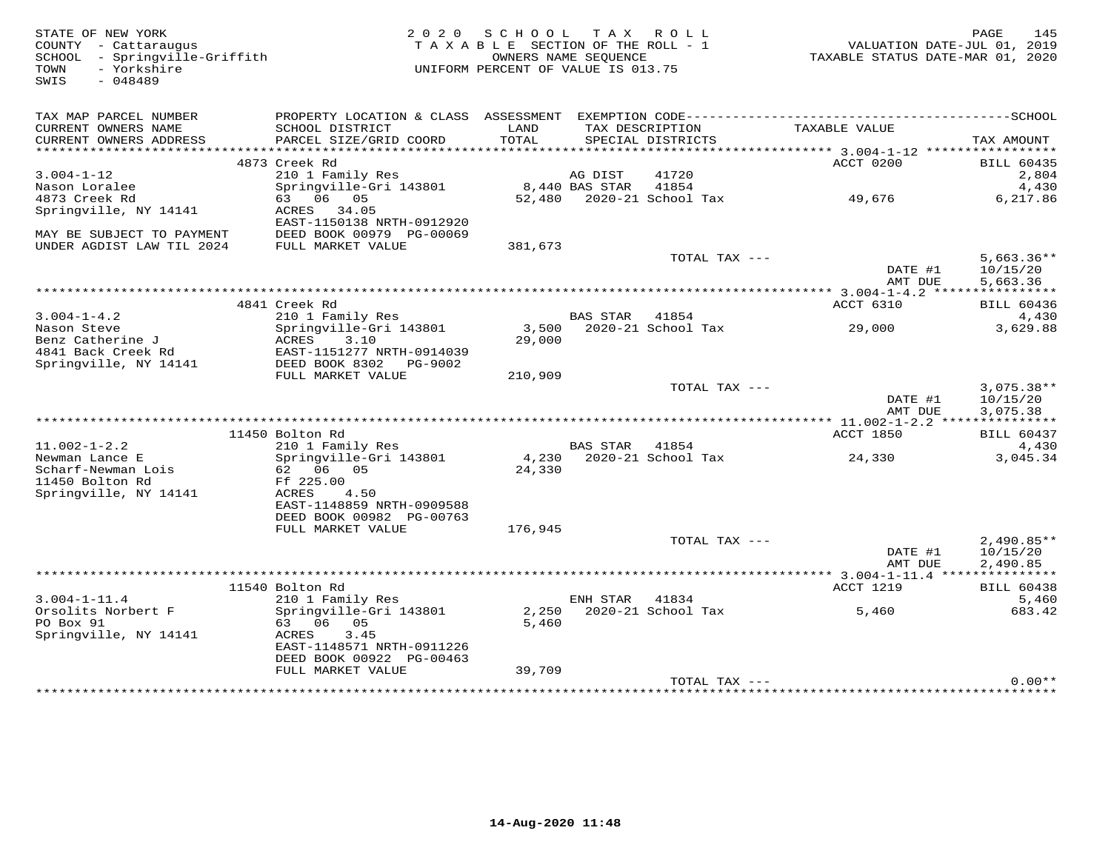| STATE OF NEW YORK<br>COUNTY - Cattaraugus<br>SCHOOL - Springville-Griffith<br>- Yorkshire<br>TOWN<br>SWIS<br>$-048489$ | 2 0 2 0                                                                     | S C H O O L<br>TAXABLE SECTION OF THE ROLL - 1<br>OWNERS NAME SEQUENCE<br>UNIFORM PERCENT OF VALUE IS 013.75 |                 | TAX ROLL                             |                                                        | 145<br>PAGE<br>VALUATION DATE-JUL 01, 2019<br>TAXABLE STATUS DATE-MAR 01, 2020 |
|------------------------------------------------------------------------------------------------------------------------|-----------------------------------------------------------------------------|--------------------------------------------------------------------------------------------------------------|-----------------|--------------------------------------|--------------------------------------------------------|--------------------------------------------------------------------------------|
| TAX MAP PARCEL NUMBER                                                                                                  | PROPERTY LOCATION & CLASS ASSESSMENT EXEMPTION CODE------------------------ |                                                                                                              |                 |                                      |                                                        | -----------------SCHOOL                                                        |
| CURRENT OWNERS NAME<br>CURRENT OWNERS ADDRESS                                                                          | SCHOOL DISTRICT<br>PARCEL SIZE/GRID COORD                                   | LAND<br>TOTAL                                                                                                |                 | TAX DESCRIPTION<br>SPECIAL DISTRICTS | TAXABLE VALUE                                          | TAX AMOUNT                                                                     |
|                                                                                                                        |                                                                             |                                                                                                              |                 |                                      |                                                        |                                                                                |
|                                                                                                                        | 4873 Creek Rd                                                               |                                                                                                              |                 |                                      | ACCT 0200                                              | <b>BILL 60435</b>                                                              |
| $3.004 - 1 - 12$                                                                                                       | 210 1 Family Res                                                            |                                                                                                              | AG DIST         | 41720                                |                                                        | 2,804                                                                          |
| Nason Loralee                                                                                                          | Springville-Gri 143801                                                      |                                                                                                              | 8,440 BAS STAR  | 41854                                |                                                        | 4,430                                                                          |
| 4873 Creek Rd                                                                                                          | 63 06 05                                                                    |                                                                                                              |                 | 52,480 2020-21 School Tax            | 49,676                                                 | 6,217.86                                                                       |
| Springville, NY 14141                                                                                                  | ACRES 34.05                                                                 |                                                                                                              |                 |                                      |                                                        |                                                                                |
|                                                                                                                        | EAST-1150138 NRTH-0912920                                                   |                                                                                                              |                 |                                      |                                                        |                                                                                |
| MAY BE SUBJECT TO PAYMENT                                                                                              | DEED BOOK 00979 PG-00069                                                    |                                                                                                              |                 |                                      |                                                        |                                                                                |
| UNDER AGDIST LAW TIL 2024                                                                                              | FULL MARKET VALUE                                                           | 381,673                                                                                                      |                 |                                      |                                                        |                                                                                |
|                                                                                                                        |                                                                             |                                                                                                              |                 | TOTAL TAX ---                        | DATE #1                                                | $5,663.36**$<br>10/15/20                                                       |
|                                                                                                                        |                                                                             |                                                                                                              |                 |                                      | AMT DUE                                                | 5,663.36                                                                       |
|                                                                                                                        |                                                                             |                                                                                                              |                 |                                      |                                                        |                                                                                |
|                                                                                                                        | 4841 Creek Rd                                                               |                                                                                                              |                 |                                      | ACCT 6310                                              | <b>BILL 60436</b>                                                              |
| $3.004 - 1 - 4.2$                                                                                                      | 210 1 Family Res                                                            |                                                                                                              | <b>BAS STAR</b> | 41854                                |                                                        | 4,430                                                                          |
| Nason Steve                                                                                                            | Springville-Gri 143801                                                      |                                                                                                              |                 | 3,500 2020-21 School Tax             | 29,000                                                 | 3,629.88                                                                       |
| Benz Catherine J                                                                                                       | ACRES<br>3.10                                                               | 29,000                                                                                                       |                 |                                      |                                                        |                                                                                |
| 4841 Back Creek Rd                                                                                                     | EAST-1151277 NRTH-0914039                                                   |                                                                                                              |                 |                                      |                                                        |                                                                                |
| Springville, NY 14141                                                                                                  | DEED BOOK 8302 PG-9002                                                      |                                                                                                              |                 |                                      |                                                        |                                                                                |
|                                                                                                                        | FULL MARKET VALUE                                                           | 210,909                                                                                                      |                 |                                      |                                                        |                                                                                |
|                                                                                                                        |                                                                             |                                                                                                              |                 | TOTAL TAX ---                        | DATE #1                                                | $3,075.38**$<br>10/15/20                                                       |
|                                                                                                                        |                                                                             |                                                                                                              |                 |                                      | AMT DUE                                                | 3,075.38                                                                       |
|                                                                                                                        |                                                                             |                                                                                                              |                 |                                      | $******************* 11.002-1-2.2********************$ |                                                                                |
|                                                                                                                        | 11450 Bolton Rd                                                             |                                                                                                              |                 |                                      | ACCT 1850                                              | <b>BILL 60437</b>                                                              |
| $11.002 - 1 - 2.2$                                                                                                     | 210 1 Family Res                                                            |                                                                                                              | <b>BAS STAR</b> | 41854                                |                                                        | 4,430                                                                          |
| Newman Lance E                                                                                                         | Springville-Gri 143801                                                      | 4,230                                                                                                        |                 | 2020-21 School Tax                   | 24,330                                                 | 3,045.34                                                                       |
| Scharf-Newman Lois<br>11450 Bolton Rd                                                                                  | 62 06 05<br>Ff 225.00                                                       | 24,330                                                                                                       |                 |                                      |                                                        |                                                                                |
| Springville, NY 14141                                                                                                  | ACRES<br>4.50                                                               |                                                                                                              |                 |                                      |                                                        |                                                                                |
|                                                                                                                        | EAST-1148859 NRTH-0909588                                                   |                                                                                                              |                 |                                      |                                                        |                                                                                |
|                                                                                                                        | DEED BOOK 00982 PG-00763                                                    |                                                                                                              |                 |                                      |                                                        |                                                                                |
|                                                                                                                        | FULL MARKET VALUE                                                           | 176,945                                                                                                      |                 |                                      |                                                        |                                                                                |
|                                                                                                                        |                                                                             |                                                                                                              |                 | TOTAL TAX ---                        |                                                        | $2,490.85**$                                                                   |
|                                                                                                                        |                                                                             |                                                                                                              |                 |                                      | DATE #1                                                | 10/15/20                                                                       |
|                                                                                                                        |                                                                             |                                                                                                              |                 |                                      | AMT DUE                                                | 2,490.85                                                                       |
|                                                                                                                        |                                                                             |                                                                                                              |                 |                                      |                                                        |                                                                                |
|                                                                                                                        | 11540 Bolton Rd                                                             |                                                                                                              |                 |                                      | ACCT 1219                                              | <b>BILL 60438</b>                                                              |
| $3.004 - 1 - 11.4$                                                                                                     | 210 1 Family Res                                                            |                                                                                                              | ENH STAR        | 41834                                |                                                        | 5,460                                                                          |
| Orsolits Norbert F                                                                                                     | Springville-Gri 143801                                                      | 2,250                                                                                                        |                 | 2020-21 School Tax                   | 5,460                                                  | 683.42                                                                         |
| PO Box 91                                                                                                              | 63 06 05                                                                    | 5,460                                                                                                        |                 |                                      |                                                        |                                                                                |
| Springville, NY 14141                                                                                                  | ACRES<br>3.45<br>EAST-1148571 NRTH-0911226                                  |                                                                                                              |                 |                                      |                                                        |                                                                                |
|                                                                                                                        | DEED BOOK 00922 PG-00463                                                    |                                                                                                              |                 |                                      |                                                        |                                                                                |
|                                                                                                                        | FULL MARKET VALUE                                                           | 39,709                                                                                                       |                 |                                      |                                                        |                                                                                |
|                                                                                                                        |                                                                             |                                                                                                              |                 | TOTAL TAX ---                        |                                                        | $0.00**$                                                                       |
|                                                                                                                        |                                                                             |                                                                                                              |                 |                                      |                                                        |                                                                                |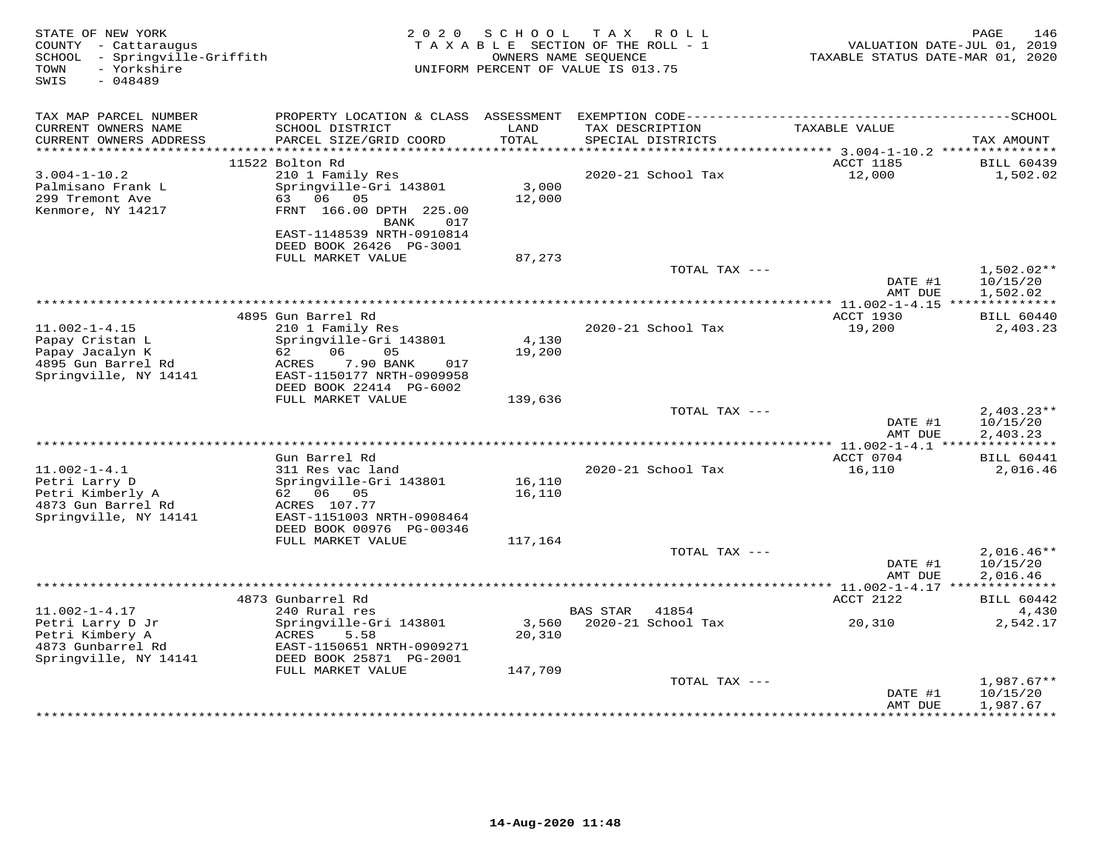| STATE OF NEW YORK<br>COUNTY - Cattaraugus<br>SCHOOL - Springville-Griffith<br>- Yorkshire<br>TOWN<br>$-048489$<br>SWIS |                                                                                                                 | 2020 SCHOOL     | TAX ROLL<br>TAXABLE SECTION OF THE ROLL - 1<br>OWNERS NAME SEQUENCE<br>UNIFORM PERCENT OF VALUE IS 013.75 | VALUATION DATE-JUL 01, 2019<br>TAXABLE STATUS DATE-MAR 01, 2020 | <b>PAGE</b><br>146            |
|------------------------------------------------------------------------------------------------------------------------|-----------------------------------------------------------------------------------------------------------------|-----------------|-----------------------------------------------------------------------------------------------------------|-----------------------------------------------------------------|-------------------------------|
| TAX MAP PARCEL NUMBER<br>CURRENT OWNERS NAME                                                                           | PROPERTY LOCATION & CLASS ASSESSMENT EXEMPTION CODE-----------------------------------SCHOOL<br>SCHOOL DISTRICT | LAND            | TAX DESCRIPTION                                                                                           | TAXABLE VALUE                                                   |                               |
| CURRENT OWNERS ADDRESS                                                                                                 | PARCEL SIZE/GRID COORD                                                                                          | TOTAL           | SPECIAL DISTRICTS                                                                                         |                                                                 | TAX AMOUNT                    |
| ***********************                                                                                                |                                                                                                                 |                 |                                                                                                           |                                                                 |                               |
| $3.004 - 1 - 10.2$                                                                                                     | 11522 Bolton Rd<br>210 1 Family Res                                                                             |                 | 2020-21 School Tax                                                                                        | ACCT 1185<br>12,000                                             | <b>BILL 60439</b><br>1,502.02 |
| Palmisano Frank L                                                                                                      | Springville-Gri 143801                                                                                          | 3,000           |                                                                                                           |                                                                 |                               |
| 299 Tremont Ave                                                                                                        | 63 06 05                                                                                                        | 12,000          |                                                                                                           |                                                                 |                               |
| Kenmore, NY 14217                                                                                                      | FRNT 166.00 DPTH 225.00<br>BANK 017                                                                             |                 |                                                                                                           |                                                                 |                               |
|                                                                                                                        | EAST-1148539 NRTH-0910814                                                                                       |                 |                                                                                                           |                                                                 |                               |
|                                                                                                                        | DEED BOOK 26426 PG-3001                                                                                         |                 |                                                                                                           |                                                                 |                               |
|                                                                                                                        | FULL MARKET VALUE                                                                                               | 87,273          | TOTAL TAX ---                                                                                             |                                                                 | $1,502.02**$                  |
|                                                                                                                        |                                                                                                                 |                 |                                                                                                           | DATE #1<br>AMT DUE                                              | 10/15/20<br>1,502.02          |
|                                                                                                                        |                                                                                                                 |                 |                                                                                                           |                                                                 |                               |
|                                                                                                                        | 4895 Gun Barrel Rd                                                                                              |                 |                                                                                                           | ACCT 1930                                                       | BILL 60440                    |
| $11.002 - 1 - 4.15$                                                                                                    | 210 1 Family Res                                                                                                |                 | 2020-21 School Tax                                                                                        | 19,200                                                          | 2,403.23                      |
| Papay Cristan L<br>Papay Jacalyn K                                                                                     | Springville-Gri 143801<br>06<br>05<br>62                                                                        | 4,130<br>19,200 |                                                                                                           |                                                                 |                               |
| 4895 Gun Barrel Rd                                                                                                     | 7.90 BANK<br>ACRES<br>017                                                                                       |                 |                                                                                                           |                                                                 |                               |
| Springville, NY 14141                                                                                                  | EAST-1150177 NRTH-0909958                                                                                       |                 |                                                                                                           |                                                                 |                               |
|                                                                                                                        | DEED BOOK 22414 PG-6002                                                                                         |                 |                                                                                                           |                                                                 |                               |
|                                                                                                                        | FULL MARKET VALUE                                                                                               | 139,636         |                                                                                                           |                                                                 |                               |
|                                                                                                                        |                                                                                                                 |                 | TOTAL TAX ---                                                                                             | DATE #1                                                         | $2,403.23**$<br>10/15/20      |
|                                                                                                                        |                                                                                                                 |                 |                                                                                                           | AMT DUE                                                         | 2,403.23                      |
|                                                                                                                        |                                                                                                                 |                 |                                                                                                           |                                                                 |                               |
|                                                                                                                        | Gun Barrel Rd                                                                                                   |                 |                                                                                                           | ACCT 0704                                                       | <b>BILL 60441</b>             |
| $11.002 - 1 - 4.1$<br>Petri Larry D                                                                                    | 311 Res vac land<br>Springville-Gri 143801                                                                      | 16,110          | 2020-21 School Tax                                                                                        | 16,110                                                          | 2,016.46                      |
| Petri Kimberly A                                                                                                       | 62 06 05                                                                                                        | 16,110          |                                                                                                           |                                                                 |                               |
| 4873 Gun Barrel Rd                                                                                                     | ACRES 107.77                                                                                                    |                 |                                                                                                           |                                                                 |                               |
| Springville, NY 14141                                                                                                  | EAST-1151003 NRTH-0908464                                                                                       |                 |                                                                                                           |                                                                 |                               |
|                                                                                                                        | DEED BOOK 00976 PG-00346                                                                                        |                 |                                                                                                           |                                                                 |                               |
|                                                                                                                        | FULL MARKET VALUE                                                                                               | 117,164         | TOTAL TAX ---                                                                                             |                                                                 | $2,016.46**$                  |
|                                                                                                                        |                                                                                                                 |                 |                                                                                                           | DATE #1                                                         | 10/15/20                      |
|                                                                                                                        |                                                                                                                 |                 |                                                                                                           | AMT DUE                                                         | 2,016.46                      |
|                                                                                                                        |                                                                                                                 |                 |                                                                                                           |                                                                 |                               |
|                                                                                                                        | 4873 Gunbarrel Rd                                                                                               |                 |                                                                                                           | ACCT 2122                                                       | <b>BILL 60442</b>             |
| $11.002 - 1 - 4.17$<br>Petri Larry D Jr                                                                                | 240 Rural res<br>Springville-Gri 143801                                                                         | 3,560           | BAS STAR 41854<br>2020-21 School Tax                                                                      | 20,310                                                          | 4,430<br>2,542.17             |
| Petri Kimbery A                                                                                                        | 5.58<br>ACRES                                                                                                   | 20,310          |                                                                                                           |                                                                 |                               |
| 4873 Gunbarrel Rd                                                                                                      | EAST-1150651 NRTH-0909271                                                                                       |                 |                                                                                                           |                                                                 |                               |
| Springville, NY 14141                                                                                                  | DEED BOOK 25871 PG-2001                                                                                         |                 |                                                                                                           |                                                                 |                               |
|                                                                                                                        | FULL MARKET VALUE                                                                                               | 147,709         |                                                                                                           |                                                                 |                               |
|                                                                                                                        |                                                                                                                 |                 | TOTAL TAX ---                                                                                             | DATE #1                                                         | $1,987.67**$<br>10/15/20      |
|                                                                                                                        |                                                                                                                 |                 |                                                                                                           | AMT DUE                                                         | 1,987.67                      |
|                                                                                                                        | ***********************************                                                                             |                 |                                                                                                           |                                                                 |                               |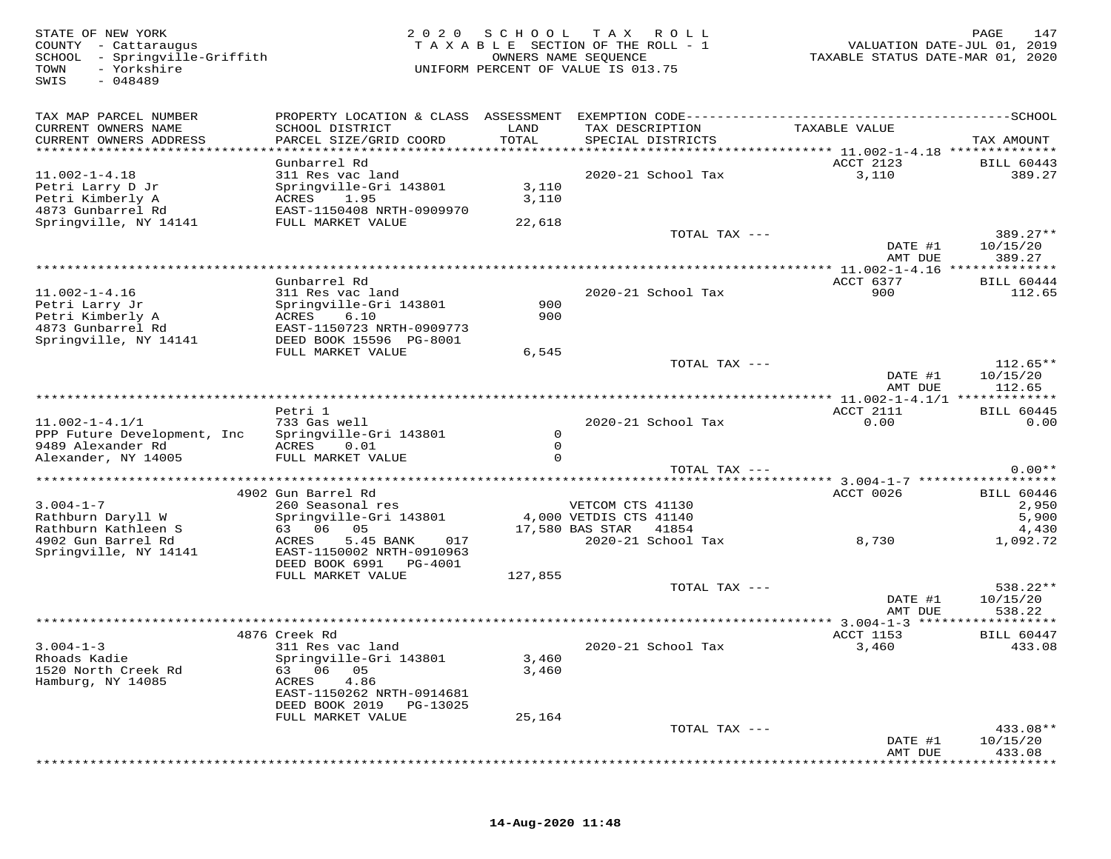| STATE OF NEW YORK<br>COUNTY - Cattaraugus<br>SCHOOL - Springville-Griffith<br>- Yorkshire<br>TOWN<br>$-048489$<br>SWIS | 2 0 2 0                                                                                                                  | S C H O O L             | T A X<br>ROLL<br>TAXABLE SECTION OF THE ROLL - 1<br>OWNERS NAME SEQUENCE<br>UNIFORM PERCENT OF VALUE IS 013.75 | VALUATION DATE-JUL 01, 2019<br>TAXABLE STATUS DATE-MAR 01, 2020 | PAGE<br>147                      |
|------------------------------------------------------------------------------------------------------------------------|--------------------------------------------------------------------------------------------------------------------------|-------------------------|----------------------------------------------------------------------------------------------------------------|-----------------------------------------------------------------|----------------------------------|
| TAX MAP PARCEL NUMBER<br>CURRENT OWNERS NAME<br>CURRENT OWNERS ADDRESS                                                 | SCHOOL DISTRICT<br>PARCEL SIZE/GRID COORD                                                                                | LAND<br>TOTAL           | TAX DESCRIPTION<br>SPECIAL DISTRICTS                                                                           | TAXABLE VALUE                                                   | TAX AMOUNT                       |
|                                                                                                                        |                                                                                                                          |                         |                                                                                                                |                                                                 |                                  |
| $11.002 - 1 - 4.18$<br>Petri Larry D Jr<br>Petri Kimberly A<br>4873 Gunbarrel Rd                                       | Gunbarrel Rd<br>311 Res vac land<br>Springville-Gri 143801<br>1.95<br>ACRES<br>EAST-1150408 NRTH-0909970                 | 3,110<br>3,110          | 2020-21 School Tax                                                                                             | ACCT 2123<br>3,110                                              | <b>BILL 60443</b><br>389.27      |
| Springville, NY 14141                                                                                                  | FULL MARKET VALUE                                                                                                        | 22,618                  |                                                                                                                |                                                                 |                                  |
|                                                                                                                        |                                                                                                                          |                         | TOTAL TAX ---                                                                                                  | DATE #1<br>AMT DUE                                              | $389.27**$<br>10/15/20<br>389.27 |
|                                                                                                                        |                                                                                                                          |                         |                                                                                                                |                                                                 |                                  |
|                                                                                                                        | Gunbarrel Rd                                                                                                             |                         |                                                                                                                | ACCT 6377                                                       | <b>BILL 60444</b>                |
| $11.002 - 1 - 4.16$<br>Petri Larry Jr<br>Petri Kimberly A<br>4873 Gunbarrel Rd                                         | 311 Res vac land<br>Springville-Gri 143801<br>ACRES<br>6.10<br>EAST-1150723 NRTH-0909773                                 | 900<br>900              | 2020-21 School Tax                                                                                             | 900                                                             | 112.65                           |
| Springville, NY 14141                                                                                                  | DEED BOOK 15596 PG-8001<br>FULL MARKET VALUE                                                                             | 6,545                   |                                                                                                                |                                                                 |                                  |
|                                                                                                                        |                                                                                                                          |                         | TOTAL TAX ---                                                                                                  | DATE #1<br>AMT DUE                                              | $112.65**$<br>10/15/20<br>112.65 |
|                                                                                                                        |                                                                                                                          |                         |                                                                                                                | ************ 11.002-1-4.1/1 **************                      |                                  |
| $11.002 - 1 - 4.1/1$<br>PPP Future Development, Inc                                                                    | Petri 1<br>733 Gas well<br>Springville-Gri 143801                                                                        | $\circ$                 | $2020 - 21$ School Tax                                                                                         | ACCT 2111<br>0.00                                               | <b>BILL 60445</b><br>0.00        |
| 9489 Alexander Rd<br>Alexander, NY 14005                                                                               | 0.01<br>ACRES<br>FULL MARKET VALUE                                                                                       | $\mathbf 0$<br>$\Omega$ |                                                                                                                |                                                                 |                                  |
|                                                                                                                        |                                                                                                                          |                         | TOTAL TAX ---                                                                                                  |                                                                 | $0.00**$                         |
|                                                                                                                        |                                                                                                                          |                         |                                                                                                                |                                                                 |                                  |
|                                                                                                                        | 4902 Gun Barrel Rd                                                                                                       |                         |                                                                                                                | ACCT 0026                                                       | <b>BILL 60446</b>                |
| $3.004 - 1 - 7$<br>Rathburn Daryll W                                                                                   | 260 Seasonal res<br>Springville-Gri 143801                                                                               |                         | VETCOM CTS 41130<br>4,000 VETDIS CTS 41140                                                                     |                                                                 | 2,950                            |
| Rathburn Kathleen S                                                                                                    | 63 06 05                                                                                                                 |                         | 17,580 BAS STAR 41854                                                                                          |                                                                 | 5,900<br>4,430                   |
| 4902 Gun Barrel Rd<br>Springville, NY 14141                                                                            | 5.45 BANK<br>ACRES<br>017<br>EAST-1150002 NRTH-0910963<br>DEED BOOK 6991 PG-4001                                         |                         | 2020-21 School Tax                                                                                             | 8,730                                                           | 1,092.72                         |
|                                                                                                                        | FULL MARKET VALUE                                                                                                        | 127,855                 |                                                                                                                |                                                                 |                                  |
|                                                                                                                        |                                                                                                                          |                         | TOTAL TAX ---                                                                                                  | DATE #1<br>AMT DUE                                              | $538.22**$<br>10/15/20<br>538.22 |
|                                                                                                                        |                                                                                                                          |                         |                                                                                                                |                                                                 |                                  |
| $3.004 - 1 - 3$<br>Rhoads Kadie<br>1520 North Creek Rd<br>Hamburg, NY 14085                                            | 4876 Creek Rd<br>311 Res vac land<br>Springville-Gri 143801<br>63 06<br>05<br>4.86<br>ACRES<br>EAST-1150262 NRTH-0914681 | 3,460<br>3,460          | 2020-21 School Tax                                                                                             | ACCT 1153<br>3,460                                              | <b>BILL 60447</b><br>433.08      |
|                                                                                                                        | DEED BOOK 2019<br>PG-13025                                                                                               |                         |                                                                                                                |                                                                 |                                  |
|                                                                                                                        | FULL MARKET VALUE                                                                                                        | 25,164                  |                                                                                                                |                                                                 |                                  |
|                                                                                                                        |                                                                                                                          |                         | TOTAL TAX ---                                                                                                  | DATE #1<br>AMT DUE                                              | 433.08**<br>10/15/20<br>433.08   |

\*\*\*\*\*\*\*\*\*\*\*\*\*\*\*\*\*\*\*\*\*\*\*\*\*\*\*\*\*\*\*\*\*\*\*\*\*\*\*\*\*\*\*\*\*\*\*\*\*\*\*\*\*\*\*\*\*\*\*\*\*\*\*\*\*\*\*\*\*\*\*\*\*\*\*\*\*\*\*\*\*\*\*\*\*\*\*\*\*\*\*\*\*\*\*\*\*\*\*\*\*\*\*\*\*\*\*\*\*\*\*\*\*\*\*\*\*\*\*\*\*\*\*\*\*\*\*\*\*\*\*\*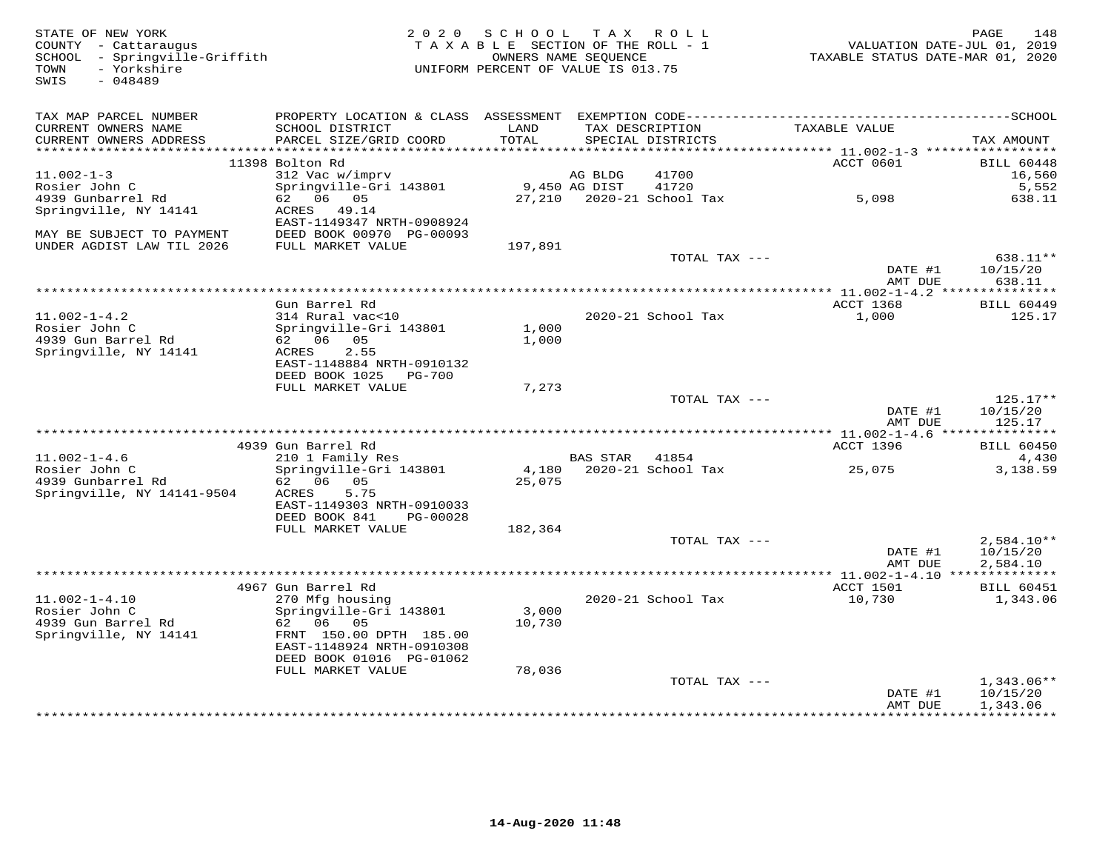| STATE OF NEW YORK<br>COUNTY - Cattaraugus<br>SCHOOL - Springville-Griffith<br>- Yorkshire<br>TOWN<br>$-048489$<br>SWIS |                                                | 2020 SCHOOL<br>TAXABLE SECTION OF THE ROLL - 1<br>OWNERS NAME SEQUENCE<br>UNIFORM PERCENT OF VALUE IS 013.75 | T A X          | R O L L                              | VALUATION DATE-JUL 01, 2019<br>TAXABLE STATUS DATE-MAR 01, 2020 | PAGE       | 148               |
|------------------------------------------------------------------------------------------------------------------------|------------------------------------------------|--------------------------------------------------------------------------------------------------------------|----------------|--------------------------------------|-----------------------------------------------------------------|------------|-------------------|
| TAX MAP PARCEL NUMBER                                                                                                  |                                                |                                                                                                              |                |                                      |                                                                 |            |                   |
| CURRENT OWNERS NAME<br>CURRENT OWNERS ADDRESS                                                                          | SCHOOL DISTRICT<br>PARCEL SIZE/GRID COORD      | LAND<br>TOTAL                                                                                                |                | TAX DESCRIPTION<br>SPECIAL DISTRICTS | TAXABLE VALUE                                                   | TAX AMOUNT |                   |
|                                                                                                                        | 11398 Bolton Rd                                |                                                                                                              |                |                                      | ACCT 0601                                                       |            | <b>BILL 60448</b> |
| $11.002 - 1 - 3$                                                                                                       | 312 Vac w/imprv                                |                                                                                                              | AG BLDG        | 41700                                |                                                                 |            | 16,560            |
| Rosier John C                                                                                                          | Springville-Gri 143801                         |                                                                                                              | 9,450 AG DIST  | 41720                                |                                                                 |            | 5,552             |
| 4939 Gunbarrel Rd                                                                                                      | 62 06 05                                       |                                                                                                              |                | 27,210 2020-21 School Tax            | 5,098                                                           |            | 638.11            |
| Springville, NY 14141                                                                                                  | ACRES 49.14<br>EAST-1149347 NRTH-0908924       |                                                                                                              |                |                                      |                                                                 |            |                   |
| MAY BE SUBJECT TO PAYMENT                                                                                              | DEED BOOK 00970 PG-00093                       |                                                                                                              |                |                                      |                                                                 |            |                   |
| UNDER AGDIST LAW TIL 2026                                                                                              | FULL MARKET VALUE                              | 197,891                                                                                                      |                | TOTAL TAX ---                        |                                                                 |            | 638.11**          |
|                                                                                                                        |                                                |                                                                                                              |                |                                      | DATE #1                                                         | 10/15/20   |                   |
|                                                                                                                        |                                                |                                                                                                              |                |                                      | AMT DUE                                                         |            | 638.11            |
|                                                                                                                        |                                                |                                                                                                              |                |                                      |                                                                 |            |                   |
|                                                                                                                        | Gun Barrel Rd                                  |                                                                                                              |                |                                      | ACCT 1368                                                       |            | <b>BILL 60449</b> |
| $11.002 - 1 - 4.2$<br>Rosier John C                                                                                    | 314 Rural vac<10<br>Springville-Gri 143801     | 1,000                                                                                                        |                | 2020-21 School Tax                   | 1,000                                                           |            | 125.17            |
| 4939 Gun Barrel Rd                                                                                                     | 62 06 05                                       | 1,000                                                                                                        |                |                                      |                                                                 |            |                   |
| Springville, NY 14141                                                                                                  | ACRES<br>2.55                                  |                                                                                                              |                |                                      |                                                                 |            |                   |
|                                                                                                                        | EAST-1148884 NRTH-0910132                      |                                                                                                              |                |                                      |                                                                 |            |                   |
|                                                                                                                        | DEED BOOK 1025<br>PG-700                       |                                                                                                              |                |                                      |                                                                 |            |                   |
|                                                                                                                        | FULL MARKET VALUE                              | 7,273                                                                                                        |                | TOTAL TAX ---                        |                                                                 |            | $125.17**$        |
|                                                                                                                        |                                                |                                                                                                              |                |                                      | DATE #1                                                         | 10/15/20   |                   |
|                                                                                                                        |                                                |                                                                                                              |                |                                      | AMT DUE                                                         |            | 125.17            |
|                                                                                                                        |                                                |                                                                                                              |                |                                      |                                                                 |            |                   |
| $11.002 - 1 - 4.6$                                                                                                     | 4939 Gun Barrel Rd                             |                                                                                                              | BAS STAR 41854 |                                      | ACCT 1396                                                       |            | <b>BILL 60450</b> |
| Rosier John C                                                                                                          | 210 1 Family Res<br>Springville-Gri 143801     |                                                                                                              |                | 4,180 2020-21 School Tax             | 25,075                                                          |            | 4,430<br>3,138.59 |
| 4939 Gunbarrel Rd                                                                                                      | 62 06<br>05                                    | 25,075                                                                                                       |                |                                      |                                                                 |            |                   |
| Springville, NY 14141-9504                                                                                             | ACRES<br>5.75                                  |                                                                                                              |                |                                      |                                                                 |            |                   |
|                                                                                                                        | EAST-1149303 NRTH-0910033                      |                                                                                                              |                |                                      |                                                                 |            |                   |
|                                                                                                                        | DEED BOOK 841<br>PG-00028<br>FULL MARKET VALUE | 182,364                                                                                                      |                |                                      |                                                                 |            |                   |
|                                                                                                                        |                                                |                                                                                                              |                | TOTAL TAX ---                        |                                                                 |            | $2,584.10**$      |
|                                                                                                                        |                                                |                                                                                                              |                |                                      | DATE #1                                                         | 10/15/20   |                   |
|                                                                                                                        |                                                |                                                                                                              |                |                                      | AMT DUE                                                         | 2,584.10   |                   |
|                                                                                                                        |                                                |                                                                                                              |                |                                      |                                                                 |            |                   |
| $11.002 - 1 - 4.10$                                                                                                    | 4967 Gun Barrel Rd                             |                                                                                                              |                |                                      | ACCT 1501                                                       |            | <b>BILL 60451</b> |
| Rosier John C                                                                                                          | 270 Mfg housing<br>Springville-Gri 143801      | 3,000                                                                                                        |                | 2020-21 School Tax                   | 10,730                                                          |            | 1,343.06          |
| 4939 Gun Barrel Rd                                                                                                     | 62<br>06 05                                    | 10,730                                                                                                       |                |                                      |                                                                 |            |                   |
| Springville, NY 14141                                                                                                  | FRNT 150.00 DPTH 185.00                        |                                                                                                              |                |                                      |                                                                 |            |                   |
|                                                                                                                        | EAST-1148924 NRTH-0910308                      |                                                                                                              |                |                                      |                                                                 |            |                   |
|                                                                                                                        | DEED BOOK 01016 PG-01062<br>FULL MARKET VALUE  | 78,036                                                                                                       |                |                                      |                                                                 |            |                   |
|                                                                                                                        |                                                |                                                                                                              |                | TOTAL TAX ---                        |                                                                 |            | $1,343.06**$      |
|                                                                                                                        |                                                |                                                                                                              |                |                                      | DATE #1                                                         | 10/15/20   |                   |
|                                                                                                                        |                                                |                                                                                                              |                |                                      | AMT DUE                                                         | 1,343.06   |                   |
|                                                                                                                        |                                                |                                                                                                              |                |                                      |                                                                 |            |                   |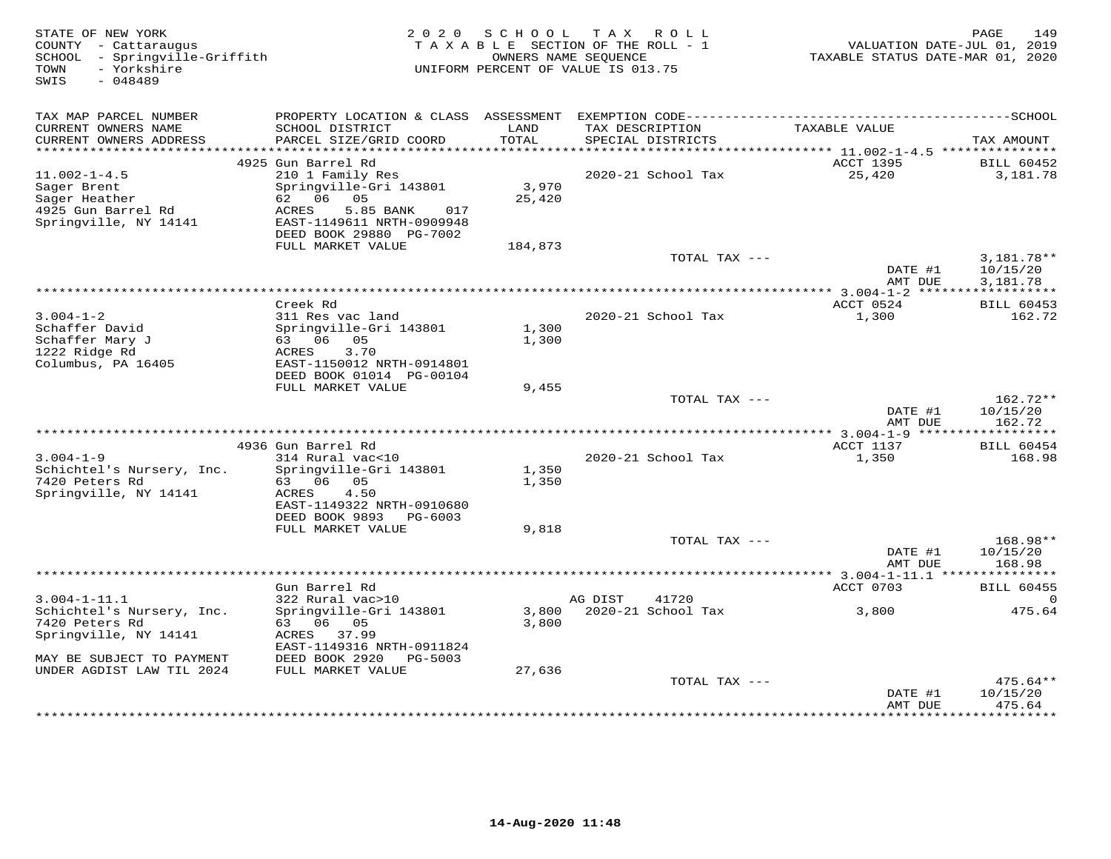| STATE OF NEW YORK<br>COUNTY - Cattaraugus<br>SCHOOL - Springville-Griffith<br>- Yorkshire<br>TOWN<br>SWIS<br>$-048489$ |                                                                                     | 2020 SCHOOL<br>TAXABLE SECTION OF THE ROLL - 1<br>OWNERS NAME SEQUENCE<br>UNIFORM PERCENT OF VALUE IS 013.75 | TAX ROLL |                                      | TAXABLE STATUS DATE-MAR 01, 2020 | 149<br>PAGE<br>VALUATION DATE-JUL 01, 2019 |
|------------------------------------------------------------------------------------------------------------------------|-------------------------------------------------------------------------------------|--------------------------------------------------------------------------------------------------------------|----------|--------------------------------------|----------------------------------|--------------------------------------------|
| TAX MAP PARCEL NUMBER                                                                                                  |                                                                                     |                                                                                                              |          |                                      |                                  |                                            |
| CURRENT OWNERS NAME<br>CURRENT OWNERS ADDRESS<br>***********************                                               | SCHOOL DISTRICT<br>PARCEL SIZE/GRID COORD                                           | LAND<br>TOTAL                                                                                                |          | TAX DESCRIPTION<br>SPECIAL DISTRICTS | TAXABLE VALUE                    | TAX AMOUNT                                 |
|                                                                                                                        | 4925 Gun Barrel Rd                                                                  |                                                                                                              |          |                                      | ACCT 1395                        | <b>BILL 60452</b>                          |
| $11.002 - 1 - 4.5$<br>Sager Brent<br>Sager Heather<br>4925 Gun Barrel Rd                                               | 210 1 Family Res<br>Springville-Gri 143801<br>62 06 05<br>ACRES<br>5.85 BANK<br>017 | 3,970<br>25,420                                                                                              |          | 2020-21 School Tax                   | 25,420                           | 3,181.78                                   |
| Springville, NY 14141                                                                                                  | EAST-1149611 NRTH-0909948<br>DEED BOOK 29880 PG-7002                                |                                                                                                              |          |                                      |                                  |                                            |
|                                                                                                                        | FULL MARKET VALUE                                                                   | 184,873                                                                                                      |          | TOTAL TAX ---                        |                                  | $3,181.78**$                               |
|                                                                                                                        |                                                                                     |                                                                                                              |          |                                      | DATE #1<br>AMT DUE               | 10/15/20<br>3,181.78                       |
|                                                                                                                        |                                                                                     |                                                                                                              |          |                                      |                                  | ***********                                |
|                                                                                                                        | Creek Rd                                                                            |                                                                                                              |          |                                      | ACCT 0524                        | <b>BILL 60453</b>                          |
| $3.004 - 1 - 2$<br>Schaffer David<br>Schaffer Mary J                                                                   | 311 Res vac land<br>Springville-Gri 143801<br>63 06 05                              | 1,300<br>1,300                                                                                               |          | 2020-21 School Tax                   | 1,300                            | 162.72                                     |
| 1222 Ridge Rd<br>Columbus, PA 16405                                                                                    | ACRES<br>3.70<br>EAST-1150012 NRTH-0914801<br>DEED BOOK 01014 PG-00104              |                                                                                                              |          |                                      |                                  |                                            |
|                                                                                                                        | FULL MARKET VALUE                                                                   | 9,455                                                                                                        |          |                                      |                                  |                                            |
|                                                                                                                        |                                                                                     |                                                                                                              |          | TOTAL TAX ---                        | DATE #1                          | 162.72**<br>10/15/20                       |
|                                                                                                                        |                                                                                     |                                                                                                              |          |                                      | AMT DUE                          | 162.72<br>* * * * * * * * *                |
|                                                                                                                        | 4936 Gun Barrel Rd                                                                  |                                                                                                              |          |                                      | ACCT 1137                        | <b>BILL 60454</b>                          |
| $3.004 - 1 - 9$<br>Schichtel's Nursery, Inc.                                                                           | 314 Rural vac<10<br>Springville-Gri 143801                                          | 1,350                                                                                                        |          | 2020-21 School Tax                   | 1,350                            | 168.98                                     |
| 7420 Peters Rd<br>Springville, NY 14141                                                                                | 63 06 05<br>ACRES<br>4.50<br>EAST-1149322 NRTH-0910680                              | 1,350                                                                                                        |          |                                      |                                  |                                            |
|                                                                                                                        | DEED BOOK 9893<br>PG-6003                                                           |                                                                                                              |          |                                      |                                  |                                            |
|                                                                                                                        | FULL MARKET VALUE                                                                   | 9,818                                                                                                        |          |                                      |                                  |                                            |
|                                                                                                                        |                                                                                     |                                                                                                              |          | TOTAL TAX ---                        | DATE #1<br>AMT DUE               | 168.98**<br>10/15/20<br>168.98             |
|                                                                                                                        |                                                                                     |                                                                                                              |          |                                      | ******* 3.004-1-11.1 ***         | ************                               |
|                                                                                                                        | Gun Barrel Rd                                                                       |                                                                                                              |          |                                      | ACCT 0703                        | <b>BILL 60455</b>                          |
| $3.004 - 1 - 11.1$<br>Schichtel's Nursery, Inc.<br>7420 Peters Rd                                                      | 322 Rural vac>10<br>Springville-Gri 143801<br>63 06 05                              | 3,800<br>3,800                                                                                               | AG DIST  | 41720<br>2020-21 School Tax          | 3,800                            | 0<br>475.64                                |
| Springville, NY 14141<br>MAY BE SUBJECT TO PAYMENT                                                                     | ACRES 37.99<br>EAST-1149316 NRTH-0911824<br>DEED BOOK 2920<br>PG-5003               |                                                                                                              |          |                                      |                                  |                                            |
| UNDER AGDIST LAW TIL 2024                                                                                              | FULL MARKET VALUE                                                                   | 27,636                                                                                                       |          |                                      |                                  |                                            |
|                                                                                                                        |                                                                                     |                                                                                                              |          | TOTAL TAX ---                        | DATE #1<br>AMT DUE               | $475.64**$<br>10/15/20<br>475.64           |
|                                                                                                                        |                                                                                     |                                                                                                              |          |                                      |                                  |                                            |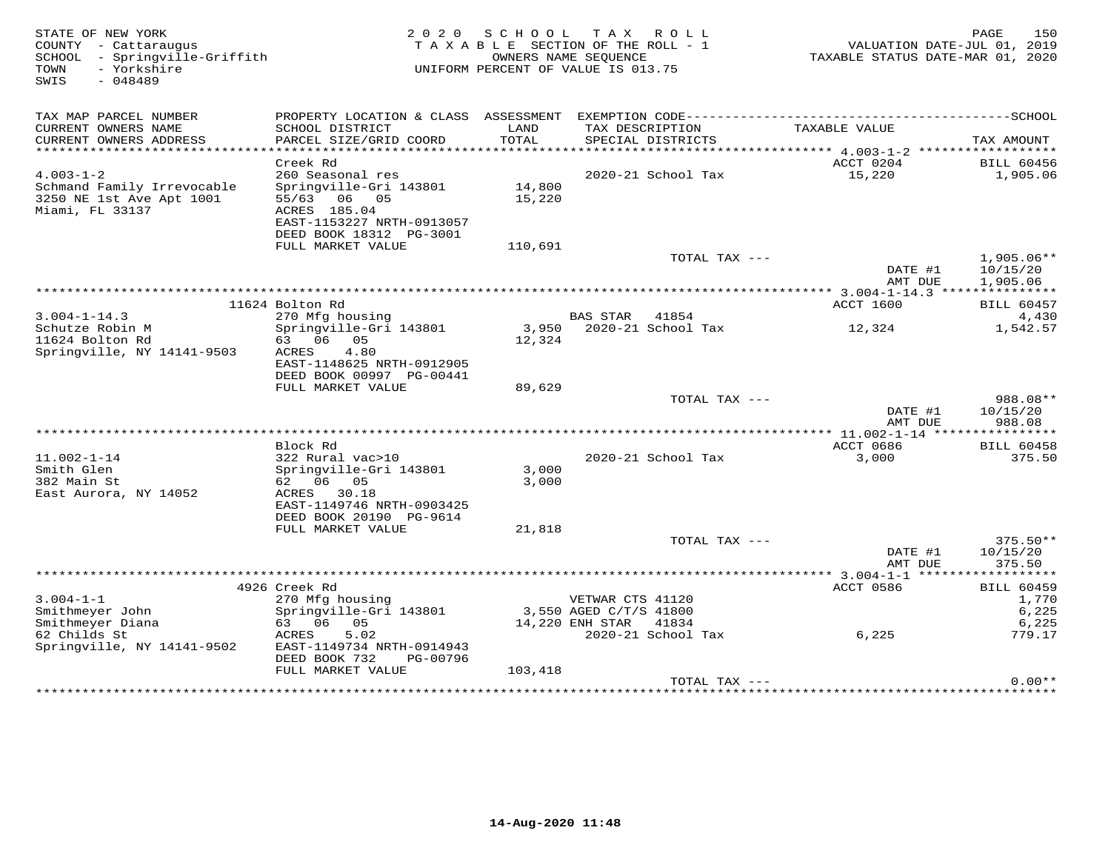| STATE OF NEW YORK<br>COUNTY - Cattaraugus<br>- Springville-Griffith<br>SCHOOL<br>- Yorkshire<br>TOWN<br>$-048489$<br>SWIS | 2 0 2 0                                                                                                             | SCHOOL           | TAX ROLL<br>TAXABLE SECTION OF THE ROLL - 1<br>OWNERS NAME SEOUENCE<br>UNIFORM PERCENT OF VALUE IS 013.75 | VALUATION DATE-JUL 01, 2019<br>TAXABLE STATUS DATE-MAR 01, 2020 | 150<br>PAGE                      |
|---------------------------------------------------------------------------------------------------------------------------|---------------------------------------------------------------------------------------------------------------------|------------------|-----------------------------------------------------------------------------------------------------------|-----------------------------------------------------------------|----------------------------------|
| TAX MAP PARCEL NUMBER                                                                                                     |                                                                                                                     |                  |                                                                                                           |                                                                 |                                  |
| CURRENT OWNERS NAME<br>CURRENT OWNERS ADDRESS                                                                             | SCHOOL DISTRICT<br>PARCEL SIZE/GRID COORD                                                                           | LAND<br>TOTAL    | TAX DESCRIPTION<br>SPECIAL DISTRICTS                                                                      | TAXABLE VALUE                                                   | TAX AMOUNT                       |
| ************************                                                                                                  |                                                                                                                     |                  |                                                                                                           |                                                                 |                                  |
|                                                                                                                           | Creek Rd                                                                                                            |                  |                                                                                                           | ACCT 0204                                                       | <b>BILL 60456</b>                |
| $4.003 - 1 - 2$                                                                                                           | 260 Seasonal res                                                                                                    |                  | 2020-21 School Tax                                                                                        | 15,220                                                          | 1,905.06                         |
| Schmand Family Irrevocable<br>3250 NE 1st Ave Apt 1001<br>Miami, FL 33137                                                 | Springville-Gri 143801<br>55/63<br>06<br>05<br>ACRES 185.04<br>EAST-1153227 NRTH-0913057<br>DEED BOOK 18312 PG-3001 | 14,800<br>15,220 |                                                                                                           |                                                                 |                                  |
|                                                                                                                           | FULL MARKET VALUE                                                                                                   | 110,691          |                                                                                                           |                                                                 |                                  |
|                                                                                                                           |                                                                                                                     |                  | TOTAL TAX ---                                                                                             | DATE #1                                                         | $1,905.06**$<br>10/15/20         |
|                                                                                                                           |                                                                                                                     |                  |                                                                                                           | AMT DUE                                                         | 1,905.06                         |
|                                                                                                                           |                                                                                                                     |                  |                                                                                                           |                                                                 |                                  |
| $3.004 - 1 - 14.3$                                                                                                        | 11624 Bolton Rd<br>270 Mfg housing                                                                                  |                  | <b>BAS STAR</b><br>41854                                                                                  | ACCT 1600                                                       | <b>BILL 60457</b><br>4,430       |
| Schutze Robin M                                                                                                           | Springville-Gri 143801                                                                                              |                  | 3,950 2020-21 School Tax                                                                                  | 12,324                                                          | 1,542.57                         |
| 11624 Bolton Rd<br>Springville, NY 14141-9503                                                                             | 63 06<br>05<br>ACRES<br>4.80<br>EAST-1148625 NRTH-0912905                                                           | 12,324           |                                                                                                           |                                                                 |                                  |
|                                                                                                                           | DEED BOOK 00997 PG-00441                                                                                            |                  |                                                                                                           |                                                                 |                                  |
|                                                                                                                           | FULL MARKET VALUE                                                                                                   | 89,629           |                                                                                                           |                                                                 |                                  |
|                                                                                                                           |                                                                                                                     |                  | TOTAL TAX ---                                                                                             | DATE #1<br>AMT DUE                                              | 988.08**<br>10/15/20<br>988.08   |
|                                                                                                                           |                                                                                                                     |                  |                                                                                                           |                                                                 | ***********                      |
| $11.002 - 1 - 14$<br>Smith Glen<br>382 Main St                                                                            | Block Rd<br>322 Rural vac>10<br>Springville-Gri 143801<br>62 06<br>05                                               | 3,000<br>3,000   | 2020-21 School Tax                                                                                        | ACCT 0686<br>3,000                                              | <b>BILL 60458</b><br>375.50      |
| East Aurora, NY 14052                                                                                                     | ACRES 30.18<br>EAST-1149746 NRTH-0903425<br>DEED BOOK 20190 PG-9614                                                 |                  |                                                                                                           |                                                                 |                                  |
|                                                                                                                           | FULL MARKET VALUE                                                                                                   | 21,818           |                                                                                                           |                                                                 |                                  |
|                                                                                                                           |                                                                                                                     |                  | TOTAL TAX ---                                                                                             | DATE #1<br>AMT DUE                                              | $375.50**$<br>10/15/20<br>375.50 |
|                                                                                                                           |                                                                                                                     |                  |                                                                                                           |                                                                 |                                  |
| $3.004 - 1 - 1$                                                                                                           | 4926 Creek Rd<br>270 Mfg housing                                                                                    |                  | VETWAR CTS 41120                                                                                          | ACCT 0586                                                       | <b>BILL 60459</b><br>1,770       |
| Smithmeyer John                                                                                                           | Springville-Gri 143801                                                                                              |                  | 3,550 AGED C/T/S 41800                                                                                    |                                                                 | 6,225                            |
| Smithmeyer Diana                                                                                                          | 63 06<br>05                                                                                                         |                  | 14,220 ENH STAR<br>41834                                                                                  |                                                                 | 6,225                            |
| 62 Childs St<br>Springville, NY 14141-9502                                                                                | 5.02<br>ACRES<br>EAST-1149734 NRTH-0914943<br>DEED BOOK 732<br>PG-00796                                             |                  | 2020-21 School Tax                                                                                        | 6,225                                                           | 779.17                           |
|                                                                                                                           | FULL MARKET VALUE                                                                                                   | 103,418          |                                                                                                           |                                                                 |                                  |
|                                                                                                                           |                                                                                                                     |                  | TOTAL TAX ---                                                                                             |                                                                 | $0.00**$                         |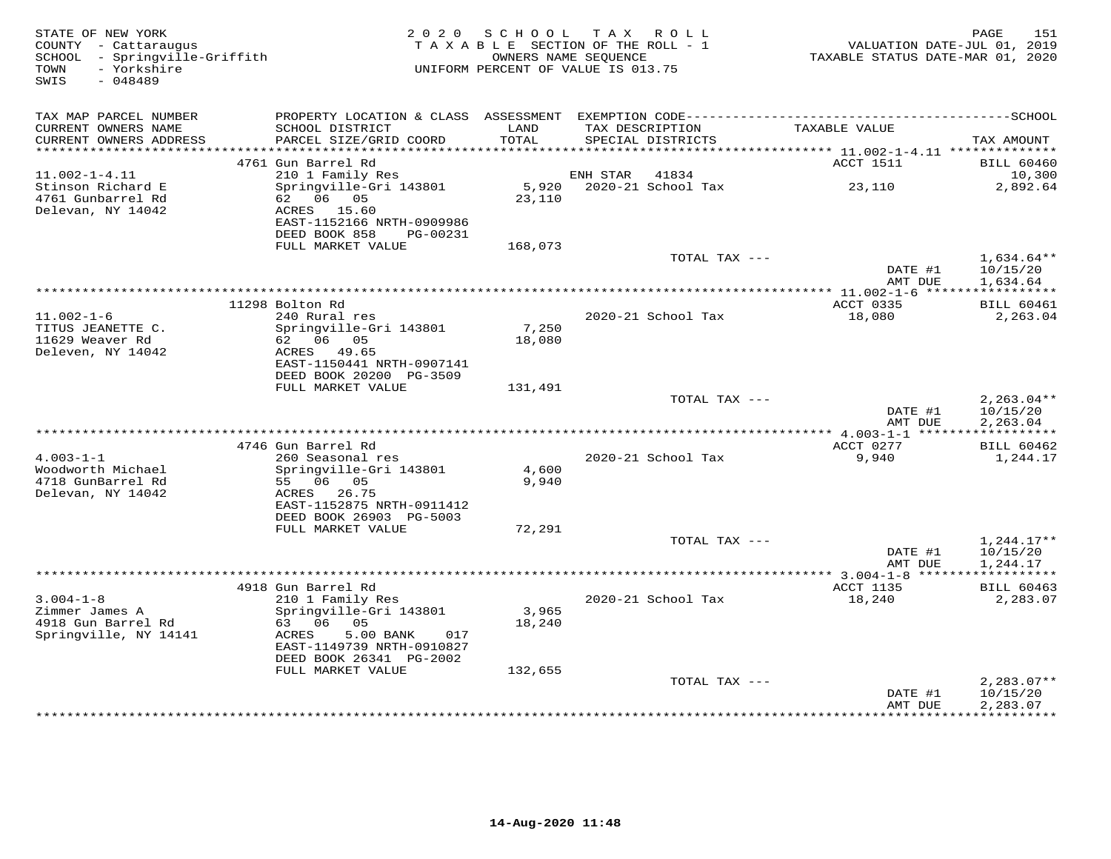| STATE OF NEW YORK<br>COUNTY - Cattaraugus<br>SCHOOL - Springville-Griffith<br>- Yorkshire<br>TOWN<br>SWIS<br>$-048489$ |                                                                       | 2020 SCHOOL<br>TAXABLE SECTION OF THE ROLL - 1<br>OWNERS NAME SEQUENCE<br>UNIFORM PERCENT OF VALUE IS 013.75 | TAX ROLL |                                      | TAXABLE STATUS DATE-MAR 01, 2020 | 151<br>PAGE<br>VALUATION DATE-JUL 01, 2019 |
|------------------------------------------------------------------------------------------------------------------------|-----------------------------------------------------------------------|--------------------------------------------------------------------------------------------------------------|----------|--------------------------------------|----------------------------------|--------------------------------------------|
| TAX MAP PARCEL NUMBER                                                                                                  |                                                                       |                                                                                                              |          |                                      |                                  |                                            |
| CURRENT OWNERS NAME<br>CURRENT OWNERS ADDRESS                                                                          | SCHOOL DISTRICT<br>PARCEL SIZE/GRID COORD                             | LAND<br>TOTAL                                                                                                |          | TAX DESCRIPTION<br>SPECIAL DISTRICTS | TAXABLE VALUE                    | TAX AMOUNT                                 |
| ***********************                                                                                                |                                                                       |                                                                                                              |          |                                      |                                  |                                            |
| $11.002 - 1 - 4.11$                                                                                                    | 4761 Gun Barrel Rd<br>210 1 Family Res                                |                                                                                                              | ENH STAR | 41834                                | ACCT 1511                        | <b>BILL 60460</b><br>10,300                |
| Stinson Richard E<br>4761 Gunbarrel Rd                                                                                 | Springville-Gri 143801<br>62 06 05                                    | 5,920<br>23,110                                                                                              |          | 2020-21 School Tax                   | 23,110                           | 2,892.64                                   |
| Delevan, NY 14042                                                                                                      | ACRES 15.60<br>EAST-1152166 NRTH-0909986<br>DEED BOOK 858<br>PG-00231 |                                                                                                              |          |                                      |                                  |                                            |
|                                                                                                                        | FULL MARKET VALUE                                                     | 168,073                                                                                                      |          |                                      |                                  |                                            |
|                                                                                                                        |                                                                       |                                                                                                              |          | TOTAL TAX ---                        | DATE #1<br>AMT DUE               | $1,634.64**$<br>10/15/20<br>1,634.64       |
|                                                                                                                        |                                                                       | ************************************                                                                         |          |                                      | ** 11.002-1-6 ***                | * * * * * * * * * * *                      |
|                                                                                                                        | 11298 Bolton Rd                                                       |                                                                                                              |          |                                      | ACCT 0335                        | <b>BILL 60461</b>                          |
| $11.002 - 1 - 6$<br>TITUS JEANETTE C.                                                                                  | 240 Rural res<br>Springville-Gri 143801                               | 7,250                                                                                                        |          | 2020-21 School Tax                   | 18,080                           | 2,263.04                                   |
| 11629 Weaver Rd                                                                                                        | 62 06 05                                                              | 18,080                                                                                                       |          |                                      |                                  |                                            |
| Deleven, NY 14042                                                                                                      | ACRES 49.65                                                           |                                                                                                              |          |                                      |                                  |                                            |
|                                                                                                                        | EAST-1150441 NRTH-0907141                                             |                                                                                                              |          |                                      |                                  |                                            |
|                                                                                                                        | DEED BOOK 20200 PG-3509<br>FULL MARKET VALUE                          | 131,491                                                                                                      |          |                                      |                                  |                                            |
|                                                                                                                        |                                                                       |                                                                                                              |          | TOTAL TAX ---                        |                                  | $2,263.04**$                               |
|                                                                                                                        |                                                                       |                                                                                                              |          |                                      | DATE #1<br>AMT DUE               | 10/15/20<br>2,263.04                       |
|                                                                                                                        | 4746 Gun Barrel Rd                                                    |                                                                                                              |          |                                      | ACCT 0277                        | ***********<br><b>BILL 60462</b>           |
| $4.003 - 1 - 1$                                                                                                        | 260 Seasonal res                                                      |                                                                                                              |          | 2020-21 School Tax                   | 9,940                            | 1,244.17                                   |
| Woodworth Michael                                                                                                      | Springville-Gri 143801                                                | 4,600                                                                                                        |          |                                      |                                  |                                            |
| 4718 GunBarrel Rd                                                                                                      | 55 06 05                                                              | 9,940                                                                                                        |          |                                      |                                  |                                            |
| Delevan, NY 14042                                                                                                      | ACRES 26.75<br>EAST-1152875 NRTH-0911412                              |                                                                                                              |          |                                      |                                  |                                            |
|                                                                                                                        | DEED BOOK 26903 PG-5003                                               |                                                                                                              |          |                                      |                                  |                                            |
|                                                                                                                        | FULL MARKET VALUE                                                     | 72,291                                                                                                       |          |                                      |                                  |                                            |
|                                                                                                                        |                                                                       |                                                                                                              |          | TOTAL TAX ---                        |                                  | $1,244.17**$                               |
|                                                                                                                        |                                                                       |                                                                                                              |          |                                      | DATE #1<br>AMT DUE               | 10/15/20<br>1,244.17                       |
|                                                                                                                        |                                                                       |                                                                                                              |          |                                      | *********** 3.004-1-8 *****      | * * * * * * * * * * *                      |
|                                                                                                                        | 4918 Gun Barrel Rd                                                    |                                                                                                              |          |                                      | ACCT 1135                        | <b>BILL 60463</b>                          |
| $3.004 - 1 - 8$                                                                                                        | 210 1 Family Res                                                      |                                                                                                              |          | 2020-21 School Tax                   | 18,240                           | 2,283.07                                   |
| Zimmer James A<br>4918 Gun Barrel Rd                                                                                   | Springville-Gri 143801<br>63 06 05                                    | 3,965<br>18,240                                                                                              |          |                                      |                                  |                                            |
| Springville, NY 14141                                                                                                  | 5.00 BANK<br>ACRES<br>017<br>EAST-1149739 NRTH-0910827                |                                                                                                              |          |                                      |                                  |                                            |
|                                                                                                                        | DEED BOOK 26341 PG-2002                                               |                                                                                                              |          |                                      |                                  |                                            |
|                                                                                                                        | FULL MARKET VALUE                                                     | 132,655                                                                                                      |          |                                      |                                  |                                            |
|                                                                                                                        |                                                                       |                                                                                                              |          | TOTAL TAX ---                        | DATE #1<br>AMT DUE               | $2,283.07**$<br>10/15/20<br>2,283.07       |
|                                                                                                                        |                                                                       |                                                                                                              |          |                                      |                                  |                                            |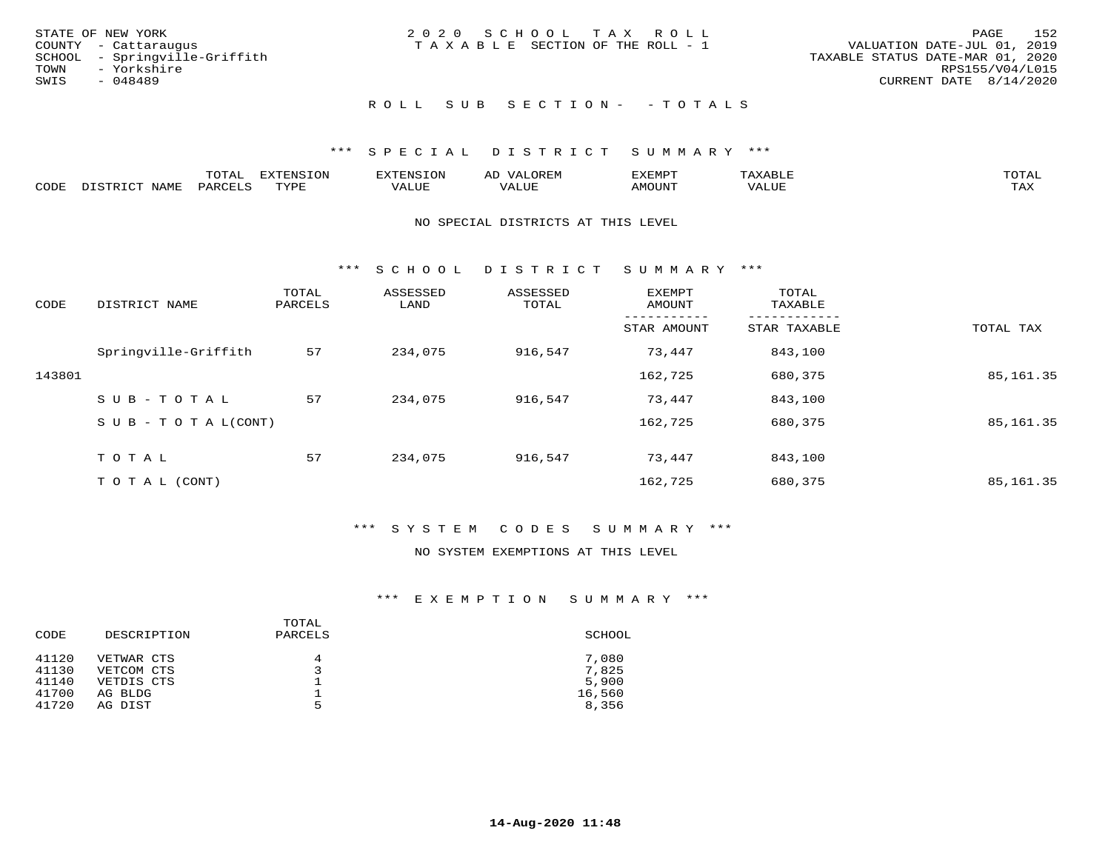| STATE OF NEW YORK             | 2020 SCHOOL TAX ROLL                  | 152<br>PAGE                      |
|-------------------------------|---------------------------------------|----------------------------------|
| COUNTY - Cattaraugus          | T A X A B L E SECTION OF THE ROLL - 1 | VALUATION DATE-JUL 01, 2019      |
| SCHOOL - Springville-Griffith |                                       | TAXABLE STATUS DATE-MAR 01, 2020 |
| TOWN<br>- Yorkshire           |                                       | RPS155/V04/L015                  |
| SWIS<br>- 048489              |                                       | CURRENT DATE 8/14/2020           |
|                               |                                       |                                  |
|                               |                                       |                                  |

## ROLL SUB SECTION - - TOTALS

## \*\*\* S P E C I A L D I S T R I C T S U M M A R Y \*\*\*

|      |      | momn.<br>.UIAL | <b>DIZODALO TOM</b><br><b>1115</b><br>LUP | ר את דר            | ΑL<br>$\cdots$      | EXEMPT        | 'ΔΧΔ<br>AAABLE | momn. |
|------|------|----------------|-------------------------------------------|--------------------|---------------------|---------------|----------------|-------|
| CODE | NAME | 'ARC           | TVDF<br>د د د                             | <b>TTT</b><br>ALUM | <b>TTT</b><br>7ALUE | <b>TNUOMA</b> | . ALUE         | TAX   |

### NO SPECIAL DISTRICTS AT THIS LEVEL

\*\*\* S C H O O L D I S T R I C T S U M M A R Y \*\*\*

| CODE   | DISTRICT NAME                    | TOTAL<br>PARCELS | ASSESSED<br>LAND | ASSESSED<br>TOTAL | EXEMPT<br>AMOUNT | TOTAL<br>TAXABLE |            |
|--------|----------------------------------|------------------|------------------|-------------------|------------------|------------------|------------|
|        |                                  |                  |                  |                   | STAR AMOUNT      | STAR TAXABLE     | TOTAL TAX  |
|        | Springville-Griffith             | 57               | 234,075          | 916,547           | 73,447           | 843,100          |            |
| 143801 |                                  |                  |                  |                   | 162,725          | 680,375          | 85, 161.35 |
|        | SUB-TOTAL                        | 57               | 234,075          | 916,547           | 73,447           | 843,100          |            |
|        | $S \cup B - T \cup T A L (CONT)$ |                  |                  |                   | 162,725          | 680,375          | 85, 161.35 |
|        | TOTAL                            | 57               | 234,075          | 916,547           | 73,447           | 843,100          |            |
|        | T O T A L (CONT)                 |                  |                  |                   | 162,725          | 680,375          | 85, 161.35 |

## \*\*\* S Y S T E M C O D E S S U M M A R Y \*\*\*

## NO SYSTEM EXEMPTIONS AT THIS LEVEL

| CODE  | DESCRIPTION | TOTAL<br>PARCELS | SCHOOL |
|-------|-------------|------------------|--------|
| 41120 | VETWAR CTS  | 4                | 7,080  |
| 41130 | VETCOM CTS  |                  | 7,825  |
| 41140 | VETDIS CTS  |                  | 5,900  |
| 41700 | AG BLDG     |                  | 16,560 |
| 41720 | AG DIST     | 5                | 8,356  |
|       |             |                  |        |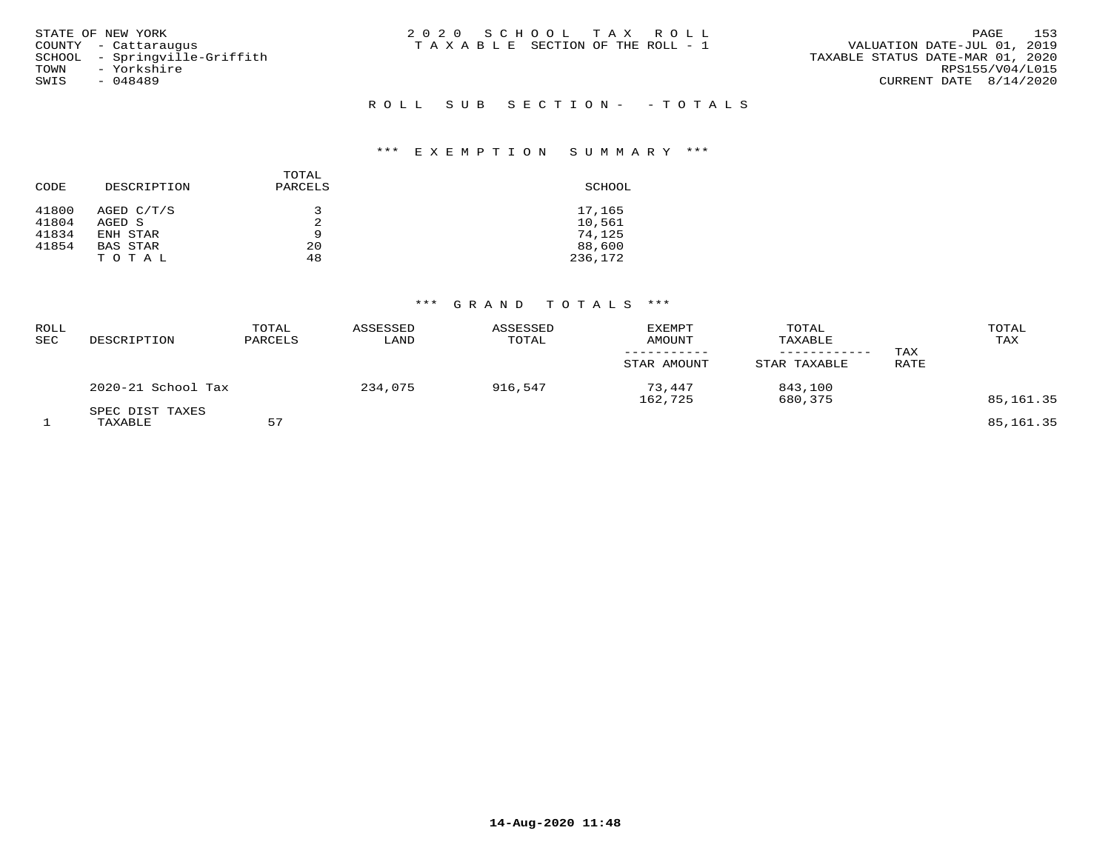| STATE OF NEW YORK<br>COUNTY - Cattaraugus<br>SCHOOL - Springville-Griffith<br>- Yorkshire<br>TOWN<br>SWIS<br>- 048489 | 2020 SCHOOL TAX ROLL<br>T A X A B L E SECTION OF THE ROLL - 1 | 153<br>PAGE<br>VALUATION DATE-JUL 01, 2019<br>TAXABLE STATUS DATE-MAR 01, 2020<br>RPS155/V04/L015<br>CURRENT DATE 8/14/2020 |
|-----------------------------------------------------------------------------------------------------------------------|---------------------------------------------------------------|-----------------------------------------------------------------------------------------------------------------------------|
|                                                                                                                       | ROLL SUB SECTION- - TOTALS                                    |                                                                                                                             |

| CODE  | DESCRIPTION     | TOTAL<br>PARCELS | SCHOOL  |
|-------|-----------------|------------------|---------|
| 41800 | AGED C/T/S      | 3                | 17,165  |
| 41804 | AGED S          | 2                | 10,561  |
| 41834 | ENH STAR        | 9                | 74,125  |
| 41854 | <b>BAS STAR</b> | 20               | 88,600  |
|       | TOTAL           | 48               | 236,172 |

| ROLL<br>SEC | DESCRIPTION                | TOTAL<br>PARCELS | ASSESSED<br>LAND | ASSESSED<br>TOTAL | <b>EXEMPT</b><br><b>AMOUNT</b><br>-----------<br>STAR AMOUNT | TOTAL<br>TAXABLE<br>------------<br>STAR TAXABLE | TAX<br>RATE | TOTAL<br>TAX |
|-------------|----------------------------|------------------|------------------|-------------------|--------------------------------------------------------------|--------------------------------------------------|-------------|--------------|
|             | 2020-21 School Tax         |                  | 234,075          | 916,547           | 73,447<br>162,725                                            | 843,100<br>680,375                               |             | 85,161.35    |
|             | SPEC DIST TAXES<br>TAXABLE | 57               |                  |                   |                                                              |                                                  |             | 85,161.35    |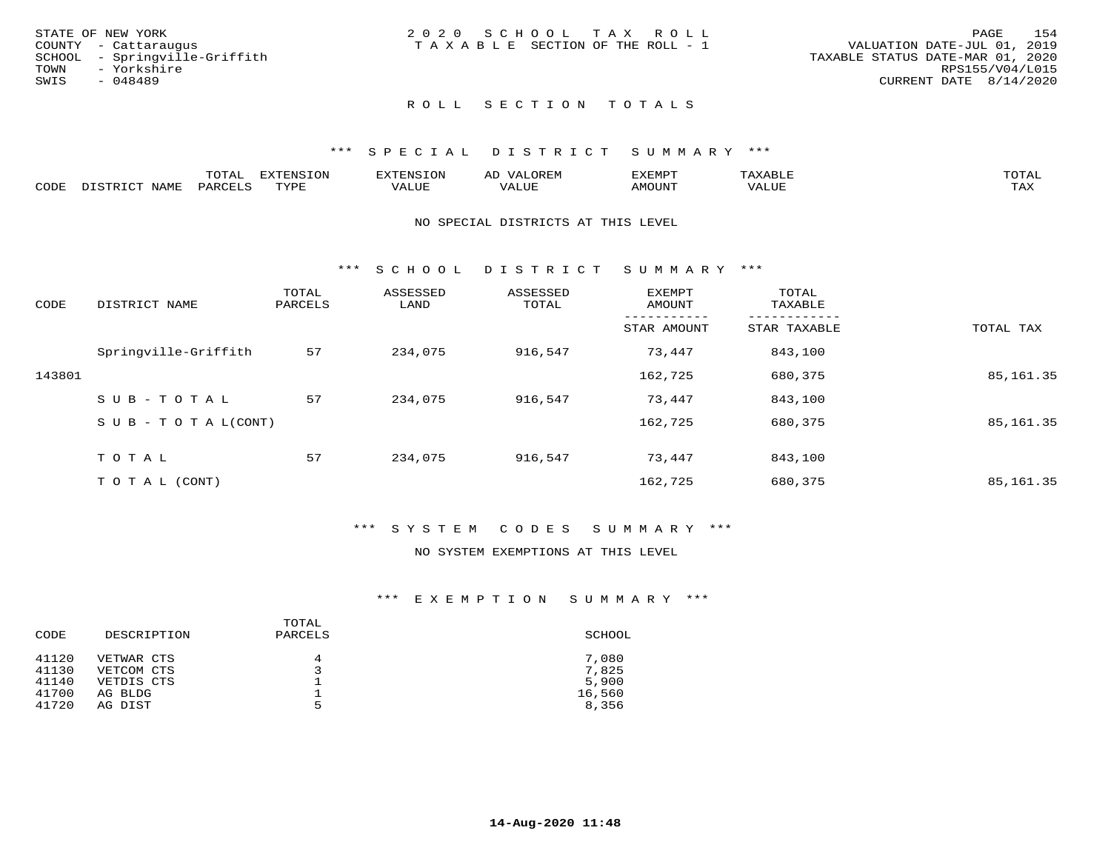| STATE OF NEW YORK             | 2020 SCHOOL TAX ROLL                                           | PAGE            | 154 |
|-------------------------------|----------------------------------------------------------------|-----------------|-----|
| COUNTY - Cattaraugus          | VALUATION DATE-JUL 01, 2019<br>TAXABLE SECTION OF THE ROLL - 1 |                 |     |
| SCHOOL - Springville-Griffith | TAXABLE STATUS DATE-MAR 01, 2020                               |                 |     |
| TOWN<br>- Yorkshire           |                                                                | RPS155/V04/L015 |     |
| SWIS<br>- 048489              | CURRENT DATE $8/14/2020$                                       |                 |     |
|                               |                                                                |                 |     |

## ROLL SECTION TOTALS

### \*\*\* S P E C I A L D I S T R I C T S U M M A R Y \*\*\*

|      |                  | momm <sup>.</sup><br>TOTAT | <b>ELIMENT OF ONT</b><br>T OTA | <b>FINS</b> | OREM                     | CXEMPT        | $max$ is $max$ $n$       | $m \wedge m \wedge n$ |
|------|------------------|----------------------------|--------------------------------|-------------|--------------------------|---------------|--------------------------|-----------------------|
| CODE | NAME<br>DISTRICT | PARCELS                    | TVDF<br>.                      | 7ALUE.      | . <del>.</del><br>. ALUF | <b>AMOUNT</b> | * * * * * * * *<br>'ALUL | <b>TAY</b><br>⊥⇔∆     |

### NO SPECIAL DISTRICTS AT THIS LEVEL

\*\*\* S C H O O L D I S T R I C T S U M M A R Y \*\*\*

| CODE   | DISTRICT NAME                    | TOTAL<br>PARCELS | ASSESSED<br>LAND | ASSESSED<br>TOTAL | EXEMPT<br>AMOUNT | TOTAL<br>TAXABLE |            |
|--------|----------------------------------|------------------|------------------|-------------------|------------------|------------------|------------|
|        |                                  |                  |                  |                   | STAR AMOUNT      | STAR TAXABLE     | TOTAL TAX  |
|        | Springville-Griffith             | 57               | 234,075          | 916,547           | 73,447           | 843,100          |            |
| 143801 |                                  |                  |                  |                   | 162,725          | 680,375          | 85, 161.35 |
|        | SUB-TOTAL                        | 57               | 234,075          | 916,547           | 73,447           | 843,100          |            |
|        | $S \cup B - T \cup T A L (CONT)$ |                  |                  |                   | 162,725          | 680,375          | 85, 161.35 |
|        | TOTAL                            | 57               | 234,075          | 916,547           | 73,447           | 843,100          |            |
|        | T O T A L (CONT)                 |                  |                  |                   | 162,725          | 680,375          | 85, 161.35 |

### \*\*\* S Y S T E M C O D E S S U M M A R Y \*\*\*

## NO SYSTEM EXEMPTIONS AT THIS LEVEL

| CODE  | DESCRIPTION | TOTAL<br>PARCELS | SCHOOL |
|-------|-------------|------------------|--------|
| 41120 | VETWAR CTS  | 4                | 7,080  |
| 41130 | VETCOM CTS  |                  | 7,825  |
| 41140 | VETDIS CTS  |                  | 5,900  |
| 41700 | AG BLDG     |                  | 16,560 |
| 41720 | AG DIST     | 5                | 8,356  |
|       |             |                  |        |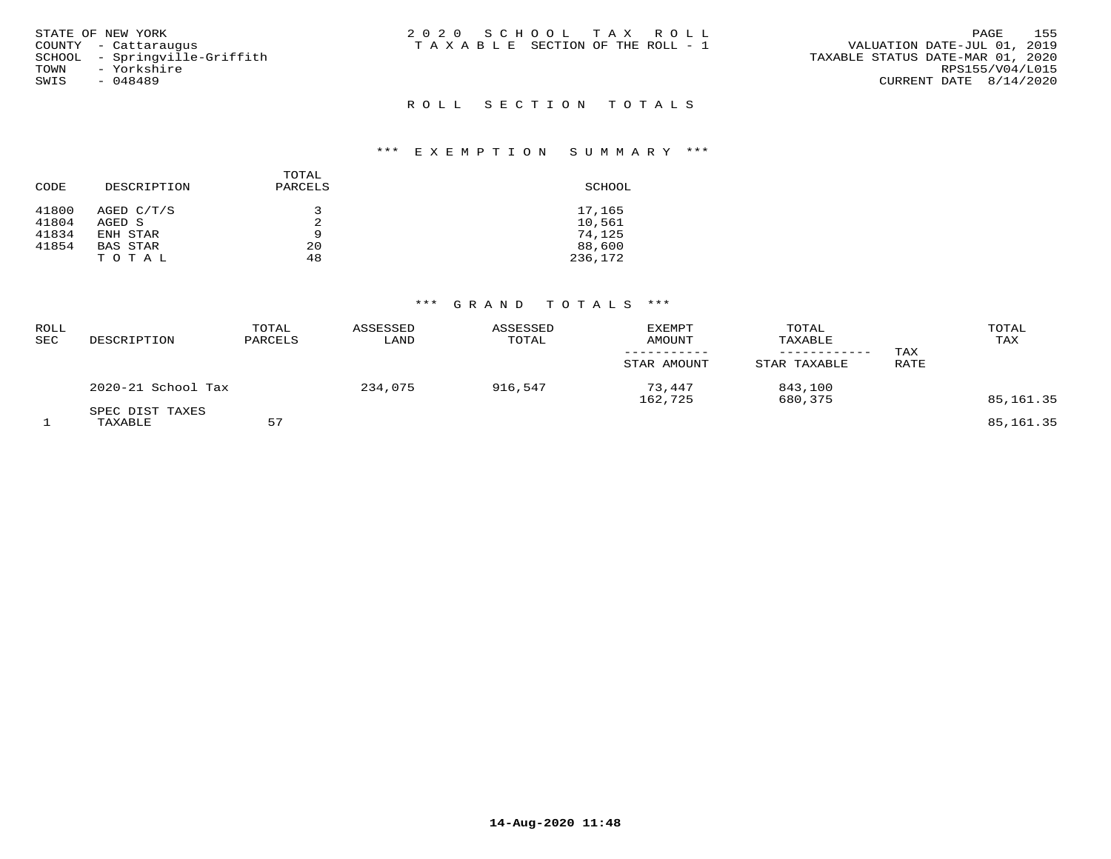| STATE OF NEW YORK<br>COUNTY - Cattaraugus<br>SCHOOL - Springville-Griffith<br>TOWN - Yorkshire<br>SWIS<br>- 048489 | 2020 SCHOOL TAX ROLL<br>T A X A B L E SECTION OF THE ROLL - 1 | - 155<br>PAGE<br>VALUATION DATE-JUL 01, 2019<br>TAXABLE STATUS DATE-MAR 01, 2020<br>RPS155/V04/L015<br>CURRENT DATE 8/14/2020 |
|--------------------------------------------------------------------------------------------------------------------|---------------------------------------------------------------|-------------------------------------------------------------------------------------------------------------------------------|
|                                                                                                                    | ROLL SECTION TOTALS                                           |                                                                                                                               |

| CODE  | DESCRIPTION | TOTAL<br>PARCELS | SCHOOL  |
|-------|-------------|------------------|---------|
| 41800 | AGED C/T/S  | 3                | 17,165  |
| 41804 | AGED S      | 2                | 10,561  |
| 41834 | ENH STAR    | 9                | 74,125  |
| 41854 | BAS STAR    | 20               | 88,600  |
|       | TOTAL       | 48               | 236,172 |

| ROLL<br>SEC | DESCRIPTION                | TOTAL<br>PARCELS | ASSESSED<br>LAND | ASSESSED<br>TOTAL | <b>EXEMPT</b><br><b>AMOUNT</b><br>-----------<br>STAR AMOUNT | TOTAL<br>TAXABLE<br>------------<br>STAR TAXABLE | TAX<br>RATE | TOTAL<br>TAX |
|-------------|----------------------------|------------------|------------------|-------------------|--------------------------------------------------------------|--------------------------------------------------|-------------|--------------|
|             | 2020-21 School Tax         |                  | 234,075          | 916,547           | 73,447<br>162,725                                            | 843,100<br>680,375                               |             | 85,161.35    |
|             | SPEC DIST TAXES<br>TAXABLE | 57               |                  |                   |                                                              |                                                  |             | 85, 161.35   |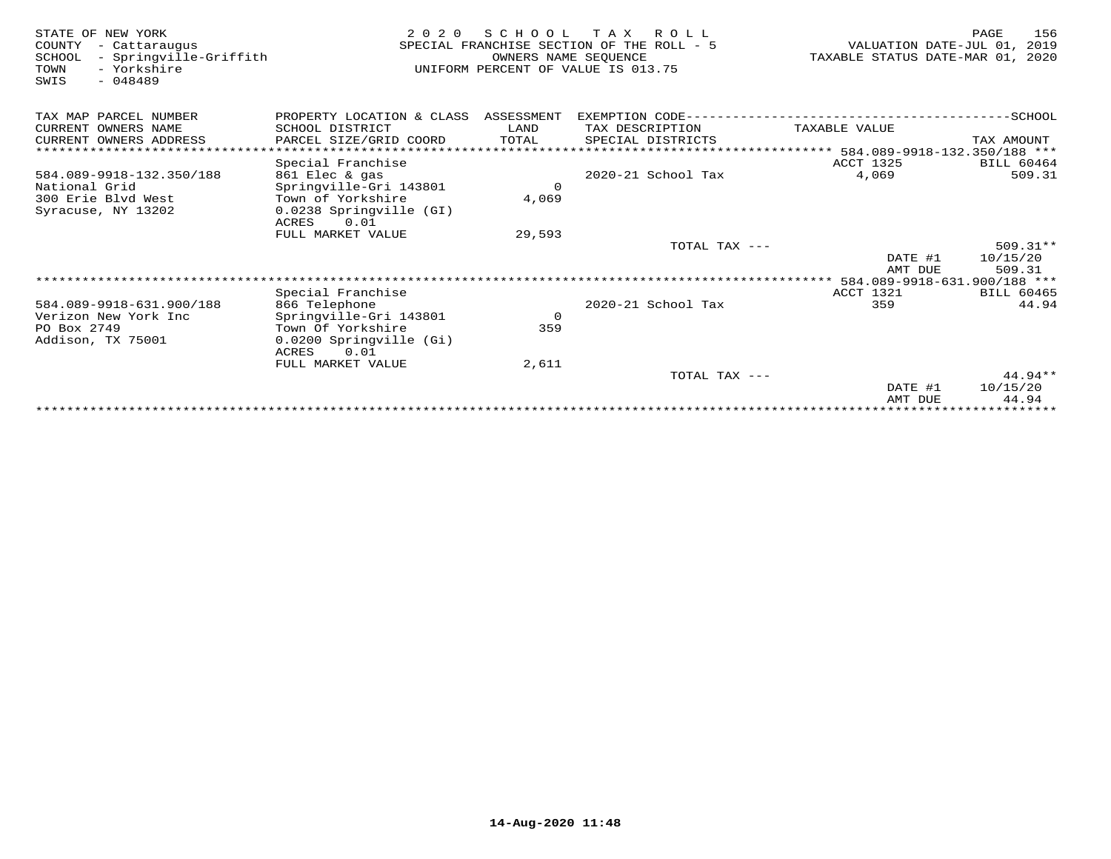| STATE OF NEW YORK<br>COUNTY<br>- Cattaraugus<br>- Springville-Griffith<br>SCHOOL<br>- Yorkshire<br>TOWN<br>$-048489$<br>SWIS | 2 0 2 0                              | SCHOOL<br>OWNERS NAME SEQUENCE | T A X<br>R O L L<br>SPECIAL FRANCHISE SECTION OF THE ROLL - 5<br>UNIFORM PERCENT OF VALUE IS 013.75 | VALUATION DATE-JUL 01,<br>TAXABLE STATUS DATE-MAR 01, 2020 | 156<br>PAGE<br>2019 |
|------------------------------------------------------------------------------------------------------------------------------|--------------------------------------|--------------------------------|-----------------------------------------------------------------------------------------------------|------------------------------------------------------------|---------------------|
| TAX MAP PARCEL NUMBER                                                                                                        | PROPERTY LOCATION & CLASS ASSESSMENT |                                | EXEMPTION CODE-------------------------                                                             |                                                            | ------------SCHOOL  |
| CURRENT OWNERS NAME                                                                                                          | SCHOOL DISTRICT                      | LAND                           | TAX DESCRIPTION                                                                                     | TAXABLE VALUE                                              |                     |
| CURRENT OWNERS ADDRESS                                                                                                       | PARCEL SIZE/GRID COORD               | TOTAL                          | SPECIAL DISTRICTS                                                                                   |                                                            | TAX AMOUNT          |
|                                                                                                                              |                                      |                                |                                                                                                     | ***************** 584.089-9918-132.350/188 ***             |                     |
|                                                                                                                              | Special Franchise                    |                                |                                                                                                     | <b>ACCT 1325</b>                                           | <b>BILL 60464</b>   |
| 584.089-9918-132.350/188                                                                                                     | 861 Elec & gas                       |                                | 2020-21 School Tax                                                                                  | 4,069                                                      | 509.31              |
| National Grid                                                                                                                | Springville-Gri 143801               | $\mathbf 0$                    |                                                                                                     |                                                            |                     |
| 300 Erie Blyd West                                                                                                           | Town of Yorkshire                    | 4,069                          |                                                                                                     |                                                            |                     |
| Syracuse, NY 13202                                                                                                           | 0.0238 Springville (GI)              |                                |                                                                                                     |                                                            |                     |
|                                                                                                                              | ACRES<br>0.01<br>FULL MARKET VALUE   | 29,593                         |                                                                                                     |                                                            |                     |
|                                                                                                                              |                                      |                                | TOTAL TAX ---                                                                                       |                                                            | $509.31**$          |
|                                                                                                                              |                                      |                                |                                                                                                     | DATE #1                                                    | 10/15/20            |
|                                                                                                                              |                                      |                                |                                                                                                     | AMT DUE                                                    | 509.31              |
|                                                                                                                              |                                      |                                |                                                                                                     |                                                            |                     |
|                                                                                                                              | Special Franchise                    |                                |                                                                                                     | ACCT 1321                                                  | <b>BILL 60465</b>   |
| 584.089-9918-631.900/188                                                                                                     | 866 Telephone                        |                                | 2020-21 School Tax                                                                                  | 359                                                        | 44.94               |
| Verizon New York Inc                                                                                                         | Springville-Gri 143801               | $\circ$                        |                                                                                                     |                                                            |                     |
| PO Box 2749                                                                                                                  | Town Of Yorkshire                    | 359                            |                                                                                                     |                                                            |                     |
| Addison, TX 75001                                                                                                            | 0.0200 Springville (Gi)              |                                |                                                                                                     |                                                            |                     |
|                                                                                                                              | ACRES<br>0.01                        |                                |                                                                                                     |                                                            |                     |
|                                                                                                                              | FULL MARKET VALUE                    | 2,611                          |                                                                                                     |                                                            | $44.94**$           |
|                                                                                                                              |                                      |                                | TOTAL TAX ---                                                                                       | DATE #1                                                    | 10/15/20            |
|                                                                                                                              |                                      |                                |                                                                                                     | AMT DUE                                                    | 44.94               |
|                                                                                                                              |                                      |                                |                                                                                                     |                                                            |                     |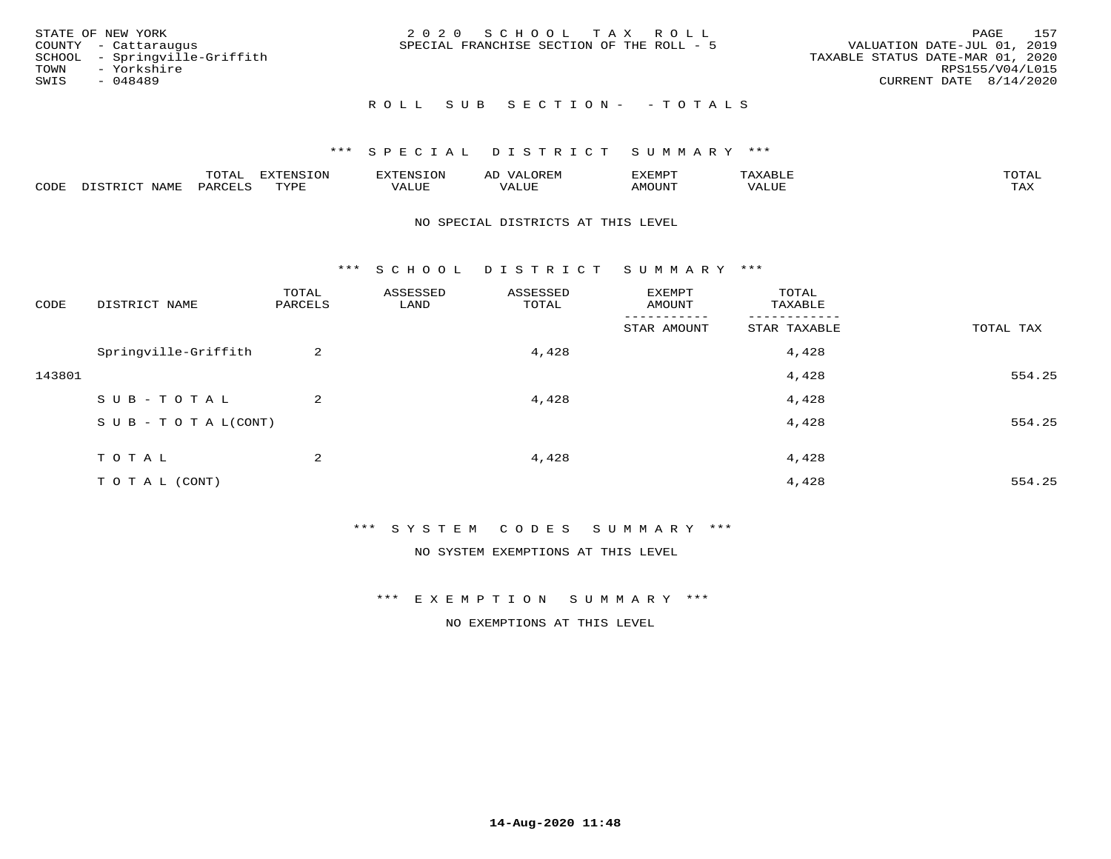| STATE OF NEW YORK<br>COUNTY - Cattaraugus<br>SCHOOL - Springville-Griffith<br>TOWN - Yorkshire<br>SWIS<br>- 048489 | 2020 SCHOOL TAX ROLL<br>SPECIAL FRANCHISE SECTION OF THE ROLL - 5 | 157<br>PAGE<br>VALUATION DATE-JUL 01, 2019<br>TAXABLE STATUS DATE-MAR 01, 2020<br>RPS155/V04/L015<br>CURRENT DATE 8/14/2020 |
|--------------------------------------------------------------------------------------------------------------------|-------------------------------------------------------------------|-----------------------------------------------------------------------------------------------------------------------------|
|                                                                                                                    | ROLL SUB SECTION- - TOTALS                                        |                                                                                                                             |

|      |      | $m \wedge m \wedge n$<br>. U I AL | .UI                              | $\sim$ $\mu$ N $\sim$ | ΑL              | ے ا            |       | $m \wedge m \wedge n$ |
|------|------|-----------------------------------|----------------------------------|-----------------------|-----------------|----------------|-------|-----------------------|
| CODE | TAMI | AR.                               | $m \times r \times r$<br>- - - - | <b>TTT</b>            | $   -$<br>اللحد | <b>MOTTNTE</b> | VALUF | $m \times r$<br>∸⊷    |

### NO SPECIAL DISTRICTS AT THIS LEVEL

\*\*\* S C H O O L D I S T R I C T S U M M A R Y \*\*\*

| CODE   | DISTRICT NAME                    | TOTAL<br>PARCELS | ASSESSED<br>LAND | ASSESSED<br>TOTAL | EXEMPT<br>AMOUNT | TOTAL<br>TAXABLE |           |
|--------|----------------------------------|------------------|------------------|-------------------|------------------|------------------|-----------|
|        |                                  |                  |                  |                   | STAR AMOUNT      | STAR TAXABLE     | TOTAL TAX |
|        | Springville-Griffith             | 2                |                  | 4,428             |                  | 4,428            |           |
| 143801 |                                  |                  |                  |                   |                  | 4,428            | 554.25    |
|        | SUB-TOTAL                        | $\overline{a}$   |                  | 4,428             |                  | 4,428            |           |
|        | $S \cup B - T \cup T A L (CONT)$ |                  |                  |                   |                  | 4,428            | 554.25    |
|        | TOTAL                            | 2                |                  | 4,428             |                  | 4,428            |           |
|        |                                  |                  |                  |                   |                  |                  |           |
|        | T O T A L (CONT)                 |                  |                  |                   |                  | 4,428            | 554.25    |

\*\*\* S Y S T E M C O D E S S U M M A R Y \*\*\*

NO SYSTEM EXEMPTIONS AT THIS LEVEL

\*\*\* E X E M P T I O N S U M M A R Y \*\*\*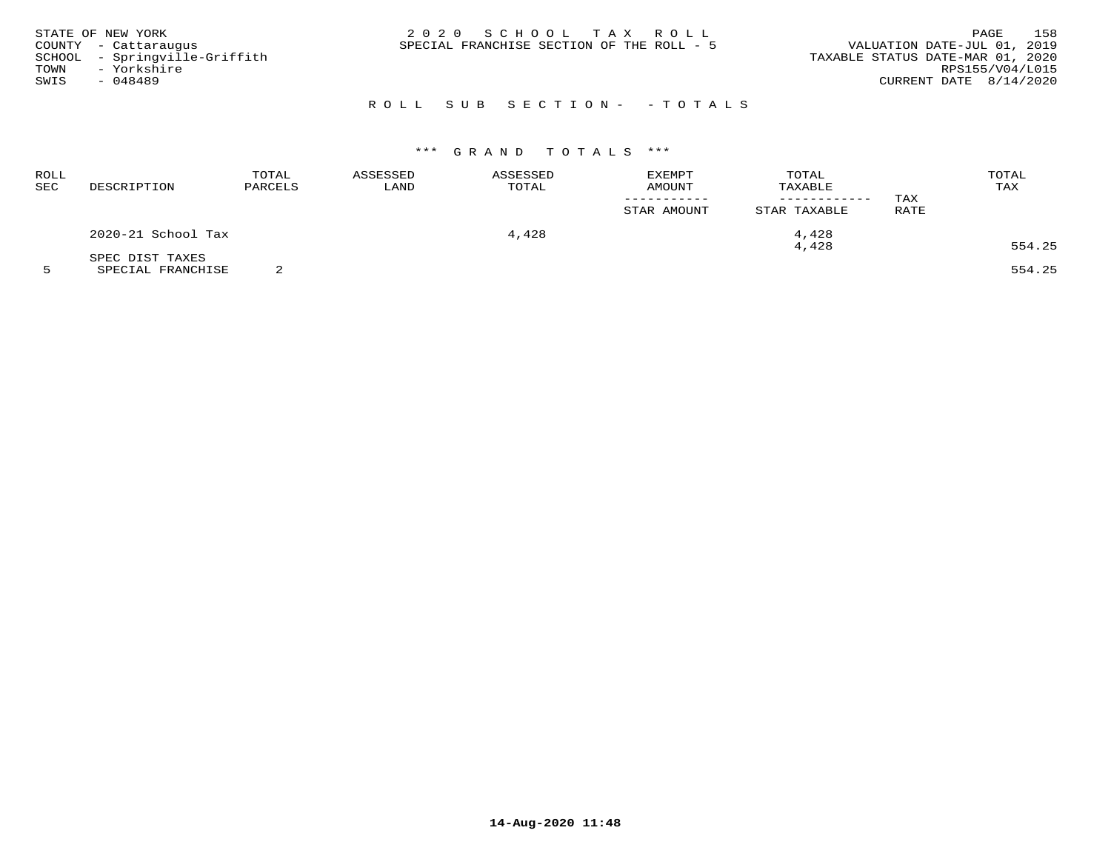| STATE OF NEW YORK<br>COUNTY - Cattaraugus<br>SCHOOL - Springville-Griffith<br>- Yorkshire<br>TOWN<br>SWIS<br>- 048489 | 2020 SCHOOL TAX ROLL<br>SPECIAL FRANCHISE SECTION OF THE ROLL - 5 | 158<br>PAGE<br>VALUATION DATE-JUL 01, 2019<br>TAXABLE STATUS DATE-MAR 01, 2020<br>RPS155/V04/L015<br>CURRENT DATE $8/14/2020$ |
|-----------------------------------------------------------------------------------------------------------------------|-------------------------------------------------------------------|-------------------------------------------------------------------------------------------------------------------------------|
|                                                                                                                       | ROLL SUB SECTION- - TOTALS                                        |                                                                                                                               |

| <b>ROLL</b><br><b>SEC</b> | DESCRIPTION        | TOTAL<br>PARCELS | ASSESSED<br>LAND | ASSESSED<br>TOTAL | <b>EXEMPT</b><br>AMOUNT<br>STAR AMOUNT | TOTAL<br>TAXABLE<br>STAR TAXABLE | TAX<br><b>RATE</b> | TOTAL<br>TAX |
|---------------------------|--------------------|------------------|------------------|-------------------|----------------------------------------|----------------------------------|--------------------|--------------|
|                           | 2020-21 School Tax |                  |                  | 4,428             |                                        | 4,428                            |                    |              |
|                           | SPEC DIST TAXES    |                  |                  |                   |                                        | 4,428                            |                    | 554.25       |

5 SPECIAL FRANCHISE 2 554.25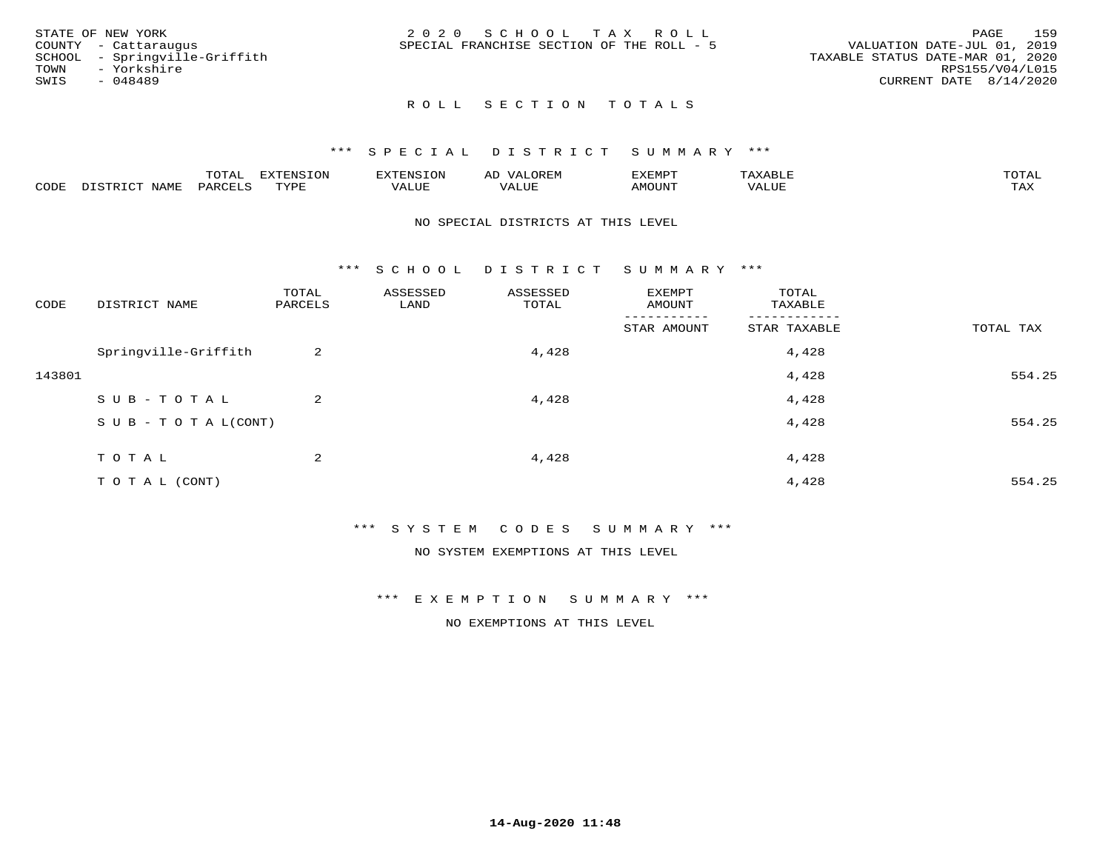| STATE OF NEW YORK             | 2020 SCHOOL TAX ROLL                      | 159<br>PAGE                      |
|-------------------------------|-------------------------------------------|----------------------------------|
| COUNTY - Cattaraugus          | SPECIAL FRANCHISE SECTION OF THE ROLL - 5 | VALUATION DATE-JUL 01, 2019      |
| SCHOOL - Springville-Griffith |                                           | TAXABLE STATUS DATE-MAR 01, 2020 |
| TOWN<br>- Yorkshire           |                                           | RPS155/V04/L015                  |
| SWIS<br>- 048489              |                                           | $CURRENT$ DATE $8/14/2020$       |
|                               |                                           |                                  |

## ROLL SECTION TOTALS

### \*\*\* S P E C I A L D I S T R I C T S U M M A R Y \*\*\*

|      |                  | momz | <b>DIZPOILIC TOM</b><br>LUP | --------          | $\sim$ | ,,, <del>,</del> ,,,,,<br>. ب<br>7 A PILLE | max                | $m \wedge m \wedge n$ |
|------|------------------|------|-----------------------------|-------------------|--------|--------------------------------------------|--------------------|-----------------------|
| CODE | NAM <sup>7</sup> | PARO | TVDF                        | $- - - -$<br>ALUF | ALUL   | TUUOM4                                     | --- - ---<br>'ALUL | max 37<br>∸∽∽         |

### NO SPECIAL DISTRICTS AT THIS LEVEL

\*\*\* S C H O O L D I S T R I C T S U M M A R Y \*\*\*

| CODE   | DISTRICT NAME                    | TOTAL<br>PARCELS | ASSESSED<br>LAND | ASSESSED<br>TOTAL | EXEMPT<br>AMOUNT       | TOTAL<br>TAXABLE |           |
|--------|----------------------------------|------------------|------------------|-------------------|------------------------|------------------|-----------|
|        |                                  |                  |                  |                   | -------<br>STAR AMOUNT | STAR TAXABLE     | TOTAL TAX |
|        | Springville-Griffith             | 2                |                  | 4,428             |                        | 4,428            |           |
| 143801 |                                  |                  |                  |                   |                        | 4,428            | 554.25    |
|        | SUB-TOTAL                        | 2                |                  | 4,428             |                        | 4,428            |           |
|        | $S \cup B - T \cup T A L (CONT)$ |                  |                  |                   |                        | 4,428            | 554.25    |
|        | TOTAL                            | 2                |                  | 4,428             |                        | 4,428            |           |
|        | TO TAL (CONT)                    |                  |                  |                   |                        | 4,428            | 554.25    |

\*\*\* S Y S T E M C O D E S S U M M A R Y \*\*\*

NO SYSTEM EXEMPTIONS AT THIS LEVEL

\*\*\* E X E M P T I O N S U M M A R Y \*\*\*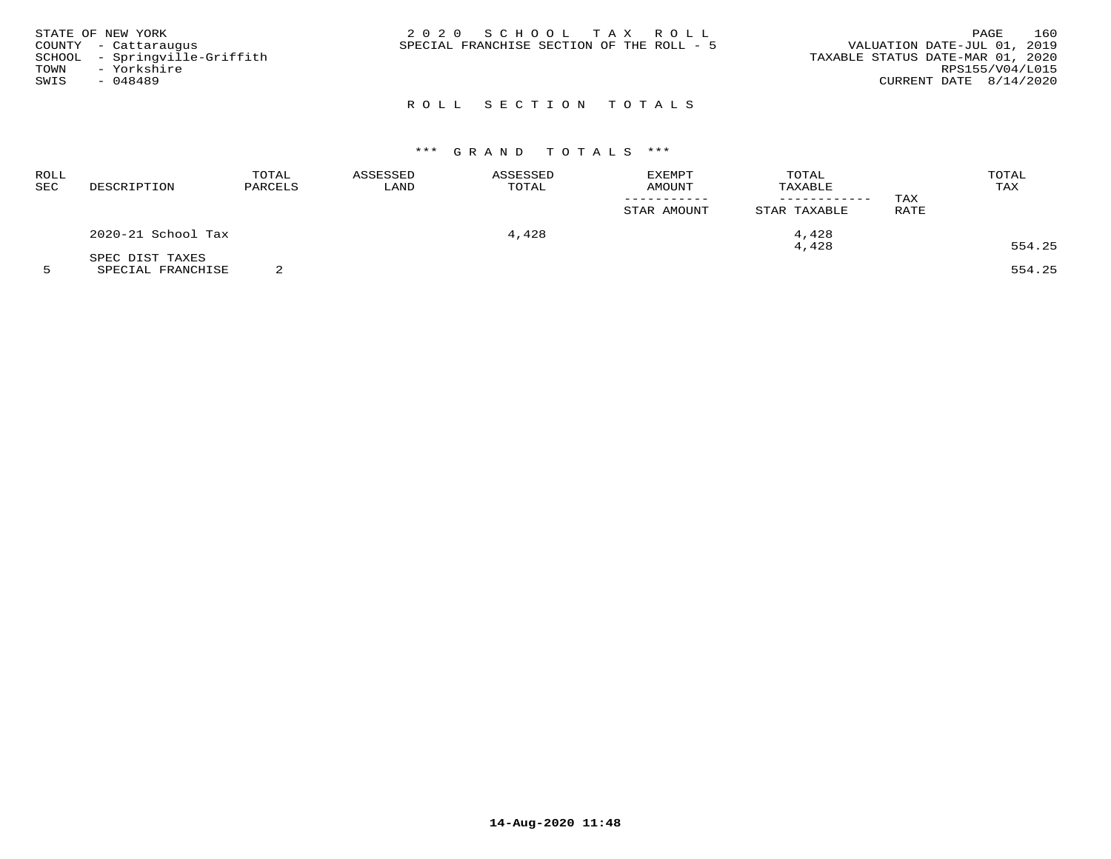| STATE OF NEW YORK<br>COUNTY - Cattaraugus<br>SCHOOL - Springville-Griffith<br>TOWN<br>- Yorkshire<br>SWIS<br>$-048489$ | 2020 SCHOOL TAX ROLL<br>SPECIAL FRANCHISE SECTION OF THE ROLL - 5 | 160<br>PAGE<br>VALUATION DATE-JUL 01, 2019<br>TAXABLE STATUS DATE-MAR 01, 2020<br>RPS155/V04/L015<br>CURRENT DATE $8/14/2020$ |
|------------------------------------------------------------------------------------------------------------------------|-------------------------------------------------------------------|-------------------------------------------------------------------------------------------------------------------------------|
|                                                                                                                        | ROLL SECTION TOTALS                                               |                                                                                                                               |

| <b>ROLL</b><br><b>SEC</b> | DESCRIPTION        | TOTAL<br>PARCELS | ASSESSED<br>LAND | ASSESSED<br>TOTAL | EXEMPT<br>AMOUNT | TOTAL<br>TAXABLE | TAX         | TOTAL<br>TAX |
|---------------------------|--------------------|------------------|------------------|-------------------|------------------|------------------|-------------|--------------|
|                           |                    |                  |                  |                   | STAR AMOUNT      | STAR TAXABLE     | <b>RATE</b> |              |
|                           | 2020-21 School Tax |                  |                  | 4,428             |                  | 4,428            |             |              |
|                           | SPEC DIST TAXES    |                  |                  |                   |                  | 4,428            |             | 554.25       |

5 SPECIAL FRANCHISE 2 554.25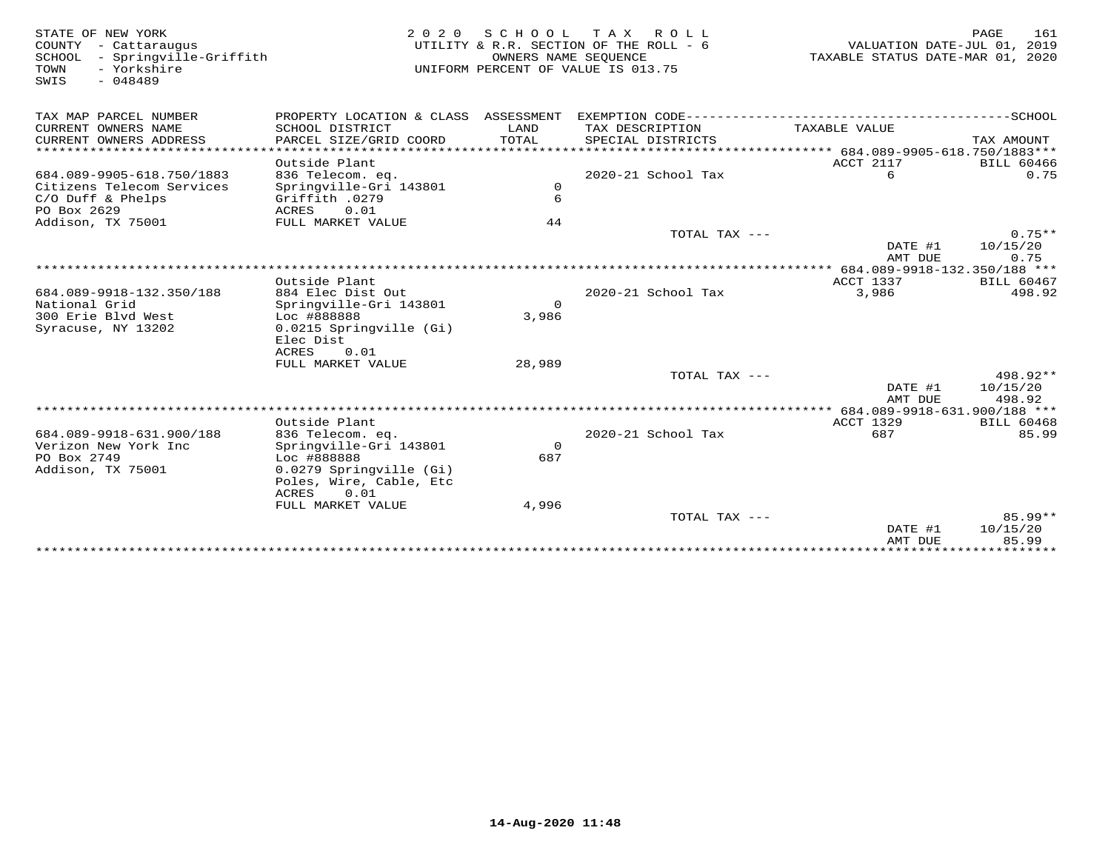| STATE OF NEW YORK<br>COUNTY - Cattaraugus<br>SCHOOL<br>- Springville-Griffith<br>TOWN<br>- Yorkshire<br>$-048489$<br>SWIS | 2 0 2 0                                                             | S C H O O L<br>OWNERS NAME SEQUENCE | T A X<br>R O L L<br>UTILITY & R.R. SECTION OF THE ROLL - 6<br>UNIFORM PERCENT OF VALUE IS 013.75 | TAXABLE STATUS DATE-MAR 01, 2020 | <b>PAGE</b><br>161<br>VALUATION DATE-JUL 01, 2019 |
|---------------------------------------------------------------------------------------------------------------------------|---------------------------------------------------------------------|-------------------------------------|--------------------------------------------------------------------------------------------------|----------------------------------|---------------------------------------------------|
| TAX MAP PARCEL NUMBER                                                                                                     | PROPERTY LOCATION & CLASS ASSESSMENT                                |                                     |                                                                                                  |                                  |                                                   |
| CURRENT OWNERS NAME<br>CURRENT OWNERS ADDRESS<br>*************************                                                | SCHOOL DISTRICT<br>PARCEL SIZE/GRID COORD                           | LAND<br>TOTAL                       | TAX DESCRIPTION<br>SPECIAL DISTRICTS                                                             | TAXABLE VALUE                    | TAX AMOUNT                                        |
|                                                                                                                           |                                                                     |                                     |                                                                                                  |                                  |                                                   |
| 684.089-9905-618.750/1883<br>Citizens Telecom Services                                                                    | Outside Plant<br>836 Telecom. eq.<br>Springville-Gri 143801         | $\mathbf 0$                         | 2020-21 School Tax                                                                               | ACCT 2117<br>6                   | <b>BILL 60466</b><br>0.75                         |
| $C/O$ Duff & Phelps<br>PO Box 2629                                                                                        | Griffith .0279<br>0.01<br>ACRES                                     | 6                                   |                                                                                                  |                                  |                                                   |
| Addison, TX 75001                                                                                                         | FULL MARKET VALUE                                                   | 44                                  | TOTAL TAX ---                                                                                    |                                  | $0.75**$                                          |
|                                                                                                                           |                                                                     |                                     |                                                                                                  | DATE #1<br>AMT DUE               | 10/15/20<br>0.75                                  |
|                                                                                                                           |                                                                     |                                     |                                                                                                  |                                  |                                                   |
|                                                                                                                           | Outside Plant                                                       |                                     |                                                                                                  | ACCT 1337                        | <b>BILL 60467</b>                                 |
| 684.089-9918-132.350/188<br>National Grid                                                                                 | 884 Elec Dist Out<br>Springville-Gri 143801                         | $\Omega$                            | 2020-21 School Tax                                                                               | 3,986                            | 498.92                                            |
| 300 Erie Blyd West                                                                                                        | Loc #888888                                                         | 3,986                               |                                                                                                  |                                  |                                                   |
| Syracuse, NY 13202                                                                                                        | 0.0215 Springville (Gi)<br>Elec Dist<br>0.01<br>ACRES               |                                     |                                                                                                  |                                  |                                                   |
|                                                                                                                           | FULL MARKET VALUE                                                   | 28,989                              |                                                                                                  |                                  |                                                   |
|                                                                                                                           |                                                                     |                                     | TOTAL TAX $---$                                                                                  |                                  | 498.92**                                          |
|                                                                                                                           |                                                                     |                                     |                                                                                                  | DATE #1<br>AMT DUE               | 10/15/20<br>498.92                                |
|                                                                                                                           |                                                                     |                                     |                                                                                                  |                                  |                                                   |
|                                                                                                                           | Outside Plant                                                       |                                     |                                                                                                  | <b>ACCT 1329</b>                 | <b>BILL 60468</b><br>85.99                        |
| 684.089-9918-631.900/188<br>Verizon New York Inc                                                                          | 836 Telecom. eq.<br>Springville-Gri 143801                          | $\Omega$                            | 2020-21 School Tax                                                                               | 687                              |                                                   |
| PO Box 2749                                                                                                               | Loc #888888                                                         | 687                                 |                                                                                                  |                                  |                                                   |
| Addison, TX 75001                                                                                                         | 0.0279 Springville (Gi)<br>Poles, Wire, Cable, Etc<br>ACRES<br>0.01 |                                     |                                                                                                  |                                  |                                                   |
|                                                                                                                           | FULL MARKET VALUE                                                   | 4,996                               |                                                                                                  |                                  |                                                   |
|                                                                                                                           |                                                                     |                                     | TOTAL TAX $---$                                                                                  | DATE #1<br>AMT DUE               | $85.99**$<br>10/15/20<br>85.99                    |
|                                                                                                                           |                                                                     |                                     |                                                                                                  |                                  |                                                   |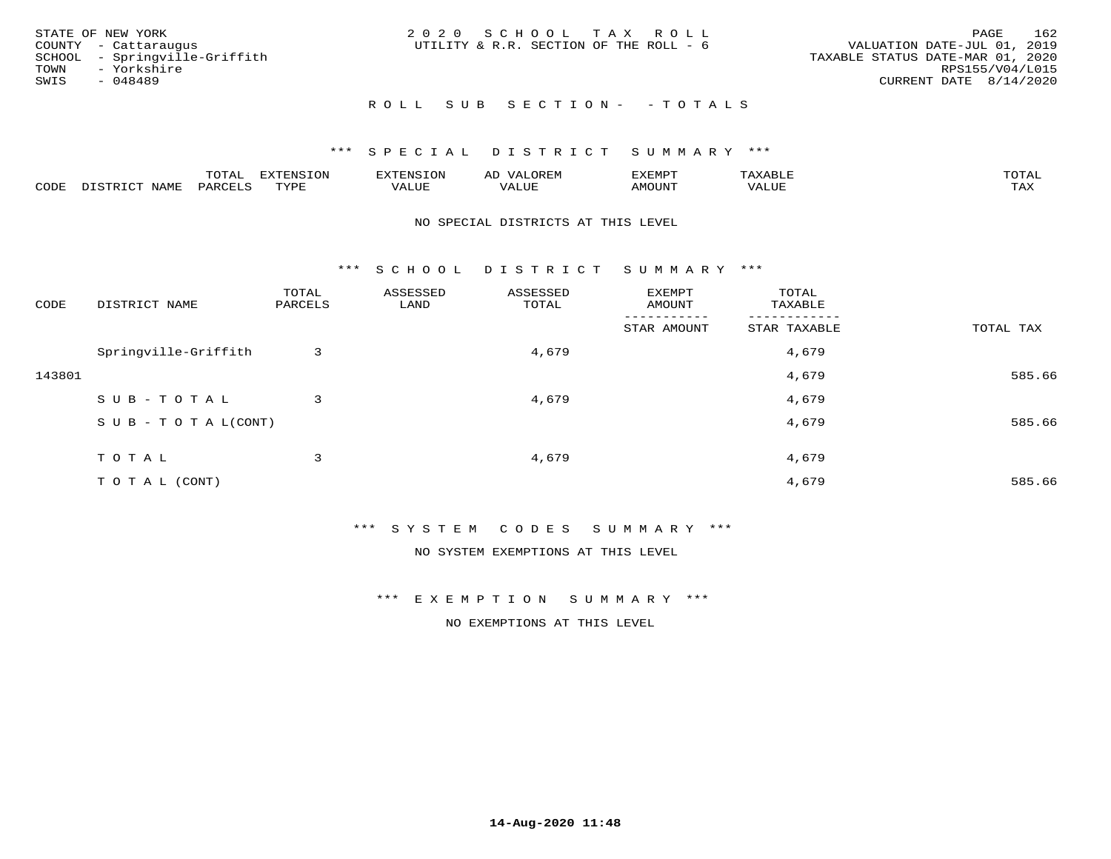| STATE OF NEW YORK<br>COUNTY - Cattaraugus<br>SCHOOL - Springville-Griffith<br>TOWN - Yorkshire<br>SWIS<br>- 048489 | 2020 SCHOOL TAX ROLL<br>UTILITY & R.R. SECTION OF THE ROLL - 6 | 162<br>PAGE<br>VALUATION DATE-JUL 01, 2019<br>TAXABLE STATUS DATE-MAR 01, 2020<br>RPS155/V04/L015<br>CURRENT DATE 8/14/2020 |
|--------------------------------------------------------------------------------------------------------------------|----------------------------------------------------------------|-----------------------------------------------------------------------------------------------------------------------------|
|                                                                                                                    | ROLL SUB SECTION- - TOTALS                                     |                                                                                                                             |

|      |      | $m \wedge m \wedge n$<br>◡⊥▱ | <b>TON</b>                 | $\mathbf{m}$<br>. ∺N ≻ | ΑD<br><b>JIM PH</b>  | ,,, <del>,</del> ,,, <del>,</del> ,<br>` ب | $m \times r \times r$ | $m \wedge m \wedge n$ |
|------|------|------------------------------|----------------------------|------------------------|----------------------|--------------------------------------------|-----------------------|-----------------------|
| CODE | NAMF | PARTF                        | <b>THAT THE</b><br>- - - - | T T T<br>اللالمان      | $777$ T TTT<br>ALUF. | "UUN                                       | VALUE                 | $m \times r$<br>- −-  |

### NO SPECIAL DISTRICTS AT THIS LEVEL

\*\*\* S C H O O L D I S T R I C T S U M M A R Y \*\*\*

| CODE   | DISTRICT NAME                    | TOTAL<br>PARCELS | ASSESSED<br>LAND | ASSESSED<br>TOTAL | EXEMPT<br>AMOUNT | TOTAL<br>TAXABLE |           |
|--------|----------------------------------|------------------|------------------|-------------------|------------------|------------------|-----------|
|        |                                  |                  |                  |                   | STAR AMOUNT      | STAR TAXABLE     | TOTAL TAX |
|        | Springville-Griffith             | 3                |                  | 4,679             |                  | 4,679            |           |
| 143801 |                                  |                  |                  |                   |                  | 4,679            | 585.66    |
|        | SUB-TOTAL                        | 3                |                  | 4,679             |                  | 4,679            |           |
|        | $S \cup B - T \cup T A L (CONT)$ |                  |                  |                   |                  | 4,679            | 585.66    |
|        | TOTAL                            | 3                |                  | 4,679             |                  | 4,679            |           |
|        |                                  |                  |                  |                   |                  |                  |           |
|        | TO TAL (CONT)                    |                  |                  |                   |                  | 4,679            | 585.66    |

\*\*\* S Y S T E M C O D E S S U M M A R Y \*\*\*

NO SYSTEM EXEMPTIONS AT THIS LEVEL

\*\*\* E X E M P T I O N S U M M A R Y \*\*\*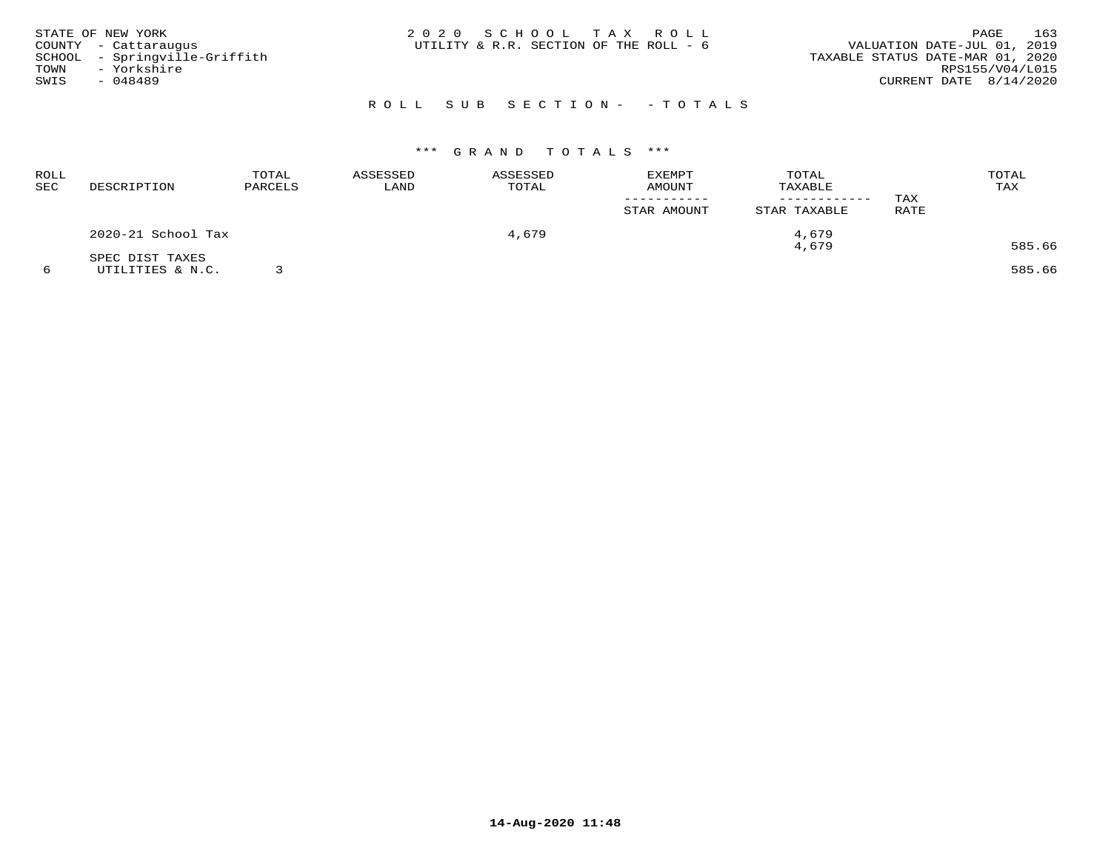| STATE OF NEW YORK<br>COUNTY - Cattaraugus<br>SCHOOL - Springville-Griffith<br>TOWN - Yorkshire<br>SWIS<br>- 048489 | 2020 SCHOOL TAX ROLL<br>UTILITY & R.R. SECTION OF THE ROLL - 6 | 163<br>PAGE<br>VALUATION DATE-JUL 01, 2019<br>TAXABLE STATUS DATE-MAR 01, 2020<br>RPS155/V04/L015<br>CURRENT DATE $8/14/2020$ |
|--------------------------------------------------------------------------------------------------------------------|----------------------------------------------------------------|-------------------------------------------------------------------------------------------------------------------------------|
|                                                                                                                    | ROLL SUB SECTION- - TOTALS                                     |                                                                                                                               |

| ROLL<br>SEC | DESCRIPTION        | TOTAL<br>PARCELS | ASSESSED<br>LAND | ASSESSED<br>TOTAL | EXEMPT<br>AMOUNT | TOTAL<br>TAXABLE<br>------------ | TAX  | TOTAL<br>TAX |
|-------------|--------------------|------------------|------------------|-------------------|------------------|----------------------------------|------|--------------|
|             |                    |                  |                  |                   | STAR AMOUNT      | STAR TAXABLE                     | RATE |              |
|             | 2020-21 School Tax |                  |                  | 4,679             |                  | 4,679                            |      |              |
|             | SPEC DIST TAXES    |                  |                  |                   |                  | 4,679                            |      | 585.66       |
|             | UTILITIES & N.C.   |                  |                  |                   |                  |                                  |      | 585.66       |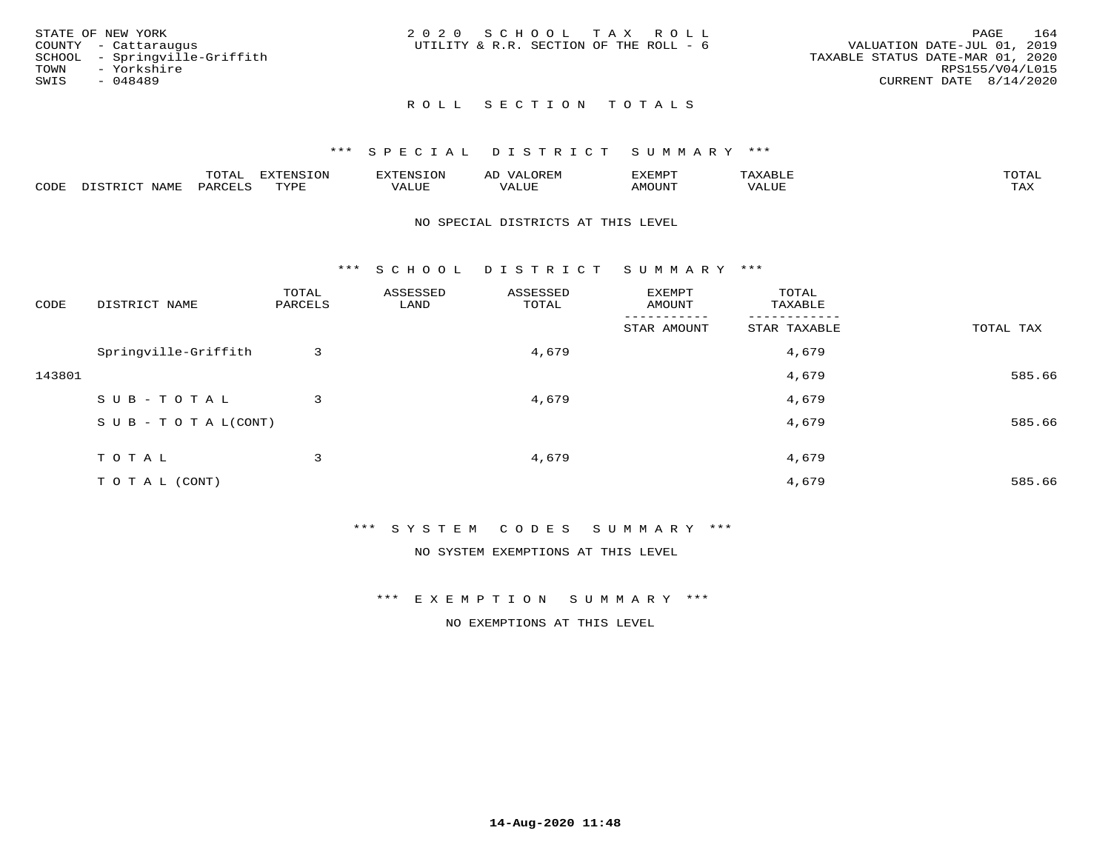|      | STATE OF NEW YORK             | 2020 SCHOOL TAX ROLL                   |  |                                  |                        | PAGE | 164 |
|------|-------------------------------|----------------------------------------|--|----------------------------------|------------------------|------|-----|
|      | COUNTY - Cattaraugus          | UTILITY & R.R. SECTION OF THE ROLL - 6 |  | VALUATION DATE-JUL 01, 2019      |                        |      |     |
|      | SCHOOL - Springville-Griffith |                                        |  | TAXABLE STATUS DATE-MAR 01, 2020 |                        |      |     |
|      | TOWN - Yorkshire              |                                        |  |                                  | RPS155/V04/L015        |      |     |
| SWIS | - 048489                      |                                        |  |                                  | CURRENT DATE 8/14/2020 |      |     |
|      |                               |                                        |  |                                  |                        |      |     |

# ROLL SECTION TOTALS

## \*\*\* S P E C I A L D I S T R I C T S U M M A R Y \*\*\*

|      |                      | ----           | <b>FYTFNSION</b><br>- 75 | <b>FNC</b>     | ᅺᅜᄓ                      | SXEMPT | $\Delta$<br>.                  | $m \wedge m \wedge n$ |
|------|----------------------|----------------|--------------------------|----------------|--------------------------|--------|--------------------------------|-----------------------|
| CODE | <b>NTAMT</b><br>⊥∙⊥⊥ | D.ODT.<br>PARL | $m \tau \tau m$<br>.     | T T T<br>ALUF: | , <del>,</del> , , , , , | MOUN.  | , 77 T TT <del>D</del><br>ALUE | TAX                   |

### NO SPECIAL DISTRICTS AT THIS LEVEL

\*\*\* S C H O O L D I S T R I C T S U M M A R Y \*\*\*

| CODE   | DISTRICT NAME                    | TOTAL<br>PARCELS | ASSESSED<br>LAND | ASSESSED<br>TOTAL | EXEMPT<br>AMOUNT | TOTAL<br>TAXABLE |           |
|--------|----------------------------------|------------------|------------------|-------------------|------------------|------------------|-----------|
|        |                                  |                  |                  |                   | STAR AMOUNT      | STAR TAXABLE     | TOTAL TAX |
|        | Springville-Griffith             | 3                |                  | 4,679             |                  | 4,679            |           |
| 143801 |                                  |                  |                  |                   |                  | 4,679            | 585.66    |
|        | SUB-TOTAL                        | 3                |                  | 4,679             |                  | 4,679            |           |
|        | $S \cup B - T \cup T A L (CONT)$ |                  |                  |                   |                  | 4,679            | 585.66    |
|        | TOTAL                            | 3                |                  | 4,679             |                  | 4,679            |           |
|        | T O T A L (CONT)                 |                  |                  |                   |                  | 4,679            | 585.66    |

\*\*\* S Y S T E M C O D E S S U M M A R Y \*\*\*

NO SYSTEM EXEMPTIONS AT THIS LEVEL

\*\*\* E X E M P T I O N S U M M A R Y \*\*\*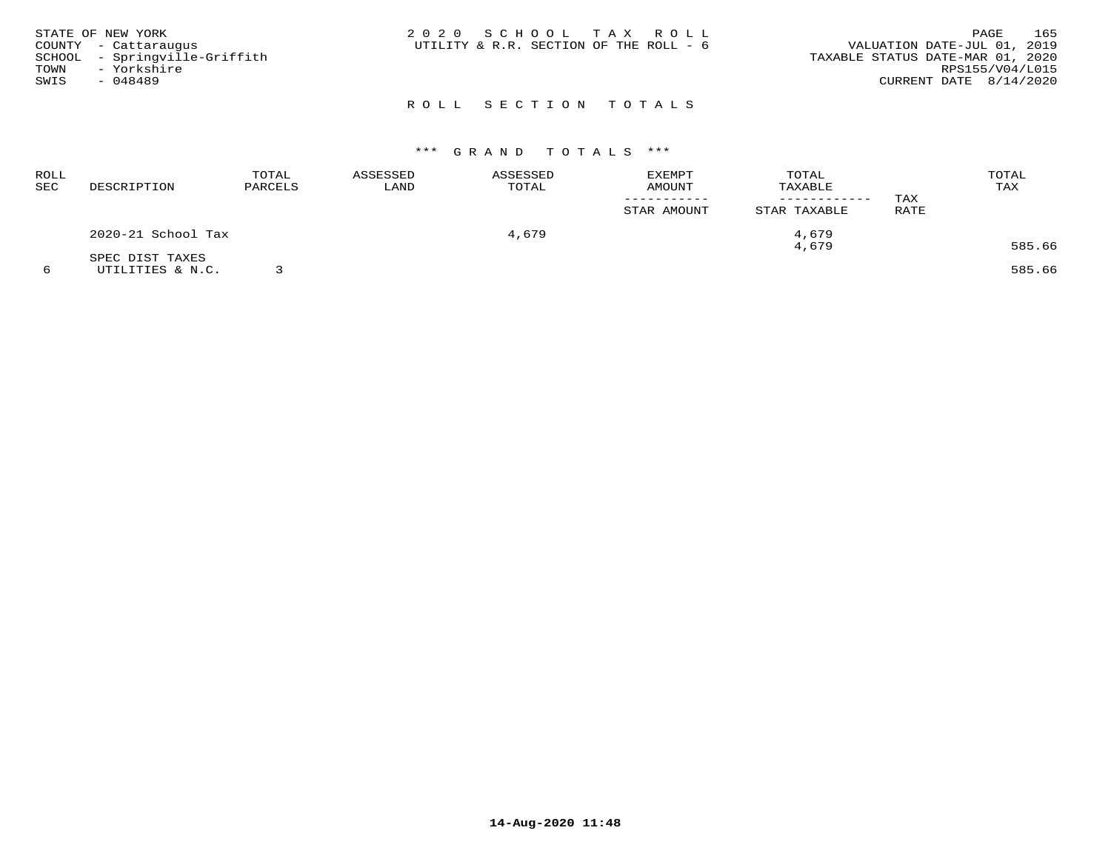| STATE OF NEW YORK<br>COUNTY - Cattaraugus<br>SCHOOL - Springville-Griffith<br>TOWN<br>- Yorkshire<br>SWIS<br>- 048489 | 2020 SCHOOL TAX ROLL<br>UTILITY & R.R. SECTION OF THE ROLL - 6 | 165<br>PAGE<br>VALUATION DATE-JUL 01, 2019<br>TAXABLE STATUS DATE-MAR 01, 2020<br>RPS155/V04/L015<br>CURRENT DATE $8/14/2020$ |
|-----------------------------------------------------------------------------------------------------------------------|----------------------------------------------------------------|-------------------------------------------------------------------------------------------------------------------------------|
|                                                                                                                       | ROLL SECTION TOTALS                                            |                                                                                                                               |

| ROLL<br>SEC | DESCRIPTION        | TOTAL<br>PARCELS | ASSESSED<br>LAND | ASSESSED<br>TOTAL | <b>EXEMPT</b><br>AMOUNT | TOTAL<br>TAXABLE | TAX         | TOTAL<br>TAX |
|-------------|--------------------|------------------|------------------|-------------------|-------------------------|------------------|-------------|--------------|
|             |                    |                  |                  |                   | STAR AMOUNT             | STAR TAXABLE     | <b>RATE</b> |              |
|             | 2020-21 School Tax |                  |                  | 4,679             |                         | 4,679            |             |              |
|             | SPEC DIST TAXES    |                  |                  |                   |                         | 4,679            |             | 585.66       |
|             | UTILITIES & N.C.   |                  |                  |                   |                         |                  |             | 585.66       |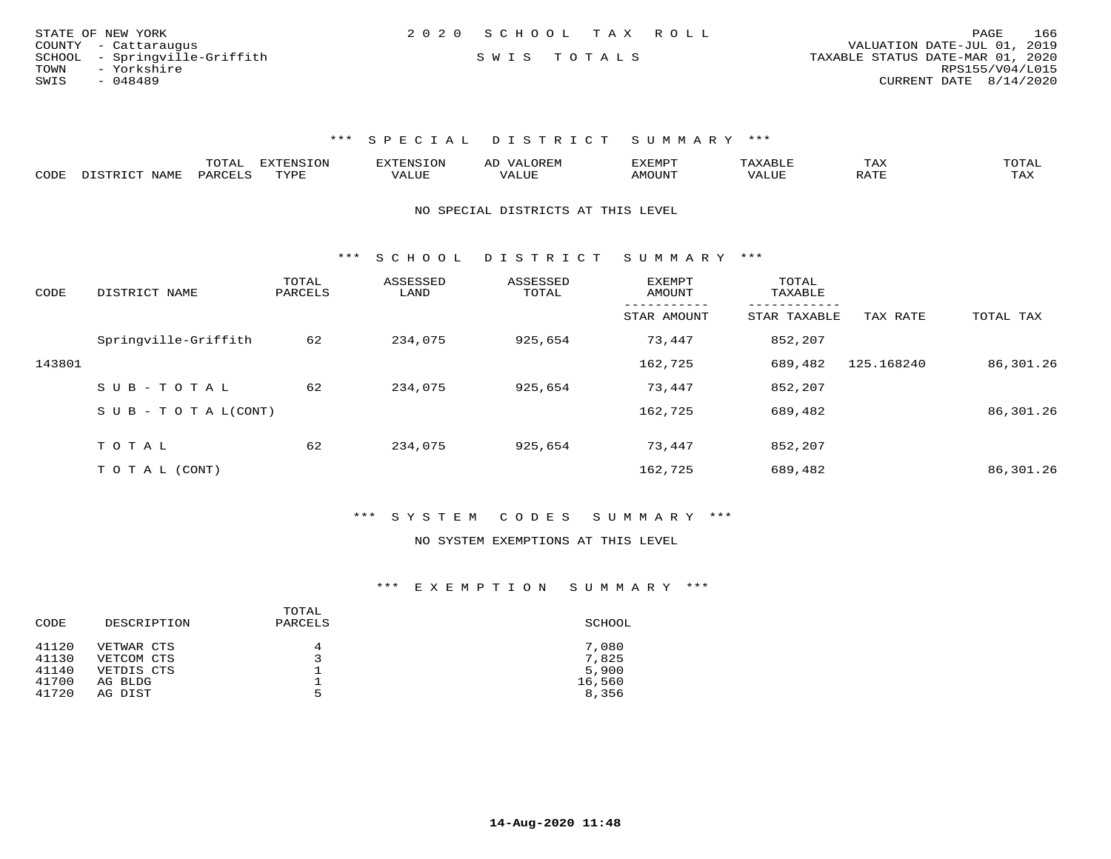| STATE OF NEW YORK             | 2020 SCHOOL TAX ROLL | 166<br>PAGE                      |
|-------------------------------|----------------------|----------------------------------|
| COUNTY - Cattaraugus          |                      | VALUATION DATE-JUL 01, 2019      |
| SCHOOL - Springville-Griffith | SWIS TOTALS          | TAXABLE STATUS DATE-MAR 01, 2020 |
| TOWN<br>- Yorkshire           |                      | RPS155/V04/L015                  |
| SWIS<br>- 048489              |                      | CURRENT DATE 8/14/2020           |

|      |                  | TOTAL            | <b>EXTENSION</b> | CNS.  | A <sub>1</sub> | <sup>-</sup> YEMPT |       | T HV | TOTAL     |
|------|------------------|------------------|------------------|-------|----------------|--------------------|-------|------|-----------|
| CODE | NAME<br>DICTDICT | PAR <sub>0</sub> | TYPE             | 'ALUE | "ل سلد.        | AMOUN <sup>T</sup> | VALUL | ᄗᇧᅲᄄ | .<br>I AA |

### NO SPECIAL DISTRICTS AT THIS LEVEL

\*\*\* S C H O O L D I S T R I C T S U M M A R Y \*\*\*

| CODE   | DISTRICT NAME             | TOTAL<br>PARCELS | ASSESSED<br>LAND | ASSESSED<br>TOTAL | <b>EXEMPT</b><br>AMOUNT | TOTAL<br>TAXABLE |            |           |
|--------|---------------------------|------------------|------------------|-------------------|-------------------------|------------------|------------|-----------|
|        |                           |                  |                  |                   | STAR AMOUNT             | STAR TAXABLE     | TAX RATE   | TOTAL TAX |
|        | Springville-Griffith      | 62               | 234,075          | 925,654           | 73,447                  | 852,207          |            |           |
| 143801 |                           |                  |                  |                   | 162,725                 | 689,482          | 125.168240 | 86,301.26 |
|        | SUB-TOTAL                 | 62               | 234,075          | 925,654           | 73,447                  | 852,207          |            |           |
|        | S U B - T O T A $L(CONT)$ |                  |                  |                   | 162,725                 | 689,482          |            | 86,301.26 |
|        |                           |                  |                  |                   |                         |                  |            |           |
|        | TOTAL                     | 62               | 234,075          | 925,654           | 73,447                  | 852,207          |            |           |
|        | T O T A L (CONT)          |                  |                  |                   | 162,725                 | 689,482          |            | 86,301.26 |

## \*\*\* S Y S T E M C O D E S S U M M A R Y \*\*\*

### NO SYSTEM EXEMPTIONS AT THIS LEVEL

| CODE  | DESCRIPTION | TOTAL<br>PARCELS | SCHOOL |
|-------|-------------|------------------|--------|
| 41120 | VETWAR CTS  | 4                | 7,080  |
| 41130 | VETCOM CTS  |                  | 7,825  |
| 41140 | VETDIS CTS  |                  | 5,900  |
| 41700 | AG BLDG     |                  | 16,560 |
| 41720 | AG DIST     | 5                | 8,356  |
|       |             |                  |        |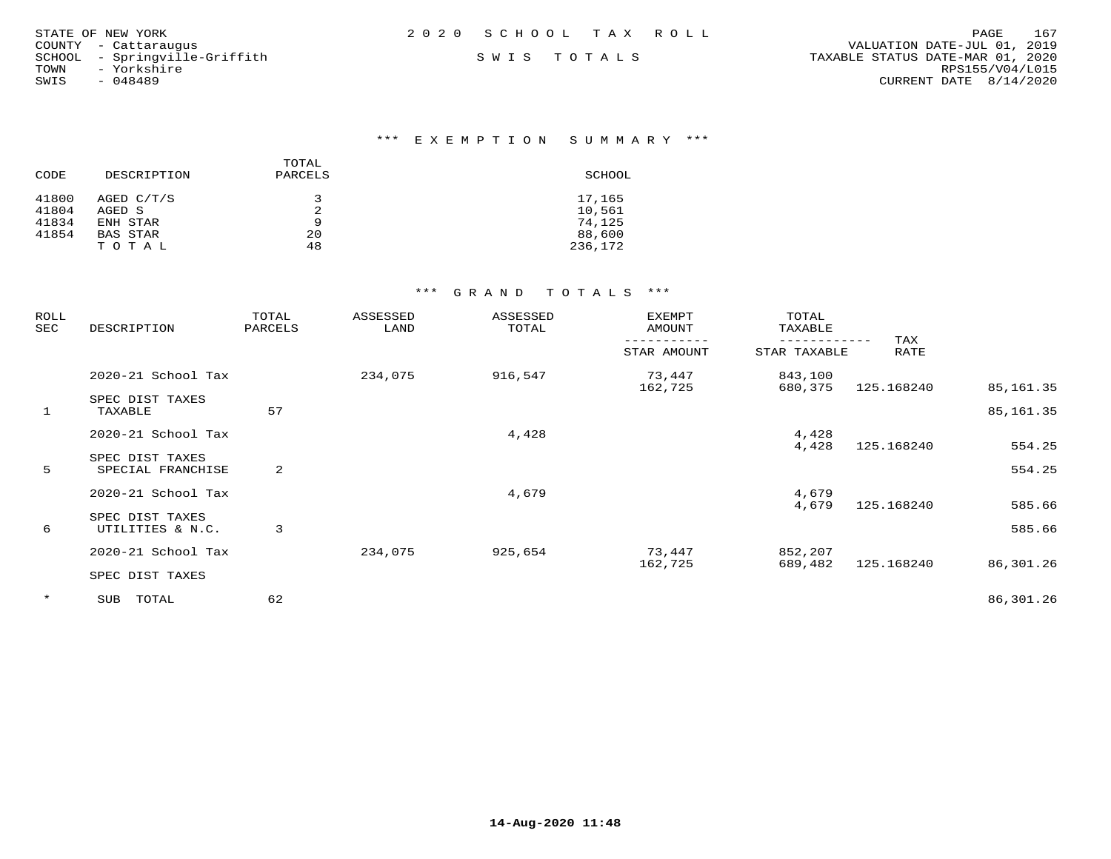| STATE OF NEW YORK             | 2020 SCHOOL TAX ROLL | 167<br>PAGE                      |
|-------------------------------|----------------------|----------------------------------|
| COUNTY - Cattaraugus          |                      | VALUATION DATE-JUL 01, 2019      |
| SCHOOL - Springville-Griffith | SWIS TOTALS          | TAXABLE STATUS DATE-MAR 01, 2020 |
| - Yorkshire<br>TOWN           |                      | RPS155/V04/L015                  |
| SWIS<br>- 048489              |                      | CURRENT DATE 8/14/2020           |
|                               |                      |                                  |

| CODE  | DESCRIPTION     | TOTAL<br>PARCELS | SCHOOL  |
|-------|-----------------|------------------|---------|
| 41800 | AGED C/T/S      | ₹                | 17,165  |
| 41804 | AGED S          |                  | 10,561  |
| 41834 | ENH STAR        | 9                | 74,125  |
| 41854 | <b>BAS STAR</b> | 20               | 88,600  |
|       | T O T A L       | 48               | 236,172 |

| ROLL<br>SEC  | DESCRIPTION                          | TOTAL<br>PARCELS | ASSESSED<br>LAND | ASSESSED<br>TOTAL | EXEMPT<br>AMOUNT | TOTAL<br>TAXABLE |             |                        |
|--------------|--------------------------------------|------------------|------------------|-------------------|------------------|------------------|-------------|------------------------|
|              |                                      |                  |                  |                   | STAR AMOUNT      | STAR TAXABLE     | TAX<br>RATE |                        |
|              | 2020-21 School Tax                   |                  | 234,075          | 916,547           | 73,447           | 843,100          |             |                        |
| $\mathbf{1}$ | SPEC DIST TAXES<br>TAXABLE           | 57               |                  |                   | 162,725          | 680,375          | 125.168240  | 85,161.35<br>85,161.35 |
|              | 2020-21 School Tax                   |                  |                  | 4,428             |                  | 4,428            |             |                        |
| 5            | SPEC DIST TAXES<br>SPECIAL FRANCHISE | 2                |                  |                   |                  | 4,428            | 125.168240  | 554.25<br>554.25       |
|              | 2020-21 School Tax                   |                  |                  | 4,679             |                  | 4,679<br>4,679   | 125.168240  | 585.66                 |
| 6            | SPEC DIST TAXES<br>UTILITIES & N.C.  | 3                |                  |                   |                  |                  |             | 585.66                 |
|              | 2020-21 School Tax                   |                  | 234,075          | 925,654           | 73,447           | 852,207          |             |                        |
|              | SPEC DIST TAXES                      |                  |                  |                   | 162,725          | 689,482          | 125.168240  | 86,301.26              |
| $\star$      | TOTAL<br>SUB                         | 62               |                  |                   |                  |                  |             | 86,301.26              |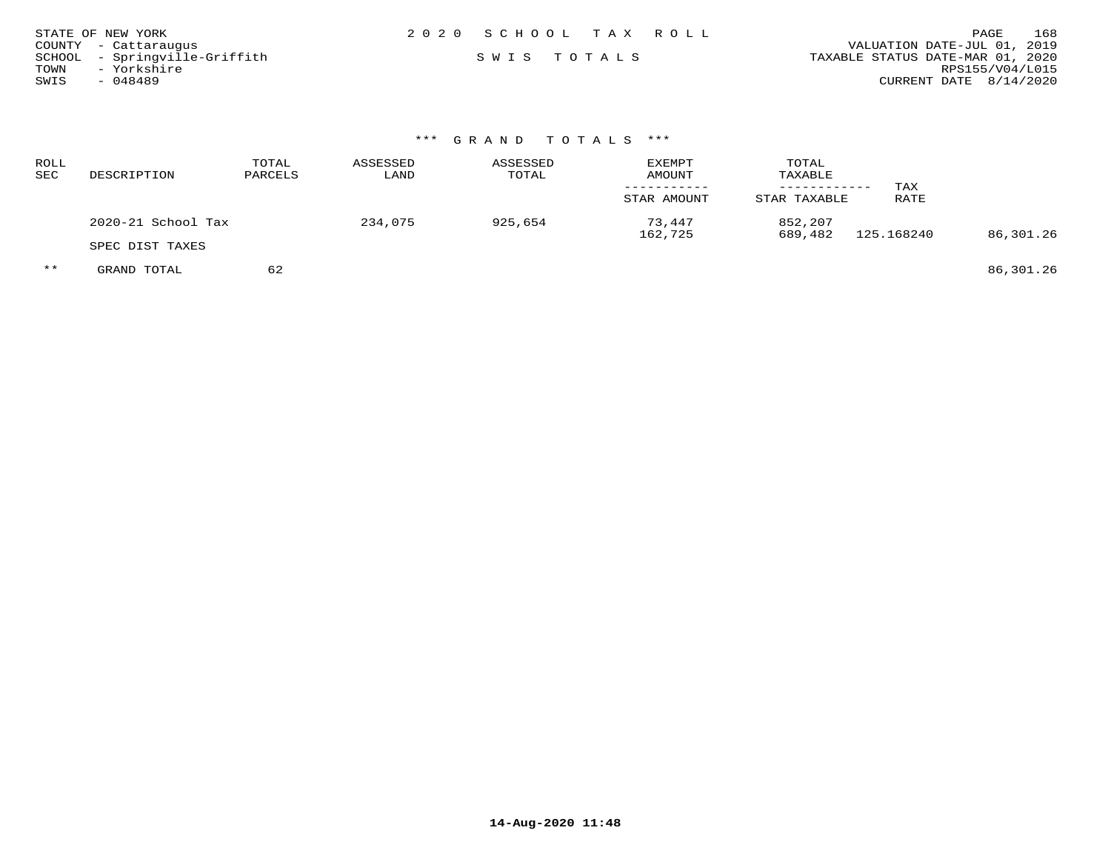| STATE OF NEW YORK             | 2020 SCHOOL TAX ROLL | 168<br>PAGE                      |
|-------------------------------|----------------------|----------------------------------|
| COUNTY - Cattaraugus          |                      | VALUATION DATE-JUL 01, 2019      |
| SCHOOL - Springville-Griffith | SWIS TOTALS          | TAXABLE STATUS DATE-MAR 01, 2020 |
| - Yorkshire<br>TOWN           |                      | RPS155/V04/L015                  |
| SWIS<br>- 048489              |                      | CURRENT DATE $8/14/2020$         |

| ROLL<br>SEC | DESCRIPTION        | TOTAL<br>PARCELS | ASSESSED<br>LAND | ASSESSED<br>TOTAL | <b>EXEMPT</b><br>AMOUNT<br>STAR AMOUNT | TOTAL<br>TAXABLE<br>STAR TAXABLE | TAX<br>RATE |           |
|-------------|--------------------|------------------|------------------|-------------------|----------------------------------------|----------------------------------|-------------|-----------|
|             | 2020-21 School Tax |                  | 234,075          | 925,654           | 73,447                                 | 852,207                          |             |           |
|             | SPEC DIST TAXES    |                  |                  |                   | 162,725                                | 689,482                          | 125.168240  | 86,301.26 |
| $***$       | GRAND TOTAL        | 62               |                  |                   |                                        |                                  |             | 86,301.26 |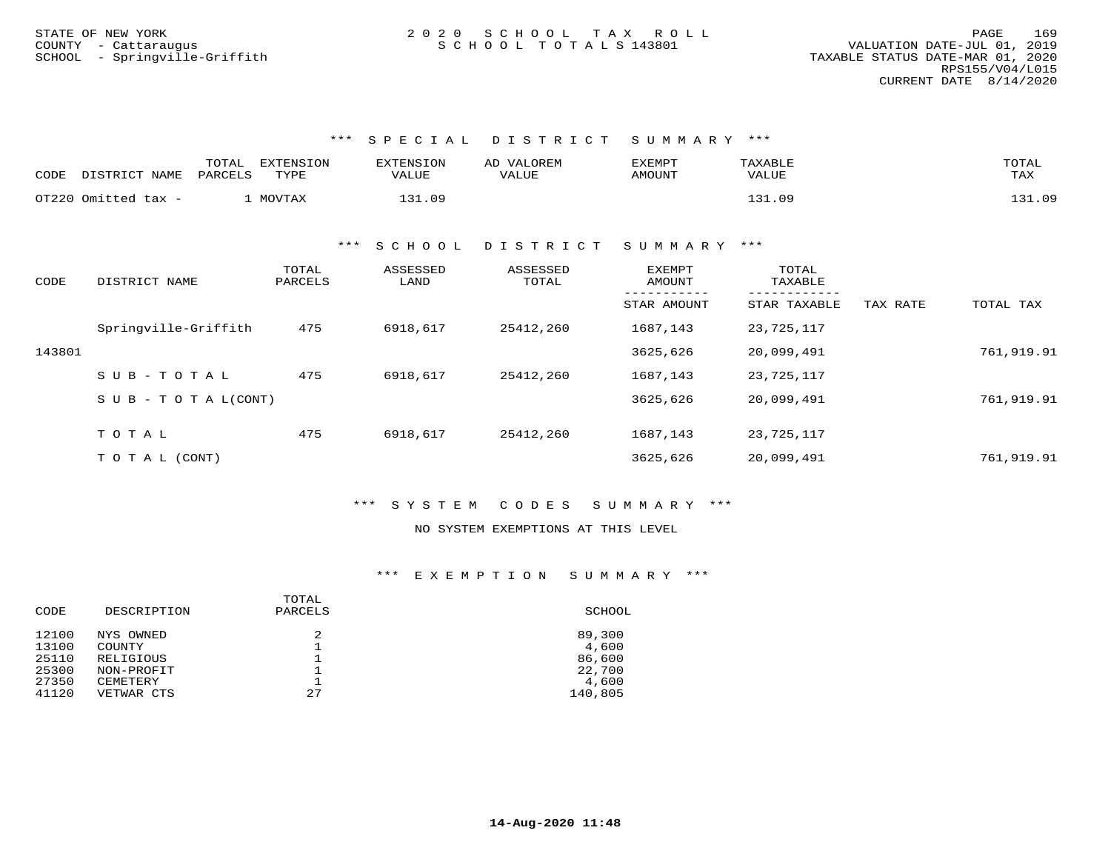| CODE | DISTRICT NAME       | TOTAL<br>EXTENSION<br>PARCELS<br>TYPE | <b>EXTENSION</b><br><b>VALUE</b> | VALOREM<br>AD<br>VALUE | EXEMPT<br>AMOUNT | TAXABLE<br>VALUE | TOTAL<br>TAX |
|------|---------------------|---------------------------------------|----------------------------------|------------------------|------------------|------------------|--------------|
|      | OT220 Omitted tax - | MOVTAX                                | -31.09                           |                        |                  | 121<br>- 09      | 131.09       |

\*\*\* S C H O O L D I S T R I C T S U M M A R Y \*\*\*

| CODE   | DISTRICT NAME                    | TOTAL<br>PARCELS | ASSESSED<br>LAND | ASSESSED<br>TOTAL | <b>EXEMPT</b><br>AMOUNT<br>----------- | TOTAL<br>TAXABLE<br>------------ |          |            |
|--------|----------------------------------|------------------|------------------|-------------------|----------------------------------------|----------------------------------|----------|------------|
|        |                                  |                  |                  |                   | STAR AMOUNT                            | STAR TAXABLE                     | TAX RATE | TOTAL TAX  |
|        | Springville-Griffith             | 475              | 6918,617         | 25412,260         | 1687,143                               | 23,725,117                       |          |            |
| 143801 |                                  |                  |                  |                   | 3625,626                               | 20,099,491                       |          | 761,919.91 |
|        | SUB-TOTAL                        | 475              | 6918,617         | 25412,260         | 1687,143                               | 23,725,117                       |          |            |
|        | $S \cup B - T \cup T A L (CONT)$ |                  |                  |                   | 3625,626                               | 20,099,491                       |          | 761,919.91 |
|        |                                  |                  |                  |                   |                                        |                                  |          |            |
|        | TOTAL                            | 475              | 6918,617         | 25412,260         | 1687,143                               | 23,725,117                       |          |            |
|        | T O T A L (CONT)                 |                  |                  |                   | 3625,626                               | 20,099,491                       |          | 761,919.91 |

\*\*\* S Y S T E M C O D E S S U M M A R Y \*\*\*

NO SYSTEM EXEMPTIONS AT THIS LEVEL

| DESCRIPTION | PARCELS | SCHOOL  |
|-------------|---------|---------|
| NYS OWNED   |         | 89,300  |
| COUNTY      |         | 4,600   |
| RELIGIOUS   |         | 86,600  |
| NON-PROFIT  |         | 22,700  |
| CEMETERY    |         | 4,600   |
| VETWAR CTS  | 27      | 140,805 |
|             |         | TOTAL   |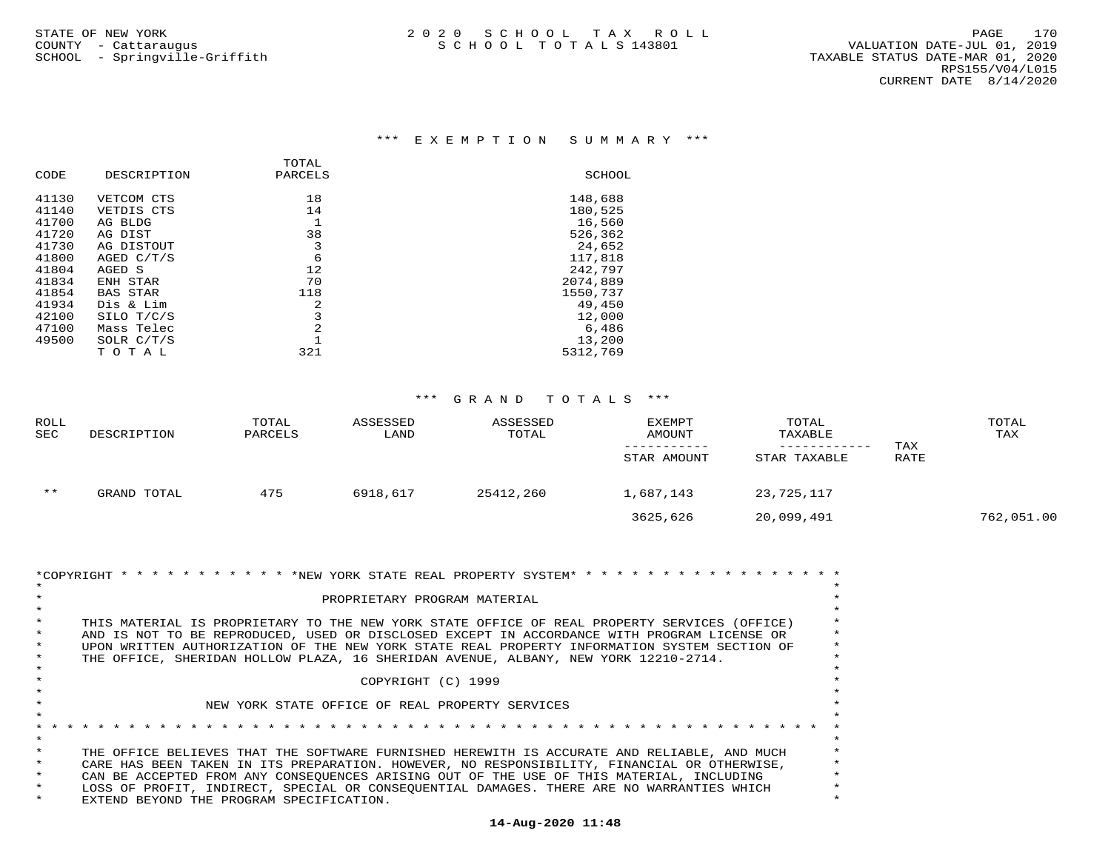| DESCRIPTION     | PARCELS | SCHOOL   |
|-----------------|---------|----------|
| VETCOM CTS      | 18      | 148,688  |
| VETDIS CTS      | 14      | 180,525  |
| AG BLDG         |         | 16,560   |
| AG DIST         | 38      | 526,362  |
| AG DISTOUT      | 3       | 24,652   |
| AGED C/T/S      | 6       | 117,818  |
| AGED S          | 12      | 242,797  |
| ENH STAR        | 70      | 2074,889 |
| <b>BAS STAR</b> | 118     | 1550,737 |
| Dis & Lim       | 2       | 49,450   |
| SILO T/C/S      | 3       | 12,000   |
| Mass Telec      | 2       | 6,486    |
| SOLR C/T/S      |         | 13,200   |
| TOTAL           | 321     | 5312,769 |
|                 |         | TOTAL    |

| ROLL       |             | TOTAL   | ASSESSED | ASSESSED  | EXEMPT      | TOTAL        |             | TOTAL      |
|------------|-------------|---------|----------|-----------|-------------|--------------|-------------|------------|
| <b>SEC</b> | DESCRIPTION | PARCELS | LAND     | TOTAL     | AMOUNT      | TAXABLE      |             | TAX        |
|            |             |         |          |           | STAR AMOUNT | STAR TAXABLE | TAX<br>RATE |            |
| $***$      | GRAND TOTAL | 475     | 6918,617 | 25412,260 | 1,687,143   | 23,725,117   |             |            |
|            |             |         |          |           | 3625,626    | 20,099,491   |             | 762,051.00 |

| *COPYRIGHT * * * * * * * * * * * * * NEW YORK STATE REAL PROPERTY SYSTEM* * * * * * * * * * * * * * * * * |          |
|-----------------------------------------------------------------------------------------------------------|----------|
|                                                                                                           |          |
| PROPRIETARY PROGRAM MATERIAL                                                                              |          |
|                                                                                                           |          |
| THIS MATERIAL IS PROPRIETARY TO THE NEW YORK STATE OFFICE OF REAL PROPERTY SERVICES (OFFICE)              |          |
| AND IS NOT TO BE REPRODUCED, USED OR DISCLOSED EXCEPT IN ACCORDANCE WITH PROGRAM LICENSE OR               |          |
| UPON WRITTEN AUTHORIZATION OF THE NEW YORK STATE REAL PROPERTY INFORMATION SYSTEM SECTION OF              | $^\star$ |
| THE OFFICE, SHERIDAN HOLLOW PLAZA, 16 SHERIDAN AVENUE, ALBANY, NEW YORK 12210-2714.                       |          |
|                                                                                                           |          |
| COPYRIGHT (C) 1999                                                                                        |          |
|                                                                                                           |          |
| NEW YORK STATE OFFICE OF REAL PROPERTY SERVICES                                                           |          |
|                                                                                                           |          |
|                                                                                                           |          |
|                                                                                                           |          |
| THE OFFICE BELIEVES THAT THE SOFTWARE FURNISHED HEREWITH IS ACCURATE AND RELIABLE, AND MUCH               |          |
| CARE HAS BEEN TAKEN IN ITS PREPARATION. HOWEVER, NO RESPONSIBILITY, FINANCIAL OR OTHERWISE,               |          |
|                                                                                                           | $\ast$   |
| CAN BE ACCEPTED FROM ANY CONSEOUENCES ARISING OUT OF THE USE OF THIS MATERIAL, INCLUDING                  |          |
| LOSS OF PROFIT, INDIRECT, SPECIAL OR CONSEOUENTIAL DAMAGES. THERE ARE NO WARRANTIES WHICH                 |          |
| EXTEND BEYOND THE PROGRAM SPECIFICATION.                                                                  |          |